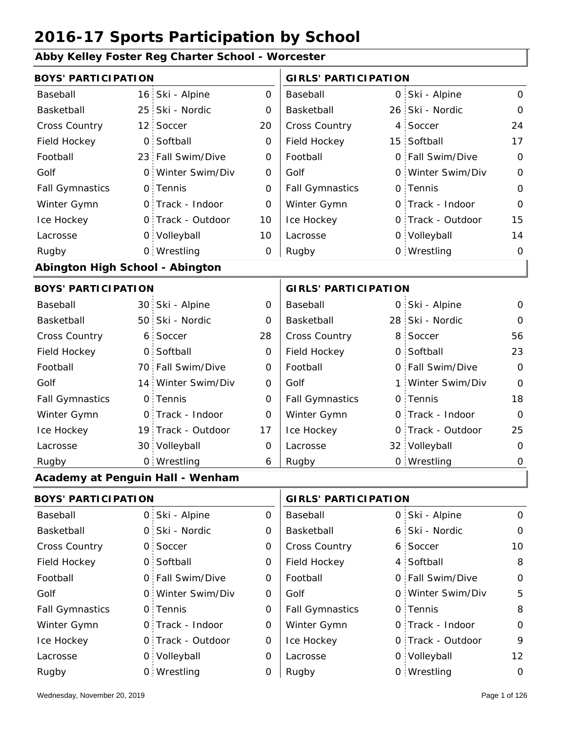#### **Abby Kelley Foster Reg Charter School - Worcester**

| <b>BOYS' PARTICIPATION</b>       |                 |                    | <b>GIRLS' PARTICIPATION</b> |                             |                   |                |
|----------------------------------|-----------------|--------------------|-----------------------------|-----------------------------|-------------------|----------------|
| Baseball                         | 16:             | Ski - Alpine       | $\mathbf 0$                 | Baseball                    | 0 Ski - Alpine    | $\mathbf 0$    |
| Basketball                       | 25 <sup>1</sup> | Ski - Nordic       | 0                           | Basketball                  | 26 Ski - Nordic   | $\mathbf 0$    |
| Cross Country                    | 12 <sub>1</sub> | Soccer             | 20                          | Cross Country               | 4 Soccer          | 24             |
| Field Hockey                     | 0               | Softball           | $\mathbf 0$                 | Field Hockey                | 15 Softball       | 17             |
| Football                         | 23 <sup>1</sup> | Fall Swim/Dive     | 0                           | Football                    | 0 Fall Swim/Dive  | $\mathbf 0$    |
| Golf                             | $\mathsf{O}$    | Winter Swim/Div    | $\mathbf 0$                 | Golf                        | 0 Winter Swim/Div | $\mathbf 0$    |
| <b>Fall Gymnastics</b>           |                 | 0 Tennis           | 0                           | <b>Fall Gymnastics</b>      | 0 Tennis          | $\mathbf 0$    |
| Winter Gymn                      |                 | 0 Track - Indoor   | $\mathbf 0$                 | Winter Gymn                 | O Track - Indoor  | $\mathbf 0$    |
| Ice Hockey                       |                 | 0 Track - Outdoor  | 10                          | Ice Hockey                  | 0 Track - Outdoor | 15             |
| Lacrosse                         |                 | 0 Volleyball       | 10                          | Lacrosse                    | 0 Volleyball      | 14             |
| Rugby                            |                 | 0 Wrestling        | 0                           | Rugby                       | 0 Wrestling       | $\mathbf 0$    |
| Abington High School - Abington  |                 |                    |                             |                             |                   |                |
| <b>BOYS' PARTICIPATION</b>       |                 |                    |                             | <b>GIRLS' PARTICIPATION</b> |                   |                |
| Baseball                         |                 | 30 Ski - Alpine    | $\mathbf 0$                 | Baseball                    | 0 Ski - Alpine    | $\mathbf 0$    |
| Basketball                       | 50              | Ski - Nordic       | 0                           | Basketball                  | 28 Ski - Nordic   | $\mathbf 0$    |
| <b>Cross Country</b>             | 6 <sup>1</sup>  | Soccer             | 28                          | Cross Country               | 8 Soccer          | 56             |
| Field Hockey                     | $\mathsf{O}$    | Softball           | 0                           | Field Hockey                | 0 Softball        | 23             |
| Football                         |                 | 70 Fall Swim/Dive  | 0                           | Football                    | 0 Fall Swim/Dive  | $\mathbf 0$    |
| Golf                             |                 | 14 Winter Swim/Div | $\mathbf 0$                 | Golf                        | 1 Winter Swim/Div | $\overline{0}$ |
| <b>Fall Gymnastics</b>           | $\mathsf{O}$    | Tennis             | 0                           | <b>Fall Gymnastics</b>      | 0 Tennis          | 18             |
| Winter Gymn                      | $\mathsf{O}$    | Track - Indoor     | 0                           | Winter Gymn                 | O Track - Indoor  | $\overline{O}$ |
| Ice Hockey                       | 19 <sup>°</sup> | Track - Outdoor    | 17                          | Ice Hockey                  | 0 Track - Outdoor | 25             |
| Lacrosse                         |                 | 30 Volleyball      | 0                           | Lacrosse                    | 32 Volleyball     | 0              |
| Rugby                            |                 | 0 Wrestling        | 6                           | Rugby                       | 0 Wrestling       | $\mathbf 0$    |
| Academy at Penguin Hall - Wenham |                 |                    |                             |                             |                   |                |
| <b>BOYS' PARTICIPATION</b>       |                 |                    |                             | <b>GIRLS' PARTICIPATION</b> |                   |                |
| Baseball                         |                 | 0 Ski - Alpine     | 0                           | Baseball                    | 0 Ski - Alpine    | $\mathbf 0$    |
| Basketball                       |                 | 0 Ski - Nordic     | 0                           | Basketball                  | 6 Ski - Nordic    | $\mathbf 0$    |
| Cross Country                    |                 | 0 Soccer           | 0                           | Cross Country               | 6 Soccer          | 10             |
| Field Hockey                     |                 | 0 Softball         | 0                           | Field Hockey                | 4 Softball        | 8              |
| Football                         |                 | 0 Fall Swim/Dive   | 0                           | Football                    | 0 Fall Swim/Dive  | $\mathbf 0$    |

0 0 Fall Swim/Dive 0 Winter Swim/Div 0 Golf 0 0 0 Fall Gymnastics 0 of Fall Gymnastics 0 of Fall Gymnastics 0 of the 10 of the 10 0 Track - Outdoor 0 Track - Indoor 0 Volleyball 0 Track - Outdoor 0 Volleyball 12  $\overline{O}$ 0  $\Omega$ 0 0 0 Football Golf Fall Gymnastics Ice Hockey Lacrosse 0 Tennis 0 Track - Indoor Wrestling Rugby 0 Rugby 0 Football Golf Winter Gymn Ice Hockey Lacrosse 0 Fall Swim/Dive Winter Swim/Div 0 Tennis Winter Gymn 0 Wrestling 0

5

8

0

9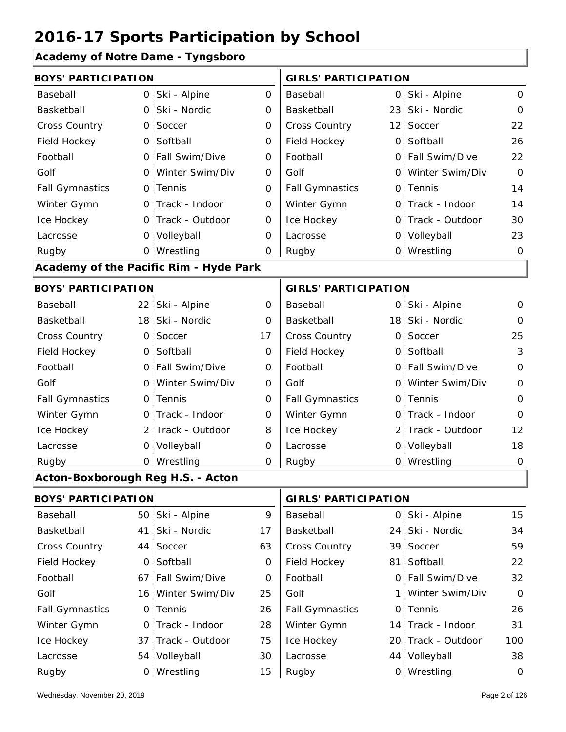**Academy of Notre Dame - Tyngsboro**

|                                   |      | Academy of Notre Dame - Tyngsboro      |             |                             |  |                   |              |
|-----------------------------------|------|----------------------------------------|-------------|-----------------------------|--|-------------------|--------------|
| <b>BOYS' PARTICIPATION</b>        |      |                                        |             | <b>GIRLS' PARTICIPATION</b> |  |                   |              |
| Baseball                          |      | 0 Ski - Alpine                         | 0           | Baseball                    |  | 0 Ski - Alpine    | 0            |
| Basketball                        |      | 0 Ski - Nordic                         | 0           | Basketball                  |  | 23 Ski - Nordic   | $\mathbf{O}$ |
| Cross Country                     |      | 0 Soccer                               | $\mathbf 0$ | Cross Country               |  | 12 Soccer         | 22           |
| Field Hockey                      |      | 0 Softball                             | 0           | Field Hockey                |  | 0 Softball        | 26           |
| Football                          |      | 0 Fall Swim/Dive                       | 0           | Football                    |  | 0 Fall Swim/Dive  | 22           |
| Golf                              |      | 0 Winter Swim/Div                      | 0           | Golf                        |  | 0 Winter Swim/Div | $\Omega$     |
| <b>Fall Gymnastics</b>            |      | 0 Tennis                               | 0           | <b>Fall Gymnastics</b>      |  | 0 Tennis          | 14           |
| Winter Gymn                       |      | O Track - Indoor                       | 0           | Winter Gymn                 |  | O Track - Indoor  | 14           |
| Ice Hockey                        |      | 0 Track - Outdoor                      | $\mathbf 0$ | Ice Hockey                  |  | 0 Track - Outdoor | 30           |
| Lacrosse                          |      | 0 Volleyball                           | 0           | Lacrosse                    |  | 0 Volleyball      | 23           |
| Rugby                             |      | 0 Wrestling                            | 0           | Rugby                       |  | 0 Wrestling       | $\mathbf 0$  |
|                                   |      | Academy of the Pacific Rim - Hyde Park |             |                             |  |                   |              |
| <b>BOYS' PARTICIPATION</b>        |      |                                        |             | <b>GIRLS' PARTICIPATION</b> |  |                   |              |
| Baseball                          |      | 22 Ski - Alpine                        | 0           | Baseball                    |  | 0 Ski - Alpine    | $\mathbf 0$  |
| Basketball                        |      | 18 Ski - Nordic                        | 0           | Basketball                  |  | 18 Ski - Nordic   | 0            |
| <b>Cross Country</b>              |      | 0 Soccer                               | 17          | Cross Country               |  | 0 Soccer          | 25           |
| Field Hockey                      |      | 0 Softball                             | 0           | Field Hockey                |  | 0 Softball        | 3            |
| Football                          |      | 0 Fall Swim/Dive                       | $\mathbf 0$ | Football                    |  | 0 Fall Swim/Dive  | $\mathbf{O}$ |
| Golf                              |      | 0 Winter Swim/Div                      | 0           | Golf                        |  | 0 Winter Swim/Div | 0            |
| <b>Fall Gymnastics</b>            |      | 0 Tennis                               | 0           | <b>Fall Gymnastics</b>      |  | 0 Tennis          | $\mathbf{O}$ |
| Winter Gymn                       |      | 0 Track - Indoor                       | $\mathbf 0$ | Winter Gymn                 |  | O Track - Indoor  | 0            |
| Ice Hockey                        |      | 2 Track - Outdoor                      | 8           | Ice Hockey                  |  | 2 Track - Outdoor | 12           |
| Lacrosse                          |      | 0 Volleyball                           | 0           | Lacrosse                    |  | 0 Volleyball      | 18           |
| Rugby                             |      | 0 Wrestling                            | 0           | Rugby                       |  | 0 Wrestling       | $\mathbf 0$  |
| Acton-Boxborough Reg H.S. - Acton |      |                                        |             |                             |  |                   |              |
| <b>BOYS' PARTICIPATION</b>        |      |                                        |             | <b>GIRLS' PARTICIPATION</b> |  |                   |              |
| Baseball                          |      | 50 Ski - Alpine                        | 9           | Baseball                    |  | 0 Ski - Alpine    | 15           |
| Basketball                        | 41 : | Ski - Nordic                           | 17          | Basketball                  |  | 24 Ski - Nordic   | 34           |
| Cross Country                     |      | 44 Soccer                              | 63          | Cross Country               |  | 39 Soccer         | 59           |
| Field Hockey                      |      | 0 Softball                             | 0           | Field Hockey                |  | 81 Softball       | 22           |
| Football                          |      | 67 Fall Swim/Dive                      | 0           | Football                    |  | 0 Fall Swim/Dive  | 32           |

| Field Hockey           | 0 Softball         |    | Field Hockey           | 81 Softball        | 22       |
|------------------------|--------------------|----|------------------------|--------------------|----------|
| Football               | 67 Fall Swim/Dive  | 0  | Football               | 0 Fall Swim/Dive   | 32       |
| Golf                   | 16 Winter Swim/Div | 25 | Golf                   | 1 Winter Swim/Div  | $\Omega$ |
| <b>Fall Gymnastics</b> | 0 Tennis           | 26 | <b>Fall Gymnastics</b> | 0 Tennis           | 26       |
| Winter Gymn            | O Track - Indoor   | 28 | Winter Gymn            | 14 Track - Indoor  | 31       |
| Ice Hockey             | 37 Track - Outdoor | 75 | Ice Hockey             | 20 Track - Outdoor | 100      |
| Lacrosse               | 54 Volleyball      | 30 | Lacrosse               | 44 Volleyball      | 38       |
| Rugby                  | 0 Wrestling        | 15 | Rugby                  | 0 Wrestling        | $\Omega$ |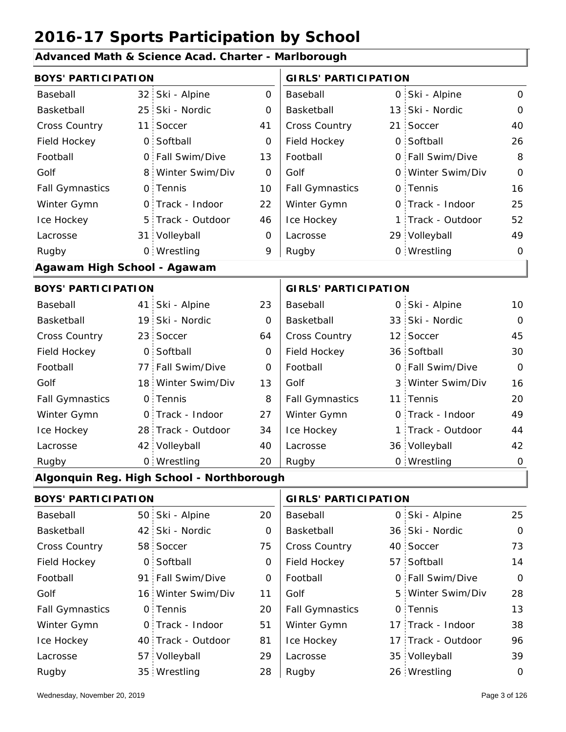#### **Advanced Math & Science Acad. Charter - Marlborough**

| <b>BOYS' PARTICIPATION</b>  |                 |                                           |             | <b>GIRLS' PARTICIPATION</b> |                    |                |  |  |
|-----------------------------|-----------------|-------------------------------------------|-------------|-----------------------------|--------------------|----------------|--|--|
| Baseball                    | 32 <sub>1</sub> | Ski - Alpine                              | 0           | Baseball                    | 0 Ski - Alpine     | 0              |  |  |
| Basketball                  |                 | 25 Ski - Nordic                           | 0           | Basketball                  | 13 Ski - Nordic    | $\Omega$       |  |  |
| <b>Cross Country</b>        | 11              | Soccer                                    | 41          | Cross Country               | 21 Soccer          | 40             |  |  |
| Field Hockey                | $\mathsf{O}$    | Softball                                  | 0           | Field Hockey                | 0 Softball         | 26             |  |  |
| Football                    | $\overline{O}$  | Fall Swim/Dive                            | 13          | Football                    | 0 Fall Swim/Dive   | 8              |  |  |
| Golf                        |                 | 8 Winter Swim/Div                         | 0           | Golf                        | 0 Winter Swim/Div  | $\mathbf 0$    |  |  |
| <b>Fall Gymnastics</b>      |                 | 0 Tennis                                  | 10          | <b>Fall Gymnastics</b>      | 0 Tennis           | 16             |  |  |
| Winter Gymn                 | $\mathsf{O}$    | Track - Indoor                            | 22          | Winter Gymn                 | 0 Track - Indoor   | 25             |  |  |
| Ice Hockey                  |                 | 5 Track - Outdoor                         | 46          | Ice Hockey                  | 1 Track - Outdoor  | 52             |  |  |
| Lacrosse                    |                 | 31 Volleyball                             | $\mathbf 0$ | Lacrosse                    | 29 Volleyball      | 49             |  |  |
| Rugby                       |                 | 0 Wrestling                               | 9           | Rugby                       | 0 Wrestling        | $\mathbf 0$    |  |  |
| Agawam High School - Agawam |                 |                                           |             |                             |                    |                |  |  |
| <b>BOYS' PARTICIPATION</b>  |                 |                                           |             | <b>GIRLS' PARTICIPATION</b> |                    |                |  |  |
| Baseball                    | 41.             | Ski - Alpine                              | 23          | Baseball                    | 0 Ski - Alpine     | 10             |  |  |
| Basketball                  |                 | 19 Ski - Nordic                           | 0           | Basketball                  | 33 Ski - Nordic    | $\Omega$       |  |  |
| <b>Cross Country</b>        | 23 <sup>1</sup> | Soccer                                    | 64          | Cross Country               | 12 Soccer          | 45             |  |  |
| Field Hockey                | $\mathsf{O}$    | Softball                                  | 0           | Field Hockey                | 36 Softball        | 30             |  |  |
| Football                    | 77:             | Fall Swim/Dive                            | 0           | Football                    | 0 Fall Swim/Dive   | $\overline{O}$ |  |  |
| Golf                        |                 | 18 Winter Swim/Div                        | 13          | Golf                        | 3 Winter Swim/Div  | 16             |  |  |
| <b>Fall Gymnastics</b>      |                 | 0 Tennis                                  | 8           | <b>Fall Gymnastics</b>      | 11 Tennis          | 20             |  |  |
| Winter Gymn                 | $\mathsf{O}$    | Track - Indoor                            | 27          | Winter Gymn                 | 0 Track - Indoor   | 49             |  |  |
| Ice Hockey                  |                 | 28 Track - Outdoor                        | 34          | Ice Hockey                  | 1 Track - Outdoor  | 44             |  |  |
| Lacrosse                    |                 | 42 Volleyball                             | 40          | Lacrosse                    | 36 Volleyball      | 42             |  |  |
| Rugby                       |                 | 0 Wrestling                               | 20          | Rugby                       | 0 Wrestling        | $\mathbf 0$    |  |  |
|                             |                 | Algonquin Reg. High School - Northborough |             |                             |                    |                |  |  |
| <b>BOYS' PARTICIPATION</b>  |                 |                                           |             | <b>GIRLS' PARTICIPATION</b> |                    |                |  |  |
| Baseball                    |                 | 50 Ski - Alpine                           | 20          | Baseball                    | 0 Ski - Alpine     | 25             |  |  |
| Basketball                  | 42              | Ski - Nordic                              | 0           | Basketball                  | 36 Ski - Nordic    | $\mathbf 0$    |  |  |
| <b>Cross Country</b>        |                 | 58 Soccer                                 | 75          | Cross Country               | 40 Soccer          | 73             |  |  |
| Field Hockey                | $\mathsf{O}$    | Softball                                  | 0           | Field Hockey                | 57 Softball        | 14             |  |  |
| Football                    | 91 :            | Fall Swim/Dive                            | 0           | Football                    | 0 Fall Swim/Dive   | $\mathbf 0$    |  |  |
| Golf                        |                 | 16 Winter Swim/Div                        | 11          | Golf                        | 5 Winter Swim/Div  | 28             |  |  |
| <b>Fall Gymnastics</b>      | $\mathsf{O}$    | Tennis                                    | 20          | <b>Fall Gymnastics</b>      | 0 Tennis           | 13             |  |  |
| Winter Gymn                 | 0.              | Track - Indoor                            | 51          | Winter Gymn                 | 17 Track - Indoor  | 38             |  |  |
| Ice Hockey                  |                 | 40 Track - Outdoor                        | 81          | Ice Hockey                  | 17 Track - Outdoor | 96             |  |  |
| Lacrosse                    | 57              | Volleyball                                | 29          | Lacrosse                    | 35 Volleyball      | 39             |  |  |
| Rugby                       |                 | 35 Wrestling                              | 28          | Rugby                       | 26 Wrestling       | $\mathbf 0$    |  |  |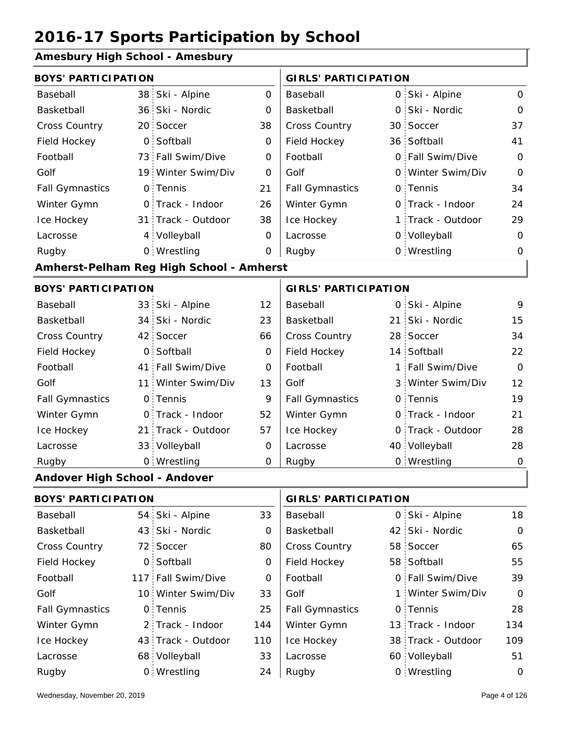#### **Amesbury High School - Amesbury**

| <b>BOYS' PARTICIPATION</b>    |                 | <b>GIRLS' PARTICIPATION</b>              |              |                             |          |                   |                |
|-------------------------------|-----------------|------------------------------------------|--------------|-----------------------------|----------|-------------------|----------------|
| Baseball                      | 38              | Ski - Alpine                             | $\mathsf{O}$ | Baseball                    |          | 0 Ski - Alpine    | $\mathbf 0$    |
| Basketball                    |                 | 36 Ski - Nordic                          | 0            | Basketball                  | 0        | Ski - Nordic      | $\mathbf{O}$   |
| <b>Cross Country</b>          |                 | 20 Soccer                                | 38           | Cross Country               |          | 30 Soccer         | 37             |
| Field Hockey                  | $\mathsf{O}$    | Softball                                 | $\mathbf{O}$ | Field Hockey                |          | 36 Softball       | 41             |
| Football                      |                 | 73 Fall Swim/Dive                        | $\Omega$     | Football                    |          | 0 Fall Swim/Dive  | $\Omega$       |
| Golf                          |                 | 19 Winter Swim/Div                       | 0            | Golf                        |          | 0 Winter Swim/Div | $\overline{0}$ |
| <b>Fall Gymnastics</b>        | $\mathsf{O}$    | Tennis                                   | 21           | <b>Fall Gymnastics</b>      |          | 0 Tennis          | 34             |
| Winter Gymn                   | $\mathsf{O}$    | Track - Indoor                           | 26           | Winter Gymn                 | O        | Track - Indoor    | 24             |
| Ice Hockey                    |                 | 31 Track - Outdoor                       | 38           | Ice Hockey                  |          | 1 Track - Outdoor | 29             |
| Lacrosse                      |                 | 4 Volleyball                             | 0            | Lacrosse                    |          | 0 Volleyball      | $\mathbf 0$    |
| Rugby                         |                 | 0 Wrestling                              | 0            | Rugby                       |          | 0 Wrestling       | $\Omega$       |
|                               |                 | Amherst-Pelham Reg High School - Amherst |              |                             |          |                   |                |
| <b>BOYS' PARTICIPATION</b>    |                 |                                          |              | <b>GIRLS' PARTICIPATION</b> |          |                   |                |
| Baseball                      |                 | 33 Ski - Alpine                          | 12           | Baseball                    |          | 0 Ski - Alpine    | 9              |
| Basketball                    | 34 <sup>1</sup> | Ski - Nordic                             | 23           | Basketball                  | 21       | Ski - Nordic      | 15             |
| Cross Country                 | 42 <sup>1</sup> | Soccer                                   | 66           | Cross Country               |          | 28 Soccer         | 34             |
| Field Hockey                  | $\mathsf{O}$    | Softball                                 | 0            | Field Hockey                |          | 14 Softball       | 22             |
| Football                      | 41              | Fall Swim/Dive                           | 0            | Football                    | 1        | Fall Swim/Dive    | $\Omega$       |
| Golf                          | 11              | Winter Swim/Div                          | 13           | Golf                        |          | 3 Winter Swim/Div | 12             |
| <b>Fall Gymnastics</b>        | $\mathsf{O}$    | Tennis                                   | 9            | <b>Fall Gymnastics</b>      | $\Omega$ | Tennis            | 19             |
| Winter Gymn                   |                 | 0 Track - Indoor                         | 52           | Winter Gymn                 |          | O Track - Indoor  | 21             |
| Ice Hockey                    | 21 <sup>1</sup> | Track - Outdoor                          | 57           | Ice Hockey                  |          | 0 Track - Outdoor | 28             |
| Lacrosse                      |                 | 33 Volleyball                            | 0            | Lacrosse                    |          | 40 Volleyball     | 28             |
| Rugby                         |                 | 0 Wrestling                              | 0            | Rugby                       |          | 0 Wrestling       | $\overline{0}$ |
| Andover High School - Andover |                 |                                          |              |                             |          |                   |                |
|                               |                 |                                          |              |                             |          |                   |                |

| <b>BOYS' PARTICIPATION</b> |  | <b>GIRLS' PARTICIPATION</b> |     |                        |  |                    |                |
|----------------------------|--|-----------------------------|-----|------------------------|--|--------------------|----------------|
| Baseball                   |  | 54 Ski - Alpine             | 33  | Baseball               |  | 0 Ski - Alpine     | 18             |
| Basketball                 |  | 43 Ski - Nordic             | 0   | Basketball             |  | 42 Ski - Nordic    | $\mathbf 0$    |
| <b>Cross Country</b>       |  | 72 Soccer                   | 80  | <b>Cross Country</b>   |  | 58 Soccer          | 65             |
| Field Hockey               |  | 0 Softball                  | 0   | Field Hockey           |  | 58 Softball        | 55             |
| Football                   |  | 117 Fall Swim/Dive          | 0   | Football               |  | 0 Fall Swim/Dive   | 39             |
| Golf                       |  | 10 Winter Swim/Div          | 33  | Golf                   |  | 1 Winter Swim/Div  | $\overline{O}$ |
| <b>Fall Gymnastics</b>     |  | 0 Tennis                    | 25  | <b>Fall Gymnastics</b> |  | 0 Tennis           | 28             |
| Winter Gymn                |  | 2 Track - Indoor            | 144 | Winter Gymn            |  | 13 Track - Indoor  | 134            |
| Ice Hockey                 |  | 43 Track - Outdoor          | 110 | Ice Hockey             |  | 38 Track - Outdoor | 109            |
| Lacrosse                   |  | 68 Volleyball               | 33  | Lacrosse               |  | 60 Volleyball      | 51             |
| Rugby                      |  | 0 Wrestling                 | 24  | Rugby                  |  | 0 Wrestling        | 0              |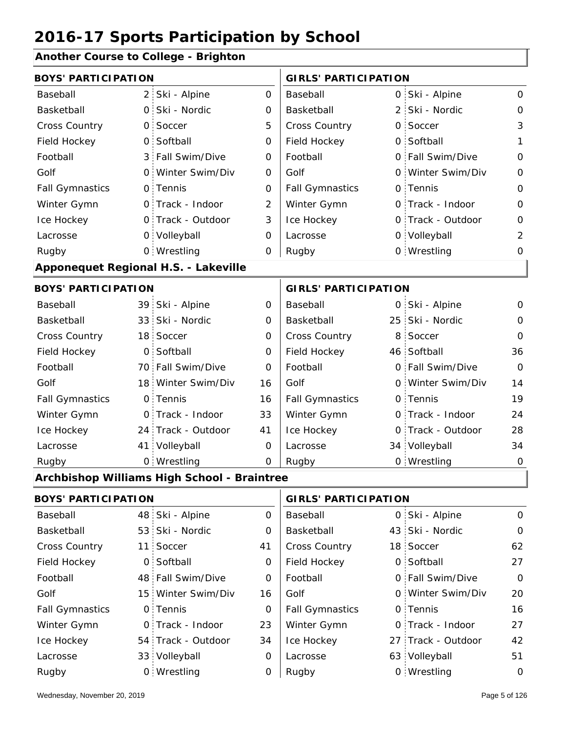#### **Another Course to College - Brighton**

| <b>BOYS' PARTICIPATION</b> |                 |                                             |                | <b>GIRLS' PARTICIPATION</b> |                |                    |                |
|----------------------------|-----------------|---------------------------------------------|----------------|-----------------------------|----------------|--------------------|----------------|
| Baseball                   | 2 <sup>1</sup>  | Ski - Alpine                                | 0              | Baseball                    |                | 0 Ski - Alpine     | $\mathbf{O}$   |
| Basketball                 | $\overline{O}$  | Ski - Nordic                                | 0              | Basketball                  |                | 2 Ski - Nordic     | $\mathbf 0$    |
| Cross Country              | $\mathsf{O}$    | Soccer                                      | 5              | Cross Country               | $\overline{O}$ | Soccer             | 3              |
| Field Hockey               | 0               | Softball                                    | $\mathbf 0$    | Field Hockey                | 0              | Softball           | 1              |
| Football                   | 3 <sup>1</sup>  | Fall Swim/Dive                              | 0              | Football                    |                | 0 Fall Swim/Dive   | $\mathbf 0$    |
| Golf                       | 0               | Winter Swim/Div                             | $\mathbf 0$    | Golf                        | O              | Winter Swim/Div    | $\mathsf O$    |
| <b>Fall Gymnastics</b>     |                 | 0 Tennis                                    | 0              | <b>Fall Gymnastics</b>      |                | 0 Tennis           | $\mathbf 0$    |
| Winter Gymn                |                 | 0 Track - Indoor                            | $\overline{2}$ | Winter Gymn                 |                | 0 Track - Indoor   | $\mathbf 0$    |
| Ice Hockey                 |                 | 0 Track - Outdoor                           | 3              | Ice Hockey                  |                | 0 Track - Outdoor  | $\mathbf 0$    |
| Lacrosse                   |                 | 0 Volleyball                                | 0              | Lacrosse                    |                | 0 Volleyball       | $\overline{2}$ |
| Rugby                      |                 | 0 Wrestling                                 | 0              | Rugby                       |                | 0 Wrestling        | 0              |
|                            |                 | Apponequet Regional H.S. - Lakeville        |                |                             |                |                    |                |
| <b>BOYS' PARTICIPATION</b> |                 |                                             |                | <b>GIRLS' PARTICIPATION</b> |                |                    |                |
| Baseball                   |                 | 39 Ski - Alpine                             | 0              | Baseball                    |                | 0 Ski - Alpine     | $\mathbf 0$    |
| Basketball                 | 33              | Ski - Nordic                                | 0              | Basketball                  | 25:            | Ski - Nordic       | 0              |
| Cross Country              | 18 <sup>1</sup> | Soccer                                      | $\mathbf 0$    | Cross Country               | 8              | Soccer             | $\Omega$       |
| Field Hockey               | $\mathbf 0$     | Softball                                    | 0              | Field Hockey                |                | 46 Softball        | 36             |
| Football                   |                 | 70 Fall Swim/Dive                           | 0              | Football                    | O              | Fall Swim/Dive     | $\Omega$       |
| Golf                       |                 | 18 Winter Swim/Div                          | 16             | Golf                        |                | 0 Winter Swim/Div  | 14             |
| <b>Fall Gymnastics</b>     |                 | 0 Tennis                                    | 16             | <b>Fall Gymnastics</b>      |                | 0 Tennis           | 19             |
| Winter Gymn                |                 | 0 Track - Indoor                            | 33             | Winter Gymn                 |                | O Track - Indoor   | 24             |
| Ice Hockey                 |                 | 24 Track - Outdoor                          | 41             | Ice Hockey                  | 0              | Track - Outdoor    | 28             |
| Lacrosse                   |                 | 41 Volleyball                               | 0              | Lacrosse                    |                | 34 Volleyball      | 34             |
| Rugby                      |                 | 0 Wrestling                                 | $\mathbf 0$    | Rugby                       |                | 0 Wrestling        | $\mathbf 0$    |
|                            |                 | Archbishop Williams High School - Braintree |                |                             |                |                    |                |
| <b>BOYS' PARTICIPATION</b> |                 |                                             |                | <b>GIRLS' PARTICIPATION</b> |                |                    |                |
| Baseball                   | 48              | Ski - Alpine                                | 0              | Baseball                    | 0              | Ski - Alpine       | $\mathbf 0$    |
| Basketball                 |                 | 53 Ski - Nordic                             | 0              | Basketball                  |                | 43 Ski - Nordic    | 0              |
| Cross Country              | 11 <sup>1</sup> | Soccer                                      | 41             | Cross Country               |                | 18 Soccer          | 62             |
| Field Hockey               | $\mathsf{O}$    | Softball                                    | 0              | Field Hockey                |                | 0 Softball         | 27             |
| Football                   |                 | 48 Fall Swim/Dive                           | 0              | Football                    |                | 0 Fall Swim/Dive   | $\mathbf 0$    |
| Golf                       |                 | 15 Winter Swim/Div                          | 16             | Golf                        |                | 0 Winter Swim/Div  | 20             |
| <b>Fall Gymnastics</b>     |                 | 0 Tennis                                    | 0              | <b>Fall Gymnastics</b>      |                | 0 Tennis           | 16             |
| Winter Gymn                |                 | 0 Track - Indoor                            | 23             | Winter Gymn                 |                | O Track - Indoor   | 27             |
| Ice Hockey                 |                 | 54 Track - Outdoor                          | 34             | Ice Hockey                  |                | 27 Track - Outdoor | 42             |
| Lacrosse                   |                 | 33 Volleyball                               | 0              | Lacrosse                    |                | 63 Volleyball      | 51             |

0 Rugby 0 Rugby 0

Wrestling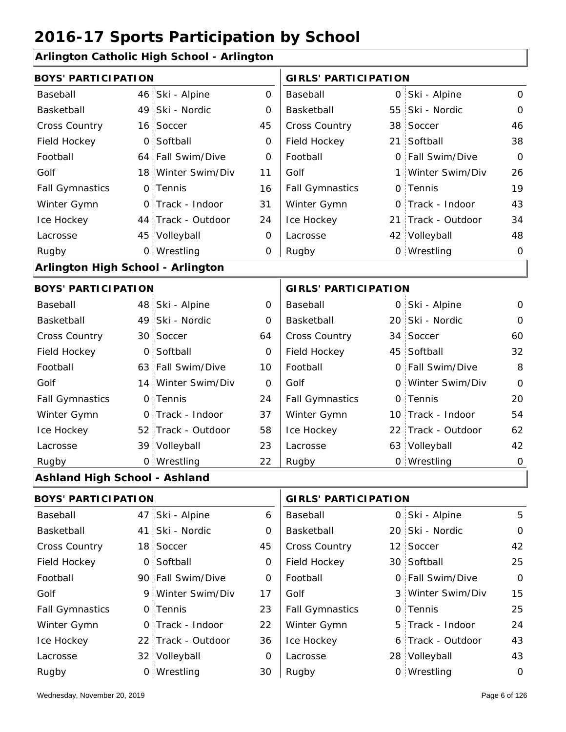#### **Arlington Catholic High School - Arlington**

| <b>BOYS' PARTICIPATION</b>           |                |                    |                             | <b>GIRLS' PARTICIPATION</b> |  |                    |              |
|--------------------------------------|----------------|--------------------|-----------------------------|-----------------------------|--|--------------------|--------------|
| Baseball                             |                | 46 Ski - Alpine    | 0                           | Baseball                    |  | 0 Ski - Alpine     | 0            |
| Basketball                           |                | 49 Ski - Nordic    | 0                           | Basketball                  |  | 55 Ski - Nordic    | $\mathbf{O}$ |
| <b>Cross Country</b>                 |                | 16 Soccer          | 45                          | Cross Country               |  | 38 Soccer          | 46           |
| Field Hockey                         | $\overline{O}$ | Softball           | 0                           | Field Hockey                |  | 21 Softball        | 38           |
| Football                             |                | 64 Fall Swim/Dive  | 0                           | Football                    |  | 0 Fall Swim/Dive   | $\mathbf 0$  |
| Golf                                 |                | 18 Winter Swim/Div | 11                          | Golf                        |  | 1 Winter Swim/Div  | 26           |
| <b>Fall Gymnastics</b>               |                | 0 Tennis           | 16                          | <b>Fall Gymnastics</b>      |  | 0 Tennis           | 19           |
| Winter Gymn                          |                | 0 Track - Indoor   | 31                          | Winter Gymn                 |  | O Track - Indoor   | 43           |
| Ice Hockey                           |                | 44 Track - Outdoor | 24                          | Ice Hockey                  |  | 21 Track - Outdoor | 34           |
| Lacrosse                             |                | 45 Volleyball      | 0                           | Lacrosse                    |  | 42 Volleyball      | 48           |
| Rugby                                |                | 0 Wrestling        | 0                           | Rugby                       |  | 0 Wrestling        | $\mathbf 0$  |
| Arlington High School - Arlington    |                |                    |                             |                             |  |                    |              |
| <b>BOYS' PARTICIPATION</b>           |                |                    | <b>GIRLS' PARTICIPATION</b> |                             |  |                    |              |
| Baseball                             |                | 48 Ski - Alpine    | 0                           | Baseball                    |  | 0 Ski - Alpine     | 0            |
| Basketball                           |                | 49 Ski - Nordic    | 0                           | Basketball                  |  | 20 Ski - Nordic    | $\mathbf 0$  |
| <b>Cross Country</b>                 |                | 30 Soccer          | 64                          | Cross Country               |  | 34 Soccer          | 60           |
| Field Hockey                         | O <sub>1</sub> | Softball           | 0                           | Field Hockey                |  | 45 Softball        | 32           |
| Football                             |                | 63 Fall Swim/Dive  | 10                          | Football                    |  | 0 Fall Swim/Dive   | 8            |
| Golf                                 |                | 14 Winter Swim/Div | 0                           | Golf                        |  | 0 Winter Swim/Div  | $\Omega$     |
| <b>Fall Gymnastics</b>               |                | 0 Tennis           | 24                          | <b>Fall Gymnastics</b>      |  | 0 Tennis           | 20           |
| Winter Gymn                          |                | 0 Track - Indoor   | 37                          | Winter Gymn                 |  | 10 Track - Indoor  | 54           |
| Ice Hockey                           |                | 52 Track - Outdoor | 58                          | Ice Hockey                  |  | 22 Track - Outdoor | 62           |
| Lacrosse                             |                | 39 Volleyball      | 23                          | Lacrosse                    |  | 63 Volleyball      | 42           |
| Rugby                                |                | 0 Wrestling        | 22                          | Rugby                       |  | 0 Wrestling        | $\mathbf 0$  |
| <b>Ashland High School - Ashland</b> |                |                    |                             |                             |  |                    |              |
| <b>BOYS' PARTICIPATION</b>           |                |                    |                             | <b>GIRLS' PARTICIPATION</b> |  |                    |              |
| Baseball                             |                | 47 Ski - Alpine    | 6                           | Baseball                    |  | 0 Ski - Alpine     | 5            |
| Basketball                           |                | 41 Ski - Nordic    | 0                           | Basketball                  |  | 20 Ski - Nordic    | $\mathbf 0$  |
| Cross Country                        |                | 18 Soccer          | 45                          | <b>Cross Country</b>        |  | 12 Soccer          | 42           |

0 30 Field Hockey 90 0 Fall Swim/Dive 9 Winter Swim/Div 17 Golf 3 0 0 Fall Gymnastics

Football Golf

Winter Gymn Ice Hockey Lacrosse

0

0

23

22

36

0

30

Field Hockey

Fall Gymnastics

Ice Hockey Lacrosse

Winter Gymn

Football

Golf

22 Track - Outdoor

Wrestling Rugby 0 Rugby 0

0 Track - Indoor

32 Volleyball

0 Softball

0 Tennis

25

0

15

25

24

43

5 Track - Indoor

Fall Swim/Dive Winter Swim/Div

30 Softball

0 Tennis

6 Track - Outdoor

28 Volleyball 43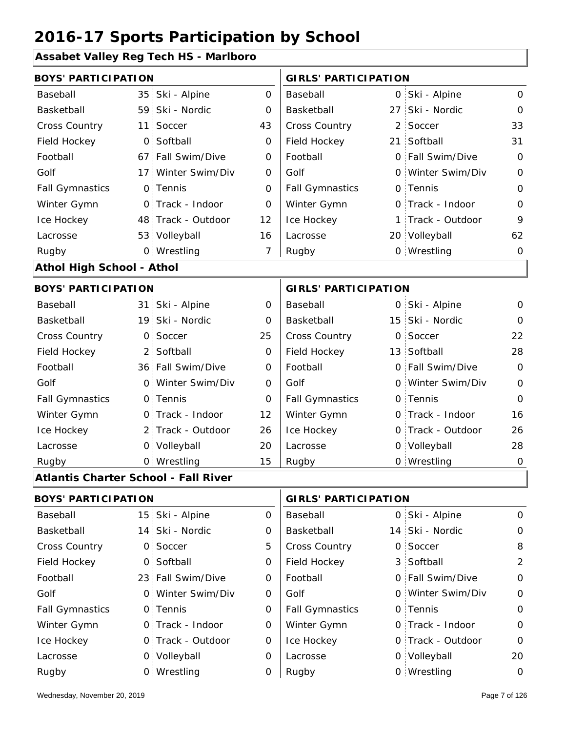#### **Assabet Valley Reg Tech HS - Marlboro**

| <b>BOYS' PARTICIPATION</b>       |  |                    |          | <b>GIRLS' PARTICIPATION</b> |  |                   |              |
|----------------------------------|--|--------------------|----------|-----------------------------|--|-------------------|--------------|
| Baseball                         |  | 35 Ski - Alpine    | $\Omega$ | Baseball                    |  | 0 Ski - Alpine    | 0            |
| Basketball                       |  | 59 Ski - Nordic    | $\Omega$ | Basketball                  |  | 27 Ski - Nordic   | $\mathbf{O}$ |
| <b>Cross Country</b>             |  | 11 Soccer          | 43       | <b>Cross Country</b>        |  | 2 Soccer          | 33           |
| Field Hockey                     |  | 0 Softball         | 0        | Field Hockey                |  | 21 Softball       | 31           |
| Football                         |  | 67 Fall Swim/Dive  | $\Omega$ | Football                    |  | 0 Fall Swim/Dive  | 0            |
| Golf                             |  | 17 Winter Swim/Div | 0        | Golf                        |  | 0 Winter Swim/Div | 0            |
| <b>Fall Gymnastics</b>           |  | 0 Tennis           | 0        | <b>Fall Gymnastics</b>      |  | 0 Tennis          | 0            |
| Winter Gymn                      |  | 0 Track - Indoor   | 0        | Winter Gymn                 |  | O Track - Indoor  | 0            |
| Ice Hockey                       |  | 48 Track - Outdoor | 12       | Ice Hockey                  |  | 1 Track - Outdoor | 9            |
| Lacrosse                         |  | 53 Volleyball      | 16       | Lacrosse                    |  | 20 Volleyball     | 62           |
| Rugby                            |  | 0 Wrestling        | 7        | Rugby                       |  | 0 Wrestling       | 0            |
| <b>Athol High School - Athol</b> |  |                    |          |                             |  |                   |              |
|                                  |  |                    |          |                             |  |                   |              |

#### 31 Ski - Alpine 19 Ski - Nordic Carlo Basketball 15 0 0 Cross Country 2 13 Field Hockey 36 0 Fall Swim/Dive 0 Winter Swim/Div 0 Golf 0 0 0 Fall Gymnastics 0 of Fall Gymnastics 0 of the control of the control of the co 2 Track - Outdoor 0 Track - Indoor 0 Volleyball 0 Track - Outdoor 0 0 Volleyball 28 0 0 Ski - Alpine 0 25  $\Omega$ 0 22 0 28 0 0 12 0 26  $\Omega$ 20 16 15 26 Baseball Basketball Cross Country Field Hockey Football Golf Fall Gymnastics Ice Hockey Lacrosse 0 Soccer 2 Softball 0 Tennis Track - Indoor Wrestling Rugby 0 Rugby 0 **BOYS' PARTICIPATION GIRLS' PARTICIPATION** Baseball Basketball Football Golf Winter Gymn Ice Hockey Lacrosse 15 Ski - Nordic 0 Soccer 13 Softball Fall Swim/Dive Winter Swim/Div 0 Tennis Winter Gymn 0 Wrestling 0

#### **Atlantis Charter School - Fall River**

| <b>BOYS' PARTICIPATION</b> |  |                   | <b>GIRLS' PARTICIPATION</b> |                        |  |                   |             |
|----------------------------|--|-------------------|-----------------------------|------------------------|--|-------------------|-------------|
| Baseball                   |  | 15 Ski - Alpine   | 0                           | Baseball               |  | 0 Ski - Alpine    | $\Omega$    |
| Basketball                 |  | 14 Ski - Nordic   | 0                           | Basketball             |  | 14 Ski - Nordic   | $\mathbf 0$ |
| <b>Cross Country</b>       |  | 0 Soccer          | 5                           | <b>Cross Country</b>   |  | 0 Soccer          | 8           |
| Field Hockey               |  | 0 Softball        | 0                           | Field Hockey           |  | 3 Softball        | 2           |
| Football                   |  | 23 Fall Swim/Dive | 0                           | Football               |  | 0 Fall Swim/Dive  | $\Omega$    |
| Golf                       |  | 0 Winter Swim/Div | 0                           | Golf                   |  | 0 Winter Swim/Div | $\mathbf 0$ |
| <b>Fall Gymnastics</b>     |  | 0 Tennis          | 0                           | <b>Fall Gymnastics</b> |  | 0 Tennis          | $\mathbf 0$ |
| Winter Gymn                |  | 0 Track - Indoor  | 0                           | Winter Gymn            |  | 0 Track - Indoor  | $\Omega$    |
| Ice Hockey                 |  | 0 Track - Outdoor | 0                           | Ice Hockey             |  | 0 Track - Outdoor | $\mathbf 0$ |
| Lacrosse                   |  | 0 Volleyball      | 0                           | Lacrosse               |  | 0 Volleyball      | 20          |
| Rugby                      |  | 0 Wrestling       | 0                           | Rugby                  |  | 0 Wrestling       | 0           |

 $\overline{\mathsf{I}}$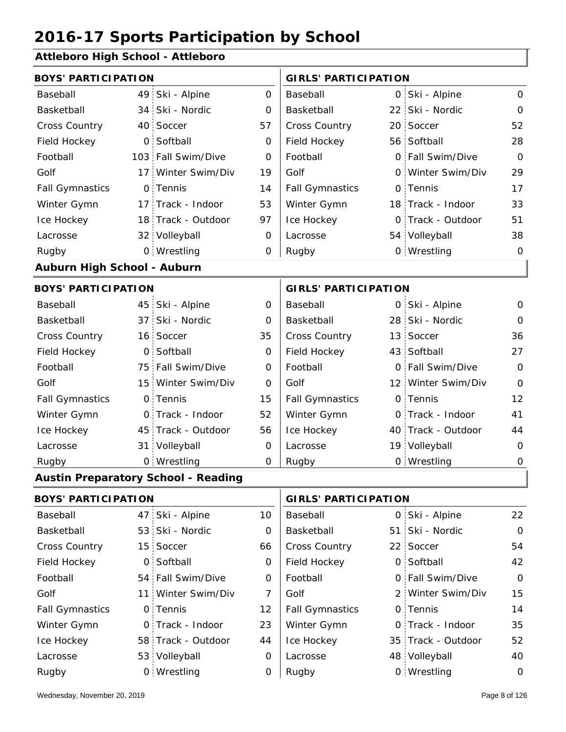#### **Attleboro High School - Attleboro**

| <b>BOYS' PARTICIPATION</b>  |                |                                            |                | <b>GIRLS' PARTICIPATION</b>        |            |                    |              |  |
|-----------------------------|----------------|--------------------------------------------|----------------|------------------------------------|------------|--------------------|--------------|--|
| Baseball                    |                | 49 Ski - Alpine                            | $\Omega$       | Baseball                           |            | 0 Ski - Alpine     | $\Omega$     |  |
| Basketball                  |                | 34 Ski - Nordic                            | O              | Basketball                         | 22:        | Ski - Nordic       | 0            |  |
| <b>Cross Country</b>        |                | 40 Soccer                                  | 57             | <b>Cross Country</b>               |            | 20 Soccer          | 52           |  |
| Field Hockey                |                | 0 Softball                                 | 0              | Field Hockey                       |            | 56 Softball        | 28           |  |
| Football                    |                | 103 Fall Swim/Dive                         | $\overline{0}$ | Football                           | $\Omega$ : | Fall Swim/Dive     | $\Omega$     |  |
| Golf                        |                | 17 Winter Swim/Div                         | 19             | Golf                               |            | 0 Winter Swim/Div  | 29           |  |
| <b>Fall Gymnastics</b>      |                | 0 Tennis                                   | 14             | <b>Fall Gymnastics</b>             |            | 0 Tennis           | 17           |  |
| Winter Gymn                 |                | 17 Track - Indoor                          | 53             | Winter Gymn                        |            | 18 Track - Indoor  | 33           |  |
| Ice Hockey                  |                | 18 Track - Outdoor                         | 97             | Ice Hockey                         |            | 0 Track - Outdoor  | 51           |  |
| Lacrosse                    |                | 32 Volleyball                              | 0              | Lacrosse                           |            | 54 Volleyball      | 38           |  |
| Rugby                       |                | 0 Wrestling                                | 0              | Rugby                              |            | 0 Wrestling        | 0            |  |
| Auburn High School - Auburn |                |                                            |                |                                    |            |                    |              |  |
| <b>BOYS' PARTICIPATION</b>  |                |                                            |                | <b>GIRLS' PARTICIPATION</b>        |            |                    |              |  |
| Baseball                    |                | 45 Ski - Alpine                            | $\Omega$       | Baseball                           |            | 0 Ski - Alpine     | 0            |  |
| Basketball                  |                | 37 Ski - Nordic                            | $\mathbf 0$    | Basketball                         |            | 28 Ski - Nordic    | $\Omega$     |  |
| <b>Cross Country</b>        |                | 16 Soccer                                  | 35             | Cross Country                      |            | 13 Soccer          | 36           |  |
| Field Hockey                | $\overline{O}$ | Softball                                   | 0              | Field Hockey                       |            | 43 Softball        | 27           |  |
| Football                    |                | 75 Fall Swim/Dive                          | 0              | Football                           |            | 0 Fall Swim/Dive   | $\Omega$     |  |
| Golf                        |                | 15 Winter Swim/Div                         | $\Omega$       | Golf                               |            | 12 Winter Swim/Div | $\mathbf{O}$ |  |
| <b>Fall Gymnastics</b>      |                | 0 Tennis                                   | 15             | <b>Fall Gymnastics</b>             |            | 0 Tennis           | 12           |  |
| Winter Gymn                 |                | 0 Track - Indoor                           | 52             | Winter Gymn                        |            | 0 Track - Indoor   | 41           |  |
| Ice Hockey                  |                | 45 Track - Outdoor                         | 56             | Ice Hockey                         |            | 40 Track - Outdoor | 44           |  |
| Lacrosse                    |                | 31 Volleyball                              | O              | Lacrosse                           |            | 19 Volleyball      | 0            |  |
| Rugby                       |                | 0 Wrestling                                | 0              | Rugby                              |            | 0 Wrestling        | 0            |  |
|                             |                | <b>Austin Preparatory School - Reading</b> |                |                                    |            |                    |              |  |
| Q(A)                        |                |                                            |                | $\sim$ $\sim$ $\sim$ $\sim$ $\sim$ |            |                    |              |  |

| <b>BOYS' PARTICIPATION</b> |  |                    |          | <b>GIRLS' PARTICIPATION</b> |  |                    |          |
|----------------------------|--|--------------------|----------|-----------------------------|--|--------------------|----------|
| Baseball                   |  | 47 Ski - Alpine    | 10       | Baseball                    |  | 0 Ski - Alpine     | 22       |
| Basketball                 |  | 53 Ski - Nordic    | 0        | Basketball                  |  | 51 Ski - Nordic    | $\Omega$ |
| <b>Cross Country</b>       |  | 15 Soccer          | 66       | <b>Cross Country</b>        |  | 22 Soccer          | 54       |
| Field Hockey               |  | 0 Softball         | 0        | Field Hockey                |  | 0 Softball         | 42       |
| Football                   |  | 54 Fall Swim/Dive  | 0        | Football                    |  | 0 Fall Swim/Dive   | $\Omega$ |
| Golf                       |  | 11 Winter Swim/Div |          | Golf                        |  | 2 Winter Swim/Div  | 15       |
| <b>Fall Gymnastics</b>     |  | 0 Tennis           | 12       | <b>Fall Gymnastics</b>      |  | 0 Tennis           | 14       |
| Winter Gymn                |  | O Track - Indoor   | 23       | Winter Gymn                 |  | O Track - Indoor   | 35       |
| Ice Hockey                 |  | 58 Track - Outdoor | 44       | Ice Hockey                  |  | 35 Track - Outdoor | 52       |
| Lacrosse                   |  | 53 Volleyball      | $\Omega$ | Lacrosse                    |  | 48 Volleyball      | 40       |
| Rugby                      |  | 0 Wrestling        | O        | Rugby                       |  | 0 Wrestling        | $\Omega$ |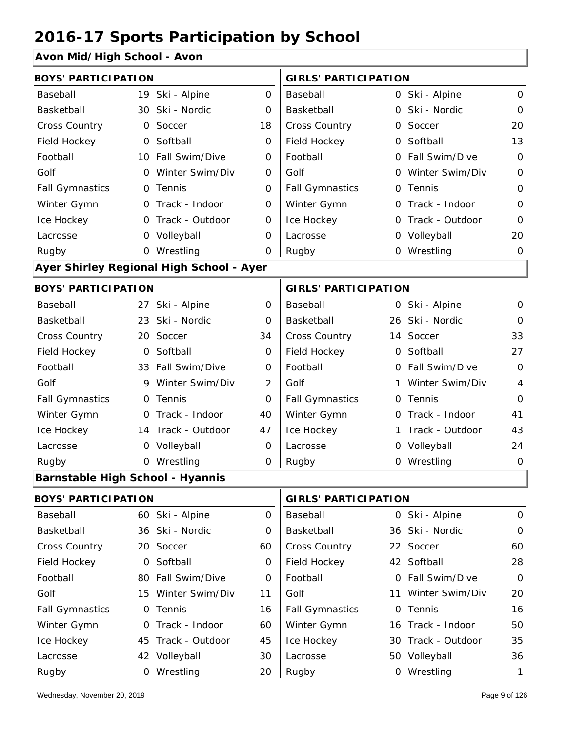#### **Avon Mid/High School - Avon**

| <b>BOYS' PARTICIPATION</b>              |                 |                                          |                | <b>GIRLS' PARTICIPATION</b> |                   |                |
|-----------------------------------------|-----------------|------------------------------------------|----------------|-----------------------------|-------------------|----------------|
| Baseball                                |                 | 19 Ski - Alpine                          | $\overline{0}$ | Baseball                    | 0 Ski - Alpine    | $\mathbf 0$    |
| Basketball                              |                 | 30 Ski - Nordic                          | $\overline{O}$ | Basketball                  | 0 Ski - Nordic    | $\Omega$       |
| <b>Cross Country</b>                    | $\mathbf{O}$    | Soccer                                   | 18             | Cross Country               | 0 Soccer          | 20             |
| Field Hockey                            | $\mathsf{O}$    | Softball                                 | 0              | Field Hockey                | 0 Softball        | 13             |
| Football                                |                 | 10 Fall Swim/Dive                        | 0              | Football                    | 0 Fall Swim/Dive  | $\mathbf 0$    |
| Golf                                    | $\Omega$        | Winter Swim/Div                          | 0              | Golf                        | 0 Winter Swim/Div | $\overline{O}$ |
| <b>Fall Gymnastics</b>                  |                 | 0 Tennis                                 | $\overline{O}$ | <b>Fall Gymnastics</b>      | 0 Tennis          | $\overline{0}$ |
| Winter Gymn                             | $\Omega$        | Track - Indoor                           | 0              | Winter Gymn                 | O Track - Indoor  | $\Omega$       |
| Ice Hockey                              |                 | 0 Track - Outdoor                        | 0              | Ice Hockey                  | 0 Track - Outdoor | 0              |
| Lacrosse                                |                 | 0 Volleyball                             | $\Omega$       | Lacrosse                    | 0 Volleyball      | 20             |
| Rugby                                   |                 | 0 Wrestling                              | 0              | Rugby                       | 0 Wrestling       | $\mathbf 0$    |
|                                         |                 | Ayer Shirley Regional High School - Ayer |                |                             |                   |                |
| <b>BOYS' PARTICIPATION</b>              |                 |                                          |                | <b>GIRLS' PARTICIPATION</b> |                   |                |
| Baseball                                |                 | 27 Ski - Alpine                          | $\overline{O}$ | Baseball                    | 0 Ski - Alpine    | 0              |
| Basketball                              | 23              | Ski - Nordic                             | 0              | Basketball                  | 26 Ski - Nordic   | $\Omega$       |
| Cross Country                           |                 | 20 Soccer                                | 34             | Cross Country               | 14 Soccer         | 33             |
| Field Hockey                            | $\overline{O}$  | Softball                                 | 0              | Field Hockey                | 0 Softball        | 27             |
| Football                                | 33 <sup>1</sup> | Fall Swim/Dive                           | $\mathbf 0$    | Football                    | 0 Fall Swim/Dive  | 0              |
| Golf                                    | 9               | Winter Swim/Div                          | $\overline{2}$ | Golf                        | 1 Winter Swim/Div | $\overline{4}$ |
| <b>Fall Gymnastics</b>                  | $\mathsf{O}$    | Tennis                                   | 0              | <b>Fall Gymnastics</b>      | 0 Tennis          | $\mathbf{O}$   |
| Winter Gymn                             | $\mathsf{O}$    | Track - Indoor                           | 40             | Winter Gymn                 | O Track - Indoor  | 41             |
| Ice Hockey                              |                 | 14 Track - Outdoor                       | 47             | Ice Hockey                  | 1 Track - Outdoor | 43             |
| Lacrosse                                | $\mathsf{O}$    | Volleyball                               | 0              | Lacrosse                    | 0 Volleyball      | 24             |
| Rugby                                   |                 | 0 Wrestling                              | 0              | Rugby                       | 0 Wrestling       | $\mathbf 0$    |
| <b>Barnstable High School - Hyannis</b> |                 |                                          |                |                             |                   |                |
| <b>DOVC' DADTICIDATION</b>              |                 |                                          |                | CIDI C' DADTICIDATION       |                   |                |

| <b>BOYS' PARTICIPATION</b> |  | <b>GIRLS' PARTICIPATION</b> |          |                        |  |                    |          |
|----------------------------|--|-----------------------------|----------|------------------------|--|--------------------|----------|
| Baseball                   |  | 60 Ski - Alpine             | 0        | Baseball               |  | 0 Ski - Alpine     | $\Omega$ |
| Basketball                 |  | 36 Ski - Nordic             | $\Omega$ | Basketball             |  | 36 Ski - Nordic    | $\Omega$ |
| <b>Cross Country</b>       |  | 20 Soccer                   | 60       | <b>Cross Country</b>   |  | 22 Soccer          | 60       |
| Field Hockey               |  | 0 Softball                  | 0        | Field Hockey           |  | 42 Softball        | 28       |
| Football                   |  | 80 Fall Swim/Dive           | 0        | Football               |  | 0 Fall Swim/Dive   | $\Omega$ |
| Golf                       |  | 15 Winter Swim/Div          | 11       | Golf                   |  | 11 Winter Swim/Div | 20       |
| <b>Fall Gymnastics</b>     |  | 0 Tennis                    | 16       | <b>Fall Gymnastics</b> |  | 0 Tennis           | 16       |
| Winter Gymn                |  | 0 Track - Indoor            | 60       | Winter Gymn            |  | 16 Track - Indoor  | 50       |
| Ice Hockey                 |  | 45 Track - Outdoor          | 45       | Ice Hockey             |  | 30 Track - Outdoor | 35       |
| Lacrosse                   |  | 42 Volleyball               | 30       | Lacrosse               |  | 50 Volleyball      | 36       |
| Rugby                      |  | 0 Wrestling                 | 20       | Rugby                  |  | 0 Wrestling        |          |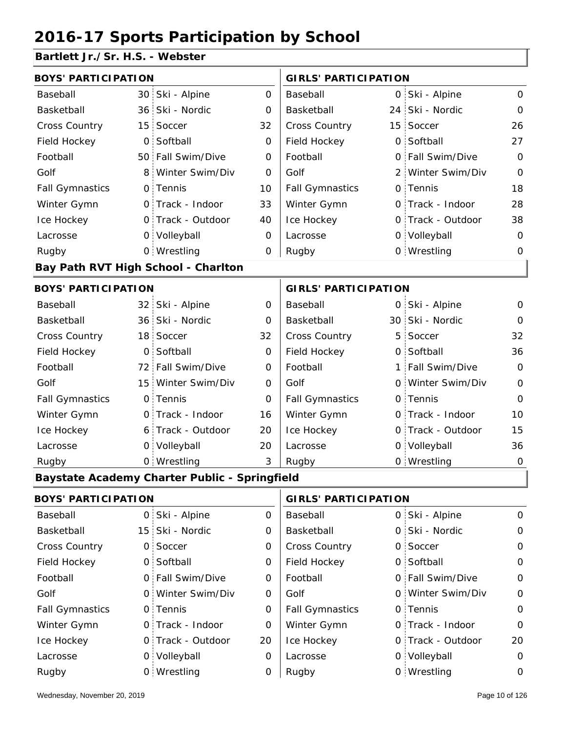#### **Bartlett Jr./Sr. H.S. - Webster**

| <b>BOYS' PARTICIPATION</b> |                 |                                               |             | <b>GIRLS' PARTICIPATION</b> |  |                   |              |  |
|----------------------------|-----------------|-----------------------------------------------|-------------|-----------------------------|--|-------------------|--------------|--|
| Baseball                   | 30 <sub>1</sub> | Ski - Alpine                                  | 0           | Baseball                    |  | 0 Ski - Alpine    | 0            |  |
| Basketball                 | 36 <sup>1</sup> | Ski - Nordic                                  | 0           | Basketball                  |  | 24 Ski - Nordic   | $\mathbf 0$  |  |
| <b>Cross Country</b>       | 15              | Soccer                                        | 32          | Cross Country               |  | 15 Soccer         | 26           |  |
| Field Hockey               | $\mathsf{O}$    | Softball                                      | 0           | Field Hockey                |  | 0 Softball        | 27           |  |
| Football                   |                 | 50 Fall Swim/Dive                             | 0           | Football                    |  | 0 Fall Swim/Dive  | $\mathbf 0$  |  |
| Golf                       | 8 <sup>1</sup>  | Winter Swim/Div                               | O           | Golf                        |  | 2 Winter Swim/Div | $\mathbf 0$  |  |
| <b>Fall Gymnastics</b>     |                 | 0 Tennis                                      | 10          | <b>Fall Gymnastics</b>      |  | 0 Tennis          | 18           |  |
| Winter Gymn                |                 | 0 Track - Indoor                              | 33          | Winter Gymn                 |  | 0 Track - Indoor  | 28           |  |
| Ice Hockey                 |                 | 0 Track - Outdoor                             | 40          | Ice Hockey                  |  | 0 Track - Outdoor | 38           |  |
| Lacrosse                   |                 | 0 Volleyball                                  | 0           | Lacrosse                    |  | 0 Volleyball      | $\mathbf 0$  |  |
| Rugby                      |                 | 0 Wrestling                                   | 0           | Rugby                       |  | 0 Wrestling       | 0            |  |
|                            |                 | Bay Path RVT High School - Charlton           |             |                             |  |                   |              |  |
| <b>BOYS' PARTICIPATION</b> |                 |                                               |             | <b>GIRLS' PARTICIPATION</b> |  |                   |              |  |
| Baseball                   | 32 <sub>1</sub> | Ski - Alpine                                  | 0           | Baseball                    |  | 0 Ski - Alpine    | 0            |  |
| Basketball                 |                 | 36 Ski - Nordic                               | 0           | Basketball                  |  | 30 Ski - Nordic   | $\mathbf 0$  |  |
| <b>Cross Country</b>       |                 | 18 Soccer                                     | 32          | Cross Country               |  | 5 Soccer          | 32           |  |
| Field Hockey               | $\mathsf{O}$    | Softball                                      | 0           | Field Hockey                |  | 0 Softball        | 36           |  |
| Football                   |                 | 72 Fall Swim/Dive                             | 0           | Football                    |  | 1 Fall Swim/Dive  | $\mathbf 0$  |  |
| Golf                       |                 | 15 Winter Swim/Div                            | 0           | Golf                        |  | 0 Winter Swim/Div | $\mathbf 0$  |  |
| <b>Fall Gymnastics</b>     |                 | 0 Tennis                                      | $\Omega$    | <b>Fall Gymnastics</b>      |  | 0 Tennis          | $\mathbf 0$  |  |
| Winter Gymn                |                 | 0 Track - Indoor                              | 16          | Winter Gymn                 |  | 0 Track - Indoor  | 10           |  |
| Ice Hockey                 |                 | 6 Track - Outdoor                             | 20          | Ice Hockey                  |  | 0 Track - Outdoor | 15           |  |
| Lacrosse                   |                 | 0 Volleyball                                  | 20          | Lacrosse                    |  | 0 Volleyball      | 36           |  |
| Rugby                      |                 | 0 Wrestling                                   | 3           | Rugby                       |  | 0 Wrestling       | $\mathbf 0$  |  |
|                            |                 | Baystate Academy Charter Public - Springfield |             |                             |  |                   |              |  |
| <b>BOYS' PARTICIPATION</b> |                 |                                               |             | <b>GIRLS' PARTICIPATION</b> |  |                   |              |  |
| Baseball                   |                 | 0 Ski - Alpine                                | 0           | Baseball                    |  | 0 Ski - Alpine    | $\mathsf{O}$ |  |
| Basketball                 |                 | 15 Ski - Nordic                               | 0           | Basketball                  |  | 0 Ski - Nordic    | $\mathbf 0$  |  |
| Cross Country              |                 | 0 Soccer                                      | $\mathbf 0$ | Cross Country               |  | 0 Soccer          | $\mathbf 0$  |  |
| Field Hockey               |                 | 0 Softball                                    | 0           | Field Hockey                |  | 0 Softball        | $\mathbf 0$  |  |
| Football                   |                 | 0 Fall Swim/Dive                              | 0           | Football                    |  | 0 Fall Swim/Dive  | $\mathsf O$  |  |
| Golf                       |                 | 0 Winter Swim/Div                             | 0           | Golf                        |  | 0 Winter Swim/Div | $\mathbf 0$  |  |
| <b>Fall Gymnastics</b>     |                 | 0 Tennis                                      | 0           | <b>Fall Gymnastics</b>      |  | 0 Tennis          | $\mathbf 0$  |  |
| Winter Gymn                |                 | 0 Track - Indoor                              | $\mathbf 0$ | Winter Gymn                 |  | 0 Track - Indoor  | $\mathbf 0$  |  |
| Ice Hockey                 |                 | 0 Track - Outdoor                             | 20          | Ice Hockey                  |  | 0 Track - Outdoor | 20           |  |

0 Lacrosse

0 Rugby

Lacrosse

0 Volleyball

Wrestling Rugby 0 Rugby 0

0 Volleyball 0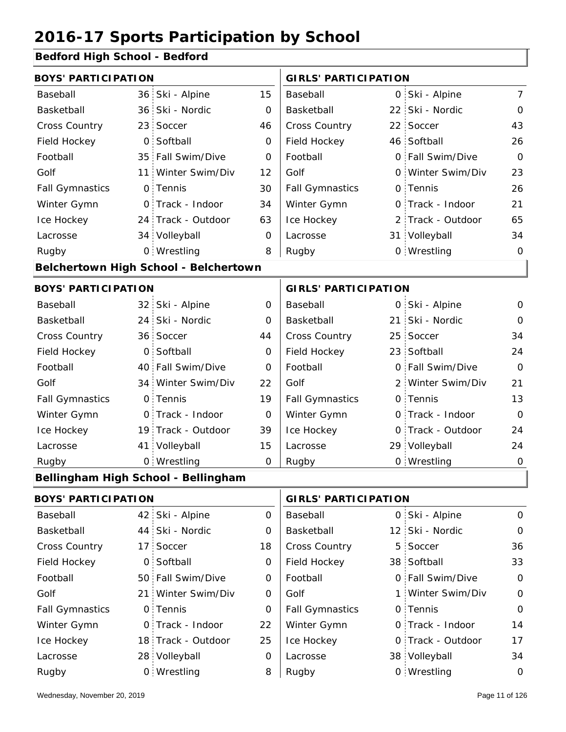#### **Bedford High School - Bedford**

| <b>BOYS' PARTICIPATION</b> |                            |                                              |                | <b>GIRLS' PARTICIPATION</b> |               |                   |                |
|----------------------------|----------------------------|----------------------------------------------|----------------|-----------------------------|---------------|-------------------|----------------|
| Baseball                   |                            | 36 Ski - Alpine                              | 15             | Baseball                    |               | 0 Ski - Alpine    | $7^{\circ}$    |
| Basketball                 |                            | 36 Ski - Nordic                              | $\mathbf 0$    | Basketball                  |               | 22 Ski - Nordic   | $\mathbf 0$    |
| Cross Country              | 23                         | Soccer                                       | 46             | Cross Country               |               | 22 Soccer         | 43             |
| Field Hockey               | $\overline{O}$             | Softball                                     | 0              | Field Hockey                |               | 46 Softball       | 26             |
| Football                   |                            | 35 Fall Swim/Dive                            | 0              | Football                    |               | 0 Fall Swim/Dive  | $\overline{O}$ |
| Golf                       | 11 <sup>1</sup>            | Winter Swim/Div                              | 12             | Golf                        |               | 0 Winter Swim/Div | 23             |
| <b>Fall Gymnastics</b>     |                            | 0 Tennis                                     | 30             | <b>Fall Gymnastics</b>      |               | 0 Tennis          | 26             |
| Winter Gymn                |                            | O Track - Indoor                             | 34             | Winter Gymn                 |               | O Track - Indoor  | 21             |
| Ice Hockey                 |                            | 24 Track - Outdoor                           | 63             | Ice Hockey                  | $\mathcal{P}$ | Track - Outdoor   | 65             |
| Lacrosse                   |                            | 34 Volleyball                                | $\mathbf 0$    | Lacrosse                    |               | 31 Volleyball     | 34             |
| Rugby                      |                            | 0 Wrestling                                  | 8              | Rugby                       |               | 0 Wrestling       | $\mathbf 0$    |
|                            |                            | <b>Belchertown High School - Belchertown</b> |                |                             |               |                   |                |
| <b>BOYS' PARTICIPATION</b> |                            |                                              |                | <b>GIRLS' PARTICIPATION</b> |               |                   |                |
| Baseball                   |                            | 32 Ski - Alpine                              | $\overline{O}$ | Baseball                    |               | 0 Ski - Alpine    | $\overline{O}$ |
| Basketball                 |                            | 24 Ski - Nordic                              | $\Omega$       | Basketball                  | ا 21          | Ski - Nordic      | $\mathbf 0$    |
| Cross Country              |                            | 36 Soccer                                    | 44             | Cross Country               | 25            | Soccer            | 34             |
| Field Hockey               | $\overline{O}$             | Softball                                     | $\mathbf 0$    | Field Hockey                |               | 23 Softball       | 24             |
| Football                   |                            | 40 Fall Swim/Dive                            | O              | Football                    |               | 0 Fall Swim/Dive  | $\overline{0}$ |
| Golf                       |                            | 34 Winter Swim/Div                           | 22             | Golf                        |               | 2 Winter Swim/Div | 21             |
| <b>Fall Gymnastics</b>     |                            | 0 Tennis                                     | 19             | <b>Fall Gymnastics</b>      |               | 0 Tennis          | 13             |
| Winter Gymn                |                            | O Track - Indoor                             | $\mathbf 0$    | Winter Gymn                 |               | O Track - Indoor  | $\Omega$       |
| Ice Hockey                 |                            | 19 Track - Outdoor                           | 39             | Ice Hockey                  | 0             | Track - Outdoor   | 24             |
| Lacrosse                   |                            | 41 Volleyball                                | 15             | Lacrosse                    |               | 29 Volleyball     | 24             |
| Rugby                      |                            | 0 Wrestling                                  | $\mathbf 0$    | Rugby                       |               | 0 Wrestling       | $\mathbf 0$    |
|                            |                            | Bellingham High School - Bellingham          |                |                             |               |                   |                |
|                            | <b>BOYS' PARTICIPATION</b> |                                              |                | <b>GIRLS' PARTICIPATION</b> |               |                   |                |
| <b>Docoboll</b>            |                            | $12$ $C1$ ; $N1$                             | $\sim$         | <b>Docoboll</b>             |               | $O CL$ $Alpinc$   | $\sim$         |

| Baseball               | 42 Ski - Alpine    | 0  | Baseball               | 0 Ski - Alpine    | $\mathbf 0$ |
|------------------------|--------------------|----|------------------------|-------------------|-------------|
| Basketball             | 44 Ski - Nordic    | 0  | Basketball             | 12 Ski - Nordic   | $\mathbf 0$ |
| <b>Cross Country</b>   | 17 Soccer          | 18 | <b>Cross Country</b>   | 5 Soccer          | 36          |
| Field Hockey           | 0 Softball         | 0  | Field Hockey           | 38 Softball       | 33          |
| Football               | 50 Fall Swim/Dive  | 0  | Football               | 0 Fall Swim/Dive  | $\Omega$    |
| Golf                   | 21 Winter Swim/Div | O  | Golf                   | 1 Winter Swim/Div | $\Omega$    |
| <b>Fall Gymnastics</b> | 0 Tennis           | 0  | <b>Fall Gymnastics</b> | 0 Tennis          | $\Omega$    |
| Winter Gymn            | O Track - Indoor   | 22 | Winter Gymn            | O Track - Indoor  | 14          |
| Ice Hockey             | 18 Track - Outdoor | 25 | Ice Hockey             | 0 Track - Outdoor | 17          |
| Lacrosse               | 28 Volleyball      | 0  | Lacrosse               | 38 Volleyball     | 34          |
| Rugby                  | 0 Wrestling        | 8  | Rugby                  | 0 Wrestling       | $\mathbf 0$ |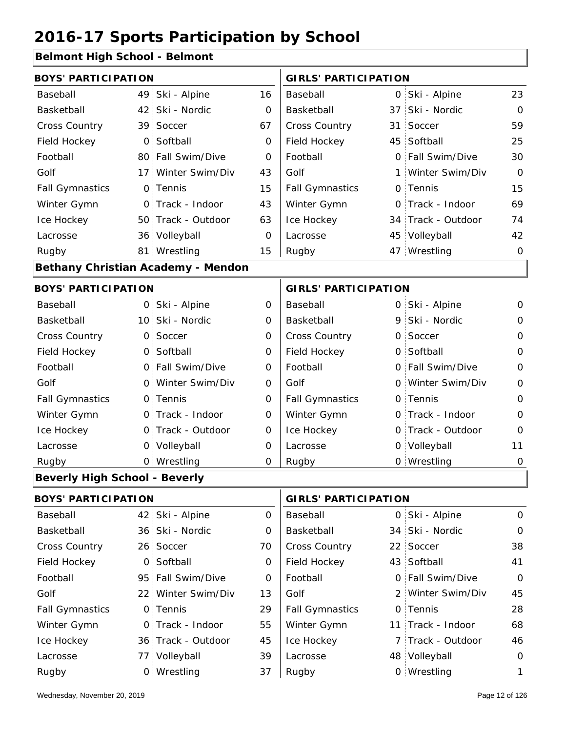#### **Belmont High School - Belmont**

| <b>BOYS' PARTICIPATION</b>           |                |                                    |                | <b>GIRLS' PARTICIPATION</b> |  |                    |                |
|--------------------------------------|----------------|------------------------------------|----------------|-----------------------------|--|--------------------|----------------|
| Baseball                             | 49             | Ski - Alpine                       | 16             | Baseball                    |  | 0 Ski - Alpine     | 23             |
| Basketball                           | 42             | Ski - Nordic                       | $\Omega$       | Basketball                  |  | 37 Ski - Nordic    | $\mathbf{O}$   |
| <b>Cross Country</b>                 | 39             | Soccer                             | 67             | <b>Cross Country</b>        |  | 31 Soccer          | 59             |
| Field Hockey                         | $\mathsf{O}$   | Softball                           | 0              | Field Hockey                |  | 45 Softball        | 25             |
| Football                             |                | 80 Fall Swim/Dive                  | 0              | Football                    |  | 0 Fall Swim/Dive   | 30             |
| Golf                                 |                | 17 Winter Swim/Div                 | 43             | Golf                        |  | 1 Winter Swim/Div  | $\Omega$       |
| <b>Fall Gymnastics</b>               |                | 0 Tennis                           | 15             | <b>Fall Gymnastics</b>      |  | 0 Tennis           | 15             |
| Winter Gymn                          |                | O Track - Indoor                   | 43             | Winter Gymn                 |  | O Track - Indoor   | 69             |
| Ice Hockey                           |                | 50 Track - Outdoor                 | 63             | Ice Hockey                  |  | 34 Track - Outdoor | 74             |
| Lacrosse                             |                | 36 Volleyball                      | $\Omega$       | Lacrosse                    |  | 45 Volleyball      | 42             |
| Rugby                                |                | 81 Wrestling                       | 15             | Rugby                       |  | 47 Wrestling       | $\Omega$       |
|                                      |                | Bethany Christian Academy - Mendon |                |                             |  |                    |                |
| <b>BOYS' PARTICIPATION</b>           |                |                                    |                | <b>GIRLS' PARTICIPATION</b> |  |                    |                |
| Baseball                             | O <sub>1</sub> | Ski - Alpine                       | 0              | Baseball                    |  | 0 Ski - Alpine     | $\mathsf{O}$   |
| Basketball                           |                | 10 Ski - Nordic                    | 0              | Basketball                  |  | 9 Ski - Nordic     | 0              |
| <b>Cross Country</b>                 | $\mathsf{O}$   | Soccer                             | 0              | <b>Cross Country</b>        |  | 0 Soccer           | $\mathbf 0$    |
| Field Hockey                         | $\Omega$       | Softball                           | 0              | Field Hockey                |  | 0 Softball         | $\mathbf 0$    |
| Football                             | $\mathsf{O}$   | Fall Swim/Dive                     | 0              | Football                    |  | 0 Fall Swim/Dive   | $\overline{0}$ |
| Golf                                 | $\mathsf{O}$   | Winter Swim/Div                    | 0              | Golf                        |  | 0 Winter Swim/Div  | $\mathbf 0$    |
| <b>Fall Gymnastics</b>               | $\mathsf{O}$   | Tennis                             | $\overline{O}$ | <b>Fall Gymnastics</b>      |  | 0 Tennis           | $\mathbf 0$    |
| Winter Gymn                          | O              | Track - Indoor                     | $\Omega$       | Winter Gymn                 |  | O Track - Indoor   | $\Omega$       |
| Ice Hockey                           |                | 0 Track - Outdoor                  | 0              | Ice Hockey                  |  | 0 Track - Outdoor  | 0              |
| Lacrosse                             | $\mathsf{O}$   | Volleyball                         | 0              | Lacrosse                    |  | 0 Volleyball       | 11             |
| Rugby                                |                | 0 Wrestling                        | $\Omega$       | Rugby                       |  | 0 Wrestling        | $\mathbf 0$    |
| <b>Beverly High School - Beverly</b> |                |                                    |                |                             |  |                    |                |

| <b>BOYS' PARTICIPATION</b> |  |                    |    | <b>GIRLS' PARTICIPATION</b> |  |                   |          |
|----------------------------|--|--------------------|----|-----------------------------|--|-------------------|----------|
| Baseball                   |  | 42 Ski - Alpine    | 0  | Baseball                    |  | 0 Ski - Alpine    | $\circ$  |
| Basketball                 |  | 36 Ski - Nordic    | 0  | Basketball                  |  | 34 Ski - Nordic   | $\circ$  |
| <b>Cross Country</b>       |  | 26 Soccer          | 70 | <b>Cross Country</b>        |  | 22 Soccer         | 38       |
| Field Hockey               |  | 0 Softball         | 0  | Field Hockey                |  | 43 Softball       | 41       |
| Football                   |  | 95 Fall Swim/Dive  | 0  | Football                    |  | 0 Fall Swim/Dive  | $\circ$  |
| Golf                       |  | 22 Winter Swim/Div | 13 | Golf                        |  | 2 Winter Swim/Div | 45       |
| <b>Fall Gymnastics</b>     |  | 0 Tennis           | 29 | <b>Fall Gymnastics</b>      |  | 0 Tennis          | 28       |
| Winter Gymn                |  | O Track - Indoor   | 55 | Winter Gymn                 |  | 11 Track - Indoor | 68       |
| Ice Hockey                 |  | 36 Track - Outdoor | 45 | Ice Hockey                  |  | 7 Track - Outdoor | 46       |
| Lacrosse                   |  | 77 Volleyball      | 39 | Lacrosse                    |  | 48 Volleyball     | $\Omega$ |
| Rugby                      |  | 0 Wrestling        | 37 | Rugby                       |  | 0 Wrestling       | 1.       |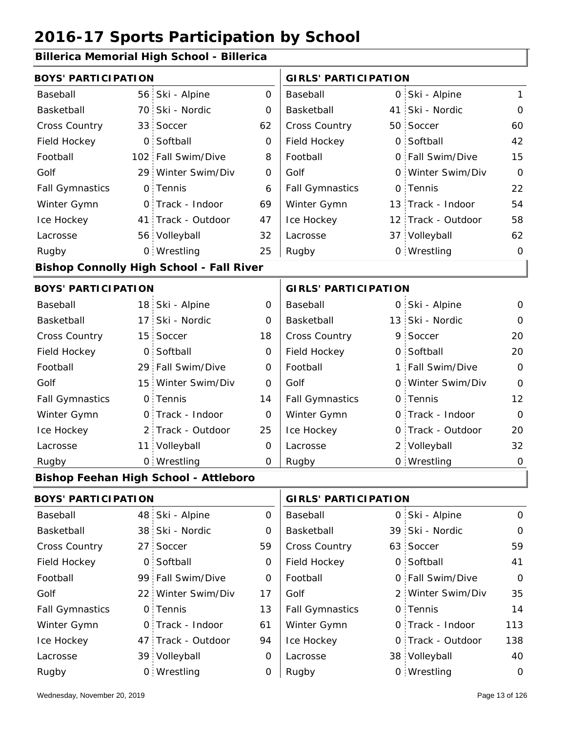#### **Billerica Memorial High School - Billerica**

| <b>BOYS' PARTICIPATION</b> |                 |                                                 |             | <b>GIRLS' PARTICIPATION</b> |     |                    |             |
|----------------------------|-----------------|-------------------------------------------------|-------------|-----------------------------|-----|--------------------|-------------|
| Baseball                   |                 | 56 Ski - Alpine                                 | $\mathbf 0$ | Baseball                    |     | 0 Ski - Alpine     | 1           |
| Basketball                 |                 | 70 Ski - Nordic                                 | 0           | Basketball                  | 41: | Ski - Nordic       | $\mathbf 0$ |
| Cross Country              |                 | 33 Soccer                                       | 62          | Cross Country               |     | 50 Soccer          | 60          |
| Field Hockey               | $\overline{O}$  | Softball                                        | $\mathbf 0$ | Field Hockey                |     | 0 Softball         | 42          |
| Football                   |                 | 102 Fall Swim/Dive                              | 8           | Football                    |     | 0 Fall Swim/Dive   | 15          |
| Golf                       |                 | 29 Winter Swim/Div                              | 0           | Golf                        |     | 0 Winter Swim/Div  | $\mathbf 0$ |
| <b>Fall Gymnastics</b>     |                 | 0 Tennis                                        | 6           | <b>Fall Gymnastics</b>      |     | 0 Tennis           | 22          |
| Winter Gymn                |                 | 0 Track - Indoor                                | 69          | Winter Gymn                 |     | 13 Track - Indoor  | 54          |
| Ice Hockey                 |                 | 41 Track - Outdoor                              | 47          | Ice Hockey                  |     | 12 Track - Outdoor | 58          |
| Lacrosse                   |                 | 56 Volleyball                                   | 32          | Lacrosse                    |     | 37 Volleyball      | 62          |
| Rugby                      |                 | 0 Wrestling                                     | 25          | Rugby                       |     | 0 Wrestling        | $\mathbf 0$ |
|                            |                 | <b>Bishop Connolly High School - Fall River</b> |             |                             |     |                    |             |
| <b>BOYS' PARTICIPATION</b> |                 |                                                 |             | <b>GIRLS' PARTICIPATION</b> |     |                    |             |
| Baseball                   |                 | 18 Ski - Alpine                                 | $\mathbf 0$ | Baseball                    |     | 0 Ski - Alpine     | 0           |
| Basketball                 | 17 <sup>1</sup> | Ski - Nordic                                    | 0           | Basketball                  |     | 13 Ski - Nordic    | $\mathbf 0$ |
| Cross Country              |                 | 15 Soccer                                       | 18          | Cross Country               |     | 9 Soccer           | 20          |
| Field Hockey               | O <sub>1</sub>  | Softball                                        | $\mathbf 0$ | Field Hockey                |     | 0 Softball         | 20          |
| Football                   |                 | 29 Fall Swim/Dive                               | 0           | Football                    |     | 1 Fall Swim/Dive   | $\mathbf 0$ |
| Golf                       |                 | 15 Winter Swim/Div                              | 0           | Golf                        |     | 0 Winter Swim/Div  | $\mathbf 0$ |
| <b>Fall Gymnastics</b>     |                 | 0 Tennis                                        | 14          | <b>Fall Gymnastics</b>      |     | 0 Tennis           | 12          |
| Winter Gymn                |                 | 0 Track - Indoor                                | $\mathbf 0$ | Winter Gymn                 |     | 0 Track - Indoor   | $\mathbf 0$ |
| Ice Hockey                 |                 | 2 Track - Outdoor                               | 25          | Ice Hockey                  |     | 0 Track - Outdoor  | 20          |
| Lacrosse                   |                 | 11 Volleyball                                   | 0           | Lacrosse                    |     | 2 Volleyball       | 32          |
| Rugby                      |                 | 0 Wrestling                                     | 0           | Rugby                       |     | 0 Wrestling        | $\mathbf 0$ |
|                            |                 | <b>Bishop Feehan High School - Attleboro</b>    |             |                             |     |                    |             |
| <b>BOYS' PARTICIPATION</b> |                 |                                                 |             | <b>GIRLS' PARTICIPATION</b> |     |                    |             |
| Baseball                   | 48              | Ski - Alpine                                    | 0           | Baseball                    | 0   | Ski - Alpine       | $\mathbf 0$ |
| Basketball                 |                 | 38 Ski - Nordic                                 | 0           | Basketball                  |     | 39 Ski - Nordic    | 0           |
| Cross Country              | 27 <sup>1</sup> | Soccer                                          | 59          | Cross Country               |     | 63 Soccer          | 59          |
| Field Hockey               |                 | 0 Softball                                      | 0           | Field Hockey                |     | 0 Softball         | 41          |
| Football                   |                 | 99 Fall Swim/Dive                               | 0           | Football                    |     | 0 Fall Swim/Dive   | $\mathbf 0$ |
| Golf                       |                 | 22 Winter Swim/Div                              | 17          | Golf                        |     | 2 Winter Swim/Div  | 35          |
|                            |                 |                                                 |             |                             |     |                    |             |

0 0 Fall Gymnastics 47 Track - Outdoor 0 Track - Indoor 39 Volleyball 0 Track - Outdoor 38 Volleyball 40  $13$ 61 94 14 0 113 0 138 Fall Gymnastics Ice Hockey Lacrosse 0 Tennis 0 Track - Indoor Wrestling Rugby 0 Rugby 0 Winter Gymn Ice Hockey Lacrosse 0 Tennis Winter Gymn 0 Wrestling 0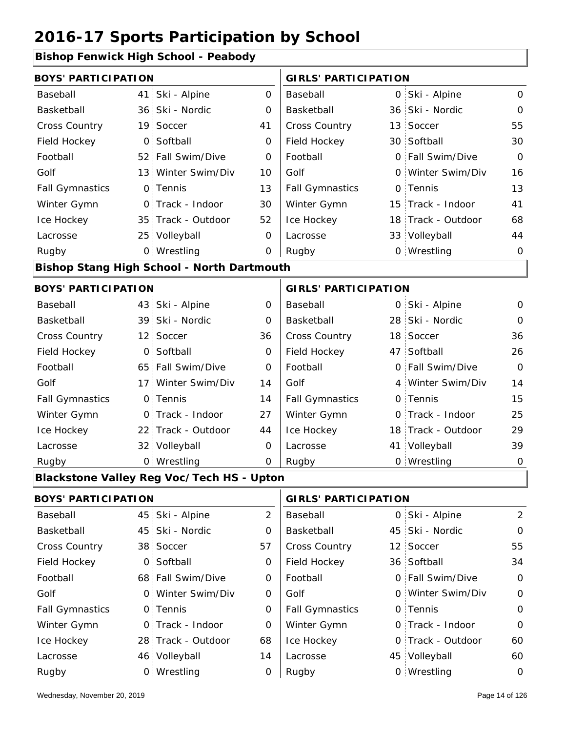#### **Bishop Fenwick High School - Peabody**

| <b>BOYS' PARTICIPATION</b> |     |                                                   |                | <b>GIRLS' PARTICIPATION</b> |    |                    |                |
|----------------------------|-----|---------------------------------------------------|----------------|-----------------------------|----|--------------------|----------------|
| Baseball                   |     | 41 Ski - Alpine                                   | $\mathbf 0$    | Baseball                    |    | 0 Ski - Alpine     | $\mathsf{O}$   |
| Basketball                 |     | 36 Ski - Nordic                                   | 0              | Basketball                  |    | 36 Ski - Nordic    | $\mathbf{O}$   |
| Cross Country              |     | 19 Soccer                                         | 41             | Cross Country               |    | 13 Soccer          | 55             |
| Field Hockey               |     | 0 Softball                                        | 0              | Field Hockey                |    | 30 Softball        | 30             |
| Football                   |     | 52 Fall Swim/Dive                                 | $\mathbf 0$    | Football                    |    | 0 Fall Swim/Dive   | $\mathbf{O}$   |
| Golf                       |     | 13 Winter Swim/Div                                | 10             | Golf                        |    | 0 Winter Swim/Div  | 16             |
| <b>Fall Gymnastics</b>     |     | 0 Tennis                                          | 13             | <b>Fall Gymnastics</b>      |    | 0 Tennis           | 13             |
| Winter Gymn                |     | O Track - Indoor                                  | 30             | Winter Gymn                 |    | 15 Track - Indoor  | 41             |
| Ice Hockey                 |     | 35 Track - Outdoor                                | 52             | Ice Hockey                  |    | 18 Track - Outdoor | 68             |
| Lacrosse                   |     | 25 Volleyball                                     | $\mathbf 0$    | Lacrosse                    |    | 33 Volleyball      | 44             |
| Rugby                      |     | 0 Wrestling                                       | $\mathbf 0$    | Rugby                       |    | 0 Wrestling        | 0              |
|                            |     | <b>Bishop Stang High School - North Dartmouth</b> |                |                             |    |                    |                |
| <b>BOYS' PARTICIPATION</b> |     |                                                   |                | <b>GIRLS' PARTICIPATION</b> |    |                    |                |
| Baseball                   |     | 43 Ski - Alpine                                   | 0              | Baseball                    |    | 0 Ski - Alpine     | 0              |
| Basketball                 |     | 39 Ski - Nordic                                   | $\mathbf 0$    | Basketball                  |    | 28 Ski - Nordic    | $\Omega$       |
| Cross Country              |     | 12 Soccer                                         | 36             | Cross Country               |    | 18 Soccer          | 36             |
| Field Hockey               |     | 0 Softball                                        | 0              | Field Hockey                |    | 47 Softball        | 26             |
| Football                   |     | 65 Fall Swim/Dive                                 | $\mathbf 0$    | Football                    |    | 0 Fall Swim/Dive   | $\mathbf{O}$   |
| Golf                       | 17: | Winter Swim/Div                                   | 14             | Golf                        |    | 4 Winter Swim/Div  | 14             |
| <b>Fall Gymnastics</b>     |     | 0 Tennis                                          | 14             | <b>Fall Gymnastics</b>      |    | 0 Tennis           | 15             |
| Winter Gymn                |     | O Track - Indoor                                  | 27             | Winter Gymn                 |    | O Track - Indoor   | 25             |
| Ice Hockey                 |     | 22 Track - Outdoor                                | 44             | Ice Hockey                  |    | 18 Track - Outdoor | 29             |
| Lacrosse                   |     | 32 Volleyball                                     | 0              | Lacrosse                    |    | 41 Volleyball      | 39             |
| Rugby                      |     | 0 Wrestling                                       | $\overline{O}$ | Rugby                       |    | 0 Wrestling        | $\mathbf 0$    |
|                            |     | <b>Blackstone Valley Reg Voc/Tech HS - Upton</b>  |                |                             |    |                    |                |
| <b>BOYS' PARTICIPATION</b> |     |                                                   |                | <b>GIRLS' PARTICIPATION</b> |    |                    |                |
| Baseball                   |     | 45 Ski - Alpine                                   | $\overline{2}$ | Baseball                    |    | 0 Ski - Alpine     | $\overline{2}$ |
| Basketball                 | 45  | Ski - Nordic                                      | 0              | Basketball                  | 45 | Ski - Nordic       | 0              |
| Cross Country              |     | 38 Soccer                                         | 57             | Cross Country               |    | 12 Soccer          | 55             |
| Field Hockey               |     | 0 Softball                                        | 0              | Field Hockey                |    | 36 Softball        | 34             |
| Football                   |     | 68 Fall Swim/Dive                                 | 0              | Football                    |    | 0 Fall Swim/Dive   | 0              |
| Golf                       |     | 0 Winter Swim/Div                                 | 0              | Golf                        |    | 0 Winter Swim/Div  | 0              |
| <b>Fall Gymnastics</b>     |     | 0 Tennis                                          | 0              | <b>Fall Gymnastics</b>      |    | 0 Tennis           | $\mathsf O$    |
| Winter Gymn                |     | O Track - Indoor                                  | $\mathbf 0$    | Winter Gymn                 |    | O Track - Indoor   | 0              |
| Ice Hockey                 |     | 28 Track - Outdoor                                | 68             | Ice Hockey                  |    | 0 Track - Outdoor  | 60             |
| Lacrosse                   |     | 46 Volleyball                                     | 14             | Lacrosse                    |    | 45 Volleyball      | 60             |
| Rugby                      |     | 0 Wrestling                                       | 0              | Rugby                       |    | 0 Wrestling        | 0              |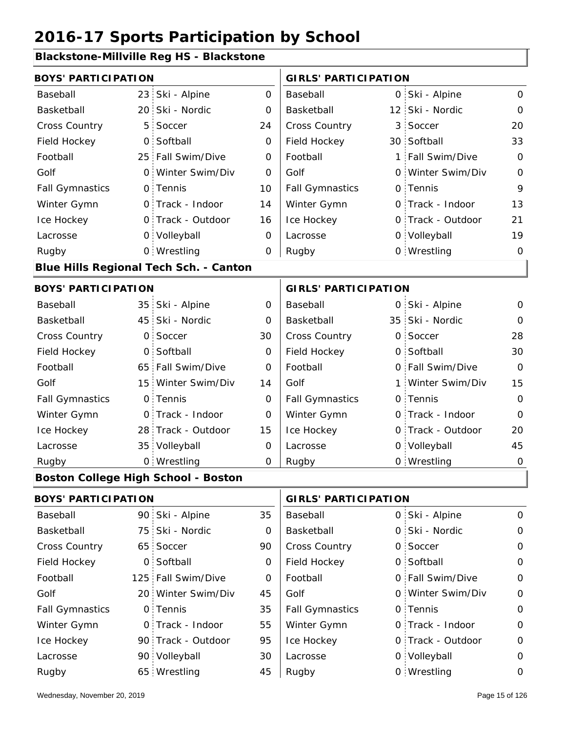#### **Blackstone-Millville Reg HS - Blackstone**

| <b>BOYS' PARTICIPATION</b> |                |                                               |                | <b>GIRLS' PARTICIPATION</b> |   |                   |              |
|----------------------------|----------------|-----------------------------------------------|----------------|-----------------------------|---|-------------------|--------------|
| Baseball                   |                | 23 Ski - Alpine                               | $\overline{O}$ | Baseball                    |   | 0 Ski - Alpine    | $\mathbf{O}$ |
| Basketball                 |                | 20 Ski - Nordic                               | 0              | Basketball                  |   | 12 Ski - Nordic   | 0            |
| Cross Country              | 5 <sup>1</sup> | Soccer                                        | 24             | Cross Country               |   | 3 Soccer          | 20           |
| Field Hockey               | $\overline{O}$ | Softball                                      | $\mathbf 0$    | Field Hockey                |   | 30 Softball       | 33           |
| Football                   |                | 25 Fall Swim/Dive                             | 0              | Football                    | 1 | Fall Swim/Dive    | $\mathbf 0$  |
| Golf                       |                | 0 Winter Swim/Div                             | 0              | Golf                        |   | 0 Winter Swim/Div | $\mathbf 0$  |
| <b>Fall Gymnastics</b>     |                | 0 Tennis                                      | 10             | <b>Fall Gymnastics</b>      |   | 0 Tennis          | 9            |
| Winter Gymn                |                | O Track - Indoor                              | 14             | Winter Gymn                 |   | O Track - Indoor  | 13           |
| Ice Hockey                 |                | 0 Track - Outdoor                             | 16             | Ice Hockey                  |   | 0 Track - Outdoor | 21           |
| Lacrosse                   |                | 0 Volleyball                                  | 0              | Lacrosse                    |   | 0 Volleyball      | 19           |
| Rugby                      |                | 0 Wrestling                                   | 0              | Rugby                       |   | 0 Wrestling       | $\mathbf 0$  |
|                            |                | <b>Blue Hills Regional Tech Sch. - Canton</b> |                |                             |   |                   |              |
| <b>BOYS' PARTICIPATION</b> |                |                                               |                | <b>GIRLS' PARTICIPATION</b> |   |                   |              |
| Baseball                   |                | 35 Ski - Alpine                               | $\mathbf 0$    | Baseball                    |   | 0 Ski - Alpine    | $\mathbf 0$  |
| Basketball                 |                | 45 Ski - Nordic                               | 0              | Basketball                  |   | 35 Ski - Nordic   | $\mathbf 0$  |
| Cross Country              | $\mathsf{O}$   | Soccer                                        | 30             | Cross Country               |   | 0 Soccer          | 28           |
| Field Hockey               | $\overline{O}$ | Softball                                      | $\mathbf 0$    | Field Hockey                |   | 0 Softball        | 30           |
| Football                   |                | 65 Fall Swim/Dive                             | 0              | Football                    |   | 0 Fall Swim/Dive  | $\Omega$     |
| Golf                       |                | 15 Winter Swim/Div                            | 14             | Golf                        |   | 1 Winter Swim/Div | 15           |
| <b>Fall Gymnastics</b>     |                | 0 Tennis                                      | $\mathbf 0$    | <b>Fall Gymnastics</b>      |   | 0 Tennis          | $\mathbf 0$  |
| Winter Gymn                |                | O Track - Indoor                              | 0              | Winter Gymn                 |   | 0 Track - Indoor  | $\mathbf 0$  |
| Ice Hockey                 |                | 28 Track - Outdoor                            | 15             | Ice Hockey                  |   | 0 Track - Outdoor | 20           |
| Lacrosse                   |                | 35 Volleyball                                 | 0              | Lacrosse                    |   | 0 Volleyball      | 45           |
| Rugby                      |                | 0 Wrestling                                   | 0              | Rugby                       |   | 0 Wrestling       | $\mathbf 0$  |
|                            |                | <b>Boston College High School - Boston</b>    |                |                             |   |                   |              |
| <b>BOYS' PARTICIPATION</b> |                |                                               |                | <b>GIRLS' PARTICIPATION</b> |   |                   |              |
| Baseball                   |                | 90 Ski - Alpine                               | 35             | Baseball                    |   | 0 Ski - Alpine    | $\mathbf 0$  |
| Basketball                 | 75             | Ski - Nordic                                  | 0              | Basketball                  |   | 0 Ski - Nordic    | $\mathbf 0$  |
| Cross Country              |                | 65 Soccer                                     | 90             | Cross Country               |   | 0 Soccer          | $\mathbf 0$  |
| Field Hockey               |                | 0 Softball                                    | 0              | Field Hockey                |   | 0 Softball        | 0            |
| Football                   |                | 125 Fall Swim/Dive                            | 0              | Football                    |   | 0 Fall Swim/Dive  | $\mathsf O$  |
| Golf                       |                | 20 Winter Swim/Div                            | 45             | Golf                        |   | 0 Winter Swim/Div | $\mathbf 0$  |
| <b>Fall Gymnastics</b>     |                | 0 Tennis                                      | 35             | <b>Fall Gymnastics</b>      |   | 0 Tennis          | $\mathbf 0$  |
| Winter Gymn                |                | 0 Track - Indoor                              | 55             | Winter Gymn                 |   | O Track - Indoor  | $\mathbf 0$  |

95

30

45 Rugby

Ice Hockey Lacrosse

Ice Hockey Lacrosse

90 Track - Outdoor

Wrestling Rugby 65 Rugby 0

90 Volleyball

0

0 Track - Outdoor

0 Volleyball 0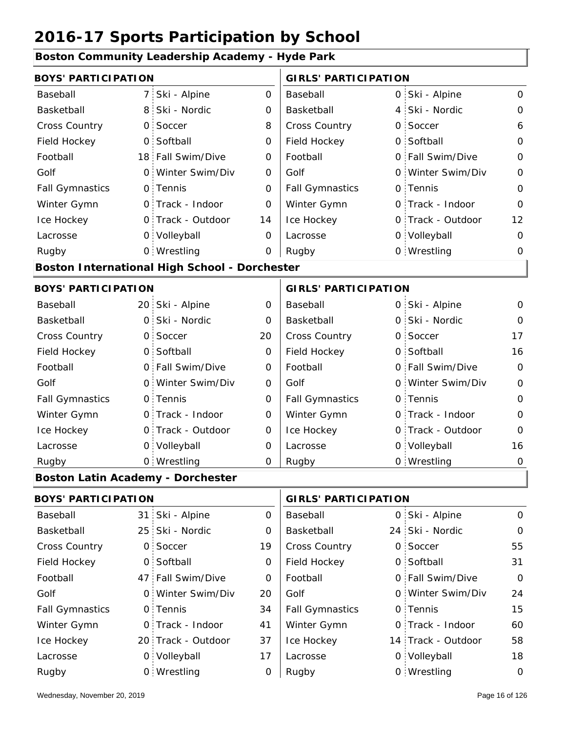#### **Boston Community Leadership Academy - Hyde Park**

| <b>BOYS' PARTICIPATION</b>               |                |                                               |                | <b>GIRLS' PARTICIPATION</b> |                   |                |
|------------------------------------------|----------------|-----------------------------------------------|----------------|-----------------------------|-------------------|----------------|
| Baseball                                 | 7              | Ski - Alpine                                  | $\overline{O}$ | Baseball                    | 0 Ski - Alpine    | 0              |
| Basketball                               | 8              | Ski - Nordic                                  | 0              | Basketball                  | 4 Ski - Nordic    | $\mathsf{O}$   |
| Cross Country                            | 0              | Soccer                                        | 8              | Cross Country               | 0 Soccer          | 6              |
| Field Hockey                             | $\mathsf{O}$   | Softball                                      | 0              | Field Hockey                | 0 Softball        | $\Omega$       |
| Football                                 |                | 18 Fall Swim/Dive                             | $\Omega$       | Football                    | 0 Fall Swim/Dive  | $\Omega$       |
| Golf                                     | $\Omega$       | Winter Swim/Div                               | 0              | Golf                        | 0 Winter Swim/Div | $\mathbf 0$    |
| <b>Fall Gymnastics</b>                   |                | 0 Tennis                                      | $\Omega$       | <b>Fall Gymnastics</b>      | 0 Tennis          | $\Omega$       |
| Winter Gymn                              |                | 0 Track - Indoor                              | $\mathbf 0$    | Winter Gymn                 | O Track - Indoor  | $\overline{0}$ |
| Ice Hockey                               | $\Omega$       | Track - Outdoor                               | 14             | Ice Hockey                  | 0 Track - Outdoor | 12             |
| Lacrosse                                 |                | 0 Volleyball                                  | O              | Lacrosse                    | 0 Volleyball      | $\mathbf 0$    |
| Rugby                                    |                | 0 Wrestling                                   | 0              | Rugby                       | 0 Wrestling       | 0              |
|                                          |                | Boston International High School - Dorchester |                |                             |                   |                |
| <b>BOYS' PARTICIPATION</b>               |                |                                               |                | <b>GIRLS' PARTICIPATION</b> |                   |                |
| Baseball                                 |                | 20 Ski - Alpine                               | 0              | Baseball                    | 0 Ski - Alpine    | 0              |
| Basketball                               | $\overline{O}$ | Ski - Nordic                                  | 0              | Basketball                  | 0 Ski - Nordic    | O              |
| Cross Country                            | $\mathsf{O}$   | Soccer                                        | 20             | <b>Cross Country</b>        | 0 Soccer          | 17             |
| Field Hockey                             | $\overline{O}$ | Softball                                      | 0              | Field Hockey                | 0 Softball        | 16             |
| Football                                 | $\Omega$       | Fall Swim/Dive                                | $\overline{O}$ | Football                    | 0 Fall Swim/Dive  | $\overline{0}$ |
| Golf                                     | 0              | Winter Swim/Div                               | 0              | Golf                        | 0 Winter Swim/Div | $\mathbf 0$    |
| <b>Fall Gymnastics</b>                   | $\mathsf{O}$ : | Tennis                                        | O              | <b>Fall Gymnastics</b>      | 0 Tennis          | $\Omega$       |
| Winter Gymn                              | $\Omega$       | Track - Indoor                                | $\Omega$       | Winter Gymn                 | O Track - Indoor  | $\Omega$       |
| Ice Hockey                               |                | 0 Track - Outdoor                             | 0              | Ice Hockey                  | 0 Track - Outdoor | $\mathbf 0$    |
| Lacrosse                                 | $0^{\circ}$    | Volleyball                                    | 0              | Lacrosse                    | 0 Volleyball      | 16             |
| Rugby                                    |                | 0 Wrestling                                   | $\mathbf 0$    | Rugby                       | 0 Wrestling       | $\mathbf 0$    |
| <b>Boston Latin Academy - Dorchester</b> |                |                                               |                |                             |                   |                |
|                                          |                |                                               |                |                             |                   |                |

| <b>BOYS' PARTICIPATION</b> |  |                    |    | <b>GIRLS' PARTICIPATION</b> |  |                    |          |
|----------------------------|--|--------------------|----|-----------------------------|--|--------------------|----------|
| Baseball                   |  | 31 Ski - Alpine    | 0  | Baseball                    |  | 0 Ski - Alpine     | $\Omega$ |
| Basketball                 |  | 25 Ski - Nordic    | 0  | Basketball                  |  | 24 Ski - Nordic    | $\Omega$ |
| <b>Cross Country</b>       |  | 0 Soccer           | 19 | <b>Cross Country</b>        |  | 0 Soccer           | 55       |
| Field Hockey               |  | 0 Softball         | 0  | Field Hockey                |  | 0 Softball         | 31       |
| Football                   |  | 47 Fall Swim/Dive  | 0  | Football                    |  | 0 Fall Swim/Dive   | $\Omega$ |
| Golf                       |  | 0 Winter Swim/Div  | 20 | Golf                        |  | 0 Winter Swim/Div  | 24       |
| <b>Fall Gymnastics</b>     |  | 0 Tennis           | 34 | <b>Fall Gymnastics</b>      |  | 0 Tennis           | 15       |
| Winter Gymn                |  | O Track - Indoor   | 41 | Winter Gymn                 |  | O Track - Indoor   | 60       |
| Ice Hockey                 |  | 20 Track - Outdoor | 37 | Ice Hockey                  |  | 14 Track - Outdoor | 58       |
| Lacrosse                   |  | 0 Volleyball       | 17 | Lacrosse                    |  | 0 Volleyball       | 18       |
| Rugby                      |  | 0 Wrestling        | 0  | Rugby                       |  | 0 Wrestling        | $\Omega$ |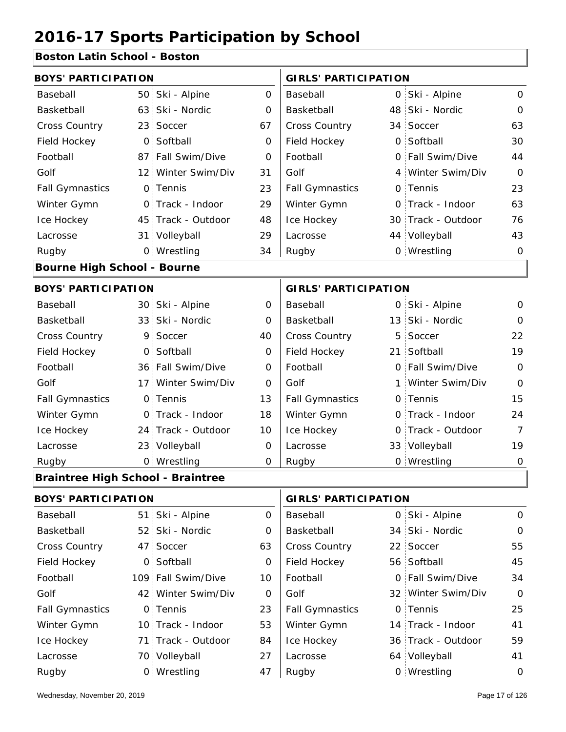#### **Boston Latin School - Boston**

| <b>BOYS' PARTICIPATION</b>               |                            |                    |             | <b>GIRLS' PARTICIPATION</b> |          |                    |                |  |
|------------------------------------------|----------------------------|--------------------|-------------|-----------------------------|----------|--------------------|----------------|--|
| Baseball                                 | 50                         | Ski - Alpine       | $\mathbf 0$ | Baseball                    |          | 0 Ski - Alpine     | $\mathbf 0$    |  |
| Basketball                               | 63                         | Ski - Nordic       | $\Omega$    | Basketball                  |          | 48 Ski - Nordic    | $\mathbf 0$    |  |
| <b>Cross Country</b>                     | 23                         | Soccer             | 67          | Cross Country               |          | 34 Soccer          | 63             |  |
| Field Hockey                             | 0                          | Softball           | 0           | Field Hockey                | $\Omega$ | Softball           | 30             |  |
| Football                                 | 87 <sup>1</sup>            | Fall Swim/Dive     | 0           | Football                    |          | 0 Fall Swim/Dive   | 44             |  |
| Golf                                     | $12^+$                     | Winter Swim/Div    | 31          | Golf                        |          | 4 Winter Swim/Div  | $\mathbf 0$    |  |
| <b>Fall Gymnastics</b>                   | 0                          | Tennis             | 23          | <b>Fall Gymnastics</b>      |          | 0 Tennis           | 23             |  |
| Winter Gymn                              | $\Omega$                   | Track - Indoor     | 29          | Winter Gymn                 | $\Omega$ | Track - Indoor     | 63             |  |
| Ice Hockey                               |                            | 45 Track - Outdoor | 48          | Ice Hockey                  |          | 30 Track - Outdoor | 76             |  |
| Lacrosse                                 |                            | 31 Volleyball      | 29          | Lacrosse                    |          | 44 Volleyball      | 43             |  |
| Rugby                                    |                            | 0 Wrestling        | 34          | Rugby                       |          | 0 Wrestling        | $\mathbf 0$    |  |
| <b>Bourne High School - Bourne</b>       |                            |                    |             |                             |          |                    |                |  |
| <b>BOYS' PARTICIPATION</b>               |                            |                    |             | <b>GIRLS' PARTICIPATION</b> |          |                    |                |  |
| Baseball                                 |                            | 30 Ski - Alpine    | $\Omega$    | Baseball                    |          | 0 Ski - Alpine     | $\mathbf 0$    |  |
| Basketball                               | 33 <sup>1</sup>            | Ski - Nordic       | 0           | Basketball                  |          | 13 Ski - Nordic    | $\mathbf 0$    |  |
| <b>Cross Country</b>                     | 9                          | Soccer             | 40          | Cross Country               | 5        | Soccer             | 22             |  |
| Field Hockey                             | $\overline{O}$             | Softball           | 0           | Field Hockey                | 21       | Softball           | 19             |  |
| Football                                 |                            | 36 Fall Swim/Dive  | $\mathbf 0$ | Football                    |          | 0 Fall Swim/Dive   | $\mathbf 0$    |  |
| Golf                                     | 17 i                       | Winter Swim/Div    | 0           | Golf                        | 1        | Winter Swim/Div    | $\overline{O}$ |  |
| <b>Fall Gymnastics</b>                   | $\mathsf{O}$               | Tennis             | 13          | <b>Fall Gymnastics</b>      |          | 0 Tennis           | 15             |  |
| Winter Gymn                              | $\Omega$                   | Track - Indoor     | 18          | Winter Gymn                 |          | O Track - Indoor   | 24             |  |
| Ice Hockey                               |                            | 24 Track - Outdoor | 10          | Ice Hockey                  | 0        | Track - Outdoor    | $\overline{7}$ |  |
| Lacrosse                                 | 23 <sub>1</sub>            | Volleyball         | 0           | Lacrosse                    |          | 33 Volleyball      | 19             |  |
| Rugby                                    |                            | 0 Wrestling        | $\mathbf 0$ | Rugby                       |          | 0 Wrestling        | $\mathbf 0$    |  |
| <b>Braintree High School - Braintree</b> |                            |                    |             |                             |          |                    |                |  |
|                                          | <b>BOYS' PARTICIPATION</b> |                    |             | <b>GIRLS' PARTICIPATION</b> |          |                    |                |  |
| Baseball                                 |                            | 51 Ski - Alpine    | $\mathbf 0$ | Baseball                    |          | 0 Ski - Alpine     | $\mathsf{O}$   |  |

52 34 Ski - Nordic 47 Soccer 63 | Cross Country 22 0 56 Field Hockey 109 Fall Swim/Dive 10 | Football 0 42 Winter Swim/Div 0 Golf 32 0 0 Fall Gymnastics

Basketball

Football

Winter Gymn Ice Hockey Lacrosse

Golf

 $\overline{O}$ 

63

0

10

23

53

84

27

| Rugby                        | 0 Wrestling | Rugby | 0 Wrestling |                |
|------------------------------|-------------|-------|-------------|----------------|
| Wednesday, November 20, 2019 |             |       |             | Page 17 of 126 |

70 Volleyball

0 Tennis

47 Soccer 0 Softball

Basketball

Football Golf

Cross Country Field Hockey

Fall Gymnastics

Ice Hockey Lacrosse

Winter Gymn

71 Track - Outdoor

10 Track - Indoor

0

55

45

34

0

25

41

59

14 Track - Indoor

34 Ski - Nordic

22 Soccer 56 Softball

0 Tennis

36 Track - Outdoor

Fall Swim/Dive Winter Swim/Div

64 Volleyball 41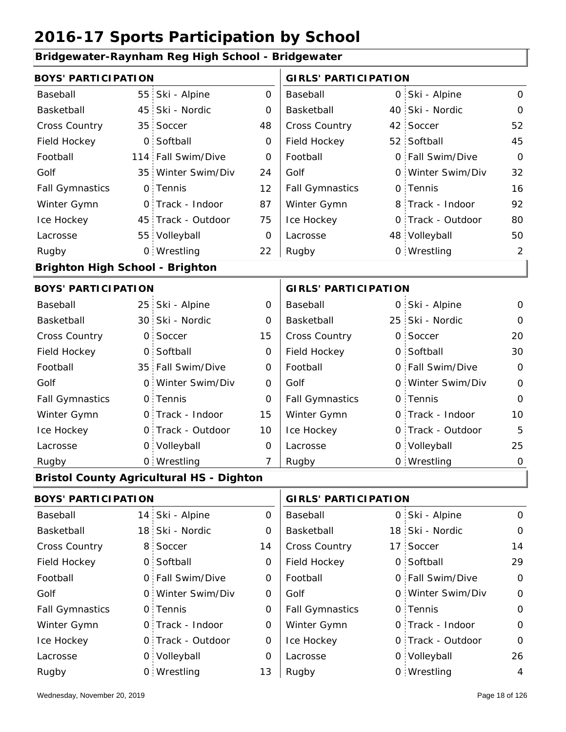#### **Bridgewater-Raynham Reg High School - Bridgewater**

| <b>BOYS' PARTICIPATION</b>             |                 |                                                 |                | <b>GIRLS' PARTICIPATION</b> |   |                   |                |
|----------------------------------------|-----------------|-------------------------------------------------|----------------|-----------------------------|---|-------------------|----------------|
| Baseball                               | 55 <sub>1</sub> | Ski - Alpine                                    | $\mathbf 0$    | Baseball                    |   | 0 Ski - Alpine    | $\mathbf 0$    |
| Basketball                             | 45              | Ski - Nordic                                    | 0              | Basketball                  |   | 40 Ski - Nordic   | $\mathbf 0$    |
| <b>Cross Country</b>                   | 35 <sup>1</sup> | Soccer                                          | 48             | Cross Country               |   | 42 Soccer         | 52             |
| Field Hockey                           | $\overline{O}$  | Softball                                        | 0              | Field Hockey                |   | 52 Softball       | 45             |
| Football                               | 114             | Fall Swim/Dive                                  | 0              | Football                    | 0 | Fall Swim/Dive    | $\mathbf 0$    |
| Golf                                   | 35 <sup>1</sup> | Winter Swim/Div                                 | 24             | Golf                        | 0 | Winter Swim/Div   | 32             |
| <b>Fall Gymnastics</b>                 | $\overline{O}$  | Tennis                                          | 12             | <b>Fall Gymnastics</b>      |   | 0 Tennis          | 16             |
| Winter Gymn                            | $\mathsf{O}$    | Track - Indoor                                  | 87             | Winter Gymn                 |   | 8 Track - Indoor  | 92             |
| Ice Hockey                             | 45 <sub>1</sub> | Track - Outdoor                                 | 75             | Ice Hockey                  | 0 | Track - Outdoor   | 80             |
| Lacrosse                               |                 | 55 Volleyball                                   | 0              | Lacrosse                    |   | 48 Volleyball     | 50             |
| Rugby                                  |                 | 0 Wrestling                                     | 22             | Rugby                       |   | 0 Wrestling       | $\overline{2}$ |
| <b>Brighton High School - Brighton</b> |                 |                                                 |                |                             |   |                   |                |
| <b>BOYS' PARTICIPATION</b>             |                 |                                                 |                | <b>GIRLS' PARTICIPATION</b> |   |                   |                |
| Baseball                               |                 | 25 Ski - Alpine                                 | 0              | Baseball                    |   | 0 Ski - Alpine    | $\mathbf 0$    |
| Basketball                             | 30 <sup>1</sup> | Ski - Nordic                                    | $\mathbf 0$    | Basketball                  |   | 25 Ski - Nordic   | $\mathbf 0$    |
| <b>Cross Country</b>                   | 0               | Soccer                                          | 15             | Cross Country               | 0 | Soccer            | 20             |
| Field Hockey                           | $\overline{O}$  | Softball                                        | 0              | Field Hockey                | 0 | Softball          | 30             |
| Football                               | 35 <sup>1</sup> | Fall Swim/Dive                                  | 0              | Football                    |   | 0 Fall Swim/Dive  | $\mathbf 0$    |
| Golf                                   | $\mathsf{O}$    | Winter Swim/Div                                 | $\mathbf 0$    | Golf                        | 0 | Winter Swim/Div   | $\mathbf 0$    |
| <b>Fall Gymnastics</b>                 |                 | 0 Tennis                                        | 0              | <b>Fall Gymnastics</b>      |   | 0 Tennis          | $\mathbf 0$    |
| Winter Gymn                            |                 | 0 Track - Indoor                                | 15             | Winter Gymn                 |   | O Track - Indoor  | 10             |
| Ice Hockey                             | $\mathbf{O}$    | Track - Outdoor                                 | 10             | Ice Hockey                  |   | 0 Track - Outdoor | 5              |
| Lacrosse                               |                 | 0 Volleyball                                    | 0              | Lacrosse                    |   | 0 Volleyball      | 25             |
| Rugby                                  |                 | 0 Wrestling                                     | $\overline{7}$ | Rugby                       |   | 0 Wrestling       | $\mathbf 0$    |
|                                        |                 | <b>Bristol County Agricultural HS - Dighton</b> |                |                             |   |                   |                |
| <b>BOYS' PARTICIPATION</b>             |                 |                                                 |                | <b>GIRLS' PARTICIPATION</b> |   |                   |                |
| Baseball                               |                 | 14 Ski - Alpine                                 | 0              | Baseball                    |   | 0 Ski - Alpine    | $\mathbf 0$    |
| Basketball                             |                 | 18 Ski - Nordic                                 | 0              | Basketball                  |   | 18 Ski - Nordic   | $\mathbf 0$    |
| <b>Cross Country</b>                   |                 | 8 Soccer                                        | 14             | <b>Cross Country</b>        |   | 17 Soccer         | 14             |

| <b>Cross Country</b>   | 8 Soccer          | 14 | <b>Cross Country</b>   | 17 Soccer         | 14             |
|------------------------|-------------------|----|------------------------|-------------------|----------------|
| Field Hockey           | 0 Softball        | 0  | Field Hockey           | 0 Softball        | 29             |
| Football               | 0 Fall Swim/Dive  | 0  | Football               | 0 Fall Swim/Dive  | $\mathbf 0$    |
| Golf                   | 0 Winter Swim/Div | 0  | Golf                   | 0 Winter Swim/Div | $\mathbf 0$    |
| <b>Fall Gymnastics</b> | 0 Tennis          | 0  | <b>Fall Gymnastics</b> | 0 Tennis          | $\Omega$       |
| Winter Gymn            | 0 Track - Indoor  | 0  | Winter Gymn            | O Track - Indoor  | $\Omega$       |
| Ice Hockey             | 0 Track - Outdoor | 0  | Ice Hockey             | 0 Track - Outdoor | $\Omega$       |
| Lacrosse               | 0 Volleyball      | O  | Lacrosse               | 0 Volleyball      | 26             |
| Rugby                  | 0 Wrestling       | 13 | Rugby                  | 0 Wrestling       | $\overline{4}$ |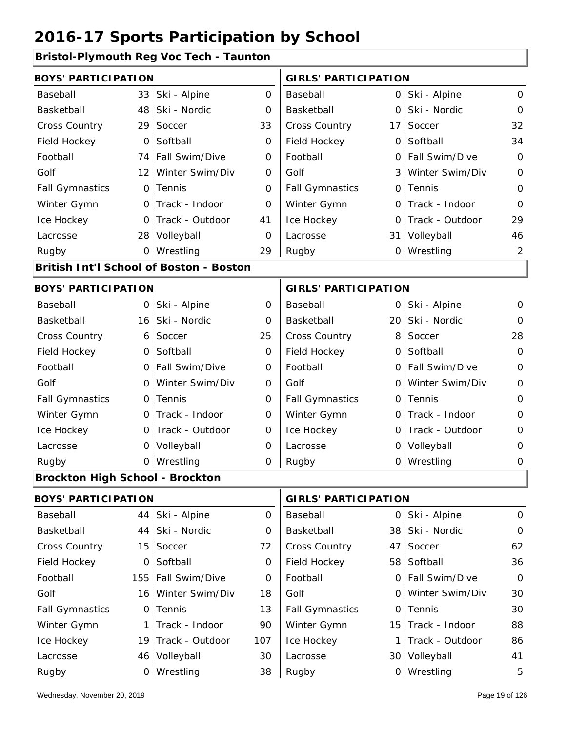#### **Bristol-Plymouth Reg Voc Tech - Taunton**

| <b>BOYS' PARTICIPATION</b>             |                 |                                         |                             | <b>GIRLS' PARTICIPATION</b> |  |                   |                |  |
|----------------------------------------|-----------------|-----------------------------------------|-----------------------------|-----------------------------|--|-------------------|----------------|--|
| Baseball                               | 33              | Ski - Alpine                            | $\mathbf 0$                 | Baseball                    |  | 0 Ski - Alpine    | $\mathbf 0$    |  |
| Basketball                             | 48              | Ski - Nordic                            | $\mathbf 0$                 | Basketball                  |  | 0 Ski - Nordic    | 0              |  |
| Cross Country                          | 29              | Soccer                                  | 33                          | Cross Country               |  | 17 Soccer         | 32             |  |
| Field Hockey                           | $\mathbf 0$     | Softball                                | $\mathbf 0$                 | Field Hockey                |  | 0 Softball        | 34             |  |
| Football                               | 74              | Fall Swim/Dive                          | 0                           | Football                    |  | 0 Fall Swim/Dive  | $\mathbf 0$    |  |
| Golf                                   | 12              | Winter Swim/Div                         | 0                           | Golf                        |  | 3 Winter Swim/Div | $\mathbf 0$    |  |
| <b>Fall Gymnastics</b>                 |                 | 0 Tennis                                | $\mathbf 0$                 | <b>Fall Gymnastics</b>      |  | 0 Tennis          | $\mathbf{O}$   |  |
| Winter Gymn                            |                 | 0 Track - Indoor                        | $\mathbf 0$                 | Winter Gymn                 |  | O Track - Indoor  | $\overline{O}$ |  |
| Ice Hockey                             | $\mathsf{O}$    | Track - Outdoor                         | 41                          | Ice Hockey                  |  | 0 Track - Outdoor | 29             |  |
| Lacrosse                               |                 | 28 Volleyball                           | 0                           | Lacrosse                    |  | 31 Volleyball     | 46             |  |
| Rugby                                  |                 | 0 Wrestling                             | 29                          | Rugby                       |  | 0 Wrestling       | $\overline{2}$ |  |
|                                        |                 | British Int'l School of Boston - Boston |                             |                             |  |                   |                |  |
| <b>BOYS' PARTICIPATION</b>             |                 |                                         | <b>GIRLS' PARTICIPATION</b> |                             |  |                   |                |  |
| Baseball                               | 0:              | Ski - Alpine                            | 0                           | Baseball                    |  | 0 Ski - Alpine    | 0              |  |
| Basketball                             | 16 <sup>1</sup> | Ski - Nordic                            | 0                           | Basketball                  |  | 20 Ski - Nordic   | $\Omega$       |  |
| Cross Country                          | 6               | Soccer                                  | 25                          | Cross Country               |  | 8 Soccer          | 28             |  |
| Field Hockey                           | $\overline{O}$  | Softball                                | 0                           | Field Hockey                |  | 0 Softball        | $\overline{O}$ |  |
| Football                               |                 | 0 Fall Swim/Dive                        | 0                           | Football                    |  | 0 Fall Swim/Dive  | $\mathbf 0$    |  |
| Golf                                   | $\circ$         | Winter Swim/Div                         | $\mathbf 0$                 | Golf                        |  | 0 Winter Swim/Div | $\mathbf 0$    |  |
| <b>Fall Gymnastics</b>                 |                 | 0 Tennis                                | $\mathsf{O}\xspace$         | <b>Fall Gymnastics</b>      |  | 0 Tennis          | $\mathbf 0$    |  |
| Winter Gymn                            |                 | 0 Track - Indoor                        | $\mathbf 0$                 | Winter Gymn                 |  | O Track - Indoor  | $\overline{O}$ |  |
| Ice Hockey                             | $\mathsf{O}$    | Track - Outdoor                         | 0                           | Ice Hockey                  |  | 0 Track - Outdoor | $\mathbf 0$    |  |
| Lacrosse                               |                 | 0 Volleyball                            | 0                           | Lacrosse                    |  | 0 Volleyball      | 0              |  |
| Rugby                                  |                 | 0 Wrestling                             | O                           | Rugby                       |  | 0 Wrestling       | $\mathbf 0$    |  |
| <b>Brockton High School - Brockton</b> |                 |                                         |                             |                             |  |                   |                |  |
| <b>BOYS' PARTICIPATION</b>             |                 |                                         |                             | <b>GIRLS' PARTICIPATION</b> |  |                   |                |  |
| Baseball                               | 44              | Ski - Alpine                            | 0                           | Baseball                    |  | 0 Ski - Alpine    | $\mathbf 0$    |  |
| Basketball                             | 44              | Ski - Nordic                            | 0                           | Basketball                  |  | 38 Ski - Nordic   | $\mathbf 0$    |  |
| Cross Country                          | 15 <sup>1</sup> | Soccer                                  | 72                          | Cross Country               |  | 47 Soccer         | 62             |  |
| Field Hockey                           | $\mathsf{O}$    | Softball                                | 0                           | Field Hockey                |  | 58 Softball       | 36             |  |
| Football                               |                 | 155 Fall Swim/Dive                      | 0                           | Football                    |  | 0 Fall Swim/Dive  | $\mathbf 0$    |  |
|                                        |                 |                                         |                             |                             |  |                   |                |  |

16 Winter Swim/Div 18 Golf 60 0 0 Fall Gymnastics

Golf

Winter Gymn Ice Hockey Lacrosse

13

90

107

30

38

19 Track - Outdoor

Wrestling Rugby 0 Rugby 0

1 Track - Indoor

46 Volleyball

0 Tennis

Golf

Fall Gymnastics

Winter Gymn

Ice Hockey Lacrosse

30

30

88

86

15 Track - Indoor

0 Tennis

1 Track - Outdoor

Winter Swim/Div

30 Volleyball 41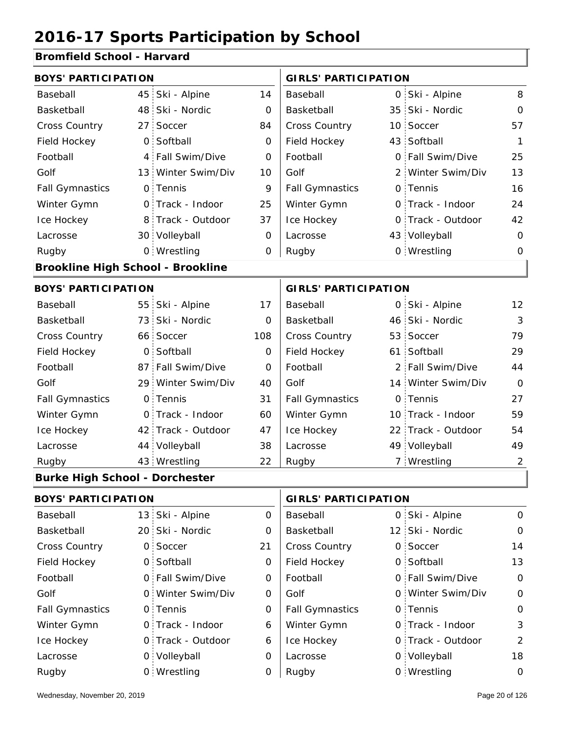#### **Bromfield School - Harvard**

| <b>BOYS' PARTICIPATION</b>               |                 |                    |             | <b>GIRLS' PARTICIPATION</b> |  |                    |                |
|------------------------------------------|-----------------|--------------------|-------------|-----------------------------|--|--------------------|----------------|
| Baseball                                 | 45              | Ski - Alpine       | 14          | Baseball                    |  | 0 Ski - Alpine     | 8              |
| Basketball                               |                 | 48 Ski - Nordic    | 0           | Basketball                  |  | 35 Ski - Nordic    | $\mathbf 0$    |
| <b>Cross Country</b>                     | 27 <sup>1</sup> | Soccer             | 84          | Cross Country               |  | 10 Soccer          | 57             |
| Field Hockey                             | 0               | Softball           | 0           | Field Hockey                |  | 43 Softball        | $\mathbf{1}$   |
| Football                                 | 4 <sup>1</sup>  | Fall Swim/Dive     | 0           | Football                    |  | 0 Fall Swim/Dive   | 25             |
| Golf                                     |                 | 13 Winter Swim/Div | 10          | Golf                        |  | 2 Winter Swim/Div  | 13             |
| <b>Fall Gymnastics</b>                   |                 | 0 Tennis           | 9           | <b>Fall Gymnastics</b>      |  | 0 Tennis           | 16             |
| Winter Gymn                              |                 | 0 Track - Indoor   | 25          | Winter Gymn                 |  | 0 Track - Indoor   | 24             |
| Ice Hockey                               |                 | 8 Track - Outdoor  | 37          | Ice Hockey                  |  | 0 Track - Outdoor  | 42             |
| Lacrosse                                 |                 | 30 Volleyball      | 0           | Lacrosse                    |  | 43 Volleyball      | $\mathbf 0$    |
| Rugby                                    |                 | 0 Wrestling        | $\mathbf 0$ | Rugby                       |  | 0 Wrestling        | $\mathbf 0$    |
| <b>Brookline High School - Brookline</b> |                 |                    |             |                             |  |                    |                |
| <b>BOYS' PARTICIPATION</b>               |                 |                    |             | <b>GIRLS' PARTICIPATION</b> |  |                    |                |
| Baseball                                 |                 | 55 Ski - Alpine    | 17          | Baseball                    |  | 0 Ski - Alpine     | 12             |
| Basketball                               | 73.             | Ski - Nordic       | $\mathbf 0$ | Basketball                  |  | 46 Ski - Nordic    | 3              |
| Cross Country                            |                 | 66 Soccer          | 108         | Cross Country               |  | 53 Soccer          | 79             |
| Field Hockey                             | $\overline{O}$  | Softball           | 0           | Field Hockey                |  | 61 Softball        | 29             |
| Football                                 |                 | 87 Fall Swim/Dive  | 0           | Football                    |  | 2 Fall Swim/Dive   | 44             |
| Golf                                     |                 | 29 Winter Swim/Div | 40          | Golf                        |  | 14 Winter Swim/Div | $\overline{O}$ |
| <b>Fall Gymnastics</b>                   |                 | 0 Tennis           | 31          | <b>Fall Gymnastics</b>      |  | 0 Tennis           | 27             |
| Winter Gymn                              |                 | 0 Track - Indoor   | 60          | Winter Gymn                 |  | 10 Track - Indoor  | 59             |
| Ice Hockey                               |                 | 42 Track - Outdoor | 47          | Ice Hockey                  |  | 22 Track - Outdoor | 54             |
| Lacrosse                                 |                 | 44 Volleyball      | 38          | Lacrosse                    |  | 49 Volleyball      | 49             |
| Rugby                                    |                 | 43 Wrestling       | 22          | Rugby                       |  | 7 Wrestling        | 2              |
| <b>Burke High School - Dorchester</b>    |                 |                    |             |                             |  |                    |                |
| <b>BOYS' PARTICIPATION</b>               |                 |                    |             | <b>GIRLS' PARTICIPATION</b> |  |                    |                |
| Baseball                                 |                 | 13 Ski - Alpine    | 0           | Baseball                    |  | 0 Ski - Alpine     | $\mathbf 0$    |
| Basketball                               |                 | 20 Ski - Nordic    | 0           | Basketball                  |  | 12 Ski - Nordic    | 0              |
| <b>Cross Country</b>                     |                 | 0 Soccer           | 21          | Cross Country               |  | 0 Soccer           | 14             |
| Field Hockey                             |                 | 0 Softball         | 0           | Field Hockey                |  | 0 Softball         | 13             |
| Football                                 |                 | 0 Fall Swim/Dive   | 0           | Football                    |  | 0 Fall Swim/Dive   | $\mathbf 0$    |
| Golf                                     |                 | 0 Winter Swim/Div  | 0           | Golf                        |  | 0 Winter Swim/Div  | $\mathbf 0$    |
| <b>Fall Gymnastics</b>                   |                 | $\bigcap$ Tennis   | ∩           | <b>Fall Gymnastics</b>      |  | 0 Tennis           | $\cap$         |

| Baseball               | 13 Ski - Alpine   | $\Omega$ | Baseball               | 0 Ski - Alpine    | $\mathcal{O}$ |
|------------------------|-------------------|----------|------------------------|-------------------|---------------|
| Basketball             | 20 Ski - Nordic   | 0        | Basketball             | 12 Ski - Nordic   | $\mathcal{O}$ |
| Cross Country          | 0 Soccer          | 21       | <b>Cross Country</b>   | 0 Soccer          | 14            |
| Field Hockey           | 0 Softball        | 0        | Field Hockey           | 0 Softball        | 13            |
| Football               | 0 Fall Swim/Dive  | 0        | Football               | 0 Fall Swim/Dive  | $\Omega$      |
| Golf                   | 0 Winter Swim/Div | 0        | Golf                   | 0 Winter Swim/Div | $\mathcal{O}$ |
| <b>Fall Gymnastics</b> | 0 Tennis          | 0        | <b>Fall Gymnastics</b> | 0 Tennis          | $\Omega$      |
| Winter Gymn            | O Track - Indoor  | 6        | Winter Gymn            | 0 Track - Indoor  | 3             |
| Ice Hockey             | 0 Track - Outdoor | 6        | Ice Hockey             | 0 Track - Outdoor | 2             |
| Lacrosse               | 0 Volleyball      | 0        | Lacrosse               | 0 Volleyball      | 18            |
| Rugby                  | 0 Wrestling       |          | Rugby                  | 0 Wrestling       | $\mathcal{O}$ |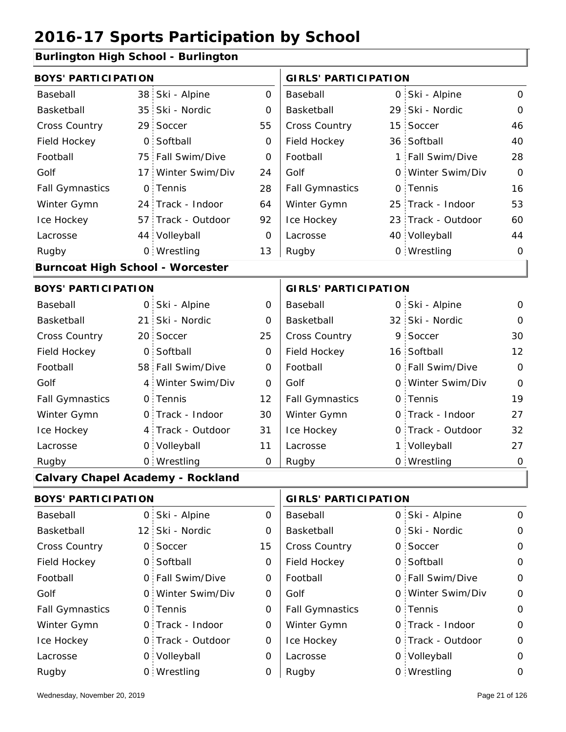#### **Burlington High School - Burlington**

| <b>BOYS' PARTICIPATION</b>              |                            |                                          |                             | <b>GIRLS' PARTICIPATION</b> |                             |                                  |                |
|-----------------------------------------|----------------------------|------------------------------------------|-----------------------------|-----------------------------|-----------------------------|----------------------------------|----------------|
| Baseball                                |                            | 38 Ski - Alpine                          | $\mathsf{O}$                | Baseball                    |                             | 0 Ski - Alpine                   | $\mathbf{O}$   |
| Basketball                              | 35 <sub>1</sub>            | Ski - Nordic                             | $\mathbf 0$                 | Basketball                  | 29                          | Ski - Nordic                     | $\mathbf{O}$   |
| Cross Country                           | 29                         | Soccer                                   | 55                          | Cross Country               | 15                          | Soccer                           | 46             |
| Field Hockey                            |                            | 0 Softball                               | $\mathbf 0$                 | Field Hockey                |                             | 36 Softball                      | 40             |
| Football                                |                            | 75 Fall Swim/Dive                        | 0                           | Football                    |                             | 1 Fall Swim/Dive                 | 28             |
| Golf                                    | 17 <sup>1</sup>            | Winter Swim/Div                          | 24                          | Golf                        |                             | 0 Winter Swim/Div                | $\Omega$       |
| <b>Fall Gymnastics</b>                  | 0                          | Tennis                                   | 28                          | <b>Fall Gymnastics</b>      | 0                           | Tennis                           | 16             |
| Winter Gymn                             |                            | 24 Track - Indoor                        | 64                          | Winter Gymn                 | 25                          | Track - Indoor                   | 53             |
| Ice Hockey                              |                            | 57 Track - Outdoor                       | 92                          | Ice Hockey                  |                             | 23 Track - Outdoor               | 60             |
| Lacrosse                                |                            | 44 Volleyball                            | 0                           | Lacrosse                    |                             | 40 Volleyball                    | 44             |
| Rugby                                   |                            | 0 Wrestling                              | 13                          | Rugby                       |                             | 0 Wrestling                      | 0              |
| <b>Burncoat High School - Worcester</b> |                            |                                          |                             |                             |                             |                                  |                |
| <b>BOYS' PARTICIPATION</b>              |                            |                                          | <b>GIRLS' PARTICIPATION</b> |                             |                             |                                  |                |
| Baseball                                |                            | 0 Ski - Alpine                           | 0                           | Baseball                    |                             | 0 Ski - Alpine                   | $\overline{O}$ |
| Basketball                              | 21 <sup>1</sup>            | Ski - Nordic                             | 0                           | Basketball                  |                             | 32 Ski - Nordic                  | $\mathbf 0$    |
| Cross Country                           |                            | 20 Soccer                                | 25                          | Cross Country               |                             | 9 Soccer                         | 30             |
| Field Hockey                            | $\mathbf 0$                | Softball                                 | 0                           | Field Hockey                |                             | 16 Softball                      | 12             |
| Football                                |                            | 58 Fall Swim/Dive                        | $\overline{0}$              | Football                    |                             | 0 Fall Swim/Dive                 | $\overline{O}$ |
| Golf                                    |                            | 4 Winter Swim/Div                        | $\mathsf{O}$                | Golf                        |                             | 0 Winter Swim/Div                | $\mathsf{O}$   |
| <b>Fall Gymnastics</b>                  |                            | 0 Tennis                                 | 12                          | <b>Fall Gymnastics</b>      |                             | 0 Tennis                         | 19             |
| Winter Gymn                             |                            | O Track - Indoor                         | 30                          | Winter Gymn                 |                             | O Track - Indoor                 | 27             |
| Ice Hockey                              |                            | 4 Track - Outdoor                        | 31                          | Ice Hockey                  |                             | 0 Track - Outdoor                | 32             |
| Lacrosse                                |                            | 0 Volleyball                             | 11                          | Lacrosse                    |                             | 1 Volleyball                     | 27             |
| Rugby                                   |                            | 0 Wrestling                              | $\Omega$                    | Rugby                       |                             | 0 Wrestling                      | $\overline{0}$ |
|                                         |                            | <b>Calvary Chapel Academy - Rockland</b> |                             |                             |                             |                                  |                |
|                                         | <b>BOYS' PARTICIPATION</b> |                                          |                             |                             | <b>GIRLS' PARTICIPATION</b> |                                  |                |
| <b>Docoboll</b>                         |                            | $O$ $Cli$ $Alnino$                       | $\cap$                      | <b>Docoboll</b>             |                             | $\bigcap$ C <sub>ki</sub> Alpino | $\cap$         |

| Baseball               | 0 Ski - Alpine    | 0  | Baseball               | 0 Ski - Alpine    | 0             |
|------------------------|-------------------|----|------------------------|-------------------|---------------|
| Basketball             | 12 Ski - Nordic   | 0  | Basketball             | 0 Ski - Nordic    | $\mathcal{O}$ |
| <b>Cross Country</b>   | 0 Soccer          | 15 | <b>Cross Country</b>   | 0 Soccer          | $\Omega$      |
| Field Hockey           | 0 Softball        | 0  | Field Hockey           | 0 Softball        | $\Omega$      |
| Football               | 0 Fall Swim/Dive  | 0  | Football               | 0 Fall Swim/Dive  | $\mathcal{O}$ |
| Golf                   | 0 Winter Swim/Div | O  | Golf                   | 0 Winter Swim/Div | $\mathcal{O}$ |
| <b>Fall Gymnastics</b> | 0 Tennis          | 0  | <b>Fall Gymnastics</b> | 0 Tennis          | $\Omega$      |
| Winter Gymn            | O Track - Indoor  | 0  | Winter Gymn            | O Track - Indoor  | $\Omega$      |
| Ice Hockey             | 0 Track - Outdoor | 0  | Ice Hockey             | 0 Track - Outdoor | $\mathcal{O}$ |
| Lacrosse               | 0 Volleyball      | 0  | Lacrosse               | 0 Volleyball      | $\Omega$      |
| Rugby                  | 0 Wrestling       | 0  | Rugby                  | 0 Wrestling       | 0             |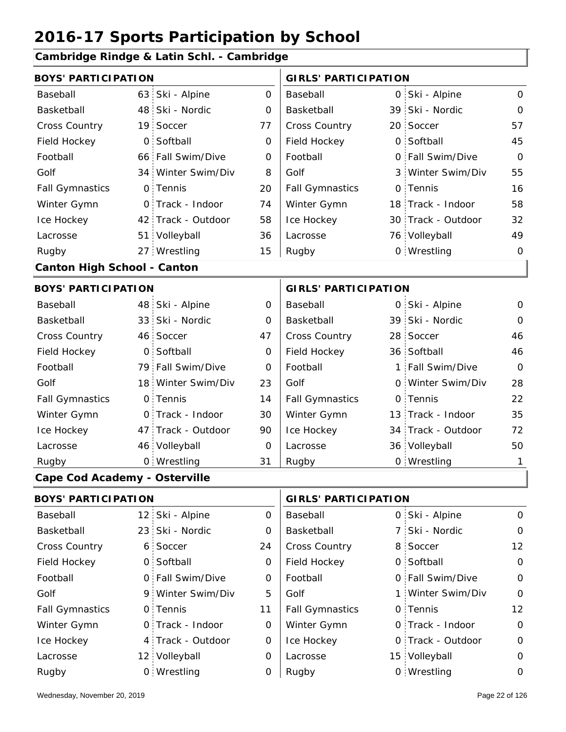#### **Cambridge Rindge & Latin Schl. - Cambridge**

| <b>BOYS' PARTICIPATION</b>           |                |                    |             | <b>GIRLS' PARTICIPATION</b> |     |                    |                |  |
|--------------------------------------|----------------|--------------------|-------------|-----------------------------|-----|--------------------|----------------|--|
| Baseball                             |                | 63 Ski - Alpine    | $\mathbf 0$ | Baseball                    |     | 0 Ski - Alpine     | $\mathbf{O}$   |  |
| Basketball                           |                | 48 Ski - Nordic    | 0           | Basketball                  |     | 39 Ski - Nordic    | $\Omega$       |  |
| Cross Country                        |                | 19 Soccer          | 77          | Cross Country               |     | 20 Soccer          | 57             |  |
| Field Hockey                         | $\overline{O}$ | Softball           | $\mathbf 0$ | Field Hockey                |     | 0 Softball         | 45             |  |
| Football                             |                | 66 Fall Swim/Dive  | 0           | Football                    |     | 0 Fall Swim/Dive   | $\overline{O}$ |  |
| Golf                                 |                | 34 Winter Swim/Div | 8           | Golf                        |     | 3 Winter Swim/Div  | 55             |  |
| <b>Fall Gymnastics</b>               |                | 0 Tennis           | 20          | <b>Fall Gymnastics</b>      |     | 0 Tennis           | 16             |  |
| Winter Gymn                          |                | 0 Track - Indoor   | 74          | Winter Gymn                 |     | 18 Track - Indoor  | 58             |  |
| Ice Hockey                           |                | 42 Track - Outdoor | 58          | Ice Hockey                  |     | 30 Track - Outdoor | 32             |  |
| Lacrosse                             |                | 51 Volleyball      | 36          | Lacrosse                    |     | 76 Volleyball      | 49             |  |
| Rugby                                |                | 27 Wrestling       | 15          | Rugby                       |     | 0 Wrestling        | $\mathbf 0$    |  |
| <b>Canton High School - Canton</b>   |                |                    |             |                             |     |                    |                |  |
| <b>BOYS' PARTICIPATION</b>           |                |                    |             | <b>GIRLS' PARTICIPATION</b> |     |                    |                |  |
| Baseball                             |                | 48 Ski - Alpine    | 0           | Baseball                    |     | 0 Ski - Alpine     | 0              |  |
| Basketball                           |                | 33 Ski - Nordic    | 0           | Basketball                  |     | 39 Ski - Nordic    | $\Omega$       |  |
| Cross Country                        |                | 46 Soccer          | 47          | Cross Country               |     | 28 Soccer          | 46             |  |
| Field Hockey                         |                | 0 Softball         | 0           | Field Hockey                |     | 36 Softball        | 46             |  |
| Football                             |                | 79 Fall Swim/Dive  | 0           | Football                    |     | 1 Fall Swim/Dive   | $\overline{O}$ |  |
| Golf                                 |                | 18 Winter Swim/Div | 23          | Golf                        |     | 0 Winter Swim/Div  | 28             |  |
| <b>Fall Gymnastics</b>               |                | 0 Tennis           | 14          | <b>Fall Gymnastics</b>      |     | 0 Tennis           | 22             |  |
| Winter Gymn                          |                | O Track - Indoor   | 30          | Winter Gymn                 |     | 13 Track - Indoor  | 35             |  |
| Ice Hockey                           |                | 47 Track - Outdoor | 90          | Ice Hockey                  |     | 34 Track - Outdoor | 72             |  |
| Lacrosse                             |                | 46 Volleyball      | 0           | Lacrosse                    |     | 36 Volleyball      | 50             |  |
| Rugby                                |                | 0 Wrestling        | 31          | Rugby                       |     | 0 Wrestling        | 1              |  |
| <b>Cape Cod Academy - Osterville</b> |                |                    |             |                             |     |                    |                |  |
| <b>BOYS' PARTICIPATION</b>           |                |                    |             | <b>GIRLS' PARTICIPATION</b> |     |                    |                |  |
| Baseball                             |                | 12 Ski - Alpine    | 0           | Baseball                    |     | 0 Ski - Alpine     | $\mathbf 0$    |  |
| Basketball                           |                | 23 Ski - Nordic    | 0           | Basketball                  | 7 : | Ski - Nordic       | $\mathbf{O}$   |  |
| Cross Country                        |                | 6 Soccer           | 24          | Cross Country               |     | 8 Soccer           | 12             |  |
| Field Hockey                         |                | 0 Softball         | 0           | Field Hockey                |     | 0 Softball         | $\mathbf 0$    |  |
| Football                             |                | 0 Fall Swim/Dive   | 0           | Football                    |     | 0 Fall Swim/Dive   | $\mathbf 0$    |  |
| Golf                                 |                | 9 Winter Swim/Div  | 5           | Golf                        |     | 1 Winter Swim/Div  | 0              |  |
| <b>Fall Gymnastics</b>               |                | 0 Tennis           | 11          | <b>Fall Gymnastics</b>      |     | 0 Tennis           | 12             |  |
| Winter Gymn                          |                | 0 Track - Indoor   | 0           | Winter Gymn                 |     | 0 Track - Indoor   | 0              |  |

Ice Hockey Lacrosse

0

0

0

Ice Hockey Lacrosse

4 Track - Outdoor

Wrestling Rugby 0 Rugby 0

12 Volleyball

0

0 Track - Outdoor

15 Volleyball 0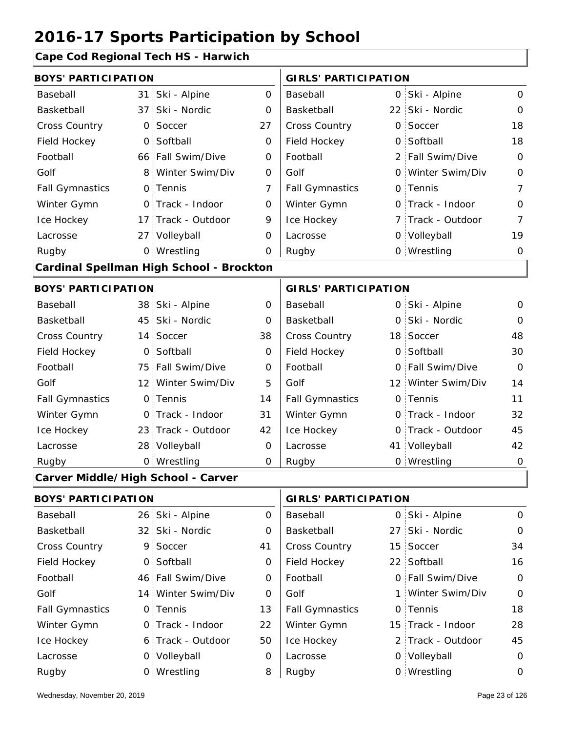#### **Cape Cod Regional Tech HS - Harwich**

| <b>BOYS' PARTICIPATION</b>         |                 |                                          |                | <b>GIRLS' PARTICIPATION</b> |    |                    |                |
|------------------------------------|-----------------|------------------------------------------|----------------|-----------------------------|----|--------------------|----------------|
| Baseball                           |                 | 31 Ski - Alpine                          | $\overline{O}$ | Baseball                    |    | 0 Ski - Alpine     | $\mathbf 0$    |
| Basketball                         | 37              | Ski - Nordic                             | 0              | Basketball                  |    | 22 Ski - Nordic    | $\mathbf 0$    |
| <b>Cross Country</b>               |                 | 0 Soccer                                 | 27             | Cross Country               |    | 0 Soccer           | 18             |
| Field Hockey                       | $\mathsf{O}$    | Softball                                 | $\mathbf 0$    | Field Hockey                |    | 0 Softball         | 18             |
| Football                           |                 | 66 Fall Swim/Dive                        | 0              | Football                    |    | 2 Fall Swim/Dive   | $\overline{O}$ |
| Golf                               | 8 <sup>1</sup>  | Winter Swim/Div                          | $\mathbf 0$    | Golf                        |    | 0 Winter Swim/Div  | $\mathbf 0$    |
| <b>Fall Gymnastics</b>             |                 | 0 Tennis                                 | 7              | <b>Fall Gymnastics</b>      |    | 0 Tennis           | $\overline{7}$ |
| Winter Gymn                        |                 | 0 Track - Indoor                         | $\mathbf 0$    | Winter Gymn                 |    | O Track - Indoor   | $\mathbf 0$    |
| Ice Hockey                         |                 | 17 Track - Outdoor                       | 9              | Ice Hockey                  |    | 7 Track - Outdoor  | $\overline{7}$ |
| Lacrosse                           |                 | 27 Volleyball                            | 0              | Lacrosse                    |    | 0 Volleyball       | 19             |
| Rugby                              |                 | 0 Wrestling                              | 0              | Rugby                       |    | 0 Wrestling        | $\mathbf 0$    |
|                                    |                 | Cardinal Spellman High School - Brockton |                |                             |    |                    |                |
| <b>BOYS' PARTICIPATION</b>         |                 |                                          |                | <b>GIRLS' PARTICIPATION</b> |    |                    |                |
| Baseball                           |                 | 38 Ski - Alpine                          | $\mathbf 0$    | Baseball                    |    | 0 Ski - Alpine     | $\mathbf 0$    |
| Basketball                         |                 | 45 Ski - Nordic                          | 0              | Basketball                  |    | 0 Ski - Nordic     | $\mathbf 0$    |
| Cross Country                      |                 | 14 Soccer                                | 38             | Cross Country               |    | 18 Soccer          | 48             |
| Field Hockey                       | $\mathbf 0$     | Softball                                 | $\mathbf 0$    | Field Hockey                |    | 0 Softball         | 30             |
| Football                           |                 | 75 Fall Swim/Dive                        | $\mathbf 0$    | Football                    |    | 0 Fall Swim/Dive   | $\Omega$       |
| Golf                               |                 | 12 Winter Swim/Div                       | 5              | Golf                        |    | 12 Winter Swim/Div | 14             |
| <b>Fall Gymnastics</b>             |                 | 0 Tennis                                 | 14             | <b>Fall Gymnastics</b>      |    | 0 Tennis           | 11             |
| Winter Gymn                        |                 | 0 Track - Indoor                         | 31             | Winter Gymn                 |    | 0 Track - Indoor   | 32             |
| Ice Hockey                         |                 | 23 Track - Outdoor                       | 42             | Ice Hockey                  |    | 0 Track - Outdoor  | 45             |
| Lacrosse                           |                 | 28 Volleyball                            | 0              | Lacrosse                    |    | 41 Volleyball      | 42             |
| Rugby                              |                 | 0 Wrestling                              | O              | Rugby                       |    | 0 Wrestling        | $\mathbf 0$    |
| Carver Middle/High School - Carver |                 |                                          |                |                             |    |                    |                |
| <b>BOYS' PARTICIPATION</b>         |                 |                                          |                | <b>GIRLS' PARTICIPATION</b> |    |                    |                |
| Baseball                           | 26:             | Ski - Alpine                             | 0              | Baseball                    | 0  | Ski - Alpine       | $\mathbf 0$    |
| Basketball                         | 32 <sup>2</sup> | Ski - Nordic                             | 0              | Basketball                  | 27 | Ski - Nordic       | 0              |
| <b>Cross Country</b>               |                 | 9 Soccer                                 | 41             | Cross Country               |    | 15 Soccer          | 34             |
| Field Hockey                       | $\mathsf{O}$    | Softball                                 | 0              | Field Hockey                |    | 22 Softball        | 16             |
| Football                           |                 | 46 Fall Swim/Dive                        | 0              | Football                    |    | 0 Fall Swim/Dive   | $\mathbf 0$    |
| Golf                               |                 | 14 Winter Swim/Div                       | 0              | Golf                        |    | 1 Winter Swim/Div  | $\mathbf 0$    |
| <b>Fall Gymnastics</b>             |                 | 0 Tennis                                 | 13             | <b>Fall Gymnastics</b>      | 0  | Tennis             | 18             |
| Winter Gymn                        |                 | 0 Track - Indoor                         | 22             | Winter Gymn                 |    | 15 Track - Indoor  | 28             |

50

Ice Hockey Lacrosse

0

8

Ice Hockey Lacrosse

6 Track - Outdoor

Wrestling Rugby 0 Rugby 0

0 Volleyball

45

2 Track - Outdoor

0 Volleyball 0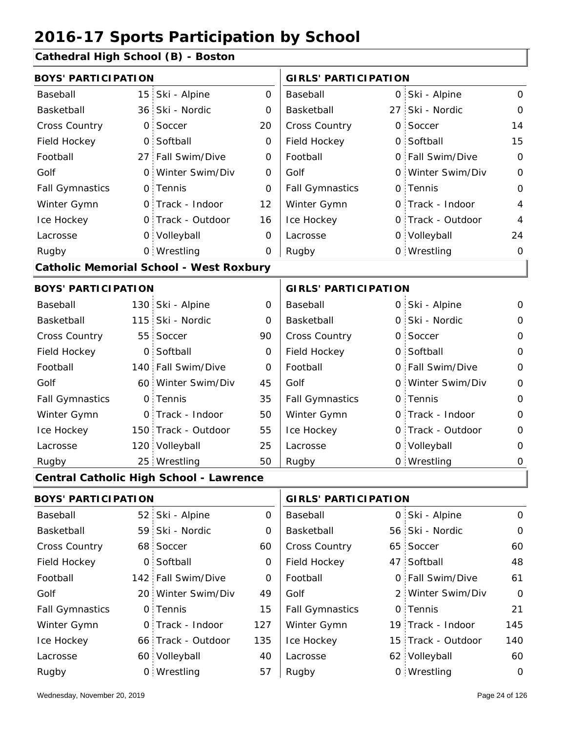**Cathedral High School (B) - Boston**

| <b>BOYS' PARTICIPATION</b> |                                                |             | <b>GIRLS' PARTICIPATION</b> |  |                    |                     |
|----------------------------|------------------------------------------------|-------------|-----------------------------|--|--------------------|---------------------|
| Baseball                   | 15 Ski - Alpine                                | 0           | Baseball                    |  | 0 Ski - Alpine     | $\mathbf 0$         |
| Basketball                 | 36 Ski - Nordic                                | 0           | Basketball                  |  | 27 Ski - Nordic    | $\mathbf 0$         |
| <b>Cross Country</b>       | 0 Soccer                                       | 20          | Cross Country               |  | 0 Soccer           | 14                  |
| Field Hockey               | 0 Softball                                     | $\mathbf 0$ | Field Hockey                |  | 0 Softball         | 15                  |
| Football                   | 27 Fall Swim/Dive                              | 0           | Football                    |  | 0 Fall Swim/Dive   | $\mathbf 0$         |
| Golf                       | 0 Winter Swim/Div                              | 0           | Golf                        |  | 0 Winter Swim/Div  | $\mathbf 0$         |
| <b>Fall Gymnastics</b>     | 0 Tennis                                       | O           | <b>Fall Gymnastics</b>      |  | 0 Tennis           | $\mathbf{O}$        |
| Winter Gymn                | O Track - Indoor                               | 12          | Winter Gymn                 |  | 0 Track - Indoor   | $\overline{4}$      |
| Ice Hockey                 | 0 Track - Outdoor                              | 16          | Ice Hockey                  |  | 0 Track - Outdoor  | $\overline{4}$      |
| Lacrosse                   | 0 Volleyball                                   | 0           | Lacrosse                    |  | 0 Volleyball       | 24                  |
| Rugby                      | 0 Wrestling                                    | 0           | Rugby                       |  | 0 Wrestling        | $\mathbf 0$         |
|                            | <b>Catholic Memorial School - West Roxbury</b> |             |                             |  |                    |                     |
| <b>BOYS' PARTICIPATION</b> |                                                |             | <b>GIRLS' PARTICIPATION</b> |  |                    |                     |
| Baseball                   | 130 Ski - Alpine                               | $\mathbf 0$ | Baseball                    |  | 0 Ski - Alpine     | 0                   |
| Basketball                 | 115 Ski - Nordic                               | 0           | Basketball                  |  | 0 Ski - Nordic     | 0                   |
| Cross Country              | 55 Soccer                                      | 90          | Cross Country               |  | 0 Soccer           | $\mathbf 0$         |
| Field Hockey               | 0 Softball                                     | 0           | Field Hockey                |  | 0 Softball         | $\mathbf 0$         |
| Football                   | 140 Fall Swim/Dive                             | 0           | Football                    |  | 0 Fall Swim/Dive   | $\mathbf 0$         |
| Golf                       | 60 Winter Swim/Div                             | 45          | Golf                        |  | 0 Winter Swim/Div  | $\mathbf 0$         |
| <b>Fall Gymnastics</b>     | 0 Tennis                                       | 35          | <b>Fall Gymnastics</b>      |  | 0 Tennis           | $\overline{O}$      |
| Winter Gymn                | O Track - Indoor                               | 50          | Winter Gymn                 |  | O Track - Indoor   | $\mathbf 0$         |
| Ice Hockey                 | 150 Track - Outdoor                            | 55          | Ice Hockey                  |  | 0 Track - Outdoor  | $\mathbf 0$         |
| Lacrosse                   | 120 Volleyball                                 | 25          | Lacrosse                    |  | 0 Volleyball       | $\mathbf 0$         |
| Rugby                      | 25 Wrestling                                   | 50          | Rugby                       |  | 0 Wrestling        | $\mathsf{O}\xspace$ |
|                            | Central Catholic High School - Lawrence        |             |                             |  |                    |                     |
| <b>BOYS' PARTICIPATION</b> |                                                |             | <b>GIRLS' PARTICIPATION</b> |  |                    |                     |
| Baseball                   | 52 Ski - Alpine                                | 0           | Baseball                    |  | 0 Ski - Alpine     | 0                   |
| Basketball                 | 59 Ski - Nordic                                | 0           | Basketball                  |  | 56 Ski - Nordic    | $\mathbf 0$         |
| <b>Cross Country</b>       | 68 Soccer                                      | 60          | Cross Country               |  | 65 Soccer          | 60                  |
| Field Hockey               | 0 Softball                                     | 0           | Field Hockey                |  | 47 Softball        | 48                  |
| Football                   | 142 Fall Swim/Dive                             | 0           | Football                    |  | 0 Fall Swim/Dive   | 61                  |
| Golf                       | 20 Winter Swim/Div                             | 49          | Golf                        |  | 2 Winter Swim/Div  | $\mathbf 0$         |
| <b>Fall Gymnastics</b>     | 0 Tennis                                       | 15          | <b>Fall Gymnastics</b>      |  | 0 Tennis           | 21                  |
| Winter Gymn                | 0 Track - Indoor                               | 127         | Winter Gymn                 |  | 19 Track - Indoor  | 145                 |
| Ice Hockey                 | 66 Track - Outdoor                             | 135         | Ice Hockey                  |  | 15 Track - Outdoor | 140                 |
| Lacrosse                   | 60 Volleyball                                  | 40          | Lacrosse                    |  | 62 Volleyball      | 60                  |
| Rugby                      | 0 Wrestling                                    | 57          | Rugby                       |  | 0 Wrestling        | $\mathbf 0$         |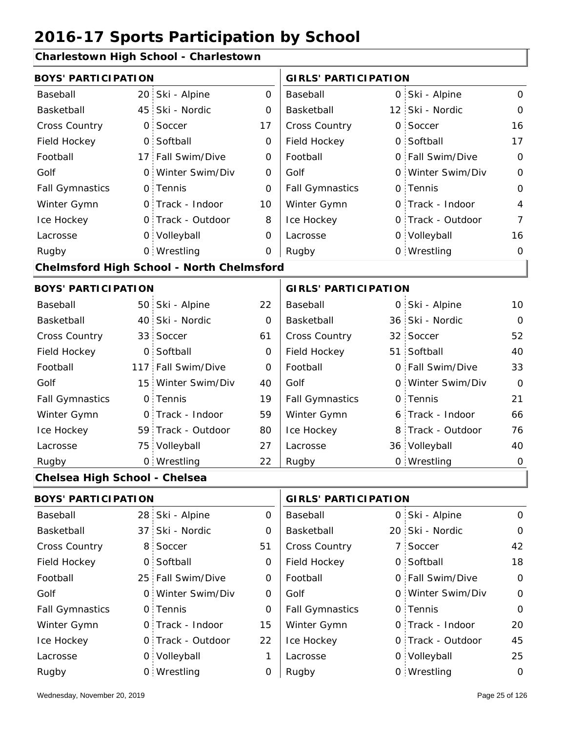#### **Charlestown High School - Charlestown**

| <b>BOYS' PARTICIPATION</b>    |                 |                                           |                | <b>GIRLS' PARTICIPATION</b> |                   |                |
|-------------------------------|-----------------|-------------------------------------------|----------------|-----------------------------|-------------------|----------------|
| Baseball                      |                 | 20 Ski - Alpine                           | $\overline{0}$ | Baseball                    | 0 Ski - Alpine    | $\mathbf 0$    |
| Basketball                    | 45 <sup>1</sup> | Ski - Nordic                              | 0              | Basketball                  | 12 Ski - Nordic   | $\mathbf 0$    |
| Cross Country                 | 0               | Soccer                                    | 17             | Cross Country               | 0 Soccer          | 16             |
| Field Hockey                  | O <sub>1</sub>  | Softball                                  | $\mathbf 0$    | Field Hockey                | 0 Softball        | 17             |
| Football                      |                 | 17 Fall Swim/Dive                         | 0              | Football                    | 0 Fall Swim/Dive  | $\mathbf 0$    |
| Golf                          |                 | 0 Winter Swim/Div                         | O              | Golf                        | 0 Winter Swim/Div | $\mathbf 0$    |
| <b>Fall Gymnastics</b>        |                 | 0 Tennis                                  | O              | <b>Fall Gymnastics</b>      | 0 Tennis          | $\overline{O}$ |
| Winter Gymn                   |                 | O Track - Indoor                          | 10             | Winter Gymn                 | 0 Track - Indoor  | 4              |
| Ice Hockey                    |                 | 0 Track - Outdoor                         | 8              | Ice Hockey                  | 0 Track - Outdoor | $\overline{7}$ |
| Lacrosse                      |                 | 0 Volleyball                              | 0              | Lacrosse                    | 0 Volleyball      | 16             |
| Rugby                         |                 | 0 Wrestling                               | 0              | Rugby                       | 0 Wrestling       | $\mathbf 0$    |
|                               |                 | Chelmsford High School - North Chelmsford |                |                             |                   |                |
| <b>BOYS' PARTICIPATION</b>    |                 |                                           |                | <b>GIRLS' PARTICIPATION</b> |                   |                |
| Baseball                      |                 | 50 Ski - Alpine                           | 22             | Baseball                    | 0 Ski - Alpine    | 10             |
| Basketball                    |                 | 40 Ski - Nordic                           | $\mathbf 0$    | Basketball                  | 36 Ski - Nordic   | $\mathbf 0$    |
| Cross Country                 |                 | 33 Soccer                                 | 61             | Cross Country               | 32 Soccer         | 52             |
| Field Hockey                  |                 | 0 Softball                                | 0              | Field Hockey                | 51 Softball       | 40             |
| Football                      |                 | 117 Fall Swim/Dive                        | 0              | Football                    | 0 Fall Swim/Dive  | 33             |
| Golf                          |                 | 15 Winter Swim/Div                        | 40             | Golf                        | 0 Winter Swim/Div | $\Omega$       |
| <b>Fall Gymnastics</b>        |                 | 0 Tennis                                  | 19             | <b>Fall Gymnastics</b>      | 0 Tennis          | 21             |
| Winter Gymn                   |                 | O Track - Indoor                          | 59             | Winter Gymn                 | 6 Track - Indoor  | 66             |
| Ice Hockey                    |                 | 59 Track - Outdoor                        | 80             | Ice Hockey                  | 8 Track - Outdoor | 76             |
| Lacrosse                      |                 | 75 Volleyball                             | 27             | Lacrosse                    | 36 Volleyball     | 40             |
| Rugby                         |                 | 0 Wrestling                               | 22             | Rugby                       | 0 Wrestling       | $\mathsf O$    |
| Chelsea High School - Chelsea |                 |                                           |                |                             |                   |                |
| <b>BOYS' PARTICIPATION</b>    |                 |                                           |                | <b>GIRLS' PARTICIPATION</b> |                   |                |
| Baseball                      |                 | 28 Ski - Alpine                           | 0              | Baseball                    | 0 Ski - Alpine    | $\mathbf 0$    |
| Basketball                    | 37 <sub>1</sub> | Ski - Nordic                              | 0              | Basketball                  | 20 Ski - Nordic   | $\mathbf 0$    |
| <b>Cross Country</b>          | 8.              | Soccer                                    | 51             | Cross Country               | 7 Soccer          | 42             |
| Field Hockey                  |                 | 0 Softball                                | 0              | Field Hockey                | 0 Softball        | 18             |
| Football                      |                 | 25 Fall Swim/Dive                         | 0              | Football                    | 0 Fall Swim/Dive  | $\mathbf 0$    |
| Golf                          |                 | 0 Winter Swim/Div                         | 0              | Golf                        | 0 Winter Swim/Div | 0              |
| <b>Fall Gymnastics</b>        |                 | 0 Tennis                                  | 0              | <b>Fall Gymnastics</b>      | 0 Tennis          | $\mathbf 0$    |
| Winter Gymn                   |                 | 0 Track - Indoor                          | 15             | Winter Gymn                 | 0 Track - Indoor  | 20             |
| Ice Hockey                    |                 | 0 Track - Outdoor                         | 22             | Ice Hockey                  | 0 Track - Outdoor | 45             |

1

Lacrosse

0

Lacrosse

0 Volleyball

Wrestling Rugby 0 Rugby 0

0 Volleyball 25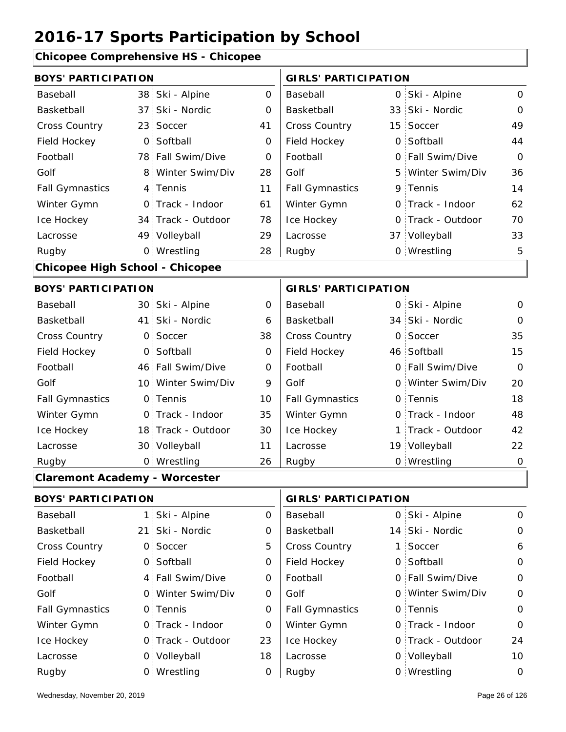#### **Chicopee Comprehensive HS - Chicopee**

| <b>BOYS' PARTICIPATION</b>             |                |                    |             | <b>GIRLS' PARTICIPATION</b> |   |                   |                |
|----------------------------------------|----------------|--------------------|-------------|-----------------------------|---|-------------------|----------------|
| Baseball                               |                | 38 Ski - Alpine    | $\mathbf 0$ | Baseball                    |   | 0 Ski - Alpine    | $\mathbf 0$    |
| Basketball                             | 37:            | Ski - Nordic       | $\mathbf 0$ | Basketball                  |   | 33 Ski - Nordic   | $\mathbf 0$    |
| Cross Country                          |                | 23 Soccer          | 41          | Cross Country               |   | 15 Soccer         | 49             |
| Field Hockey                           | $\overline{O}$ | Softball           | 0           | Field Hockey                |   | 0 Softball        | 44             |
| Football                               |                | 78 Fall Swim/Dive  | $\mathbf 0$ | Football                    | 0 | Fall Swim/Dive    | $\Omega$       |
| Golf                                   | 8 <sup>1</sup> | Winter Swim/Div    | 28          | Golf                        | 5 | Winter Swim/Div   | 36             |
| <b>Fall Gymnastics</b>                 |                | 4 Tennis           | 11          | <b>Fall Gymnastics</b>      |   | 9 Tennis          | 14             |
| Winter Gymn                            |                | O Track - Indoor   | 61          | Winter Gymn                 |   | O Track - Indoor  | 62             |
| Ice Hockey                             |                | 34 Track - Outdoor | 78          | Ice Hockey                  |   | 0 Track - Outdoor | 70             |
| Lacrosse                               |                | 49 Volleyball      | 29          | Lacrosse                    |   | 37 Volleyball     | 33             |
| Rugby                                  |                | 0 Wrestling        | 28          | Rugby                       |   | 0 Wrestling       | 5              |
| <b>Chicopee High School - Chicopee</b> |                |                    |             |                             |   |                   |                |
| <b>BOYS' PARTICIPATION</b>             |                |                    |             | <b>GIRLS' PARTICIPATION</b> |   |                   |                |
| Baseball                               |                | 30 Ski - Alpine    | $\mathbf 0$ | Baseball                    |   | 0 Ski - Alpine    | $\mathbf 0$    |
| Basketball                             |                | 41 Ski - Nordic    | 6           | Basketball                  |   | 34 Ski - Nordic   | $\Omega$       |
| Cross Country                          |                | 0 Soccer           | 38          | Cross Country               |   | 0 Soccer          | 35             |
| Field Hockey                           |                | 0 Softball         | $\mathbf 0$ | Field Hockey                |   | 46 Softball       | 15             |
| Football                               |                | 46 Fall Swim/Dive  | 0           | Football                    |   | 0 Fall Swim/Dive  | $\Omega$       |
| Golf                                   |                | 10 Winter Swim/Div | 9           | Golf                        |   | 0 Winter Swim/Div | 20             |
| <b>Fall Gymnastics</b>                 |                | 0 Tennis           | 10          | <b>Fall Gymnastics</b>      |   | 0 Tennis          | 18             |
| Winter Gymn                            |                | O Track - Indoor   | 35          | Winter Gymn                 |   | O Track - Indoor  | 48             |
| Ice Hockey                             |                | 18 Track - Outdoor | 30          | Ice Hockey                  |   | 1 Track - Outdoor | 42             |
| Lacrosse                               |                | 30 Volleyball      | 11          | Lacrosse                    |   | 19 Volleyball     | 22             |
| Rugby                                  |                | 0 Wrestling        | 26          | Rugby                       |   | 0 Wrestling       | $\overline{O}$ |
| <b>Claremont Academy - Worcester</b>   |                |                    |             |                             |   |                   |                |
| <b>BOYS' PARTICIPATION</b>             |                |                    |             | <b>GIRLS' PARTICIPATION</b> |   |                   |                |
| Baseball                               |                | 1 Ski - Alpine     | 0           | Baseball                    |   | 0 Ski - Alpine    | $\mathbf 0$    |
| Basketball                             |                | 21 Ski - Nordic    | 0           | Basketball                  |   | 14 Ski - Nordic   | $\mathbf 0$    |
| Cross Country                          |                | 0 Soccer           | 5           | Cross Country               |   | 1 Soccer          | 6              |
| Field Hockey                           |                | 0 Softball         | 0           | Field Hockey                |   | 0 Softball        | $\mathbf 0$    |
| Football                               |                | 4 Fall Swim/Dive   | 0           | Football                    |   | 0 Fall Swim/Dive  | $\mathbf 0$    |
| Golf                                   |                | 0 Winter Swim/Div  | 0           | Golf                        |   | 0 Winter Swim/Div | 0              |
|                                        |                |                    |             |                             |   |                   |                |

0 Fall Gymnastics 0 of Fall Gymnastics 0 of Fall Gymnastics 0 of the 10 of the 10 0 Track - Outdoor 0 Track - Indoor 0 Volleyball 0 Track - Outdoor 0 Volleyball 10  $\begin{array}{c|c} 0 \\ \hline \end{array}$ 0 23 0 18 0 0 24 Fall Gymnastics Ice Hockey Lacrosse 0 Tennis 0 Track - Indoor Wrestling Rugby 0 Rugby 0 Winter Gymn Ice Hockey Lacrosse 0 Tennis Winter Gymn 0 Wrestling 0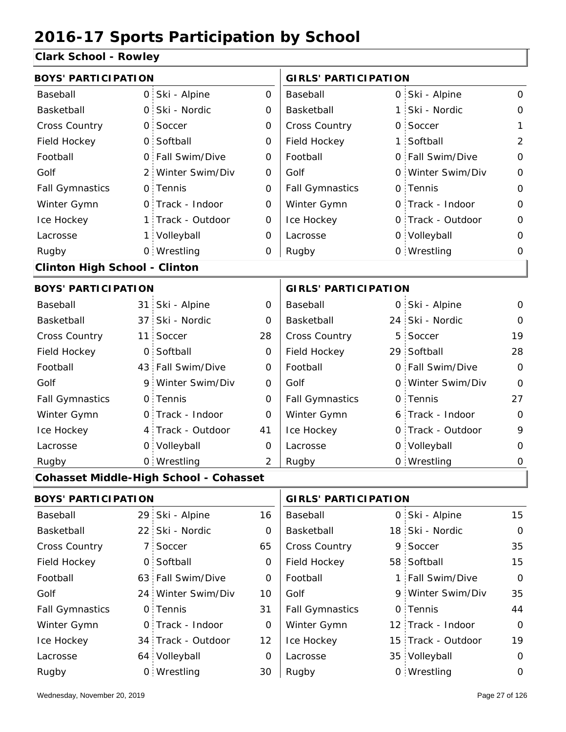#### **Clark School - Rowley**

| <b>BOYS' PARTICIPATION</b>           |                 |                                               |                | <b>GIRLS' PARTICIPATION</b> |   |                   |                |
|--------------------------------------|-----------------|-----------------------------------------------|----------------|-----------------------------|---|-------------------|----------------|
| Baseball                             | O <sub>1</sub>  | Ski - Alpine                                  | 0              | Baseball                    |   | 0 Ski - Alpine    | 0              |
| Basketball                           | $\mathsf{O}$    | Ski - Nordic                                  | 0              | Basketball                  |   | 1 Ski - Nordic    | 0              |
| <b>Cross Country</b>                 | $\mathsf{O}$    | Soccer                                        | 0              | Cross Country               |   | 0 Soccer          | 1              |
| Field Hockey                         | $\overline{O}$  | Softball                                      | $\mathbf 0$    | Field Hockey                |   | 1 Softball        | $\overline{2}$ |
| Football                             | $\mathsf{O}$    | Fall Swim/Dive                                | 0              | Football                    |   | 0 Fall Swim/Dive  | 0              |
| Golf                                 |                 | 2 Winter Swim/Div                             | 0              | Golf                        |   | 0 Winter Swim/Div | $\mathbf 0$    |
| <b>Fall Gymnastics</b>               |                 | 0 Tennis                                      | $\mathbf 0$    | <b>Fall Gymnastics</b>      |   | 0 Tennis          | 0              |
| Winter Gymn                          |                 | 0 Track - Indoor                              | 0              | Winter Gymn                 |   | O Track - Indoor  | 0              |
| Ice Hockey                           | 1:              | Track - Outdoor                               | 0              | Ice Hockey                  |   | 0 Track - Outdoor | $\mathbf 0$    |
| Lacrosse                             | $1 \cdot$       | Volleyball                                    | 0              | Lacrosse                    |   | 0 Volleyball      | 0              |
| Rugby                                |                 | 0 Wrestling                                   | 0              | Rugby                       |   | 0 Wrestling       | 0              |
| <b>Clinton High School - Clinton</b> |                 |                                               |                |                             |   |                   |                |
| <b>BOYS' PARTICIPATION</b>           |                 |                                               |                | <b>GIRLS' PARTICIPATION</b> |   |                   |                |
| Baseball                             | 31              | Ski - Alpine                                  | 0              | Baseball                    |   | 0 Ski - Alpine    | 0              |
| Basketball                           | 37 <sup>1</sup> | Ski - Nordic                                  | 0              | Basketball                  |   | 24 Ski - Nordic   | $\mathbf 0$    |
| <b>Cross Country</b>                 | 11              | Soccer                                        | 28             | Cross Country               | 5 | Soccer            | 19             |
| Field Hockey                         | $\mathsf{O}$    | Softball                                      | $\mathbf 0$    | Field Hockey                |   | 29 Softball       | 28             |
| Football                             |                 | 43 Fall Swim/Dive                             | 0              | Football                    |   | 0 Fall Swim/Dive  | $\mathbf 0$    |
| Golf                                 | 9.              | Winter Swim/Div                               | 0              | Golf                        |   | 0 Winter Swim/Div | $\mathbf 0$    |
| <b>Fall Gymnastics</b>               |                 | 0 Tennis                                      | 0              | <b>Fall Gymnastics</b>      |   | 0 Tennis          | 27             |
| Winter Gymn                          | $\mathsf{O}$    | Track - Indoor                                | 0              | Winter Gymn                 |   | 6 Track - Indoor  | $\mathbf 0$    |
| Ice Hockey                           | $4^{\circ}$     | Track - Outdoor                               | 41             | Ice Hockey                  |   | 0 Track - Outdoor | 9              |
| Lacrosse                             | O <sub>1</sub>  | Volleyball                                    | 0              | Lacrosse                    |   | 0 Volleyball      | 0              |
| Rugby                                |                 | 0 Wrestling                                   | $\overline{2}$ | Rugby                       |   | 0 Wrestling       | 0              |
|                                      |                 | <b>Cohasset Middle-High School - Cohasset</b> |                |                             |   |                   |                |
| <b>BOYS' PARTICIPATION</b>           |                 |                                               |                | <b>GIRLS' PARTICIPATION</b> |   |                   |                |
| Baseball                             |                 | 29 Ski - Alpine                               | 16             | Baseball                    |   | 0 Ski - Alpine    | 15             |
| Basketball                           |                 | 22 Ski - Nordic                               | 0              | Basketball                  |   | 18 Ski - Nordic   | $\mathbf 0$    |
| <b>Cross Country</b>                 | 7 <sup>1</sup>  | Soccer                                        | 65             | <b>Cross Country</b>        |   | 9 Soccer          | 35             |
|                                      |                 |                                               |                |                             |   |                   |                |

0 58 Field Hockey 63 1 Fall Swim/Dive 24 Winter Swim/Div 10 Golf 50 9 0 0 Fall Gymnastics

Football Golf

Winter Gymn Ice Hockey Lacrosse

0

0

31

0

12

0

30

Field Hockey

Fall Gymnastics

Ice Hockey Lacrosse

Winter Gymn

Football

Golf

34 Track - Outdoor

Wrestling Rugby 0 Rugby 0

0 Track - Indoor

64 Volleyball

0 Softball

0 Tennis

15

0

35

44

0

19

12 Track - Indoor

58 Softball

0 Tennis

15 Track - Outdoor

Fall Swim/Dive Winter Swim/Div

35 Volleyball 0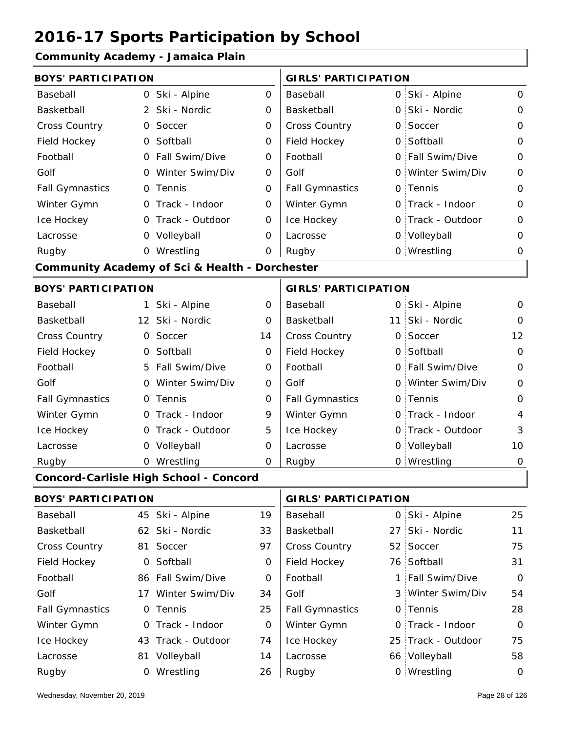#### **Community Academy - Jamaica Plain**

|                            |                | Community Academy - Jamaica Fiam                          |                |                             |          |                   |                |
|----------------------------|----------------|-----------------------------------------------------------|----------------|-----------------------------|----------|-------------------|----------------|
| <b>BOYS' PARTICIPATION</b> |                |                                                           |                | <b>GIRLS' PARTICIPATION</b> |          |                   |                |
| Baseball                   | $\overline{0}$ | Ski - Alpine                                              | $\overline{O}$ | Baseball                    |          | 0 Ski - Alpine    | $\mathbf 0$    |
| Basketball                 | 2:             | Ski - Nordic                                              | 0              | Basketball                  |          | 0 Ski - Nordic    | $\mathbf{O}$   |
| Cross Country              | $\mathsf{O}$   | Soccer                                                    | 0              | <b>Cross Country</b>        | O        | Soccer            | 0              |
| Field Hockey               |                | 0 Softball                                                | 0              | Field Hockey                |          | 0 Softball        | $\mathbf 0$    |
| Football                   |                | 0 Fall Swim/Dive                                          | 0              | Football                    |          | 0 Fall Swim/Dive  | $\mathbf 0$    |
| Golf                       | $\Omega$       | Winter Swim/Div                                           | 0              | Golf                        |          | 0 Winter Swim/Div | $\mathbf 0$    |
| <b>Fall Gymnastics</b>     |                | 0 Tennis                                                  | $\Omega$       | <b>Fall Gymnastics</b>      |          | 0 Tennis          | $\mathbf 0$    |
| Winter Gymn                |                | 0 Track - Indoor                                          | 0              | Winter Gymn                 |          | O Track - Indoor  | $\mathbf 0$    |
| Ice Hockey                 |                | 0 Track - Outdoor                                         | 0              | Ice Hockey                  | $\Omega$ | Track - Outdoor   | $\mathbf 0$    |
| Lacrosse                   |                | 0 Volleyball                                              | $\Omega$       | Lacrosse                    |          | 0 Volleyball      | $\Omega$       |
| Rugby                      |                | 0 Wrestling                                               | 0              | Rugby                       |          | 0 Wrestling       | 0              |
|                            |                | <b>Community Academy of Sci &amp; Health - Dorchester</b> |                |                             |          |                   |                |
| <b>BOYS' PARTICIPATION</b> |                |                                                           |                | <b>GIRLS' PARTICIPATION</b> |          |                   |                |
| Baseball                   | 1 <sub>1</sub> | Ski - Alpine                                              | $\mathbf 0$    | Baseball                    |          | 0 Ski - Alpine    | 0              |
| Basketball                 |                | 12 Ski - Nordic                                           | 0              | Basketball                  |          | 11 Ski - Nordic   | $\Omega$       |
| Cross Country              | $\mathsf{O}$ : | Soccer                                                    | 14             | <b>Cross Country</b>        |          | 0 Soccer          | 12             |
| Field Hockey               |                | 0 Softball                                                | 0              | Field Hockey                |          | 0 Softball        | $\overline{0}$ |
| Football                   |                | 5 Fall Swim/Dive                                          | 0              | Football                    |          | 0 Fall Swim/Dive  | $\mathbf 0$    |
| Golf                       |                | 0 Winter Swim/Div                                         | 0              | Golf                        |          | 0 Winter Swim/Div | $\overline{0}$ |
| <b>Fall Gymnastics</b>     |                | 0 Tennis                                                  | 0              | <b>Fall Gymnastics</b>      |          | 0 Tennis          | $\mathbf 0$    |
| Winter Gymn                |                | O Track - Indoor                                          | 9              | Winter Gymn                 |          | O Track - Indoor  | $\overline{4}$ |
| Ice Hockey                 |                | 0 Track - Outdoor                                         | 5              | Ice Hockey                  |          | 0 Track - Outdoor | 3              |
| Lacrosse                   |                | 0 Volleyball                                              | 0              | Lacrosse                    |          | 0 Volleyball      | 10             |
| Rugby                      |                | 0 Wrestling                                               | 0              | Rugby                       |          | 0 Wrestling       | $\mathbf 0$    |
|                            |                | Concord-Carlisle High School - Concord                    |                |                             |          |                   |                |
|                            |                |                                                           |                |                             |          |                   |                |

| <b>BOYS' PARTICIPATION</b> |  | <b>GIRLS' PARTICIPATION</b> |    |                        |  |                    |          |
|----------------------------|--|-----------------------------|----|------------------------|--|--------------------|----------|
| Baseball                   |  | 45 Ski - Alpine             | 19 | Baseball               |  | 0 Ski - Alpine     | 25       |
| Basketball                 |  | 62 Ski - Nordic             | 33 | Basketball             |  | 27 Ski - Nordic    | 11       |
| <b>Cross Country</b>       |  | 81 Soccer                   | 97 | <b>Cross Country</b>   |  | 52 Soccer          | 75       |
| Field Hockey               |  | 0 Softball                  | 0  | Field Hockey           |  | 76 Softball        | 31       |
| Football                   |  | 86 Fall Swim/Dive           | 0  | Football               |  | 1 Fall Swim/Dive   | $\Omega$ |
| Golf                       |  | 17 Winter Swim/Div          | 34 | Golf                   |  | 3 Winter Swim/Div  | 54       |
| <b>Fall Gymnastics</b>     |  | 0 Tennis                    | 25 | <b>Fall Gymnastics</b> |  | 0 Tennis           | 28       |
| Winter Gymn                |  | 0 Track - Indoor            | 0  | Winter Gymn            |  | 0 Track - Indoor   | $\Omega$ |
| Ice Hockey                 |  | 43 Track - Outdoor          | 74 | Ice Hockey             |  | 25 Track - Outdoor | 75       |
| Lacrosse                   |  | 81 Volleyball               | 14 | Lacrosse               |  | 66 Volleyball      | 58       |
| Rugby                      |  | 0 Wrestling                 | 26 | Rugby                  |  | 0 Wrestling        | 0        |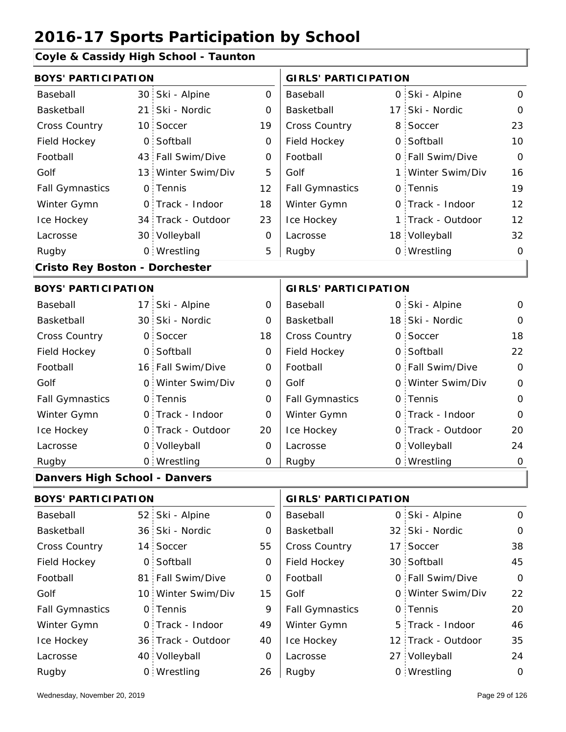#### **Coyle & Cassidy High School - Taunton**

| <b>BOYS' PARTICIPATION</b>            |                 |                    | <b>GIRLS' PARTICIPATION</b> |                                                                                    |    |                   |                |
|---------------------------------------|-----------------|--------------------|-----------------------------|------------------------------------------------------------------------------------|----|-------------------|----------------|
| Baseball                              |                 | 30 Ski - Alpine    | $\Omega$                    | Baseball                                                                           |    | 0 Ski - Alpine    | $\overline{O}$ |
| Basketball                            | 21 <sup>1</sup> | Ski - Nordic       | 0                           | Basketball                                                                         | 17 | Ski - Nordic      | $\mathbf 0$    |
| Cross Country                         |                 | 10 Soccer          | 19                          | Cross Country                                                                      | 8. | Soccer            | 23             |
| Field Hockey                          | $\mathsf{O}$    | Softball           | 0                           | Field Hockey                                                                       |    | 0 Softball        | 10             |
| Football                              |                 | 43 Fall Swim/Dive  | $\mathbf 0$                 | Football                                                                           |    | 0 Fall Swim/Dive  | $\overline{O}$ |
| Golf                                  |                 | 13 Winter Swim/Div | 5                           | Golf                                                                               | 1  | Winter Swim/Div   | 16             |
| <b>Fall Gymnastics</b>                |                 | 0 Tennis           | 12                          | <b>Fall Gymnastics</b>                                                             |    | 0 Tennis          | 19             |
| Winter Gymn                           |                 | 0 Track - Indoor   | 18                          | Winter Gymn                                                                        |    | O Track - Indoor  | 12             |
| Ice Hockey                            |                 | 34 Track - Outdoor | 23                          | Ice Hockey                                                                         | 1  | Track - Outdoor   | 12             |
| Lacrosse                              |                 | 30 Volleyball      | 0                           | Lacrosse                                                                           |    | 18 Volleyball     | 32             |
| Rugby                                 |                 | 0 Wrestling        | 5                           | Rugby                                                                              |    | 0 Wrestling       | $\Omega$       |
| <b>Cristo Rey Boston - Dorchester</b> |                 |                    |                             |                                                                                    |    |                   |                |
| <b>BOYS' PARTICIPATION</b>            |                 |                    |                             | <b>GIRLS' PARTICIPATION</b>                                                        |    |                   |                |
| Baseball                              |                 | 17 Ski - Alpine    | 0                           | Baseball                                                                           |    | 0 Ski - Alpine    | 0              |
| Basketball                            |                 | 30 Ski - Nordic    | $\Omega$                    | Basketball                                                                         |    | 18 Ski - Nordic   | $\Omega$       |
| Cross Country                         | $\mathbf{O}$    | Soccer             | 18                          | Cross Country                                                                      |    | 0 Soccer          | 18             |
| Field Hockey                          |                 | 0 Softball         | 0                           | Field Hockey                                                                       |    | 0 Softball        | 22             |
| Football                              |                 | 16 Fall Swim/Dive  | O                           | Football                                                                           |    | 0 Fall Swim/Dive  | $\Omega$       |
| Golf                                  |                 | 0 Winter Swim/Div  | 0                           | Golf                                                                               |    | 0 Winter Swim/Div | $\mathbf{O}$   |
| <b>Fall Gymnastics</b>                |                 | 0 Tennis           | $\Omega$                    | <b>Fall Gymnastics</b>                                                             |    | 0 Tennis          | $\mathbf 0$    |
| Winter Gymn                           |                 | O Track - Indoor   | O                           | Winter Gymn                                                                        |    | O Track - Indoor  | $\overline{0}$ |
| Ice Hockey                            |                 | 0 Track - Outdoor  | 20                          | Ice Hockey                                                                         | O  | Track - Outdoor   | 20             |
| Lacrosse                              |                 | 0 Volleyball       | $\mathsf{O}\xspace$         | Lacrosse                                                                           |    | 0 Volleyball      | 24             |
| Rugby                                 |                 | 0 Wrestling        | 0                           | Rugby                                                                              |    | 0 Wrestling       | $\mathbf 0$    |
| <b>Danvers High School - Danvers</b>  |                 |                    |                             |                                                                                    |    |                   |                |
| <b>DOVOL DA DTI QI DA TI QAL</b>      |                 |                    |                             | $\begin{array}{c}\n\bullet & \bullet \\ \bullet & \bullet \\ \bullet\n\end{array}$ |    |                   |                |

| <b>BOYS' PARTICIPATION</b> |  |                    |    | <b>GIRLS' PARTICIPATION</b> |  |                    |               |
|----------------------------|--|--------------------|----|-----------------------------|--|--------------------|---------------|
| Baseball                   |  | 52 Ski - Alpine    | 0  | Baseball                    |  | 0 Ski - Alpine     | $\mathcal{O}$ |
| Basketball                 |  | 36 Ski - Nordic    | 0  | Basketball                  |  | 32 Ski - Nordic    | $\mathbf 0$   |
| <b>Cross Country</b>       |  | 14 Soccer          | 55 | <b>Cross Country</b>        |  | 17 Soccer          | 38            |
| Field Hockey               |  | 0 Softball         | 0  | Field Hockey                |  | 30 Softball        | 45            |
| Football                   |  | 81 Fall Swim/Dive  | 0  | Football                    |  | 0 Fall Swim/Dive   | $\Omega$      |
| Golf                       |  | 10 Winter Swim/Div | 15 | Golf                        |  | 0 Winter Swim/Div  | 22            |
| <b>Fall Gymnastics</b>     |  | 0 Tennis           | 9  | <b>Fall Gymnastics</b>      |  | 0 Tennis           | 20            |
| Winter Gymn                |  | 0 Track - Indoor   | 49 | Winter Gymn                 |  | 5 Track - Indoor   | 46            |
| Ice Hockey                 |  | 36 Track - Outdoor | 40 | Ice Hockey                  |  | 12 Track - Outdoor | 35            |
| Lacrosse                   |  | 40 Volleyball      | 0  | Lacrosse                    |  | 27 Volleyball      | 24            |
| Rugby                      |  | 0 Wrestling        | 26 | Rugby                       |  | 0 Wrestling        | $\Omega$      |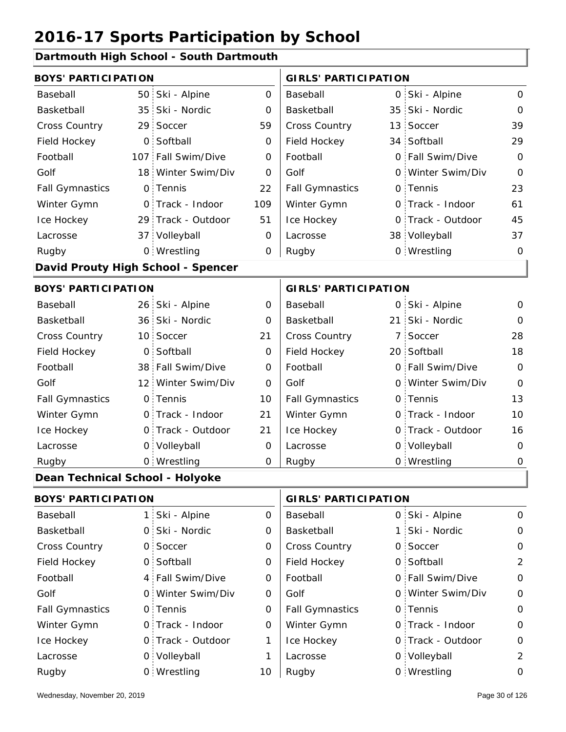#### **Dartmouth High School - South Dartmouth**

| <b>BOYS' PARTICIPATION</b>      |              |                                    |             | <b>GIRLS' PARTICIPATION</b> |    |                   |                |  |
|---------------------------------|--------------|------------------------------------|-------------|-----------------------------|----|-------------------|----------------|--|
| Baseball                        |              | 50 Ski - Alpine                    | $\mathbf 0$ | Baseball                    |    | 0 Ski - Alpine    | $\mathsf{O}$   |  |
| Basketball                      |              | 35 Ski - Nordic                    | 0           | Basketball                  |    | 35 Ski - Nordic   | 0              |  |
| Cross Country                   |              | 29 Soccer                          | 59          | Cross Country               |    | 13 Soccer         | 39             |  |
| Field Hockey                    |              | 0 Softball                         | 0           | Field Hockey                |    | 34 Softball       | 29             |  |
| Football                        |              | 107 Fall Swim/Dive                 | 0           | Football                    |    | 0 Fall Swim/Dive  | $\mathbf{O}$   |  |
| Golf                            |              | 18 Winter Swim/Div                 | O           | Golf                        |    | 0 Winter Swim/Div | $\mathbf{O}$   |  |
| <b>Fall Gymnastics</b>          |              | 0 Tennis                           | 22          | <b>Fall Gymnastics</b>      |    | 0 Tennis          | 23             |  |
| Winter Gymn                     |              | O Track - Indoor                   | 109         | Winter Gymn                 |    | O Track - Indoor  | 61             |  |
| Ice Hockey                      |              | 29 Track - Outdoor                 | 51          | Ice Hockey                  |    | 0 Track - Outdoor | 45             |  |
| Lacrosse                        |              | 37 Volleyball                      | 0           | Lacrosse                    |    | 38 Volleyball     | 37             |  |
| Rugby                           |              | 0 Wrestling                        | 0           | Rugby                       |    | 0 Wrestling       | 0              |  |
|                                 |              | David Prouty High School - Spencer |             |                             |    |                   |                |  |
| <b>BOYS' PARTICIPATION</b>      |              |                                    |             | <b>GIRLS' PARTICIPATION</b> |    |                   |                |  |
| Baseball                        |              | 26 Ski - Alpine                    | 0           | Baseball                    |    | 0 Ski - Alpine    | 0              |  |
| Basketball                      |              | 36 Ski - Nordic                    | 0           | Basketball                  |    | 21 Ski - Nordic   | $\Omega$       |  |
| Cross Country                   |              | 10 Soccer                          | 21          | Cross Country               |    | 7 Soccer          | 28             |  |
| Field Hockey                    |              | 0 Softball                         | 0           | Field Hockey                |    | 20 Softball       | 18             |  |
| Football                        |              | 38 Fall Swim/Dive                  | 0           | Football                    |    | 0 Fall Swim/Dive  | $\mathbf{O}$   |  |
| Golf                            |              | 12 Winter Swim/Div                 | O           | Golf                        |    | 0 Winter Swim/Div | $\mathbf 0$    |  |
| <b>Fall Gymnastics</b>          |              | 0 Tennis                           | 10          | <b>Fall Gymnastics</b>      |    | 0 Tennis          | 13             |  |
| Winter Gymn                     |              | O Track - Indoor                   | 21          | Winter Gymn                 |    | O Track - Indoor  | 10             |  |
| Ice Hockey                      |              | 0 Track - Outdoor                  | 21          | Ice Hockey                  |    | 0 Track - Outdoor | 16             |  |
| Lacrosse                        |              | 0 Volleyball                       | 0           | Lacrosse                    |    | 0 Volleyball      | 0              |  |
| Rugby                           |              | 0 Wrestling                        | O           | Rugby                       |    | 0 Wrestling       | $\mathbf 0$    |  |
| Dean Technical School - Holyoke |              |                                    |             |                             |    |                   |                |  |
| <b>BOYS' PARTICIPATION</b>      |              |                                    |             | <b>GIRLS' PARTICIPATION</b> |    |                   |                |  |
| Baseball                        |              | 1 Ski - Alpine                     | 0           | Baseball                    |    | 0 Ski - Alpine    | 0              |  |
| Basketball                      | $\mathsf{O}$ | Ski - Nordic                       | 0           | Basketball                  | 1: | Ski - Nordic      | 0              |  |
| Cross Country                   |              | 0 Soccer                           | 0           | Cross Country               |    | 0 Soccer          | $\mathbf 0$    |  |
| Field Hockey                    |              | 0 Softball                         | 0           | Field Hockey                |    | 0 Softball        | $\overline{2}$ |  |
| Football                        |              | 4 Fall Swim/Dive                   | 0           | Football                    |    | 0 Fall Swim/Dive  | 0              |  |
| Golf                            |              | 0 Winter Swim/Div                  | 0           | Golf                        |    | 0 Winter Swim/Div | 0              |  |
| <b>Fall Gymnastics</b>          |              | 0 Tennis                           | $\mathbf 0$ | <b>Fall Gymnastics</b>      |    | 0 Tennis          | $\mathsf O$    |  |
| Winter Gymn                     |              | 0 Track - Indoor                   | 0           | Winter Gymn                 |    | O Track - Indoor  | 0              |  |
| Ice Hockey                      |              | 0 Track - Outdoor                  | 1           | Ice Hockey                  |    | 0 Track - Outdoor | 0              |  |
| Lacrosse                        |              | 0 Volleyball                       | 1           | Lacrosse                    |    | 0 Volleyball      | 2              |  |

10 Rugby 0 Rugby 0

Wrestling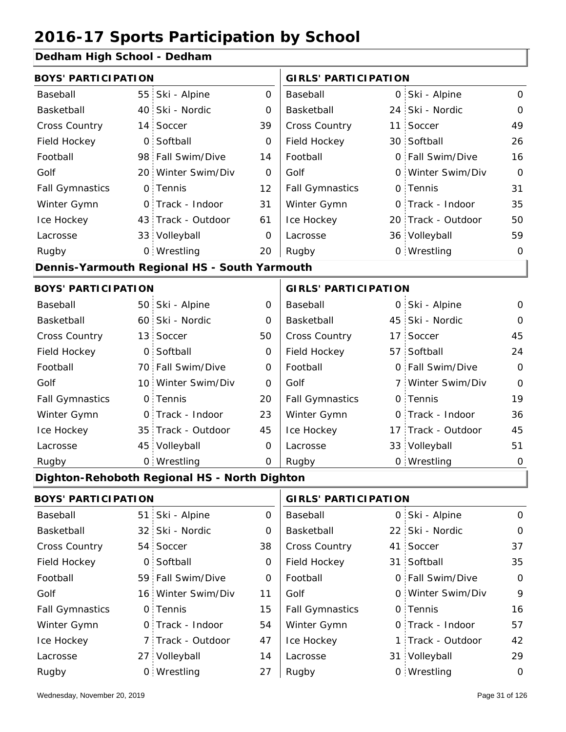#### **Dedham High School - Dedham**

| <b>BOYS' PARTICIPATION</b> |                 |                                              |                     | <b>GIRLS' PARTICIPATION</b> |                    |              |
|----------------------------|-----------------|----------------------------------------------|---------------------|-----------------------------|--------------------|--------------|
| Baseball                   | 55 <sub>1</sub> | Ski - Alpine                                 | $\mathsf{O}$        | Baseball                    | 0 Ski - Alpine     | $\mathsf{O}$ |
| Basketball                 |                 | 40 Ski - Nordic                              | 0                   | Basketball                  | 24 Ski - Nordic    | $\mathbf 0$  |
| <b>Cross Country</b>       | 14              | Soccer                                       | 39                  | <b>Cross Country</b>        | 11 Soccer          | 49           |
| Field Hockey               | $\mathsf{O}$    | Softball                                     | 0                   | Field Hockey                | 30 Softball        | 26           |
| Football                   |                 | 98 Fall Swim/Dive                            | 14                  | Football                    | 0 Fall Swim/Dive   | 16           |
| Golf                       |                 | 20 Winter Swim/Div                           | $\Omega$            | Golf                        | 0 Winter Swim/Div  | $\Omega$     |
| <b>Fall Gymnastics</b>     | $\mathsf{O}$    | Tennis                                       | 12                  | <b>Fall Gymnastics</b>      | 0 Tennis           | 31           |
| Winter Gymn                |                 | O Track - Indoor                             | 31                  | Winter Gymn                 | O Track - Indoor   | 35           |
| Ice Hockey                 |                 | 43 Track - Outdoor                           | 61                  | Ice Hockey                  | 20 Track - Outdoor | 50           |
| Lacrosse                   |                 | 33 Volleyball                                | 0                   | Lacrosse                    | 36 Volleyball      | 59           |
| Rugby                      |                 | 0 Wrestling                                  | 20                  | Rugby                       | 0 Wrestling        | $\mathbf 0$  |
|                            |                 | Dennis-Yarmouth Regional HS - South Yarmouth |                     |                             |                    |              |
| <b>BOYS' PARTICIPATION</b> |                 |                                              |                     | <b>GIRLS' PARTICIPATION</b> |                    |              |
| Baseball                   |                 | 50 Ski - Alpine                              | $\mathsf{O}\xspace$ | Baseball                    | 0 Ski - Alpine     | $\mathbf{O}$ |
| Basketball                 |                 | 60 Ski - Nordic                              | 0                   | Basketball                  | 45 Ski - Nordic    | $\Omega$     |
| Cross Country              | 13              | Soccer                                       | 50                  | <b>Cross Country</b>        | 17 Soccer          | 45           |
| Field Hockey               | $\overline{0}$  | Softball                                     | $\mathbf 0$         | Field Hockey                | 57 Softball        | 24           |
| Football                   |                 | 70 Fall Swim/Dive                            | 0                   | Football                    | 0 Fall Swim/Dive   | $\mathbf 0$  |
| Golf                       |                 | 10 Winter Swim/Div                           | $\Omega$            | Golf                        | 7 Winter Swim/Div  | $\Omega$     |
| <b>Fall Gymnastics</b>     | $\mathsf{O}$    | Tennis                                       | 20                  | <b>Fall Gymnastics</b>      | 0 Tennis           | 19           |
| Winter Gymn                | $\mathsf{O}$    | Track - Indoor                               | 23                  | Winter Gymn                 | O Track - Indoor   | 36           |
| Ice Hockey                 |                 | 35 Track - Outdoor                           | 45                  | Ice Hockey                  | 17 Track - Outdoor | 45           |
| Lacrosse                   | 45              | Volleyball                                   | $\mathbf{O}$        | Lacrosse                    | 33 Volleyball      | 51           |
| Rugby                      |                 | 0 Wrestling                                  | $\mathbf 0$         | Rugby                       | 0 Wrestling        | $\mathbf 0$  |
|                            |                 | Dighton-Rehoboth Regional HS - North Dighton |                     |                             |                    |              |
| <b>BOVOL BABTIOLBATION</b> |                 |                                              |                     | $\mathbf{A}$                |                    |              |

|                        | BOYS PARTICIPATION |                    |    | GIRLS PARTICIPATION    |  |                   |               |
|------------------------|--------------------|--------------------|----|------------------------|--|-------------------|---------------|
| Baseball               |                    | 51 Ski - Alpine    | 0  | Baseball               |  | 0 Ski - Alpine    | $\mathcal{O}$ |
| Basketball             |                    | 32 Ski - Nordic    | 0  | Basketball             |  | 22 Ski - Nordic   | $\mathcal{O}$ |
| <b>Cross Country</b>   |                    | 54 Soccer          | 38 | <b>Cross Country</b>   |  | 41 Soccer         | 37            |
| Field Hockey           |                    | 0 Softball         | 0  | Field Hockey           |  | 31 Softball       | 35            |
| Football               |                    | 59 Fall Swim/Dive  | 0  | Football               |  | 0 Fall Swim/Dive  | $\mathsf{O}$  |
| Golf                   |                    | 16 Winter Swim/Div | 11 | Golf                   |  | 0 Winter Swim/Div | 9             |
| <b>Fall Gymnastics</b> |                    | 0 Tennis           | 15 | <b>Fall Gymnastics</b> |  | 0 Tennis          | 16            |
| Winter Gymn            |                    | O Track - Indoor   | 54 | Winter Gymn            |  | O Track - Indoor  | 57            |
| Ice Hockey             |                    | 7 Track - Outdoor  | 47 | Ice Hockey             |  | 1 Track - Outdoor | 42            |
| Lacrosse               |                    | 27 Volleyball      | 14 | Lacrosse               |  | 31 Volleyball     | 29            |
| Rugby                  |                    | 0 Wrestling        | 27 | Rugby                  |  | 0 Wrestling       | 0             |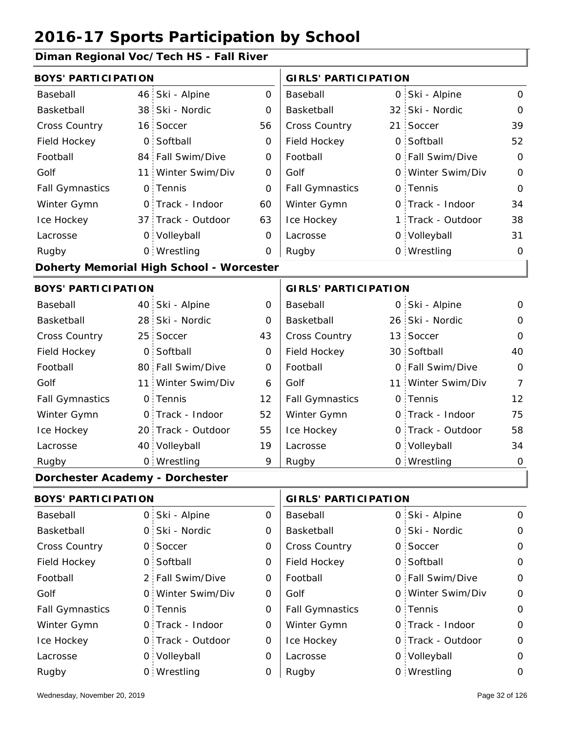#### **Diman Regional Voc/Tech HS - Fall River**

| <b>BOYS' PARTICIPATION</b>      |                                          |             | <b>GIRLS' PARTICIPATION</b> |     |                    |                |  |
|---------------------------------|------------------------------------------|-------------|-----------------------------|-----|--------------------|----------------|--|
| Baseball                        | 46 Ski - Alpine                          | 0           | Baseball                    |     | 0 Ski - Alpine     | $\Omega$       |  |
| Basketball                      | 38 Ski - Nordic                          | O           | Basketball                  |     | 32 Ski - Nordic    | $\Omega$       |  |
| <b>Cross Country</b>            | 16 Soccer                                | 56          | Cross Country               | 21: | Soccer             | 39             |  |
| Field Hockey                    | 0 Softball                               | 0           | Field Hockey                |     | 0 Softball         | 52             |  |
| Football                        | 84 Fall Swim/Dive                        | 0           | Football                    |     | 0 Fall Swim/Dive   | $\mathbf 0$    |  |
| Golf                            | 11 Winter Swim/Div                       | 0           | Golf                        |     | 0 Winter Swim/Div  | $\overline{O}$ |  |
| <b>Fall Gymnastics</b>          | 0 Tennis                                 | 0           | <b>Fall Gymnastics</b>      |     | 0 Tennis           | $\Omega$       |  |
| Winter Gymn                     | O Track - Indoor                         | 60          | Winter Gymn                 |     | 0 Track - Indoor   | 34             |  |
| Ice Hockey                      | 37 Track - Outdoor                       | 63          | Ice Hockey                  |     | 1 Track - Outdoor  | 38             |  |
| Lacrosse                        | 0 Volleyball                             | 0           | Lacrosse                    |     | 0 Volleyball       | 31             |  |
| Rugby                           | 0 Wrestling                              | $\mathbf 0$ | Rugby                       |     | 0 Wrestling        | 0              |  |
|                                 | Doherty Memorial High School - Worcester |             |                             |     |                    |                |  |
| <b>BOYS' PARTICIPATION</b>      |                                          |             | <b>GIRLS' PARTICIPATION</b> |     |                    |                |  |
| Baseball                        | 40 Ski - Alpine                          | 0           | Baseball                    |     | 0 Ski - Alpine     | 0              |  |
| Basketball                      | 28 Ski - Nordic                          | 0           | Basketball                  |     | 26 Ski - Nordic    | 0              |  |
| <b>Cross Country</b>            | 25 Soccer                                | 43          | Cross Country               |     | 13 Soccer          | $\Omega$       |  |
| Field Hockey                    | 0 Softball                               | 0           | Field Hockey                |     | 30 Softball        | 40             |  |
| Football                        | 80 Fall Swim/Dive                        | 0           | Football                    |     | 0 Fall Swim/Dive   | $\overline{O}$ |  |
| Golf                            | 11 Winter Swim/Div                       | 6           | Golf                        |     | 11 Winter Swim/Div | 7              |  |
| <b>Fall Gymnastics</b>          | 0 Tennis                                 | 12          | <b>Fall Gymnastics</b>      |     | 0 Tennis           | 12             |  |
| Winter Gymn                     | O Track - Indoor                         | 52          | Winter Gymn                 |     | 0 Track - Indoor   | 75             |  |
| Ice Hockey                      | 20 Track - Outdoor                       | 55          | Ice Hockey                  |     | 0 Track - Outdoor  | 58             |  |
| Lacrosse                        | 40 Volleyball                            | 19          | Lacrosse                    |     | 0 Volleyball       | 34             |  |
| Rugby                           | 0 Wrestling                              | 9           | Rugby                       |     | 0 Wrestling        | $\mathbf 0$    |  |
| Dorchester Academy - Dorchester |                                          |             |                             |     |                    |                |  |
| <b>BOYS' PARTICIPATION</b>      |                                          |             | <b>GIRLS' PARTICIPATION</b> |     |                    |                |  |
| Baseball                        | 0 Ski - Alpine                           | 0           | Baseball                    |     | 0 Ski - Alpine     | 0              |  |
| Basketball                      | 0 Ski - Nordic                           | 0           | Basketball                  |     | 0 Ski - Nordic     | 0              |  |
| <b>Cross Country</b>            | 0 Soccer                                 | 0           | Cross Country               |     | 0 Soccer           | 0              |  |
| Field Hockey                    | 0 Softball                               | 0           | Field Hockey                |     | 0 Softball         | 0              |  |
| Football                        | 2 Fall Swim/Dive                         | 0           | Football                    |     | 0 Fall Swim/Dive   | 0              |  |
| Golf                            | 0 Winter Swim/Div                        | 0           | Golf                        |     | 0 Winter Swim/Div  | 0              |  |
| <b>Fall Gymnastics</b>          | 0 Tennis                                 | $\mathbf 0$ | <b>Fall Gymnastics</b>      |     | 0 Tennis           | 0              |  |
| Winter Gymn                     | 0 Track - Indoor                         | 0           | Winter Gymn                 |     | O Track - Indoor   | 0              |  |
| Ice Hockey                      | 0 Track - Outdoor                        | 0           | Ice Hockey                  |     | 0 Track - Outdoor  | 0              |  |
| Lacrosse                        | 0 Volleyball                             | 0           | Lacrosse                    |     | 0 Volleyball       | 0              |  |
| Rugby                           | 0 Wrestling                              | 0           | Rugby                       |     | 0 Wrestling        | 0              |  |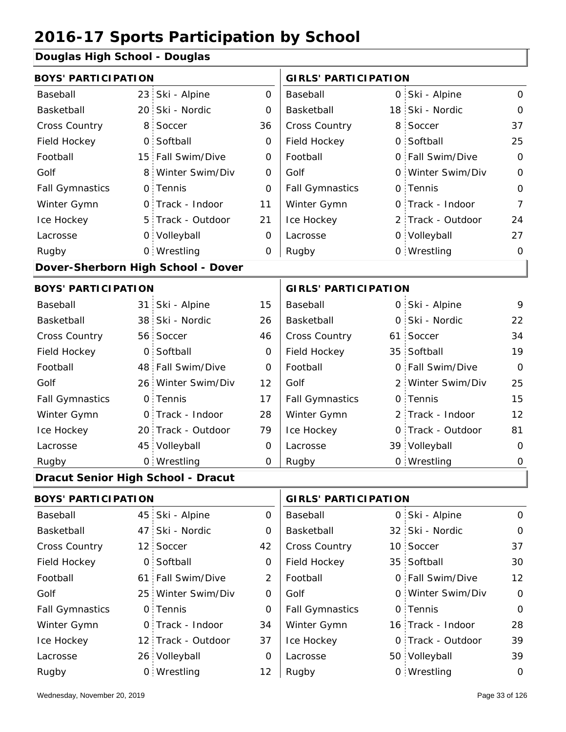#### **Douglas High School - Douglas**

| <b>BOYS' PARTICIPATION</b>         |                |                                    |                             | <b>GIRLS' PARTICIPATION</b> |  |                   |                |
|------------------------------------|----------------|------------------------------------|-----------------------------|-----------------------------|--|-------------------|----------------|
| Baseball                           |                | 23 Ski - Alpine                    | $\mathbf 0$                 | Baseball                    |  | 0 Ski - Alpine    | $\mathbf 0$    |
| Basketball                         |                | 20 Ski - Nordic                    | 0                           | Basketball                  |  | 18 Ski - Nordic   | $\mathbf 0$    |
| Cross Country                      |                | 8 Soccer                           | 36                          | Cross Country               |  | 8 Soccer          | 37             |
| Field Hockey                       | $\overline{O}$ | Softball                           | $\mathbf 0$                 | Field Hockey                |  | 0 Softball        | 25             |
| Football                           |                | 15 Fall Swim/Dive                  | 0                           | Football                    |  | 0 Fall Swim/Dive  | $\mathbf 0$    |
| Golf                               |                | 8 Winter Swim/Div                  | 0                           | Golf                        |  | 0 Winter Swim/Div | $\mathbf 0$    |
| <b>Fall Gymnastics</b>             |                | 0 Tennis                           | $\mathbf 0$                 | <b>Fall Gymnastics</b>      |  | 0 Tennis          | $\mathbf 0$    |
| Winter Gymn                        |                | O Track - Indoor                   | 11                          | Winter Gymn                 |  | O Track - Indoor  | $\overline{7}$ |
| Ice Hockey                         |                | 5 Track - Outdoor                  | 21                          | Ice Hockey                  |  | 2 Track - Outdoor | 24             |
| Lacrosse                           |                | 0 Volleyball                       | $\mathbf 0$                 | Lacrosse                    |  | 0 Volleyball      | 27             |
| Rugby                              |                | 0 Wrestling                        | 0                           | Rugby                       |  | 0 Wrestling       | $\mathbf 0$    |
|                                    |                | Dover-Sherborn High School - Dover |                             |                             |  |                   |                |
| <b>BOYS' PARTICIPATION</b>         |                |                                    | <b>GIRLS' PARTICIPATION</b> |                             |  |                   |                |
| Baseball                           |                | 31 Ski - Alpine                    | 15                          | Baseball                    |  | 0 Ski - Alpine    | 9              |
| Basketball                         |                | 38 Ski - Nordic                    | 26                          | Basketball                  |  | 0 Ski - Nordic    | 22             |
| Cross Country                      |                | 56 Soccer                          | 46                          | Cross Country               |  | 61 Soccer         | 34             |
| Field Hockey                       | $\overline{O}$ | Softball                           | $\mathbf 0$                 | Field Hockey                |  | 35 Softball       | 19             |
| Football                           |                | 48 Fall Swim/Dive                  | 0                           | Football                    |  | 0 Fall Swim/Dive  | $\Omega$       |
| Golf                               |                | 26 Winter Swim/Div                 | 12                          | Golf                        |  | 2 Winter Swim/Div | 25             |
| <b>Fall Gymnastics</b>             |                | 0 Tennis                           | 17                          | <b>Fall Gymnastics</b>      |  | 0 Tennis          | 15             |
| Winter Gymn                        |                | O Track - Indoor                   | 28                          | Winter Gymn                 |  | 2 Track - Indoor  | 12             |
| Ice Hockey                         |                | 20 Track - Outdoor                 | 79                          | Ice Hockey                  |  | 0 Track - Outdoor | 81             |
| Lacrosse                           |                | 45 Volleyball                      | 0                           | Lacrosse                    |  | 39 Volleyball     | 0              |
| Rugby                              |                | 0 Wrestling                        | 0                           | Rugby                       |  | 0 Wrestling       | $\mathbf 0$    |
| Dracut Senior High School - Dracut |                |                                    |                             |                             |  |                   |                |
| <b>BOYS' PARTICIPATION</b>         |                |                                    |                             | <b>GIRLS' PARTICIPATION</b> |  |                   |                |
| Baseball                           |                | 45 Ski - Alpine                    | 0                           | Baseball                    |  | 0 Ski - Alpine    | $\mathbf 0$    |
| Basketball                         | 47             | Ski - Nordic                       | 0                           | Basketball                  |  | 32 Ski - Nordic   | $\mathbf 0$    |
| Cross Country                      |                | 12 Soccer                          | 42                          | Cross Country               |  | 10 Soccer         | 37             |
| Eiold Hockov                       |                | $O$ $C$ $O$ ftholl                 | $\cap$                      | Field Hockey                |  | $2F$ Coftholl     | $20^{\circ}$   |

| <b>Cross Country</b>   | 12 Soccer          | 42 | <b>Cross Country</b>   | 10 Soccer         | 37       |
|------------------------|--------------------|----|------------------------|-------------------|----------|
| Field Hockey           | 0 Softball         | 0  | Field Hockey           | 35 Softball       | 30       |
| Football               | 61 Fall Swim/Dive  | 2  | Football               | 0 Fall Swim/Dive  | 12       |
| Golf                   | 25 Winter Swim/Div | Ω  | Golf                   | 0 Winter Swim/Div | $\Omega$ |
| <b>Fall Gymnastics</b> | 0 Tennis           | 0  | <b>Fall Gymnastics</b> | 0 Tennis          | $\Omega$ |
| Winter Gymn            | O Track - Indoor   | 34 | Winter Gymn            | 16 Track - Indoor | 28       |
| Ice Hockey             | 12 Track - Outdoor | 37 | Ice Hockey             | 0 Track - Outdoor | 39       |
| Lacrosse               | 26 Volleyball      | O  | Lacrosse               | 50 Volleyball     | 39       |
| Rugby                  | 0 Wrestling        | 12 | Rugby                  | 0 Wrestling       | $\circ$  |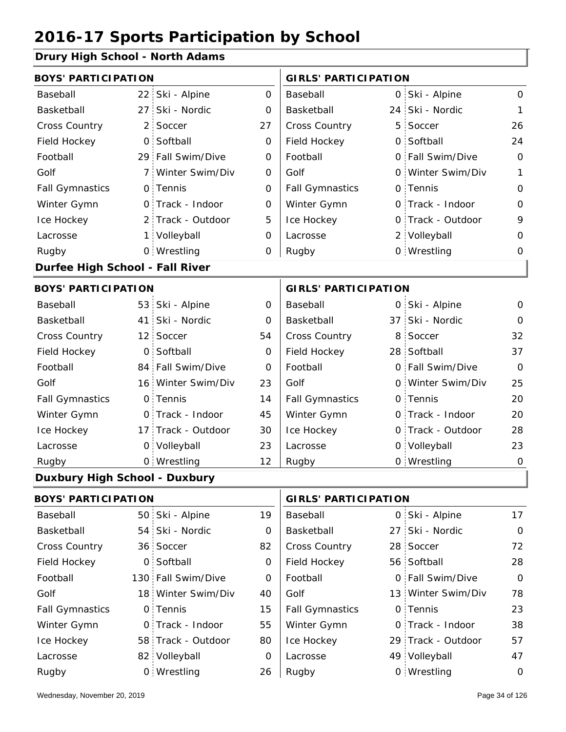#### **Drury High School - North Adams**

| <b>BOYS' PARTICIPATION</b>           |                 |                    |              | <b>GIRLS' PARTICIPATION</b> |      |                   |                |
|--------------------------------------|-----------------|--------------------|--------------|-----------------------------|------|-------------------|----------------|
| Baseball                             | 22 <sub>1</sub> | Ski - Alpine       | $\mathbf{O}$ | Baseball                    | O    | Ski - Alpine      | $\mathbf{O}$   |
| Basketball                           | 27 <sup>1</sup> | Ski - Nordic       | 0            | Basketball                  | 24 : | Ski - Nordic      | 1              |
| Cross Country                        | 2 :             | Soccer             | 27           | Cross Country               | 5    | Soccer            | 26             |
| Field Hockey                         | $\mathsf{O}$    | Softball           | $\mathbf 0$  | Field Hockey                | 0    | Softball          | 24             |
| Football                             |                 | 29 Fall Swim/Dive  | 0            | Football                    |      | 0 Fall Swim/Dive  | $\Omega$       |
| Golf                                 | 7 :             | Winter Swim/Div    | 0            | Golf                        |      | 0 Winter Swim/Div | 1              |
| <b>Fall Gymnastics</b>               |                 | 0 Tennis           | $\Omega$     | <b>Fall Gymnastics</b>      |      | 0 Tennis          | O              |
| Winter Gymn                          |                 | 0 Track - Indoor   | $\mathbf 0$  | Winter Gymn                 |      | O Track - Indoor  | $\mathbf 0$    |
| Ice Hockey                           | $2^+$           | Track - Outdoor    | 5            | Ice Hockey                  | 0    | Track - Outdoor   | 9              |
| Lacrosse                             | 1 :             | Volleyball         | 0            | Lacrosse                    |      | 2 Volleyball      | $\mathbf 0$    |
| Rugby                                |                 | 0 Wrestling        | 0            | Rugby                       |      | 0 Wrestling       | 0              |
| Durfee High School - Fall River      |                 |                    |              |                             |      |                   |                |
| <b>BOYS' PARTICIPATION</b>           |                 |                    |              | <b>GIRLS' PARTICIPATION</b> |      |                   |                |
| Baseball                             |                 | 53 Ski - Alpine    | 0            | Baseball                    |      | 0 Ski - Alpine    | 0              |
| Basketball                           | 41 :            | Ski - Nordic       | 0            | Basketball                  | 37 : | Ski - Nordic      | O              |
| Cross Country                        |                 | 12 Soccer          | 54           | Cross Country               | 8    | Soccer            | 32             |
| Field Hockey                         | $\mathsf{O}$    | Softball           | 0            | Field Hockey                |      | 28 Softball       | 37             |
| Football                             |                 | 84 Fall Swim/Dive  | $\mathbf 0$  | Football                    |      | 0 Fall Swim/Dive  | $\overline{O}$ |
| Golf                                 |                 | 16 Winter Swim/Div | 23           | Golf                        |      | 0 Winter Swim/Div | 25             |
| <b>Fall Gymnastics</b>               |                 | 0 Tennis           | 14           | <b>Fall Gymnastics</b>      |      | 0 Tennis          | 20             |
| Winter Gymn                          |                 | O Track - Indoor   | 45           | Winter Gymn                 |      | 0 Track - Indoor  | 20             |
| Ice Hockey                           |                 | 17 Track - Outdoor | 30           | Ice Hockey                  | O.   | Track - Outdoor   | 28             |
| Lacrosse                             |                 | 0 Volleyball       | 23           | Lacrosse                    |      | 0 Volleyball      | 23             |
| Rugby                                |                 | 0 Wrestling        | 12           | Rugby                       |      | 0 Wrestling       | 0              |
| <b>Duxbury High School - Duxbury</b> |                 |                    |              |                             |      |                   |                |
| <b>BOYS' PARTICIPATION</b>           |                 |                    |              | <b>GIRLS' PARTICIPATION</b> |      |                   |                |
|                                      |                 |                    |              |                             |      |                   |                |

| Baseball               | 50 Ski - Alpine    | 19 | Baseball               | 0 Ski - Alpine     | 17          |
|------------------------|--------------------|----|------------------------|--------------------|-------------|
| Basketball             | 54 Ski - Nordic    | 0  | Basketball             | 27 Ski - Nordic    | $\Omega$    |
| <b>Cross Country</b>   | 36 Soccer          | 82 | <b>Cross Country</b>   | 28 Soccer          | 72          |
| Field Hockey           | 0 Softball         | 0  | Field Hockey           | 56 Softball        | 28          |
| Football               | 130 Fall Swim/Dive | 0  | Football               | 0 Fall Swim/Dive   | $\Omega$    |
| Golf                   | 18 Winter Swim/Div | 40 | Golf                   | 13 Winter Swim/Div | 78          |
| <b>Fall Gymnastics</b> | 0 Tennis           | 15 | <b>Fall Gymnastics</b> | 0 Tennis           | 23          |
| Winter Gymn            | 0 Track - Indoor   | 55 | Winter Gymn            | 0 Track - Indoor   | 38          |
| Ice Hockey             | 58 Track - Outdoor | 80 | Ice Hockey             | 29 Track - Outdoor | 57          |
| Lacrosse               | 82 Volleyball      | 0  | Lacrosse               | 49 Volleyball      | 47          |
| Rugby                  | 0 Wrestling        | 26 | Rugby                  | 0 Wrestling        | $\mathbf 0$ |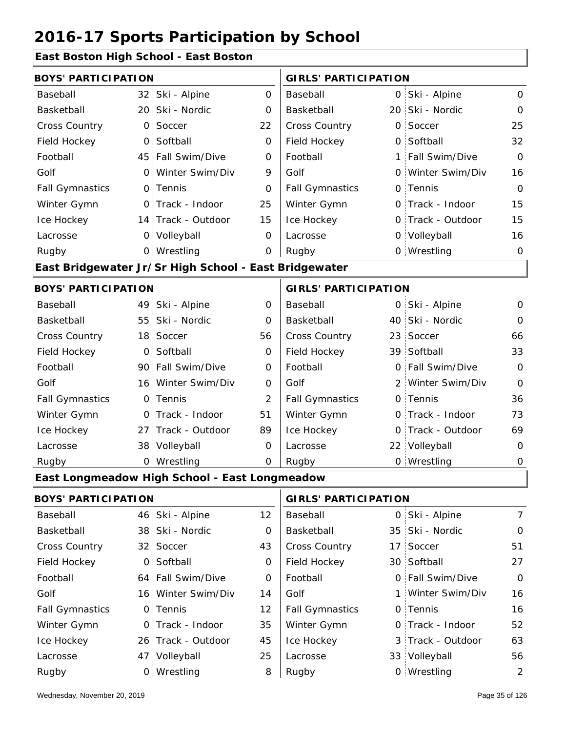#### **East Boston High School - East Boston**

| <b>BOYS' PARTICIPATION</b> |                 |                                                       |                | <b>GIRLS' PARTICIPATION</b> |   |                   |                |  |
|----------------------------|-----------------|-------------------------------------------------------|----------------|-----------------------------|---|-------------------|----------------|--|
| Baseball                   | 32 <sub>1</sub> | Ski - Alpine                                          | 0              | Baseball                    | 0 | Ski - Alpine      | $\mathbf{O}$   |  |
| Basketball                 |                 | 20 Ski - Nordic                                       | 0              | Basketball                  |   | 20 Ski - Nordic   | $\Omega$       |  |
| Cross Country              | $\overline{O}$  | Soccer                                                | 22             | Cross Country               | 0 | Soccer            | 25             |  |
| Field Hockey               | $\overline{O}$  | Softball                                              | 0              | Field Hockey                | 0 | Softball          | 32             |  |
| Football                   |                 | 45 Fall Swim/Dive                                     | 0              | Football                    |   | 1 Fall Swim/Dive  | $\mathbf 0$    |  |
| Golf                       | $\mathsf{O}$    | Winter Swim/Div                                       | 9              | Golf                        |   | 0 Winter Swim/Div | 16             |  |
| <b>Fall Gymnastics</b>     |                 | 0 Tennis                                              | O              | <b>Fall Gymnastics</b>      |   | 0 Tennis          | $\overline{O}$ |  |
| Winter Gymn                |                 | O Track - Indoor                                      | 25             | Winter Gymn                 |   | O Track - Indoor  | 15             |  |
| Ice Hockey                 |                 | 14 Track - Outdoor                                    | 15             | Ice Hockey                  |   | 0 Track - Outdoor | 15             |  |
| Lacrosse                   |                 | 0 Volleyball                                          | 0              | Lacrosse                    |   | 0 Volleyball      | 16             |  |
| Rugby                      |                 | 0 Wrestling                                           | 0              | Rugby                       |   | 0 Wrestling       | $\mathbf 0$    |  |
|                            |                 | East Bridgewater Jr/Sr High School - East Bridgewater |                |                             |   |                   |                |  |
| <b>BOYS' PARTICIPATION</b> |                 |                                                       |                | <b>GIRLS' PARTICIPATION</b> |   |                   |                |  |
| Baseball                   | 49              | Ski - Alpine                                          | 0              | Baseball                    | 0 | Ski - Alpine      | 0              |  |
| Basketball                 | 55              | Ski - Nordic                                          | 0              | Basketball                  |   | 40 Ski - Nordic   | $\Omega$       |  |
| Cross Country              | 18 <sup>1</sup> | Soccer                                                | 56             | Cross Country               |   | 23 Soccer         | 66             |  |
| Field Hockey               | $\mathsf{O}$    | Softball                                              | 0              | Field Hockey                |   | 39 Softball       | 33             |  |
| Football                   |                 | 90 Fall Swim/Dive                                     | 0              | Football                    |   | 0 Fall Swim/Dive  | $\mathbf 0$    |  |
| Golf                       |                 | 16 Winter Swim/Div                                    | O              | Golf                        |   | 2 Winter Swim/Div | $\overline{O}$ |  |
| <b>Fall Gymnastics</b>     |                 | 0 Tennis                                              | $\overline{2}$ | <b>Fall Gymnastics</b>      |   | 0 Tennis          | 36             |  |
| Winter Gymn                |                 | O Track - Indoor                                      | 51             | Winter Gymn                 |   | O Track - Indoor  | 73             |  |
| Ice Hockey                 |                 | 27 Track - Outdoor                                    | 89             | Ice Hockey                  | 0 | Track - Outdoor   | 69             |  |
| Lacrosse                   |                 | 38 Volleyball                                         | 0              | Lacrosse                    |   | 22 Volleyball     | $\mathbf 0$    |  |
| Rugby                      |                 | 0 Wrestling                                           | 0              | Rugby                       |   | 0 Wrestling       | $\mathbf 0$    |  |
|                            |                 | East Longmeadow High School - East Longmeadow         |                |                             |   |                   |                |  |
| <b>BOYS' PARTICIPATION</b> |                 |                                                       |                | <b>GIRLS' PARTICIPATION</b> |   |                   |                |  |
| Baseball                   |                 | 46 Ski - Alpine                                       | 12             | Baseball                    |   | 0 Ski - Alpine    | $\overline{7}$ |  |
| Basketball                 |                 | 38 Ski - Nordic                                       | 0              | Basketball                  |   | 35 Ski - Nordic   | 0              |  |
| Cross Country              |                 | 32 Soccer                                             | 43             | Cross Country               |   | 17 Soccer         | 51             |  |
| Field Hockey               |                 | 0 Softball                                            | 0              | Field Hockey                |   | 30 Softball       | 27             |  |
| Football                   |                 | 64 Fall Swim/Dive                                     | 0              | Football                    |   | 0 Fall Swim/Dive  | $\mathbf 0$    |  |

16 Winter Swim/Div 14 | Golf 1 0 0 Fall Gymnastics

Golf

Winter Gymn Ice Hockey Lacrosse

12

35

45

25

8

26 Track - Outdoor

Wrestling Rugby 0 Rugby 0

0 Track - Indoor

47 Volleyball

0 Tennis

Golf

Fall Gymnastics

Winter Gymn

Ice Hockey Lacrosse

16

16

52

63

0 Track - Indoor

0 Tennis

3 Track - Outdoor

Winter Swim/Div

33 Volleyball 56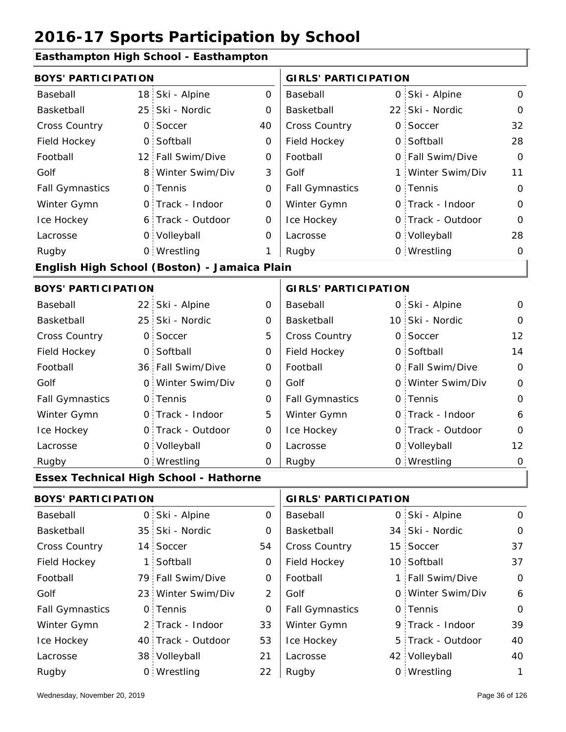#### **Easthampton High School - Easthampton**

| <b>BOYS' PARTICIPATION</b> |                 |                                               |                | <b>GIRLS' PARTICIPATION</b> |  |                   |                |  |
|----------------------------|-----------------|-----------------------------------------------|----------------|-----------------------------|--|-------------------|----------------|--|
| Baseball                   | 18 <sup>1</sup> | Ski - Alpine                                  | $\overline{O}$ | Baseball                    |  | 0 Ski - Alpine    | $\mathbf{O}$   |  |
| Basketball                 | 25 <sup>1</sup> | Ski - Nordic                                  | 0              | Basketball                  |  | 22 Ski - Nordic   | $\mathbf 0$    |  |
| Cross Country              | 0               | Soccer                                        | 40             | Cross Country               |  | 0 Soccer          | 32             |  |
| Field Hockey               | $\mathbf 0$     | Softball                                      | 0              | Field Hockey                |  | 0 Softball        | 28             |  |
| Football                   | 12 <sub>1</sub> | Fall Swim/Dive                                | 0              | Football                    |  | 0 Fall Swim/Dive  | $\Omega$       |  |
| Golf                       | 8               | Winter Swim/Div                               | 3              | Golf                        |  | 1 Winter Swim/Div | 11             |  |
| <b>Fall Gymnastics</b>     | $\mathsf{O}$    | Tennis                                        | $\mathbf 0$    | <b>Fall Gymnastics</b>      |  | 0 Tennis          | $\mathbf 0$    |  |
| Winter Gymn                |                 | 0 Track - Indoor                              | $\mathbf 0$    | Winter Gymn                 |  | 0 Track - Indoor  | $\overline{O}$ |  |
| Ice Hockey                 |                 | 6 Track - Outdoor                             | $\mathbf 0$    | Ice Hockey                  |  | 0 Track - Outdoor | $\mathbf 0$    |  |
| Lacrosse                   |                 | 0 Volleyball                                  | O              | Lacrosse                    |  | 0 Volleyball      | 28             |  |
| Rugby                      |                 | 0 Wrestling                                   | 1              | Rugby                       |  | 0 Wrestling       | $\mathbf 0$    |  |
|                            |                 | English High School (Boston) - Jamaica Plain  |                |                             |  |                   |                |  |
| <b>BOYS' PARTICIPATION</b> |                 |                                               |                | <b>GIRLS' PARTICIPATION</b> |  |                   |                |  |
| Baseball                   | 22 <sub>1</sub> | Ski - Alpine                                  | $\mathbf 0$    | Baseball                    |  | 0 Ski - Alpine    | $\mathbf 0$    |  |
| Basketball                 | 25 <sup>1</sup> | Ski - Nordic                                  | 0              | Basketball                  |  | 10 Ski - Nordic   | $\mathbf 0$    |  |
| <b>Cross Country</b>       | $\mathsf{O}$    | Soccer                                        | 5              | Cross Country               |  | 0 Soccer          | 12             |  |
| Field Hockey               | $\overline{O}$  | Softball                                      | 0              | Field Hockey                |  | 0 Softball        | 14             |  |
| Football                   |                 | 36 Fall Swim/Dive                             | 0              | Football                    |  | 0 Fall Swim/Dive  | $\mathbf 0$    |  |
| Golf                       | $\mathsf{O}$    | Winter Swim/Div                               | $\mathbf 0$    | Golf                        |  | 0 Winter Swim/Div | $\mathbf 0$    |  |
| <b>Fall Gymnastics</b>     |                 | 0 Tennis                                      | $\mathbf 0$    | <b>Fall Gymnastics</b>      |  | 0 Tennis          | $\mathbf 0$    |  |
| Winter Gymn                |                 | 0 Track - Indoor                              | 5              | Winter Gymn                 |  | 0 Track - Indoor  | 6              |  |
| Ice Hockey                 |                 | 0 Track - Outdoor                             | $\mathbf 0$    | Ice Hockey                  |  | 0 Track - Outdoor | $\mathbf 0$    |  |
| Lacrosse                   |                 | 0 Volleyball                                  | 0              | Lacrosse                    |  | 0 Volleyball      | 12             |  |
| Rugby                      |                 | 0 Wrestling                                   | $\mathbf 0$    | Rugby                       |  | 0 Wrestling       | $\mathbf 0$    |  |
|                            |                 | <b>Essex Technical High School - Hathorne</b> |                |                             |  |                   |                |  |
| <b>BOYS' PARTICIPATION</b> |                 |                                               |                | <b>GIRLS' PARTICIPATION</b> |  |                   |                |  |
| Baseball                   | 0               | Ski - Alpine                                  | 0              | Baseball                    |  | 0 Ski - Alpine    | $\mathbf 0$    |  |
| Basketball                 |                 | 35 Ski - Nordic                               | 0              | Basketball                  |  | 34 Ski - Nordic   | 0              |  |
| <b>Cross Country</b>       | 14:             | Soccer                                        | 54             | Cross Country               |  | 15 Soccer         | 37             |  |
| Field Hockey               | $\mathbf 1$     | Softball                                      | 0              | Field Hockey                |  | 10 Softball       | 37             |  |
| Football                   |                 | 79 Fall Swim/Dive                             | 0              | Football                    |  | 1 Fall Swim/Dive  | $\mathbf 0$    |  |
| Golf                       |                 | 23 Winter Swim/Div                            | $\overline{2}$ | Golf                        |  | 0 Winter Swim/Div | 6              |  |
| <b>Fall Gymnastics</b>     |                 | 0 Tennis                                      | 0              | <b>Fall Gymnastics</b>      |  | 0 Tennis          | $\mathbf 0$    |  |
| Winter Gymn                |                 | 2 Track - Indoor                              | 33             | Winter Gymn                 |  | 9 Track - Indoor  | 39             |  |
| Ice Hockey                 |                 | 40 Track - Outdoor                            | 53             | Ice Hockey                  |  | 5 Track - Outdoor | 40             |  |
| Lacrosse                   |                 | 38 Volleyball                                 | 21             | Lacrosse                    |  | 42 Volleyball     | 40             |  |

22 Rugby 0 Rugby 0

Wrestling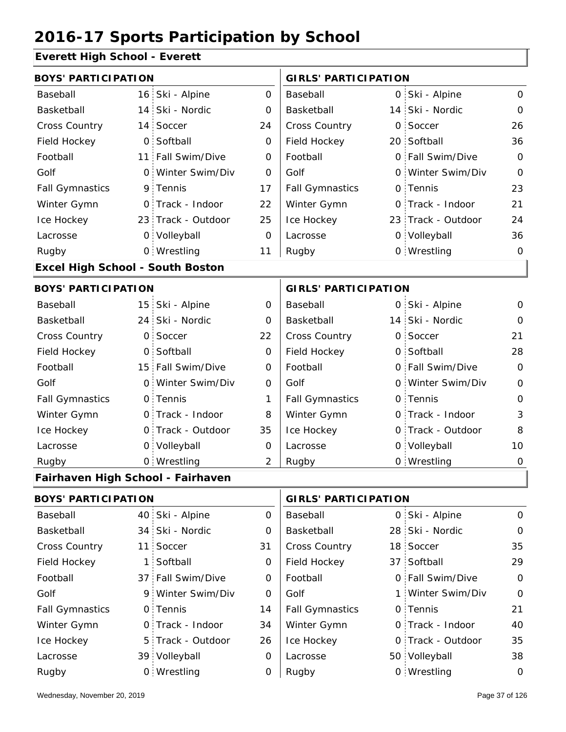### **Everett High School - Everett**

| <b>BOYS' PARTICIPATION</b>              |              |                    |                | <b>GIRLS' PARTICIPATION</b> |  |                    |                |
|-----------------------------------------|--------------|--------------------|----------------|-----------------------------|--|--------------------|----------------|
| Baseball                                |              | 16 Ski - Alpine    | $\overline{O}$ | Baseball                    |  | 0 Ski - Alpine     | $\Omega$       |
| Basketball                              |              | 14 Ski - Nordic    | $\Omega$       | Basketball                  |  | 14 Ski - Nordic    | 0              |
| Cross Country                           |              | 14 Soccer          | 24             | Cross Country               |  | 0 Soccer           | 26             |
| Field Hockey                            |              | 0 Softball         | 0              | Field Hockey                |  | 20 Softball        | 36             |
| Football                                |              | 11 Fall Swim/Dive  | $\overline{O}$ | Football                    |  | 0 Fall Swim/Dive   | $\mathbf 0$    |
| Golf                                    |              | 0 Winter Swim/Div  | 0              | Golf                        |  | 0 Winter Swim/Div  | $\Omega$       |
| <b>Fall Gymnastics</b>                  |              | 9 Tennis           | 17             | <b>Fall Gymnastics</b>      |  | 0 Tennis           | 23             |
| Winter Gymn                             |              | O Track - Indoor   | 22             | Winter Gymn                 |  | O Track - Indoor   | 21             |
| Ice Hockey                              |              | 23 Track - Outdoor | 25             | Ice Hockey                  |  | 23 Track - Outdoor | 24             |
| Lacrosse                                |              | 0 Volleyball       | $\mathbf 0$    | Lacrosse                    |  | 0 Volleyball       | 36             |
| Rugby                                   |              | 0 Wrestling        | 11             | Rugby                       |  | 0 Wrestling        | $\Omega$       |
| <b>Excel High School - South Boston</b> |              |                    |                |                             |  |                    |                |
| <b>BOYS' PARTICIPATION</b>              |              |                    |                | <b>GIRLS' PARTICIPATION</b> |  |                    |                |
| Baseball                                |              | 15 Ski - Alpine    | 0              | Baseball                    |  | 0 Ski - Alpine     | 0              |
| Basketball                              |              | 24 Ski - Nordic    | 0              | Basketball                  |  | 14 Ski - Nordic    | 0              |
| Cross Country                           | $\mathsf{O}$ | Soccer             | 22             | Cross Country               |  | 0 Soccer           | 21             |
| Field Hockey                            |              | 0 Softball         | $\overline{O}$ | Field Hockey                |  | 0 Softball         | 28             |
| Football                                |              | 15 Fall Swim/Dive  | 0              | Football                    |  | 0 Fall Swim/Dive   | $\overline{O}$ |
| Golf                                    |              | 0 Winter Swim/Div  | $\overline{0}$ | Golf                        |  | 0 Winter Swim/Div  | $\overline{O}$ |
| <b>Fall Gymnastics</b>                  |              | 0 Tennis           | 1              | <b>Fall Gymnastics</b>      |  | 0 Tennis           | $\mathbf 0$    |
| Winter Gymn                             |              | O Track - Indoor   | 8              | Winter Gymn                 |  | O Track - Indoor   | 3              |
| Ice Hockey                              |              | 0 Track - Outdoor  | 35             | Ice Hockey                  |  | 0 Track - Outdoor  | 8              |
| Lacrosse                                |              | 0 Volleyball       | 0              | Lacrosse                    |  | 0 Volleyball       | 10             |
| Rugby                                   |              | 0 Wrestling        | 2              | Rugby                       |  | 0 Wrestling        | 0              |
| Fairhaven High School - Fairhaven       |              |                    |                |                             |  |                    |                |
| <b>BOYS' PARTICIPATION</b>              |              |                    |                | <b>GIRLS' PARTICIPATION</b> |  |                    |                |

| Baseball               | 40 Ski - Alpine   | 0  | Baseball               | 0 Ski - Alpine    | $\Omega$ |
|------------------------|-------------------|----|------------------------|-------------------|----------|
| Basketball             | 34 Ski - Nordic   | 0  | Basketball             | 28 Ski - Nordic   | $\Omega$ |
| <b>Cross Country</b>   | 11 Soccer         | 31 | <b>Cross Country</b>   | 18 Soccer         | 35       |
| Field Hockey           | 1 Softball        | 0  | Field Hockey           | 37 Softball       | 29       |
| Football               | 37 Fall Swim/Dive | 0  | Football               | 0 Fall Swim/Dive  | $\Omega$ |
| Golf                   | 9 Winter Swim/Div | 0  | Golf                   | 1 Winter Swim/Div | $\Omega$ |
| <b>Fall Gymnastics</b> | 0 Tennis          | 14 | <b>Fall Gymnastics</b> | 0 Tennis          | 21       |
| Winter Gymn            | O Track - Indoor  | 34 | Winter Gymn            | 0 Track - Indoor  | 40       |
| Ice Hockey             | 5 Track - Outdoor | 26 | Ice Hockey             | 0 Track - Outdoor | 35       |
| Lacrosse               | 39 Volleyball     | 0  | Lacrosse               | 50 Volleyball     | 38       |
| Rugby                  | 0 Wrestling       | 0  | Rugby                  | 0 Wrestling       | 0        |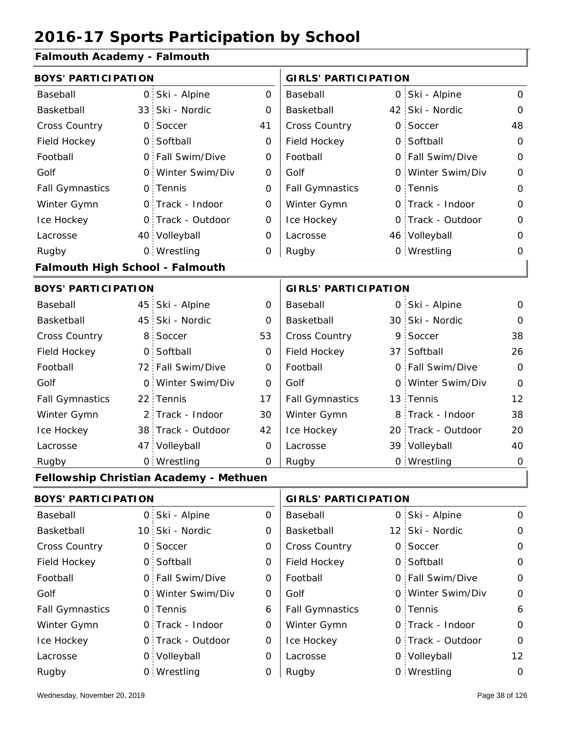#### **Falmouth Academy - Falmouth**

|                                        | <b>BOYS' PARTICIPATION</b> |                                               |             |                             | <b>GIRLS' PARTICIPATION</b> |                    |             |  |
|----------------------------------------|----------------------------|-----------------------------------------------|-------------|-----------------------------|-----------------------------|--------------------|-------------|--|
| Baseball                               |                            | 0 Ski - Alpine                                | 0           | Baseball                    |                             | 0 Ski - Alpine     | $\mathbf 0$ |  |
| Basketball                             |                            | 33 Ski - Nordic                               | 0           | Basketball                  |                             | 42 Ski - Nordic    | $\mathbf 0$ |  |
| <b>Cross Country</b>                   | $\mathsf{O}$               | Soccer                                        | 41          | Cross Country               | 0                           | Soccer             | 48          |  |
| Field Hockey                           | $\mathsf{O}$               | Softball                                      | 0           | Field Hockey                |                             | 0 Softball         | $\mathbf 0$ |  |
| Football                               |                            | 0 Fall Swim/Dive                              | $\mathbf 0$ | Football                    |                             | 0 Fall Swim/Dive   | $\mathbf 0$ |  |
| Golf                                   |                            | 0 Winter Swim/Div                             | 0           | Golf                        |                             | 0 Winter Swim/Div  | $\mathbf 0$ |  |
| <b>Fall Gymnastics</b>                 |                            | 0 Tennis                                      | 0           | <b>Fall Gymnastics</b>      |                             | 0 Tennis           | 0           |  |
| Winter Gymn                            |                            | O Track - Indoor                              | $\mathbf 0$ | Winter Gymn                 |                             | 0 Track - Indoor   | $\mathbf 0$ |  |
| Ice Hockey                             |                            | 0 Track - Outdoor                             | 0           | Ice Hockey                  | O                           | Track - Outdoor    | $\mathbf 0$ |  |
| Lacrosse                               |                            | 40 Volleyball                                 | 0           | Lacrosse                    |                             | 46 Volleyball      | 0           |  |
| Rugby                                  |                            | 0 Wrestling                                   | 0           | Rugby                       |                             | 0 Wrestling        | $\mathbf 0$ |  |
| <b>Falmouth High School - Falmouth</b> |                            |                                               |             |                             |                             |                    |             |  |
| <b>BOYS' PARTICIPATION</b>             |                            |                                               |             | <b>GIRLS' PARTICIPATION</b> |                             |                    |             |  |
| Baseball                               |                            | 45 Ski - Alpine                               | 0           | Baseball                    |                             | 0 Ski - Alpine     | 0           |  |
| Basketball                             |                            | 45 Ski - Nordic                               | 0           | Basketball                  |                             | 30 Ski - Nordic    | $\Omega$    |  |
| <b>Cross Country</b>                   | 8 <sup>1</sup>             | Soccer                                        | 53          | Cross Country               |                             | 9 Soccer           | 38          |  |
| Field Hockey                           | $\overline{O}$             | Softball                                      | $\mathbf 0$ | Field Hockey                |                             | 37 Softball        | 26          |  |
| Football                               |                            | 72 Fall Swim/Dive                             | $\mathbf 0$ | Football                    | O                           | Fall Swim/Dive     | $\mathbf 0$ |  |
| Golf                                   | $\mathsf{O}$               | Winter Swim/Div                               | 0           | Golf                        | 0                           | Winter Swim/Div    | $\mathbf 0$ |  |
| <b>Fall Gymnastics</b>                 |                            | 22 Tennis                                     | 17          | <b>Fall Gymnastics</b>      |                             | 13 Tennis          | 12          |  |
| Winter Gymn                            |                            | 2 Track - Indoor                              | 30          | Winter Gymn                 | 8                           | Track - Indoor     | 38          |  |
| Ice Hockey                             |                            | 38 Track - Outdoor                            | 42          | Ice Hockey                  |                             | 20 Track - Outdoor | 20          |  |
| Lacrosse                               |                            | 47 Volleyball                                 | $\mathbf 0$ | Lacrosse                    |                             | 39 Volleyball      | 40          |  |
| Rugby                                  |                            | 0 Wrestling                                   | 0           | Rugby                       |                             | 0 Wrestling        | $\mathbf 0$ |  |
|                                        |                            | <b>Fellowship Christian Academy - Methuen</b> |             |                             |                             |                    |             |  |
| <b>BOYS' PARTICIPATION</b>             |                            |                                               |             | <b>GIRLS' PARTICIPATION</b> |                             |                    |             |  |
| Baseball                               |                            | 0 Ski - Alpine                                | 0           | Baseball                    |                             | 0 Ski - Alpine     | 0           |  |
| Basketball                             |                            | 10 Ski - Nordic                               | 0           | Basketball                  |                             | 12 Ski - Nordic    | 0           |  |
| Cross Country                          |                            | 0 Soccer                                      | 0           | Cross Country               |                             | 0 Soccer           | $\mathbf 0$ |  |
| Field Hockey                           |                            | 0 Softball                                    | 0           | Field Hockey                |                             | 0 Softball         | $\mathbf 0$ |  |
| Football                               |                            | 0 Fall Swim/Dive                              | 0           | Football                    |                             | 0 Fall Swim/Dive   | $\mathbf 0$ |  |
| Golf                                   |                            | 0 Winter Swim/Div                             | 0           | Golf                        |                             | 0 Winter Swim/Div  | $\mathbf 0$ |  |
| <b>Fall Gymnastics</b>                 |                            | 0 Tennis                                      | 6           | <b>Fall Gymnastics</b>      |                             | 0 Tennis           | 6           |  |

0

Winter Gymn Ice Hockey Lacrosse

0

0

0

0 Track - Indoor

0 Track - Outdoor

0 Volleyball 12

0 Wrestling 0

0

0

Wednesday, November 20, 2019 **Page 38 of 126** Page 38 of 126

Ice Hockey Lacrosse

Winter Gymn

0 Track - Outdoor

Wrestling Rugby 0 Rugby 0

0 Track - Indoor

0 Volleyball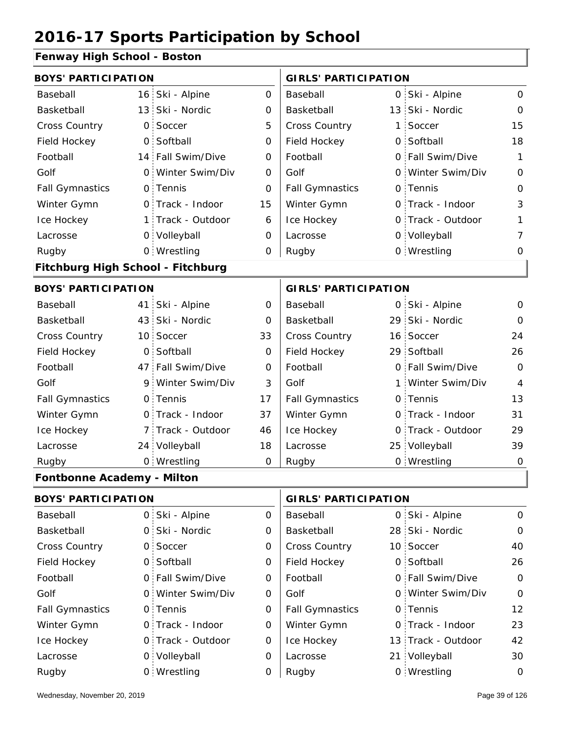### **Fenway High School - Boston**

| <u>ı cılmay Tilgil əchədi - Döstön</u> |                |                   |                             |                             |              |                   |                |
|----------------------------------------|----------------|-------------------|-----------------------------|-----------------------------|--------------|-------------------|----------------|
| <b>BOYS' PARTICIPATION</b>             |                |                   |                             | <b>GIRLS' PARTICIPATION</b> |              |                   |                |
| Baseball                               |                | 16 Ski - Alpine   | 0                           | Baseball                    |              | 0 Ski - Alpine    | 0              |
| Basketball                             |                | 13 Ski - Nordic   | 0                           | Basketball                  |              | 13 Ski - Nordic   | $\Omega$       |
| Cross Country                          | $\overline{O}$ | Soccer            | 5                           | <b>Cross Country</b>        | 1            | Soccer            | 15             |
| Field Hockey                           | $\overline{O}$ | Softball          | $\mathbf 0$                 | Field Hockey                | $\circ$      | Softball          | 18             |
| Football                               |                | 14 Fall Swim/Dive | $\mathbf 0$                 | Football                    |              | 0 Fall Swim/Dive  | $\mathbf{1}$   |
| Golf                                   |                | 0 Winter Swim/Div | 0                           | Golf                        |              | 0 Winter Swim/Div | 0              |
| <b>Fall Gymnastics</b>                 |                | 0 Tennis          | 0                           | <b>Fall Gymnastics</b>      |              | 0 Tennis          | 0              |
| Winter Gymn                            |                | 0 Track - Indoor  | 15                          | Winter Gymn                 |              | O Track - Indoor  | 3              |
| Ice Hockey                             |                | 1 Track - Outdoor | 6                           | Ice Hockey                  |              | 0 Track - Outdoor | 1              |
| Lacrosse                               |                | 0 Volleyball      | 0                           | Lacrosse                    |              | 0 Volleyball      | 7              |
| Rugby                                  |                | 0 Wrestling       | 0                           | Rugby                       |              | 0 Wrestling       | 0              |
| Fitchburg High School - Fitchburg      |                |                   |                             |                             |              |                   |                |
| <b>BOYS' PARTICIPATION</b>             |                |                   | <b>GIRLS' PARTICIPATION</b> |                             |              |                   |                |
| Baseball                               | 41             | Ski - Alpine      | 0                           | Baseball                    | $\mathsf{O}$ | Ski - Alpine      | 0              |
| Basketball                             |                | 43 Ski - Nordic   | O                           | Basketball                  |              | 29 Ski - Nordic   | $\Omega$       |
| Cross Country                          |                | 10 Soccer         | 33                          | Cross Country               |              | 16 Soccer         | 24             |
| Field Hockey                           | $\overline{O}$ | Softball          | $\mathbf 0$                 | Field Hockey                |              | 29 Softball       | 26             |
| Football                               |                | 47 Fall Swim/Dive | $\mathbf 0$                 | Football                    |              | 0 Fall Swim/Dive  | $\overline{O}$ |
| Golf                                   |                | 9 Winter Swim/Div | 3                           | Golf                        | 1 :          | Winter Swim/Div   | $\overline{4}$ |
| <b>Fall Gymnastics</b>                 |                | 0 Tennis          | 17                          | <b>Fall Gymnastics</b>      |              | 0 Tennis          | 13             |
| Winter Gymn                            |                | O Track - Indoor  | 37                          | Winter Gymn                 |              | O Track - Indoor  | 31             |
| Ice Hockey                             |                | 7 Track - Outdoor | 46                          | Ice Hockey                  |              | 0 Track - Outdoor | 29             |
| Lacrosse                               |                | 24 Volleyball     | 18                          | Lacrosse                    |              | 25 Volleyball     | 39             |
| Rugby                                  |                | 0 Wrestling       | O                           | Rugby                       |              | 0 Wrestling       | $\mathbf 0$    |
| <b>Fontbonne Academy - Milton</b>      |                |                   |                             |                             |              |                   |                |
| <b>BOYS' PARTICIPATION</b>             |                |                   |                             | <b>GIRLS' PARTICIPATION</b> |              |                   |                |
| Baseball                               |                | 0 Ski - Alpine    | 0                           | Baseball                    |              | 0 Ski - Alpine    | 0              |
| Basketball                             |                | 0 Ski - Nordic    | 0                           | Basketball                  |              | 28 Ski - Nordic   | 0              |
| Cross Country                          |                | 0 Soccer          | 0                           | Cross Country               |              | 10 Soccer         | 40             |

| <b>Cross Country</b>   | 0 Soccer          | 0 | <b>Cross Country</b>   | 10 Soccer          | 40          |
|------------------------|-------------------|---|------------------------|--------------------|-------------|
| Field Hockey           | 0 Softball        | 0 | Field Hockey           | 0 Softball         | 26          |
| Football               | 0 Fall Swim/Dive  | 0 | Football               | 0 Fall Swim/Dive   | $\Omega$    |
| Golf                   | 0 Winter Swim/Div | O | Golf                   | 0 Winter Swim/Div  | $\Omega$    |
| <b>Fall Gymnastics</b> | 0 Tennis          | O | <b>Fall Gymnastics</b> | 0 Tennis           | 12          |
| Winter Gymn            | 0 Track - Indoor  | 0 | Winter Gymn            | O Track - Indoor   | 23          |
| Ice Hockey             | 0 Track - Outdoor | 0 | Ice Hockey             | 13 Track - Outdoor | 42          |
| Lacrosse               | 0 Volleyball      | O | Lacrosse               | 21 Volleyball      | 30          |
| Rugby                  | 0 Wrestling       | O | Rugby                  | 0 Wrestling        | $\mathbf 0$ |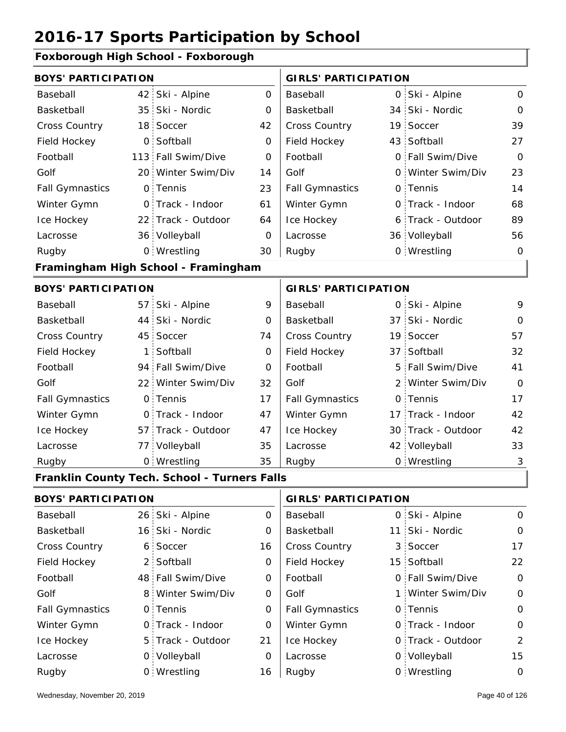### **Foxborough High School - Foxborough**

|                            | <b>BOYS' PARTICIPATION</b> |                                              |             |                             | <b>GIRLS' PARTICIPATION</b> |                    |              |  |  |
|----------------------------|----------------------------|----------------------------------------------|-------------|-----------------------------|-----------------------------|--------------------|--------------|--|--|
| Baseball                   |                            | 42 Ski - Alpine                              | 0           | Baseball                    |                             | 0 Ski - Alpine     | $\Omega$     |  |  |
| Basketball                 | 35 <sup>1</sup>            | Ski - Nordic                                 | 0           | Basketball                  |                             | 34 Ski - Nordic    | 0            |  |  |
| <b>Cross Country</b>       | 18 <sup>1</sup>            | Soccer                                       | 42          | Cross Country               |                             | 19 Soccer          | 39           |  |  |
| Field Hockey               | $\mathsf{O}$               | Softball                                     | 0           | Field Hockey                |                             | 43 Softball        | 27           |  |  |
| Football                   | 113                        | Fall Swim/Dive                               | 0           | Football                    |                             | 0 Fall Swim/Dive   | $\mathbf{O}$ |  |  |
| Golf                       |                            | 20 Winter Swim/Div                           | 14          | Golf                        |                             | 0 Winter Swim/Div  | 23           |  |  |
| <b>Fall Gymnastics</b>     |                            | 0 Tennis                                     | 23          | <b>Fall Gymnastics</b>      |                             | 0 Tennis           | 14           |  |  |
| Winter Gymn                |                            | 0 Track - Indoor                             | 61          | Winter Gymn                 |                             | O Track - Indoor   | 68           |  |  |
| Ice Hockey                 |                            | 22 Track - Outdoor                           | 64          | Ice Hockey                  |                             | 6 Track - Outdoor  | 89           |  |  |
| Lacrosse                   |                            | 36 Volleyball                                | 0           | Lacrosse                    |                             | 36 Volleyball      | 56           |  |  |
| Rugby                      |                            | 0 Wrestling                                  | 30          | Rugby                       |                             | 0 Wrestling        | 0            |  |  |
|                            |                            | Framingham High School - Framingham          |             |                             |                             |                    |              |  |  |
| <b>BOYS' PARTICIPATION</b> |                            |                                              |             | <b>GIRLS' PARTICIPATION</b> |                             |                    |              |  |  |
| Baseball                   |                            | 57 Ski - Alpine                              | 9           | Baseball                    |                             | 0 Ski - Alpine     | 9            |  |  |
| Basketball                 | 44                         | Ski - Nordic                                 | 0           | Basketball                  |                             | 37 Ski - Nordic    | $\Omega$     |  |  |
| <b>Cross Country</b>       | 45 <sup>1</sup>            | Soccer                                       | 74          | Cross Country               |                             | 19 Soccer          | 57           |  |  |
| Field Hockey               | $\mathbf{1}$               | Softball                                     | 0           | Field Hockey                |                             | 37 Softball        | 32           |  |  |
| Football                   | 94                         | Fall Swim/Dive                               | $\mathbf 0$ | Football                    | 5                           | Fall Swim/Dive     | 41           |  |  |
| Golf                       | 22:                        | Winter Swim/Div                              | 32          | Golf                        |                             | 2 Winter Swim/Div  | $\Omega$     |  |  |
| <b>Fall Gymnastics</b>     | $\mathsf{O}$               | Tennis                                       | 17          | <b>Fall Gymnastics</b>      |                             | 0 Tennis           | 17           |  |  |
| Winter Gymn                | $\overline{O}$             | Track - Indoor                               | 47          | Winter Gymn                 |                             | 17 Track - Indoor  | 42           |  |  |
| Ice Hockey                 | 57                         | Track - Outdoor                              | 47          | Ice Hockey                  |                             | 30 Track - Outdoor | 42           |  |  |
| Lacrosse                   | 77                         | Volleyball                                   | 35          | Lacrosse                    |                             | 42 Volleyball      | 33           |  |  |
| Rugby                      |                            | 0 Wrestling                                  | 35          | Rugby                       |                             | 0 Wrestling        | 3            |  |  |
|                            |                            | Franklin County Tech. School - Turners Falls |             |                             |                             |                    |              |  |  |
| <b>BOYS' PARTICIPATION</b> |                            |                                              |             | <b>GIRLS' PARTICIPATION</b> |                             |                    |              |  |  |
| Baseball                   | 26:                        | Ski - Alpine                                 | 0           | Baseball                    |                             | 0 Ski - Alpine     | 0            |  |  |
| Basketball                 | 16                         | Ski - Nordic                                 | 0           | Basketball                  | 11 <sub>1</sub>             | Ski - Nordic       | 0            |  |  |
| Cross Country              | 6                          | Soccer                                       | 16          | Cross Country               | 3                           | Soccer             | 17           |  |  |
| Field Hockey               | $\overline{2}$             | Softball                                     | 0           | Field Hockey                |                             | 15 Softball        | 22           |  |  |
| Football                   |                            | 48 Fall Swim/Dive                            | 0           | Football                    |                             | 0 Fall Swim/Dive   | 0            |  |  |
| Golf                       | 8                          | Winter Swim/Div                              | 0           | Golf                        | 1 :                         | Winter Swim/Div    | 0            |  |  |
| <b>Fall Gymnastics</b>     | $\mathsf{O}$               | Tennis                                       | $\mathbf 0$ | <b>Fall Gymnastics</b>      |                             | 0 Tennis           | 0            |  |  |
| Winter Gymn                | $\mathsf{O}$               | Track - Indoor                               | 0           | Winter Gymn                 |                             | O Track - Indoor   | 0            |  |  |
| Ice Hockey                 | 5                          | Track - Outdoor                              | 21          | Ice Hockey                  |                             | 0 Track - Outdoor  | 2            |  |  |
| Lacrosse                   | $\mathsf{O}$               | Volleyball                                   | $\mathbf 0$ | Lacrosse                    |                             | 0 Volleyball       | 15           |  |  |
| Rugby                      |                            | 0 Wrestling                                  | 16          | Rugby                       |                             | 0 Wrestling        | $\mathsf O$  |  |  |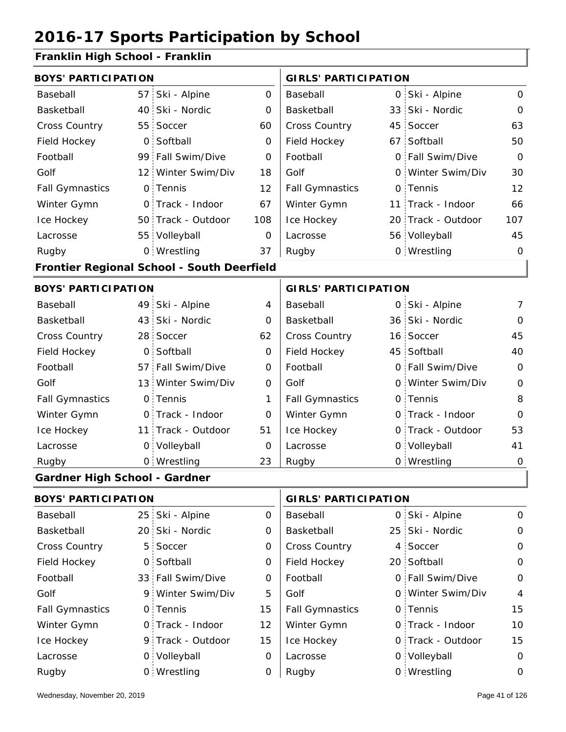### **Franklin High School - Franklin**

| <b>BOYS' PARTICIPATION</b>           |                 |                                            | <b>GIRLS' PARTICIPATION</b> |                             |          |                    |                |
|--------------------------------------|-----------------|--------------------------------------------|-----------------------------|-----------------------------|----------|--------------------|----------------|
| Baseball                             | 57 <sub>1</sub> | Ski - Alpine                               | $\mathsf{O}$                | Baseball                    |          | 0 Ski - Alpine     | $\mathbf 0$    |
| Basketball                           | 40              | Ski - Nordic                               | 0                           | Basketball                  |          | 33 Ski - Nordic    | $\overline{O}$ |
| Cross Country                        | 55              | Soccer                                     | 60                          | Cross Country               |          | 45 Soccer          | 63             |
| Field Hockey                         | $\mathsf{O}$    | Softball                                   | $\overline{0}$              | Field Hockey                |          | 67 Softball        | 50             |
| Football                             | 99              | Fall Swim/Dive                             | 0                           | Football                    |          | 0 Fall Swim/Dive   | $\overline{O}$ |
| Golf                                 | 12 <sup>1</sup> | Winter Swim/Div                            | 18                          | Golf                        |          | 0 Winter Swim/Div  | 30             |
| <b>Fall Gymnastics</b>               |                 | 0 Tennis                                   | 12                          | <b>Fall Gymnastics</b>      |          | 0 Tennis           | 12             |
| Winter Gymn                          |                 | 0 Track - Indoor                           | 67                          | Winter Gymn                 |          | 11 Track - Indoor  | 66             |
| Ice Hockey                           |                 | 50 Track - Outdoor                         | 108                         | Ice Hockey                  |          | 20 Track - Outdoor | 107            |
| Lacrosse                             |                 | 55 Volleyball                              | $\Omega$                    | Lacrosse                    |          | 56 Volleyball      | 45             |
| Rugby                                |                 | 0 Wrestling                                | 37                          | Rugby                       |          | 0 Wrestling        | $\mathbf 0$    |
|                                      |                 | Frontier Regional School - South Deerfield |                             |                             |          |                    |                |
| <b>BOYS' PARTICIPATION</b>           |                 |                                            |                             | <b>GIRLS' PARTICIPATION</b> |          |                    |                |
| Baseball                             | 49.             | Ski - Alpine                               | 4                           | Baseball                    |          | 0 Ski - Alpine     | $\overline{7}$ |
| Basketball                           | 43              | Ski - Nordic                               | $\Omega$                    | Basketball                  |          | 36 Ski - Nordic    | $\Omega$       |
| Cross Country                        | 28 <sup>1</sup> | Soccer                                     | 62                          | Cross Country               |          | 16 Soccer          | 45             |
| Field Hockey                         | 0               | Softball                                   | 0                           | Field Hockey                |          | 45 Softball        | 40             |
| Football                             | 57:             | Fall Swim/Dive                             | $\Omega$                    | Football                    | 0        | Fall Swim/Dive     | $\Omega$       |
| Golf                                 | 13              | Winter Swim/Div                            | 0                           | Golf                        | $\Omega$ | Winter Swim/Div    | $\overline{0}$ |
| <b>Fall Gymnastics</b>               | $\mathsf{O}$    | Tennis                                     | 1                           | <b>Fall Gymnastics</b>      |          | 0 Tennis           | 8              |
| Winter Gymn                          |                 | 0 Track - Indoor                           | 0                           | Winter Gymn                 |          | O Track - Indoor   | $\mathbf 0$    |
| Ice Hockey                           | 11              | Track - Outdoor                            | 51                          | Ice Hockey                  | O        | Track - Outdoor    | 53             |
| Lacrosse                             | $\mathsf{O}$    | Volleyball                                 | O                           | Lacrosse                    |          | 0 Volleyball       | 41             |
| Rugby                                |                 | 0 Wrestling                                | 23                          | Rugby                       |          | 0 Wrestling        | $\mathbf 0$    |
| <b>Gardner High School - Gardner</b> |                 |                                            |                             |                             |          |                    |                |
|                                      |                 |                                            |                             |                             |          |                    |                |

| <b>BOYS' PARTICIPATION</b> |  |                   |          | <b>GIRLS' PARTICIPATION</b> |  |                   |             |
|----------------------------|--|-------------------|----------|-----------------------------|--|-------------------|-------------|
| Baseball                   |  | 25 Ski - Alpine   | $\Omega$ | Baseball                    |  | 0 Ski - Alpine    | $\Omega$    |
| Basketball                 |  | 20 Ski - Nordic   | $\Omega$ | Basketball                  |  | 25 Ski - Nordic   | $\Omega$    |
| <b>Cross Country</b>       |  | 5 Soccer          | 0        | <b>Cross Country</b>        |  | 4 Soccer          | $\Omega$    |
| Field Hockey               |  | 0 Softball        | 0        | Field Hockey                |  | 20 Softball       | $\Omega$    |
| Football                   |  | 33 Fall Swim/Dive | 0        | Football                    |  | 0 Fall Swim/Dive  | $\mathbf 0$ |
| Golf                       |  | 9 Winter Swim/Div | 5        | Golf                        |  | 0 Winter Swim/Div | 4           |
| <b>Fall Gymnastics</b>     |  | 0 Tennis          | 15       | <b>Fall Gymnastics</b>      |  | 0 Tennis          | 15          |
| Winter Gymn                |  | 0 Track - Indoor  | 12       | Winter Gymn                 |  | 0 Track - Indoor  | 10          |
| Ice Hockey                 |  | 9 Track - Outdoor | 15       | Ice Hockey                  |  | 0 Track - Outdoor | 15          |
| Lacrosse                   |  | 0 Volleyball      | $\Omega$ | Lacrosse                    |  | 0 Volleyball      | $\Omega$    |
| Rugby                      |  | 0 Wrestling       | 0        | Rugby                       |  | 0 Wrestling       | 0           |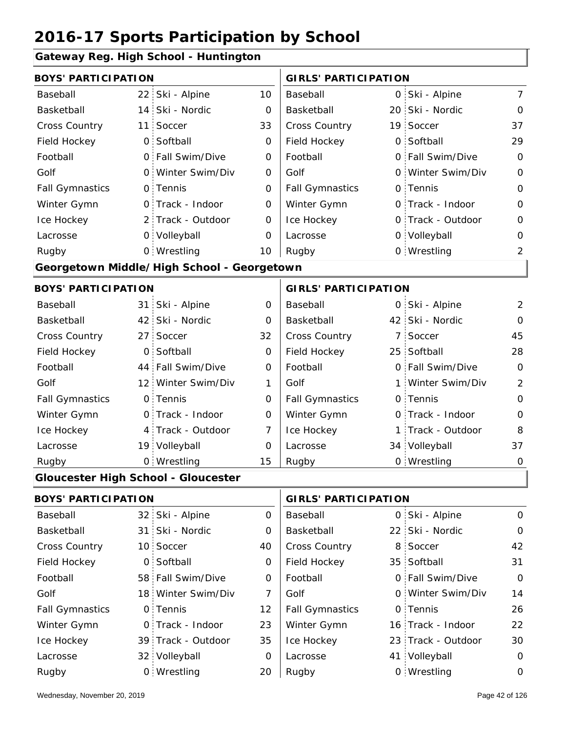#### **Gateway Reg. High School - Huntington**

| <b>BOYS' PARTICIPATION</b> |                 |                                            |                | <b>GIRLS' PARTICIPATION</b> |   |                   |                |
|----------------------------|-----------------|--------------------------------------------|----------------|-----------------------------|---|-------------------|----------------|
| Baseball                   |                 | 22 Ski - Alpine                            | 10             | Baseball                    |   | 0 Ski - Alpine    | $\overline{7}$ |
| Basketball                 |                 | 14 Ski - Nordic                            | $\mathbf 0$    | Basketball                  |   | 20 Ski - Nordic   | $\mathbf 0$    |
| Cross Country              | 11              | Soccer                                     | 33             | <b>Cross Country</b>        |   | 19 Soccer         | 37             |
| Field Hockey               |                 | 0 Softball                                 | 0              | Field Hockey                |   | 0 Softball        | 29             |
| Football                   |                 | 0 Fall Swim/Dive                           | 0              | Football                    |   | 0 Fall Swim/Dive  | $\mathbf 0$    |
| Golf                       |                 | 0 Winter Swim/Div                          | $\mathbf 0$    | Golf                        | 0 | Winter Swim/Div   | $\mathbf 0$    |
| <b>Fall Gymnastics</b>     |                 | 0 Tennis                                   | $\mathbf 0$    | <b>Fall Gymnastics</b>      |   | 0 Tennis          | $\mathbf 0$    |
| Winter Gymn                |                 | O Track - Indoor                           | $\mathbf 0$    | Winter Gymn                 |   | O Track - Indoor  | $\mathbf 0$    |
| Ice Hockey                 |                 | 2 Track - Outdoor                          | 0              | Ice Hockey                  |   | 0 Track - Outdoor | $\mathbf 0$    |
| Lacrosse                   |                 | 0 Volleyball                               | 0              | Lacrosse                    |   | 0 Volleyball      | $\mathbf 0$    |
| Rugby                      |                 | 0 Wrestling                                | 10             | Rugby                       |   | 0 Wrestling       | $\overline{2}$ |
|                            |                 | Georgetown Middle/High School - Georgetown |                |                             |   |                   |                |
| <b>BOYS' PARTICIPATION</b> |                 |                                            |                | <b>GIRLS' PARTICIPATION</b> |   |                   |                |
| Baseball                   |                 | 31 Ski - Alpine                            | 0              | Baseball                    |   | 0 Ski - Alpine    | $\overline{2}$ |
| Basketball                 |                 | 42 Ski - Nordic                            | 0              | Basketball                  |   | 42 Ski - Nordic   | $\Omega$       |
| Cross Country              |                 | 27 Soccer                                  | 32             | <b>Cross Country</b>        |   | 7 Soccer          | 45             |
| Field Hockey               |                 | 0 Softball                                 | 0              | Field Hockey                |   | 25 Softball       | 28             |
| Football                   |                 | 44 Fall Swim/Dive                          | $\mathbf 0$    | Football                    |   | 0 Fall Swim/Dive  | $\mathbf 0$    |
| Golf                       |                 | 12 Winter Swim/Div                         | 1              | Golf                        | 1 | Winter Swim/Div   | $\overline{2}$ |
| <b>Fall Gymnastics</b>     |                 | 0 Tennis                                   | $\mathbf 0$    | <b>Fall Gymnastics</b>      |   | 0 Tennis          | $\mathbf 0$    |
| Winter Gymn                |                 | O Track - Indoor                           | $\mathbf 0$    | Winter Gymn                 |   | O Track - Indoor  | $\mathbf 0$    |
| Ice Hockey                 |                 | 4 Track - Outdoor                          | $\overline{7}$ | Ice Hockey                  |   | 1 Track - Outdoor | 8              |
| Lacrosse                   |                 | 19 Volleyball                              | 0              | Lacrosse                    |   | 34 Volleyball     | 37             |
| Rugby                      |                 | 0 Wrestling                                | 15             | Rugby                       |   | 0 Wrestling       | $\overline{0}$ |
|                            |                 | <b>Gloucester High School - Gloucester</b> |                |                             |   |                   |                |
| <b>BOYS' PARTICIPATION</b> |                 |                                            |                | <b>GIRLS' PARTICIPATION</b> |   |                   |                |
| Baseball                   |                 | 32 Ski - Alpine                            | 0              | Baseball                    |   | 0 Ski - Alpine    | $\mathbf 0$    |
| Basketball                 | 31 <sup>1</sup> | Ski - Nordic                               | 0              | Basketball                  |   | 22 Ski - Nordic   | $\mathbf 0$    |
| Cross Country              |                 | 10 Soccer                                  | 40             | Cross Country               |   | 8 Soccer          | 42             |
| Field Hockey               |                 | 0 Softball                                 | 0              | Field Hockey                |   | 35 Softball       | 31             |
| Football                   |                 | 58 Fall Swim/Dive                          | 0              | Football                    |   | 0 Fall Swim/Dive  | 0              |
| C <sub>0</sub>             |                 | 18 Winter Swim/Div                         | $\overline{7}$ | C <sub>ol</sub> f           |   | 0 Winter Swim/Div | 11             |

| <b>BOYS' PARTICIPATION</b> |  | <b>GIRLS' PARTICIPATION</b> |          |                        |  |                    |             |
|----------------------------|--|-----------------------------|----------|------------------------|--|--------------------|-------------|
| Baseball                   |  | 32 Ski - Alpine             | $\Omega$ | Baseball               |  | 0 Ski - Alpine     | $\Omega$    |
| Basketball                 |  | 31 Ski - Nordic             | 0        | Basketball             |  | 22 Ski - Nordic    | $\mathbf 0$ |
| <b>Cross Country</b>       |  | 10 Soccer                   | 40       | <b>Cross Country</b>   |  | 8 Soccer           | 42          |
| Field Hockey               |  | 0 Softball                  | 0        | Field Hockey           |  | 35 Softball        | 31          |
| Football                   |  | 58 Fall Swim/Dive           | $\Omega$ | Football               |  | 0 Fall Swim/Dive   | $\mathbf 0$ |
| Golf                       |  | 18 Winter Swim/Div          | 7        | Golf                   |  | 0 Winter Swim/Div  | 14          |
| <b>Fall Gymnastics</b>     |  | 0 Tennis                    | 12       | <b>Fall Gymnastics</b> |  | 0 Tennis           | 26          |
| Winter Gymn                |  | 0 Track - Indoor            | 23       | Winter Gymn            |  | 16 Track - Indoor  | 22          |
| Ice Hockey                 |  | 39 Track - Outdoor          | 35       | Ice Hockey             |  | 23 Track - Outdoor | 30          |
| Lacrosse                   |  | 32 Volleyball               | $\Omega$ | Lacrosse               |  | 41 Volleyball      | 0           |
| Rugby                      |  | 0 Wrestling                 | 20       | Rugby                  |  | 0 Wrestling        | 0           |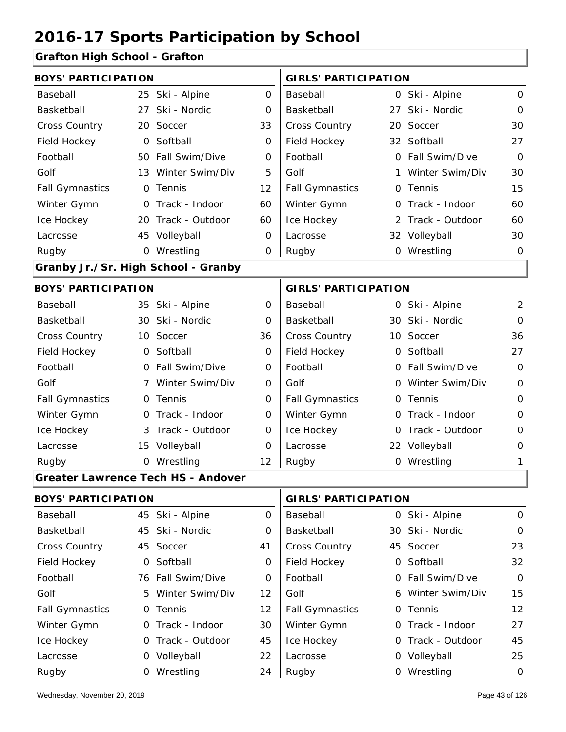### **Grafton High School - Grafton**

| <b>BOYS' PARTICIPATION</b>          |              |                                           |                | <b>GIRLS' PARTICIPATION</b> |                 |                   |              |  |  |  |
|-------------------------------------|--------------|-------------------------------------------|----------------|-----------------------------|-----------------|-------------------|--------------|--|--|--|
| Baseball                            |              | 25 Ski - Alpine                           | $\mathbf{O}$   | Baseball                    |                 | 0 Ski - Alpine    | $\mathbf{O}$ |  |  |  |
| Basketball                          | 27:          | Ski - Nordic                              | $\Omega$       | Basketball                  | 27 <sub>1</sub> | Ski - Nordic      | $\Omega$     |  |  |  |
| Cross Country                       |              | 20 Soccer                                 | 33             | Cross Country               |                 | 20 Soccer         | 30           |  |  |  |
| Field Hockey                        | $\mathsf{O}$ | Softball                                  | 0              | Field Hockey                |                 | 32 Softball       | 27           |  |  |  |
| Football                            |              | 50 Fall Swim/Dive                         | 0              | Football                    |                 | 0 Fall Swim/Dive  | $\mathbf{O}$ |  |  |  |
| Golf                                |              | 13 Winter Swim/Div                        | 5              | Golf                        | 1:              | Winter Swim/Div   | 30           |  |  |  |
| <b>Fall Gymnastics</b>              |              | 0 Tennis                                  | 12             | <b>Fall Gymnastics</b>      |                 | 0 Tennis          | 15           |  |  |  |
| Winter Gymn                         |              | O Track - Indoor                          | 60             | Winter Gymn                 |                 | O Track - Indoor  | 60           |  |  |  |
| Ice Hockey                          |              | 20 Track - Outdoor                        | 60             | Ice Hockey                  |                 | 2 Track - Outdoor | 60           |  |  |  |
| Lacrosse                            |              | 45 Volleyball                             | $\mathbf 0$    | Lacrosse                    |                 | 32 Volleyball     | 30           |  |  |  |
| Rugby                               |              | 0 Wrestling                               | 0              | Rugby                       |                 | 0 Wrestling       | 0            |  |  |  |
| Granby Jr./Sr. High School - Granby |              |                                           |                |                             |                 |                   |              |  |  |  |
| <b>BOYS' PARTICIPATION</b>          |              |                                           |                | <b>GIRLS' PARTICIPATION</b> |                 |                   |              |  |  |  |
| Baseball                            |              | 35 Ski - Alpine                           | 0              | Baseball                    |                 | 0 Ski - Alpine    | 2            |  |  |  |
| Basketball                          |              | 30 Ski - Nordic                           | 0              | Basketball                  |                 | 30 Ski - Nordic   | $\Omega$     |  |  |  |
| Cross Country                       |              | 10 Soccer                                 | 36             | Cross Country               |                 | 10 Soccer         | 36           |  |  |  |
| Field Hockey                        |              | 0 Softball                                | $\Omega$       | Field Hockey                |                 | 0 Softball        | 27           |  |  |  |
| Football                            |              | 0 Fall Swim/Dive                          | $\overline{O}$ | Football                    |                 | 0 Fall Swim/Dive  | $\Omega$     |  |  |  |
| Golf                                |              | 7 Winter Swim/Div                         | $\Omega$       | Golf                        |                 | 0 Winter Swim/Div | $\Omega$     |  |  |  |
| <b>Fall Gymnastics</b>              |              | 0 Tennis                                  | $\overline{O}$ | <b>Fall Gymnastics</b>      |                 | 0 Tennis          | 0            |  |  |  |
| Winter Gymn                         |              | O Track - Indoor                          | $\Omega$       | Winter Gymn                 |                 | O Track - Indoor  | $\Omega$     |  |  |  |
| Ice Hockey                          |              | 3 Track - Outdoor                         | 0              | Ice Hockey                  |                 | 0 Track - Outdoor | 0            |  |  |  |
| Lacrosse                            |              | 15 Volleyball                             | $\overline{O}$ | Lacrosse                    |                 | 22 Volleyball     | 0            |  |  |  |
| Rugby                               |              | 0 Wrestling                               | 12             | Rugby                       |                 | 0 Wrestling       | 1            |  |  |  |
|                                     |              | <b>Greater Lawrence Tech HS - Andover</b> |                |                             |                 |                   |              |  |  |  |

| <b>BOYS' PARTICIPATION</b> |  | <b>GIRLS' PARTICIPATION</b> |          |                        |  |                   |                   |
|----------------------------|--|-----------------------------|----------|------------------------|--|-------------------|-------------------|
| Baseball                   |  | 45 Ski - Alpine             | 0        | Baseball               |  | 0 Ski - Alpine    | $\Omega$          |
| Basketball                 |  | 45 Ski - Nordic             | 0        | Basketball             |  | 30 Ski - Nordic   | $\Omega$          |
| <b>Cross Country</b>       |  | 45 Soccer                   | 41       | <b>Cross Country</b>   |  | 45 Soccer         | 23                |
| Field Hockey               |  | 0 Softball                  | 0        | Field Hockey           |  | 0 Softball        | 32                |
| Football                   |  | 76 Fall Swim/Dive           | $\Omega$ | Football               |  | 0 Fall Swim/Dive  | $\Omega$          |
| Golf                       |  | 5 Winter Swim/Div           | 12       | Golf                   |  | 6 Winter Swim/Div | 15                |
| <b>Fall Gymnastics</b>     |  | 0 Tennis                    | 12       | <b>Fall Gymnastics</b> |  | 0 Tennis          | $12 \overline{ }$ |
| Winter Gymn                |  | O Track - Indoor            | 30       | Winter Gymn            |  | 0 Track - Indoor  | 27                |
| Ice Hockey                 |  | 0 Track - Outdoor           | 45       | Ice Hockey             |  | 0 Track - Outdoor | 45                |
| Lacrosse                   |  | 0 Volleyball                | 22       | Lacrosse               |  | 0 Volleyball      | 25                |
| Rugby                      |  | 0 Wrestling                 | 24       | Rugby                  |  | 0 Wrestling       | $\Omega$          |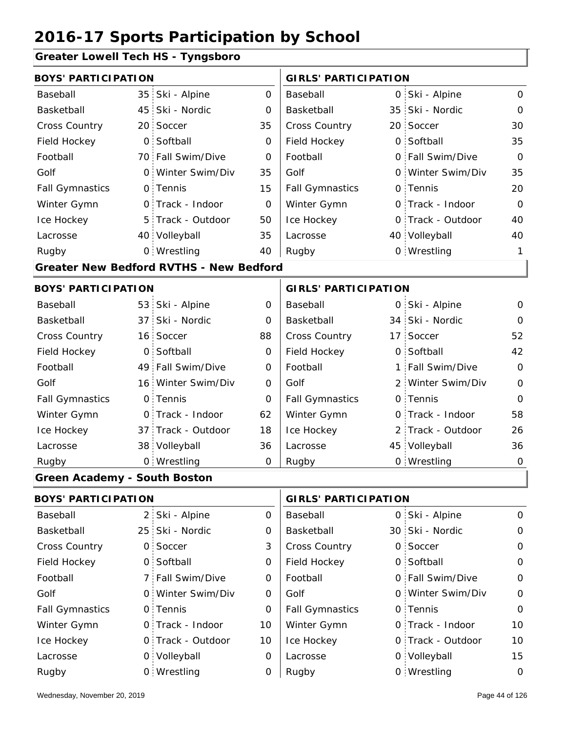### **Greater Lowell Tech HS - Tyngsboro**

| $34.51$ $-50.001$ $-50.1$ $-10$     |                 |                                                |                |                             |  |                   |                |
|-------------------------------------|-----------------|------------------------------------------------|----------------|-----------------------------|--|-------------------|----------------|
| <b>BOYS' PARTICIPATION</b>          |                 |                                                |                | <b>GIRLS' PARTICIPATION</b> |  |                   |                |
| Baseball                            | 35 <sub>1</sub> | Ski - Alpine                                   | $\overline{O}$ | Baseball                    |  | 0 Ski - Alpine    | $\mathbf{O}$   |
| Basketball                          | 45:             | Ski - Nordic                                   | O              | Basketball                  |  | 35 Ski - Nordic   | $\mathbf 0$    |
| <b>Cross Country</b>                |                 | 20 Soccer                                      | 35             | <b>Cross Country</b>        |  | 20 Soccer         | 30             |
| Field Hockey                        | $\mathsf{O}$    | Softball                                       | 0              | Field Hockey                |  | 0 Softball        | 35             |
| Football                            |                 | 70 Fall Swim/Dive                              | $\mathbf 0$    | Football                    |  | 0 Fall Swim/Dive  | $\Omega$       |
| Golf                                | $\overline{O}$  | Winter Swim/Div                                | 35             | Golf                        |  | 0 Winter Swim/Div | 35             |
| <b>Fall Gymnastics</b>              |                 | 0 Tennis                                       | 15             | <b>Fall Gymnastics</b>      |  | 0 Tennis          | 20             |
| Winter Gymn                         |                 | 0 Track - Indoor                               | O              | Winter Gymn                 |  | O Track - Indoor  | $\Omega$       |
| Ice Hockey                          |                 | 5 Track - Outdoor                              | 50             | Ice Hockey                  |  | 0 Track - Outdoor | 40             |
| Lacrosse                            |                 | 40 Volleyball                                  | 35             | Lacrosse                    |  | 40 Volleyball     | 40             |
| Rugby                               |                 | 0 Wrestling                                    | 40             | Rugby                       |  | 0 Wrestling       | 1              |
|                                     |                 | <b>Greater New Bedford RVTHS - New Bedford</b> |                |                             |  |                   |                |
| <b>BOYS' PARTICIPATION</b>          |                 |                                                |                | <b>GIRLS' PARTICIPATION</b> |  |                   |                |
| Baseball                            |                 | 53 Ski - Alpine                                | 0              | Baseball                    |  | 0 Ski - Alpine    | 0              |
| Basketball                          | 37 <sup>1</sup> | Ski - Nordic                                   | 0              | Basketball                  |  | 34 Ski - Nordic   | O              |
| <b>Cross Country</b>                | 16 <sup>1</sup> | Soccer                                         | 88             | Cross Country               |  | 17 Soccer         | 52             |
| Field Hockey                        | $\overline{O}$  | Softball                                       | $\mathbf 0$    | Field Hockey                |  | 0 Softball        | 42             |
| Football                            |                 | 49 Fall Swim/Dive                              | $\mathbf 0$    | Football                    |  | 1 Fall Swim/Dive  | $\mathbf 0$    |
| Golf                                |                 | 16 Winter Swim/Div                             | $\overline{0}$ | Golf                        |  | 2 Winter Swim/Div | $\overline{0}$ |
| <b>Fall Gymnastics</b>              |                 | 0 Tennis                                       | $\overline{O}$ | <b>Fall Gymnastics</b>      |  | 0 Tennis          | $\overline{0}$ |
| Winter Gymn                         |                 | 0 Track - Indoor                               | 62             | Winter Gymn                 |  | O Track - Indoor  | 58             |
| Ice Hockey                          |                 | 37 Track - Outdoor                             | 18             | Ice Hockey                  |  | 2 Track - Outdoor | 26             |
| Lacrosse                            |                 | 38 Volleyball                                  | 36             | Lacrosse                    |  | 45 Volleyball     | 36             |
| Rugby                               |                 | 0 Wrestling                                    | $\Omega$       | Rugby                       |  | 0 Wrestling       | 0              |
| <b>Green Academy - South Boston</b> |                 |                                                |                |                             |  |                   |                |
| <b>BOYS' PARTICIPATION</b>          |                 |                                                |                | <b>GIRLS' PARTICIPATION</b> |  |                   |                |

| Baseball               | 2 Ski - Alpine    | 0        | Baseball               |  | 0 Ski - Alpine    | $\Omega$ |  |  |
|------------------------|-------------------|----------|------------------------|--|-------------------|----------|--|--|
| Basketball             | 25 Ski - Nordic   | 0        | Basketball             |  | 30 Ski - Nordic   | $\Omega$ |  |  |
| <b>Cross Country</b>   | 0 Soccer          | 3        | <b>Cross Country</b>   |  | 0 Soccer          | $\Omega$ |  |  |
| Field Hockey           | 0 Softball        | 0        | Field Hockey           |  | 0 Softball        | $\Omega$ |  |  |
| Football               | 7 Fall Swim/Dive  | $\Omega$ | Football               |  | 0 Fall Swim/Dive  | $\Omega$ |  |  |
| Golf                   | 0 Winter Swim/Div | 0        | Golf                   |  | 0 Winter Swim/Div | $\Omega$ |  |  |
| <b>Fall Gymnastics</b> | 0 Tennis          | 0        | <b>Fall Gymnastics</b> |  | 0 Tennis          | $\Omega$ |  |  |
| Winter Gymn            | O Track - Indoor  | 10       | Winter Gymn            |  | 0 Track - Indoor  | 10       |  |  |
| Ice Hockey             | 0 Track - Outdoor | 10       | Ice Hockey             |  | 0 Track - Outdoor | 10       |  |  |
| Lacrosse               | 0 Volleyball      | 0        | Lacrosse               |  | 0 Volleyball      | 15       |  |  |
| Rugby                  | 0 Wrestling       | Ο        | Rugby                  |  | 0 Wrestling       | 0        |  |  |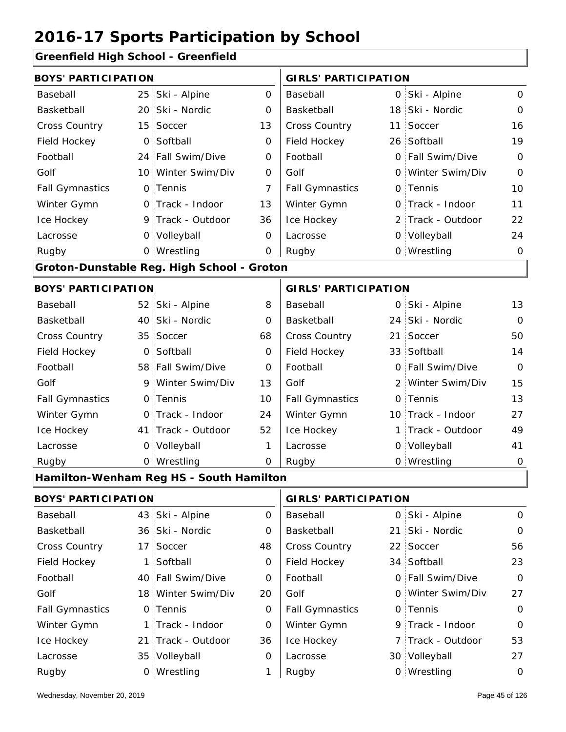**Greenfield High School - Greenfield**

| Greenheid High School - Greenheid |                 |                                            |                |                             |  |                   |                |  |
|-----------------------------------|-----------------|--------------------------------------------|----------------|-----------------------------|--|-------------------|----------------|--|
| <b>BOYS' PARTICIPATION</b>        |                 |                                            |                | <b>GIRLS' PARTICIPATION</b> |  |                   |                |  |
| Baseball                          | 25              | Ski - Alpine                               | 0              | Baseball                    |  | 0 Ski - Alpine    | 0              |  |
| Basketball                        | 20 <sub>1</sub> | Ski - Nordic                               | 0              | Basketball                  |  | 18 Ski - Nordic   | $\mathbf 0$    |  |
| Cross Country                     | 15              | Soccer                                     | 13             | Cross Country               |  | 11 Soccer         | 16             |  |
| Field Hockey                      | $\mathbf 0$     | Softball                                   | 0              | Field Hockey                |  | 26 Softball       | 19             |  |
| Football                          |                 | 24 Fall Swim/Dive                          | $\mathbf 0$    | Football                    |  | 0 Fall Swim/Dive  | $\mathbf 0$    |  |
| Golf                              | 10              | Winter Swim/Div                            | 0              | Golf                        |  | 0 Winter Swim/Div | $\overline{O}$ |  |
| <b>Fall Gymnastics</b>            | 0               | Tennis                                     | $\overline{7}$ | <b>Fall Gymnastics</b>      |  | 0 Tennis          | 10             |  |
| Winter Gymn                       | $\mathsf{O}$    | Track - Indoor                             | 13             | Winter Gymn                 |  | 0 Track - Indoor  | 11             |  |
| Ice Hockey                        |                 | 9 Track - Outdoor                          | 36             | Ice Hockey                  |  | 2 Track - Outdoor | 22             |  |
| Lacrosse                          |                 | 0 Volleyball                               | 0              | Lacrosse                    |  | 0 Volleyball      | 24             |  |
| Rugby                             |                 | 0 Wrestling                                | $\mathbf 0$    | Rugby                       |  | 0 Wrestling       | $\mathbf 0$    |  |
|                                   |                 | Groton-Dunstable Reg. High School - Groton |                |                             |  |                   |                |  |
| <b>BOYS' PARTICIPATION</b>        |                 |                                            |                | <b>GIRLS' PARTICIPATION</b> |  |                   |                |  |
| Baseball                          | 52              | Ski - Alpine                               | 8              | Baseball                    |  | 0 Ski - Alpine    | 13             |  |
| Basketball                        | 40              | Ski - Nordic                               | 0              | Basketball                  |  | 24 Ski - Nordic   | $\Omega$       |  |
| <b>Cross Country</b>              | 35              | Soccer                                     | 68             | Cross Country               |  | 21 Soccer         | 50             |  |
| Field Hockey                      | 0               | Softball                                   | 0              | Field Hockey                |  | 33 Softball       | 14             |  |
| Football                          |                 | 58 Fall Swim/Dive                          | $\mathbf 0$    | Football                    |  | 0 Fall Swim/Dive  | $\mathbf 0$    |  |
| Golf                              | 9               | Winter Swim/Div                            | 13             | Golf                        |  | 2 Winter Swim/Div | 15             |  |
| <b>Fall Gymnastics</b>            | $\mathsf{O}$    | Tennis                                     | 10             | <b>Fall Gymnastics</b>      |  | 0 Tennis          | 13             |  |
| Winter Gymn                       |                 | 0 Track - Indoor                           | 24             | Winter Gymn                 |  | 10 Track - Indoor | 27             |  |
| Ice Hockey                        | 41.             | Track - Outdoor                            | 52             | Ice Hockey                  |  | 1 Track - Outdoor | 49             |  |
| Lacrosse                          | 0               | Volleyball                                 | 1              | Lacrosse                    |  | 0 Volleyball      | 41             |  |
| Rugby                             |                 | 0 Wrestling                                | $\mathbf 0$    | Rugby                       |  | 0 Wrestling       | $\mathbf 0$    |  |
|                                   |                 | Hamilton-Wenham Reg HS - South Hamilton    |                |                             |  |                   |                |  |
| <b>BOYS' PARTICIPATION</b>        |                 |                                            |                | <b>GIRLS' PARTICIPATION</b> |  |                   |                |  |
| Baseball                          | 43              | Ski - Alpine                               | 0              | Baseball                    |  | 0 Ski - Alpine    | $\mathbf 0$    |  |
| Basketball                        |                 | 36 Ski - Nordic                            | 0              | Basketball                  |  | 21 Ski - Nordic   | 0              |  |
| Cross Country                     | 17 <sup>1</sup> | Soccer                                     | 48             | Cross Country               |  | 22 Soccer         | 56             |  |
| Field Hockey                      | 1               | Softball                                   | 0              | Field Hockey                |  | 34 Softball       | 23             |  |
| Football                          |                 | 40 Fall Swim/Dive                          | 0              | Football                    |  | 0 Fall Swim/Dive  | $\mathbf 0$    |  |
| Golf                              |                 | 18 Winter Swim/Div                         | 20             | Golf                        |  | 0 Winter Swim/Div | 27             |  |
| <b>Fall Gymnastics</b>            |                 | 0 Tennis                                   | $\mathbf 0$    | <b>Fall Gymnastics</b>      |  | 0 Tennis          | $\mathbf 0$    |  |

0

Winter Gymn Ice Hockey Lacrosse

36

0

1

Ice Hockey Lacrosse

Winter Gymn

21 Track - Outdoor

Wrestling Rugby 0 Rugby 0

1 Track - Indoor

35 Volleyball

0

53

9 Track - Indoor

7 Track - Outdoor

30 Volleyball 27

0 Wrestling 0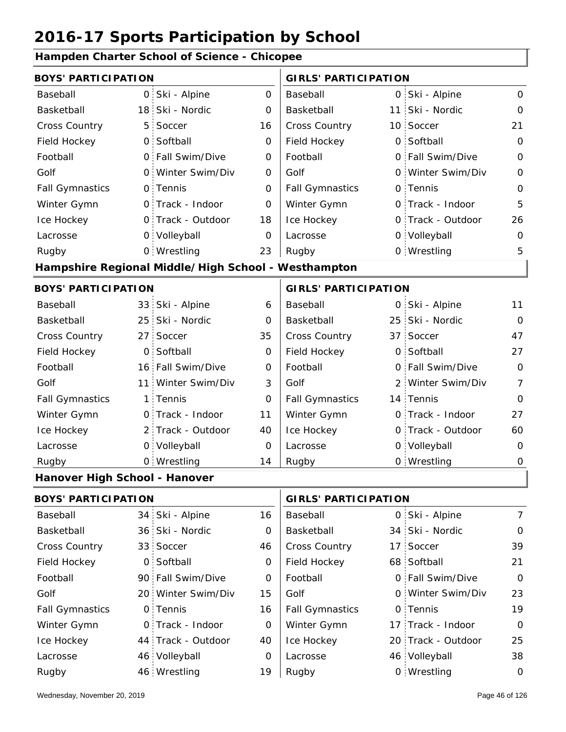| Hampden Charter School of Science - Chicopee |                 |                                                     |                |                             |            |                   |                |  |
|----------------------------------------------|-----------------|-----------------------------------------------------|----------------|-----------------------------|------------|-------------------|----------------|--|
| <b>BOYS' PARTICIPATION</b>                   |                 |                                                     |                | <b>GIRLS' PARTICIPATION</b> |            |                   |                |  |
| Baseball                                     |                 | 0 Ski - Alpine                                      | $\Omega$       | Baseball                    |            | 0 Ski - Alpine    | $\Omega$       |  |
| Basketball                                   |                 | 18 Ski - Nordic                                     | $\Omega$       | Basketball                  | 11:        | Ski - Nordic      | $\Omega$       |  |
| <b>Cross Country</b>                         | 5               | Soccer                                              | 16             | Cross Country               |            | 10 Soccer         | 21             |  |
| Field Hockey                                 |                 | 0 Softball                                          | $\Omega$       | Field Hockey                |            | 0 Softball        | $\Omega$       |  |
| Football                                     |                 | 0 Fall Swim/Dive                                    | $\Omega$       | Football                    | 0 :        | Fall Swim/Dive    | $\Omega$       |  |
| Golf                                         |                 | 0 Winter Swim/Div                                   | $\Omega$       | Golf                        |            | 0 Winter Swim/Div | $\Omega$       |  |
| <b>Fall Gymnastics</b>                       |                 | 0 Tennis                                            | 0              | <b>Fall Gymnastics</b>      |            | 0 Tennis          | 0              |  |
| Winter Gymn                                  |                 | 0 Track - Indoor                                    | $\overline{0}$ | Winter Gymn                 |            | O Track - Indoor  | 5              |  |
| Ice Hockey                                   |                 | 0 Track - Outdoor                                   | 18             | Ice Hockey                  |            | 0 Track - Outdoor | 26             |  |
| Lacrosse                                     |                 | 0 Volleyball                                        | $\overline{O}$ | Lacrosse                    |            | 0 Volleyball      | 0              |  |
| Rugby                                        |                 | 0 Wrestling                                         | 23             | Rugby                       |            | 0 Wrestling       | 5              |  |
|                                              |                 | Hampshire Regional Middle/High School - Westhampton |                |                             |            |                   |                |  |
| <b>BOYS' PARTICIPATION</b>                   |                 |                                                     |                | <b>GIRLS' PARTICIPATION</b> |            |                   |                |  |
| Baseball                                     |                 | 33 Ski - Alpine                                     | 6              | Baseball                    | 0          | Ski - Alpine      | 11             |  |
| Basketball                                   |                 | 25 Ski - Nordic                                     | O              | Basketball                  |            | 25 Ski - Nordic   | $\Omega$       |  |
| <b>Cross Country</b>                         | 27 <sup>1</sup> | Soccer                                              | 35             | Cross Country               |            | 37 Soccer         | 47             |  |
| Field Hockey                                 | $\overline{O}$  | Softball                                            | 0              | Field Hockey                | $\Omega$ . | Softball          | 27             |  |
| Football                                     |                 | 16 Fall Swim/Dive                                   | 0              | Football                    | 0 :        | Fall Swim/Dive    | $\Omega$       |  |
| Golf                                         | 11 :            | Winter Swim/Div                                     | 3              | Golf                        | 2          | Winter Swim/Div   | $\overline{7}$ |  |
| <b>Fall Gymnastics</b>                       |                 | 1 Tennis                                            | $\mathbf 0$    | <b>Fall Gymnastics</b>      |            | 14 Tennis         | $\Omega$       |  |
| Winter Gymn                                  |                 | O Track - Indoor                                    | 11             | Winter Gymn                 |            | O Track - Indoor  | 27             |  |
| Ice Hockey                                   |                 | 2 Track - Outdoor                                   | 40             | Ice Hockey                  |            | 0 Track - Outdoor | 60             |  |
| Lacrosse                                     |                 | 0 Volleyball                                        | $\mathbf 0$    | Lacrosse                    |            | 0 Volleyball      | 0              |  |
| Rugby                                        |                 | 0 Wrestling                                         | 14             | Rugby                       |            | 0 Wrestling       | $\mathbf 0$    |  |
| Hanover High School - Hanover                |                 |                                                     |                |                             |            |                   |                |  |
|                                              |                 |                                                     |                |                             |            |                   |                |  |

**Hampden Charter School of Science - Chicopee**

| <b>BOYS' PARTICIPATION</b> |  | <b>GIRLS' PARTICIPATION</b> |    |                        |  |                    |               |
|----------------------------|--|-----------------------------|----|------------------------|--|--------------------|---------------|
| Baseball                   |  | 34 Ski - Alpine             | 16 | Baseball               |  | 0 Ski - Alpine     | $\mathcal{I}$ |
| Basketball                 |  | 36 Ski - Nordic             | 0  | Basketball             |  | 34 Ski - Nordic    | $\circ$       |
| <b>Cross Country</b>       |  | 33 Soccer                   | 46 | <b>Cross Country</b>   |  | 17 Soccer          | 39            |
| Field Hockey               |  | 0 Softball                  | 0  | Field Hockey           |  | 68 Softball        | 21            |
| Football                   |  | 90 Fall Swim/Dive           | 0  | Football               |  | 0 Fall Swim/Dive   | $\Omega$      |
| Golf                       |  | 20 Winter Swim/Div          | 15 | Golf                   |  | 0 Winter Swim/Div  | 23            |
| <b>Fall Gymnastics</b>     |  | 0 Tennis                    | 16 | <b>Fall Gymnastics</b> |  | 0 Tennis           | 19            |
| Winter Gymn                |  | 0 Track - Indoor            | 0  | Winter Gymn            |  | 17 Track - Indoor  | $\Omega$      |
| Ice Hockey                 |  | 44 Track - Outdoor          | 40 | Ice Hockey             |  | 20 Track - Outdoor | 25            |
| Lacrosse                   |  | 46 Volleyball               | 0  | Lacrosse               |  | 46 Volleyball      | 38            |
| Rugby                      |  | 46 Wrestling                | 19 | Rugby                  |  | 0 Wrestling        | 0             |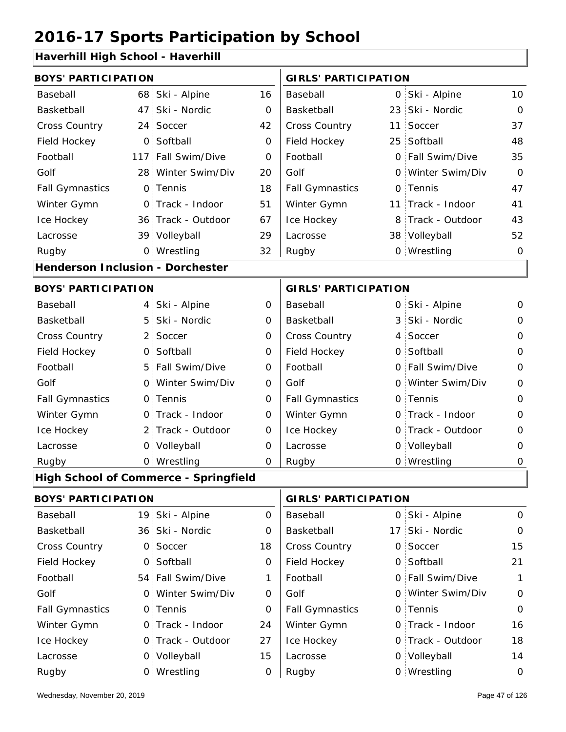### **Haverhill High School - Haverhill**

| <b>BOYS' PARTICIPATION</b>       |                |                                              |                | <b>GIRLS' PARTICIPATION</b> |  |                   |              |
|----------------------------------|----------------|----------------------------------------------|----------------|-----------------------------|--|-------------------|--------------|
| Baseball                         |                | 68 Ski - Alpine                              | 16             | Baseball                    |  | 0 Ski - Alpine    | 10           |
| Basketball                       |                | 47 Ski - Nordic                              | 0              | Basketball                  |  | 23 Ski - Nordic   | $\Omega$     |
| Cross Country                    |                | 24 Soccer                                    | 42             | Cross Country               |  | 11 Soccer         | 37           |
| Field Hockey                     | O <sub>1</sub> | Softball                                     | 0              | Field Hockey                |  | 25 Softball       | 48           |
| Football                         |                | 117 Fall Swim/Dive                           | 0              | Football                    |  | 0 Fall Swim/Dive  | 35           |
| Golf                             |                | 28 Winter Swim/Div                           | 20             | Golf                        |  | 0 Winter Swim/Div | $\Omega$     |
| <b>Fall Gymnastics</b>           |                | 0 Tennis                                     | 18             | <b>Fall Gymnastics</b>      |  | 0 Tennis          | 47           |
| Winter Gymn                      |                | 0 Track - Indoor                             | 51             | Winter Gymn                 |  | 11 Track - Indoor | 41           |
| Ice Hockey                       |                | 36 Track - Outdoor                           | 67             | Ice Hockey                  |  | 8 Track - Outdoor | 43           |
| Lacrosse                         |                | 39 Volleyball                                | 29             | Lacrosse                    |  | 38 Volleyball     | 52           |
| Rugby                            |                | 0 Wrestling                                  | 32             | Rugby                       |  | 0 Wrestling       | 0            |
| Henderson Inclusion - Dorchester |                |                                              |                |                             |  |                   |              |
| <b>BOYS' PARTICIPATION</b>       |                |                                              |                | <b>GIRLS' PARTICIPATION</b> |  |                   |              |
| Baseball                         |                | 4 Ski - Alpine                               | $\overline{O}$ | Baseball                    |  | 0 Ski - Alpine    | 0            |
| Basketball                       |                | 5 Ski - Nordic                               | 0              | Basketball                  |  | 3 Ski - Nordic    | 0            |
| Cross Country                    |                | 2 Soccer                                     | 0              | Cross Country               |  | 4 Soccer          | 0            |
| Field Hockey                     |                | 0 Softball                                   | $\overline{O}$ | Field Hockey                |  | 0 Softball        | $\Omega$     |
| Football                         |                | 5 Fall Swim/Dive                             | $\Omega$       | Football                    |  | 0 Fall Swim/Dive  | $\Omega$     |
| Golf                             |                | 0 Winter Swim/Div                            | 0              | Golf                        |  | 0 Winter Swim/Div | 0            |
| <b>Fall Gymnastics</b>           |                | 0 Tennis                                     | 0              | <b>Fall Gymnastics</b>      |  | 0 Tennis          | $\mathbf{O}$ |
| Winter Gymn                      |                | O Track - Indoor                             | 0              | Winter Gymn                 |  | O Track - Indoor  | $\Omega$     |
| Ice Hockey                       |                | 2 Track - Outdoor                            | 0              | Ice Hockey                  |  | 0 Track - Outdoor | 0            |
| Lacrosse                         |                | 0 Volleyball                                 | 0              | Lacrosse                    |  | 0 Volleyball      | 0            |
| Rugby                            |                | 0 Wrestling                                  | $\Omega$       | Rugby                       |  | 0 Wrestling       | 0            |
|                                  |                |                                              |                |                             |  |                   |              |
|                                  |                | <b>High School of Commerce - Springfield</b> |                |                             |  |                   |              |

| <b>BOYS' PARTICIPATION</b> |  | <b>GIRLS' PARTICIPATION</b> |          |                        |  |                   |          |
|----------------------------|--|-----------------------------|----------|------------------------|--|-------------------|----------|
| Baseball                   |  | 19 Ski - Alpine             | 0        | Baseball               |  | 0 Ski - Alpine    | $\Omega$ |
| Basketball                 |  | 36 Ski - Nordic             | $\Omega$ | Basketball             |  | 17 Ski - Nordic   | $\Omega$ |
| <b>Cross Country</b>       |  | 0 Soccer                    | 18       | <b>Cross Country</b>   |  | 0 Soccer          | 15       |
| Field Hockey               |  | 0 Softball                  | 0        | Field Hockey           |  | 0 Softball        | 21       |
| Football                   |  | 54 Fall Swim/Dive           | 1        | Football               |  | 0 Fall Swim/Dive  | 1        |
| Golf                       |  | 0 Winter Swim/Div           | $\Omega$ | Golf                   |  | 0 Winter Swim/Div | $\Omega$ |
| <b>Fall Gymnastics</b>     |  | 0 Tennis                    | $\Omega$ | <b>Fall Gymnastics</b> |  | 0 Tennis          | $\Omega$ |
| Winter Gymn                |  | 0 Track - Indoor            | 24       | Winter Gymn            |  | 0 Track - Indoor  | 16       |
| Ice Hockey                 |  | 0 Track - Outdoor           | 27       | Ice Hockey             |  | 0 Track - Outdoor | 18       |
| Lacrosse                   |  | 0 Volleyball                | 15       | Lacrosse               |  | 0 Volleyball      | 14       |
| Rugby                      |  | 0 Wrestling                 | 0        | Rugby                  |  | 0 Wrestling       | $\Omega$ |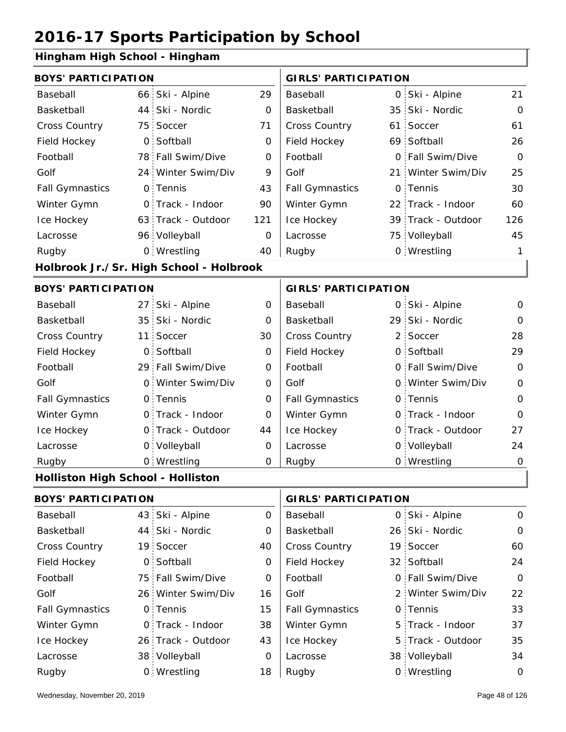### **Hingham High School - Hingham**

| <b>BOYS' PARTICIPATION</b>              |              |                                                                                                                                                                                                                                                                                                                                                                                                                              |                        |    | <b>GIRLS' PARTICIPATION</b> |                                                                                                                                                                                                                                                                                                                                                                                                   |  |  |
|-----------------------------------------|--------------|------------------------------------------------------------------------------------------------------------------------------------------------------------------------------------------------------------------------------------------------------------------------------------------------------------------------------------------------------------------------------------------------------------------------------|------------------------|----|-----------------------------|---------------------------------------------------------------------------------------------------------------------------------------------------------------------------------------------------------------------------------------------------------------------------------------------------------------------------------------------------------------------------------------------------|--|--|
|                                         |              | 29                                                                                                                                                                                                                                                                                                                                                                                                                           | Baseball               |    |                             | 21                                                                                                                                                                                                                                                                                                                                                                                                |  |  |
|                                         |              | $\mathbf 0$                                                                                                                                                                                                                                                                                                                                                                                                                  | Basketball             | 35 |                             | $\overline{O}$                                                                                                                                                                                                                                                                                                                                                                                    |  |  |
|                                         |              | 71                                                                                                                                                                                                                                                                                                                                                                                                                           | Cross Country          |    |                             | 61                                                                                                                                                                                                                                                                                                                                                                                                |  |  |
|                                         | Softball     | 0                                                                                                                                                                                                                                                                                                                                                                                                                            | Field Hockey           |    |                             | 26                                                                                                                                                                                                                                                                                                                                                                                                |  |  |
|                                         |              | $\Omega$                                                                                                                                                                                                                                                                                                                                                                                                                     | Football               |    |                             | $\Omega$                                                                                                                                                                                                                                                                                                                                                                                          |  |  |
|                                         |              | 9                                                                                                                                                                                                                                                                                                                                                                                                                            | Golf                   |    |                             | 25                                                                                                                                                                                                                                                                                                                                                                                                |  |  |
|                                         |              | 43                                                                                                                                                                                                                                                                                                                                                                                                                           | <b>Fall Gymnastics</b> | 0  |                             | 30                                                                                                                                                                                                                                                                                                                                                                                                |  |  |
|                                         |              | 90                                                                                                                                                                                                                                                                                                                                                                                                                           | Winter Gymn            | 22 |                             | 60                                                                                                                                                                                                                                                                                                                                                                                                |  |  |
|                                         |              | 121                                                                                                                                                                                                                                                                                                                                                                                                                          | Ice Hockey             |    |                             | 126                                                                                                                                                                                                                                                                                                                                                                                               |  |  |
|                                         |              | $\Omega$                                                                                                                                                                                                                                                                                                                                                                                                                     | Lacrosse               |    |                             | 45                                                                                                                                                                                                                                                                                                                                                                                                |  |  |
|                                         |              | 40                                                                                                                                                                                                                                                                                                                                                                                                                           | Rugby                  |    |                             | 1                                                                                                                                                                                                                                                                                                                                                                                                 |  |  |
| Holbrook Jr./Sr. High School - Holbrook |              |                                                                                                                                                                                                                                                                                                                                                                                                                              |                        |    |                             |                                                                                                                                                                                                                                                                                                                                                                                                   |  |  |
|                                         |              |                                                                                                                                                                                                                                                                                                                                                                                                                              |                        |    |                             |                                                                                                                                                                                                                                                                                                                                                                                                   |  |  |
|                                         | Ski - Alpine | $\Omega$                                                                                                                                                                                                                                                                                                                                                                                                                     | Baseball               |    |                             | $\Omega$                                                                                                                                                                                                                                                                                                                                                                                          |  |  |
|                                         | Ski - Nordic | $\Omega$                                                                                                                                                                                                                                                                                                                                                                                                                     | Basketball             |    |                             | $\Omega$                                                                                                                                                                                                                                                                                                                                                                                          |  |  |
|                                         | Soccer       | 30                                                                                                                                                                                                                                                                                                                                                                                                                           | Cross Country          | 2  | Soccer                      | 28                                                                                                                                                                                                                                                                                                                                                                                                |  |  |
|                                         | Softball     | $\mathbf 0$                                                                                                                                                                                                                                                                                                                                                                                                                  | Field Hockey           | O  |                             | 29                                                                                                                                                                                                                                                                                                                                                                                                |  |  |
|                                         |              | 0                                                                                                                                                                                                                                                                                                                                                                                                                            | Football               |    |                             | $\overline{0}$                                                                                                                                                                                                                                                                                                                                                                                    |  |  |
|                                         |              | 0                                                                                                                                                                                                                                                                                                                                                                                                                            | Golf                   |    |                             | $\mathbf 0$                                                                                                                                                                                                                                                                                                                                                                                       |  |  |
|                                         |              | 0                                                                                                                                                                                                                                                                                                                                                                                                                            | <b>Fall Gymnastics</b> |    |                             | $\Omega$                                                                                                                                                                                                                                                                                                                                                                                          |  |  |
|                                         |              | O                                                                                                                                                                                                                                                                                                                                                                                                                            | Winter Gymn            |    |                             | $\Omega$                                                                                                                                                                                                                                                                                                                                                                                          |  |  |
|                                         |              | 44                                                                                                                                                                                                                                                                                                                                                                                                                           | Ice Hockey             | 0  |                             | 27                                                                                                                                                                                                                                                                                                                                                                                                |  |  |
|                                         |              | 0                                                                                                                                                                                                                                                                                                                                                                                                                            | Lacrosse               |    |                             | 24                                                                                                                                                                                                                                                                                                                                                                                                |  |  |
|                                         |              | 0                                                                                                                                                                                                                                                                                                                                                                                                                            | Rugby                  |    |                             | $\mathbf 0$                                                                                                                                                                                                                                                                                                                                                                                       |  |  |
|                                         |              | 66 Ski - Alpine<br>44 Ski - Nordic<br>75 Soccer<br>$\overline{O}$ .<br>78 Fall Swim/Dive<br>24 Winter Swim/Div<br>0 Tennis<br>0 Track - Indoor<br>63 Track - Outdoor<br>96 Volleyball<br>0 Wrestling<br><b>BOYS' PARTICIPATION</b><br>27 <sub>1</sub><br>35 <sup>2</sup><br>11<br>$\mathsf{O}$<br>29 Fall Swim/Dive<br>0 Winter Swim/Div<br>0 Tennis<br>O Track - Indoor<br>0 Track - Outdoor<br>0 Volleyball<br>0 Wrestling |                        |    |                             | 0 Ski - Alpine<br>Ski - Nordic<br>61 Soccer<br>69 Softball<br>0 Fall Swim/Dive<br>21 Winter Swim/Div<br>Tennis<br>Track - Indoor<br>39 Track - Outdoor<br>75 Volleyball<br>0 Wrestling<br><b>GIRLS' PARTICIPATION</b><br>0 Ski - Alpine<br>29 Ski - Nordic<br>Softball<br>0 Fall Swim/Dive<br>0 Winter Swim/Div<br>0 Tennis<br>0 Track - Indoor<br>Track - Outdoor<br>0 Volleyball<br>0 Wrestling |  |  |

#### **Holliston High School - Holliston**

| <b>BOYS' PARTICIPATION</b> |                    | <b>GIRLS' PARTICIPATION</b> |                        |  |                   |             |
|----------------------------|--------------------|-----------------------------|------------------------|--|-------------------|-------------|
| Baseball                   | 43 Ski - Alpine    | $\Omega$                    | Baseball               |  | 0 Ski - Alpine    | $\Omega$    |
| Basketball                 | 44 Ski - Nordic    | 0                           | Basketball             |  | 26 Ski - Nordic   | 0           |
| <b>Cross Country</b>       | 19 Soccer          | 40                          | <b>Cross Country</b>   |  | 19 Soccer         | 60          |
| Field Hockey               | 0 Softball         | 0                           | Field Hockey           |  | 32 Softball       | 24          |
| Football                   | 75 Fall Swim/Dive  | 0                           | Football               |  | 0 Fall Swim/Dive  | $\mathbf 0$ |
| Golf                       | 26 Winter Swim/Div | 16                          | Golf                   |  | 2 Winter Swim/Div | 22          |
| <b>Fall Gymnastics</b>     | 0 Tennis           | 15                          | <b>Fall Gymnastics</b> |  | 0 Tennis          | 33          |
| Winter Gymn                | 0 Track - Indoor   | 38                          | Winter Gymn            |  | 5 Track - Indoor  | 37          |
| Ice Hockey                 | 26 Track - Outdoor | 43                          | Ice Hockey             |  | 5 Track - Outdoor | 35          |
| Lacrosse                   | 38 Volleyball      | 0                           | Lacrosse               |  | 38 Volleyball     | 34          |
| Rugby                      | 0 Wrestling        | 18                          | Rugby                  |  | 0 Wrestling       | $\mathbf 0$ |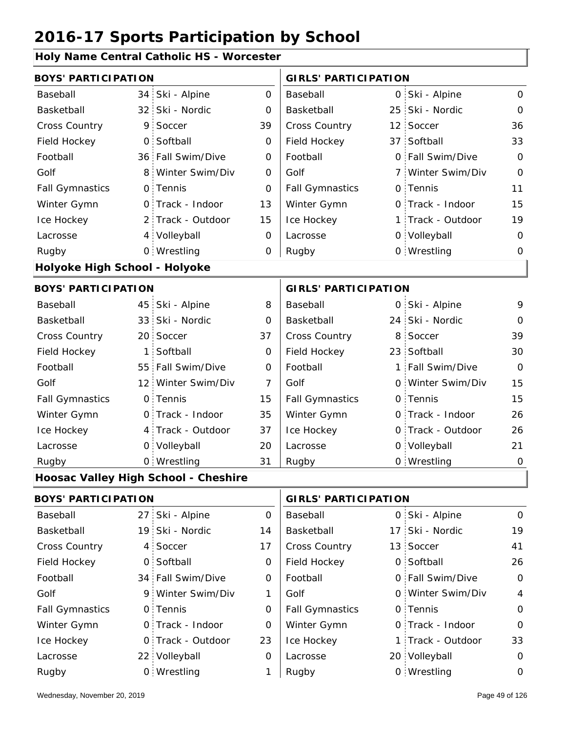#### **Holy Name Central Catholic HS - Worcester**

|                               | <b>BOYS' PARTICIPATION</b> |                                      |                |                             |  | <b>GIRLS' PARTICIPATION</b> |                |  |  |  |
|-------------------------------|----------------------------|--------------------------------------|----------------|-----------------------------|--|-----------------------------|----------------|--|--|--|
| Baseball                      | 34                         | Ski - Alpine                         | $\overline{O}$ | Baseball                    |  | 0 Ski - Alpine              | $\mathsf{O}$   |  |  |  |
| Basketball                    | 32 <sub>1</sub>            | Ski - Nordic                         | 0              | Basketball                  |  | 25 Ski - Nordic             | $\mathbf 0$    |  |  |  |
| Cross Country                 | 9                          | Soccer                               | 39             | Cross Country               |  | 12 Soccer                   | 36             |  |  |  |
| Field Hockey                  | $\mathbf 0$                | Softball                             | 0              | Field Hockey                |  | 37 Softball                 | 33             |  |  |  |
| Football                      |                            | 36 Fall Swim/Dive                    | 0              | Football                    |  | 0 Fall Swim/Dive            | $\mathbf 0$    |  |  |  |
| Golf                          | 8                          | Winter Swim/Div                      | $\mathbf 0$    | Golf                        |  | 7 Winter Swim/Div           | $\mathbf 0$    |  |  |  |
| <b>Fall Gymnastics</b>        |                            | 0 Tennis                             | O              | <b>Fall Gymnastics</b>      |  | 0 Tennis                    | 11             |  |  |  |
| Winter Gymn                   |                            | 0 Track - Indoor                     | 13             | Winter Gymn                 |  | O Track - Indoor            | 15             |  |  |  |
| Ice Hockey                    | 2 <sup>1</sup>             | Track - Outdoor                      | 15             | Ice Hockey                  |  | 1 Track - Outdoor           | 19             |  |  |  |
| Lacrosse                      |                            | 4 Volleyball                         | 0              | Lacrosse                    |  | 0 Volleyball                | $\mathbf 0$    |  |  |  |
| Rugby                         |                            | 0 Wrestling                          | 0              | Rugby                       |  | 0 Wrestling                 | 0              |  |  |  |
| Holyoke High School - Holyoke |                            |                                      |                |                             |  |                             |                |  |  |  |
| <b>BOYS' PARTICIPATION</b>    |                            |                                      |                | <b>GIRLS' PARTICIPATION</b> |  |                             |                |  |  |  |
| Baseball                      |                            | 45 Ski - Alpine                      | 8              | Baseball                    |  | 0 Ski - Alpine              | 9              |  |  |  |
| Basketball                    |                            | 33 Ski - Nordic                      | 0              | Basketball                  |  | 24 Ski - Nordic             | $\mathbf 0$    |  |  |  |
| <b>Cross Country</b>          |                            | 20 Soccer                            | 37             | Cross Country               |  | 8 Soccer                    | 39             |  |  |  |
| Field Hockey                  | 1                          | Softball                             | 0              | Field Hockey                |  | 23 Softball                 | 30             |  |  |  |
| Football                      |                            | 55 Fall Swim/Dive                    | 0              | Football                    |  | 1 Fall Swim/Dive            | $\Omega$       |  |  |  |
| Golf                          |                            | 12 Winter Swim/Div                   | $\overline{7}$ | Golf                        |  | 0 Winter Swim/Div           | 15             |  |  |  |
| <b>Fall Gymnastics</b>        |                            | 0 Tennis                             | 15             | <b>Fall Gymnastics</b>      |  | 0 Tennis                    | 15             |  |  |  |
| Winter Gymn                   |                            | 0 Track - Indoor                     | 35             | Winter Gymn                 |  | O Track - Indoor            | 26             |  |  |  |
| Ice Hockey                    |                            | 4 Track - Outdoor                    | 37             | Ice Hockey                  |  | 0 Track - Outdoor           | 26             |  |  |  |
| Lacrosse                      |                            | 0 Volleyball                         | 20             | Lacrosse                    |  | 0 Volleyball                | 21             |  |  |  |
| Rugby                         |                            | 0 Wrestling                          | 31             | Rugby                       |  | 0 Wrestling                 | $\mathbf 0$    |  |  |  |
|                               |                            | Hoosac Valley High School - Cheshire |                |                             |  |                             |                |  |  |  |
| <b>BOYS' PARTICIPATION</b>    |                            |                                      |                | <b>GIRLS' PARTICIPATION</b> |  |                             |                |  |  |  |
| Baseball                      | 27 <sub>1</sub>            | Ski - Alpine                         | 0              | Baseball                    |  | 0 Ski - Alpine              | $\mathbf 0$    |  |  |  |
| Basketball                    |                            | 19 Ski - Nordic                      | 14             | Basketball                  |  | 17 Ski - Nordic             | 19             |  |  |  |
| Cross Country                 | $4^{\circ}$                | Soccer                               | 17             | Cross Country               |  | 13 Soccer                   | 41             |  |  |  |
| Field Hockey                  |                            | 0 Softball                           | 0              | Field Hockey                |  | 0 Softball                  | 26             |  |  |  |
| Football                      |                            | 34 Fall Swim/Dive                    | 0              | Football                    |  | 0 Fall Swim/Dive            | $\mathbf 0$    |  |  |  |
| Golf                          |                            | 9 Winter Swim/Div                    | 1              | Golf                        |  | 0 Winter Swim/Div           | $\overline{4}$ |  |  |  |
| <b>Fall Gymnastics</b>        |                            | 0 Tennis                             | 0              | <b>Fall Gymnastics</b>      |  | 0 Tennis                    | $\mathbf 0$    |  |  |  |
| Winter Gymn                   |                            | 0 Track - Indoor                     | 0              | Winter Gymn                 |  | O Track - Indoor            | $\mathbf 0$    |  |  |  |
| Ice Hockey                    |                            | 0 Track - Outdoor                    | 23             | Ice Hockey                  |  | 1 Track - Outdoor           | 33             |  |  |  |

0

Lacrosse

1

Wrestling Rugby 0 Rugby 0

Lacrosse

22 Volleyball

20 Volleyball 0

0 Wrestling 0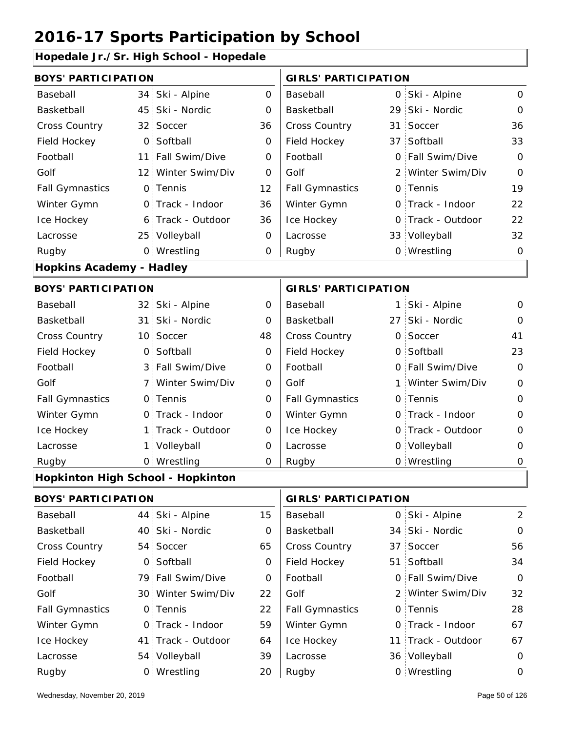#### **Hopedale Jr./Sr. High School - Hopedale**

| <b>BOYS' PARTICIPATION</b>               |                 |                   |                | <b>GIRLS' PARTICIPATION</b> |                   |                  |
|------------------------------------------|-----------------|-------------------|----------------|-----------------------------|-------------------|------------------|
| Baseball                                 | 34:             | Ski - Alpine      | $\overline{O}$ | Baseball                    | 0 Ski - Alpine    | $\mathbf 0$      |
| Basketball                               | 45              | Ski - Nordic      | 0              | Basketball                  | 29 Ski - Nordic   | $\mathbf 0$      |
| <b>Cross Country</b>                     | 32 <sub>1</sub> | Soccer            | 36             | Cross Country               | 31 Soccer         | 36               |
| Field Hockey                             | $\mathbf 0$     | Softball          | $\mathbf 0$    | Field Hockey                | 37 Softball       | 33               |
| Football                                 | 11              | Fall Swim/Dive    | 0              | Football                    | 0 Fall Swim/Dive  | $\mathbf 0$      |
| Golf                                     | 12 <sup>1</sup> | Winter Swim/Div   | 0              | Golf                        | 2 Winter Swim/Div | $\mathbf 0$      |
| <b>Fall Gymnastics</b>                   |                 | 0 Tennis          | 12             | <b>Fall Gymnastics</b>      | 0 Tennis          | 19               |
| Winter Gymn                              |                 | 0 Track - Indoor  | 36             | Winter Gymn                 | O Track - Indoor  | 22               |
| Ice Hockey                               |                 | 6 Track - Outdoor | 36             | Ice Hockey                  | 0 Track - Outdoor | 22               |
| Lacrosse                                 |                 | 25 Volleyball     | 0              | Lacrosse                    | 33 Volleyball     | 32               |
| Rugby                                    |                 | 0 Wrestling       | 0              | Rugby                       | 0 Wrestling       | $\mathbf 0$      |
| <b>Hopkins Academy - Hadley</b>          |                 |                   |                |                             |                   |                  |
| <b>BOYS' PARTICIPATION</b>               |                 |                   |                | <b>GIRLS' PARTICIPATION</b> |                   |                  |
| Baseball                                 |                 | 32 Ski - Alpine   | $\mathbf 0$    | Baseball                    | 1 Ski - Alpine    | $\mathbf 0$      |
| Basketball                               | 31              | Ski - Nordic      | 0              | Basketball                  | 27 Ski - Nordic   | $\mathbf 0$      |
| Cross Country                            |                 | 10 Soccer         | 48             | Cross Country               | 0 Soccer          | 41               |
| Field Hockey                             | $\mathbf 0$     | Softball          | $\mathbf 0$    | Field Hockey                | 0 Softball        | 23               |
| Football                                 |                 | 3 Fall Swim/Dive  | 0              | Football                    | 0 Fall Swim/Dive  | $\mathbf 0$      |
| Golf                                     | $\overline{7}$  | Winter Swim/Div   | $\mathbf 0$    | Golf                        | 1 Winter Swim/Div | $\mathbf 0$      |
| <b>Fall Gymnastics</b>                   |                 | 0 Tennis          | $\mathbf 0$    | <b>Fall Gymnastics</b>      | 0 Tennis          | $\mathbf{O}$     |
| Winter Gymn                              |                 | 0 Track - Indoor  | $\mathbf 0$    | Winter Gymn                 | 0 Track - Indoor  | $\mathbf 0$      |
| Ice Hockey                               | $\mathbf{1}$    | Track - Outdoor   | 0              | Ice Hockey                  | 0 Track - Outdoor | $\mathbf 0$      |
| Lacrosse                                 | $\mathbf{1}$    | Volleyball        | 0              | Lacrosse                    | 0 Volleyball      | 0                |
| Rugby                                    |                 | 0 Wrestling       | O              | Rugby                       | 0 Wrestling       | $\mathbf 0$      |
| <b>Hopkinton High School - Hopkinton</b> |                 |                   |                |                             |                   |                  |
| <b>BOYS' PARTICIPATION</b>               |                 |                   |                | <b>GIRLS' PARTICIPATION</b> |                   |                  |
| Baseball                                 | 44              | Ski - Alpine      | 15             | Baseball                    | 0 Ski - Alpine    | $\overline{2}$   |
| Basketball                               |                 | 40 Ski - Nordic   | 0              | Basketball                  | 34 Ski - Nordic   | $\boldsymbol{0}$ |
| Cross Country                            |                 | 54 Soccer         | 65             | Cross Country               | 37 Soccer         | 56               |
| Field Hockey                             |                 | 0 Softball        | 0              | Field Hockey                | 51 Softball       | 34               |
| Football                                 |                 | 79 Fall Swim/Dive | 0              | Football                    | 0 Fall Swim/Dive  | $\overline{O}$   |

| pasupan                | <b>TT JNI - AINIIIV</b> | ن ا | Dascoall               | U UNI - AINIHU     | ∼              |
|------------------------|-------------------------|-----|------------------------|--------------------|----------------|
| Basketball             | 40 Ski - Nordic         | 0   | Basketball             | 34 Ski - Nordic    | $\circ$        |
| <b>Cross Country</b>   | 54 Soccer               | 65  | <b>Cross Country</b>   | 37 Soccer          | 56             |
| Field Hockey           | 0 Softball              | 0   | Field Hockey           | 51 Softball        | 34             |
| Football               | 79 Fall Swim/Dive       | 0   | Football               | 0 Fall Swim/Dive   | $\overline{O}$ |
| Golf                   | 30 Winter Swim/Div      | 22  | Golf                   | 2 Winter Swim/Div  | 32             |
| <b>Fall Gymnastics</b> | 0 Tennis                | 22  | <b>Fall Gymnastics</b> | 0 Tennis           | 28             |
| Winter Gymn            | O Track - Indoor        | 59  | Winter Gymn            | 0 Track - Indoor   | 67             |
| Ice Hockey             | 41 Track - Outdoor      | 64  | Ice Hockey             | 11 Track - Outdoor | 67             |
| Lacrosse               | 54 Volleyball           | 39  | Lacrosse               | 36 Volleyball      | $\mathbf 0$    |
| Rugby                  | 0 Wrestling             | 20  | Rugby                  | 0 Wrestling        | $\Omega$       |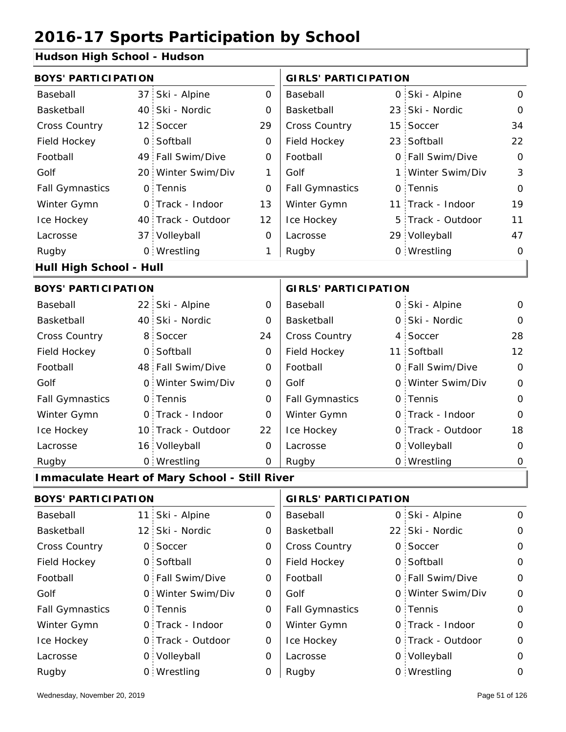#### **Hudson High School - Hudson**

| aason mgu sonoon           |                 |                                                      |                             |                             |    |                   |                |
|----------------------------|-----------------|------------------------------------------------------|-----------------------------|-----------------------------|----|-------------------|----------------|
| <b>BOYS' PARTICIPATION</b> |                 |                                                      |                             | <b>GIRLS' PARTICIPATION</b> |    |                   |                |
| Baseball                   | 37              | Ski - Alpine                                         | $\overline{O}$              | Baseball                    |    | 0 Ski - Alpine    | $\mathbf{O}$   |
| Basketball                 | 40              | Ski - Nordic                                         | 0                           | Basketball                  |    | 23 Ski - Nordic   | $\mathbf{O}$   |
| Cross Country              | 12 <sup>1</sup> | Soccer                                               | 29                          | Cross Country               | 15 | Soccer            | 34             |
| Field Hockey               | $\overline{O}$  | Softball                                             | 0                           | Field Hockey                |    | 23 Softball       | 22             |
| Football                   |                 | 49 Fall Swim/Dive                                    | $\overline{O}$              | Football                    |    | 0 Fall Swim/Dive  | $\Omega$       |
| Golf                       | 20:             | Winter Swim/Div                                      | 1                           | Golf                        |    | 1 Winter Swim/Div | $\mathfrak{Z}$ |
| <b>Fall Gymnastics</b>     | $\mathsf{O}$    | Tennis                                               | $\overline{0}$              | <b>Fall Gymnastics</b>      |    | 0 Tennis          | $\Omega$       |
| Winter Gymn                |                 | 0 Track - Indoor                                     | 13                          | Winter Gymn                 |    | 11 Track - Indoor | 19             |
| Ice Hockey                 |                 | 40 Track - Outdoor                                   | 12                          | Ice Hockey                  | 5  | Track - Outdoor   | 11             |
| Lacrosse                   |                 | 37 Volleyball                                        | $\mathbf 0$                 | Lacrosse                    |    | 29 Volleyball     | 47             |
| Rugby                      |                 | 0 Wrestling                                          | 1                           | Rugby                       |    | 0 Wrestling       | 0              |
| Hull High School - Hull    |                 |                                                      |                             |                             |    |                   |                |
| <b>BOYS' PARTICIPATION</b> |                 |                                                      | <b>GIRLS' PARTICIPATION</b> |                             |    |                   |                |
| Baseball                   |                 | 22 Ski - Alpine                                      | 0                           | Baseball                    |    | 0 Ski - Alpine    | $\mathbf{O}$   |
| Basketball                 |                 | 40 Ski - Nordic                                      | 0                           | Basketball                  |    | 0 Ski - Nordic    | $\Omega$       |
| Cross Country              | 8               | Soccer                                               | 24                          | Cross Country               |    | 4 Soccer          | 28             |
| Field Hockey               | $\Omega$        | Softball                                             | $\Omega$                    | Field Hockey                |    | 11 Softball       | 12             |
| Football                   |                 | 48 Fall Swim/Dive                                    | 0                           | Football                    |    | 0 Fall Swim/Dive  | $\overline{O}$ |
| Golf                       | $\mathbf{O}$    | Winter Swim/Div                                      | 0                           | Golf                        |    | 0 Winter Swim/Div | $\mathbf 0$    |
| <b>Fall Gymnastics</b>     |                 | 0 Tennis                                             | 0                           | <b>Fall Gymnastics</b>      |    | 0 Tennis          | 0              |
| Winter Gymn                |                 | 0 Track - Indoor                                     | $\Omega$                    | Winter Gymn                 |    | O Track - Indoor  | $\Omega$       |
| Ice Hockey                 |                 | 10 Track - Outdoor                                   | 22                          | Ice Hockey                  |    | 0 Track - Outdoor | 18             |
| Lacrosse                   |                 | 16 Volleyball                                        | 0                           | Lacrosse                    |    | 0 Volleyball      | O              |
| Rugby                      |                 | 0 Wrestling                                          | 0                           | Rugby                       |    | 0 Wrestling       | 0              |
|                            |                 | <b>Immaculate Heart of Mary School - Still River</b> |                             |                             |    |                   |                |
| <b>BOYS' PARTICIPATION</b> |                 |                                                      |                             | <b>GIRLS' PARTICIPATION</b> |    |                   |                |
| Baseball                   |                 | 11 Ski - Alpine                                      | $\overline{O}$              | Baseball                    |    | 0 Ski - Alpine    | $\mathbf{O}$   |

| <b>Baseball</b>        | II SKI - Alpine   | υ | <b>Baseball</b>        | U SKI - Alpine    | v           |
|------------------------|-------------------|---|------------------------|-------------------|-------------|
| Basketball             | 12 Ski - Nordic   | 0 | Basketball             | 22 Ski - Nordic   | $\mathbf 0$ |
| <b>Cross Country</b>   | 0 Soccer          | 0 | <b>Cross Country</b>   | 0 Soccer          | $\mathbf 0$ |
| Field Hockey           | 0 Softball        | 0 | Field Hockey           | 0 Softball        | $\mathbf 0$ |
| Football               | 0 Fall Swim/Dive  | 0 | Football               | 0 Fall Swim/Dive  | $\mathbf 0$ |
| Golf                   | 0 Winter Swim/Div | O | Golf                   | 0 Winter Swim/Div | $\mathbf 0$ |
| <b>Fall Gymnastics</b> | 0 Tennis          | 0 | <b>Fall Gymnastics</b> | 0 Tennis          | $\Omega$    |
| Winter Gymn            | 0 Track - Indoor  | 0 | Winter Gymn            | 0 Track - Indoor  | $\mathbf 0$ |
| Ice Hockey             | 0 Track - Outdoor | 0 | Ice Hockey             | 0 Track - Outdoor | $\mathbf 0$ |
| Lacrosse               | 0 Volleyball      | 0 | Lacrosse               | 0 Volleyball      | $\mathbf 0$ |
| Rugby                  | 0 Wrestling       | O | Rugby                  | 0 Wrestling       | 0           |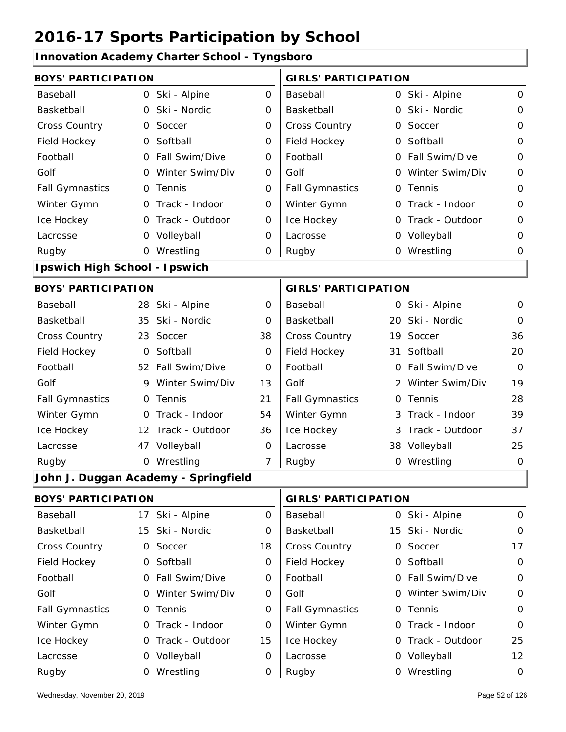#### **Innovation Academy Charter School - Tyngsboro**

| <b>BOYS' PARTICIPATION</b>    |                |                                      |                     | <b>GIRLS' PARTICIPATION</b> |                   |              |
|-------------------------------|----------------|--------------------------------------|---------------------|-----------------------------|-------------------|--------------|
| Baseball                      |                | 0 Ski - Alpine                       | $\mathsf{O}$        | Baseball                    | 0 Ski - Alpine    | $\mathbf{O}$ |
| Basketball                    | $\mathsf{O}$   | Ski - Nordic                         | $\mathbf 0$         | Basketball                  | 0 Ski - Nordic    | $\mathbf{O}$ |
| Cross Country                 | $\mathsf{O}$   | Soccer                               | $\mathbf 0$         | Cross Country               | 0 Soccer          | $\mathbf 0$  |
| Field Hockey                  |                | 0 Softball                           | $\mathbf 0$         | Field Hockey                | 0 Softball        | $\mathbf 0$  |
| Football                      |                | 0 Fall Swim/Dive                     | $\mathbf 0$         | Football                    | 0 Fall Swim/Dive  | $\mathbf 0$  |
| Golf                          |                | 0 Winter Swim/Div                    | 0                   | Golf                        | 0 Winter Swim/Div | $\mathbf 0$  |
| <b>Fall Gymnastics</b>        |                | 0 Tennis                             | $\mathbf 0$         | <b>Fall Gymnastics</b>      | 0 Tennis          | $\mathbf{O}$ |
| Winter Gymn                   |                | O Track - Indoor                     | $\mathsf{O}\xspace$ | Winter Gymn                 | O Track - Indoor  | $\mathbf 0$  |
| Ice Hockey                    |                | 0 Track - Outdoor                    | $\mathbf 0$         | Ice Hockey                  | 0 Track - Outdoor | $\mathbf 0$  |
| Lacrosse                      |                | 0 Volleyball                         | $\mathbf 0$         | Lacrosse                    | 0 Volleyball      | $\mathbf 0$  |
| Rugby                         |                | 0 Wrestling                          | 0                   | Rugby                       | 0 Wrestling       | 0            |
| Ipswich High School - Ipswich |                |                                      |                     |                             |                   |              |
| <b>BOYS' PARTICIPATION</b>    |                |                                      |                     | <b>GIRLS' PARTICIPATION</b> |                   |              |
| Baseball                      |                | 28 Ski - Alpine                      | 0                   | Baseball                    | 0 Ski - Alpine    | $\mathsf{O}$ |
| Basketball                    |                | 35 Ski - Nordic                      | $\mathbf 0$         | Basketball                  | 20 Ski - Nordic   | 0            |
| Cross Country                 |                | 23 Soccer                            | 38                  | Cross Country               | 19 Soccer         | 36           |
| Field Hockey                  | O <sub>1</sub> | Softball                             | 0                   | Field Hockey                | 31 Softball       | 20           |
| Football                      |                | 52 Fall Swim/Dive                    | $\mathbf 0$         | Football                    | 0 Fall Swim/Dive  | $\Omega$     |
| Golf                          | 9.             | Winter Swim/Div                      | 13                  | Golf                        | 2 Winter Swim/Div | 19           |
| <b>Fall Gymnastics</b>        |                | 0 Tennis                             | 21                  | <b>Fall Gymnastics</b>      | 0 Tennis          | 28           |
| Winter Gymn                   |                | O Track - Indoor                     | 54                  | Winter Gymn                 | 3 Track - Indoor  | 39           |
| Ice Hockey                    |                | 12 Track - Outdoor                   | 36                  | Ice Hockey                  | 3 Track - Outdoor | 37           |
| Lacrosse                      |                | 47 Volleyball                        | $\mathbf 0$         | Lacrosse                    | 38 Volleyball     | 25           |
| Rugby                         |                | 0 Wrestling                          | $\overline{7}$      | Rugby                       | 0 Wrestling       | $\mathbf 0$  |
|                               |                | John J. Duggan Academy - Springfield |                     |                             |                   |              |
| <b>BOYS' PARTICIPATION</b>    |                |                                      |                     | <b>GIRLS' PARTICIPATION</b> |                   |              |
| Baseball                      | 17:            | Ski - Alpine                         | 0                   | Baseball                    | 0 Ski - Alpine    | 0            |
| Basketball                    |                | 15 Ski - Nordic                      | 0                   | Basketball                  | 15 Ski - Nordic   | $\mathbf 0$  |
| Cross Country                 | $\mathsf{O}$   | Soccer                               | 18                  | Cross Country               | 0 Soccer          | 17           |
| Field Hockey                  |                | 0 Softball                           | 0                   | Field Hockey                | 0 Softball        | $\mathbf 0$  |
| Football                      |                | 0 Fall Swim/Dive                     | 0                   | Football                    | 0 Fall Swim/Dive  | $\mathbf 0$  |
| Golf                          | 0.             | Winter Swim/Div                      | 0                   | Golf                        | 0 Winter Swim/Div | $\mathbf 0$  |
| <b>Fall Gymnastics</b>        |                | 0 Tennis                             | $\mathbf 0$         | <b>Fall Gymnastics</b>      | 0 Tennis          | $\mathbf 0$  |
| Winter Gymn                   |                | 0 Track - Indoor                     | O                   | Winter Gymn                 | 0 Track - Indoor  | $\mathbf 0$  |

15

Ice Hockey Lacrosse

0

0

Ice Hockey Lacrosse

0 Track - Outdoor

Wrestling Rugby 0 Rugby 0

0 Volleyball

25

0 Track - Outdoor

0 Volleyball 12

0 Wrestling 0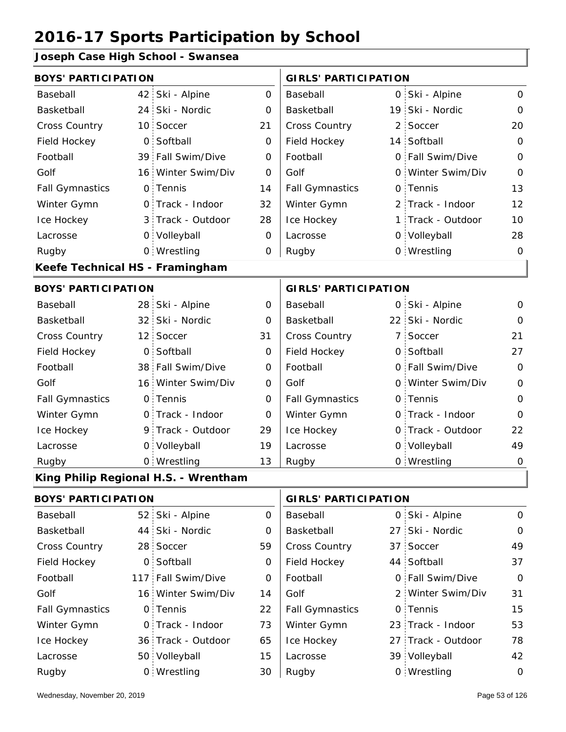**Joseph Case High School - Swansea**

| <b>BOYS' PARTICIPATION</b>      |                                      |              | <b>GIRLS' PARTICIPATION</b> |                   |              |
|---------------------------------|--------------------------------------|--------------|-----------------------------|-------------------|--------------|
| Baseball                        | 42 Ski - Alpine                      | $\mathsf{O}$ | Baseball                    | 0 Ski - Alpine    | $\mathbf 0$  |
| Basketball                      | 24 Ski - Nordic                      | 0            | Basketball                  | 19 Ski - Nordic   | $\mathbf 0$  |
| Cross Country                   | 10 Soccer                            | 21           | Cross Country               | 2 Soccer          | 20           |
| Field Hockey                    | 0 Softball                           | O            | Field Hockey                | 14 Softball       | $\mathbf 0$  |
| Football                        | 39 Fall Swim/Dive                    | 0            | Football                    | 0 Fall Swim/Dive  | $\mathbf{O}$ |
| Golf                            | 16 Winter Swim/Div                   | 0            | Golf                        | 0 Winter Swim/Div | $\mathbf 0$  |
| <b>Fall Gymnastics</b>          | 0 Tennis                             | 14           | <b>Fall Gymnastics</b>      | 0 Tennis          | 13           |
| Winter Gymn                     | O Track - Indoor                     | 32           | Winter Gymn                 | 2 Track - Indoor  | 12           |
| Ice Hockey                      | 3 Track - Outdoor                    | 28           | Ice Hockey                  | 1 Track - Outdoor | 10           |
| Lacrosse                        | 0 Volleyball                         | $\mathbf 0$  | Lacrosse                    | 0 Volleyball      | 28           |
| Rugby                           | 0 Wrestling                          | 0            | Rugby                       | 0 Wrestling       | $\mathbf 0$  |
| Keefe Technical HS - Framingham |                                      |              |                             |                   |              |
| <b>BOYS' PARTICIPATION</b>      |                                      |              | <b>GIRLS' PARTICIPATION</b> |                   |              |
| Baseball                        | 28 Ski - Alpine                      | $\mathbf 0$  | Baseball                    | 0 Ski - Alpine    | $\mathbf 0$  |
| Basketball                      | 32 Ski - Nordic                      | 0            | Basketball                  | 22 Ski - Nordic   | $\mathbf 0$  |
| Cross Country                   | 12 Soccer                            | 31           | Cross Country               | 7 Soccer          | 21           |
| Field Hockey                    | 0 Softball                           | $\mathbf 0$  | Field Hockey                | 0 Softball        | 27           |
| Football                        | 38 Fall Swim/Dive                    | 0            | Football                    | 0 Fall Swim/Dive  | $\mathbf 0$  |
| Golf                            | 16 Winter Swim/Div                   | 0            | Golf                        | 0 Winter Swim/Div | $\mathbf 0$  |
| <b>Fall Gymnastics</b>          | 0 Tennis                             | $\mathbf 0$  | <b>Fall Gymnastics</b>      | 0 Tennis          | $\mathbf{O}$ |
| Winter Gymn                     | O Track - Indoor                     | $\mathbf 0$  | Winter Gymn                 | O Track - Indoor  | $\mathbf 0$  |
| Ice Hockey                      | 9 Track - Outdoor                    | 29           | Ice Hockey                  | 0 Track - Outdoor | 22           |
| Lacrosse                        | 0 Volleyball                         | 19           | Lacrosse                    | 0 Volleyball      | 49           |
| Rugby                           | 0 Wrestling                          | 13           | Rugby                       | 0 Wrestling       | $\mathbf 0$  |
|                                 | King Philip Regional H.S. - Wrentham |              |                             |                   |              |
| <b>BOYS' PARTICIPATION</b>      |                                      |              | <b>GIRLS' PARTICIPATION</b> |                   |              |
| Baseball                        | 52 Ski - Alpine                      | 0            | Baseball                    | 0 Ski - Alpine    | 0            |
| Basketball                      | 44 Ski - Nordic                      | 0            | Basketball                  | 27 Ski - Nordic   | $\mathbf 0$  |
| Cross Country                   | 28 Soccer                            | 59           | Cross Country               | 37 Soccer         | 49           |
| Field Hockey                    | 0 Softball                           | 0            | Field Hockey                | 44 Softball       | 37           |
|                                 |                                      |              |                             |                   |              |

| Field Hockey           | 0 Softball         | 0  | Field Hockey           | 44 Softball        | 37       |
|------------------------|--------------------|----|------------------------|--------------------|----------|
| Football               | 117 Fall Swim/Dive | 0  | Football               | 0 Fall Swim/Dive   | $\Omega$ |
| Golf                   | 16 Winter Swim/Div | 14 | Golf                   | 2 Winter Swim/Div  | 31       |
| <b>Fall Gymnastics</b> | 0 Tennis           | 22 | <b>Fall Gymnastics</b> | 0 Tennis           | 15       |
| Winter Gymn            | 0 Track - Indoor   | 73 | Winter Gymn            | 23 Track - Indoor  | 53       |
| Ice Hockey             | 36 Track - Outdoor | 65 | Ice Hockey             | 27 Track - Outdoor | 78       |
| Lacrosse               | 50 Volleyball      | 15 | Lacrosse               | 39 Volleyball      | 42       |
| Rugby                  | 0 Wrestling        | 30 | Rugby                  | 0 Wrestling        | $\Omega$ |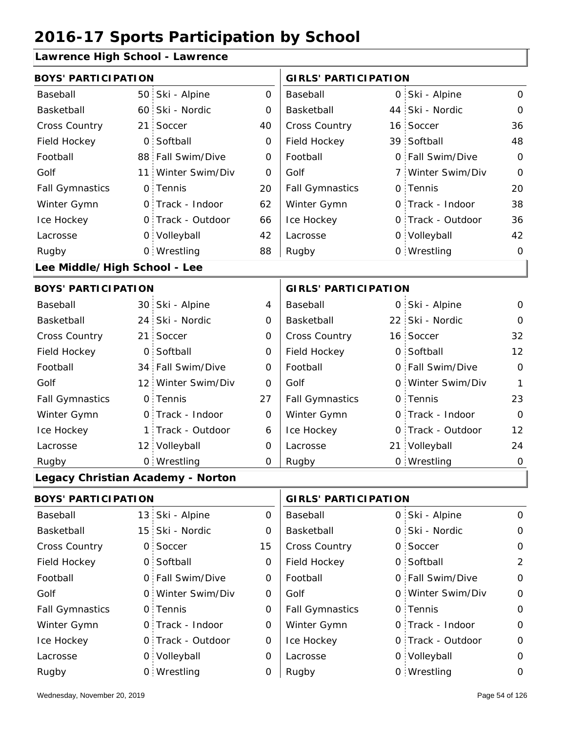#### **Lawrence High School - Lawrence**

| <b>BOYS' PARTICIPATION</b>   |                    |          | <b>GIRLS' PARTICIPATION</b> |  |                   |             |  |
|------------------------------|--------------------|----------|-----------------------------|--|-------------------|-------------|--|
| Baseball                     | 50 Ski - Alpine    | $\Omega$ | Baseball                    |  | 0 Ski - Alpine    | 0           |  |
| Basketball                   | 60 Ski - Nordic    | $\Omega$ | Basketball                  |  | 44 Ski - Nordic   | 0           |  |
| <b>Cross Country</b>         | 21 Soccer          | 40       | <b>Cross Country</b>        |  | 16 Soccer         | 36          |  |
| Field Hockey                 | 0 Softball         | $\Omega$ | Field Hockey                |  | 39 Softball       | 48          |  |
| Football                     | 88 Fall Swim/Dive  | 0        | Football                    |  | 0 Fall Swim/Dive  | 0           |  |
| Golf                         | 11 Winter Swim/Div | 0        | Golf                        |  | 7 Winter Swim/Div | $\mathbf 0$ |  |
| <b>Fall Gymnastics</b>       | 0 Tennis           | 20       | <b>Fall Gymnastics</b>      |  | 0 Tennis          | 20          |  |
| Winter Gymn                  | O Track - Indoor   | 62       | Winter Gymn                 |  | O Track - Indoor  | 38          |  |
| Ice Hockey                   | 0 Track - Outdoor  | 66       | Ice Hockey                  |  | 0 Track - Outdoor | 36          |  |
| Lacrosse                     | 0 Volleyball       | 42       | Lacrosse                    |  | 0 Volleyball      | 42          |  |
| Rugby                        | 0 Wrestling        | 88       | Rugby                       |  | 0 Wrestling       | 0           |  |
| Lee Middle/High School - Lee |                    |          |                             |  |                   |             |  |
| <b>BOYS' PARTICIPATION</b>   |                    |          | <b>GIRLS' PARTICIPATION</b> |  |                   |             |  |
| Baseball                     | 30 Ski - Alpine    | 4        | Baseball                    |  | 0 Ski - Alpine    | 0           |  |
| Basketball                   | 24 Ski - Nordic    | 0        | Basketball                  |  | 22 Ski - Nordic   | 0           |  |
| <b>Cross Country</b>         | 21 Soccer          | 0        | Cross Country               |  | 16 Soccer         | 32          |  |
| Field Hockey                 | 0 Softball         | $\Omega$ | Field Hockey                |  | 0 Softball        | 12          |  |

34 0 Fall Swim/Dive 12 Winter Swim/Div 0 Golf 0 0 0 0 Fall Gymnastics

Football Golf

Winter Gymn Ice Hockey Lacrosse

0

27

 $\Omega$ 

6

0

 $\Omega$ 

#### Wrestling Rugby 0 Rugby 0 **Legacy Christian Academy - Norton**

1 Track - Outdoor

Track - Indoor

12 Volleyball

0 Tennis

#### 13 Ski - Alpine 15 0 Ski - Nordic 0 0 Cross Country 0 0 Field Hockey 0 0 Fall Swim/Dive 0 Winter Swim/Div 0 Golf 0 0 0 Fall Gymnastics 0 of Fall Gymnastics 0 of Fall Gymnastics 0 of the 10 of the 10 0 Track - Outdoor 0 Track - Indoor 0 Volleyball 0 Track - Outdoor 0 0 Volleyball 0 0 0 Ski - Alpine 0 15 0  $\Omega$  $\Omega$ 0  $\mathfrak{D}$ 0 0  $\Omega$  $\Omega$ 0 0 0  $\Omega$ 0 0 Baseball Basketball Cross Country Field Hockey Football Golf Fall Gymnastics Ice Hockey Lacrosse 0 Soccer Softball 0 Tennis Track - Indoor Wrestling Rugby 0 Rugby 0 **BOYS' PARTICIPATION GIRLS' PARTICIPATION** Baseball Basketball Football Golf Winter Gymn Ice Hockey Lacrosse 0 Ski - Nordic 0 Soccer 0 Softball Fall Swim/Dive Winter Swim/Div 0 Tennis Winter Gymn 0 Wrestling 0

Football Golf

Fall Gymnastics

Ice Hockey Lacrosse

Winter Gymn

0 Track - Indoor

0 Tennis

Fall Swim/Dive Winter Swim/Div

0 Track - Outdoor

21 Volleyball 24

0 Wrestling 0

0

1

23

 $\Omega$ 

12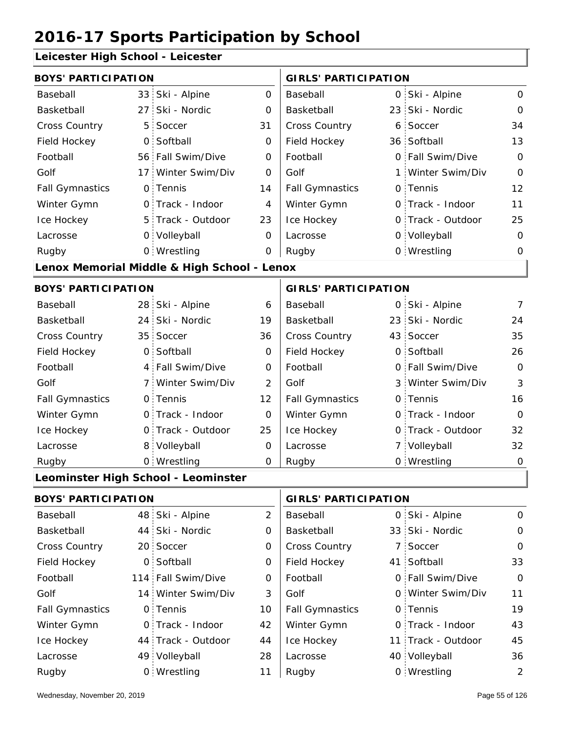#### **Leicester High School - Leicester**

| <b>BOYS' PARTICIPATION</b> |                 |                                             |                | <b>GIRLS' PARTICIPATION</b> |  |                   |                |
|----------------------------|-----------------|---------------------------------------------|----------------|-----------------------------|--|-------------------|----------------|
| Baseball                   |                 | 33 Ski - Alpine                             | $\mathbf{O}$   | Baseball                    |  | 0 Ski - Alpine    | $\mathbf 0$    |
| Basketball                 | 27 <sup>1</sup> | Ski - Nordic                                | 0              | Basketball                  |  | 23 Ski - Nordic   | 0              |
| Cross Country              | 5               | Soccer                                      | 31             | <b>Cross Country</b>        |  | 6 Soccer          | 34             |
| Field Hockey               | $\mathsf{O}$    | Softball                                    | 0              | Field Hockey                |  | 36 Softball       | 13             |
| Football                   | 56              | Fall Swim/Dive                              | 0              | Football                    |  | 0 Fall Swim/Dive  | $\mathbf 0$    |
| Golf                       | 17 <sup>1</sup> | Winter Swim/Div                             | $\Omega$       | Golf                        |  | 1 Winter Swim/Div | $\Omega$       |
| <b>Fall Gymnastics</b>     | $\mathsf{O}$    | Tennis                                      | 14             | <b>Fall Gymnastics</b>      |  | 0 Tennis          | 12             |
| Winter Gymn                |                 | O Track - Indoor                            | 4              | Winter Gymn                 |  | O Track - Indoor  | 11             |
| Ice Hockey                 | 5 <sup>1</sup>  | Track - Outdoor                             | 23             | Ice Hockey                  |  | 0 Track - Outdoor | 25             |
| Lacrosse                   |                 | 0 Volleyball                                | 0              | Lacrosse                    |  | 0 Volleyball      | $\mathbf 0$    |
| Rugby                      |                 | 0 Wrestling                                 | 0              | Rugby                       |  | 0 Wrestling       | 0              |
|                            |                 | Lenox Memorial Middle & High School - Lenox |                |                             |  |                   |                |
| <b>BOYS' PARTICIPATION</b> |                 |                                             |                | <b>GIRLS' PARTICIPATION</b> |  |                   |                |
| Baseball                   |                 | 28 Ski - Alpine                             | 6              | Baseball                    |  | 0 Ski - Alpine    | $\overline{7}$ |
| Basketball                 | 24              | Ski - Nordic                                | 19             | Basketball                  |  | 23 Ski - Nordic   | 24             |
| Cross Country              | 35 <sup>1</sup> | Soccer                                      | 36             | Cross Country               |  | 43 Soccer         | 35             |
| Field Hockey               | $\overline{O}$  | Softball                                    | $\mathbf{O}$   | Field Hockey                |  | 0 Softball        | 26             |
| Football                   | 4               | Fall Swim/Dive                              | $\mathbf 0$    | Football                    |  | 0 Fall Swim/Dive  | $\Omega$       |
| Golf                       | 7.              | Winter Swim/Div                             | $\overline{2}$ | Golf                        |  | 3 Winter Swim/Div | 3              |
| <b>Fall Gymnastics</b>     |                 | 0 Tennis                                    | 12             | <b>Fall Gymnastics</b>      |  | 0 Tennis          | 16             |
| Winter Gymn                | $\mathsf{O}$    | Track - Indoor                              | $\overline{O}$ | Winter Gymn                 |  | O Track - Indoor  | $\mathbf 0$    |
| Ice Hockey                 | 0.              | Track - Outdoor                             | 25             | Ice Hockey                  |  | 0 Track - Outdoor | 32             |
| Lacrosse                   | 8               | Volleyball                                  | 0              | Lacrosse                    |  | 7 Volleyball      | 32             |
|                            |                 | 0 Wrestling                                 | $\Omega$       | Rugby                       |  | 0 Wrestling       | 0              |
| Rugby                      |                 |                                             |                |                             |  |                   |                |
|                            |                 | Leominster High School - Leominster         |                |                             |  |                   |                |

| <b>BOYS' PARTICIPATION</b> |  |                    | <b>GIRLS' PARTICIPATION</b> |                        |  |                    |          |
|----------------------------|--|--------------------|-----------------------------|------------------------|--|--------------------|----------|
| Baseball                   |  | 48 Ski - Alpine    | $\overline{2}$              | Baseball               |  | 0 Ski - Alpine     | $\Omega$ |
| Basketball                 |  | 44 Ski - Nordic    | 0                           | Basketball             |  | 33 Ski - Nordic    | $\Omega$ |
| <b>Cross Country</b>       |  | 20 Soccer          | 0                           | Cross Country          |  | 7 Soccer           | $\Omega$ |
| Field Hockey               |  | 0 Softball         | 0                           | Field Hockey           |  | 41 Softball        | 33       |
| Football                   |  | 114 Fall Swim/Dive | 0                           | Football               |  | 0 Fall Swim/Dive   | $\Omega$ |
| Golf                       |  | 14 Winter Swim/Div | 3                           | Golf                   |  | 0 Winter Swim/Div  | 11       |
| <b>Fall Gymnastics</b>     |  | 0 Tennis           | 10                          | <b>Fall Gymnastics</b> |  | 0 Tennis           | 19       |
| Winter Gymn                |  | O Track - Indoor   | 42                          | Winter Gymn            |  | O Track - Indoor   | 43       |
| Ice Hockey                 |  | 44 Track - Outdoor | 44                          | Ice Hockey             |  | 11 Track - Outdoor | 45       |
| Lacrosse                   |  | 49 Volleyball      | 28                          | Lacrosse               |  | 40 Volleyball      | 36       |
| Rugby                      |  | 0 Wrestling        | 11                          | Rugby                  |  | 0 Wrestling        | 2        |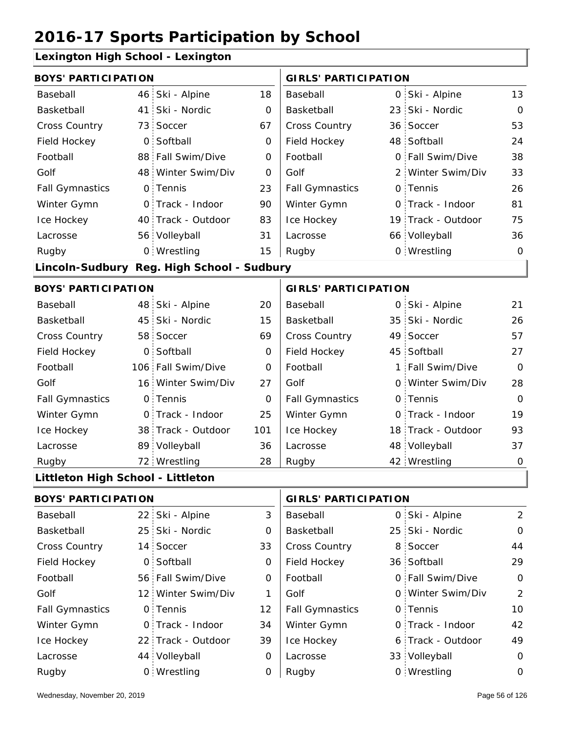### **Lexington High School - Lexington**

| <b>BOYS' PARTICIPATION</b>        |                 |                                            |             | <b>GIRLS' PARTICIPATION</b> |                             |             |
|-----------------------------------|-----------------|--------------------------------------------|-------------|-----------------------------|-----------------------------|-------------|
| Baseball                          |                 | 46 Ski - Alpine                            | 18          | Baseball                    | 0 Ski - Alpine              | 13          |
| Basketball                        | 41              | Ski - Nordic                               | $\mathbf 0$ | Basketball                  | 23 Ski - Nordic             | $\mathbf 0$ |
| Cross Country                     | 73 <sup>1</sup> | Soccer                                     | 67          | <b>Cross Country</b>        | 36 Soccer                   | 53          |
| Field Hockey                      |                 | 0 Softball                                 | $\mathbf 0$ | Field Hockey                | 48 Softball                 | 24          |
| Football                          |                 | 88 Fall Swim/Dive                          | O           | Football                    | 0 Fall Swim/Dive            | 38          |
| Golf                              |                 | 48 Winter Swim/Div                         | 0           | Golf                        | 2 Winter Swim/Div           | 33          |
| <b>Fall Gymnastics</b>            |                 | 0 Tennis                                   | 23          | <b>Fall Gymnastics</b>      | 0 Tennis                    | 26          |
| Winter Gymn                       |                 | 0 Track - Indoor                           | 90          | Winter Gymn                 | 0 Track - Indoor            | 81          |
| Ice Hockey                        |                 | 40 Track - Outdoor                         | 83          | Ice Hockey                  | 19 Track - Outdoor          | 75          |
| Lacrosse                          |                 | 56 Volleyball                              | 31          | Lacrosse                    | 66 Volleyball               | 36          |
| Rugby                             |                 | 0 Wrestling                                | 15          | Rugby                       | 0 Wrestling                 | $\mathbf 0$ |
|                                   |                 | Lincoln-Sudbury Reg. High School - Sudbury |             |                             |                             |             |
| <b>BOYS' PARTICIPATION</b>        |                 |                                            |             | <b>GIRLS' PARTICIPATION</b> |                             |             |
| Baseball                          |                 | 48 Ski - Alpine                            | 20          | Baseball                    | 0 Ski - Alpine              | 21          |
| Basketball                        |                 | 45 Ski - Nordic                            | 15          | Basketball                  | 35 Ski - Nordic             | 26          |
| Cross Country                     |                 | 58 Soccer                                  | 69          | Cross Country               | 49 Soccer                   | 57          |
| Field Hockey                      | $\overline{O}$  | Softball                                   | $\mathbf 0$ | Field Hockey                | 45 Softball                 | 27          |
| Football                          |                 | 106 Fall Swim/Dive                         | $\mathbf 0$ | Football                    | 1 Fall Swim/Dive            | $\mathbf 0$ |
| Golf                              |                 | 16 Winter Swim/Div                         | 27          | Golf                        | 0 Winter Swim/Div           | 28          |
| <b>Fall Gymnastics</b>            |                 | 0 Tennis                                   | $\mathbf 0$ | <b>Fall Gymnastics</b>      | 0 Tennis                    | $\mathbf 0$ |
| Winter Gymn                       |                 | 0 Track - Indoor                           | 25          | Winter Gymn                 | O Track - Indoor            | 19          |
| Ice Hockey                        |                 | 38 Track - Outdoor                         | 101         | Ice Hockey                  | 18 Track - Outdoor          | 93          |
| Lacrosse                          |                 | 89 Volleyball                              | 36          | Lacrosse                    | 48 Volleyball               | 37          |
| Rugby                             |                 | 72 Wrestling                               | 28          | Rugby                       | 42 Wrestling                | 0           |
| Littleton High School - Littleton |                 |                                            |             |                             |                             |             |
| <b>BOYS' PARTICIPATION</b>        |                 |                                            |             | <b>GIRLS' PARTICIPATION</b> |                             |             |
|                                   |                 | $\sim$ $\sim$ $\sim$ $\sim$                | $\sim$      |                             | $\sim$ $\sim$ $\sim$ $\sim$ |             |

| Baseball               | 22 Ski - Alpine    | 3  | Baseball               | 0 Ski - Alpine    | 2           |
|------------------------|--------------------|----|------------------------|-------------------|-------------|
| Basketball             | 25 Ski - Nordic    | 0  | Basketball             | 25 Ski - Nordic   | $\mathbf 0$ |
| <b>Cross Country</b>   | 14 Soccer          | 33 | <b>Cross Country</b>   | 8 Soccer          | 44          |
| Field Hockey           | 0 Softball         | 0  | Field Hockey           | 36 Softball       | 29          |
| Football               | 56 Fall Swim/Dive  | 0  | Football               | 0 Fall Swim/Dive  | $\mathbf 0$ |
| Golf                   | 12 Winter Swim/Div |    | Golf                   | 0 Winter Swim/Div | 2           |
| <b>Fall Gymnastics</b> | 0 Tennis           | 12 | <b>Fall Gymnastics</b> | 0 Tennis          | 10          |
| Winter Gymn            | O Track - Indoor   | 34 | Winter Gymn            | 0 Track - Indoor  | 42          |
| Ice Hockey             | 22 Track - Outdoor | 39 | Ice Hockey             | 6 Track - Outdoor | 49          |
| Lacrosse               | 44 Volleyball      | 0  | Lacrosse               | 33 Volleyball     | $\mathbf 0$ |
| Rugby                  | 0 Wrestling        | 0  | Rugby                  | 0 Wrestling       | 0           |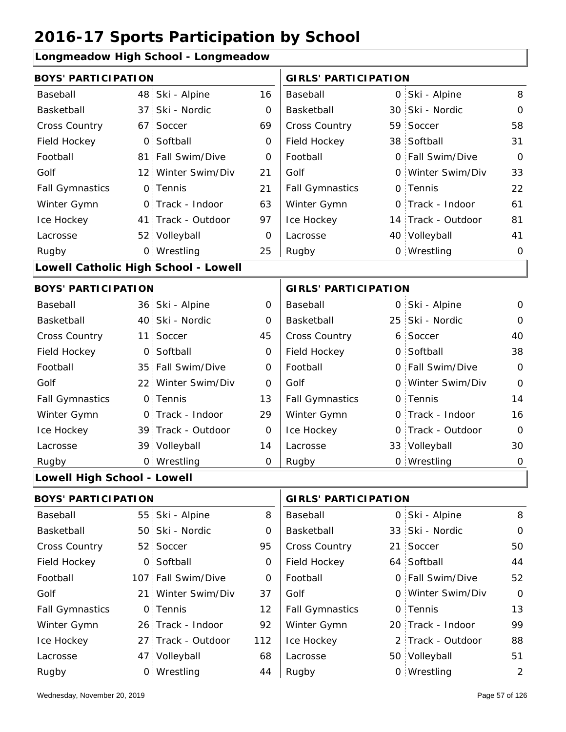#### **Longmeadow High School - Longmeadow**

| <b>BOYS' PARTICIPATION</b>  |                 |                                      |             | <b>GIRLS' PARTICIPATION</b> |    |                    |                |
|-----------------------------|-----------------|--------------------------------------|-------------|-----------------------------|----|--------------------|----------------|
| Baseball                    |                 | 48 Ski - Alpine                      | 16          | Baseball                    |    | 0 Ski - Alpine     | 8              |
| Basketball                  | 37 <sup>2</sup> | Ski - Nordic                         | 0           | Basketball                  |    | 30 Ski - Nordic    | $\mathbf 0$    |
| Cross Country               | 67              | Soccer                               | 69          | Cross Country               |    | 59 Soccer          | 58             |
| Field Hockey                | $\overline{O}$  | Softball                             | 0           | Field Hockey                |    | 38 Softball        | 31             |
| Football                    |                 | 81 Fall Swim/Dive                    | 0           | Football                    |    | 0 Fall Swim/Dive   | $\mathbf 0$    |
| Golf                        |                 | 12 Winter Swim/Div                   | 21          | Golf                        |    | 0 Winter Swim/Div  | 33             |
| <b>Fall Gymnastics</b>      |                 | 0 Tennis                             | 21          | <b>Fall Gymnastics</b>      |    | 0 Tennis           | 22             |
| Winter Gymn                 |                 | O Track - Indoor                     | 63          | Winter Gymn                 |    | O Track - Indoor   | 61             |
| Ice Hockey                  |                 | 41 Track - Outdoor                   | 97          | Ice Hockey                  |    | 14 Track - Outdoor | 81             |
| Lacrosse                    |                 | 52 Volleyball                        | 0           | Lacrosse                    |    | 40 Volleyball      | 41             |
| Rugby                       |                 | 0 Wrestling                          | 25          | Rugby                       |    | 0 Wrestling        | $\mathbf 0$    |
|                             |                 | Lowell Catholic High School - Lowell |             |                             |    |                    |                |
| <b>BOYS' PARTICIPATION</b>  |                 |                                      |             | <b>GIRLS' PARTICIPATION</b> |    |                    |                |
| Baseball                    |                 | 36 Ski - Alpine                      | 0           | Baseball                    |    | 0 Ski - Alpine     | $\mathbf 0$    |
| Basketball                  |                 | 40 Ski - Nordic                      | 0           | Basketball                  |    | 25 Ski - Nordic    | $\mathbf 0$    |
| <b>Cross Country</b>        | 11 <sup>1</sup> | Soccer                               | 45          | Cross Country               |    | 6 Soccer           | 40             |
| Field Hockey                | O <sub>1</sub>  | Softball                             | 0           | Field Hockey                |    | 0 Softball         | 38             |
| Football                    |                 | 35 Fall Swim/Dive                    | $\mathbf 0$ | Football                    |    | 0 Fall Swim/Dive   | $\overline{O}$ |
| Golf                        |                 | 22 Winter Swim/Div                   | $\mathbf 0$ | Golf                        |    | 0 Winter Swim/Div  | $\mathbf 0$    |
| <b>Fall Gymnastics</b>      |                 | 0 Tennis                             | 13          | <b>Fall Gymnastics</b>      |    | 0 Tennis           | 14             |
| Winter Gymn                 |                 | 0 Track - Indoor                     | 29          | Winter Gymn                 |    | 0 Track - Indoor   | 16             |
| Ice Hockey                  |                 | 39 Track - Outdoor                   | 0           | Ice Hockey                  | 0  | Track - Outdoor    | $\overline{O}$ |
| Lacrosse                    |                 | 39 Volleyball                        | 14          | Lacrosse                    |    | 33 Volleyball      | 30             |
| Rugby                       |                 | 0 Wrestling                          | O           | Rugby                       |    | 0 Wrestling        | $\mathbf 0$    |
| Lowell High School - Lowell |                 |                                      |             |                             |    |                    |                |
| <b>BOYS' PARTICIPATION</b>  |                 |                                      |             | <b>GIRLS' PARTICIPATION</b> |    |                    |                |
| Baseball                    |                 | 55 Ski - Alpine                      | 8           | Baseball                    |    | 0 Ski - Alpine     | 8              |
| Basketball                  |                 | 50 Ski - Nordic                      | 0           | Basketball                  |    | 33 Ski - Nordic    | 0              |
| Cross Country               |                 | 52 Soccer                            | 95          | Cross Country               | 21 | Soccer             | 50             |
| Field Hockey                |                 | 0 Softball                           | 0           | Field Hockey                |    | 64 Softball        | 44             |
| Football                    |                 | 107 Fall Swim/Dive                   | 0           | Football                    |    | 0 Fall Swim/Dive   | 52             |
| Golf                        |                 | 21 Winter Swim/Div                   | 37          | Golf                        |    | 0 Winter Swim/Div  | $\mathbf 0$    |
| <b>Fall Gymnastics</b>      |                 | 0 Tennis                             | 12          | <b>Fall Gymnastics</b>      |    | 0 Tennis           | 13             |

| <b>Baskelball</b>      | <b>OU OKI - INUIGIL</b> | υ   | <b>Baskelball</b>      | 33 SKI - INOTUIC  | - U            |
|------------------------|-------------------------|-----|------------------------|-------------------|----------------|
| <b>Cross Country</b>   | 52 Soccer               | 95  | <b>Cross Country</b>   | 21 Soccer         | 50             |
| Field Hockey           | 0 Softball              | 0   | Field Hockey           | 64 Softball       | 44             |
| Football               | 107 Fall Swim/Dive      | 0   | Football               | 0 Fall Swim/Dive  | 52             |
| Golf                   | 21 Winter Swim/Div      | 37  | Golf                   | 0 Winter Swim/Div | $\Omega$       |
| <b>Fall Gymnastics</b> | 0 Tennis                | 12  | <b>Fall Gymnastics</b> | 0 Tennis          | 13             |
| Winter Gymn            | 26 Track - Indoor       | 92  | Winter Gymn            | 20 Track - Indoor | 99             |
| Ice Hockey             | 27 Track - Outdoor      | 112 | Ice Hockey             | 2 Track - Outdoor | 88             |
| Lacrosse               | 47 Volleyball           | 68  | Lacrosse               | 50 Volleyball     | 51             |
| Rugby                  | 0 Wrestling             | 44  | Rugby                  | 0 Wrestling       | $\overline{2}$ |

99

88

 $51$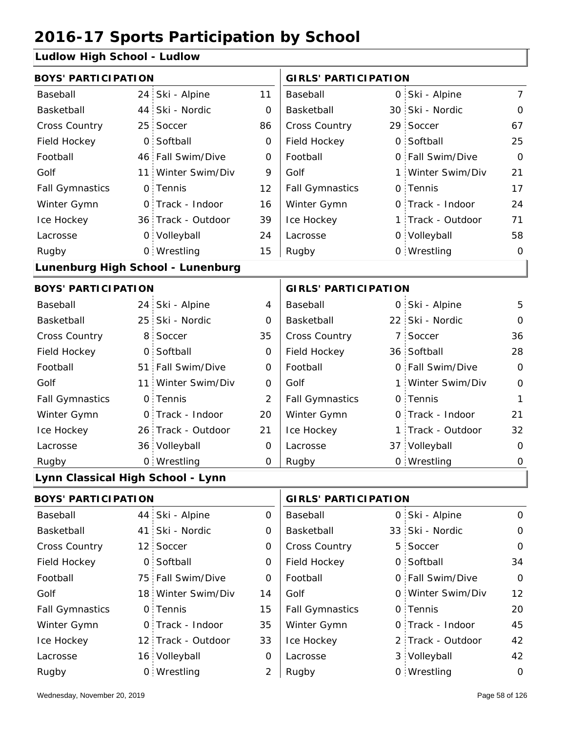### **Ludlow High School - Ludlow**

| 24                         | Ski - Alpine    | 11                                                                                                                                                                                                                                                                                                                                                                                                              | Baseball                    | 0        |        | $\overline{7}$                                                                                                                                                                                                                                                                                                                                                                                                                                                     |  |
|----------------------------|-----------------|-----------------------------------------------------------------------------------------------------------------------------------------------------------------------------------------------------------------------------------------------------------------------------------------------------------------------------------------------------------------------------------------------------------------|-----------------------------|----------|--------|--------------------------------------------------------------------------------------------------------------------------------------------------------------------------------------------------------------------------------------------------------------------------------------------------------------------------------------------------------------------------------------------------------------------------------------------------------------------|--|
|                            | Ski - Nordic    | 0                                                                                                                                                                                                                                                                                                                                                                                                               | Basketball                  |          |        | 0                                                                                                                                                                                                                                                                                                                                                                                                                                                                  |  |
| 25                         | Soccer          | 86                                                                                                                                                                                                                                                                                                                                                                                                              | Cross Country               |          |        | 67                                                                                                                                                                                                                                                                                                                                                                                                                                                                 |  |
|                            | Softball        | 0                                                                                                                                                                                                                                                                                                                                                                                                               | Field Hockey                | $\Omega$ |        | 25                                                                                                                                                                                                                                                                                                                                                                                                                                                                 |  |
|                            | Fall Swim/Dive  | $\mathsf O$                                                                                                                                                                                                                                                                                                                                                                                                     | Football                    |          |        | $\overline{0}$                                                                                                                                                                                                                                                                                                                                                                                                                                                     |  |
| 11                         | Winter Swim/Div | 9                                                                                                                                                                                                                                                                                                                                                                                                               | Golf                        | 1        |        | 21                                                                                                                                                                                                                                                                                                                                                                                                                                                                 |  |
|                            |                 | 12                                                                                                                                                                                                                                                                                                                                                                                                              | <b>Fall Gymnastics</b>      |          |        | 17                                                                                                                                                                                                                                                                                                                                                                                                                                                                 |  |
|                            |                 | 16                                                                                                                                                                                                                                                                                                                                                                                                              | Winter Gymn                 | $\Omega$ |        | 24                                                                                                                                                                                                                                                                                                                                                                                                                                                                 |  |
|                            |                 | 39                                                                                                                                                                                                                                                                                                                                                                                                              | Ice Hockey                  |          |        | 71                                                                                                                                                                                                                                                                                                                                                                                                                                                                 |  |
|                            |                 | 24                                                                                                                                                                                                                                                                                                                                                                                                              | Lacrosse                    |          |        | 58                                                                                                                                                                                                                                                                                                                                                                                                                                                                 |  |
|                            |                 | 15                                                                                                                                                                                                                                                                                                                                                                                                              | Rugby                       |          |        | $\Omega$                                                                                                                                                                                                                                                                                                                                                                                                                                                           |  |
|                            |                 |                                                                                                                                                                                                                                                                                                                                                                                                                 |                             |          |        |                                                                                                                                                                                                                                                                                                                                                                                                                                                                    |  |
| <b>BOYS' PARTICIPATION</b> |                 |                                                                                                                                                                                                                                                                                                                                                                                                                 | <b>GIRLS' PARTICIPATION</b> |          |        |                                                                                                                                                                                                                                                                                                                                                                                                                                                                    |  |
|                            |                 | 4                                                                                                                                                                                                                                                                                                                                                                                                               | Baseball                    |          |        | 5                                                                                                                                                                                                                                                                                                                                                                                                                                                                  |  |
|                            |                 | 0                                                                                                                                                                                                                                                                                                                                                                                                               | Basketball                  |          |        | $\mathbf 0$                                                                                                                                                                                                                                                                                                                                                                                                                                                        |  |
| 8                          | Soccer          | 35                                                                                                                                                                                                                                                                                                                                                                                                              | Cross Country               | 7        | Soccer | 36                                                                                                                                                                                                                                                                                                                                                                                                                                                                 |  |
|                            |                 | 0                                                                                                                                                                                                                                                                                                                                                                                                               | Field Hockey                |          |        | 28                                                                                                                                                                                                                                                                                                                                                                                                                                                                 |  |
|                            | Fall Swim/Dive  | 0                                                                                                                                                                                                                                                                                                                                                                                                               | Football                    |          |        | $\overline{O}$                                                                                                                                                                                                                                                                                                                                                                                                                                                     |  |
|                            | Winter Swim/Div | 0                                                                                                                                                                                                                                                                                                                                                                                                               | Golf                        |          |        | $\mathbf 0$                                                                                                                                                                                                                                                                                                                                                                                                                                                        |  |
|                            |                 | $\overline{2}$                                                                                                                                                                                                                                                                                                                                                                                                  | <b>Fall Gymnastics</b>      |          |        | 1                                                                                                                                                                                                                                                                                                                                                                                                                                                                  |  |
|                            |                 | 20                                                                                                                                                                                                                                                                                                                                                                                                              | Winter Gymn                 |          |        | 21                                                                                                                                                                                                                                                                                                                                                                                                                                                                 |  |
|                            |                 | 21                                                                                                                                                                                                                                                                                                                                                                                                              | Ice Hockey                  | 1        |        | 32                                                                                                                                                                                                                                                                                                                                                                                                                                                                 |  |
|                            |                 | 0                                                                                                                                                                                                                                                                                                                                                                                                               | Lacrosse                    |          |        | $\overline{O}$                                                                                                                                                                                                                                                                                                                                                                                                                                                     |  |
|                            |                 | O                                                                                                                                                                                                                                                                                                                                                                                                               | Rugby                       |          |        | 0                                                                                                                                                                                                                                                                                                                                                                                                                                                                  |  |
|                            |                 |                                                                                                                                                                                                                                                                                                                                                                                                                 |                             |          |        |                                                                                                                                                                                                                                                                                                                                                                                                                                                                    |  |
|                            |                 |                                                                                                                                                                                                                                                                                                                                                                                                                 |                             |          |        |                                                                                                                                                                                                                                                                                                                                                                                                                                                                    |  |
| 44                         | Ski - Alpine    | $\mathsf{O}$                                                                                                                                                                                                                                                                                                                                                                                                    | Baseball                    | 0        |        | 0                                                                                                                                                                                                                                                                                                                                                                                                                                                                  |  |
|                            | Ski - Nordic    | 0                                                                                                                                                                                                                                                                                                                                                                                                               | Basketball                  |          |        | $\mathsf{O}$                                                                                                                                                                                                                                                                                                                                                                                                                                                       |  |
|                            |                 | <b>BOYS' PARTICIPATION</b><br>44<br>$\circ$<br>46  <br>0 Tennis<br>0 Track - Indoor<br>36 Track - Outdoor<br>0 Volleyball<br>0 Wrestling<br>Lunenburg High School - Lunenburg<br>24 Ski - Alpine<br>25 Ski - Nordic<br>0 Softball<br>51:<br>11:<br>0 Tennis<br>0 Track - Indoor<br>26 Track - Outdoor<br>36 Volleyball<br>0 Wrestling<br>Lynn Classical High School - Lynn<br><b>BOYS' PARTICIPATION</b><br>41. |                             |          |        | <b>GIRLS' PARTICIPATION</b><br>Ski - Alpine<br>30 Ski - Nordic<br>29 Soccer<br>Softball<br>0 Fall Swim/Dive<br>Winter Swim/Div<br>0 Tennis<br>Track - Indoor<br>1 Track - Outdoor<br>0 Volleyball<br>0 Wrestling<br>0 Ski - Alpine<br>22 Ski - Nordic<br>36 Softball<br>0 Fall Swim/Dive<br>1 Winter Swim/Div<br>0 Tennis<br>O Track - Indoor<br>Track - Outdoor<br>37 Volleyball<br>0 Wrestling<br><b>GIRLS' PARTICIPATION</b><br>Ski - Alpine<br>33 Ski - Nordic |  |

| <b>Cross Country</b> | 12 Soccer          | 0  | <b>Cross Country</b>   | 5 Soccer          | $\Omega$ |
|----------------------|--------------------|----|------------------------|-------------------|----------|
| Field Hockey         | 0 Softball         | 0  | Field Hockey           | 0 Softball        | 34       |
| Football             | 75 Fall Swim/Dive  | 0  | Football               | 0 Fall Swim/Dive  | $\Omega$ |
| Golf                 | 18 Winter Swim/Div | 14 | Golf                   | 0 Winter Swim/Div | 12       |
| Fall Gymnastics      | 0 Tennis           | 15 | <b>Fall Gymnastics</b> | 0 Tennis          | 20       |
| Winter Gymn          | O Track - Indoor   | 35 | Winter Gymn            | O Track - Indoor  | 45       |
| Ice Hockey           | 12 Track - Outdoor | 33 | Ice Hockey             | 2 Track - Outdoor | 42       |
| Lacrosse             | 16 Volleyball      | O  | Lacrosse               | 3 Volleyball      | 42       |
| Rugby                | 0 Wrestling        | 2  | Rugby                  | 0 Wrestling       | $\circ$  |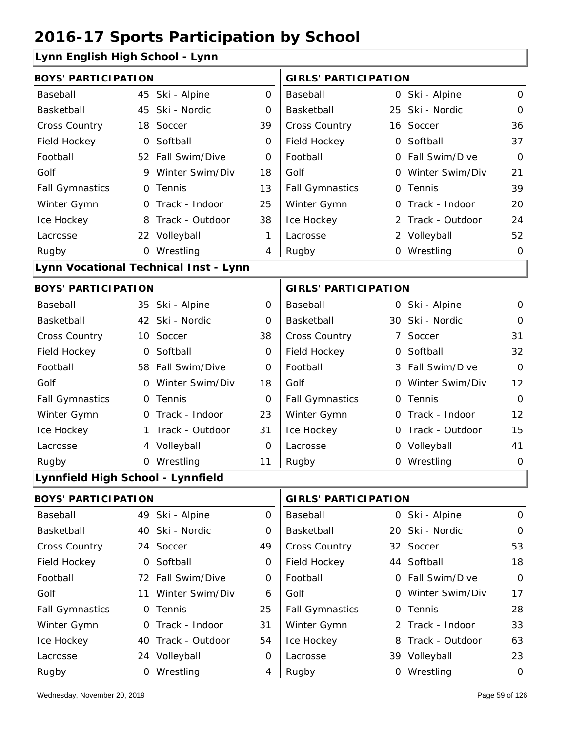### **Lynn English High School - Lynn**

| <b>BOYS' PARTICIPATION</b>        |                 |                                       |                | <b>GIRLS' PARTICIPATION</b> |                             |                   |              |  |  |
|-----------------------------------|-----------------|---------------------------------------|----------------|-----------------------------|-----------------------------|-------------------|--------------|--|--|
| Baseball                          | 45              | Ski - Alpine                          | 0              | Baseball                    |                             | 0 Ski - Alpine    | 0            |  |  |
| Basketball                        | 45              | Ski - Nordic                          | O              | Basketball                  |                             | 25 Ski - Nordic   | $\mathbf{O}$ |  |  |
| Cross Country                     | 18 <sup>1</sup> | Soccer                                | 39             | Cross Country               |                             | 16 Soccer         | 36           |  |  |
| Field Hockey                      | 0               | Softball                              | 0              | Field Hockey                |                             | 0 Softball        | 37           |  |  |
| Football                          |                 | 52 Fall Swim/Dive                     | 0              | Football                    |                             | 0 Fall Swim/Dive  | $\Omega$     |  |  |
| Golf                              | 9.              | Winter Swim/Div                       | 18             | Golf                        |                             | 0 Winter Swim/Div | 21           |  |  |
| <b>Fall Gymnastics</b>            |                 | 0 Tennis                              | 13             | <b>Fall Gymnastics</b>      |                             | 0 Tennis          | 39           |  |  |
| Winter Gymn                       |                 | 0 Track - Indoor                      | 25             | Winter Gymn                 | O                           | Track - Indoor    | 20           |  |  |
| Ice Hockey                        | 8               | Track - Outdoor                       | 38             | Ice Hockey                  |                             | 2 Track - Outdoor | 24           |  |  |
| Lacrosse                          |                 | 22 Volleyball                         | 1              | Lacrosse                    |                             | 2 Volleyball      | 52           |  |  |
| Rugby                             |                 | 0 Wrestling                           | 4              | Rugby                       |                             | 0 Wrestling       | $\mathbf{O}$ |  |  |
|                                   |                 | Lynn Vocational Technical Inst - Lynn |                |                             |                             |                   |              |  |  |
| <b>BOYS' PARTICIPATION</b>        |                 |                                       |                |                             | <b>GIRLS' PARTICIPATION</b> |                   |              |  |  |
| Baseball                          |                 | 35 Ski - Alpine                       | 0              | Baseball                    |                             | 0 Ski - Alpine    | $\mathbf 0$  |  |  |
| Basketball                        | 42              | Ski - Nordic                          | 0              | Basketball                  |                             | 30 Ski - Nordic   | $\mathbf{O}$ |  |  |
| Cross Country                     | 10              | Soccer                                | 38             | Cross Country               |                             | 7 Soccer          | 31           |  |  |
| Field Hockey                      | 0               | Softball                              | $\mathbf 0$    | Field Hockey                | 0                           | Softball          | 32           |  |  |
| Football                          |                 | 58 Fall Swim/Dive                     | 0              | Football                    |                             | 3 Fall Swim/Dive  | $\Omega$     |  |  |
| Golf                              | 0               | Winter Swim/Div                       | 18             | Golf                        |                             | 0 Winter Swim/Div | 12           |  |  |
| <b>Fall Gymnastics</b>            |                 | 0 Tennis                              | 0              | <b>Fall Gymnastics</b>      |                             | 0 Tennis          | $\mathbf{O}$ |  |  |
| Winter Gymn                       |                 | 0 Track - Indoor                      | 23             | Winter Gymn                 |                             | O Track - Indoor  | 12           |  |  |
| Ice Hockey                        | 1 :             | Track - Outdoor                       | 31             | Ice Hockey                  |                             | 0 Track - Outdoor | 15           |  |  |
| Lacrosse                          |                 | 4 Volleyball                          | $\overline{0}$ | Lacrosse                    |                             | 0 Volleyball      | 41           |  |  |
| Rugby                             |                 | 0 Wrestling                           | 11             | Rugby                       |                             | 0 Wrestling       | $\Omega$     |  |  |
| Lynnfield High School - Lynnfield |                 |                                       |                |                             |                             |                   |              |  |  |
| <b>BOYS' PARTICIPATION</b>        |                 |                                       |                | <b>GIRLS' PARTICIPATION</b> |                             |                   |              |  |  |

| DUIS PARTIUIPAIIUN     |  |                    | UIKLS PARTIUIPAIIUN |                        |  |                   |             |
|------------------------|--|--------------------|---------------------|------------------------|--|-------------------|-------------|
| Baseball               |  | 49 Ski - Alpine    | 0                   | Baseball               |  | 0 Ski - Alpine    | $\mathbf 0$ |
| Basketball             |  | 40 Ski - Nordic    | 0                   | Basketball             |  | 20 Ski - Nordic   | $\mathbf 0$ |
| <b>Cross Country</b>   |  | 24 Soccer          | 49                  | <b>Cross Country</b>   |  | 32 Soccer         | 53          |
| Field Hockey           |  | 0 Softball         | 0                   | Field Hockey           |  | 44 Softball       | 18          |
| Football               |  | 72 Fall Swim/Dive  | 0                   | Football               |  | 0 Fall Swim/Dive  | $\mathbf 0$ |
| Golf                   |  | 11 Winter Swim/Div | 6                   | Golf                   |  | 0 Winter Swim/Div | 17          |
| <b>Fall Gymnastics</b> |  | 0 Tennis           | 25                  | <b>Fall Gymnastics</b> |  | 0 Tennis          | 28          |
| Winter Gymn            |  | 0 Track - Indoor   | 31                  | Winter Gymn            |  | 2 Track - Indoor  | 33          |
| Ice Hockey             |  | 40 Track - Outdoor | 54                  | Ice Hockey             |  | 8 Track - Outdoor | 63          |
| Lacrosse               |  | 24 Volleyball      | 0                   | Lacrosse               |  | 39 Volleyball     | 23          |
| Rugby                  |  | 0 Wrestling        | 4                   | Rugby                  |  | 0 Wrestling       | $\circ$     |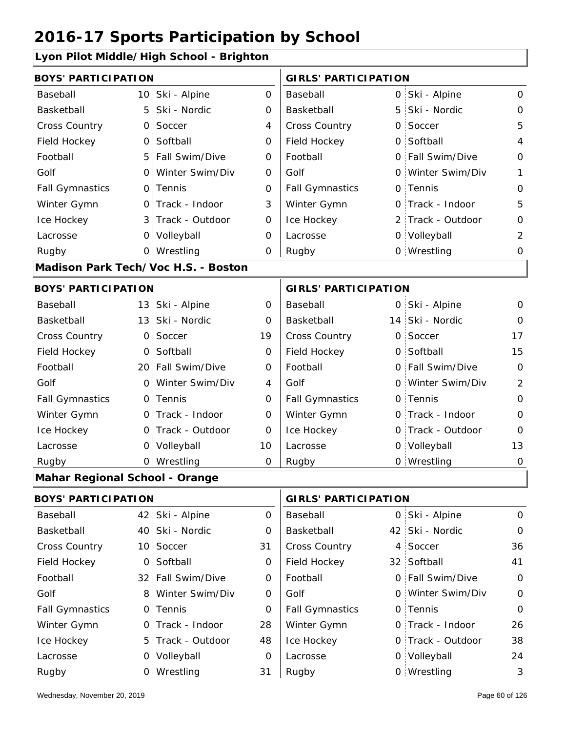#### **Lyon Pilot Middle/High School - Brighton**

| <b>BOYS' PARTICIPATION</b>     |                |                                     |                | <b>GIRLS' PARTICIPATION</b> |   |                   |                |
|--------------------------------|----------------|-------------------------------------|----------------|-----------------------------|---|-------------------|----------------|
| Baseball                       |                | 10 Ski - Alpine                     | $\mathsf{O}$   | Baseball                    |   | 0 Ski - Alpine    | $\mathsf O$    |
| Basketball                     | 5              | Ski - Nordic                        | 0              | Basketball                  | 5 | Ski - Nordic      | $\mathbf{O}$   |
| <b>Cross Country</b>           | $\mathsf{O}$   | Soccer                              | $\overline{4}$ | Cross Country               |   | 0 Soccer          | 5              |
| Field Hockey                   |                | 0 Softball                          | 0              | Field Hockey                |   | 0 Softball        | $\overline{4}$ |
| Football                       |                | 5 Fall Swim/Dive                    | $\mathbf 0$    | Football                    |   | 0 Fall Swim/Dive  | $\mathbf 0$    |
| Golf                           |                | 0 Winter Swim/Div                   | $\mathbf 0$    | Golf                        |   | 0 Winter Swim/Div | 1              |
| <b>Fall Gymnastics</b>         |                | 0 Tennis                            | 0              | <b>Fall Gymnastics</b>      |   | 0 Tennis          | $\mathbf 0$    |
| Winter Gymn                    |                | O Track - Indoor                    | 3              | Winter Gymn                 |   | O Track - Indoor  | 5              |
| Ice Hockey                     |                | 3 Track - Outdoor                   | $\mathbf 0$    | Ice Hockey                  |   | 2 Track - Outdoor | $\mathbf 0$    |
| Lacrosse                       |                | 0 Volleyball                        | $\mathbf 0$    | Lacrosse                    |   | 0 Volleyball      | $\overline{2}$ |
| Rugby                          |                | 0 Wrestling                         | 0              | Rugby                       |   | 0 Wrestling       | 0              |
|                                |                | Madison Park Tech/Voc H.S. - Boston |                |                             |   |                   |                |
| <b>BOYS' PARTICIPATION</b>     |                |                                     |                | <b>GIRLS' PARTICIPATION</b> |   |                   |                |
| Baseball                       |                | 13 Ski - Alpine                     | 0              | Baseball                    |   | 0 Ski - Alpine    | 0              |
| Basketball                     |                | 13 Ski - Nordic                     | 0              | Basketball                  |   | 14 Ski - Nordic   | $\mathbf{O}$   |
| Cross Country                  | $\mathsf{O}$   | Soccer                              | 19             | Cross Country               |   | 0 Soccer          | 17             |
| Field Hockey                   | $\overline{O}$ | Softball                            | $\mathbf 0$    | Field Hockey                |   | 0 Softball        | 15             |
| Football                       |                | 20 Fall Swim/Dive                   | $\mathbf 0$    | Football                    |   | 0 Fall Swim/Dive  | $\mathbf 0$    |
| Golf                           | $\overline{O}$ | Winter Swim/Div                     | 4              | Golf                        |   | 0 Winter Swim/Div | $\overline{2}$ |
| <b>Fall Gymnastics</b>         |                | 0 Tennis                            | 0              | <b>Fall Gymnastics</b>      |   | 0 Tennis          | $\mathbf{O}$   |
| Winter Gymn                    |                | O Track - Indoor                    | $\mathbf 0$    | Winter Gymn                 |   | O Track - Indoor  | $\mathbf 0$    |
| Ice Hockey                     |                | 0 Track - Outdoor                   | 0              | Ice Hockey                  |   | 0 Track - Outdoor | 0              |
| Lacrosse                       |                | 0 Volleyball                        | 10             | Lacrosse                    |   | 0 Volleyball      | 13             |
| Rugby                          |                | 0 Wrestling                         | 0              | Rugby                       |   | 0 Wrestling       | $\mathbf 0$    |
| Mahar Regional School - Orange |                |                                     |                |                             |   |                   |                |
| <b>BOYS' PARTICIPATION</b>     |                |                                     |                | <b>GIRLS' PARTICIPATION</b> |   |                   |                |
| Baseball                       |                | 42 Ski - Alpine                     | 0              | Baseball                    |   | 0 Ski - Alpine    | $\overline{O}$ |
| Basketball                     |                | 40 Ski - Nordic                     | 0              | Basketball                  |   | 42 Ski - Nordic   | $\mathbf 0$    |
| Cross Country                  |                | 10 Soccer                           | 31             | Cross Country               |   | 4 Soccer          | 36             |
| Field Hockey                   |                | 0 Softball                          | 0              | Field Hockey                |   | 32 Softball       | 41             |
| Football                       |                | 32 Fall Swim/Dive                   | 0              | Football                    |   | 0 Fall Swim/Dive  | 0              |
| Golf                           |                | 8 Winter Swim/Div                   | 0              | Golf                        |   | 0 Winter Swim/Div | $\mathbf 0$    |

0 Fall Gymnastics 0 of Fall Gymnastics 0 of Fall Gymnastics 0 of the 10 of the 10 5 Track - Outdoor 0 Track - Indoor 0 Volleyball 0 Track - Outdoor 0 Volleyball 24 0 28 48 0 0 26 31 38 Fall Gymnastics Ice Hockey Lacrosse 0 Tennis 0 Track - Indoor Wrestling Rugby 0 Rugby 0 Winter Gymn Ice Hockey Lacrosse 0 Tennis Winter Gymn 0 Wrestling 3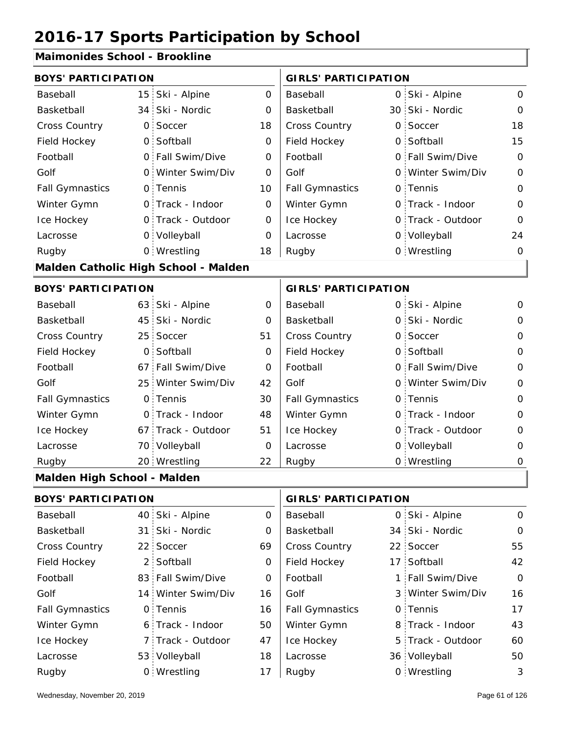### **Maimonides School - Brookline**

| <b>BOYS' PARTICIPATION</b>           |                            |                   | <b>GIRLS' PARTICIPATION</b> |                             |  |                   |              |
|--------------------------------------|----------------------------|-------------------|-----------------------------|-----------------------------|--|-------------------|--------------|
| Baseball                             | 15 <sup>1</sup>            | Ski - Alpine      | $\Omega$                    | Baseball                    |  | 0 Ski - Alpine    | $\mathbf{O}$ |
| Basketball                           |                            | 34 Ski - Nordic   | 0                           | Basketball                  |  | 30 Ski - Nordic   | $\mathbf 0$  |
| Cross Country                        | $\mathsf{O}$               | Soccer            | 18                          | Cross Country               |  | 0 Soccer          | 18           |
| Field Hockey                         |                            | 0 Softball        | 0                           | Field Hockey                |  | 0 Softball        | 15           |
| Football                             |                            | 0 Fall Swim/Dive  | O                           | Football                    |  | 0 Fall Swim/Dive  | $\mathbf 0$  |
| Golf                                 |                            | 0 Winter Swim/Div | $\Omega$                    | Golf                        |  | 0 Winter Swim/Div | $\mathbf 0$  |
| <b>Fall Gymnastics</b>               |                            | 0 Tennis          | 10                          | <b>Fall Gymnastics</b>      |  | 0 Tennis          | $\mathbf 0$  |
| Winter Gymn                          |                            | O Track - Indoor  | 0                           | Winter Gymn                 |  | 0 Track - Indoor  | $\mathbf 0$  |
| Ice Hockey                           |                            | 0 Track - Outdoor | 0                           | Ice Hockey                  |  | 0 Track - Outdoor | $\Omega$     |
| Lacrosse                             |                            | 0 Volleyball      | $\overline{O}$              | Lacrosse                    |  | 0 Volleyball      | 24           |
| Rugby                                |                            | 0 Wrestling       | 18                          | Rugby                       |  | 0 Wrestling       | $\mathbf 0$  |
| Malden Catholic High School - Malden |                            |                   |                             |                             |  |                   |              |
|                                      | <b>BOYS' PARTICIPATION</b> |                   |                             | <b>GIRLS' PARTICIPATION</b> |  |                   |              |
| Baseball                             |                            | 63 Ski - Alpine   | 0                           | Baseball                    |  | 0 Ski - Alpine    | O            |
| Basketball                           | 45                         | Ski - Nordic      | $\Omega$                    | Basketball                  |  | 0 Ski - Nordic    | $\mathbf{O}$ |
| Cross Country                        |                            | 25 Soccer         | 51                          | <b>Cross Country</b>        |  | 0 Soccer          | $\mathbf 0$  |
| Field Hockey                         |                            | 0 Softball        | $\mathbf 0$                 | Field Hockey                |  | 0 Softball        | $\mathbf 0$  |
| Football                             |                            | 67 Fall Swim/Dive | $\mathbf 0$                 | Football                    |  | 0 Fall Swim/Dive  | $\Omega$     |
| Golf                                 | 25 <sup>1</sup>            | Winter Swim/Div   | 42                          | Golf                        |  | 0 Winter Swim/Div | $\mathbf 0$  |
| <b>Fall Gymnastics</b>               |                            | 0 Tennis          | 30                          | <b>Fall Gymnastics</b>      |  | 0 Tennis          | $\Omega$     |
| Winter Gymn                          |                            | 0 Track - Indoor  | 48                          | Winter Gymn                 |  | O Track - Indoor  | 0            |
| Ice Hockey                           | 67 -                       | Track - Outdoor   | 51                          | Ice Hockey                  |  | 0 Track - Outdoor | $\mathbf 0$  |
| Lacrosse                             |                            | 70 Volleyball     | 0                           | Lacrosse                    |  | 0 Volleyball      | 0            |
| Rugby                                |                            | 20 Wrestling      | 22                          | Rugby                       |  | 0 Wrestling       | 0            |
| Malden High School - Malden          |                            |                   |                             |                             |  |                   |              |

|                        | <b>BOYS' PARTICIPATION</b> |                    |          |                        | <b>GIRLS' PARTICIPATION</b> |                   |              |  |
|------------------------|----------------------------|--------------------|----------|------------------------|-----------------------------|-------------------|--------------|--|
| Baseball               |                            | 40 Ski - Alpine    | $\Omega$ | Baseball               |                             | 0 Ski - Alpine    | $\Omega$     |  |
| Basketball             |                            | 31 Ski - Nordic    | $\Omega$ | Basketball             |                             | 34 Ski - Nordic   | $\Omega$     |  |
| <b>Cross Country</b>   |                            | 22 Soccer          | 69       | <b>Cross Country</b>   |                             | 22 Soccer         | 55           |  |
| Field Hockey           |                            | 2 Softball         | 0        | Field Hockey           |                             | 17 Softball       | 42           |  |
| Football               |                            | 83 Fall Swim/Dive  | $\Omega$ | Football               |                             | 1 Fall Swim/Dive  | $\mathsf{O}$ |  |
| Golf                   |                            | 14 Winter Swim/Div | 16       | Golf                   |                             | 3 Winter Swim/Div | 16           |  |
| <b>Fall Gymnastics</b> |                            | 0 Tennis           | 16       | <b>Fall Gymnastics</b> |                             | 0 Tennis          | 17           |  |
| Winter Gymn            |                            | 6 Track - Indoor   | 50       | Winter Gymn            |                             | 8 Track - Indoor  | 43           |  |
| Ice Hockey             |                            | 7 Track - Outdoor  | 47       | Ice Hockey             |                             | 5 Track - Outdoor | 60           |  |
| Lacrosse               |                            | 53 Volleyball      | 18       | Lacrosse               |                             | 36 Volleyball     | 50           |  |
| Rugby                  |                            | 0 Wrestling        | 17       | Rugby                  |                             | 0 Wrestling       | 3            |  |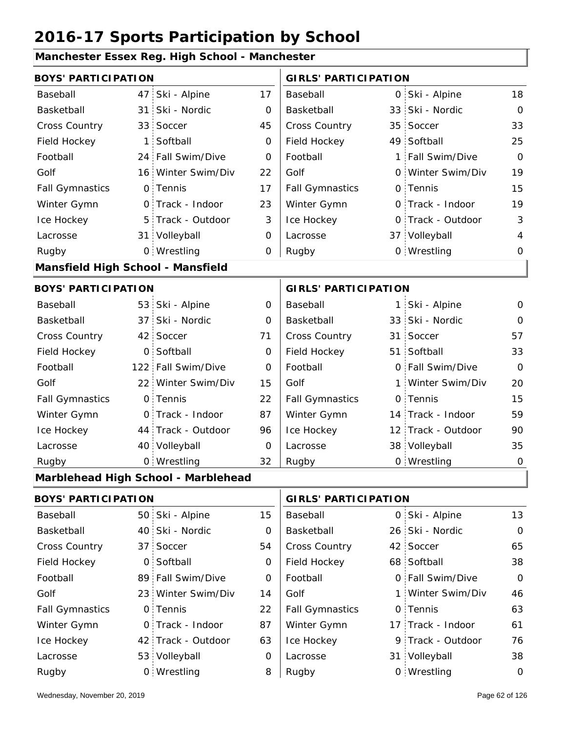#### **Manchester Essex Reg. High School - Manchester**

| <b>BOYS' PARTICIPATION</b>        |                 |                                     |             | <b>GIRLS' PARTICIPATION</b> |                 |                    |                |
|-----------------------------------|-----------------|-------------------------------------|-------------|-----------------------------|-----------------|--------------------|----------------|
| Baseball                          | 47              | Ski - Alpine                        | 17          | Baseball                    | $\overline{O}$  | Ski - Alpine       | 18             |
| Basketball                        | 31              | Ski - Nordic                        | 0           | Basketball                  | 33              | Ski - Nordic       | $\mathbf 0$    |
| Cross Country                     |                 | 33 Soccer                           | 45          | Cross Country               | 35              | Soccer             | 33             |
| Field Hockey                      | 1:              | Softball                            | 0           | Field Hockey                |                 | 49 Softball        | 25             |
| Football                          |                 | 24 Fall Swim/Dive                   | 0           | Football                    | 1               | Fall Swim/Dive     | $\Omega$       |
| Golf                              |                 | 16 Winter Swim/Div                  | 22          | Golf                        |                 | 0 Winter Swim/Div  | 19             |
| <b>Fall Gymnastics</b>            |                 | 0 Tennis                            | 17          | <b>Fall Gymnastics</b>      |                 | 0 Tennis           | 15             |
| Winter Gymn                       |                 | 0 Track - Indoor                    | 23          | Winter Gymn                 |                 | O Track - Indoor   | 19             |
| Ice Hockey                        |                 | 5 Track - Outdoor                   | 3           | Ice Hockey                  |                 | 0 Track - Outdoor  | 3              |
| Lacrosse                          |                 | 31 Volleyball                       | $\mathbf 0$ | Lacrosse                    |                 | 37 Volleyball      | $\overline{4}$ |
| Rugby                             |                 | 0 Wrestling                         | 0           | Rugby                       |                 | 0 Wrestling        | 0              |
| Mansfield High School - Mansfield |                 |                                     |             |                             |                 |                    |                |
| <b>BOYS' PARTICIPATION</b>        |                 |                                     |             | <b>GIRLS' PARTICIPATION</b> |                 |                    |                |
| Baseball                          |                 | 53 Ski - Alpine                     | $\mathbf 0$ | Baseball                    | 1:              | Ski - Alpine       | $\mathbf 0$    |
| Basketball                        | 37              | Ski - Nordic                        | 0           | Basketball                  |                 | 33 Ski - Nordic    | $\mathbf 0$    |
| Cross Country                     |                 | 42 Soccer                           | 71          | Cross Country               | 31 <sup>1</sup> | Soccer             | 57             |
| Field Hockey                      | O <sub>1</sub>  | Softball                            | $\mathbf 0$ | Field Hockey                |                 | 51 Softball        | 33             |
| Football                          | $122 -$         | Fall Swim/Dive                      | 0           | Football                    |                 | 0 Fall Swim/Dive   | $\Omega$       |
| Golf                              |                 | 22 Winter Swim/Div                  | 15          | Golf                        |                 | 1 Winter Swim/Div  | 20             |
| <b>Fall Gymnastics</b>            |                 | 0 Tennis                            | 22          | <b>Fall Gymnastics</b>      |                 | 0 Tennis           | 15             |
| Winter Gymn                       |                 | 0 Track - Indoor                    | 87          | Winter Gymn                 |                 | 14 Track - Indoor  | 59             |
| Ice Hockey                        |                 | 44 Track - Outdoor                  | 96          | Ice Hockey                  |                 | 12 Track - Outdoor | 90             |
| Lacrosse                          |                 | 40 Volleyball                       | 0           | Lacrosse                    |                 | 38 Volleyball      | 35             |
| Rugby                             |                 | 0 Wrestling                         | 32          | Rugby                       |                 | 0 Wrestling        | $\mathbf 0$    |
|                                   |                 | Marblehead High School - Marblehead |             |                             |                 |                    |                |
| <b>BOYS' PARTICIPATION</b>        |                 |                                     |             | <b>GIRLS' PARTICIPATION</b> |                 |                    |                |
| Baseball                          |                 | 50 Ski - Alpine                     | 15          | Baseball                    |                 | 0 Ski - Alpine     | 13             |
| Basketball                        |                 | 40 Ski - Nordic                     | 0           | Basketball                  |                 | 26 Ski - Nordic    | $\mathbf 0$    |
| Cross Country                     | 37 <sup>2</sup> | Soccer                              | 54          | Cross Country               |                 | 42 Soccer          | 65             |
| Field Hockey                      |                 | 0 Softball                          | 0           | Field Hockey                |                 | 68 Softball        | 38             |
| Football                          |                 | 89 Fall Swim/Dive                   | 0           | Football                    |                 | 0 Fall Swim/Dive   | $\mathbf 0$    |
| Golf                              |                 | 23 Winter Swim/Div                  | 14          | Golf                        |                 | 1 Winter Swim/Div  | 46             |
| <b>Fall Gymnastics</b>            |                 | 0 Tennis                            | 22          | <b>Fall Gymnastics</b>      |                 | 0 Tennis           | 63             |
| Winter Gymn                       |                 | 0 Track - Indoor                    | 87          | Winter Gymn                 |                 | 17 Track - Indoor  | 61             |

63

Ice Hockey Lacrosse

0

8

Ice Hockey Lacrosse

42 Track - Outdoor

Wrestling Rugby 0 Rugby 0

53 Volleyball

76

9 Track - Outdoor

31 Volleyball 38

0 Wrestling 0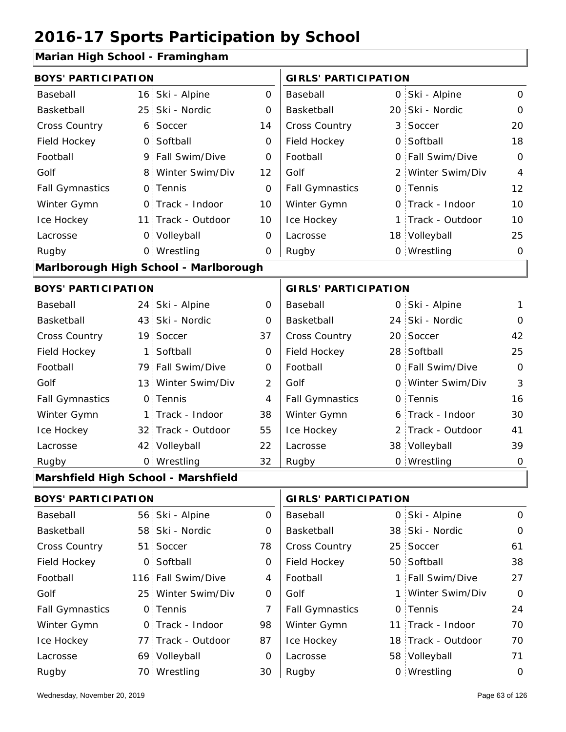### **Marian High School - Framingham**

| <b>BOYS' PARTICIPATION</b>          |                 |                                       |                             | <b>GIRLS' PARTICIPATION</b> |   |                   |                |
|-------------------------------------|-----------------|---------------------------------------|-----------------------------|-----------------------------|---|-------------------|----------------|
| Baseball                            |                 | 16 Ski - Alpine                       | $\Omega$                    | Baseball                    |   | 0 Ski - Alpine    | 0              |
| Basketball                          |                 | 25 Ski - Nordic                       | $\overline{O}$              | Basketball                  |   | 20 Ski - Nordic   | $\mathbf 0$    |
| Cross Country                       | 6.              | Soccer                                | 14                          | <b>Cross Country</b>        | 3 | Soccer            | 20             |
| Field Hockey                        |                 | 0 Softball                            | 0                           | Field Hockey                |   | 0 Softball        | 18             |
| Football                            |                 | 9 Fall Swim/Dive                      | 0                           | Football                    |   | 0 Fall Swim/Dive  | $\mathbf 0$    |
| Golf                                |                 | 8 Winter Swim/Div                     | 12                          | Golf                        |   | 2 Winter Swim/Div | $\overline{4}$ |
| <b>Fall Gymnastics</b>              |                 | 0 Tennis                              | $\Omega$                    | <b>Fall Gymnastics</b>      |   | 0 Tennis          | 12             |
| Winter Gymn                         |                 | O Track - Indoor                      | 10                          | Winter Gymn                 |   | O Track - Indoor  | 10             |
| Ice Hockey                          |                 | 11 Track - Outdoor                    | 10                          | Ice Hockey                  | 1 | Track - Outdoor   | 10             |
| Lacrosse                            |                 | 0 Volleyball                          | $\mathbf 0$                 | Lacrosse                    |   | 18 Volleyball     | 25             |
| Rugby                               |                 | 0 Wrestling                           | 0                           | Rugby                       |   | 0 Wrestling       | $\mathbf 0$    |
|                                     |                 | Marlborough High School - Marlborough |                             |                             |   |                   |                |
| <b>BOYS' PARTICIPATION</b>          |                 |                                       | <b>GIRLS' PARTICIPATION</b> |                             |   |                   |                |
| Baseball                            | 24 :            | Ski - Alpine                          | 0                           | Baseball                    |   | 0 Ski - Alpine    | 1              |
| Basketball                          |                 | 43 Ski - Nordic                       | 0                           | Basketball                  |   | 24 Ski - Nordic   | 0              |
| Cross Country                       | 19 <sup>°</sup> | Soccer                                | 37                          | Cross Country               |   | 20 Soccer         | 42             |
| Field Hockey                        | 1 :             | Softball                              | 0                           | Field Hockey                |   | 28 Softball       | 25             |
| Football                            |                 | 79 Fall Swim/Dive                     | $\mathbf 0$                 | Football                    |   | 0 Fall Swim/Dive  | $\overline{0}$ |
| Golf                                |                 | 13 Winter Swim/Div                    | $\overline{2}$              | Golf                        |   | 0 Winter Swim/Div | 3              |
| <b>Fall Gymnastics</b>              |                 | 0 Tennis                              | 4                           | <b>Fall Gymnastics</b>      | 0 | Tennis            | 16             |
| Winter Gymn                         | 1:              | Track - Indoor                        | 38                          | Winter Gymn                 | 6 | Track - Indoor    | 30             |
| Ice Hockey                          |                 | 32 Track - Outdoor                    | 55                          | Ice Hockey                  | 2 | Track - Outdoor   | 41             |
| Lacrosse                            |                 | 42 Volleyball                         | 22                          | Lacrosse                    |   | 38 Volleyball     | 39             |
| Rugby                               |                 | 0 Wrestling                           | 32                          | Rugby                       |   | 0 Wrestling       | $\mathbf 0$    |
| Marshfield High School - Marshfield |                 |                                       |                             |                             |   |                   |                |
| <b>BOYS' PARTICIPATION</b>          |                 |                                       | <b>GIRLS' PARTICIPATION</b> |                             |   |                   |                |
|                                     |                 |                                       |                             |                             |   |                   |                |

| Baseball               | 56 Ski - Alpine    | 0  | Baseball               |  | 0 Ski - Alpine     | $\mathbf 0$    |
|------------------------|--------------------|----|------------------------|--|--------------------|----------------|
| Basketball             | 58 Ski - Nordic    | 0  | Basketball             |  | 38 Ski - Nordic    | $\mathbf 0$    |
| <b>Cross Country</b>   | 51 Soccer          | 78 | <b>Cross Country</b>   |  | 25 Soccer          | 61             |
| Field Hockey           | 0 Softball         | 0  | Field Hockey           |  | 50 Softball        | 38             |
| Football               | 116 Fall Swim/Dive | 4  | Football               |  | 1 Fall Swim/Dive   | 27             |
| Golf                   | 25 Winter Swim/Div | 0  | Golf                   |  | 1 Winter Swim/Div  | $\overline{O}$ |
| <b>Fall Gymnastics</b> | 0 Tennis           |    | <b>Fall Gymnastics</b> |  | 0 Tennis           | 24             |
| Winter Gymn            | O Track - Indoor   | 98 | Winter Gymn            |  | 11 Track - Indoor  | 70             |
| Ice Hockey             | 77 Track - Outdoor | 87 | Ice Hockey             |  | 18 Track - Outdoor | 70             |
| Lacrosse               | 69 Volleyball      | 0  | Lacrosse               |  | 58 Volleyball      | 71             |
| Rugby                  | 70 Wrestling       | 30 | Rugby                  |  | 0 Wrestling        | 0              |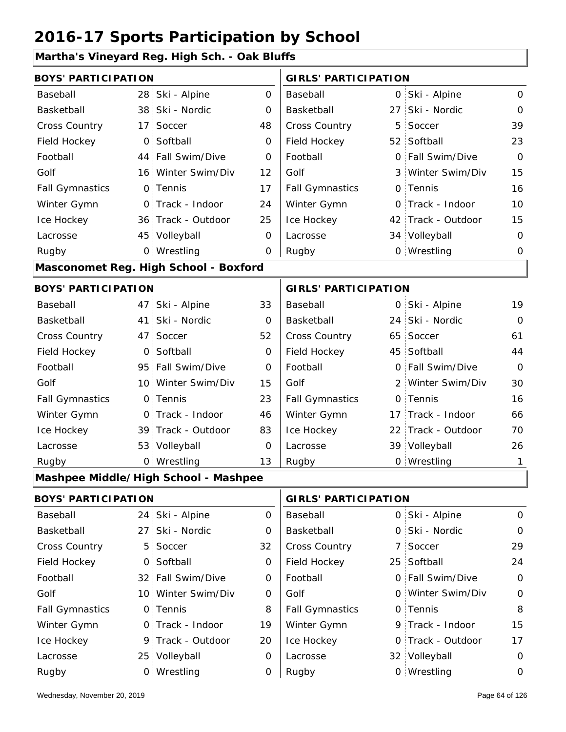### **Martha's Vineyard Reg. High Sch. - Oak Bluffs**

| <b>BOYS' PARTICIPATION</b> |                 |                                       |                | <b>GIRLS' PARTICIPATION</b> |   |                    |              |
|----------------------------|-----------------|---------------------------------------|----------------|-----------------------------|---|--------------------|--------------|
| Baseball                   | 28:             | Ski - Alpine                          | $\overline{O}$ | Baseball                    |   | 0 Ski - Alpine     | $\mathsf{O}$ |
| Basketball                 |                 | 38 Ski - Nordic                       | 0              | Basketball                  |   | 27 Ski - Nordic    | $\mathbf 0$  |
| Cross Country              | 17 <sup>1</sup> | Soccer                                | 48             | Cross Country               | 5 | Soccer             | 39           |
| Field Hockey               | $\mathsf{O}$    | Softball                              | 0              | Field Hockey                |   | 52 Softball        | 23           |
| Football                   | 44              | Fall Swim/Dive                        | 0              | Football                    |   | 0 Fall Swim/Dive   | $\Omega$     |
| Golf                       | 16:             | Winter Swim/Div                       | 12             | Golf                        |   | 3 Winter Swim/Div  | 15           |
| <b>Fall Gymnastics</b>     | $\mathsf{O}$    | Tennis                                | 17             | <b>Fall Gymnastics</b>      |   | 0 Tennis           | 16           |
| Winter Gymn                |                 | 0 Track - Indoor                      | 24             | Winter Gymn                 |   | O Track - Indoor   | 10           |
| Ice Hockey                 |                 | 36 Track - Outdoor                    | 25             | Ice Hockey                  |   | 42 Track - Outdoor | 15           |
| Lacrosse                   |                 | 45 Volleyball                         | 0              | Lacrosse                    |   | 34 Volleyball      | $\mathbf 0$  |
| Rugby                      |                 | 0 Wrestling                           | 0              | Rugby                       |   | 0 Wrestling        | 0            |
|                            |                 | Masconomet Reg. High School - Boxford |                |                             |   |                    |              |
| <b>BOYS' PARTICIPATION</b> |                 |                                       |                | <b>GIRLS' PARTICIPATION</b> |   |                    |              |
| Baseball                   | 47              | Ski - Alpine                          | 33             | Baseball                    |   | 0 Ski - Alpine     | 19           |
| Basketball                 | 41              | Ski - Nordic                          | 0              | Basketball                  |   | 24 Ski - Nordic    | $\mathbf 0$  |
| Cross Country              | 47 <sup>1</sup> | Soccer                                | 52             | Cross Country               |   | 65 Soccer          | 61           |
| Field Hockey               | $\overline{O}$  | Softball                              | $\mathbf 0$    | Field Hockey                |   | 45 Softball        | 44           |
| Football                   |                 | 95 Fall Swim/Dive                     | O              | Football                    |   | 0 Fall Swim/Dive   | $\Omega$     |
| Golf                       | 10 <sup>1</sup> | Winter Swim/Div                       | 15             | Golf                        |   | 2 Winter Swim/Div  | 30           |
| <b>Fall Gymnastics</b>     | $\mathsf{O}$    | Tennis                                | 23             | <b>Fall Gymnastics</b>      |   | 0 Tennis           | 16           |
| Winter Gymn                | $\mathsf{O}$    | Track - Indoor                        | 46             | Winter Gymn                 |   | 17 Track - Indoor  | 66           |
| Ice Hockey                 |                 | 39 Track - Outdoor                    | 83             | Ice Hockey                  |   | 22 Track - Outdoor | 70           |
| Lacrosse                   |                 | 53 Volleyball                         | 0              | Lacrosse                    |   | 39 Volleyball      | 26           |
| Rugby                      |                 | 0 Wrestling                           | 13             | Rugby                       |   | 0 Wrestling        | 1            |
|                            |                 | Mashpee Middle/High School - Mashpee  |                |                             |   |                    |              |
| <b>BOYS' PARTICIPATION</b> |                 |                                       |                | <b>GIRLS' PARTICIPATION</b> |   |                    |              |
| Baseball                   | 24:             | Ski - Alpine                          | $\mathbf 0$    | Baseball                    |   | 0 Ski - Alpine     | $\mathbf 0$  |
| Basketball                 | 27 <sup>1</sup> | Ski - Nordic                          | 0              | Basketball                  |   | 0 Ski - Nordic     | $\mathbf 0$  |
| Cross Country              | 5:              | Soccer                                | 32             | Cross Country               |   | 7 Soccer           | 29           |
| Field Hockey               | 0               | Softball                              | 0              | Field Hockey                |   | 25 Softball        | 24           |
| Football                   | 32:             | Fall Swim/Dive                        | 0              | Football                    |   | 0 Fall Swim/Dive   | $\mathbf 0$  |
| Golf                       |                 | 10 Winter Swim/Div                    | 0              | Golf                        |   | 0 Winter Swim/Div  | $\mathbf 0$  |
| <b>Fall Gymnastics</b>     | $\mathsf{O}$    | Tennis                                | 8              | <b>Fall Gymnastics</b>      |   | 0 Tennis           | 8            |
| Winter Gymn                | $\mathsf{O}$    | Track - Indoor                        | 19             | Winter Gymn                 |   | 9 Track - Indoor   | 15           |
| Ice Hockey                 |                 | 9 Track - Outdoor                     | 20             | Ice Hockey                  |   | 0 Track - Outdoor  | 17           |
| Lacrosse                   |                 | 25 Volleyball                         | 0              | Lacrosse                    |   | 32 Volleyball      | 0            |
| Rugby                      |                 | 0 Wrestling                           | 0              | Rugby                       |   | 0 Wrestling        | $\mathbf 0$  |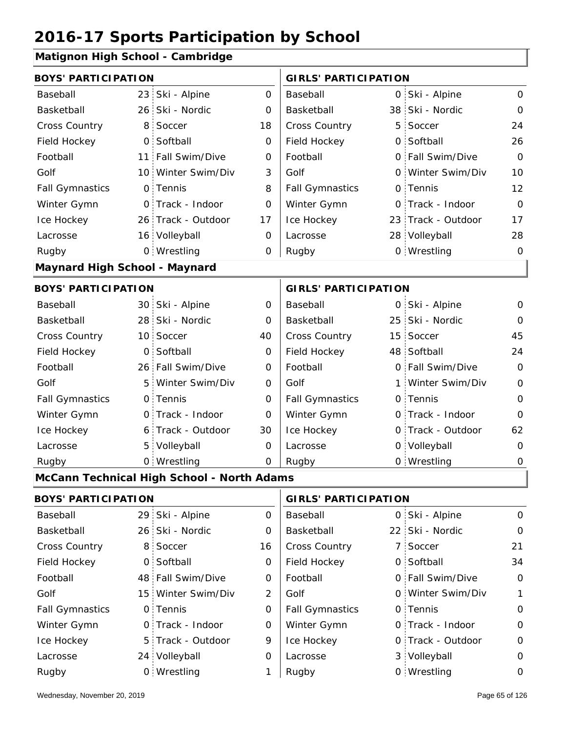#### **Matignon High School - Cambridge**

| auguon mgu vonvon                    |                 |                                            |                |                             |     |                    |                |
|--------------------------------------|-----------------|--------------------------------------------|----------------|-----------------------------|-----|--------------------|----------------|
| <b>BOYS' PARTICIPATION</b>           |                 |                                            |                | <b>GIRLS' PARTICIPATION</b> |     |                    |                |
| Baseball                             | 23 <sub>1</sub> | Ski - Alpine                               | 0              | Baseball                    |     | 0 Ski - Alpine     | 0              |
| Basketball                           |                 | 26 Ski - Nordic                            | 0              | Basketball                  |     | 38 Ski - Nordic    | $\Omega$       |
| Cross Country                        | 8               | Soccer                                     | 18             | Cross Country               |     | 5 Soccer           | 24             |
| Field Hockey                         | O <sub>1</sub>  | Softball                                   | 0              | Field Hockey                |     | 0 Softball         | 26             |
| Football                             |                 | 11 Fall Swim/Dive                          | 0              | Football                    |     | 0 Fall Swim/Dive   | $\mathbf 0$    |
| Golf                                 |                 | 10 Winter Swim/Div                         | 3              | Golf                        |     | 0 Winter Swim/Div  | 10             |
| <b>Fall Gymnastics</b>               |                 | 0 Tennis                                   | 8              | <b>Fall Gymnastics</b>      |     | 0 Tennis           | 12             |
| Winter Gymn                          |                 | O Track - Indoor                           | O              | Winter Gymn                 |     | O Track - Indoor   | $\mathbf 0$    |
| Ice Hockey                           |                 | 26 Track - Outdoor                         | 17             | Ice Hockey                  |     | 23 Track - Outdoor | 17             |
| Lacrosse                             |                 | 16 Volleyball                              | 0              | Lacrosse                    |     | 28 Volleyball      | 28             |
| Rugby                                |                 | 0 Wrestling                                | 0              | Rugby                       |     | 0 Wrestling        | 0              |
| <b>Maynard High School - Maynard</b> |                 |                                            |                |                             |     |                    |                |
| <b>BOYS' PARTICIPATION</b>           |                 |                                            |                | <b>GIRLS' PARTICIPATION</b> |     |                    |                |
| Baseball                             |                 | 30 Ski - Alpine                            | 0              | Baseball                    |     | 0 Ski - Alpine     | 0              |
| Basketball                           |                 | 28 Ski - Nordic                            | 0              | Basketball                  |     | 25 Ski - Nordic    | $\Omega$       |
| Cross Country                        |                 | 10 Soccer                                  | 40             | Cross Country               |     | 15 Soccer          | 45             |
| Field Hockey                         | $\overline{O}$  | Softball                                   | 0              | Field Hockey                |     | 48 Softball        | 24             |
| Football                             |                 | 26 Fall Swim/Dive                          | 0              | Football                    |     | 0 Fall Swim/Dive   | 0              |
| Golf                                 | 5.              | Winter Swim/Div                            | 0              | Golf                        | 1 : | Winter Swim/Div    | $\overline{O}$ |
| <b>Fall Gymnastics</b>               |                 | 0 Tennis                                   | 0              | <b>Fall Gymnastics</b>      |     | 0 Tennis           | $\Omega$       |
| Winter Gymn                          |                 | O Track - Indoor                           | 0              | Winter Gymn                 |     | O Track - Indoor   | $\Omega$       |
| Ice Hockey                           |                 | 6 Track - Outdoor                          | 30             | Ice Hockey                  |     | 0 Track - Outdoor  | 62             |
| Lacrosse                             |                 | 5 Volleyball                               | 0              | Lacrosse                    |     | 0 Volleyball       | 0              |
| Rugby                                |                 | 0 Wrestling                                | 0              | Rugby                       |     | 0 Wrestling        | 0              |
|                                      |                 | McCann Technical High School - North Adams |                |                             |     |                    |                |
| <b>BOYS' PARTICIPATION</b>           |                 |                                            |                | <b>GIRLS' PARTICIPATION</b> |     |                    |                |
| Baseball                             |                 | 29 Ski - Alpine                            | 0              | Baseball                    |     | 0 Ski - Alpine     | 0              |
| Basketball                           |                 | 26 Ski - Nordic                            | 0              | Basketball                  |     | 22 Ski - Nordic    | 0              |
| <b>Cross Country</b>                 | 8 <sup>1</sup>  | Soccer                                     | 16             | Cross Country               |     | 7 Soccer           | 21             |
| Field Hockey                         |                 | 0 Softball                                 | 0              | Field Hockey                |     | 0 Softball         | 34             |
| Football                             |                 | 48 Fall Swim/Dive                          | 0              | Football                    |     | 0 Fall Swim/Dive   | 0              |
| Golf                                 |                 | 15 Winter Swim/Div                         | $\overline{2}$ | Golf                        |     | 0 Winter Swim/Div  | 1              |
| <b>Fall Gymnastics</b>               |                 | 0 Tennis                                   | 0              | <b>Fall Gymnastics</b>      |     | 0 Tennis           | 0              |
| Winter Gymn                          |                 | 0 Track - Indoor                           | 0              | Winter Gymn                 |     | O Track - Indoor   | 0              |
| Ice Hockey                           |                 | 5 Track - Outdoor                          | 9              | Ice Hockey                  |     | 0 Track - Outdoor  | 0              |
| Lacrosse                             |                 | 24 Volleyball                              | 0              | Lacrosse                    |     | 3 Volleyball       | 0              |

1

Wrestling Rugby 0 Rugby 0

0 Wrestling 0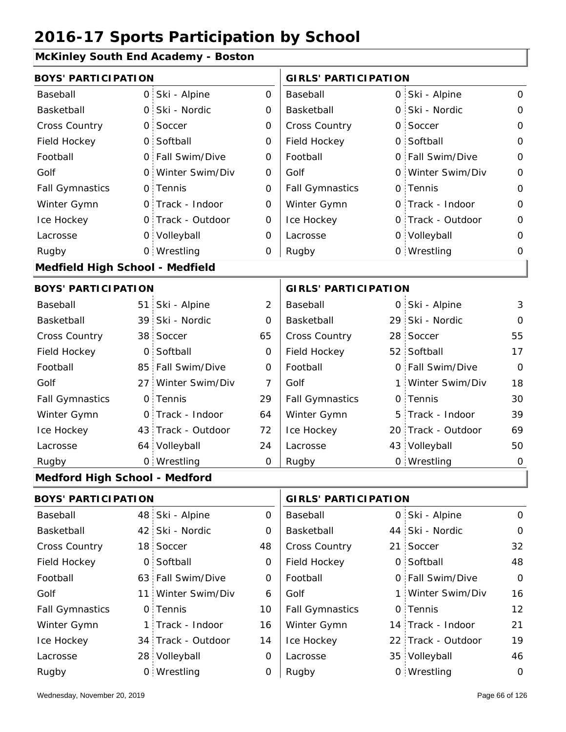### **McKinley South End Academy - Boston**

| <b>BOYS' PARTICIPATION</b>           |              |                   |                     | <b>GIRLS' PARTICIPATION</b> |  |                    |              |
|--------------------------------------|--------------|-------------------|---------------------|-----------------------------|--|--------------------|--------------|
| Baseball                             | $\mathsf{O}$ | Ski - Alpine      | $\mathsf{O}\xspace$ | Baseball                    |  | 0 Ski - Alpine     | $\mathbf 0$  |
| Basketball                           | 0            | Ski - Nordic      | 0                   | Basketball                  |  | 0 Ski - Nordic     | 0            |
| Cross Country                        | $\mathsf{O}$ | Soccer            | 0                   | Cross Country               |  | 0 Soccer           | $\mathbf{O}$ |
| Field Hockey                         | 0            | Softball          | $\mathbf 0$         | Field Hockey                |  | 0 Softball         | $\mathbf 0$  |
| Football                             |              | 0 Fall Swim/Dive  | 0                   | Football                    |  | 0 Fall Swim/Dive   | 0            |
| Golf                                 | $\circ$      | Winter Swim/Div   | $\mathbf 0$         | Golf                        |  | 0 Winter Swim/Div  | $\mathbf 0$  |
| <b>Fall Gymnastics</b>               |              | 0 Tennis          | $\mathsf{O}\xspace$ | <b>Fall Gymnastics</b>      |  | 0 Tennis           | $\mathbf 0$  |
| Winter Gymn                          |              | 0 Track - Indoor  | $\mathbf 0$         | Winter Gymn                 |  | O Track - Indoor   | $\mathbf 0$  |
| Ice Hockey                           |              | 0 Track - Outdoor | 0                   | Ice Hockey                  |  | 0 Track - Outdoor  | $\mathbf 0$  |
| Lacrosse                             |              | 0 Volleyball      | 0                   | Lacrosse                    |  | 0 Volleyball       | $\mathbf 0$  |
| Rugby                                |              | 0 Wrestling       | 0                   | Rugby                       |  | 0 Wrestling        | 0            |
| Medfield High School - Medfield      |              |                   |                     |                             |  |                    |              |
| <b>BOYS' PARTICIPATION</b>           |              |                   |                     | <b>GIRLS' PARTICIPATION</b> |  |                    |              |
| Baseball                             |              | 51 Ski - Alpine   | $\overline{2}$      | Baseball                    |  | 0 Ski - Alpine     | 3            |
| Basketball                           | 39           | Ski - Nordic      | 0                   | Basketball                  |  | 29 Ski - Nordic    | $\mathbf 0$  |
| <b>Cross Country</b>                 | 38           | Soccer            | 65                  | Cross Country               |  | 28 Soccer          | 55           |
| Field Hockey                         | $\mathbf 0$  | Softball          | $\mathbf 0$         | Field Hockey                |  | 52 Softball        | 17           |
| Football                             | 85           | Fall Swim/Dive    | 0                   | Football                    |  | 0 Fall Swim/Dive   | $\Omega$     |
| Golf                                 | 27           | Winter Swim/Div   | 7                   | Golf                        |  | 1 Winter Swim/Div  | 18           |
| <b>Fall Gymnastics</b>               | 0            | Tennis            | 29                  | <b>Fall Gymnastics</b>      |  | 0 Tennis           | 30           |
| Winter Gymn                          | $\mathsf{O}$ | Track - Indoor    | 64                  | Winter Gymn                 |  | 5 Track - Indoor   | 39           |
| Ice Hockey                           | 43           | Track - Outdoor   | 72                  | Ice Hockey                  |  | 20 Track - Outdoor | 69           |
| Lacrosse                             |              | 64 Volleyball     | 24                  | Lacrosse                    |  | 43 Volleyball      | 50           |
| Rugby                                |              | 0 Wrestling       | O                   | Rugby                       |  | 0 Wrestling        | $\mathbf 0$  |
| <b>Medford High School - Medford</b> |              |                   |                     |                             |  |                    |              |
| <b>BOYS' PARTICIPATION</b>           |              |                   |                     | <b>GIRLS' PARTICIPATION</b> |  |                    |              |
| Baseball                             |              | 48 Ski - Alpine   | 0                   | Baseball                    |  | 0 Ski - Alpine     | $\mathbf 0$  |
| Basketball                           | 42           | Ski - Nordic      | 0                   | Basketball                  |  | 44 Ski - Nordic    | $\mathbf 0$  |
| Cross Country                        |              | 18 Soccer         | 48                  | Cross Country               |  | 21 Soccer          | 32           |
| Field Hockey                         | $\mathsf{O}$ | Softball          | 0                   | Field Hockey                |  | 0 Softball         | 48           |
| Football                             |              | 63 Fall Swim/Dive | 0                   | Football                    |  | 0 Fall Swim/Dive   | $\mathbf 0$  |
|                                      |              |                   |                     |                             |  |                    |              |

| <b>BOYS' PARTICIPATION</b> |  |                    |    | <b>GIRLS' PARTICIPATION</b> |  |                    |             |
|----------------------------|--|--------------------|----|-----------------------------|--|--------------------|-------------|
| Baseball                   |  | 48 Ski - Alpine    | 0  | Baseball                    |  | 0 Ski - Alpine     | $\mathbf 0$ |
| Basketball                 |  | 42 Ski - Nordic    | 0  | Basketball                  |  | 44 Ski - Nordic    | $\mathbf 0$ |
| <b>Cross Country</b>       |  | 18 Soccer          | 48 | <b>Cross Country</b>        |  | 21 Soccer          | 32          |
| Field Hockey               |  | 0 Softball         | 0  | Field Hockey                |  | 0 Softball         | 48          |
| Football                   |  | 63 Fall Swim/Dive  | 0  | Football                    |  | 0 Fall Swim/Dive   | $\Omega$    |
| Golf                       |  | 11 Winter Swim/Div | 6  | Golf                        |  | 1 Winter Swim/Div  | 16          |
| <b>Fall Gymnastics</b>     |  | 0 Tennis           | 10 | <b>Fall Gymnastics</b>      |  | 0 Tennis           | 12          |
| Winter Gymn                |  | 1 Track - Indoor   | 16 | Winter Gymn                 |  | 14 Track - Indoor  | 21          |
| Ice Hockey                 |  | 34 Track - Outdoor | 14 | Ice Hockey                  |  | 22 Track - Outdoor | 19          |
| Lacrosse                   |  | 28 Volleyball      | 0  | Lacrosse                    |  | 35 Volleyball      | 46          |
| Rugby                      |  | 0 Wrestling        | 0  | Rugby                       |  | 0 Wrestling        | 0           |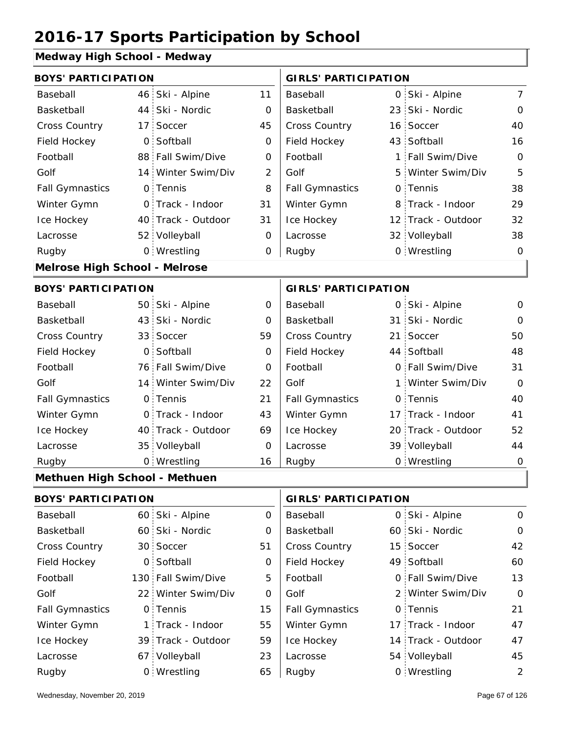### **Medway High School - Medway**

| <b>BOYS' PARTICIPATION</b>           |                 |                    |                             | <b>GIRLS' PARTICIPATION</b> |                 |                    |                |
|--------------------------------------|-----------------|--------------------|-----------------------------|-----------------------------|-----------------|--------------------|----------------|
| Baseball                             |                 | 46 Ski - Alpine    | 11                          | Baseball                    |                 | 0 Ski - Alpine     | $\overline{7}$ |
| Basketball                           | 44 :            | Ski - Nordic       | 0                           | Basketball                  | 23 <sub>1</sub> | Ski - Nordic       | $\mathbf 0$    |
| Cross Country                        | 17 <sup>1</sup> | Soccer             | 45                          | Cross Country               | 16              | Soccer             | 40             |
| Field Hockey                         | $\mathsf{O}$    | Softball           | 0                           | Field Hockey                |                 | 43 Softball        | 16             |
| Football                             |                 | 88 Fall Swim/Dive  | $\mathbf 0$                 | Football                    | 1               | Fall Swim/Dive     | $\mathbf 0$    |
| Golf                                 |                 | 14 Winter Swim/Div | $\overline{2}$              | Golf                        | 5               | Winter Swim/Div    | 5              |
| <b>Fall Gymnastics</b>               |                 | 0 Tennis           | 8                           | <b>Fall Gymnastics</b>      |                 | 0 Tennis           | 38             |
| Winter Gymn                          |                 | 0 Track - Indoor   | 31                          | Winter Gymn                 | 8               | Track - Indoor     | 29             |
| Ice Hockey                           |                 | 40 Track - Outdoor | 31                          | Ice Hockey                  |                 | 12 Track - Outdoor | 32             |
| Lacrosse                             |                 | 52 Volleyball      | 0                           | Lacrosse                    |                 | 32 Volleyball      | 38             |
| Rugby                                |                 | 0 Wrestling        | 0                           | Rugby                       |                 | 0 Wrestling        | $\mathbf 0$    |
| <b>Melrose High School - Melrose</b> |                 |                    |                             |                             |                 |                    |                |
| <b>BOYS' PARTICIPATION</b>           |                 |                    | <b>GIRLS' PARTICIPATION</b> |                             |                 |                    |                |
| Baseball                             |                 | 50 Ski - Alpine    | 0                           | Baseball                    |                 | 0 Ski - Alpine     | 0              |
| Basketball                           |                 | 43 Ski - Nordic    | 0                           | Basketball                  |                 | 31 Ski - Nordic    | $\mathbf{O}$   |
| Cross Country                        |                 | 33 Soccer          | 59                          | Cross Country               | 21              | Soccer             | 50             |
| Field Hockey                         | O:              | Softball           | 0                           | Field Hockey                |                 | 44 Softball        | 48             |
| Football                             |                 | 76 Fall Swim/Dive  | $\overline{O}$              | Football                    |                 | 0 Fall Swim/Dive   | 31             |
| Golf                                 |                 | 14 Winter Swim/Div | 22                          | Golf                        | 1               | Winter Swim/Div    | $\Omega$       |
| <b>Fall Gymnastics</b>               |                 | 0 Tennis           | 21                          | <b>Fall Gymnastics</b>      |                 | 0 Tennis           | 40             |
| Winter Gymn                          |                 | 0 Track - Indoor   | 43                          | Winter Gymn                 |                 | 17 Track - Indoor  | 41             |
| Ice Hockey                           |                 | 40 Track - Outdoor | 69                          | Ice Hockey                  |                 | 20 Track - Outdoor | 52             |
| Lacrosse                             |                 | 35 Volleyball      | $\overline{O}$              | Lacrosse                    |                 | 39 Volleyball      | 44             |
| Rugby                                |                 | 0 Wrestling        | 16                          | Rugby                       |                 | 0 Wrestling        | $\mathbf 0$    |
| Methuen High School - Methuen        |                 |                    |                             |                             |                 |                    |                |
| <b>BOYS' PARTICIPATION</b>           |                 |                    |                             | <b>GIRLS' PARTICIPATION</b> |                 |                    |                |
| Baseball                             |                 | 60 Ski - Alpine    | $\overline{O}$              | Baseball                    |                 | 0 Ski - Alpine     | $\mathsf{O}$   |

| Baseball               | 60 Ski - Alpine    | O  | Baseball               | 0 Ski - Alpine     | 0           |
|------------------------|--------------------|----|------------------------|--------------------|-------------|
| Basketball             | 60 Ski - Nordic    | 0  | Basketball             | 60 Ski - Nordic    | $\mathbf 0$ |
| <b>Cross Country</b>   | 30 Soccer          | 51 | <b>Cross Country</b>   | 15 Soccer          | 42          |
| Field Hockey           | 0 Softball         | 0  | Field Hockey           | 49 Softball        | 60          |
| Football               | 130 Fall Swim/Dive | 5  | Football               | 0 Fall Swim/Dive   | 13          |
| Golf                   | 22 Winter Swim/Div | 0  | Golf                   | 2 Winter Swim/Div  | $\Omega$    |
| <b>Fall Gymnastics</b> | 0 Tennis           | 15 | <b>Fall Gymnastics</b> | 0 Tennis           | 21          |
| Winter Gymn            | 1 Track - Indoor   | 55 | Winter Gymn            | 17 Track - Indoor  | 47          |
| Ice Hockey             | 39 Track - Outdoor | 59 | Ice Hockey             | 14 Track - Outdoor | 47          |
| Lacrosse               | 67 Volleyball      | 23 | Lacrosse               | 54 Volleyball      | 45          |
| Rugby                  | 0 Wrestling        | 65 | Rugby                  | 0 Wrestling        | 2           |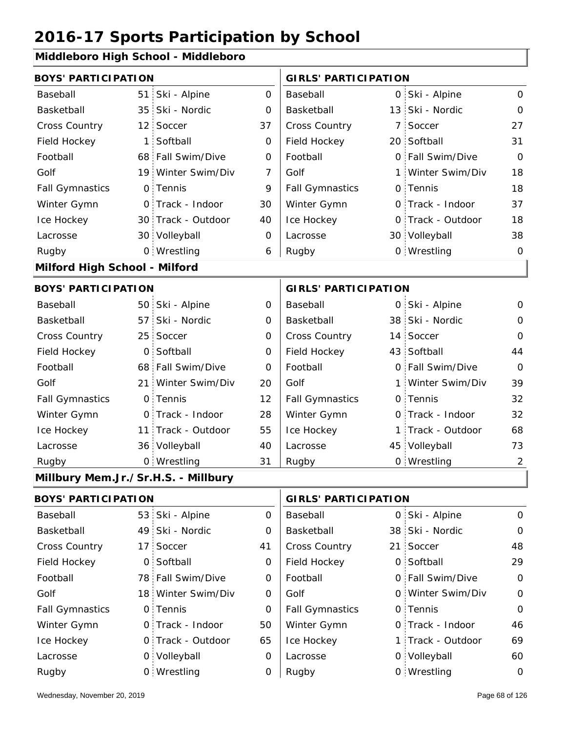#### **Middleboro High School - Middleboro**

| <b>BOYS' PARTICIPATION</b>          |                 |                    |                             | <b>GIRLS' PARTICIPATION</b> |   |                   |                |
|-------------------------------------|-----------------|--------------------|-----------------------------|-----------------------------|---|-------------------|----------------|
| Baseball                            | 51              | Ski - Alpine       | 0                           | Baseball                    |   | 0 Ski - Alpine    | 0              |
| Basketball                          | 35 <sup>1</sup> | Ski - Nordic       | 0                           | Basketball                  |   | 13 Ski - Nordic   | $\mathbf 0$    |
| Cross Country                       | $12^{\circ}$    | Soccer             | 37                          | Cross Country               | 7 | Soccer            | 27             |
| Field Hockey                        | 1               | Softball           | 0                           | Field Hockey                |   | 20 Softball       | 31             |
| Football                            |                 | 68 Fall Swim/Dive  | 0                           | Football                    |   | 0 Fall Swim/Dive  | $\mathbf 0$    |
| Golf                                |                 | 19 Winter Swim/Div | 7                           | Golf                        |   | 1 Winter Swim/Div | 18             |
| <b>Fall Gymnastics</b>              | 0.              | Tennis             | 9                           | <b>Fall Gymnastics</b>      |   | 0 Tennis          | 18             |
| Winter Gymn                         | $\mathsf{O}$    | Track - Indoor     | 30                          | Winter Gymn                 |   | O Track - Indoor  | 37             |
| Ice Hockey                          |                 | 30 Track - Outdoor | 40                          | Ice Hockey                  |   | 0 Track - Outdoor | 18             |
| Lacrosse                            |                 | 30 Volleyball      | 0                           | Lacrosse                    |   | 30 Volleyball     | 38             |
| Rugby                               |                 | 0 Wrestling        | 6                           | Rugby                       |   | 0 Wrestling       | $\mathbf 0$    |
| Milford High School - Milford       |                 |                    |                             |                             |   |                   |                |
| <b>BOYS' PARTICIPATION</b>          |                 |                    | <b>GIRLS' PARTICIPATION</b> |                             |   |                   |                |
| Baseball                            |                 | 50 Ski - Alpine    | 0                           | Baseball                    |   | 0 Ski - Alpine    | 0              |
| Basketball                          | 57.             | Ski - Nordic       | 0                           | Basketball                  |   | 38 Ski - Nordic   | 0              |
| Cross Country                       | 25              | Soccer             | 0                           | Cross Country               |   | 14 Soccer         | $\Omega$       |
| Field Hockey                        | $\overline{0}$  | Softball           | $\overline{O}$              | Field Hockey                |   | 43 Softball       | 44             |
| Football                            |                 | 68 Fall Swim/Dive  | 0                           | Football                    |   | 0 Fall Swim/Dive  | $\Omega$       |
| Golf                                | 21:             | Winter Swim/Div    | 20                          | Golf                        |   | 1 Winter Swim/Div | 39             |
| <b>Fall Gymnastics</b>              | $\mathsf{O}$ :  | Tennis             | 12                          | <b>Fall Gymnastics</b>      |   | 0 Tennis          | 32             |
| Winter Gymn                         |                 | O Track - Indoor   | 28                          | Winter Gymn                 |   | O Track - Indoor  | 32             |
| Ice Hockey                          | 11 :            | Track - Outdoor    | 55                          | Ice Hockey                  |   | 1 Track - Outdoor | 68             |
| Lacrosse                            |                 | 36 Volleyball      | 40                          | Lacrosse                    |   | 45 Volleyball     | 73             |
| Rugby                               |                 | 0 Wrestling        | 31                          | Rugby                       |   | 0 Wrestling       | $\overline{2}$ |
| Millbury Mem.Jr./Sr.H.S. - Millbury |                 |                    |                             |                             |   |                   |                |
| <b>BOYS' PARTICIPATION</b>          |                 |                    |                             | <b>GIRLS' PARTICIPATION</b> |   |                   |                |
| Baseball                            |                 | 53 Ski - Alpine    | $\overline{O}$              | Baseball                    |   | 0 Ski - Alpine    | $\mathsf{O}$   |
| Basketball                          |                 | 49 Ski - Nordic    | 0                           | Basketball                  |   | 38 Ski - Nordic   | 0              |

| Basketball             | 49 Ski - Nordic    | $\Omega$ | Basketball             | 38 Ski - Nordic   | $\Omega$       |
|------------------------|--------------------|----------|------------------------|-------------------|----------------|
| <b>Cross Country</b>   | 17 Soccer          | 41       | <b>Cross Country</b>   | 21 Soccer         | 48             |
| Field Hockey           | 0 Softball         | 0        | Field Hockey           | 0 Softball        | 29             |
| Football               | 78 Fall Swim/Dive  | 0        | Football               | 0 Fall Swim/Dive  | $\overline{O}$ |
| Golf                   | 18 Winter Swim/Div | 0        | Golf                   | 0 Winter Swim/Div | $\Omega$       |
| <b>Fall Gymnastics</b> | 0 Tennis           | 0        | <b>Fall Gymnastics</b> | 0 Tennis          | $\Omega$       |
| Winter Gymn            | O Track - Indoor   | 50       | Winter Gymn            | 0 Track - Indoor  | 46             |
| Ice Hockey             | 0 Track - Outdoor  | 65       | Ice Hockey             | 1 Track - Outdoor | 69             |
| Lacrosse               | 0 Volleyball       | 0        | Lacrosse               | 0 Volleyball      | 60             |
| Rugby                  | 0 Wrestling        |          | Rugby                  | 0 Wrestling       | $\circ$        |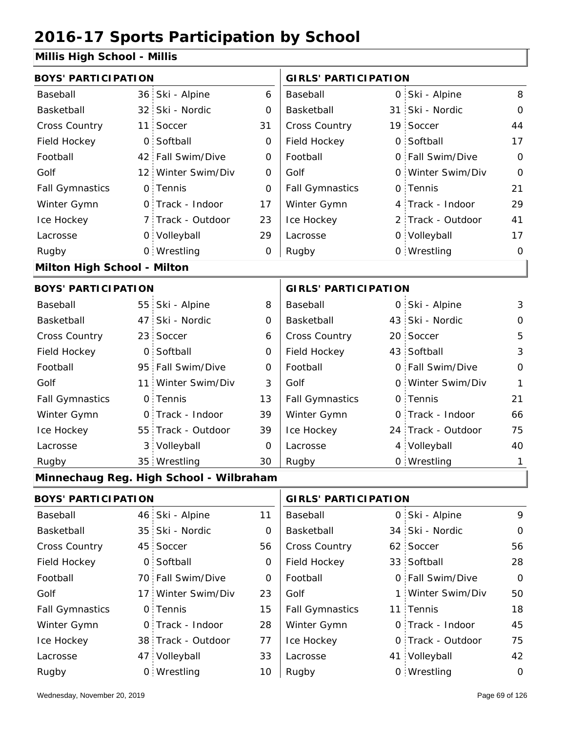#### **Millis High School - Millis**

| <b>BOYS' PARTICIPATION</b>  |                 |                                         |             | <b>GIRLS' PARTICIPATION</b> |                    |                |
|-----------------------------|-----------------|-----------------------------------------|-------------|-----------------------------|--------------------|----------------|
| Baseball                    |                 | 36 Ski - Alpine                         | 6           | Baseball                    | 0 Ski - Alpine     | 8              |
| Basketball                  |                 | 32 Ski - Nordic                         | 0           | Basketball                  | 31 Ski - Nordic    | $\mathbf 0$    |
| <b>Cross Country</b>        | 11              | Soccer                                  | 31          | Cross Country               | 19 Soccer          | 44             |
| Field Hockey                | $\mathsf{O}$    | Softball                                | 0           | Field Hockey                | 0 Softball         | 17             |
| Football                    | 42              | Fall Swim/Dive                          | 0           | Football                    | 0 Fall Swim/Dive   | $\mathbf 0$    |
| Golf                        |                 | 12 Winter Swim/Div                      | $\mathbf 0$ | Golf                        | 0 Winter Swim/Div  | $\overline{O}$ |
| <b>Fall Gymnastics</b>      |                 | 0 Tennis                                | 0           | <b>Fall Gymnastics</b>      | 0 Tennis           | 21             |
| Winter Gymn                 |                 | O Track - Indoor                        | 17          | Winter Gymn                 | 4 Track - Indoor   | 29             |
| Ice Hockey                  |                 | 7 Track - Outdoor                       | 23          | Ice Hockey                  | 2 Track - Outdoor  | 41             |
| Lacrosse                    |                 | 0 Volleyball                            | 29          | Lacrosse                    | 0 Volleyball       | 17             |
| Rugby                       |                 | 0 Wrestling                             | 0           | Rugby                       | 0 Wrestling        | $\mathbf 0$    |
| Milton High School - Milton |                 |                                         |             |                             |                    |                |
| <b>BOYS' PARTICIPATION</b>  |                 |                                         |             | <b>GIRLS' PARTICIPATION</b> |                    |                |
| Baseball                    |                 | 55 Ski - Alpine                         | 8           | Baseball                    | 0 Ski - Alpine     | $\mathbf{3}$   |
| Basketball                  | 47              | Ski - Nordic                            | 0           | Basketball                  | 43 Ski - Nordic    | $\mathbf 0$    |
| Cross Country               | 23 <sup>1</sup> | Soccer                                  | 6           | Cross Country               | 20 Soccer          | 5              |
| Field Hockey                | $\mathsf{O}$    | Softball                                | $\mathbf 0$ | Field Hockey                | 43 Softball        | $\mathfrak{Z}$ |
| Football                    | 95              | Fall Swim/Dive                          | 0           | Football                    | 0 Fall Swim/Dive   | $\mathbf{O}$   |
| Golf                        | 11 <sup>1</sup> | Winter Swim/Div                         | 3           | Golf                        | 0 Winter Swim/Div  | $\mathbf{1}$   |
| <b>Fall Gymnastics</b>      |                 | 0 Tennis                                | 13          | <b>Fall Gymnastics</b>      | 0 Tennis           | 21             |
| Winter Gymn                 |                 | O Track - Indoor                        | 39          | Winter Gymn                 | O Track - Indoor   | 66             |
| Ice Hockey                  | 55 <sup>1</sup> | Track - Outdoor                         | 39          | Ice Hockey                  | 24 Track - Outdoor | 75             |
| Lacrosse                    | 3:              | Volleyball                              | 0           | Lacrosse                    | 4 Volleyball       | 40             |
| Rugby                       |                 | 35 Wrestling                            | 30          | Rugby                       | 0 Wrestling        | 1              |
|                             |                 | Minnechaug Reg. High School - Wilbraham |             |                             |                    |                |
| <b>BOYS' PARTICIPATION</b>  |                 |                                         |             | <b>GIRLS' PARTICIPATION</b> |                    |                |
| Baseball                    | 46:             | Ski - Alpine                            | 11          | Baseball                    | 0 Ski - Alpine     | 9              |
| Basketball                  | 35 <sup>1</sup> | Ski - Nordic                            | 0           | Basketball                  | 34 Ski - Nordic    | $\mathbf 0$    |
| <b>Cross Country</b>        | 45 <sup>1</sup> | Soccer                                  | 56          | Cross Country               | 62 Soccer          | 56             |
| Field Hockey                |                 | 0 Softball                              | 0           | Field Hockey                | 33 Softball        | 28             |
| Football                    |                 | 70 Fall Swim/Dive                       | 0           | Football                    | 0 Fall Swim/Dive   | $\mathbf 0$    |
| Golf                        |                 | 17 Winter Swim/Div                      | 23          | Golf                        | 1 Winter Swim/Div  | 50             |
| <b>Fall Gymnastics</b>      |                 | 0 Tennis                                | 15          | <b>Fall Gymnastics</b>      | 11 Tennis          | 18             |
| Winter Gymn                 |                 | 0 Track - Indoor                        | 28          | Winter Gymn                 | O Track - Indoor   | 45             |
| Ice Hockey                  |                 | 38 Track - Outdoor                      | 77          | Ice Hockey                  | 0 Track - Outdoor  | 75             |

33

Wrestling Rugby 0 Rugby 0

 $10$  Rugby

**Lacrosse** 

Lacrosse

47 Volleyball

41 Volleyball 42

0 Wrestling 0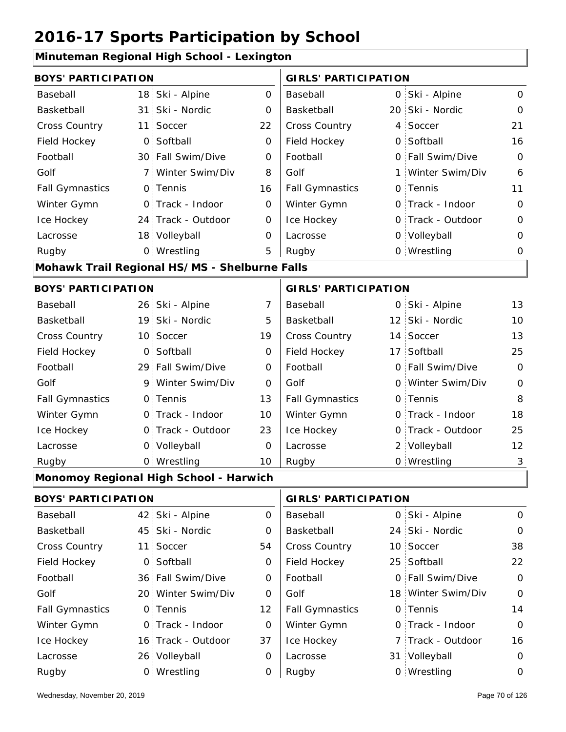### **Minuteman Regional High School - Lexington**

|                            | <b>BOYS' PARTICIPATION</b> |                                               |                | <b>GIRLS' PARTICIPATION</b> |                |                    |             |
|----------------------------|----------------------------|-----------------------------------------------|----------------|-----------------------------|----------------|--------------------|-------------|
| Baseball                   | 18 <sup>1</sup>            | Ski - Alpine                                  | 0              | Baseball                    |                | 0 Ski - Alpine     | $\Omega$    |
| Basketball                 | 31                         | Ski - Nordic                                  | 0              | Basketball                  |                | 20 Ski - Nordic    | 0           |
| <b>Cross Country</b>       | 11                         | Soccer                                        | 22             | Cross Country               | $4^{\circ}$    | Soccer             | 21          |
| Field Hockey               | 0                          | Softball                                      | 0              | Field Hockey                | $\overline{O}$ | Softball           | 16          |
| Football                   | 30 <sup>°</sup>            | Fall Swim/Dive                                | 0              | Football                    |                | 0 Fall Swim/Dive   | $\Omega$    |
| Golf                       | 7.                         | Winter Swim/Div                               | 8              | Golf                        | 1 :            | Winter Swim/Div    | 6           |
| <b>Fall Gymnastics</b>     | $\circ$                    | Tennis                                        | 16             | <b>Fall Gymnastics</b>      |                | 0 Tennis           | 11          |
| Winter Gymn                | $\overline{O}$             | Track - Indoor                                | 0              | Winter Gymn                 |                | O Track - Indoor   | 0           |
| Ice Hockey                 |                            | 24 Track - Outdoor                            | 0              | Ice Hockey                  |                | 0 Track - Outdoor  | 0           |
| Lacrosse                   | 18 <sub>1</sub>            | Volleyball                                    | 0              | Lacrosse                    |                | 0 Volleyball       | 0           |
| Rugby                      |                            | 0 Wrestling                                   | 5              | Rugby                       |                | 0 Wrestling        | 0           |
|                            |                            | Mohawk Trail Regional HS/MS - Shelburne Falls |                |                             |                |                    |             |
| <b>BOYS' PARTICIPATION</b> |                            |                                               |                | <b>GIRLS' PARTICIPATION</b> |                |                    |             |
| Baseball                   |                            | 26 Ski - Alpine                               | $\overline{7}$ | Baseball                    |                | 0 Ski - Alpine     | 13          |
| Basketball                 | 19 <sub>1</sub>            | Ski - Nordic                                  | 5              | Basketball                  |                | 12 Ski - Nordic    | 10          |
| <b>Cross Country</b>       |                            | 10 Soccer                                     | 19             | Cross Country               |                | 14 Soccer          | 13          |
| Field Hockey               | $\overline{O}$             | Softball                                      | 0              | Field Hockey                |                | 17 Softball        | 25          |
| Football                   |                            | 29 Fall Swim/Dive                             | 0              | Football                    |                | 0 Fall Swim/Dive   | $\Omega$    |
| Golf                       | 9.                         | Winter Swim/Div                               | 0              | Golf                        |                | 0 Winter Swim/Div  | 0           |
| <b>Fall Gymnastics</b>     |                            | 0 Tennis                                      | 13             | <b>Fall Gymnastics</b>      |                | 0 Tennis           | 8           |
| Winter Gymn                |                            | 0 Track - Indoor                              | 10             | Winter Gymn                 |                | 0 Track - Indoor   | 18          |
| Ice Hockey                 | $\mathsf{O}$               | Track - Outdoor                               | 23             | Ice Hockey                  |                | 0 Track - Outdoor  | 25          |
| Lacrosse                   | $\mathsf{O}$               | Volleyball                                    | 0              | Lacrosse                    |                | 2 Volleyball       | 12          |
| Rugby                      |                            | 0 Wrestling                                   | 10             | Rugby                       |                | 0 Wrestling        | 3           |
|                            |                            | Monomoy Regional High School - Harwich        |                |                             |                |                    |             |
| <b>BOYS' PARTICIPATION</b> |                            |                                               |                | <b>GIRLS' PARTICIPATION</b> |                |                    |             |
| Baseball                   | 42:                        | Ski - Alpine                                  | $\mathbf 0$    | Baseball                    |                | 0 Ski - Alpine     | 0           |
| Basketball                 | 45                         | Ski - Nordic                                  | 0              | Basketball                  |                | 24 Ski - Nordic    | 0           |
| Cross Country              | 11                         | Soccer                                        | 54             | Cross Country               |                | 10 Soccer          | 38          |
| Field Hockey               | $\overline{0}$             | Softball                                      | 0              | Field Hockey                |                | 25 Softball        | 22          |
| Football                   |                            | 36 Fall Swim/Dive                             | 0              | Football                    |                | 0 Fall Swim/Dive   | 0           |
| Golf                       | 20 <sub>1</sub>            | Winter Swim/Div                               | 0              | Golf                        |                | 18 Winter Swim/Div | $\mathbf 0$ |
| <b>Fall Gymnastics</b>     | $\mathsf{O}$               | Tennis                                        | 12             | <b>Fall Gymnastics</b>      |                | 0 Tennis           | 14          |
| Winter Gymn                | 0                          | Track - Indoor                                | 0              | Winter Gymn                 |                | O Track - Indoor   | 0           |
| Ice Hockey                 |                            | 16 Track - Outdoor                            | 37             | Ice Hockey                  |                | 7 Track - Outdoor  | 16          |
| Lacrosse                   |                            | 26 Volleyball                                 | 0              | Lacrosse                    |                | 31 Volleyball      | 0           |
| Rugby                      |                            | 0 Wrestling                                   | 0              | Rugby                       |                | 0 Wrestling        | $\mathbf 0$ |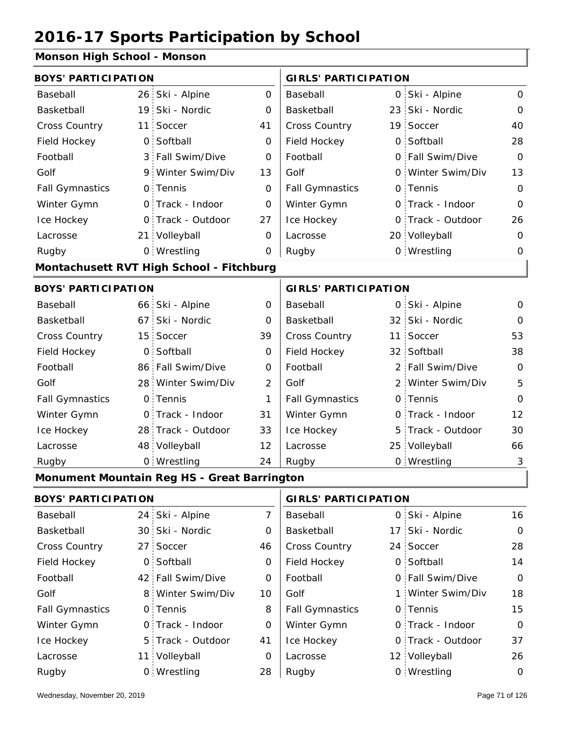#### **Monson High School - Monson**

| <b>BOYS' PARTICIPATION</b> |                |                                             |                | <b>GIRLS' PARTICIPATION</b> |     |                   |                |
|----------------------------|----------------|---------------------------------------------|----------------|-----------------------------|-----|-------------------|----------------|
| Baseball                   |                | 26 Ski - Alpine                             | $\mathbf{O}$   | Baseball                    |     | 0 Ski - Alpine    | 0              |
| Basketball                 |                | 19 Ski - Nordic                             | 0              | Basketball                  |     | 23 Ski - Nordic   | 0              |
| <b>Cross Country</b>       | 11             | Soccer                                      | 41             | Cross Country               |     | 19 Soccer         | 40             |
| Field Hockey               |                | 0 Softball                                  | 0              | Field Hockey                |     | 0 Softball        | 28             |
| Football                   |                | 3 Fall Swim/Dive                            | 0              | Football                    |     | 0 Fall Swim/Dive  | $\Omega$       |
| Golf                       |                | 9 Winter Swim/Div                           | 13             | Golf                        |     | 0 Winter Swim/Div | 13             |
| <b>Fall Gymnastics</b>     |                | 0 Tennis                                    | 0              | <b>Fall Gymnastics</b>      |     | 0 Tennis          | $\overline{O}$ |
| Winter Gymn                |                | O Track - Indoor                            | 0              | Winter Gymn                 |     | O Track - Indoor  | $\overline{O}$ |
| Ice Hockey                 |                | 0 Track - Outdoor                           | 27             | Ice Hockey                  |     | 0 Track - Outdoor | 26             |
| Lacrosse                   |                | 21 Volleyball                               | 0              | Lacrosse                    |     | 20 Volleyball     | 0              |
| Rugby                      |                | 0 Wrestling                                 | 0              | Rugby                       |     | 0 Wrestling       | 0              |
|                            |                | Montachusett RVT High School - Fitchburg    |                |                             |     |                   |                |
| <b>BOYS' PARTICIPATION</b> |                |                                             |                | <b>GIRLS' PARTICIPATION</b> |     |                   |                |
| Baseball                   |                | 66 Ski - Alpine                             | 0              | Baseball                    |     | 0 Ski - Alpine    | 0              |
| Basketball                 |                | 67 Ski - Nordic                             | 0              | Basketball                  |     | 32 Ski - Nordic   | $\Omega$       |
| <b>Cross Country</b>       |                | 15 Soccer                                   | 39             | Cross Country               |     | 11 Soccer         | 53             |
| Field Hockey               | O <sub>1</sub> | Softball                                    | 0              | Field Hockey                |     | 32 Softball       | 38             |
| Football                   |                | 86 Fall Swim/Dive                           | 0              | Football                    |     | 2 Fall Swim/Dive  | 0              |
| Golf                       |                | 28 Winter Swim/Div                          | $\overline{2}$ | Golf                        |     | 2 Winter Swim/Div | 5              |
| <b>Fall Gymnastics</b>     |                | 0 Tennis                                    | 1              | <b>Fall Gymnastics</b>      |     | 0 Tennis          | $\overline{O}$ |
| Winter Gymn                |                | 0 Track - Indoor                            | 31             | Winter Gymn                 |     | 0 Track - Indoor  | 12             |
| Ice Hockey                 |                | 28 Track - Outdoor                          | 33             | Ice Hockey                  |     | 5 Track - Outdoor | 30             |
| Lacrosse                   |                | 48 Volleyball                               | 12             | Lacrosse                    |     | 25 Volleyball     | 66             |
| Rugby                      |                | 0 Wrestling                                 | 24             | Rugby                       |     | 0 Wrestling       | 3              |
|                            |                | Monument Mountain Reg HS - Great Barrington |                |                             |     |                   |                |
| <b>BOYS' PARTICIPATION</b> |                |                                             |                | <b>GIRLS' PARTICIPATION</b> |     |                   |                |
| Baseball                   |                | 24 Ski - Alpine                             | $\overline{7}$ | Baseball                    |     | 0 Ski - Alpine    | 16             |
| Basketball                 |                | 30 Ski - Nordic                             | 0              | Basketball                  | 17: | Ski - Nordic      | 0              |
| Cross Country              | 27:            | Soccer                                      | 46             | Cross Country               |     | 24 Soccer         | 28             |
| Field Hockey               |                | 0 Softball                                  | 0              | Field Hockey                |     | 0 Softball        | 14             |
| Football                   |                | 42 Fall Swim/Dive                           | 0              | Football                    |     | 0 Fall Swim/Dive  | 0              |
| Golf                       |                | 8 Winter Swim/Div                           | 10             | Golf                        |     | 1 Winter Swim/Div | 18             |
| <b>Fall Gymnastics</b>     |                | 0 Tennis                                    | 8              | <b>Fall Gymnastics</b>      |     | 0 Tennis          | 15             |
| Winter Gymn                |                | O Track - Indoor                            | $\mathbf 0$    | Winter Gymn                 |     | O Track - Indoor  | $\mathbf 0$    |
| Ice Hockey                 |                | 5 Track - Outdoor                           | 41             | Ice Hockey                  |     | 0 Track - Outdoor | 37             |
| Lacrosse                   |                | 11 Volleyball                               | 0              | Lacrosse                    |     | 12 Volleyball     | 26             |
| Rugby                      |                | 0 Wrestling                                 | 28             | Rugby                       |     | 0 Wrestling       | 0              |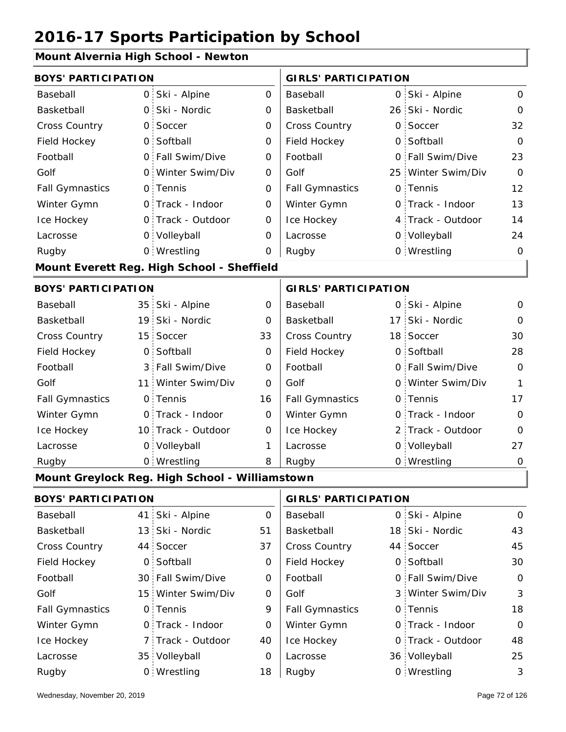### **Mount Alvernia High School - Newton**

| sant Allverrild Tilgh sonoon |                 |                                                |             |                             |              |                    |             |
|------------------------------|-----------------|------------------------------------------------|-------------|-----------------------------|--------------|--------------------|-------------|
| <b>BOYS' PARTICIPATION</b>   |                 |                                                |             | <b>GIRLS' PARTICIPATION</b> |              |                    |             |
| Baseball                     | $\overline{O}$  | Ski - Alpine                                   | 0           | Baseball                    | O            | Ski - Alpine       | 0           |
| Basketball                   | $\overline{O}$  | Ski - Nordic                                   | 0           | Basketball                  |              | 26 Ski - Nordic    | $\Omega$    |
| Cross Country                | $\mathsf{O}$    | Soccer                                         | $\mathbf 0$ | Cross Country               | $\mathsf{O}$ | Soccer             | 32          |
| Field Hockey                 | O <sub>1</sub>  | Softball                                       | 0           | Field Hockey                | 0            | Softball           | $\mathbf 0$ |
| Football                     | $\overline{O}$  | Fall Swim/Dive                                 | 0           | Football                    | $\mathsf{O}$ | Fall Swim/Dive     | 23          |
| Golf                         | $\mathsf{O}$    | Winter Swim/Div                                | 0           | Golf                        |              | 25 Winter Swim/Div | $\mathbf 0$ |
| <b>Fall Gymnastics</b>       |                 | 0 Tennis                                       | 0           | <b>Fall Gymnastics</b>      |              | 0 Tennis           | 12          |
| Winter Gymn                  |                 | O Track - Indoor                               | 0           | Winter Gymn                 |              | O Track - Indoor   | 13          |
| Ice Hockey                   |                 | 0 Track - Outdoor                              | 0           | Ice Hockey                  |              | 4 Track - Outdoor  | 14          |
| Lacrosse                     |                 | 0 Volleyball                                   | 0           | Lacrosse                    |              | 0 Volleyball       | 24          |
| Rugby                        |                 | 0 Wrestling                                    | 0           | Rugby                       |              | 0 Wrestling        | 0           |
|                              |                 | Mount Everett Reg. High School - Sheffield     |             |                             |              |                    |             |
| <b>BOYS' PARTICIPATION</b>   |                 |                                                |             | <b>GIRLS' PARTICIPATION</b> |              |                    |             |
| Baseball                     |                 | 35 Ski - Alpine                                | 0           | Baseball                    |              | 0 Ski - Alpine     | 0           |
| Basketball                   | 19 <sup>°</sup> | Ski - Nordic                                   | 0           | Basketball                  | 17:          | Ski - Nordic       | 0           |
| <b>Cross Country</b>         | 15 <sup>1</sup> | Soccer                                         | 33          | <b>Cross Country</b>        |              | 18 Soccer          | 30          |
| Field Hockey                 | $\overline{0}$  | Softball                                       | $\mathbf 0$ | Field Hockey                | 0            | Softball           | 28          |
| Football                     |                 | 3 Fall Swim/Dive                               | 0           | Football                    |              | 0 Fall Swim/Dive   | 0           |
| Golf                         | 11              | Winter Swim/Div                                | $\mathbf 0$ | Golf                        |              | 0 Winter Swim/Div  | 1           |
| <b>Fall Gymnastics</b>       | $\mathsf{O}$    | Tennis                                         | 16          | <b>Fall Gymnastics</b>      |              | 0 Tennis           | 17          |
| Winter Gymn                  |                 | O Track - Indoor                               | 0           | Winter Gymn                 |              | O Track - Indoor   | 0           |
| Ice Hockey                   |                 | 10 Track - Outdoor                             | $\mathbf 0$ | Ice Hockey                  |              | 2 Track - Outdoor  | 0           |
| Lacrosse                     |                 | 0 Volleyball                                   | 1           | Lacrosse                    |              | 0 Volleyball       | 27          |
| Rugby                        |                 | 0 Wrestling                                    | 8           | Rugby                       |              | 0 Wrestling        | 0           |
|                              |                 | Mount Greylock Reg. High School - Williamstown |             |                             |              |                    |             |
| <b>BOYS' PARTICIPATION</b>   |                 |                                                |             | <b>GIRLS' PARTICIPATION</b> |              |                    |             |
| Baseball                     | 41              | Ski - Alpine                                   | 0           | Baseball                    |              | 0 Ski - Alpine     | 0           |
| Basketball                   | 13 <sup>1</sup> | Ski - Nordic                                   | 51          | Basketball                  |              | 18 Ski - Nordic    | 43          |
| <b>Cross Country</b>         |                 | 44 Soccer                                      | 37          | Cross Country               |              | 44 Soccer          | 45          |
| Field Hockey                 | $\mathsf{O}$    | Softball                                       | 0           | Field Hockey                |              | 0 Softball         | 30          |
| Football                     |                 | 30 Fall Swim/Dive                              | 0           | Football                    |              | 0 Fall Swim/Dive   | $\mathbf 0$ |
| Golf                         |                 | 15 Winter Swim/Div                             | 0           | Golf                        |              | 3 Winter Swim/Div  | 3           |
| <b>Fall Gymnastics</b>       |                 | 0 Tennis                                       | 9           | <b>Fall Gymnastics</b>      |              | 0 Tennis           | 18          |
| Winter Gymn                  |                 | O Track - Indoor                               | 0           | Winter Gymn                 |              | O Track - Indoor   | $\mathbf 0$ |
| Ice Hockey                   | 7 :             | Track - Outdoor                                | 40          | Ice Hockey                  |              | 0 Track - Outdoor  | 48          |
| Lacrosse                     |                 | 35 Volleyball                                  | 0           | Lacrosse                    |              | 36 Volleyball      | 25          |
| Rugby                        |                 | 0 Wrestling                                    | 18          | Rugby                       |              | 0 Wrestling        | 3           |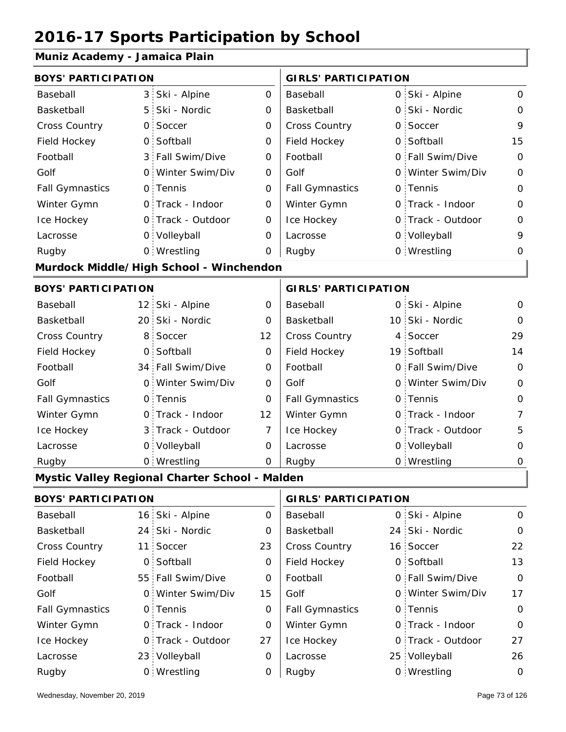#### **Muniz Academy - Jamaica Plain**

| <b>BOYS' PARTICIPATION</b> |                 |                                                |                             | <b>GIRLS' PARTICIPATION</b> |  |                   |             |
|----------------------------|-----------------|------------------------------------------------|-----------------------------|-----------------------------|--|-------------------|-------------|
| Baseball                   | 3               | Ski - Alpine                                   | $\mathbf 0$                 | Baseball                    |  | 0 Ski - Alpine    | $\mathbf 0$ |
| Basketball                 | 5               | Ski - Nordic                                   | 0                           | Basketball                  |  | 0 Ski - Nordic    | $\mathbf 0$ |
| Cross Country              | 0               | Soccer                                         | $\mathbf 0$                 | <b>Cross Country</b>        |  | 0 Soccer          | 9           |
| Field Hockey               | $\mathsf{O}$    | Softball                                       | $\mathbf 0$                 | Field Hockey                |  | 0 Softball        | 15          |
| Football                   | 3               | Fall Swim/Dive                                 | 0                           | Football                    |  | 0 Fall Swim/Dive  | $\mathbf 0$ |
| Golf                       | $\mathsf{O}$    | Winter Swim/Div                                | 0                           | Golf                        |  | 0 Winter Swim/Div | $\mathbf 0$ |
| <b>Fall Gymnastics</b>     | $\mathsf{O}$    | Tennis                                         | 0                           | <b>Fall Gymnastics</b>      |  | 0 Tennis          | 0           |
| Winter Gymn                | $\mathsf{O}$    | Track - Indoor                                 | 0                           | Winter Gymn                 |  | 0 Track - Indoor  | $\mathbf 0$ |
| Ice Hockey                 | $\mathsf{O}$    | Track - Outdoor                                | 0                           | Ice Hockey                  |  | 0 Track - Outdoor | $\mathbf 0$ |
| Lacrosse                   |                 | 0 Volleyball                                   | O                           | Lacrosse                    |  | 0 Volleyball      | 9           |
| Rugby                      |                 | 0 Wrestling                                    | 0                           | Rugby                       |  | 0 Wrestling       | 0           |
|                            |                 | Murdock Middle/High School - Winchendon        |                             |                             |  |                   |             |
| <b>BOYS' PARTICIPATION</b> |                 |                                                | <b>GIRLS' PARTICIPATION</b> |                             |  |                   |             |
| Baseball                   | 12:             | Ski - Alpine                                   | 0                           | Baseball                    |  | 0 Ski - Alpine    | 0           |
| Basketball                 | 20 <sup>1</sup> | Ski - Nordic                                   | 0                           | Basketball                  |  | 10 Ski - Nordic   | $\Omega$    |
| <b>Cross Country</b>       | 8               | Soccer                                         | 12                          | <b>Cross Country</b>        |  | 4 Soccer          | 29          |
| Field Hockey               | $\mathsf{O}$    | Softball                                       | 0                           | Field Hockey                |  | 19 Softball       | 14          |
| Football                   |                 | 34 Fall Swim/Dive                              | 0                           | Football                    |  | 0 Fall Swim/Dive  | $\mathbf 0$ |
| Golf                       | $\mathsf{O}$    | Winter Swim/Div                                | 0                           | Golf                        |  | 0 Winter Swim/Div | $\mathbf 0$ |
| <b>Fall Gymnastics</b>     |                 | 0 Tennis                                       | 0                           | <b>Fall Gymnastics</b>      |  | 0 Tennis          | $\mathbf 0$ |
| Winter Gymn                |                 | 0 Track - Indoor                               | 12                          | Winter Gymn                 |  | O Track - Indoor  | 7           |
| Ice Hockey                 | 3               | Track - Outdoor                                | $\overline{7}$              | Ice Hockey                  |  | 0 Track - Outdoor | 5           |
| Lacrosse                   |                 | 0 Volleyball                                   | 0                           | Lacrosse                    |  | 0 Volleyball      | $\mathbf 0$ |
| Rugby                      |                 | 0 Wrestling                                    | 0                           | Rugby                       |  | 0 Wrestling       | 0           |
|                            |                 | Mystic Valley Regional Charter School - Malden |                             |                             |  |                   |             |
| <b>BOYS' PARTICIPATION</b> |                 |                                                |                             | <b>GIRLS' PARTICIPATION</b> |  |                   |             |
| Baseball                   |                 | 16 Ski - Alpine                                | 0                           | Baseball                    |  | 0 Ski - Alpine    | $\mathbf 0$ |
| Basketball                 |                 | 24 Ski - Nordic                                | 0                           | Basketball                  |  | 24 Ski - Nordic   | $\mathbf 0$ |
| Cross Country              |                 | 11 Soccer                                      | 23                          | Cross Country               |  | 16 Soccer         | 22          |
| Field Hockey               |                 | 0 Softball                                     | $\mathbf 0$                 | Field Hockey                |  | 0 Softball        | 13          |

55 Fall Swim/Dive  $\begin{array}{c|c} 0 & \text{Football} \end{array}$  0 0 Winter Swim/Div 15 Golf 60 0 Fall Gymnastics 0 of Fall Gymnastics 0 of Fall Gymnastics 0 of the 10 of the 10

Football Golf

Winter Gymn Ice Hockey Lacrosse

0

0

0

27

0

0

0 Track - Outdoor

Wrestling Rugby 0 Rugby 0

0 Track - Indoor

23 Volleyball

0 Tennis

Football Golf

Fall Gymnastics

Ice Hockey Lacrosse

Winter Gymn

0

17

0

0

27

0 Track - Indoor

0 Tennis

Fall Swim/Dive Winter Swim/Div

0 Track - Outdoor

25 Volleyball 26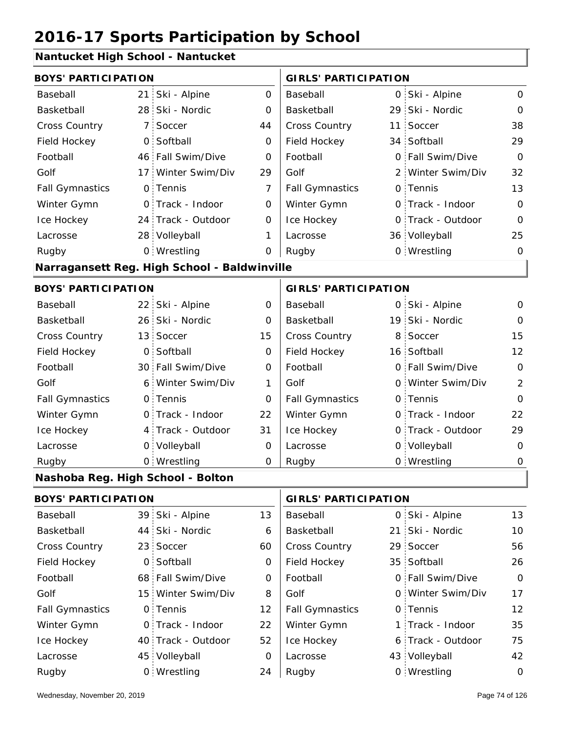### **Nantucket High School - Nantucket**

| <b>BOYS' PARTICIPATION</b>        |                 |                                              |                | <b>GIRLS' PARTICIPATION</b> |                 |                   |                |
|-----------------------------------|-----------------|----------------------------------------------|----------------|-----------------------------|-----------------|-------------------|----------------|
| Baseball                          | 21 <sub>1</sub> | Ski - Alpine                                 | $\mathbf 0$    | Baseball                    |                 | 0 Ski - Alpine    | 0              |
| Basketball                        | 28              | Ski - Nordic                                 | 0              | Basketball                  | 29 <sup>1</sup> | Ski - Nordic      | $\mathbf 0$    |
| Cross Country                     | 7 :             | Soccer                                       | 44             | Cross Country               | 11              | Soccer            | 38             |
| Field Hockey                      | O:              | Softball                                     | 0              | Field Hockey                |                 | 34 Softball       | 29             |
| Football                          |                 | 46 Fall Swim/Dive                            | $\overline{0}$ | Football                    | $\Omega$        | Fall Swim/Dive    | $\Omega$       |
| Golf                              | 17:             | Winter Swim/Div                              | 29             | Golf                        |                 | 2 Winter Swim/Div | 32             |
| <b>Fall Gymnastics</b>            |                 | 0 Tennis                                     | $\overline{7}$ | <b>Fall Gymnastics</b>      |                 | 0 Tennis          | 13             |
| Winter Gymn                       |                 | 0 Track - Indoor                             | $\mathbf 0$    | Winter Gymn                 | 0               | Track - Indoor    | $\Omega$       |
| Ice Hockey                        |                 | 24 Track - Outdoor                           | 0              | Ice Hockey                  | 0               | Track - Outdoor   | $\Omega$       |
| Lacrosse                          |                 | 28 Volleyball                                | 1              | Lacrosse                    |                 | 36 Volleyball     | 25             |
| Rugby                             |                 | 0 Wrestling                                  | 0              | Rugby                       |                 | 0 Wrestling       | $\Omega$       |
|                                   |                 | Narragansett Reg. High School - Baldwinville |                |                             |                 |                   |                |
| <b>BOYS' PARTICIPATION</b>        |                 |                                              |                | <b>GIRLS' PARTICIPATION</b> |                 |                   |                |
| Baseball                          |                 | 22 Ski - Alpine                              | 0              | Baseball                    |                 | 0 Ski - Alpine    | 0              |
| Basketball                        |                 | 26 Ski - Nordic                              | 0              | Basketball                  |                 | 19 Ski - Nordic   | $\mathbf 0$    |
| <b>Cross Country</b>              |                 | 13 Soccer                                    | 15             | Cross Country               | 8               | Soccer            | 15             |
| Field Hockey                      | $\mathsf{O}$    | Softball                                     | $\mathbf 0$    | Field Hockey                |                 | 16 Softball       | 12             |
| Football                          |                 | 30 Fall Swim/Dive                            | 0              | Football                    |                 | 0 Fall Swim/Dive  | $\Omega$       |
| Golf                              | 6.              | Winter Swim/Div                              | 1              | Golf                        |                 | 0 Winter Swim/Div | $\overline{2}$ |
| <b>Fall Gymnastics</b>            |                 | 0 Tennis                                     | $\overline{O}$ | <b>Fall Gymnastics</b>      |                 | 0 Tennis          | $\overline{0}$ |
| Winter Gymn                       |                 | O Track - Indoor                             | 22             | Winter Gymn                 |                 | 0 Track - Indoor  | 22             |
| Ice Hockey                        |                 | 4 Track - Outdoor                            | 31             | Ice Hockey                  |                 | 0 Track - Outdoor | 29             |
| Lacrosse                          |                 | 0 Volleyball                                 | 0              | Lacrosse                    |                 | 0 Volleyball      | $\mathbf 0$    |
| Rugby                             |                 | 0 Wrestling                                  | 0              | Rugby                       |                 | 0 Wrestling       | 0              |
| Nashoba Reg. High School - Bolton |                 |                                              |                |                             |                 |                   |                |
|                                   |                 |                                              |                |                             |                 |                   |                |

| <b>BOYS' PARTICIPATION</b> |  | <b>GIRLS' PARTICIPATION</b> |    |                        |  |                   |               |
|----------------------------|--|-----------------------------|----|------------------------|--|-------------------|---------------|
| Baseball                   |  | 39 Ski - Alpine             | 13 | Baseball               |  | 0 Ski - Alpine    | 13            |
| Basketball                 |  | 44 Ski - Nordic             | 6  | Basketball             |  | 21 Ski - Nordic   | 10            |
| <b>Cross Country</b>       |  | 23 Soccer                   | 60 | <b>Cross Country</b>   |  | 29 Soccer         | 56            |
| Field Hockey               |  | 0 Softball                  | 0  | Field Hockey           |  | 35 Softball       | 26            |
| Football                   |  | 68 Fall Swim/Dive           | 0  | Football               |  | 0 Fall Swim/Dive  | $\mathbf 0$   |
| Golf                       |  | 15 Winter Swim/Div          | 8  | Golf                   |  | 0 Winter Swim/Div | 17            |
| <b>Fall Gymnastics</b>     |  | 0 Tennis                    | 12 | <b>Fall Gymnastics</b> |  | 0 Tennis          | 12            |
| Winter Gymn                |  | O Track - Indoor            | 22 | Winter Gymn            |  | 1 Track - Indoor  | 35            |
| Ice Hockey                 |  | 40 Track - Outdoor          | 52 | Ice Hockey             |  | 6 Track - Outdoor | 75            |
| Lacrosse                   |  | 45 Volleyball               | 0  | Lacrosse               |  | 43 Volleyball     | 42            |
| Rugby                      |  | 0 Wrestling                 | 24 | Rugby                  |  | 0 Wrestling       | $\mathcal{O}$ |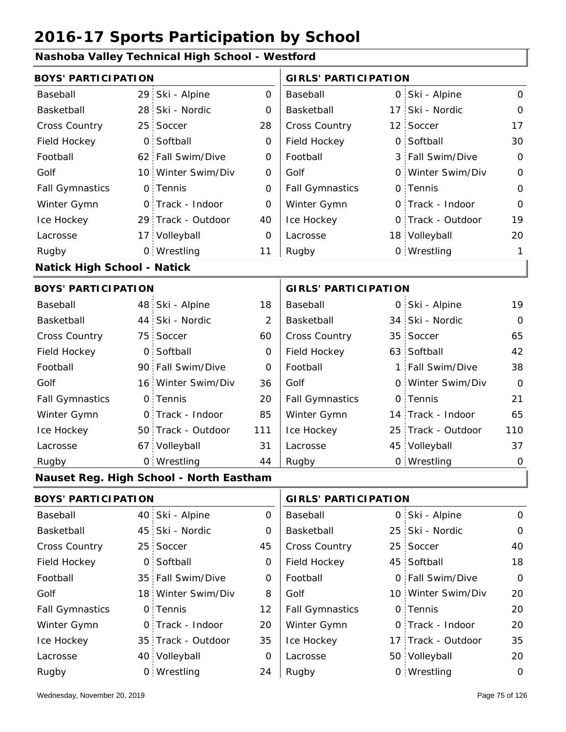#### **Nashoba Valley Technical High School - Westford**

| <b>BOYS' PARTICIPATION</b>         |                 |                                         |                | <b>GIRLS' PARTICIPATION</b> |                    |                |
|------------------------------------|-----------------|-----------------------------------------|----------------|-----------------------------|--------------------|----------------|
| Baseball                           |                 | 29 Ski - Alpine                         | $\mathbf 0$    | Baseball                    | 0 Ski - Alpine     | $\mathbf 0$    |
| Basketball                         | 28              | Ski - Nordic                            | 0              | Basketball                  | 17 Ski - Nordic    | $\mathbf{O}$   |
| Cross Country                      | 25              | Soccer                                  | 28             | Cross Country               | 12 Soccer          | 17             |
| Field Hockey                       | $\mathsf{O}$    | Softball                                | 0              | Field Hockey                | 0 Softball         | 30             |
| Football                           |                 | 62 Fall Swim/Dive                       | $\mathbf 0$    | Football                    | 3 Fall Swim/Dive   | $\mathbf 0$    |
| Golf                               | 10 <sup>1</sup> | Winter Swim/Div                         | 0              | Golf                        | 0 Winter Swim/Div  | $\mathbf 0$    |
| <b>Fall Gymnastics</b>             |                 | 0 Tennis                                | 0              | <b>Fall Gymnastics</b>      | 0 Tennis           | $\overline{O}$ |
| Winter Gymn                        | $\mathsf{O}$    | Track - Indoor                          | $\mathbf 0$    | Winter Gymn                 | O Track - Indoor   | $\mathbf 0$    |
| Ice Hockey                         |                 | 29 Track - Outdoor                      | 40             | Ice Hockey                  | 0 Track - Outdoor  | 19             |
| Lacrosse                           |                 | 17 Volleyball                           | 0              | Lacrosse                    | 18 Volleyball      | 20             |
| Rugby                              |                 | 0 Wrestling                             | 11             | Rugby                       | 0 Wrestling        | 1              |
| <b>Natick High School - Natick</b> |                 |                                         |                |                             |                    |                |
| <b>BOYS' PARTICIPATION</b>         |                 |                                         |                | <b>GIRLS' PARTICIPATION</b> |                    |                |
| Baseball                           |                 | 48 Ski - Alpine                         | 18             | Baseball                    | 0 Ski - Alpine     | 19             |
| Basketball                         | 44 <sub>1</sub> | Ski - Nordic                            | $\overline{2}$ | Basketball                  | 34 Ski - Nordic    | $\mathbf 0$    |
| Cross Country                      | 75              | Soccer                                  | 60             | Cross Country               | 35 Soccer          | 65             |
| Field Hockey                       | 0               | Softball                                | 0              | Field Hockey                | 63 Softball        | 42             |
| Football                           | 90              | Fall Swim/Dive                          | 0              | Football                    | 1 Fall Swim/Dive   | 38             |
| Golf                               | 16              | Winter Swim/Div                         | 36             | Golf                        | 0 Winter Swim/Div  | $\overline{O}$ |
| <b>Fall Gymnastics</b>             | $\mathsf{O}$    | Tennis                                  | 20             | <b>Fall Gymnastics</b>      | 0 Tennis           | 21             |
| Winter Gymn                        | $\overline{0}$  | Track - Indoor                          | 85             | Winter Gymn                 | 14 Track - Indoor  | 65             |
| Ice Hockey                         | 50              | Track - Outdoor                         | 111            | Ice Hockey                  | 25 Track - Outdoor | 110            |
| Lacrosse                           | 67              | Volleyball                              | 31             | Lacrosse                    | 45 Volleyball      | 37             |
| Rugby                              |                 | 0 Wrestling                             | 44             | Rugby                       | 0 Wrestling        | $\mathbf 0$    |
|                                    |                 | Nauset Reg. High School - North Eastham |                |                             |                    |                |
| <b>BOYS' PARTICIPATION</b>         |                 |                                         |                | <b>GIRLS' PARTICIPATION</b> |                    |                |
| Baseball                           | 40              | Ski - Alpine                            | 0              | Baseball                    | 0 Ski - Alpine     | $\mathbf 0$    |
| Basketball                         | 45              | Ski - Nordic                            | 0              | Basketball                  | 25 Ski - Nordic    | $\mathbf 0$    |
| Cross Country                      | 25 <sub>1</sub> | Soccer                                  | 45             | Cross Country               | 25 Soccer          | 40             |
| Field Hockey                       | $\mathsf{O}$    | Softball                                | 0              | Field Hockey                | 45 Softball        | 18             |
| Football                           | 35 <sup>1</sup> | Fall Swim/Dive                          | 0              | Football                    | 0 Fall Swim/Dive   | $\mathbf 0$    |
| Golf                               | 18 <sup>1</sup> | Winter Swim/Div                         | 8              | Golf                        | 10 Winter Swim/Div | 20             |
| <b>Fall Gymnastics</b>             | $\mathsf{O}$    | Tennis                                  | 12             | <b>Fall Gymnastics</b>      | 0 Tennis           | 20             |
| Winter Gymn                        | $\mathbf{O}$    | Track - Indoor                          | 20             | Winter Gymn                 | O Track - Indoor   | 20             |
| Ice Hockey                         | 35 <sub>1</sub> | Track - Outdoor                         | 35             | Ice Hockey                  | 17 Track - Outdoor | 35             |

0 Lacrosse

24 Rugby

Lacrosse

40 Volleyball

Wrestling Rugby 0 Rugby 0

50 Volleyball 20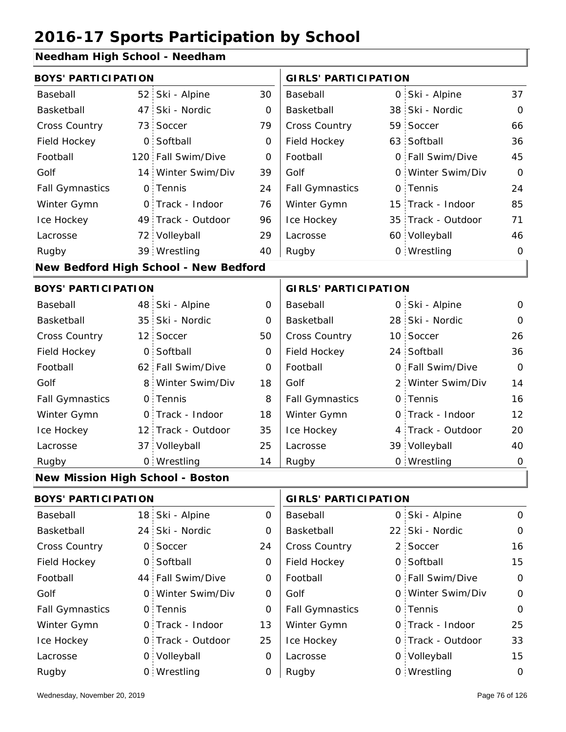#### **Needham High School - Needham**

| <b>BOYS' PARTICIPATION</b>              |                 |                                       |             | <b>GIRLS' PARTICIPATION</b> |   |                    |                |
|-----------------------------------------|-----------------|---------------------------------------|-------------|-----------------------------|---|--------------------|----------------|
| Baseball                                |                 | 52 Ski - Alpine                       | 30          | Baseball                    |   | 0 Ski - Alpine     | 37             |
| Basketball                              | 47              | Ski - Nordic                          | O           | Basketball                  |   | 38 Ski - Nordic    | $\mathbf 0$    |
| Cross Country                           | 73              | Soccer                                | 79          | Cross Country               |   | 59 Soccer          | 66             |
| Field Hockey                            | $\overline{O}$  | Softball                              | 0           | Field Hockey                |   | 63 Softball        | 36             |
| Football                                |                 | 120 Fall Swim/Dive                    | 0           | Football                    |   | 0 Fall Swim/Dive   | 45             |
| Golf                                    | 14:             | Winter Swim/Div                       | 39          | Golf                        |   | 0 Winter Swim/Div  | $\overline{O}$ |
| <b>Fall Gymnastics</b>                  |                 | 0 Tennis                              | 24          | <b>Fall Gymnastics</b>      |   | 0 Tennis           | 24             |
| Winter Gymn                             | $\mathsf{O}$    | Track - Indoor                        | 76          | Winter Gymn                 |   | 15 Track - Indoor  | 85             |
| Ice Hockey                              |                 | 49 Track - Outdoor                    | 96          | Ice Hockey                  |   | 35 Track - Outdoor | 71             |
| Lacrosse                                |                 | 72 Volleyball                         | 29          | Lacrosse                    |   | 60 Volleyball      | 46             |
| Rugby                                   |                 | 39 Wrestling                          | 40          | Rugby                       |   | 0 Wrestling        | $\Omega$       |
|                                         |                 | New Bedford High School - New Bedford |             |                             |   |                    |                |
| <b>BOYS' PARTICIPATION</b>              |                 |                                       |             | <b>GIRLS' PARTICIPATION</b> |   |                    |                |
| Baseball                                |                 | 48 Ski - Alpine                       | O           | Baseball                    |   | 0 Ski - Alpine     | $\mathbf 0$    |
| Basketball                              |                 | 35 Ski - Nordic                       | 0           | Basketball                  |   | 28 Ski - Nordic    | $\Omega$       |
| <b>Cross Country</b>                    | 12 <sup>1</sup> | Soccer                                | 50          | <b>Cross Country</b>        |   | 10 Soccer          | 26             |
| Field Hockey                            | $\overline{O}$  | Softball                              | 0           | Field Hockey                |   | 24 Softball        | 36             |
| Football                                |                 | 62 Fall Swim/Dive                     | $\mathbf 0$ | Football                    |   | 0 Fall Swim/Dive   | $\Omega$       |
| Golf                                    | 8 <sup>1</sup>  | Winter Swim/Div                       | 18          | Golf                        |   | 2 Winter Swim/Div  | 14             |
| <b>Fall Gymnastics</b>                  |                 | 0 Tennis                              | 8           | <b>Fall Gymnastics</b>      |   | 0 Tennis           | 16             |
| Winter Gymn                             |                 | 0 Track - Indoor                      | 18          | Winter Gymn                 |   | O Track - Indoor   | 12             |
| Ice Hockey                              |                 | 12 Track - Outdoor                    | 35          | Ice Hockey                  | 4 | Track - Outdoor    | 20             |
| Lacrosse                                |                 | 37 Volleyball                         | 25          | Lacrosse                    |   | 39 Volleyball      | 40             |
| Rugby                                   |                 | 0 Wrestling                           | 14          | Rugby                       |   | 0 Wrestling        | $\mathbf 0$    |
| <b>New Mission High School - Boston</b> |                 |                                       |             |                             |   |                    |                |
| <b>DOVCLDADTIOIDATION</b>               |                 |                                       |             | CIDICI RARTI CIRATI QNI     |   |                    |                |

|                        | BUYS PARTICIPATION |                   |          | GIRLS PARTICIPATION    |  |                   |              |
|------------------------|--------------------|-------------------|----------|------------------------|--|-------------------|--------------|
| Baseball               |                    | 18 Ski - Alpine   | $\Omega$ | Baseball               |  | 0 Ski - Alpine    | $\Omega$     |
| Basketball             |                    | 24 Ski - Nordic   | 0        | Basketball             |  | 22 Ski - Nordic   | $\Omega$     |
| <b>Cross Country</b>   |                    | 0 Soccer          | 24       | <b>Cross Country</b>   |  | 2 Soccer          | 16           |
| Field Hockey           |                    | 0 Softball        | 0        | Field Hockey           |  | 0 Softball        | 15           |
| Football               |                    | 44 Fall Swim/Dive | 0        | Football               |  | 0 Fall Swim/Dive  | $\mathbf{O}$ |
| Golf                   |                    | 0 Winter Swim/Div | 0        | Golf                   |  | 0 Winter Swim/Div | 0            |
| <b>Fall Gymnastics</b> |                    | 0 Tennis          | $\Omega$ | <b>Fall Gymnastics</b> |  | 0 Tennis          | $\Omega$     |
| Winter Gymn            |                    | 0 Track - Indoor  | 13       | Winter Gymn            |  | 0 Track - Indoor  | 25           |
| Ice Hockey             |                    | 0 Track - Outdoor | 25       | Ice Hockey             |  | 0 Track - Outdoor | 33           |
| Lacrosse               |                    | 0 Volleyball      | 0        | Lacrosse               |  | 0 Volleyball      | 15           |
| Rugby                  |                    | 0 Wrestling       | 0        | Rugby                  |  | 0 Wrestling       | 0            |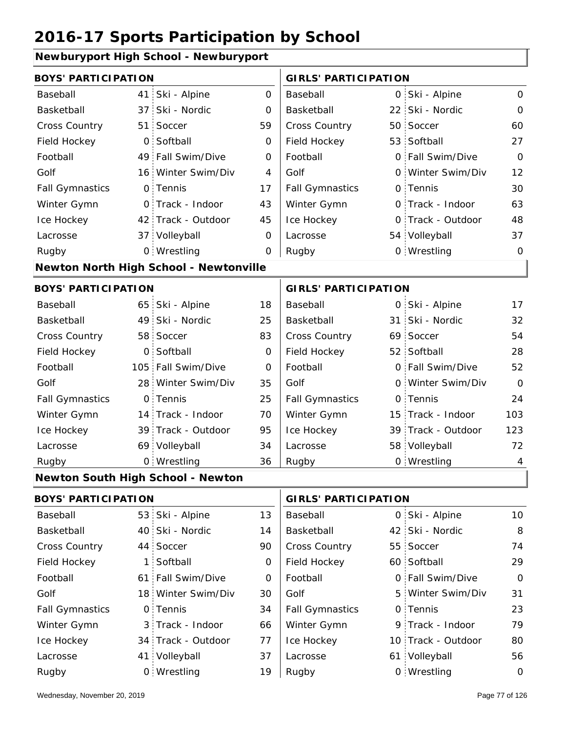#### **Newburyport High School - Newburyport**

| <b>BOYS' PARTICIPATION</b> |                 |                                               |                | <b>GIRLS' PARTICIPATION</b> |    |                    |                 |
|----------------------------|-----------------|-----------------------------------------------|----------------|-----------------------------|----|--------------------|-----------------|
| Baseball                   | 41              | Ski - Alpine                                  | $\mathbf 0$    | Baseball                    |    | 0 Ski - Alpine     | $\mathsf{O}$    |
| Basketball                 | 37 <sup>1</sup> | Ski - Nordic                                  | 0              | Basketball                  |    | 22 Ski - Nordic    | $\mathbf{O}$    |
| Cross Country              | 51              | Soccer                                        | 59             | Cross Country               |    | 50 Soccer          | 60              |
| Field Hockey               | $\mathsf{O}$    | Softball                                      | 0              | Field Hockey                |    | 53 Softball        | 27              |
| Football                   |                 | 49 Fall Swim/Dive                             | $\mathbf 0$    | Football                    |    | 0 Fall Swim/Dive   | $\mathbf{O}$    |
| Golf                       | 16 <sup>1</sup> | Winter Swim/Div                               | $\overline{4}$ | Golf                        |    | 0 Winter Swim/Div  | 12              |
| <b>Fall Gymnastics</b>     |                 | 0 Tennis                                      | 17             | <b>Fall Gymnastics</b>      |    | 0 Tennis           | 30              |
| Winter Gymn                | $\mathsf{O}$    | Track - Indoor                                | 43             | Winter Gymn                 |    | O Track - Indoor   | 63              |
| Ice Hockey                 |                 | 42 Track - Outdoor                            | 45             | Ice Hockey                  |    | 0 Track - Outdoor  | 48              |
| Lacrosse                   |                 | 37 Volleyball                                 | $\mathbf 0$    | Lacrosse                    |    | 54 Volleyball      | 37              |
| Rugby                      |                 | 0 Wrestling                                   | $\mathbf 0$    | Rugby                       |    | 0 Wrestling        | 0               |
|                            |                 | <b>Newton North High School - Newtonville</b> |                |                             |    |                    |                 |
| <b>BOYS' PARTICIPATION</b> |                 |                                               |                | <b>GIRLS' PARTICIPATION</b> |    |                    |                 |
| Baseball                   |                 | 65 Ski - Alpine                               | 18             | Baseball                    |    | 0 Ski - Alpine     | 17              |
| Basketball                 | 49              | Ski - Nordic                                  | 25             | Basketball                  |    | 31 Ski - Nordic    | 32              |
| Cross Country              | 58              | Soccer                                        | 83             | Cross Country               |    | 69 Soccer          | 54              |
| Field Hockey               | $\overline{O}$  | Softball                                      | $\mathbf 0$    | Field Hockey                |    | 52 Softball        | 28              |
| Football                   | 105             | Fall Swim/Dive                                | $\mathbf 0$    | Football                    |    | 0 Fall Swim/Dive   | 52              |
| Golf                       | 28              | Winter Swim/Div                               | 35             | Golf                        |    | 0 Winter Swim/Div  | $\mathbf 0$     |
| <b>Fall Gymnastics</b>     | $\overline{0}$  | Tennis                                        | 25             | <b>Fall Gymnastics</b>      |    | 0 Tennis           | 24              |
| Winter Gymn                |                 | 14 Track - Indoor                             | 70             | Winter Gymn                 |    | 15 Track - Indoor  | 103             |
| Ice Hockey                 |                 | 39 Track - Outdoor                            | 95             | Ice Hockey                  |    | 39 Track - Outdoor | 123             |
| Lacrosse                   |                 | 69 Volleyball                                 | 34             | Lacrosse                    |    | 58 Volleyball      | 72              |
| Rugby                      |                 | 0 Wrestling                                   | 36             | Rugby                       |    | 0 Wrestling        | 4               |
|                            |                 | Newton South High School - Newton             |                |                             |    |                    |                 |
| <b>BOYS' PARTICIPATION</b> |                 |                                               |                | <b>GIRLS' PARTICIPATION</b> |    |                    |                 |
| Baseball                   | 53              | Ski - Alpine                                  | 13             | Baseball                    |    | 0 Ski - Alpine     | 10 <sup>°</sup> |
| Basketball                 | 40              | Ski - Nordic                                  | 14             | Basketball                  | 42 | Ski - Nordic       | 8               |
| <b>Cross Country</b>       | 44              | Soccer                                        | 90             | Cross Country               |    | 55 Soccer          | 74              |
| Field Hockey               | $\mathbf 1$     | Softball                                      | 0              | Field Hockey                |    | 60 Softball        | 29              |
| Football                   | 61:             | Fall Swim/Dive                                | 0              | Football                    |    | 0 Fall Swim/Dive   | 0               |
| Golf                       |                 | 18 Winter Swim/Div                            | 30             | Golf                        |    | 5 Winter Swim/Div  | 31              |
| <b>Fall Gymnastics</b>     | $\mathsf{O}$    | Tennis                                        | 34             | <b>Fall Gymnastics</b>      |    | 0 Tennis           | 23              |
| Winter Gymn                | 3               | Track - Indoor                                | 66             | Winter Gymn                 |    | 9 Track - Indoor   | 79              |
| Ice Hockey                 | 34              | Track - Outdoor                               | 77             | Ice Hockey                  |    | 10 Track - Outdoor | 80              |
| Lacrosse                   |                 | 41 Volleyball                                 | 37             | Lacrosse                    |    | 61 Volleyball      | 56              |

19  $\vert$  Rugby

Wrestling Rugby 0 Rugby 0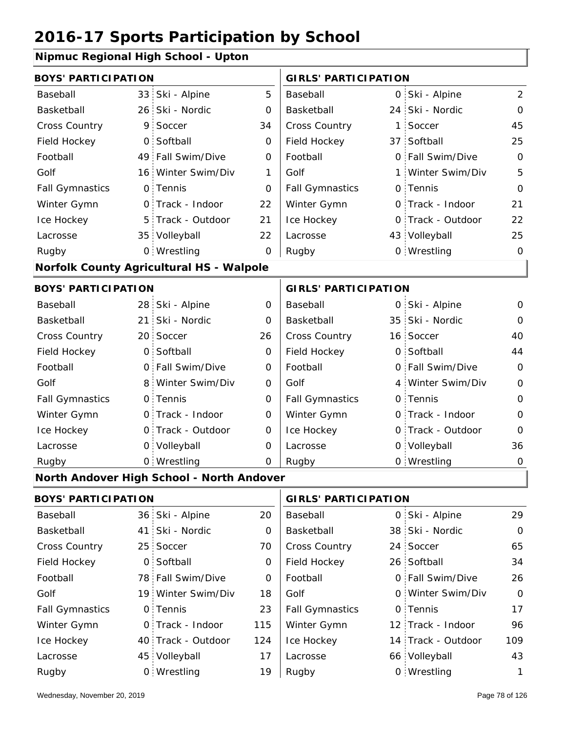#### **Nipmuc Regional High School - Upton**

| <b>BOYS' PARTICIPATION</b> |                 |                                                 |             | <b>GIRLS' PARTICIPATION</b> |   |                    |                |  |
|----------------------------|-----------------|-------------------------------------------------|-------------|-----------------------------|---|--------------------|----------------|--|
| Baseball                   |                 | 33 Ski - Alpine                                 | 5           | Baseball                    |   | 0 Ski - Alpine     | $\overline{2}$ |  |
| Basketball                 |                 | 26 Ski - Nordic                                 | 0           | Basketball                  |   | 24 Ski - Nordic    | $\mathbf 0$    |  |
| Cross Country              | 9.              | Soccer                                          | 34          | Cross Country               |   | 1 Soccer           | 45             |  |
| Field Hockey               | $\overline{O}$  | Softball                                        | $\mathbf 0$ | Field Hockey                |   | 37 Softball        | 25             |  |
| Football                   |                 | 49 Fall Swim/Dive                               | 0           | Football                    |   | 0 Fall Swim/Dive   | $\mathbf 0$    |  |
| Golf                       |                 | 16 Winter Swim/Div                              | 1           | Golf                        |   | 1 Winter Swim/Div  | 5              |  |
| <b>Fall Gymnastics</b>     |                 | 0 Tennis                                        | 0           | <b>Fall Gymnastics</b>      |   | 0 Tennis           | $\mathbf 0$    |  |
| Winter Gymn                |                 | O Track - Indoor                                | 22          | Winter Gymn                 |   | 0 Track - Indoor   | 21             |  |
| Ice Hockey                 |                 | 5 Track - Outdoor                               | 21          | Ice Hockey                  |   | 0 Track - Outdoor  | 22             |  |
| Lacrosse                   |                 | 35 Volleyball                                   | 22          | Lacrosse                    |   | 43 Volleyball      | 25             |  |
| Rugby                      |                 | 0 Wrestling                                     | $\mathbf 0$ | Rugby                       |   | 0 Wrestling        | $\mathbf 0$    |  |
|                            |                 | <b>Norfolk County Agricultural HS - Walpole</b> |             |                             |   |                    |                |  |
| <b>BOYS' PARTICIPATION</b> |                 |                                                 |             | <b>GIRLS' PARTICIPATION</b> |   |                    |                |  |
| Baseball                   |                 | 28 Ski - Alpine                                 | $\mathbf 0$ | Baseball                    |   | 0 Ski - Alpine     | 0              |  |
| Basketball                 | 21 <sup>2</sup> | Ski - Nordic                                    | 0           | Basketball                  |   | 35 Ski - Nordic    | $\mathbf 0$    |  |
| Cross Country              |                 | 20 Soccer                                       | 26          | Cross Country               |   | 16 Soccer          | 40             |  |
| Field Hockey               | $\mathsf{O}$    | Softball                                        | $\mathbf 0$ | Field Hockey                |   | 0 Softball         | 44             |  |
| Football                   |                 | 0 Fall Swim/Dive                                | $\mathbf 0$ | Football                    |   | 0 Fall Swim/Dive   | $\mathbf 0$    |  |
| Golf                       | 8               | Winter Swim/Div                                 | $\mathbf 0$ | Golf                        |   | 4 Winter Swim/Div  | $\mathbf 0$    |  |
| <b>Fall Gymnastics</b>     |                 | 0 Tennis                                        | $\mathbf 0$ | <b>Fall Gymnastics</b>      |   | 0 Tennis           | $\mathbf 0$    |  |
| Winter Gymn                |                 | 0 Track - Indoor                                | $\mathbf 0$ | Winter Gymn                 |   | 0 Track - Indoor   | $\mathbf 0$    |  |
| Ice Hockey                 |                 | 0 Track - Outdoor                               | 0           | Ice Hockey                  |   | 0 Track - Outdoor  | $\mathbf 0$    |  |
| Lacrosse                   |                 | 0 Volleyball                                    | 0           | Lacrosse                    |   | 0 Volleyball       | 36             |  |
| Rugby                      |                 | 0 Wrestling                                     | $\mathbf 0$ | Rugby                       |   | 0 Wrestling        | $\mathbf 0$    |  |
|                            |                 | North Andover High School - North Andover       |             |                             |   |                    |                |  |
| <b>BOYS' PARTICIPATION</b> |                 |                                                 |             | <b>GIRLS' PARTICIPATION</b> |   |                    |                |  |
| Baseball                   |                 | 36 Ski - Alpine                                 | 20          | Baseball                    | 0 | Ski - Alpine       | 29             |  |
| Basketball                 | 41              | Ski - Nordic                                    | 0           | Basketball                  |   | 38 Ski - Nordic    | $\mathbf 0$    |  |
| Cross Country              |                 | 25 Soccer                                       | 70          | Cross Country               |   | 24 Soccer          | 65             |  |
| Field Hockey               |                 | 0 Softball                                      | 0           | Field Hockey                |   | 26 Softball        | 34             |  |
| Football                   |                 | 78 Fall Swim/Dive                               | 0           | Football                    |   | 0 Fall Swim/Dive   | 26             |  |
| Golf                       |                 | 19 Winter Swim/Div                              | 18          | Golf                        |   | 0 Winter Swim/Div  | $\mathbf 0$    |  |
| <b>Fall Gymnastics</b>     |                 | 0 Tennis                                        | 23          | <b>Fall Gymnastics</b>      |   | 0 Tennis           | 17             |  |
| Winter Gymn                |                 | 0 Track - Indoor                                | 115         | Winter Gymn                 |   | 12 Track - Indoor  | 96             |  |
| Ice Hockey                 |                 | 40 Track - Outdoor                              | 124         | Ice Hockey                  |   | 14 Track - Outdoor | 109            |  |
| Lacrosse                   |                 | 45 Volleyball                                   | 17          | Lacrosse                    |   | 66 Volleyball      | 43             |  |
| Rugby                      |                 | 0 Wrestling                                     | 19          | Rugby                       |   | 0 Wrestling        | $\mathbf{1}$   |  |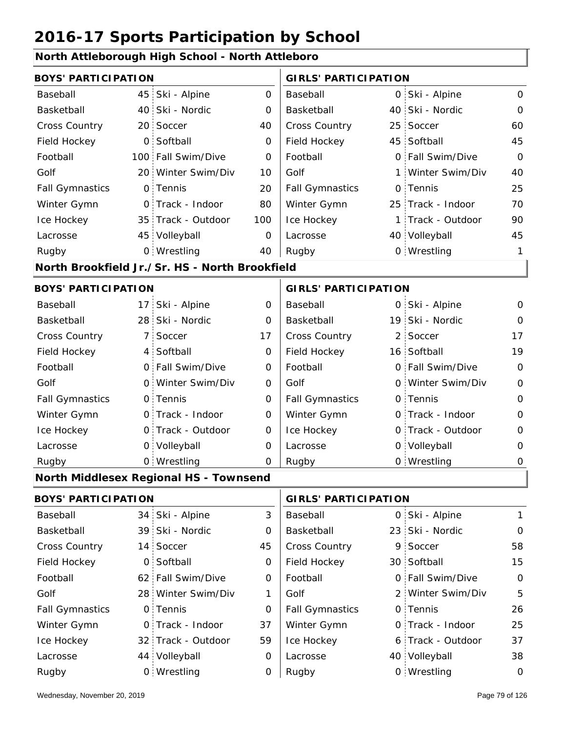#### **North Attleborough High School - North Attleboro**

| <b>BOYS' PARTICIPATION</b> |                  |                                                |     | <b>GIRLS' PARTICIPATION</b> |    |                   |                |  |
|----------------------------|------------------|------------------------------------------------|-----|-----------------------------|----|-------------------|----------------|--|
| Baseball                   | 45               | Ski - Alpine                                   | 0   | Baseball                    |    | 0 Ski - Alpine    | $\mathbf{O}$   |  |
| Basketball                 | 40               | Ski - Nordic                                   | 0   | Basketball                  |    | 40 Ski - Nordic   | $\Omega$       |  |
| <b>Cross Country</b>       | 20 <sub>1</sub>  | Soccer                                         | 40  | Cross Country               | 25 | Soccer            | 60             |  |
| Field Hockey               | $\mathsf{O}$     | Softball                                       | 0   | Field Hockey                |    | 45 Softball       | 45             |  |
| Football                   | 100 <sub>1</sub> | Fall Swim/Dive                                 | 0   | Football                    |    | 0 Fall Swim/Dive  | $\overline{O}$ |  |
| Golf                       | 20 <sup>1</sup>  | Winter Swim/Div                                | 10  | Golf                        |    | 1 Winter Swim/Div | 40             |  |
| <b>Fall Gymnastics</b>     | $\mathsf{O}$     | Tennis                                         | 20  | <b>Fall Gymnastics</b>      |    | 0 Tennis          | 25             |  |
| Winter Gymn                | $\mathsf{O}$     | Track - Indoor                                 | 80  | Winter Gymn                 |    | 25 Track - Indoor | 70             |  |
| Ice Hockey                 | 35 <sup>1</sup>  | Track - Outdoor                                | 100 | Ice Hockey                  |    | 1 Track - Outdoor | 90             |  |
| Lacrosse                   |                  | 45 Volleyball                                  | 0   | Lacrosse                    |    | 40 Volleyball     | 45             |  |
| Rugby                      |                  | 0 Wrestling                                    | 40  | Rugby                       |    | 0 Wrestling       | 1              |  |
|                            |                  | North Brookfield Jr./Sr. HS - North Brookfield |     |                             |    |                   |                |  |
| <b>BOYS' PARTICIPATION</b> |                  |                                                |     | <b>GIRLS' PARTICIPATION</b> |    |                   |                |  |
| Baseball                   | 17               | Ski - Alpine                                   | 0   | Baseball                    |    | 0 Ski - Alpine    | 0              |  |
| Basketball                 | 28               | Ski - Nordic                                   | 0   | Basketball                  |    | 19 Ski - Nordic   | $\Omega$       |  |
| <b>Cross Country</b>       | $\overline{7}$   | Soccer                                         | 17  | Cross Country               |    | 2 Soccer          | 17             |  |
| Field Hockey               | 4                | Softball                                       | 0   | Field Hockey                |    | 16 Softball       | 19             |  |
| Football                   | $\overline{O}$   | Fall Swim/Dive                                 | 0   | Football                    |    | 0 Fall Swim/Dive  | $\mathbf 0$    |  |
| Golf                       | $\mathbf{O}$     | Winter Swim/Div                                | 0   | Golf                        |    | 0 Winter Swim/Div | $\mathbf 0$    |  |
| <b>Fall Gymnastics</b>     | $\circ$          | Tennis                                         | 0   | <b>Fall Gymnastics</b>      |    | 0 Tennis          | $\mathbf{O}$   |  |
| Winter Gymn                | $\mathsf{O}$     | Track - Indoor                                 | 0   | Winter Gymn                 |    | O Track - Indoor  | $\mathbf{O}$   |  |
| Ice Hockey                 | $\mathbf{O}$     | Track - Outdoor                                | 0   | Ice Hockey                  |    | 0 Track - Outdoor | $\mathbf 0$    |  |
| Lacrosse                   | $\circ$          | Volleyball                                     | 0   | Lacrosse                    |    | 0 Volleyball      | $\mathbf 0$    |  |
| Rugby                      | $\mathsf{O}$     | Wrestling                                      | 0   | Rugby                       |    | 0 Wrestling       | $\mathbf 0$    |  |
|                            |                  | North Middlesex Regional HS - Townsend         |     |                             |    |                   |                |  |
| <b>BOYS' PARTICIPATION</b> |                  |                                                |     | <b>GIRLS' PARTICIPATION</b> |    |                   |                |  |
| Baseball                   |                  | 34 Ski - Alpine                                | 3   | Baseball                    |    | 0 Ski - Alpine    | $\mathbf{1}$   |  |
| Basketball                 | 39               | Ski - Nordic                                   | 0   | Basketball                  |    | 23 Ski - Nordic   | $\mathbf 0$    |  |
| Cross Country              | 14 <sup>1</sup>  | Soccer                                         | 45  | Cross Country               |    | 9 Soccer          | 58             |  |
| Field Hockey               | $\mathsf{O}$     | Softball                                       | 0   | Field Hockey                |    | 30 Softball       | 15             |  |
| Football                   | 62 <sup>2</sup>  | Fall Swim/Dive                                 | 0   | Football                    |    | 0 Fall Swim/Dive  | 0              |  |
| Golf                       |                  | 28 Winter Swim/Div                             | 1   | Golf                        |    | 2 Winter Swim/Div | 5              |  |

0 Fall Gymnastics 0 of Fall Gymnastics 0 of Fall Gymnastics 0 of the 10 of the 10

Winter Gymn Ice Hockey Lacrosse

0

37

59

0

0

32 Track - Outdoor

Wrestling Rugby 0 Rugby 0

0 Track - Indoor

44 Volleyball

0 Tennis

Fall Gymnastics

Ice Hockey Lacrosse

Winter Gymn

26

25

37

0 Track - Indoor

0 Tennis

6 Track - Outdoor

40 Volleyball 38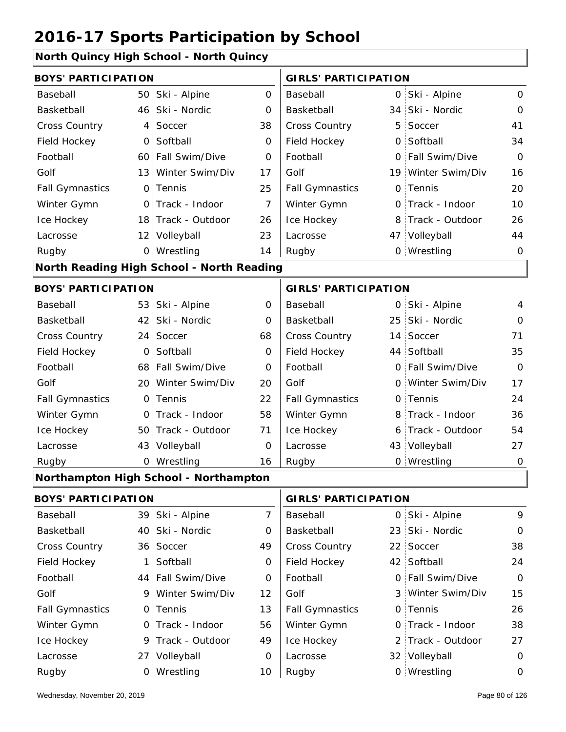#### **North Quincy High School - North Quincy**

| <b>BOYS' PARTICIPATION</b> |                |                                           |                | <b>GIRLS' PARTICIPATION</b> |   |                    |              |  |
|----------------------------|----------------|-------------------------------------------|----------------|-----------------------------|---|--------------------|--------------|--|
| Baseball                   |                | 50 Ski - Alpine                           | $\overline{O}$ | Baseball                    |   | 0 Ski - Alpine     | $\mathsf{O}$ |  |
| Basketball                 |                | 46 Ski - Nordic                           | 0              | Basketball                  |   | 34 Ski - Nordic    | 0            |  |
| Cross Country              |                | 4 Soccer                                  | 38             | Cross Country               | 5 | Soccer             | 41           |  |
| Field Hockey               | O <sub>1</sub> | Softball                                  | $\mathbf 0$    | Field Hockey                |   | 0 Softball         | 34           |  |
| Football                   |                | 60 Fall Swim/Dive                         | 0              | Football                    |   | 0 Fall Swim/Dive   | $\Omega$     |  |
| Golf                       |                | 13 Winter Swim/Div                        | 17             | Golf                        |   | 19 Winter Swim/Div | 16           |  |
| <b>Fall Gymnastics</b>     |                | 0 Tennis                                  | 25             | <b>Fall Gymnastics</b>      |   | 0 Tennis           | 20           |  |
| Winter Gymn                |                | O Track - Indoor                          | $\overline{7}$ | Winter Gymn                 |   | O Track - Indoor   | 10           |  |
| Ice Hockey                 |                | 18 Track - Outdoor                        | 26             | Ice Hockey                  |   | 8 Track - Outdoor  | 26           |  |
| Lacrosse                   |                | 12 Volleyball                             | 23             | Lacrosse                    |   | 47 Volleyball      | 44           |  |
| Rugby                      |                | 0 Wrestling                               | 14             | Rugby                       |   | 0 Wrestling        | $\mathbf 0$  |  |
|                            |                | North Reading High School - North Reading |                |                             |   |                    |              |  |
| <b>BOYS' PARTICIPATION</b> |                |                                           |                | <b>GIRLS' PARTICIPATION</b> |   |                    |              |  |
| Baseball                   |                | 53 Ski - Alpine                           | $\mathbf 0$    | Baseball                    |   | 0 Ski - Alpine     | 4            |  |
| Basketball                 |                | 42 Ski - Nordic                           | 0              | Basketball                  |   | 25 Ski - Nordic    | 0            |  |
| Cross Country              |                | 24 Soccer                                 | 68             | Cross Country               |   | 14 Soccer          | 71           |  |
| Field Hockey               | $\overline{O}$ | Softball                                  | $\mathbf 0$    | Field Hockey                |   | 44 Softball        | 35           |  |
| Football                   |                | 68 Fall Swim/Dive                         | O              | Football                    |   | 0 Fall Swim/Dive   | $\Omega$     |  |
| Golf                       |                | 20 Winter Swim/Div                        | 20             | Golf                        |   | 0 Winter Swim/Div  | 17           |  |
| <b>Fall Gymnastics</b>     |                | 0 Tennis                                  | 22             | <b>Fall Gymnastics</b>      |   | 0 Tennis           | 24           |  |
| Winter Gymn                |                | 0 Track - Indoor                          | 58             | Winter Gymn                 |   | 8 Track - Indoor   | 36           |  |
| Ice Hockey                 |                | 50 Track - Outdoor                        | 71             | Ice Hockey                  |   | 6 Track - Outdoor  | 54           |  |
| Lacrosse                   |                | 43 Volleyball                             | 0              | Lacrosse                    |   | 43 Volleyball      | 27           |  |
| Rugby                      |                | 0 Wrestling                               | 16             | Rugby                       |   | 0 Wrestling        | $\mathbf 0$  |  |
|                            |                | Northampton High School - Northampton     |                |                             |   |                    |              |  |
| <b>BOYS' PARTICIPATION</b> |                |                                           |                | <b>GIRLS' PARTICIPATION</b> |   |                    |              |  |
| Baseball                   | 39             | Ski - Alpine                              | $\overline{7}$ | Baseball                    | 0 | Ski - Alpine       | 9            |  |
| Basketball                 |                | 40 Ski - Nordic                           | 0              | Basketball                  |   | 23 Ski - Nordic    | $\mathbf 0$  |  |
| Cross Country              |                | 36 Soccer                                 | 49             | Cross Country               |   | 22 Soccer          | 38           |  |
| Field Hockey               | 1:             | Softball                                  | 0              | Field Hockey                |   | 42 Softball        | 24           |  |
| Football                   |                | 44 Fall Swim/Dive                         | 0              | Football                    |   | 0 Fall Swim/Dive   | $\mathbf 0$  |  |
| Golf                       |                | 9 Winter Swim/Div                         | 12             | Golf                        |   | 3 Winter Swim/Div  | 15           |  |
| <b>Fall Gymnastics</b>     |                | 0 Tennis                                  | 13             | <b>Fall Gymnastics</b>      |   | 0 Tennis           | 26           |  |
| Winter Gymn                |                | 0 Track - Indoor                          | 56             | Winter Gymn                 |   | O Track - Indoor   | 38           |  |
| Ice Hockey                 |                | 9 Track - Outdoor                         | 49             | Ice Hockey                  |   | 2 Track - Outdoor  | 27           |  |
| Lacrosse                   |                | 27 Volleyball                             | 0              | Lacrosse                    |   | 32 Volleyball      | $\mathbf 0$  |  |

10 Rugby 0 Rugby 0

Wrestling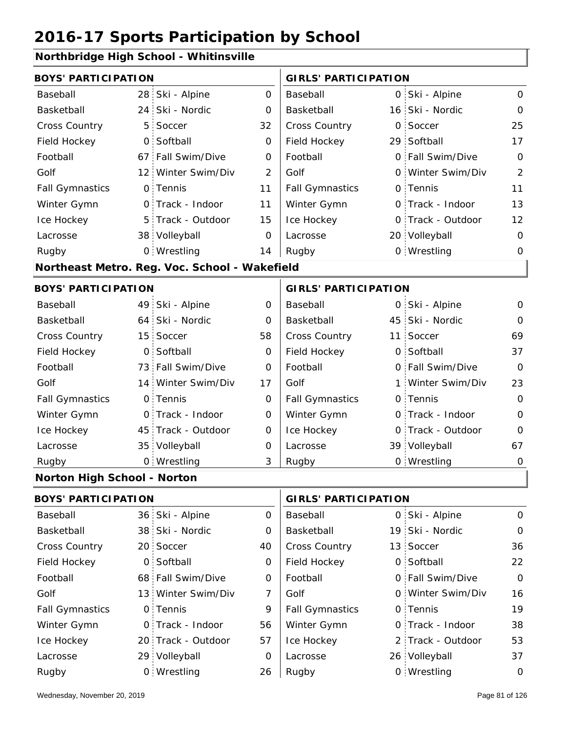### **Northbridge High School - Whitinsville**

| <b>BOYS' PARTICIPATION</b>         |                 |                                               |                | <b>GIRLS' PARTICIPATION</b> |   |                   |                |
|------------------------------------|-----------------|-----------------------------------------------|----------------|-----------------------------|---|-------------------|----------------|
| Baseball                           | 28              | Ski - Alpine                                  | $\mathsf{O}$   | Baseball                    |   | 0 Ski - Alpine    | $\mathbf 0$    |
| Basketball                         | 24              | Ski - Nordic                                  | 0              | Basketball                  |   | 16 Ski - Nordic   | $\mathbf 0$    |
| <b>Cross Country</b>               | 5               | Soccer                                        | 32             | Cross Country               | 0 | Soccer            | 25             |
| Field Hockey                       | $\overline{O}$  | Softball                                      | 0              | Field Hockey                |   | 29 Softball       | 17             |
| Football                           | 67:             | Fall Swim/Dive                                | 0              | Football                    |   | 0 Fall Swim/Dive  | $\Omega$       |
| Golf                               | 12 <sup>1</sup> | Winter Swim/Div                               | $\overline{2}$ | Golf                        |   | 0 Winter Swim/Div | $\overline{2}$ |
| <b>Fall Gymnastics</b>             |                 | 0 Tennis                                      | 11             | <b>Fall Gymnastics</b>      | O | Tennis            | 11             |
| Winter Gymn                        | $\Omega$        | Track - Indoor                                | 11             | Winter Gymn                 |   | O Track - Indoor  | 13             |
| Ice Hockey                         |                 | 5 Track - Outdoor                             | 15             | Ice Hockey                  |   | 0 Track - Outdoor | 12             |
| Lacrosse                           |                 | 38 Volleyball                                 | $\Omega$       | Lacrosse                    |   | 20 Volleyball     | $\mathbf 0$    |
| Rugby                              |                 | 0 Wrestling                                   | 14             | Rugby                       |   | 0 Wrestling       | $\mathbf 0$    |
|                                    |                 | Northeast Metro. Reg. Voc. School - Wakefield |                |                             |   |                   |                |
| <b>BOYS' PARTICIPATION</b>         |                 |                                               |                | <b>GIRLS' PARTICIPATION</b> |   |                   |                |
| Baseball                           | 49              | Ski - Alpine                                  | 0              | Baseball                    |   | 0 Ski - Alpine    | $\mathbf 0$    |
| Basketball                         | 64              | Ski - Nordic                                  | $\Omega$       | Basketball                  |   | 45 Ski - Nordic   | $\Omega$       |
| Cross Country                      | 15 <sup>1</sup> | Soccer                                        | 58             | Cross Country               |   | 11 Soccer         | 69             |
| Field Hockey                       | 0               | Softball                                      | O              | Field Hockey                | 0 | Softball          | 37             |
| Football                           |                 | 73 Fall Swim/Dive                             | $\Omega$       | Football                    |   | 0 Fall Swim/Dive  | $\Omega$       |
| Golf                               |                 | 14 Winter Swim/Div                            | 17             | Golf                        | 1 | Winter Swim/Div   | 23             |
| <b>Fall Gymnastics</b>             |                 | 0 Tennis                                      | 0              | <b>Fall Gymnastics</b>      |   | 0 Tennis          | $\Omega$       |
| Winter Gymn                        | 0.              | Track - Indoor                                | $\mathbf 0$    | Winter Gymn                 | O | Track - Indoor    | $\Omega$       |
| Ice Hockey                         |                 | 45 Track - Outdoor                            | 0              | Ice Hockey                  | 0 | Track - Outdoor   | $\overline{O}$ |
| Lacrosse                           |                 | 35 Volleyball                                 | $\mathbf 0$    | Lacrosse                    |   | 39 Volleyball     | 67             |
| Rugby                              |                 | 0 Wrestling                                   | 3              | Rugby                       |   | 0 Wrestling       | $\mathbf 0$    |
| <b>Norton High School - Norton</b> |                 |                                               |                |                             |   |                   |                |
|                                    |                 |                                               |                | $\mathbf{1}$                |   |                   |                |

| <b>BOYS' PARTICIPATION</b> |  | <b>GIRLS' PARTICIPATION</b> |          |                        |  |                   |                |
|----------------------------|--|-----------------------------|----------|------------------------|--|-------------------|----------------|
| Baseball                   |  | 36 Ski - Alpine             | 0        | Baseball               |  | 0 Ski - Alpine    | $\Omega$       |
| Basketball                 |  | 38 Ski - Nordic             | 0        | Basketball             |  | 19 Ski - Nordic   | $\Omega$       |
| <b>Cross Country</b>       |  | 20 Soccer                   | 40       | <b>Cross Country</b>   |  | 13 Soccer         | 36             |
| Field Hockey               |  | 0 Softball                  | 0        | Field Hockey           |  | 0 Softball        | 22             |
| Football                   |  | 68 Fall Swim/Dive           | 0        | Football               |  | 0 Fall Swim/Dive  | $\overline{O}$ |
| Golf                       |  | 13 Winter Swim/Div          | 7        | Golf                   |  | 0 Winter Swim/Div | 16             |
| <b>Fall Gymnastics</b>     |  | 0 Tennis                    | 9        | <b>Fall Gymnastics</b> |  | 0 Tennis          | 19             |
| Winter Gymn                |  | 0 Track - Indoor            | 56       | Winter Gymn            |  | 0 Track - Indoor  | 38             |
| Ice Hockey                 |  | 20 Track - Outdoor          | 57       | Ice Hockey             |  | 2 Track - Outdoor | 53             |
| Lacrosse                   |  | 29 Volleyball               | $\Omega$ | Lacrosse               |  | 26 Volleyball     | 37             |
| Rugby                      |  | 0 Wrestling                 | 26       | Rugby                  |  | 0 Wrestling       | $\Omega$       |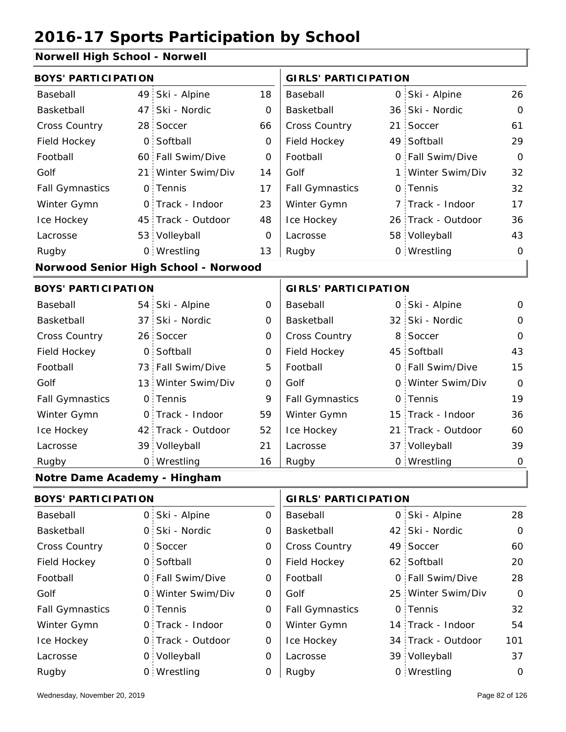#### **Norwell High School - Norwell**

| <b>BOYS' PARTICIPATION</b>   |    |                                      |             | <b>GIRLS' PARTICIPATION</b> |                 |                    |                |
|------------------------------|----|--------------------------------------|-------------|-----------------------------|-----------------|--------------------|----------------|
| Baseball                     |    | 49 Ski - Alpine                      | 18          | Baseball                    |                 | 0 Ski - Alpine     | 26             |
| Basketball                   | 47 | Ski - Nordic                         | $\mathbf 0$ | Basketball                  | 36 <sup>1</sup> | Ski - Nordic       | $\mathbf 0$    |
| Cross Country                |    | 28 Soccer                            | 66          | Cross Country               |                 | 21 Soccer          | 61             |
| Field Hockey                 |    | 0 Softball                           | 0           | Field Hockey                |                 | 49 Softball        | 29             |
| Football                     |    | 60 Fall Swim/Dive                    | 0           | Football                    |                 | 0 Fall Swim/Dive   | $\Omega$       |
| Golf                         |    | 21 Winter Swim/Div                   | 14          | Golf                        |                 | 1 Winter Swim/Div  | 32             |
| <b>Fall Gymnastics</b>       |    | 0 Tennis                             | 17          | <b>Fall Gymnastics</b>      |                 | 0 Tennis           | 32             |
| Winter Gymn                  |    | O Track - Indoor                     | 23          | Winter Gymn                 |                 | 7 Track - Indoor   | 17             |
| Ice Hockey                   |    | 45 Track - Outdoor                   | 48          | Ice Hockey                  |                 | 26 Track - Outdoor | 36             |
| Lacrosse                     |    | 53 Volleyball                        | $\mathbf 0$ | Lacrosse                    |                 | 58 Volleyball      | 43             |
| Rugby                        |    | 0 Wrestling                          | 13          | Rugby                       |                 | 0 Wrestling        | $\Omega$       |
|                              |    | Norwood Senior High School - Norwood |             |                             |                 |                    |                |
| <b>BOYS' PARTICIPATION</b>   |    |                                      |             | <b>GIRLS' PARTICIPATION</b> |                 |                    |                |
| Baseball                     |    | 54 Ski - Alpine                      | 0           | Baseball                    |                 | 0 Ski - Alpine     | 0              |
| Basketball                   |    | 37 Ski - Nordic                      | $\mathbf 0$ | Basketball                  |                 | 32 Ski - Nordic    | $\mathbf 0$    |
| Cross Country                |    | 26 Soccer                            | 0           | Cross Country               | 8               | Soccer             | $\Omega$       |
| Field Hockey                 |    | 0 Softball                           | 0           | Field Hockey                |                 | 45 Softball        | 43             |
| Football                     |    | 73 Fall Swim/Dive                    | 5           | Football                    |                 | 0 Fall Swim/Dive   | 15             |
| Golf                         |    | 13 Winter Swim/Div                   | $\mathbf 0$ | Golf                        |                 | 0 Winter Swim/Div  | $\Omega$       |
| <b>Fall Gymnastics</b>       |    | 0 Tennis                             | 9           | <b>Fall Gymnastics</b>      |                 | 0 Tennis           | 19             |
| Winter Gymn                  |    | O Track - Indoor                     | 59          | Winter Gymn                 | 15              | Track - Indoor     | 36             |
| Ice Hockey                   |    | 42 Track - Outdoor                   | 52          | Ice Hockey                  |                 | 21 Track - Outdoor | 60             |
| Lacrosse                     |    | 39 Volleyball                        | 21          | Lacrosse                    |                 | 37 Volleyball      | 39             |
| Rugby                        |    | 0 Wrestling                          | 16          | Rugby                       |                 | 0 Wrestling        | $\overline{O}$ |
| Notre Dame Academy - Hingham |    |                                      |             |                             |                 |                    |                |
| <b>BOYS' PARTICIPATION</b>   |    |                                      |             | <b>GIRLS' PARTICIPATION</b> |                 |                    |                |

| Baseball               |  | 0 Ski - Alpine    | 0 | Baseball               |  | 0 Ski - Alpine     | 28          |
|------------------------|--|-------------------|---|------------------------|--|--------------------|-------------|
| Basketball             |  | 0 Ski - Nordic    | 0 | Basketball             |  | 42 Ski - Nordic    | $\mathbf 0$ |
| <b>Cross Country</b>   |  | 0 Soccer          | 0 | <b>Cross Country</b>   |  | 49 Soccer          | 60          |
| Field Hockey           |  | 0 Softball        | 0 | Field Hockey           |  | 62 Softball        | 20          |
| Football               |  | 0 Fall Swim/Dive  | 0 | Football               |  | 0 Fall Swim/Dive   | 28          |
| Golf                   |  | 0 Winter Swim/Div | 0 | Golf                   |  | 25 Winter Swim/Div | $\circ$     |
| <b>Fall Gymnastics</b> |  | 0 Tennis          | 0 | <b>Fall Gymnastics</b> |  | 0 Tennis           | 32          |
| Winter Gymn            |  | 0 Track - Indoor  | 0 | Winter Gymn            |  | 14 Track - Indoor  | 54          |
| Ice Hockey             |  | 0 Track - Outdoor | 0 | Ice Hockey             |  | 34 Track - Outdoor | 101         |
| Lacrosse               |  | 0 Volleyball      | 0 | Lacrosse               |  | 39 Volleyball      | 37          |
| Rugby                  |  | 0 Wrestling       | 0 | Rugby                  |  | 0 Wrestling        | 0           |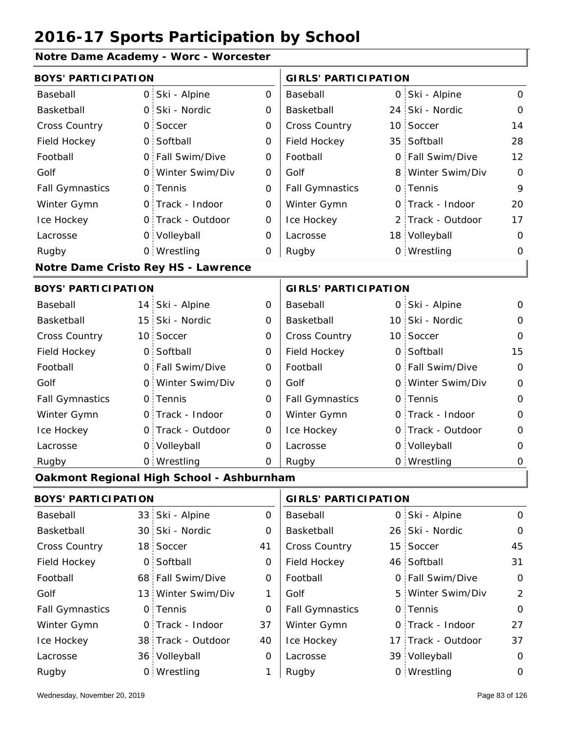### **Notre Dame Academy - Worc - Worcester**

| <b>BOYS' PARTICIPATION</b> |                 |                                           |                     | <b>GIRLS' PARTICIPATION</b> |  |                    |                |  |
|----------------------------|-----------------|-------------------------------------------|---------------------|-----------------------------|--|--------------------|----------------|--|
| Baseball                   | $\overline{0}$  | Ski - Alpine                              | $\mathsf O$         | Baseball                    |  | 0 Ski - Alpine     | $\mathbf 0$    |  |
| Basketball                 | 0               | Ski - Nordic                              | $\mathbf 0$         | Basketball                  |  | 24 Ski - Nordic    | $\mathbf 0$    |  |
| Cross Country              | 0               | Soccer                                    | $\mathbf 0$         | Cross Country               |  | 10 Soccer          | 14             |  |
| Field Hockey               | $\mathsf{O}$    | Softball                                  | $\mathbf 0$         | Field Hockey                |  | 35 Softball        | 28             |  |
| Football                   | 0               | Fall Swim/Dive                            | 0                   | Football                    |  | 0 Fall Swim/Dive   | 12             |  |
| Golf                       | 0               | Winter Swim/Div                           | 0                   | Golf                        |  | 8 Winter Swim/Div  | $\mathbf 0$    |  |
| <b>Fall Gymnastics</b>     | $\mathsf{O}$    | Tennis                                    | $\mathbf 0$         | <b>Fall Gymnastics</b>      |  | 0 Tennis           | 9              |  |
| Winter Gymn                |                 | 0 Track - Indoor                          | $\mathbf 0$         | Winter Gymn                 |  | O Track - Indoor   | 20             |  |
| Ice Hockey                 |                 | 0 Track - Outdoor                         | 0                   | Ice Hockey                  |  | 2 Track - Outdoor  | 17             |  |
| Lacrosse                   |                 | 0 Volleyball                              | 0                   | Lacrosse                    |  | 18 Volleyball      | $\mathbf 0$    |  |
| Rugby                      |                 | 0 Wrestling                               | 0                   | Rugby                       |  | 0 Wrestling        | 0              |  |
|                            |                 | Notre Dame Cristo Rey HS - Lawrence       |                     |                             |  |                    |                |  |
| <b>BOYS' PARTICIPATION</b> |                 |                                           |                     | <b>GIRLS' PARTICIPATION</b> |  |                    |                |  |
| Baseball                   |                 | 14 Ski - Alpine                           | $\mathbf 0$         | Baseball                    |  | 0 Ski - Alpine     | 0              |  |
| Basketball                 | 15              | Ski - Nordic                              | $\mathbf 0$         | Basketball                  |  | 10 Ski - Nordic    | 0              |  |
| Cross Country              | 10 <sup>1</sup> | Soccer                                    | $\mathbf 0$         | Cross Country               |  | 10 Soccer          | $\mathbf 0$    |  |
| Field Hockey               | $\mathsf{O}$    | Softball                                  | 0                   | Field Hockey                |  | 0 Softball         | 15             |  |
| Football                   | $\circ$         | Fall Swim/Dive                            | 0                   | Football                    |  | 0 Fall Swim/Dive   | $\mathbf 0$    |  |
| Golf                       | 0               | Winter Swim/Div                           | 0                   | Golf                        |  | 0 Winter Swim/Div  | $\mathbf 0$    |  |
| <b>Fall Gymnastics</b>     | $\mathsf{O}$    | Tennis                                    | $\mathsf{O}\xspace$ | <b>Fall Gymnastics</b>      |  | 0 Tennis           | $\mathbf 0$    |  |
| Winter Gymn                |                 | 0 Track - Indoor                          | $\mathbf 0$         | Winter Gymn                 |  | O Track - Indoor   | $\overline{O}$ |  |
| Ice Hockey                 | $\mathsf{O}$    | Track - Outdoor                           | 0                   | Ice Hockey                  |  | 0 Track - Outdoor  | $\mathbf 0$    |  |
| Lacrosse                   |                 | 0 Volleyball                              | 0                   | Lacrosse                    |  | 0 Volleyball       | 0              |  |
| Rugby                      |                 | 0 Wrestling                               | $\mathbf 0$         | Rugby                       |  | 0 Wrestling        | $\mathbf 0$    |  |
|                            |                 | Oakmont Regional High School - Ashburnham |                     |                             |  |                    |                |  |
| <b>BOYS' PARTICIPATION</b> |                 |                                           |                     | <b>GIRLS' PARTICIPATION</b> |  |                    |                |  |
| Baseball                   | 33              | Ski - Alpine                              | $\mathbf 0$         | Baseball                    |  | 0 Ski - Alpine     | $\mathbf 0$    |  |
| Basketball                 | 30 <sub>1</sub> | Ski - Nordic                              | 0                   | Basketball                  |  | 26 Ski - Nordic    | 0              |  |
| Cross Country              | 18 <sub>1</sub> | Soccer                                    | 41                  | Cross Country               |  | 15 Soccer          | 45             |  |
| Field Hockey               | 0               | Softball                                  | 0                   | Field Hockey                |  | 46 Softball        | 31             |  |
| Football                   |                 | 68 Fall Swim/Dive                         | 0                   | Football                    |  | 0 Fall Swim/Dive   | $\mathbf 0$    |  |
| Golf                       |                 | 13 Winter Swim/Div                        | 1                   | Golf                        |  | 5 Winter Swim/Div  | $\overline{2}$ |  |
| <b>Fall Gymnastics</b>     | 0               | Tennis                                    | 0                   | <b>Fall Gymnastics</b>      |  | 0 Tennis           | $\mathbf 0$    |  |
| Winter Gymn                | 0               | Track - Indoor                            | 37                  | Winter Gymn                 |  | O Track - Indoor   | 27             |  |
| Ice Hockey                 |                 | 38 Track - Outdoor                        | 40                  | Ice Hockey                  |  | 17 Track - Outdoor | 37             |  |
| Lacrosse                   |                 | 36 Volleyball                             | 0                   | Lacrosse                    |  | 39 Volleyball      | $\mathbf 0$    |  |

1 Rugby

Wrestling Rugby 0 Rugby 0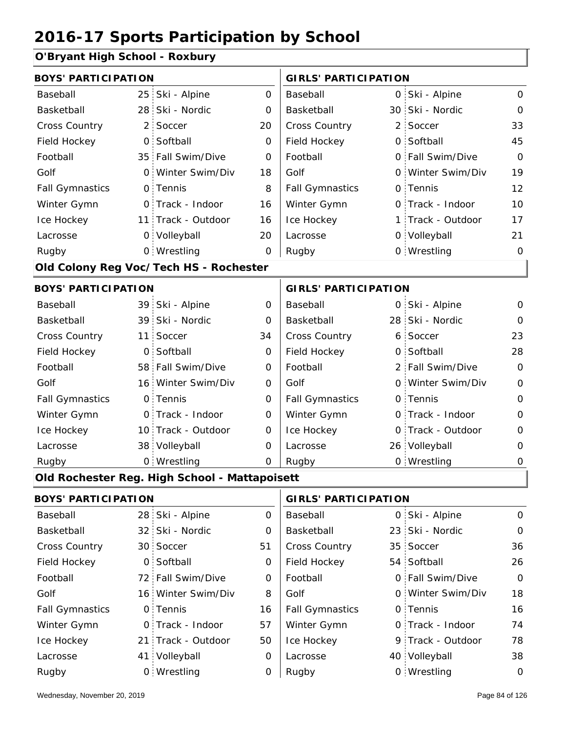### **O'Bryant High School - Roxbury**

| <b>BOYS' PARTICIPATION</b> |                 |                                               |              | <b>GIRLS' PARTICIPATION</b> |          |                   |                |
|----------------------------|-----------------|-----------------------------------------------|--------------|-----------------------------|----------|-------------------|----------------|
| Baseball                   | 25:             | Ski - Alpine                                  | $\Omega$     | Baseball                    |          | 0 Ski - Alpine    | 0              |
| <b>Basketball</b>          | 28              | Ski - Nordic                                  | 0            | Basketball                  |          | 30 Ski - Nordic   | $\Omega$       |
| Cross Country              | 2 <sup>1</sup>  | Soccer                                        | 20           | Cross Country               | 2        | Soccer            | 33             |
| Field Hockey               | $\mathsf{O}$    | Softball                                      | 0            | Field Hockey                | 0        | Softball          | 45             |
| Football                   |                 | 35 Fall Swim/Dive                             | $\mathbf 0$  | Football                    | 0        | Fall Swim/Dive    | $\mathbf 0$    |
| Golf                       | $\mathsf{O}$    | Winter Swim/Div                               | 18           | Golf                        | $\Omega$ | Winter Swim/Div   | 19             |
| <b>Fall Gymnastics</b>     |                 | 0 Tennis                                      | 8            | <b>Fall Gymnastics</b>      |          | 0 Tennis          | 12             |
| Winter Gymn                |                 | 0 Track - Indoor                              | 16           | Winter Gymn                 |          | O Track - Indoor  | 10             |
| Ice Hockey                 |                 | 11 Track - Outdoor                            | 16           | Ice Hockey                  |          | 1 Track - Outdoor | 17             |
| Lacrosse                   |                 | 0 Volleyball                                  | 20           | Lacrosse                    |          | 0 Volleyball      | 21             |
| Rugby                      |                 | 0 Wrestling                                   | 0            | Rugby                       |          | 0 Wrestling       | $\mathbf 0$    |
|                            |                 | Old Colony Reg Voc/Tech HS - Rochester        |              |                             |          |                   |                |
| <b>BOYS' PARTICIPATION</b> |                 |                                               |              | <b>GIRLS' PARTICIPATION</b> |          |                   |                |
| Baseball                   |                 | 39 Ski - Alpine                               | 0            | Baseball                    |          | 0 Ski - Alpine    | 0              |
| Basketball                 |                 | 39 Ski - Nordic                               | 0            | Basketball                  | 28       | Ski - Nordic      | O              |
| Cross Country              | 11 <sup>1</sup> | Soccer                                        | 34           | Cross Country               | 6        | Soccer            | 23             |
| Field Hockey               | $\mathsf{O}$    | Softball                                      | 0            | Field Hockey                | 0        | Softball          | 28             |
| Football                   |                 | 58 Fall Swim/Dive                             | 0            | Football                    |          | 2 Fall Swim/Dive  | $\overline{O}$ |
| Golf                       |                 | 16 Winter Swim/Div                            | 0            | Golf                        |          | 0 Winter Swim/Div | $\overline{0}$ |
| <b>Fall Gymnastics</b>     |                 | 0 Tennis                                      | 0            | <b>Fall Gymnastics</b>      |          | 0 Tennis          | $\overline{0}$ |
| Winter Gymn                |                 | O Track - Indoor                              | 0            | Winter Gymn                 | 0        | Track - Indoor    | 0              |
| Ice Hockey                 |                 | 10 Track - Outdoor                            | 0            | Ice Hockey                  |          | 0 Track - Outdoor | 0              |
| Lacrosse                   |                 | 38 Volleyball                                 | 0            | Lacrosse                    |          | 26 Volleyball     | 0              |
| Rugby                      |                 | 0 Wrestling                                   | 0            | Rugby                       |          | 0 Wrestling       | 0              |
|                            |                 | Old Rochester Reg. High School - Mattapoisett |              |                             |          |                   |                |
| <b>BOYS' PARTICIPATION</b> |                 |                                               |              | <b>GIRLS' PARTICIPATION</b> |          |                   |                |
| Baseball                   | 28              | Ski - Alpine                                  | $\mathbf{O}$ | Baseball                    | 0        | Ski - Alpine      | 0              |
| Basketball                 |                 | 32 Ski - Nordic                               | 0            | Basketball                  |          | 23 Ski - Nordic   | 0              |
|                            |                 |                                               |              |                             |          |                   |                |

| <b>Cross Country</b>   | 30 Soccer          | 51 | <b>Cross Country</b>   | 35 Soccer         | 36       |
|------------------------|--------------------|----|------------------------|-------------------|----------|
| Field Hockey           | 0 Softball         | 0  | Field Hockey           | 54 Softball       | 26       |
| Football               | 72 Fall Swim/Dive  | 0  | Football               | 0 Fall Swim/Dive  | $\Omega$ |
| Golf                   | 16 Winter Swim/Div | 8  | Golf                   | 0 Winter Swim/Div | 18       |
| <b>Fall Gymnastics</b> | 0 Tennis           | 16 | <b>Fall Gymnastics</b> | 0 Tennis          | 16       |
| Winter Gymn            | 0 Track - Indoor   | 57 | Winter Gymn            | O Track - Indoor  | 74       |
| Ice Hockey             | 21 Track - Outdoor | 50 | Ice Hockey             | 9 Track - Outdoor | 78       |
| Lacrosse               | 41 Volleyball      | 0  | Lacrosse               | 40 Volleyball     | 38       |
| Rugby                  | 0 Wrestling        | 0  | Rugby                  | 0 Wrestling       | $\Omega$ |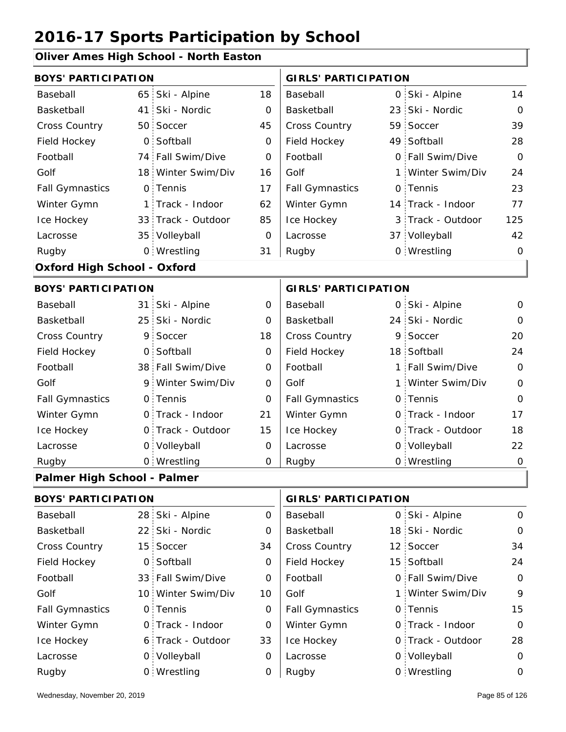#### **Oliver Ames High School - North Easton**

| <b>BOYS' PARTICIPATION</b>         |                 |                    |              | <b>GIRLS' PARTICIPATION</b> |          |                   |                |
|------------------------------------|-----------------|--------------------|--------------|-----------------------------|----------|-------------------|----------------|
| Baseball                           | 65              | Ski - Alpine       | 18           | Baseball                    |          | 0 Ski - Alpine    | 14             |
| Basketball                         | 41              | Ski - Nordic       | 0            | Basketball                  | 23       | Ski - Nordic      | $\Omega$       |
| Cross Country                      | 50 <sub>1</sub> | Soccer             | 45           | Cross Country               |          | 59 Soccer         | 39             |
| Field Hockey                       | $\overline{O}$  | Softball           | 0            | Field Hockey                |          | 49 Softball       | 28             |
| Football                           |                 | 74 Fall Swim/Dive  | $\mathbf{O}$ | Football                    | $\Omega$ | Fall Swim/Dive    | $\Omega$       |
| Golf                               |                 | 18 Winter Swim/Div | 16           | Golf                        |          | 1 Winter Swim/Div | 24             |
| <b>Fall Gymnastics</b>             |                 | 0 Tennis           | 17           | <b>Fall Gymnastics</b>      |          | 0 Tennis          | 23             |
| Winter Gymn                        | 1:              | Track - Indoor     | 62           | Winter Gymn                 |          | 14 Track - Indoor | 77             |
| Ice Hockey                         |                 | 33 Track - Outdoor | 85           | Ice Hockey                  |          | 3 Track - Outdoor | 125            |
| Lacrosse                           |                 | 35 Volleyball      | 0            | Lacrosse                    |          | 37 Volleyball     | 42             |
| Rugby                              |                 | 0 Wrestling        | 31           | Rugby                       |          | 0 Wrestling       | $\overline{O}$ |
| <b>Oxford High School - Oxford</b> |                 |                    |              |                             |          |                   |                |
| <b>BOYS' PARTICIPATION</b>         |                 |                    |              | <b>GIRLS' PARTICIPATION</b> |          |                   |                |
| Baseball                           |                 | 31 Ski - Alpine    | 0            | Baseball                    |          | 0 Ski - Alpine    | 0              |
| Basketball                         | 25 <sub>1</sub> | Ski - Nordic       | 0            | Basketball                  |          | 24 Ski - Nordic   | $\Omega$       |
| Cross Country                      | 9.              | Soccer             | 18           | Cross Country               | 9        | Soccer            | 20             |
| Field Hockey                       |                 | 0 Softball         | 0            | Field Hockey                |          | 18 Softball       | 24             |
| Football                           |                 | 38 Fall Swim/Dive  | 0            | Football                    |          | 1 Fall Swim/Dive  | $\overline{O}$ |
| Golf                               |                 | 9 Winter Swim/Div  | 0            | Golf                        |          | 1 Winter Swim/Div | $\overline{O}$ |
| <b>Fall Gymnastics</b>             |                 | 0 Tennis           | $\mathbf{O}$ | <b>Fall Gymnastics</b>      |          | 0 Tennis          | $\Omega$       |
| Winter Gymn                        |                 | O Track - Indoor   | 21           | Winter Gymn                 |          | O Track - Indoor  | 17             |
| Ice Hockey                         |                 | 0 Track - Outdoor  | 15           | Ice Hockey                  |          | 0 Track - Outdoor | 18             |
| Lacrosse                           |                 | 0 Volleyball       | 0            | Lacrosse                    |          | 0 Volleyball      | 22             |
| Rugby                              |                 | 0 Wrestling        | 0            | Rugby                       |          | 0 Wrestling       | $\mathbf 0$    |
| Palmer High School - Palmer        |                 |                    |              |                             |          |                   |                |
| <b>BOYS' PARTICIPATION</b>         |                 |                    |              | <b>GIRLS' PARTICIPATION</b> |          |                   |                |

| Baseball               | 28 Ski - Alpine    | 0  | Baseball               | 0 Ski - Alpine    | $\mathbf 0$ |
|------------------------|--------------------|----|------------------------|-------------------|-------------|
| Basketball             | 22 Ski - Nordic    | 0  | Basketball             | 18 Ski - Nordic   | $\circ$     |
| <b>Cross Country</b>   | 15 Soccer          | 34 | <b>Cross Country</b>   | 12 Soccer         | 34          |
| Field Hockey           | 0 Softball         | 0  | Field Hockey           | 15 Softball       | 24          |
| Football               | 33 Fall Swim/Dive  | 0  | Football               | 0 Fall Swim/Dive  | $\mathbf 0$ |
| Golf                   | 10 Winter Swim/Div | 10 | Golf                   | 1 Winter Swim/Div | 9           |
| <b>Fall Gymnastics</b> | 0 Tennis           | 0  | <b>Fall Gymnastics</b> | 0 Tennis          | 15          |
| Winter Gymn            | 0 Track - Indoor   | 0  | Winter Gymn            | O Track - Indoor  | $\mathbf 0$ |
| Ice Hockey             | 6 Track - Outdoor  | 33 | Ice Hockey             | 0 Track - Outdoor | 28          |
| Lacrosse               | 0 Volleyball       | 0  | Lacrosse               | 0 Volleyball      | $\circ$     |
| Rugby                  | 0 Wrestling        | 0  | Rugby                  | 0 Wrestling       | $\Omega$    |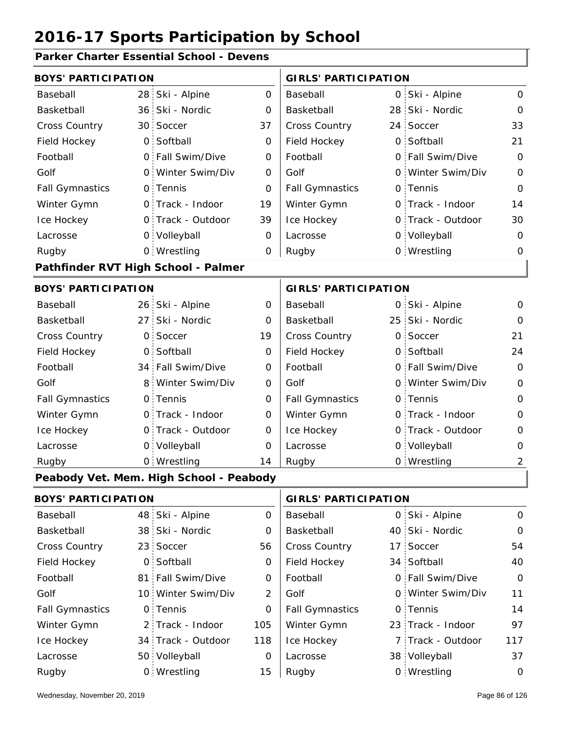#### **Parker Charter Essential School - Devens**

| <b>BOYS' PARTICIPATION</b> |                 |                                         |                     | <b>GIRLS' PARTICIPATION</b> |                  |                   |                |
|----------------------------|-----------------|-----------------------------------------|---------------------|-----------------------------|------------------|-------------------|----------------|
| Baseball                   | 28              | Ski - Alpine                            | 0                   | Baseball                    |                  | 0 Ski - Alpine    | $\mathbf 0$    |
| Basketball                 | 36 <sup>1</sup> | Ski - Nordic                            | $\mathbf 0$         | Basketball                  |                  | 28 Ski - Nordic   | $\mathbf 0$    |
| Cross Country              | 30              | Soccer                                  | 37                  | Cross Country               |                  | 24 Soccer         | 33             |
| Field Hockey               | $\overline{O}$  | Softball                                | 0                   | Field Hockey                |                  | 0 Softball        | 21             |
| Football                   | $\overline{O}$  | Fall Swim/Dive                          | $\mathbf 0$         | Football                    |                  | 0 Fall Swim/Dive  | $\mathbf 0$    |
| Golf                       | $\circ$         | Winter Swim/Div                         | 0                   | Golf                        |                  | 0 Winter Swim/Div | $\mathbf 0$    |
| <b>Fall Gymnastics</b>     |                 | 0 Tennis                                | $\overline{O}$      | <b>Fall Gymnastics</b>      | 0                | Tennis            | $\mathbf 0$    |
| Winter Gymn                | $\mathsf{O}$    | Track - Indoor                          | 19                  | Winter Gymn                 | 0                | Track - Indoor    | 14             |
| Ice Hockey                 |                 | 0 Track - Outdoor                       | 39                  | Ice Hockey                  | 0                | Track - Outdoor   | 30             |
| Lacrosse                   |                 | 0 Volleyball                            | 0                   | Lacrosse                    |                  | 0 Volleyball      | $\mathbf 0$    |
| Rugby                      |                 | 0 Wrestling                             | $\mathbf 0$         | Rugby                       |                  | 0 Wrestling       | 0              |
|                            |                 | Pathfinder RVT High School - Palmer     |                     |                             |                  |                   |                |
| <b>BOYS' PARTICIPATION</b> |                 |                                         |                     | <b>GIRLS' PARTICIPATION</b> |                  |                   |                |
| Baseball                   |                 | 26 Ski - Alpine                         | 0                   | Baseball                    |                  | 0 Ski - Alpine    | $\mathbf 0$    |
| Basketball                 | 27              | Ski - Nordic                            | 0                   | Basketball                  |                  | 25 Ski - Nordic   | $\mathbf 0$    |
| Cross Country              | 0               | Soccer                                  | 19                  | Cross Country               | $\overline{O}$ : | Soccer            | 21             |
| Field Hockey               | 0               | Softball                                | 0                   | Field Hockey                | 0                | Softball          | 24             |
| Football                   |                 | 34 Fall Swim/Dive                       | 0                   | Football                    | 0                | Fall Swim/Dive    | $\overline{O}$ |
| Golf                       | 8               | Winter Swim/Div                         | 0                   | Golf                        | 0                | Winter Swim/Div   | $\mathsf O$    |
| <b>Fall Gymnastics</b>     | $\mathsf{O}$    | Tennis                                  | $\mathsf{O}\xspace$ | <b>Fall Gymnastics</b>      | 0                | Tennis            | $\mathbf 0$    |
| Winter Gymn                | $\mathsf{O}$    | Track - Indoor                          | 0                   | Winter Gymn                 | 0                | Track - Indoor    | $\mathbf 0$    |
| Ice Hockey                 |                 | 0 Track - Outdoor                       | 0                   | Ice Hockey                  | O                | Track - Outdoor   | $\mathbf 0$    |
| Lacrosse                   | $\mathsf{O}$    | Volleyball                              | 0                   | Lacrosse                    |                  | 0 Volleyball      | $\mathbf 0$    |
| Rugby                      |                 | 0 Wrestling                             | 14                  | Rugby                       |                  | 0 Wrestling       | $\overline{2}$ |
|                            |                 | Peabody Vet. Mem. High School - Peabody |                     |                             |                  |                   |                |
| <b>BOYS' PARTICIPATION</b> |                 |                                         |                     | <b>GIRLS' PARTICIPATION</b> |                  |                   |                |
| Baseball                   | 48              | Ski - Alpine                            | $\mathsf{O}\xspace$ | Baseball                    |                  | 0 Ski - Alpine    | $\mathsf O$    |
| Basketball                 |                 | 38 Ski - Nordic                         | 0                   | Basketball                  |                  | 40 Ski - Nordic   | $\mathbf 0$    |
| Cross Country              | 23 <sup>1</sup> | Soccer                                  | 56                  | Cross Country               |                  | 17 Soccer         | 54             |
| Field Hockey               | 0               | Softball                                | 0                   | Field Hockey                |                  | 34 Softball       | 40             |
| Football                   | 81:             | Fall Swim/Dive                          | 0                   | Football                    |                  | 0 Fall Swim/Dive  | $\mathbf 0$    |
| Golf                       |                 | 10 Winter Swim/Div                      | $\overline{2}$      | Golf                        |                  | 0 Winter Swim/Div | 11             |
| <b>Fall Gymnastics</b>     | 0               | Tennis                                  | $\mathbf 0$         | <b>Fall Gymnastics</b>      | 0                | Tennis            | 14             |
| Winter Gymn                | $\overline{2}$  | Track - Indoor                          | 105                 | Winter Gymn                 |                  | 23 Track - Indoor | 97             |
| Ice Hockey                 |                 | 34 Track - Outdoor                      | 118                 | Ice Hockey                  | 7                | Track - Outdoor   | 117            |
| Lacrosse                   |                 | 50 Volleyball                           | 0                   | Lacrosse                    |                  | 38 Volleyball     | 37             |
| Rugby                      |                 | 0 Wrestling                             | 15                  | Rugby                       |                  | 0 Wrestling       | $\mathsf{O}$   |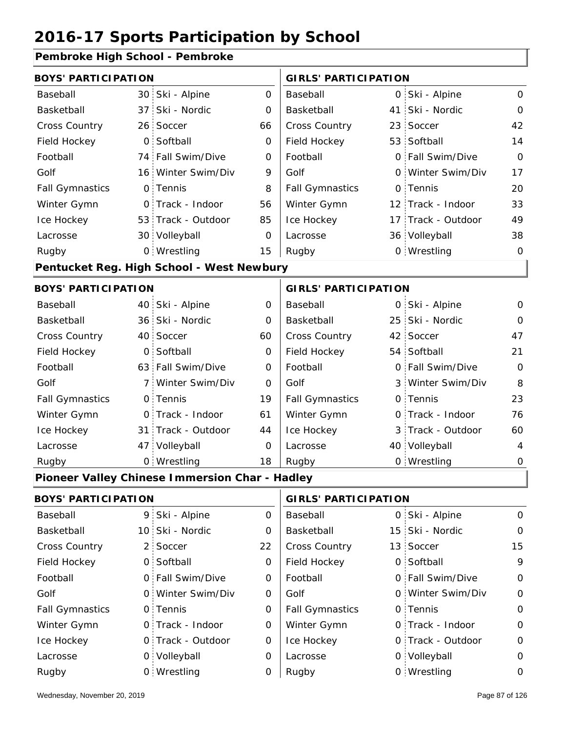#### **Pembroke High School - Pembroke**

| CHINDRE LINGTON - L'ONNE   |                |                                                |             |                             |    |                    |                |  |
|----------------------------|----------------|------------------------------------------------|-------------|-----------------------------|----|--------------------|----------------|--|
| <b>BOYS' PARTICIPATION</b> |                |                                                |             | <b>GIRLS' PARTICIPATION</b> |    |                    |                |  |
| Baseball                   |                | 30 Ski - Alpine                                | 0           | Baseball                    |    | 0 Ski - Alpine     | 0              |  |
| Basketball                 |                | 37 Ski - Nordic                                | 0           | Basketball                  | 41 | Ski - Nordic       | $\Omega$       |  |
| Cross Country              |                | 26 Soccer                                      | 66          | Cross Country               | 23 | Soccer             | 42             |  |
| Field Hockey               | $\overline{O}$ | Softball                                       | 0           | Field Hockey                |    | 53 Softball        | 14             |  |
| Football                   |                | 74 Fall Swim/Dive                              | 0           | Football                    |    | 0 Fall Swim/Dive   | $\overline{O}$ |  |
| Golf                       |                | 16 Winter Swim/Div                             | 9           | Golf                        |    | 0 Winter Swim/Div  | 17             |  |
| <b>Fall Gymnastics</b>     |                | 0 Tennis                                       | 8           | <b>Fall Gymnastics</b>      |    | 0 Tennis           | 20             |  |
| Winter Gymn                |                | O Track - Indoor                               | 56          | Winter Gymn                 |    | 12 Track - Indoor  | 33             |  |
| Ice Hockey                 |                | 53 Track - Outdoor                             | 85          | Ice Hockey                  |    | 17 Track - Outdoor | 49             |  |
| Lacrosse                   |                | 30 Volleyball                                  | 0           | Lacrosse                    |    | 36 Volleyball      | 38             |  |
| Rugby                      |                | 0 Wrestling                                    | 15          | Rugby                       |    | 0 Wrestling        | $\mathbf 0$    |  |
|                            |                | Pentucket Reg. High School - West Newbury      |             |                             |    |                    |                |  |
| <b>BOYS' PARTICIPATION</b> |                |                                                |             | <b>GIRLS' PARTICIPATION</b> |    |                    |                |  |
| Baseball                   |                | 40 Ski - Alpine                                | 0           | Baseball                    |    | 0 Ski - Alpine     | 0              |  |
| Basketball                 |                | 36 Ski - Nordic                                | 0           | Basketball                  | 25 | Ski - Nordic       | $\Omega$       |  |
| Cross Country              |                | 40 Soccer                                      | 60          | Cross Country               | 42 | Soccer             | 47             |  |
| Field Hockey               | $\overline{O}$ | Softball                                       | $\mathbf 0$ | Field Hockey                |    | 54 Softball        | 21             |  |
| Football                   |                | 63 Fall Swim/Dive                              | 0           | Football                    |    | 0 Fall Swim/Dive   | $\mathbf 0$    |  |
| Golf                       | 7:             | Winter Swim/Div                                | 0           | Golf                        |    | 3 Winter Swim/Div  | 8              |  |
| <b>Fall Gymnastics</b>     |                | 0 Tennis                                       | 19          | <b>Fall Gymnastics</b>      |    | 0 Tennis           | 23             |  |
| Winter Gymn                |                | O Track - Indoor                               | 61          | Winter Gymn                 |    | 0 Track - Indoor   | 76             |  |
| Ice Hockey                 |                | 31 Track - Outdoor                             | 44          | Ice Hockey                  |    | 3 Track - Outdoor  | 60             |  |
| Lacrosse                   |                | 47 Volleyball                                  | $\mathbf 0$ | Lacrosse                    |    | 40 Volleyball      | $\overline{4}$ |  |
| Rugby                      |                | 0 Wrestling                                    | 18          | Rugby                       |    | 0 Wrestling        | 0              |  |
|                            |                | Pioneer Valley Chinese Immersion Char - Hadley |             |                             |    |                    |                |  |
| <b>BOYS' PARTICIPATION</b> |                |                                                |             | <b>GIRLS' PARTICIPATION</b> |    |                    |                |  |
| Baseball                   |                | 9 Ski - Alpine                                 | 0           | Baseball                    |    | 0 Ski - Alpine     | 0              |  |
| Basketball                 |                | 10 Ski - Nordic                                | 0           | Basketball                  |    | 15 Ski - Nordic    | $\mathbf 0$    |  |
| Cross Country              |                | 2 Soccer                                       | 22          | Cross Country               |    | 13 Soccer          | 15             |  |
| Field Hockey               |                | 0 Softball                                     | 0           | Field Hockey                |    | 0 Softball         | 9              |  |
| Football                   |                | 0 Fall Swim/Dive                               | 0           | Football                    |    | 0 Fall Swim/Dive   | $\mathbf 0$    |  |
| Golf                       |                | 0 Winter Swim/Div                              | 0           | Golf                        |    | 0 Winter Swim/Div  | 0              |  |
| <b>Fall Gymnastics</b>     |                | 0 Tennis                                       | 0           | <b>Fall Gymnastics</b>      |    | 0 Tennis           | 0              |  |

0

Winter Gymn Ice Hockey Lacrosse

0

0

0

Ice Hockey Lacrosse

Winter Gymn

0 Track - Outdoor

Wrestling Rugby 0 Rugby 0

Track - Indoor

0 Volleyball

0

0

0 Track - Indoor

0 Track - Outdoor

0 Volleyball 0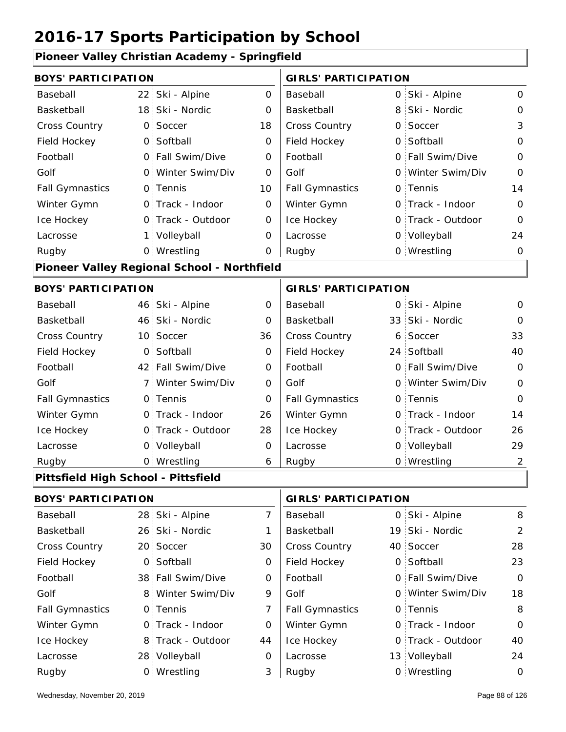| Pioneer Valley Christian Academy - Springfield |                 |                                             |                |                             |          |                   |                |  |
|------------------------------------------------|-----------------|---------------------------------------------|----------------|-----------------------------|----------|-------------------|----------------|--|
| <b>BOYS' PARTICIPATION</b>                     |                 |                                             |                | <b>GIRLS' PARTICIPATION</b> |          |                   |                |  |
| Baseball                                       | 22 <sub>1</sub> | Ski - Alpine                                | $\mathbf 0$    | Baseball                    |          | 0 Ski - Alpine    | $\Omega$       |  |
| Basketball                                     | 18 <sup>1</sup> | Ski - Nordic                                | O              | Basketball                  | 8        | Ski - Nordic      | $\Omega$       |  |
| <b>Cross Country</b>                           | 0               | Soccer                                      | 18             | Cross Country               | O        | Soccer            | 3              |  |
| Field Hockey                                   | $\circ$         | Softball                                    | 0              | Field Hockey                | $\Omega$ | Softball          | 0              |  |
| Football                                       | $\Omega$        | Fall Swim/Dive                              | 0              | Football                    |          | 0 Fall Swim/Dive  | $\Omega$       |  |
| Golf                                           | 0.              | Winter Swim/Div                             | $\Omega$       | Golf                        |          | 0 Winter Swim/Div | $\Omega$       |  |
| <b>Fall Gymnastics</b>                         | 0.              | Tennis                                      | 10             | <b>Fall Gymnastics</b>      |          | 0 Tennis          | 14             |  |
| Winter Gymn                                    | $\mathsf{O}$    | Track - Indoor                              | 0              | Winter Gymn                 |          | 0 Track - Indoor  | $\Omega$       |  |
| Ice Hockey                                     | 0               | Track - Outdoor                             | 0              | Ice Hockey                  |          | 0 Track - Outdoor | $\Omega$       |  |
| Lacrosse                                       | 1 :             | Volleyball                                  | 0              | Lacrosse                    |          | 0 Volleyball      | 24             |  |
| Rugby                                          |                 | 0 Wrestling                                 | 0              | Rugby                       |          | 0 Wrestling       | 0              |  |
|                                                |                 | Pioneer Valley Regional School - Northfield |                |                             |          |                   |                |  |
| <b>BOYS' PARTICIPATION</b>                     |                 |                                             |                | <b>GIRLS' PARTICIPATION</b> |          |                   |                |  |
| Baseball                                       |                 | 46 Ski - Alpine                             | 0              | Baseball                    |          | 0 Ski - Alpine    | 0              |  |
| Basketball                                     |                 | 46 Ski - Nordic                             | 0              | Basketball                  |          | 33 Ski - Nordic   | 0              |  |
| <b>Cross Country</b>                           | 10:             | Soccer                                      | 36             | <b>Cross Country</b>        |          | 6 Soccer          | 33             |  |
| Field Hockey                                   | 0               | Softball                                    | 0              | Field Hockey                |          | 24 Softball       | 40             |  |
| Football                                       | 42 :            | Fall Swim/Dive                              | $\mathbf 0$    | Football                    |          | 0 Fall Swim/Dive  | $\Omega$       |  |
| Golf                                           | 7 <sup>1</sup>  | Winter Swim/Div                             | 0              | Golf                        |          | 0 Winter Swim/Div | $\Omega$       |  |
| <b>Fall Gymnastics</b>                         | 0.              | Tennis                                      | $\overline{O}$ | <b>Fall Gymnastics</b>      |          | 0 Tennis          | 0              |  |
| Winter Gymn                                    | 0.              | Track - Indoor                              | 26             | Winter Gymn                 |          | 0 Track - Indoor  | 14             |  |
| Ice Hockey                                     | 0               | Track - Outdoor                             | 28             | Ice Hockey                  |          | 0 Track - Outdoor | 26             |  |
| Lacrosse                                       | $\circ$         | Volleyball                                  | $\overline{O}$ | Lacrosse                    |          | 0 Volleyball      | 29             |  |
| Rugby                                          |                 | 0 Wrestling                                 | 6              | Rugby                       |          | 0 Wrestling       | $\overline{2}$ |  |
| Pittsfield High School - Pittsfield            |                 |                                             |                |                             |          |                   |                |  |
| <b>BOYS' PARTICIPATION</b>                     |                 |                                             |                | <b>GIRLS' PARTICIPATION</b> |          |                   |                |  |

| PU I J I ARTIVII ATIVIV |  | 911129   ARTIVII ATIVII |          |                        |  |                   |                |
|-------------------------|--|-------------------------|----------|------------------------|--|-------------------|----------------|
| Baseball                |  | 28 Ski - Alpine         |          | Baseball               |  | 0 Ski - Alpine    | 8              |
| Basketball              |  | 26 Ski - Nordic         |          | Basketball             |  | 19 Ski - Nordic   | $\overline{2}$ |
| <b>Cross Country</b>    |  | 20 Soccer               | 30       | <b>Cross Country</b>   |  | 40 Soccer         | 28             |
| Field Hockey            |  | 0 Softball              | 0        | Field Hockey           |  | 0 Softball        | 23             |
| Football                |  | 38 Fall Swim/Dive       | 0        | Football               |  | 0 Fall Swim/Dive  | $\mathbf{O}$   |
| Golf                    |  | 8 Winter Swim/Div       | 9        | Golf                   |  | 0 Winter Swim/Div | 18             |
| <b>Fall Gymnastics</b>  |  | 0 Tennis                |          | <b>Fall Gymnastics</b> |  | 0 Tennis          | 8              |
| Winter Gymn             |  | 0 Track - Indoor        | $\Omega$ | Winter Gymn            |  | 0 Track - Indoor  | $\mathbf{O}$   |
| Ice Hockey              |  | 8 Track - Outdoor       | 44       | Ice Hockey             |  | 0 Track - Outdoor | 40             |
| Lacrosse                |  | 28 Volleyball           | 0        | Lacrosse               |  | 13 Volleyball     | 24             |
| Rugby                   |  | 0 Wrestling             | 3        | Rugby                  |  | 0 Wrestling       | $\circ$        |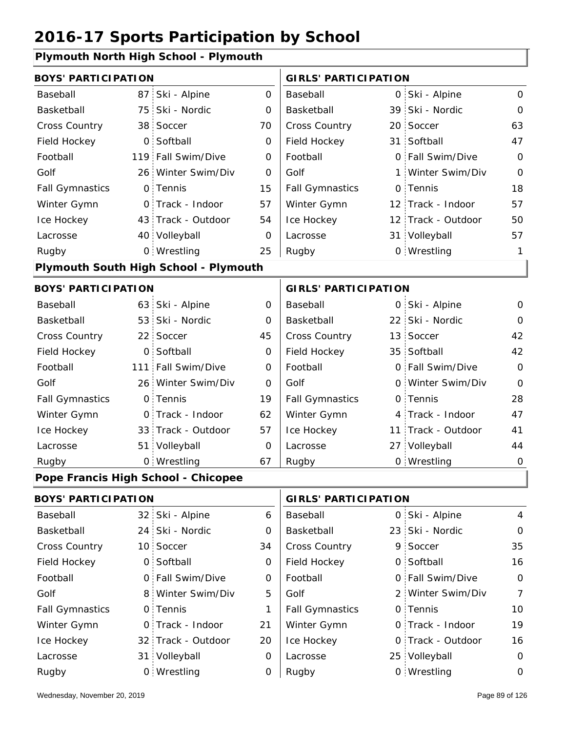#### **Plymouth North High School - Plymouth**

| <b>BOYS' PARTICIPATION</b> |                 |                                       |                     | <b>GIRLS' PARTICIPATION</b> |                    |                |
|----------------------------|-----------------|---------------------------------------|---------------------|-----------------------------|--------------------|----------------|
| Baseball                   | 87              | Ski - Alpine                          | $\mathsf{O}\xspace$ | Baseball                    | 0 Ski - Alpine     | $\mathsf{O}$   |
| Basketball                 | 75              | Ski - Nordic                          | 0                   | Basketball                  | 39 Ski - Nordic    | $\mathbf 0$    |
| <b>Cross Country</b>       |                 | 38 Soccer                             | 70                  | Cross Country               | 20 Soccer          | 63             |
| Field Hockey               | $\overline{0}$  | Softball                              | $\mathbf 0$         | Field Hockey                | 31 Softball        | 47             |
| Football                   | 119             | Fall Swim/Dive                        | 0                   | Football                    | 0 Fall Swim/Dive   | $\mathbf 0$    |
| Golf                       |                 | 26 Winter Swim/Div                    | $\mathbf 0$         | Golf                        | 1 Winter Swim/Div  | $\overline{O}$ |
| <b>Fall Gymnastics</b>     |                 | 0 Tennis                              | 15                  | <b>Fall Gymnastics</b>      | 0 Tennis           | 18             |
| Winter Gymn                |                 | O Track - Indoor                      | 57                  | Winter Gymn                 | 12 Track - Indoor  | 57             |
| Ice Hockey                 |                 | 43 Track - Outdoor                    | 54                  | Ice Hockey                  | 12 Track - Outdoor | 50             |
| Lacrosse                   |                 | 40 Volleyball                         | $\mathbf 0$         | Lacrosse                    | 31 Volleyball      | 57             |
| Rugby                      |                 | 0 Wrestling                           | 25                  | Rugby                       | 0 Wrestling        | 1              |
|                            |                 | Plymouth South High School - Plymouth |                     |                             |                    |                |
| <b>BOYS' PARTICIPATION</b> |                 |                                       |                     | <b>GIRLS' PARTICIPATION</b> |                    |                |
| Baseball                   |                 | 63 Ski - Alpine                       | $\mathbf 0$         | Baseball                    | 0 Ski - Alpine     | $\mathbf 0$    |
| Basketball                 |                 | 53 Ski - Nordic                       | 0                   | Basketball                  | 22 Ski - Nordic    | $\mathbf 0$    |
| <b>Cross Country</b>       | 22              | Soccer                                | 45                  | Cross Country               | 13 Soccer          | 42             |
| Field Hockey               | $\overline{O}$  | Softball                              | 0                   | Field Hockey                | 35 Softball        | 42             |
| Football                   | 111             | Fall Swim/Dive                        | 0                   | Football                    | 0 Fall Swim/Dive   | $\mathbf 0$    |
| Golf                       |                 | 26 Winter Swim/Div                    | O                   | Golf                        | 0 Winter Swim/Div  | $\mathbf 0$    |
| <b>Fall Gymnastics</b>     | $\mathsf{O}$    | Tennis                                | 19                  | <b>Fall Gymnastics</b>      | 0 Tennis           | 28             |
| Winter Gymn                |                 | 0 Track - Indoor                      | 62                  | Winter Gymn                 | 4 Track - Indoor   | 47             |
| Ice Hockey                 |                 | 33 Track - Outdoor                    | 57                  | Ice Hockey                  | 11 Track - Outdoor | 41             |
| Lacrosse                   | 51              | Volleyball                            | 0                   | Lacrosse                    | 27 Volleyball      | 44             |
| Rugby                      |                 | 0 Wrestling                           | 67                  | Rugby                       | 0 Wrestling        | $\mathbf 0$    |
|                            |                 | Pope Francis High School - Chicopee   |                     |                             |                    |                |
| <b>BOYS' PARTICIPATION</b> |                 |                                       |                     | <b>GIRLS' PARTICIPATION</b> |                    |                |
| Baseball                   | 32 <sub>1</sub> | Ski - Alpine                          | 6                   | Baseball                    | 0 Ski - Alpine     | $\overline{4}$ |
| Basketball                 | 24 <sup>1</sup> | Ski - Nordic                          | 0                   | Basketball                  | 23 Ski - Nordic    | $\mathbf 0$    |
| <b>Cross Country</b>       | 10 <sup>1</sup> | Soccer                                | 34                  | Cross Country               | 9 Soccer           | 35             |
| Field Hockey               | $\mathsf{O}$    | Softball                              | 0                   | Field Hockey                | 0 Softball         | 16             |
| Football                   |                 | 0 Fall Swim/Dive                      | 0                   | Football                    | 0 Fall Swim/Dive   | $\mathbf 0$    |
| Golf                       | 8.              | Winter Swim/Div                       | 5                   | Golf                        | 2 Winter Swim/Div  | $\overline{7}$ |
| <b>Fall Gymnastics</b>     |                 | 0 Tennis                              | 1                   | <b>Fall Gymnastics</b>      | 0 Tennis           | 10             |
| Winter Gymn                |                 | 0 Track - Indoor                      | 21                  | Winter Gymn                 | 0 Track - Indoor   | 19             |

20

Ice Hockey Lacrosse

0

0

Ice Hockey Lacrosse

32 Track - Outdoor

Wrestling Rugby 0 Rugby 0

31 Volleyball

16

0 Track - Outdoor

25 Volleyball 0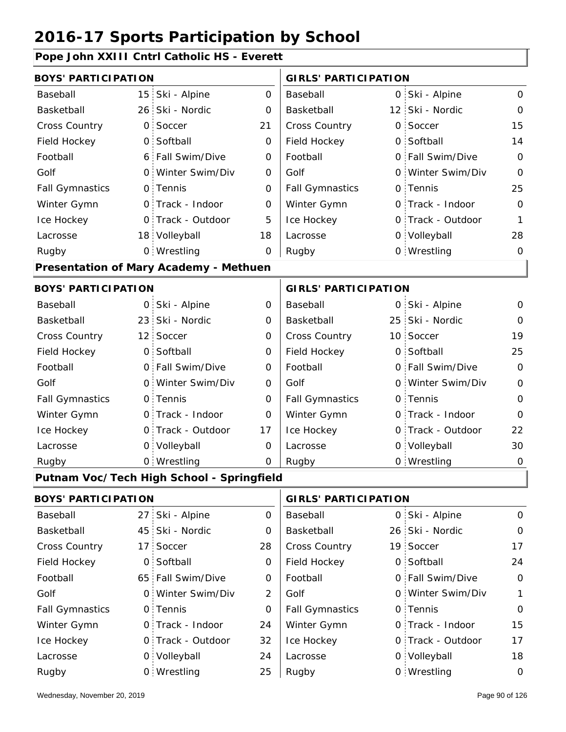### **Pope John XXIII Cntrl Catholic HS - Everett**

| <b>BOYS' PARTICIPATION</b> |                 |                                               |                     | <b>GIRLS' PARTICIPATION</b> |  |                   |             |
|----------------------------|-----------------|-----------------------------------------------|---------------------|-----------------------------|--|-------------------|-------------|
| Baseball                   | 15 <sub>1</sub> | Ski - Alpine                                  | 0                   | Baseball                    |  | 0 Ski - Alpine    | 0           |
| Basketball                 |                 | 26 Ski - Nordic                               | $\mathbf 0$         | Basketball                  |  | 12 Ski - Nordic   | 0           |
| Cross Country              |                 | 0 Soccer                                      | 21                  | Cross Country               |  | 0 Soccer          | 15          |
| Field Hockey               |                 | 0 Softball                                    | 0                   | Field Hockey                |  | 0 Softball        | 14          |
| Football                   |                 | 6 Fall Swim/Dive                              | 0                   | Football                    |  | 0 Fall Swim/Dive  | $\mathbf 0$ |
| Golf                       |                 | 0 Winter Swim/Div                             | 0                   | Golf                        |  | 0 Winter Swim/Div | $\Omega$    |
| <b>Fall Gymnastics</b>     |                 | 0 Tennis                                      | $\mathsf{O}\xspace$ | <b>Fall Gymnastics</b>      |  | 0 Tennis          | 25          |
| Winter Gymn                |                 | O Track - Indoor                              | 0                   | Winter Gymn                 |  | O Track - Indoor  | 0           |
| Ice Hockey                 |                 | 0 Track - Outdoor                             | 5                   | Ice Hockey                  |  | 0 Track - Outdoor | 1           |
| Lacrosse                   |                 | 18 Volleyball                                 | 18                  | Lacrosse                    |  | 0 Volleyball      | 28          |
| Rugby                      |                 | 0 Wrestling                                   | 0                   | Rugby                       |  | 0 Wrestling       | 0           |
|                            |                 | <b>Presentation of Mary Academy - Methuen</b> |                     |                             |  |                   |             |
| <b>BOYS' PARTICIPATION</b> |                 |                                               |                     | <b>GIRLS' PARTICIPATION</b> |  |                   |             |
| Baseball                   |                 | 0 Ski - Alpine                                | 0                   | Baseball                    |  | 0 Ski - Alpine    | 0           |
| Basketball                 |                 | 23 Ski - Nordic                               | 0                   | Basketball                  |  | 25 Ski - Nordic   | 0           |
| Cross Country              |                 | 12 Soccer                                     | 0                   | Cross Country               |  | 10 Soccer         | 19          |
| Field Hockey               |                 | 0 Softball                                    | 0                   | Field Hockey                |  | 0 Softball        | 25          |
| Football                   |                 | 0 Fall Swim/Dive                              | 0                   | Football                    |  | 0 Fall Swim/Dive  | $\mathbf 0$ |
| Golf                       |                 | 0 Winter Swim/Div                             | 0                   | Golf                        |  | 0 Winter Swim/Div | $\mathbf 0$ |
| <b>Fall Gymnastics</b>     |                 | 0 Tennis                                      | $\mathbf 0$         | <b>Fall Gymnastics</b>      |  | 0 Tennis          | $\mathbf 0$ |
| Winter Gymn                |                 | 0 Track - Indoor                              | 0                   | Winter Gymn                 |  | 0 Track - Indoor  | 0           |
| Ice Hockey                 |                 | 0 Track - Outdoor                             | 17                  | Ice Hockey                  |  | 0 Track - Outdoor | 22          |
| Lacrosse                   |                 | 0 Volleyball                                  | 0                   | Lacrosse                    |  | 0 Volleyball      | 30          |
| Rugby                      |                 | 0 Wrestling                                   | 0                   | Rugby                       |  | 0 Wrestling       | $\mathbf 0$ |
|                            |                 | Putnam Voc/Tech High School - Springfield     |                     |                             |  |                   |             |
| <b>BOYS' PARTICIPATION</b> |                 |                                               |                     | <b>GIRLS' PARTICIPATION</b> |  |                   |             |
| Baseball                   |                 | 27 Ski - Alpine                               | $\mathbf 0$         | Baseball                    |  | 0 Ski - Alpine    | $\mathbf 0$ |
| Basketball                 |                 | 45 Ski - Nordic                               | 0                   | Basketball                  |  | 26 Ski - Nordic   | 0           |
| <b>Cross Country</b>       | 17 <sup>1</sup> | Soccer                                        | 28                  | Cross Country               |  | 19 Soccer         | 17          |
| Field Hockey               | $\mathsf{O}$ :  | Softball                                      | 0                   | Field Hockey                |  | 0 Softball        | 24          |
| Football                   |                 | 65 Fall Swim/Dive                             | 0                   | Football                    |  | 0 Fall Swim/Dive  | $\mathbf 0$ |
| Golf                       | $\mathsf{O}$    | Winter Swim/Div                               | 2                   | Golf                        |  | 0 Winter Swim/Div | 1           |
| <b>Fall Gymnastics</b>     |                 | 0 Tennis                                      | $\mathbf 0$         | <b>Fall Gymnastics</b>      |  | 0 Tennis          | $\mathbf 0$ |
| Winter Gymn                |                 | 0 Track - Indoor                              | 24                  | Winter Gymn                 |  | O Track - Indoor  | 15          |
| Ice Hockey                 |                 | 0 Track - Outdoor                             | 32                  | Ice Hockey                  |  | 0 Track - Outdoor | 17          |
| Lacrosse                   |                 | 0 Volleyball                                  | 24                  | Lacrosse                    |  | 0 Volleyball      | 18          |
| Rugby                      |                 | 0 Wrestling                                   | 25                  | Rugby                       |  | 0 Wrestling       | $\mathbf 0$ |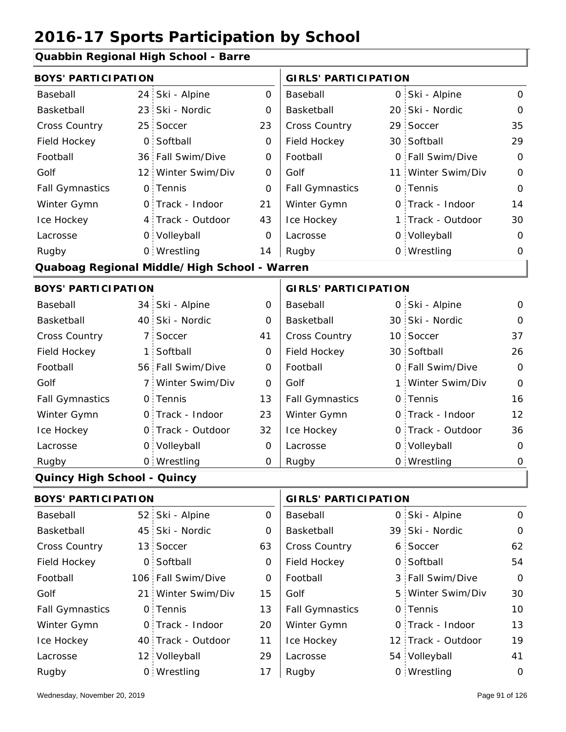### **Quabbin Regional High School - Barre**

| <b>BOYS' PARTICIPATION</b>         |                 |                                              |             | <b>GIRLS' PARTICIPATION</b> |  |                    |                |
|------------------------------------|-----------------|----------------------------------------------|-------------|-----------------------------|--|--------------------|----------------|
| Baseball                           | 24              | Ski - Alpine                                 | 0           | Baseball                    |  | 0 Ski - Alpine     | 0              |
| Basketball                         | 23              | Ski - Nordic                                 | 0           | Basketball                  |  | 20 Ski - Nordic    | $\mathbf 0$    |
| <b>Cross Country</b>               | 25 <sup>1</sup> | Soccer                                       | 23          | <b>Cross Country</b>        |  | 29 Soccer          | 35             |
| Field Hockey                       | $\overline{O}$  | Softball                                     | 0           | Field Hockey                |  | 30 Softball        | 29             |
| Football                           |                 | 36 Fall Swim/Dive                            | 0           | Football                    |  | 0 Fall Swim/Dive   | $\mathbf 0$    |
| Golf                               |                 | 12 Winter Swim/Div                           | O           | Golf                        |  | 11 Winter Swim/Div | $\overline{0}$ |
| <b>Fall Gymnastics</b>             |                 | 0 Tennis                                     | $\Omega$    | <b>Fall Gymnastics</b>      |  | 0 Tennis           | $\overline{0}$ |
| Winter Gymn                        |                 | 0 Track - Indoor                             | 21          | Winter Gymn                 |  | 0 Track - Indoor   | 14             |
| Ice Hockey                         |                 | 4 Track - Outdoor                            | 43          | Ice Hockey                  |  | 1 Track - Outdoor  | 30             |
| Lacrosse                           |                 | 0 Volleyball                                 | $\Omega$    | Lacrosse                    |  | 0 Volleyball       | $\Omega$       |
| Rugby                              |                 | 0 Wrestling                                  | 14          | Rugby                       |  | 0 Wrestling        | 0              |
|                                    |                 | Quaboag Regional Middle/High School - Warren |             |                             |  |                    |                |
| <b>BOYS' PARTICIPATION</b>         |                 |                                              |             | <b>GIRLS' PARTICIPATION</b> |  |                    |                |
| Baseball                           |                 | 34 Ski - Alpine                              | 0           | Baseball                    |  | 0 Ski - Alpine     | 0              |
| Basketball                         |                 | 40 Ski - Nordic                              | 0           | Basketball                  |  | 30 Ski - Nordic    | $\Omega$       |
| <b>Cross Country</b>               | $\overline{7}$  | Soccer                                       | 41          | Cross Country               |  | 10 Soccer          | 37             |
| Field Hockey                       | $\mathbf{1}$    | Softball                                     | 0           | Field Hockey                |  | 30 Softball        | 26             |
| Football                           |                 | 56 Fall Swim/Dive                            | 0           | Football                    |  | 0 Fall Swim/Dive   | $\overline{O}$ |
| Golf                               | 7 :             | Winter Swim/Div                              | $\Omega$    | Golf                        |  | 1 Winter Swim/Div  | $\mathbf 0$    |
| <b>Fall Gymnastics</b>             |                 | 0 Tennis                                     | 13          | <b>Fall Gymnastics</b>      |  | 0 Tennis           | 16             |
| Winter Gymn                        | $0^{\circ}$     | Track - Indoor                               | 23          | Winter Gymn                 |  | 0 Track - Indoor   | 12             |
| Ice Hockey                         | $0^{\circ}$     | Track - Outdoor                              | 32          | Ice Hockey                  |  | 0 Track - Outdoor  | 36             |
| Lacrosse                           |                 | 0 Volleyball                                 | $\mathbf 0$ | Lacrosse                    |  | 0 Volleyball       | 0              |
| Rugby                              |                 | 0 Wrestling                                  | 0           | Rugby                       |  | 0 Wrestling        | $\mathbf 0$    |
| <b>Quincy High School - Quincy</b> |                 |                                              |             |                             |  |                    |                |

| <b>BOYS' PARTICIPATION</b> |                    | <b>GIRLS' PARTICIPATION</b> |                        |  |                    |             |
|----------------------------|--------------------|-----------------------------|------------------------|--|--------------------|-------------|
| Baseball                   | 52 Ski - Alpine    | 0                           | Baseball               |  | 0 Ski - Alpine     | $\mathbf 0$ |
| Basketball                 | 45 Ski - Nordic    | 0                           | Basketball             |  | 39 Ski - Nordic    | $\mathbf 0$ |
| <b>Cross Country</b>       | 13 Soccer          | 63                          | <b>Cross Country</b>   |  | 6 Soccer           | 62          |
| Field Hockey               | 0 Softball         | 0                           | Field Hockey           |  | 0 Softball         | 54          |
| Football                   | 106 Fall Swim/Dive | 0                           | Football               |  | 3 Fall Swim/Dive   | $\mathbf 0$ |
| Golf                       | 21 Winter Swim/Div | 15                          | Golf                   |  | 5 Winter Swim/Div  | 30          |
| <b>Fall Gymnastics</b>     | 0 Tennis           | 13                          | <b>Fall Gymnastics</b> |  | 0 Tennis           | 10          |
| Winter Gymn                | 0 Track - Indoor   | 20                          | Winter Gymn            |  | 0 Track - Indoor   | 13          |
| Ice Hockey                 | 40 Track - Outdoor | 11                          | Ice Hockey             |  | 12 Track - Outdoor | 19          |
| Lacrosse                   | 12 Volleyball      | 29                          | Lacrosse               |  | 54 Volleyball      | 41          |
| Rugby                      | 0 Wrestling        | 17                          | Rugby                  |  | 0 Wrestling        | 0           |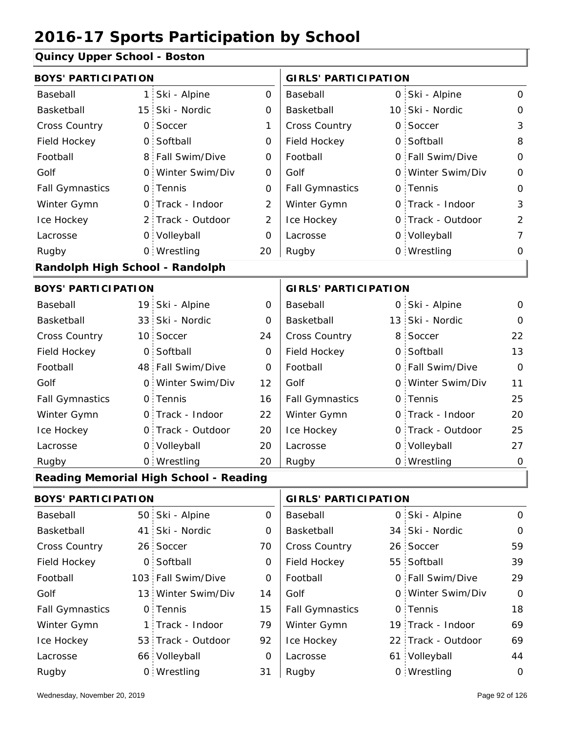#### **Quincy Upper School - Boston**

| <b>BOYS' PARTICIPATION</b>      |                |                                        |                | <b>GIRLS' PARTICIPATION</b> |                   |                |
|---------------------------------|----------------|----------------------------------------|----------------|-----------------------------|-------------------|----------------|
| Baseball                        | 1 <sup>1</sup> | Ski - Alpine                           | 0              | Baseball                    | 0 Ski - Alpine    | 0              |
| Basketball                      |                | 15 Ski - Nordic                        | 0              | Basketball                  | 10 Ski - Nordic   | $\mathbf 0$    |
| <b>Cross Country</b>            | $\mathsf{O}$   | Soccer                                 | 1              | Cross Country               | 0 Soccer          | 3              |
| Field Hockey                    | $\mathsf{O}$   | Softball                               | 0              | Field Hockey                | 0 Softball        | 8              |
| Football                        |                | 8 Fall Swim/Dive                       | 0              | Football                    | 0 Fall Swim/Dive  | $\mathbf 0$    |
| Golf                            |                | 0 Winter Swim/Div                      | $\mathbf 0$    | Golf                        | 0 Winter Swim/Div | $\mathbf 0$    |
| <b>Fall Gymnastics</b>          |                | 0 Tennis                               | $\mathbf 0$    | <b>Fall Gymnastics</b>      | 0 Tennis          | $\mathbf 0$    |
| Winter Gymn                     |                | 0 Track - Indoor                       | $\overline{2}$ | Winter Gymn                 | 0 Track - Indoor  | 3              |
| Ice Hockey                      |                | 2 Track - Outdoor                      | $\overline{2}$ | Ice Hockey                  | 0 Track - Outdoor | $\overline{2}$ |
| Lacrosse                        |                | 0 Volleyball                           | 0              | Lacrosse                    | 0 Volleyball      | 7              |
| Rugby                           |                | 0 Wrestling                            | 20             | Rugby                       | 0 Wrestling       | 0              |
| Randolph High School - Randolph |                |                                        |                |                             |                   |                |
| <b>BOYS' PARTICIPATION</b>      |                |                                        |                | <b>GIRLS' PARTICIPATION</b> |                   |                |
| Baseball                        |                | 19 Ski - Alpine                        | 0              | Baseball                    | 0 Ski - Alpine    | $\mathbf 0$    |
| Basketball                      |                | 33 Ski - Nordic                        | 0              | Basketball                  | 13 Ski - Nordic   | $\mathbf 0$    |
| <b>Cross Country</b>            |                | 10 Soccer                              | 24             | Cross Country               | 8 Soccer          | 22             |
| Field Hockey                    | $\mathsf{O}$   | Softball                               | 0              | Field Hockey                | 0 Softball        | 13             |
| Football                        |                | 48 Fall Swim/Dive                      | 0              | Football                    | 0 Fall Swim/Dive  | $\overline{O}$ |
| Golf                            |                | 0 Winter Swim/Div                      | 12             | Golf                        | 0 Winter Swim/Div | 11             |
| <b>Fall Gymnastics</b>          |                | 0 Tennis                               | 16             | <b>Fall Gymnastics</b>      | 0 Tennis          | 25             |
| Winter Gymn                     |                | 0 Track - Indoor                       | 22             | Winter Gymn                 | 0 Track - Indoor  | 20             |
| Ice Hockey                      |                | 0 Track - Outdoor                      | 20             | Ice Hockey                  | 0 Track - Outdoor | 25             |
| Lacrosse                        |                | 0 Volleyball                           | 20             | Lacrosse                    | 0 Volleyball      | 27             |
| Rugby                           |                | 0 Wrestling                            | 20             | Rugby                       | 0 Wrestling       | $\mathbf 0$    |
|                                 |                | Reading Memorial High School - Reading |                |                             |                   |                |
| <b>BOYS' PARTICIPATION</b>      |                |                                        |                | <b>GIRLS' PARTICIPATION</b> |                   |                |
| Baseball                        |                | 50 Ski - Alpine                        | 0              | Baseball                    | 0 Ski - Alpine    | $\mathbf 0$    |
| Basketball                      | 41.            | Ski - Nordic                           | 0              | Basketball                  | 34 Ski - Nordic   | 0              |
| Cross Country                   |                | 26 Soccer                              | 70             | Cross Country               | 26 Soccer         | 59             |
| Field Hockey                    |                | 0 Softball                             | 0              | Field Hockey                | 55 Softball       | 39             |
| Football                        |                | 103 Fall Swim/Dive                     | 0              | Football                    | 0 Fall Swim/Dive  | 29             |
| Golf                            |                | 13 Winter Swim/Div                     | 14             | Golf                        | 0 Winter Swim/Div | $\mathsf{O}$   |

13 Winter Swim/Div 14 | Golf 0 0 0 Fall Gymnastics

Winter Gymn Ice Hockey Lacrosse

15

79

92

0

31

53 Track - Outdoor

Wrestling Rugby 0 Rugby 0

1 Track - Indoor

66 Volleyball

0 Tennis

Fall Gymnastics

Winter Gymn

Ice Hockey Lacrosse

18

69

69

19 Track - Indoor

0 Tennis

22 Track - Outdoor

61 Volleyball 44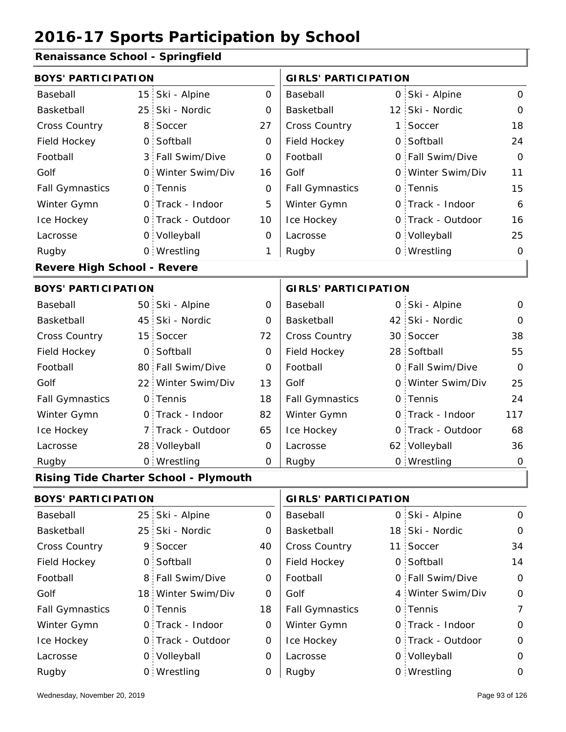### **Renaissance School - Springfield**

| <b>BOYS' PARTICIPATION</b>         |                |                                              |             | <b>GIRLS' PARTICIPATION</b> |    |                   |             |
|------------------------------------|----------------|----------------------------------------------|-------------|-----------------------------|----|-------------------|-------------|
| Baseball                           |                | 15 Ski - Alpine                              | $\mathbf 0$ | Baseball                    |    | 0 Ski - Alpine    | $\mathbf 0$ |
| Basketball                         |                | 25 Ski - Nordic                              | 0           | Basketball                  |    | 12 Ski - Nordic   | $\mathbf 0$ |
| <b>Cross Country</b>               | 8 <sup>1</sup> | Soccer                                       | 27          | Cross Country               | 1: | Soccer            | 18          |
| Field Hockey                       | $\overline{O}$ | Softball                                     | 0           | Field Hockey                |    | 0 Softball        | 24          |
| Football                           |                | 3 Fall Swim/Dive                             | 0           | Football                    |    | 0 Fall Swim/Dive  | $\Omega$    |
| Golf                               | $\mathsf{O}$   | Winter Swim/Div                              | 16          | Golf                        |    | 0 Winter Swim/Div | 11          |
| <b>Fall Gymnastics</b>             |                | 0 Tennis                                     | 0           | <b>Fall Gymnastics</b>      |    | 0 Tennis          | 15          |
| Winter Gymn                        |                | O Track - Indoor                             | 5           | Winter Gymn                 |    | 0 Track - Indoor  | 6           |
| Ice Hockey                         |                | 0 Track - Outdoor                            | 10          | Ice Hockey                  |    | 0 Track - Outdoor | 16          |
| Lacrosse                           |                | 0 Volleyball                                 | 0           | Lacrosse                    |    | 0 Volleyball      | 25          |
| Rugby                              |                | 0 Wrestling                                  | 1           | Rugby                       |    | 0 Wrestling       | $\mathbf 0$ |
| <b>Revere High School - Revere</b> |                |                                              |             |                             |    |                   |             |
| <b>BOYS' PARTICIPATION</b>         |                |                                              |             | <b>GIRLS' PARTICIPATION</b> |    |                   |             |
| Baseball                           |                | 50 Ski - Alpine                              | $\mathbf 0$ | Baseball                    |    | 0 Ski - Alpine    | $\mathbf 0$ |
| Basketball                         |                | 45 Ski - Nordic                              | 0           | Basketball                  |    | 42 Ski - Nordic   | $\Omega$    |
| <b>Cross Country</b>               |                | 15 Soccer                                    | 72          | Cross Country               |    | 30 Soccer         | 38          |
| Field Hockey                       | $\overline{O}$ | Softball                                     | $\mathbf 0$ | Field Hockey                |    | 28 Softball       | 55          |
| Football                           |                | 80 Fall Swim/Dive                            | 0           | Football                    |    | 0 Fall Swim/Dive  | $\Omega$    |
| Golf                               |                | 22 Winter Swim/Div                           | 13          | Golf                        |    | 0 Winter Swim/Div | 25          |
| <b>Fall Gymnastics</b>             |                | 0 Tennis                                     | 18          | <b>Fall Gymnastics</b>      |    | 0 Tennis          | 24          |
| Winter Gymn                        |                | 0 Track - Indoor                             | 82          | Winter Gymn                 |    | 0 Track - Indoor  | 117         |
| Ice Hockey                         |                | 7 Track - Outdoor                            | 65          | Ice Hockey                  |    | 0 Track - Outdoor | 68          |
| Lacrosse                           |                | 28 Volleyball                                | 0           | Lacrosse                    |    | 62 Volleyball     | 36          |
| Rugby                              |                | 0 Wrestling                                  | $\mathbf 0$ | Rugby                       |    | 0 Wrestling       | $\mathbf 0$ |
|                                    |                | <b>Rising Tide Charter School - Plymouth</b> |             |                             |    |                   |             |
| <b>BOYS' PARTICIPATION</b>         |                |                                              |             | <b>GIRLS' PARTICIPATION</b> |    |                   |             |
| Baseball                           |                | 25 Ski - Alpine                              | 0           | Baseball                    |    | 0 Ski - Alpine    | $\mathbf 0$ |
| Basketball                         |                | 25 Ski - Nordic                              | 0           | Basketball                  |    | 18 Ski - Nordic   | $\mathbf 0$ |
| <b>Cross Country</b>               |                | 9 Soccer                                     | 40          | Cross Country               |    | 11 Soccer         | 34          |

| <b>Cross Country</b>   | 9 Soccer           | 40 | <b>Cross Country</b>   | 11 Soccer         | 34 |
|------------------------|--------------------|----|------------------------|-------------------|----|
| Field Hockey           | 0 Softball         | 0  | Field Hockey           | 0 Softball        | 14 |
| Football               | 8 Fall Swim/Dive   | 0  | Football               | 0 Fall Swim/Dive  | 0  |
| Golf                   | 18 Winter Swim/Div | O  | Golf                   | 4 Winter Swim/Div | 0  |
| <b>Fall Gymnastics</b> | 0 Tennis           | 18 | <b>Fall Gymnastics</b> | 0 Tennis          | 7  |
| Winter Gymn            | 0 Track - Indoor   | 0  | Winter Gymn            | O Track - Indoor  | 0  |
| Ice Hockey             | 0 Track - Outdoor  | 0  | Ice Hockey             | 0 Track - Outdoor | 0  |
| Lacrosse               | 0 Volleyball       | O  | Lacrosse               | 0 Volleyball      | 0  |
| Rugby                  | 0 Wrestling        | 0  | Rugby                  | 0 Wrestling       | 0  |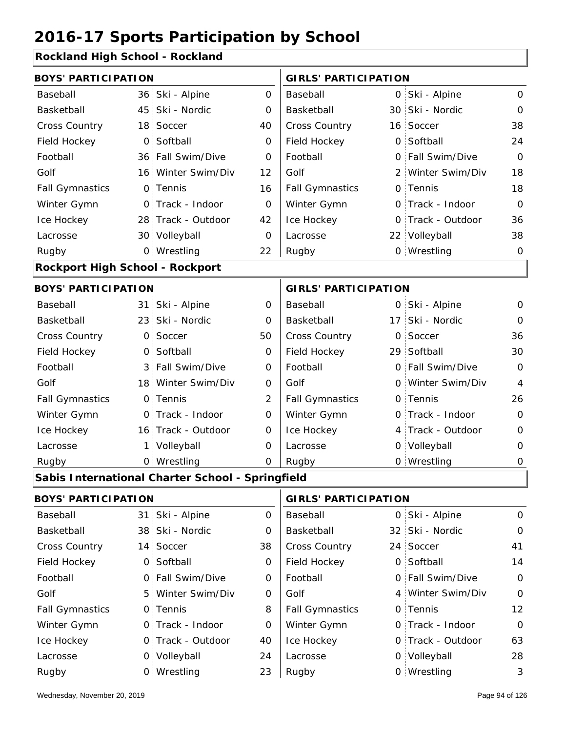#### **Rockland High School - Rockland**

|                                 | <b>BOYS' PARTICIPATION</b> |                                                  |                |                             |     | <b>GIRLS' PARTICIPATION</b> |                |  |  |  |
|---------------------------------|----------------------------|--------------------------------------------------|----------------|-----------------------------|-----|-----------------------------|----------------|--|--|--|
| Baseball                        |                            | 36 Ski - Alpine                                  | 0              | Baseball                    |     | 0 Ski - Alpine              | $\mathsf{O}$   |  |  |  |
| Basketball                      | 45 <sup>1</sup>            | Ski - Nordic                                     | 0              | Basketball                  |     | 30 Ski - Nordic             | $\mathbf 0$    |  |  |  |
| Cross Country                   | 18 <sup>1</sup>            | Soccer                                           | 40             | Cross Country               |     | 16 Soccer                   | 38             |  |  |  |
| Field Hockey                    | 0                          | Softball                                         | 0              | Field Hockey                |     | 0 Softball                  | 24             |  |  |  |
| Football                        | 36 <sup>1</sup>            | Fall Swim/Dive                                   | 0              | Football                    |     | 0 Fall Swim/Dive            | $\Omega$       |  |  |  |
| Golf                            |                            | 16 Winter Swim/Div                               | 12             | Golf                        |     | 2 Winter Swim/Div           | 18             |  |  |  |
| <b>Fall Gymnastics</b>          |                            | 0 Tennis                                         | 16             | <b>Fall Gymnastics</b>      |     | 0 Tennis                    | 18             |  |  |  |
| Winter Gymn                     |                            | 0 Track - Indoor                                 | 0              | Winter Gymn                 |     | O Track - Indoor            | $\overline{O}$ |  |  |  |
| Ice Hockey                      |                            | 28 Track - Outdoor                               | 42             | Ice Hockey                  |     | 0 Track - Outdoor           | 36             |  |  |  |
| Lacrosse                        |                            | 30 Volleyball                                    | 0              | Lacrosse                    |     | 22 Volleyball               | 38             |  |  |  |
| Rugby                           |                            | 0 Wrestling                                      | 22             | Rugby                       |     | 0 Wrestling                 | $\mathbf 0$    |  |  |  |
| Rockport High School - Rockport |                            |                                                  |                |                             |     |                             |                |  |  |  |
| <b>BOYS' PARTICIPATION</b>      |                            |                                                  |                | <b>GIRLS' PARTICIPATION</b> |     |                             |                |  |  |  |
| Baseball                        |                            | 31 Ski - Alpine                                  | $\mathbf 0$    | Baseball                    |     | 0 Ski - Alpine              | $\mathbf 0$    |  |  |  |
| Basketball                      |                            | 23 Ski - Nordic                                  | 0              | Basketball                  | 17: | Ski - Nordic                | $\mathbf 0$    |  |  |  |
| <b>Cross Country</b>            | $\mathsf{O}$               | Soccer                                           | 50             | Cross Country               | O   | Soccer                      | 36             |  |  |  |
| Field Hockey                    | O <sub>1</sub>             | Softball                                         | 0              | Field Hockey                |     | 29 Softball                 | 30             |  |  |  |
| Football                        |                            | 3 Fall Swim/Dive                                 | 0              | Football                    |     | 0 Fall Swim/Dive            | $\overline{O}$ |  |  |  |
| Golf                            |                            | 18 Winter Swim/Div                               | $\mathbf 0$    | Golf                        |     | 0 Winter Swim/Div           | $\overline{4}$ |  |  |  |
| <b>Fall Gymnastics</b>          |                            | 0 Tennis                                         | $\overline{2}$ | <b>Fall Gymnastics</b>      |     | 0 Tennis                    | 26             |  |  |  |
| Winter Gymn                     |                            | 0 Track - Indoor                                 | 0              | Winter Gymn                 |     | O Track - Indoor            | $\mathbf 0$    |  |  |  |
| Ice Hockey                      |                            | 16 Track - Outdoor                               | $\mathbf 0$    | Ice Hockey                  |     | 4 Track - Outdoor           | 0              |  |  |  |
| Lacrosse                        | $\mathbf{1}$               | Volleyball                                       | 0              | Lacrosse                    |     | 0 Volleyball                | 0              |  |  |  |
| Rugby                           |                            | 0 Wrestling                                      | 0              | Rugby                       |     | 0 Wrestling                 | $\mathbf 0$    |  |  |  |
|                                 |                            | Sabis International Charter School - Springfield |                |                             |     |                             |                |  |  |  |
| <b>BOYS' PARTICIPATION</b>      |                            |                                                  |                | <b>GIRLS' PARTICIPATION</b> |     |                             |                |  |  |  |
| Baseball                        | 31                         | Ski - Alpine                                     | 0              | Baseball                    | 0   | Ski - Alpine                | $\mathbf 0$    |  |  |  |
| Basketball                      |                            | 38 Ski - Nordic                                  | 0              | Basketball                  |     | 32 Ski - Nordic             | 0              |  |  |  |
| Cross Country                   |                            | 14 Soccer                                        | 38             | Cross Country               |     | 24 Soccer                   | 41             |  |  |  |
| Field Hockey                    |                            | 0 Softball                                       | 0              | Field Hockey                |     | 0 Softball                  | 14             |  |  |  |
| Football                        |                            | 0 Fall Swim/Dive                                 | 0              | Football                    |     | 0 Fall Swim/Dive            | $\mathbf 0$    |  |  |  |
| Golf                            | 5.                         | Winter Swim/Div                                  | 0              | Golf                        |     | 4 Winter Swim/Div           | $\mathbf 0$    |  |  |  |
| <b>Fall Gymnastics</b>          |                            | 0 Tennis                                         | 8              | <b>Fall Gymnastics</b>      |     | 0 Tennis                    | 12             |  |  |  |
| Winter Gymn                     |                            | 0 Track - Indoor                                 | 0              | Winter Gymn                 |     | O Track - Indoor            | $\mathbf 0$    |  |  |  |
| Ice Hockey                      |                            | 0 Track - Outdoor                                | 40             | Ice Hockey                  |     | 0 Track - Outdoor           | 63             |  |  |  |

24

Lacrosse

Lacrosse

0 Volleyball

Wrestling

23 Rugby 0 Rugby 0

0 Volleyball 28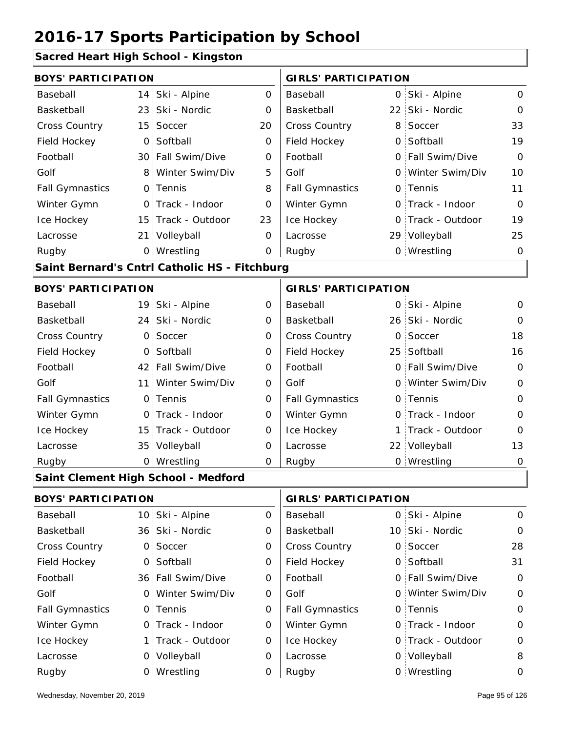#### **Sacred Heart High School - Kingston**

|                            |                 | <u> Sacrea Ficart Flight School - Kingston</u> |             |                             |    |                   |                |
|----------------------------|-----------------|------------------------------------------------|-------------|-----------------------------|----|-------------------|----------------|
| <b>BOYS' PARTICIPATION</b> |                 |                                                |             | <b>GIRLS' PARTICIPATION</b> |    |                   |                |
| Baseball                   | 14 <sub>1</sub> | Ski - Alpine                                   | 0           | Baseball                    | 0  | Ski - Alpine      | 0              |
| Basketball                 |                 | 23 Ski - Nordic                                | 0           | Basketball                  |    | 22 Ski - Nordic   | $\Omega$       |
| <b>Cross Country</b>       | 15 <sup>1</sup> | Soccer                                         | 20          | Cross Country               | 8  | Soccer            | 33             |
| Field Hockey               | $\overline{O}$  | Softball                                       | 0           | Field Hockey                |    | 0 Softball        | 19             |
| Football                   |                 | 30 Fall Swim/Dive                              | $\mathbf 0$ | Football                    |    | 0 Fall Swim/Dive  | $\mathbf 0$    |
| Golf                       |                 | 8 Winter Swim/Div                              | 5           | Golf                        |    | 0 Winter Swim/Div | 10             |
| <b>Fall Gymnastics</b>     |                 | 0 Tennis                                       | 8           | <b>Fall Gymnastics</b>      |    | 0 Tennis          | 11             |
| Winter Gymn                |                 | O Track - Indoor                               | 0           | Winter Gymn                 |    | O Track - Indoor  | $\Omega$       |
| Ice Hockey                 |                 | 15 Track - Outdoor                             | 23          | Ice Hockey                  |    | 0 Track - Outdoor | 19             |
| Lacrosse                   |                 | 21 Volleyball                                  | 0           | Lacrosse                    |    | 29 Volleyball     | 25             |
| Rugby                      |                 | 0 Wrestling                                    | 0           | Rugby                       |    | 0 Wrestling       | $\mathbf 0$    |
|                            |                 | Saint Bernard's Cntrl Catholic HS - Fitchburg  |             |                             |    |                   |                |
| <b>BOYS' PARTICIPATION</b> |                 |                                                |             | <b>GIRLS' PARTICIPATION</b> |    |                   |                |
| Baseball                   |                 | 19 Ski - Alpine                                | 0           | Baseball                    | 0  | Ski - Alpine      | 0              |
| Basketball                 |                 | 24 Ski - Nordic                                | 0           | Basketball                  |    | 26 Ski - Nordic   | $\Omega$       |
| <b>Cross Country</b>       | $\overline{O}$  | Soccer                                         | 0           | Cross Country               | 0  | Soccer            | 18             |
| Field Hockey               | $\overline{O}$  | Softball                                       | $\mathbf 0$ | Field Hockey                | 25 | Softball          | 16             |
| Football                   |                 | 42 Fall Swim/Dive                              | 0           | Football                    |    | 0 Fall Swim/Dive  | $\mathbf 0$    |
| Golf                       | 11:             | Winter Swim/Div                                | $\mathbf 0$ | Golf                        |    | 0 Winter Swim/Div | $\mathbf{O}$   |
| <b>Fall Gymnastics</b>     |                 | 0 Tennis                                       | $\mathbf 0$ | <b>Fall Gymnastics</b>      |    | 0 Tennis          | $\overline{O}$ |
| Winter Gymn                |                 | O Track - Indoor                               | 0           | Winter Gymn                 |    | 0 Track - Indoor  | $\mathbf 0$    |
| Ice Hockey                 |                 | 15 Track - Outdoor                             | 0           | Ice Hockey                  | 1  | Track - Outdoor   | $\Omega$       |
| Lacrosse                   |                 | 35 Volleyball                                  | $\mathbf 0$ | Lacrosse                    |    | 22 Volleyball     | 13             |
| Rugby                      |                 | 0 Wrestling                                    | 0           | Rugby                       |    | 0 Wrestling       | $\mathbf 0$    |
|                            |                 | Saint Clement High School - Medford            |             |                             |    |                   |                |
| <b>BOYS' PARTICIPATION</b> |                 |                                                |             | <b>GIRLS' PARTICIPATION</b> |    |                   |                |
| Baseball                   |                 | 10 Ski - Alpine                                | $\mathbf 0$ | Baseball                    |    | 0 Ski - Alpine    | 0              |
| Basketball                 |                 | 36 Ski - Nordic                                | 0           | Basketball                  |    | 10 Ski - Nordic   | 0              |
| Cross Country              |                 | 0 Soccer                                       | 0           | Cross Country               |    | 0 Soccer          | 28             |
| Field Hockey               |                 | 0 Softball                                     | 0           | Field Hockey                |    | 0 Softball        | 31             |
| Football                   |                 | 36 Fall Swim/Dive                              | 0           | Football                    |    | 0 Fall Swim/Dive  | $\mathbf 0$    |

0 Winter Swim/Div 0 Golf 0 0 0 Fall Gymnastics 0 of Fall Gymnastics 0 of Fall Gymnastics 0 of the 10 of the 10

Golf

Winter Gymn Ice Hockey Lacrosse

0

0

0

0

0

1 Track - Outdoor

Wrestling Rugby 0 Rugby 0

0 Track - Indoor

0 Volleyball

0 Tennis

Golf

Fall Gymnastics

Winter Gymn

Ice Hockey Lacrosse

0

0

0

0

0 Track - Indoor

0 Tennis

0 Track - Outdoor

Winter Swim/Div

0 Volleyball 8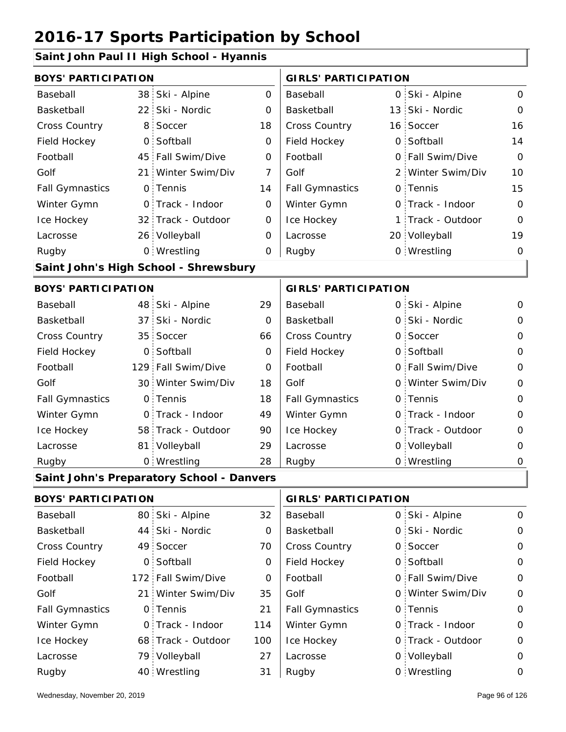### **Saint John Paul II High School - Hyannis**

|                            | <b>BOYS' PARTICIPATION</b> |                                           |     |                             | <b>GIRLS' PARTICIPATION</b> |                   |                     |  |
|----------------------------|----------------------------|-------------------------------------------|-----|-----------------------------|-----------------------------|-------------------|---------------------|--|
| Baseball                   | 38                         | Ski - Alpine                              | 0   | Baseball                    |                             | 0 Ski - Alpine    | 0                   |  |
| Basketball                 | 22:                        | Ski - Nordic                              | 0   | Basketball                  |                             | 13 Ski - Nordic   | $\mathbf 0$         |  |
| Cross Country              | 8 <sup>1</sup>             | Soccer                                    | 18  | Cross Country               |                             | 16 Soccer         | 16                  |  |
| Field Hockey               |                            | 0 Softball                                | 0   | Field Hockey                |                             | 0 Softball        | 14                  |  |
| Football                   |                            | 45 Fall Swim/Dive                         | 0   | Football                    |                             | 0 Fall Swim/Dive  | $\mathbf 0$         |  |
| Golf                       | 21 <sup>1</sup>            | Winter Swim/Div                           | 7   | Golf                        |                             | 2 Winter Swim/Div | 10                  |  |
| <b>Fall Gymnastics</b>     |                            | 0 Tennis                                  | 14  | <b>Fall Gymnastics</b>      |                             | 0 Tennis          | 15                  |  |
| Winter Gymn                |                            | 0 Track - Indoor                          | 0   | Winter Gymn                 |                             | O Track - Indoor  | $\mathbf 0$         |  |
| Ice Hockey                 |                            | 32 Track - Outdoor                        | 0   | Ice Hockey                  |                             | 1 Track - Outdoor | $\mathbf{O}$        |  |
| Lacrosse                   |                            | 26 Volleyball                             | 0   | Lacrosse                    |                             | 20 Volleyball     | 19                  |  |
| Rugby                      |                            | 0 Wrestling                               | 0   | Rugby                       |                             | 0 Wrestling       | 0                   |  |
|                            |                            | Saint John's High School - Shrewsbury     |     |                             |                             |                   |                     |  |
| <b>BOYS' PARTICIPATION</b> |                            |                                           |     | <b>GIRLS' PARTICIPATION</b> |                             |                   |                     |  |
| Baseball                   |                            | 48 Ski - Alpine                           | 29  | Baseball                    |                             | 0 Ski - Alpine    | 0                   |  |
| Basketball                 | 37 <sup>1</sup>            | Ski - Nordic                              | 0   | Basketball                  |                             | 0 Ski - Nordic    | $\mathsf O$         |  |
| <b>Cross Country</b>       |                            | 35 Soccer                                 | 66  | Cross Country               |                             | 0 Soccer          | $\overline{O}$      |  |
| Field Hockey               | O <sub>1</sub>             | Softball                                  | 0   | Field Hockey                |                             | 0 Softball        | $\mathbf 0$         |  |
| Football                   |                            | 129 Fall Swim/Dive                        | 0   | Football                    |                             | 0 Fall Swim/Dive  | $\mathbf 0$         |  |
| Golf                       |                            | 30 Winter Swim/Div                        | 18  | Golf                        |                             | 0 Winter Swim/Div | $\overline{O}$      |  |
| <b>Fall Gymnastics</b>     |                            | 0 Tennis                                  | 18  | <b>Fall Gymnastics</b>      |                             | 0 Tennis          | $\mathbf 0$         |  |
| Winter Gymn                | $\mathsf{O}$               | Track - Indoor                            | 49  | Winter Gymn                 |                             | O Track - Indoor  | $\mathbf 0$         |  |
| Ice Hockey                 |                            | 58 Track - Outdoor                        | 90  | Ice Hockey                  |                             | 0 Track - Outdoor | $\mathbf 0$         |  |
| Lacrosse                   | 81                         | Volleyball                                | 29  | Lacrosse                    |                             | 0 Volleyball      | 0                   |  |
| Rugby                      |                            | 0 Wrestling                               | 28  | Rugby                       |                             | 0 Wrestling       | $\mathbf 0$         |  |
|                            |                            | Saint John's Preparatory School - Danvers |     |                             |                             |                   |                     |  |
| <b>BOYS' PARTICIPATION</b> |                            |                                           |     | <b>GIRLS' PARTICIPATION</b> |                             |                   |                     |  |
| Baseball                   |                            | 80 Ski - Alpine                           | 32  | Baseball                    |                             | 0 Ski - Alpine    | $\mathbf{O}$        |  |
| Basketball                 | 44                         | Ski - Nordic                              | 0   | Basketball                  |                             | 0 Ski - Nordic    | $\mathbf 0$         |  |
| Cross Country              |                            | 49 Soccer                                 | 70  | Cross Country               |                             | 0 Soccer          | $\mathsf O$         |  |
| Field Hockey               |                            | 0 Softball                                | 0   | Field Hockey                |                             | 0 Softball        | $\mathbf 0$         |  |
| Football                   |                            | 172 Fall Swim/Dive                        | 0   | Football                    |                             | 0 Fall Swim/Dive  | $\mathbf 0$         |  |
| Golf                       | 21                         | Winter Swim/Div                           | 35  | Golf                        |                             | 0 Winter Swim/Div | $\mathsf{O}\xspace$ |  |
| <b>Fall Gymnastics</b>     |                            | 0 Tennis                                  | 21  | <b>Fall Gymnastics</b>      |                             | 0 Tennis          | $\mathbf 0$         |  |
| Winter Gymn                | $\mathsf{O}$               | Track - Indoor                            | 114 | Winter Gymn                 |                             | O Track - Indoor  | $\mathsf O$         |  |
| Ice Hockey                 |                            | 68 Track - Outdoor                        | 100 | Ice Hockey                  |                             | 0 Track - Outdoor | $\mathbf 0$         |  |
| Lacrosse                   |                            | 79 Volleyball                             | 27  | Lacrosse                    |                             | 0 Volleyball      | $\mathbf 0$         |  |
| Rugby                      |                            | 40 Wrestling                              | 31  | Rugby                       |                             | 0 Wrestling       | $\mathbf 0$         |  |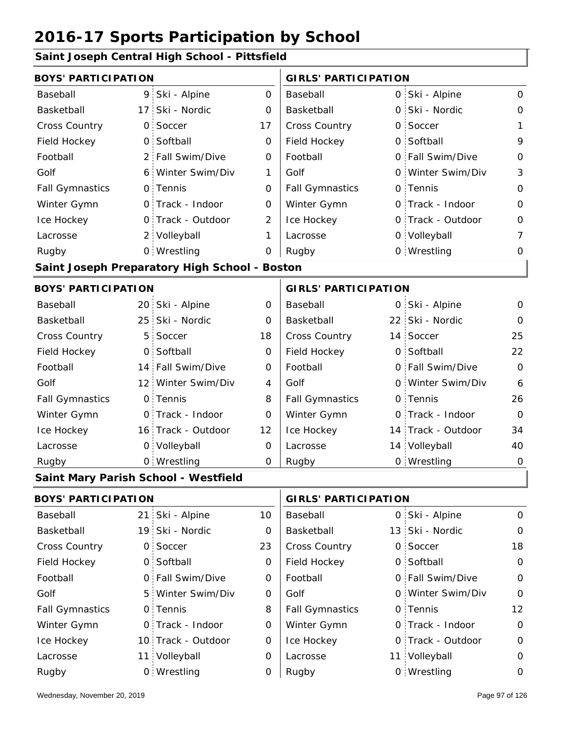#### **Saint Joseph Central High School - Pittsfield**

| ann soscpri ochtrar i ngh-sonoor |                 |                                               |             |                             |                    |                |
|----------------------------------|-----------------|-----------------------------------------------|-------------|-----------------------------|--------------------|----------------|
| <b>BOYS' PARTICIPATION</b>       |                 |                                               |             | <b>GIRLS' PARTICIPATION</b> |                    |                |
| Baseball                         | 9               | Ski - Alpine                                  | $\mathbf 0$ | Baseball                    | 0 Ski - Alpine     | 0              |
| Basketball                       | 17 <sup>1</sup> | Ski - Nordic                                  | $\Omega$    | Basketball                  | 0 Ski - Nordic     | $\mathbf 0$    |
| <b>Cross Country</b>             | $\mathsf{O}$    | Soccer                                        | 17          | Cross Country               | 0 Soccer           | 1              |
| Field Hockey                     | $\overline{O}$  | Softball                                      | 0           | Field Hockey                | 0 Softball         | 9              |
| Football                         | 2 <sup>1</sup>  | Fall Swim/Dive                                | 0           | Football                    | 0 Fall Swim/Dive   | $\mathbf 0$    |
| Golf                             | 6.              | Winter Swim/Div                               | 1           | Golf                        | 0 Winter Swim/Div  | 3              |
| <b>Fall Gymnastics</b>           |                 | 0 Tennis                                      | 0           | <b>Fall Gymnastics</b>      | 0 Tennis           | 0              |
| Winter Gymn                      |                 | 0 Track - Indoor                              | 0           | Winter Gymn                 | 0 Track - Indoor   | $\mathbf 0$    |
| Ice Hockey                       |                 | 0 Track - Outdoor                             | 2           | Ice Hockey                  | 0 Track - Outdoor  | 0              |
| Lacrosse                         |                 | 2 Volleyball                                  | 1           | Lacrosse                    | 0 Volleyball       | $\overline{7}$ |
| Rugby                            |                 | 0 Wrestling                                   | 0           | Rugby                       | 0 Wrestling        | 0              |
|                                  |                 | Saint Joseph Preparatory High School - Boston |             |                             |                    |                |
| <b>BOYS' PARTICIPATION</b>       |                 |                                               |             | <b>GIRLS' PARTICIPATION</b> |                    |                |
| Baseball                         | 20 <sub>1</sub> | Ski - Alpine                                  | 0           | Baseball                    | 0 Ski - Alpine     | 0              |
| Basketball                       | 25 <sup>1</sup> | Ski - Nordic                                  | 0           | Basketball                  | 22 Ski - Nordic    | $\Omega$       |
| <b>Cross Country</b>             | 5               | Soccer                                        | 18          | Cross Country               | 14 Soccer          | 25             |
| Field Hockey                     | $\mathsf{O}$    | Softball                                      | 0           | Field Hockey                | 0 Softball         | 22             |
| Football                         |                 | 14 Fall Swim/Dive                             | 0           | Football                    | 0 Fall Swim/Dive   | $\mathbf 0$    |
| Golf                             | $12^{\circ}$    | Winter Swim/Div                               | 4           | Golf                        | 0 Winter Swim/Div  | 6              |
| <b>Fall Gymnastics</b>           | $\mathsf{O}$    | Tennis                                        | 8           | <b>Fall Gymnastics</b>      | 0 Tennis           | 26             |
| Winter Gymn                      | $\mathsf{O}$    | Track - Indoor                                | 0           | Winter Gymn                 | 0 Track - Indoor   | $\Omega$       |
| Ice Hockey                       |                 | 16 Track - Outdoor                            | 12          | Ice Hockey                  | 14 Track - Outdoor | 34             |
| Lacrosse                         | O <sub>1</sub>  | Volleyball                                    | $\mathbf 0$ | Lacrosse                    | 14 Volleyball      | 40             |
| Rugby                            |                 | 0 Wrestling                                   | 0           | Rugby                       | 0 Wrestling        | $\mathbf 0$    |
|                                  |                 | Saint Mary Parish School - Westfield          |             |                             |                    |                |
| <b>BOYS' PARTICIPATION</b>       |                 |                                               |             | <b>GIRLS' PARTICIPATION</b> |                    |                |
| Baseball                         | 21:             | Ski - Alpine                                  | 10          | Baseball                    | 0 Ski - Alpine     | 0              |
| Basketball                       |                 | 19 Ski - Nordic                               | 0           | Basketball                  | 13 Ski - Nordic    | $\mathbf{O}$   |
| <b>Cross Country</b>             | $\mathsf{O}$    | Soccer                                        | 23          | Cross Country               | 0 Soccer           | 18             |
| Field Hockey                     | $\mathsf{O}$    | Softball                                      | 0           | Field Hockey                | 0 Softball         | $\mathbf 0$    |
| Football                         |                 | 0 Fall Swim/Dive                              | 0           | Football                    | 0 Fall Swim/Dive   | $\mathbf 0$    |
| Golf                             |                 | 5 Winter Swim/Div                             | 0           | Golf                        | 0 Winter Swim/Div  | 0              |
| <b>Fall Gymnastics</b>           |                 | 0 Tennis                                      | 8           | <b>Fall Gymnastics</b>      | 0 Tennis           | 12             |
| Winter Gymn                      |                 | 0 Track - Indoor                              | 0           | Winter Gymn                 | 0 Track - Indoor   | $\mathbf 0$    |

0

Ice Hockey Lacrosse

0

0

Ice Hockey Lacrosse

10 Track - Outdoor

Wrestling Rugby 0 Rugby 0

11 Volleyball

0

0 Track - Outdoor

11 Volleyball 0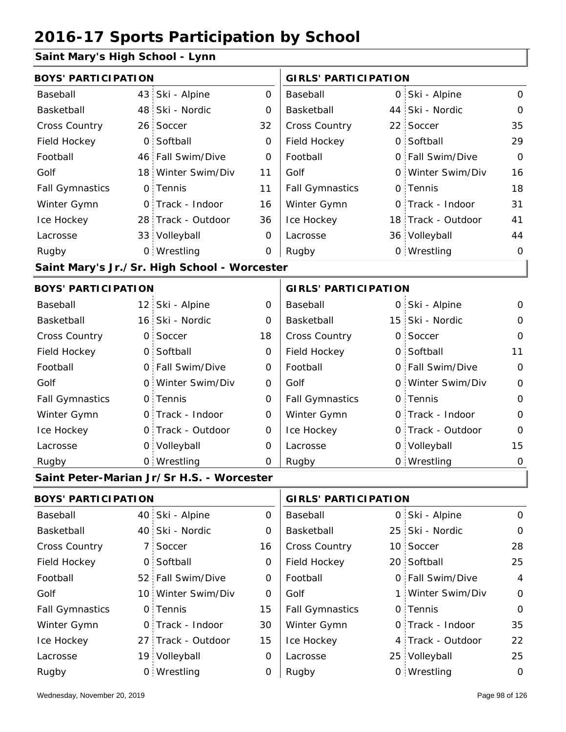#### **Saint Mary's High School - Lynn**

| <b>BOYS' PARTICIPATION</b> |                |                                              |                | <b>GIRLS' PARTICIPATION</b>       |              |                   |                |
|----------------------------|----------------|----------------------------------------------|----------------|-----------------------------------|--------------|-------------------|----------------|
| Baseball                   |                | 43 Ski - Alpine                              | 0              | Baseball                          | $\mathsf{O}$ | Ski - Alpine      | $\mathbf 0$    |
| Basketball                 | 48             | Ski - Nordic                                 | O              | Basketball                        | 44           | Ski - Nordic      | $\mathbf 0$    |
| <b>Cross Country</b>       |                | 26 Soccer                                    | 32             | <b>Cross Country</b>              | 22           | Soccer            | 35             |
| Field Hockey               | $\overline{O}$ | Softball                                     | 0              | Field Hockey                      | $\Omega$     | Softball          | 29             |
| Football                   |                | 46 Fall Swim/Dive                            | $\mathbf 0$    | Football                          | 0            | Fall Swim/Dive    | $\Omega$       |
| Golf                       |                | 18 Winter Swim/Div                           | 11             | Golf                              |              | 0 Winter Swim/Div | 16             |
| <b>Fall Gymnastics</b>     |                | 0 Tennis                                     | 11             | <b>Fall Gymnastics</b>            | O            | Tennis            | 18             |
| Winter Gymn                |                | O Track - Indoor                             | 16             | Winter Gymn                       | 0            | Track - Indoor    | 31             |
| Ice Hockey                 |                | 28 Track - Outdoor                           | 36             | Ice Hockey                        | 18           | Track - Outdoor   | 41             |
| Lacrosse                   |                | 33 Volleyball                                | $\mathbf 0$    | Lacrosse                          |              | 36 Volleyball     | 44             |
| Rugby                      |                | 0 Wrestling                                  | O              | Rugby                             |              | 0 Wrestling       | $\mathbf 0$    |
|                            |                | Saint Mary's Jr./Sr. High School - Worcester |                |                                   |              |                   |                |
| <b>BOYS' PARTICIPATION</b> |                |                                              |                | <b>GIRLS' PARTICIPATION</b>       |              |                   |                |
| Baseball                   |                | 12 Ski - Alpine                              | 0              | Baseball                          | $\mathsf{O}$ | Ski - Alpine      | $\mathbf 0$    |
| Basketball                 |                | 16 Ski - Nordic                              | O              | Basketball                        | 15           | Ski - Nordic      | $\mathbf{O}$   |
| <b>Cross Country</b>       | $\mathsf{O}$   | Soccer                                       | 18             | <b>Cross Country</b>              | 0            | Soccer            | $\mathsf{O}$   |
| Field Hockey               | $\overline{O}$ | Softball                                     | 0              | Field Hockey                      | 0            | Softball          | 11             |
| Football                   |                | 0 Fall Swim/Dive                             | O              | Football                          | 0            | Fall Swim/Dive    | $\overline{0}$ |
| Golf                       |                | 0 Winter Swim/Div                            | 0              | Golf                              |              | 0 Winter Swim/Div | $\mathsf{O}$   |
| <b>Fall Gymnastics</b>     |                | 0 Tennis                                     | O              | <b>Fall Gymnastics</b>            | 0            | Tennis            | $\mathbf 0$    |
| Winter Gymn                |                | O Track - Indoor                             | O              | Winter Gymn                       |              | 0 Track - Indoor  | $\mathbf{O}$   |
| Ice Hockey                 |                | 0 Track - Outdoor                            | 0              | Ice Hockey                        | 0            | Track - Outdoor   | $\Omega$       |
| Lacrosse                   |                | 0 Volleyball                                 | $\overline{0}$ | Lacrosse                          | 0            | Volleyball        | 15             |
| Rugby                      |                | 0 Wrestling                                  | 0              | Rugby                             |              | 0 Wrestling       | $\mathbf 0$    |
|                            |                | Saint Peter-Marian Jr/Sr H.S. - Worcester    |                |                                   |              |                   |                |
| <b>DOVCLDADTIOIDATION</b>  |                |                                              |                | $\sim$ וחס ודתחומות ומוסירים וחומ |              |                   |                |

| BUYS PARTICIPATION     |                    |    | GIRLS PARTICIPATION    |  |                   |                |
|------------------------|--------------------|----|------------------------|--|-------------------|----------------|
| Baseball               | 40 Ski - Alpine    | 0  | Baseball               |  | 0 Ski - Alpine    | $\Omega$       |
| Basketball             | 40 Ski - Nordic    | 0  | Basketball             |  | 25 Ski - Nordic   | $\circ$        |
| <b>Cross Country</b>   | 7 Soccer           | 16 | <b>Cross Country</b>   |  | 10 Soccer         | 28             |
| Field Hockey           | 0 Softball         | 0  | Field Hockey           |  | 20 Softball       | 25             |
| Football               | 52 Fall Swim/Dive  | 0  | Football               |  | 0 Fall Swim/Dive  | $\overline{4}$ |
| Golf                   | 10 Winter Swim/Div | 0  | Golf                   |  | 1 Winter Swim/Div | $\circ$        |
| <b>Fall Gymnastics</b> | 0 Tennis           | 15 | <b>Fall Gymnastics</b> |  | 0 Tennis          | $\Omega$       |
| Winter Gymn            | O Track - Indoor   | 30 | Winter Gymn            |  | 0 Track - Indoor  | 35             |
| Ice Hockey             | 27 Track - Outdoor | 15 | Ice Hockey             |  | 4 Track - Outdoor | 22             |
| Lacrosse               | 19 Volleyball      | 0  | Lacrosse               |  | 25 Volleyball     | 25             |
| Rugby                  | 0 Wrestling        | 0  | Rugby                  |  | 0 Wrestling       | 0              |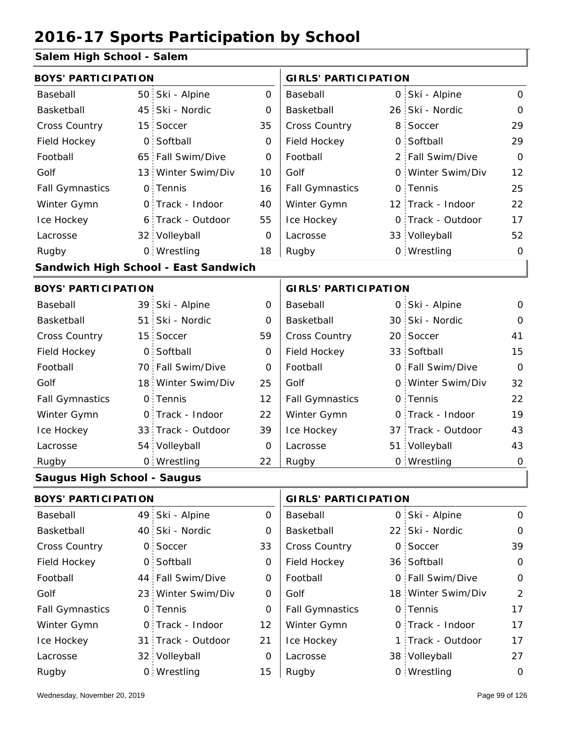### **Salem High School - Salem**

| <b>BOYS' PARTICIPATION</b>         |                                      |                    |             | <b>GIRLS' PARTICIPATION</b> |   |                    |                |
|------------------------------------|--------------------------------------|--------------------|-------------|-----------------------------|---|--------------------|----------------|
| Baseball                           | 50                                   | Ski - Alpine       | $\Omega$    | Baseball                    |   | 0 Ski - Alpine     | $\overline{O}$ |
| Basketball                         | 45                                   | Ski - Nordic       | 0           | Basketball                  |   | 26 Ski - Nordic    | $\mathbf 0$    |
| <b>Cross Country</b>               | 15                                   | Soccer             | 35          | Cross Country               | 8 | Soccer             | 29             |
| Field Hockey                       | $\mathsf{O}$                         | Softball           | 0           | Field Hockey                |   | 0 Softball         | 29             |
| Football                           |                                      | 65 Fall Swim/Dive  | $\Omega$    | Football                    |   | 2 Fall Swim/Dive   | $\Omega$       |
| Golf                               | 13 <sup>1</sup>                      | Winter Swim/Div    | 10          | Golf                        |   | 0 Winter Swim/Div  | 12             |
| <b>Fall Gymnastics</b>             | $\circ$                              | Tennis             | 16          | <b>Fall Gymnastics</b>      |   | 0 Tennis           | 25             |
| Winter Gymn                        | 0.                                   | Track - Indoor     | 40          | Winter Gymn                 |   | 12 Track - Indoor  | 22             |
| Ice Hockey                         | 6                                    | Track - Outdoor    | 55          | Ice Hockey                  |   | 0 Track - Outdoor  | 17             |
| Lacrosse                           |                                      | 32 Volleyball      | $\mathbf 0$ | Lacrosse                    |   | 33 Volleyball      | 52             |
| Rugby                              |                                      | 0 Wrestling        | 18          | Rugby                       |   | 0 Wrestling        | $\overline{O}$ |
|                                    | Sandwich High School - East Sandwich |                    |             |                             |   |                    |                |
| <b>BOYS' PARTICIPATION</b>         |                                      |                    |             | <b>GIRLS' PARTICIPATION</b> |   |                    |                |
| Baseball                           |                                      | 39 Ski - Alpine    | 0           | Baseball                    |   | 0 Ski - Alpine     | $\mathbf{O}$   |
| Basketball                         | 51                                   | Ski - Nordic       | 0           | Basketball                  |   | 30 Ski - Nordic    | $\Omega$       |
| Cross Country                      | 15 <sup>1</sup>                      | Soccer             | 59          | Cross Country               |   | 20 Soccer          | 41             |
| Field Hockey                       | $\overline{O}$                       | Softball           | 0           | Field Hockey                |   | 33 Softball        | 15             |
| Football                           |                                      | 70 Fall Swim/Dive  | $\Omega$    | Football                    |   | 0 Fall Swim/Dive   | $\Omega$       |
| Golf                               |                                      | 18 Winter Swim/Div | 25          | Golf                        |   | 0 Winter Swim/Div  | 32             |
| <b>Fall Gymnastics</b>             | $\mathsf{O}$                         | Tennis             | 12          | <b>Fall Gymnastics</b>      |   | 0 Tennis           | 22             |
| Winter Gymn                        | $\mathsf{O}$                         | Track - Indoor     | 22          | Winter Gymn                 |   | 0 Track - Indoor   | 19             |
| Ice Hockey                         |                                      | 33 Track - Outdoor | 39          | Ice Hockey                  |   | 37 Track - Outdoor | 43             |
| Lacrosse                           |                                      | 54 Volleyball      | 0           | Lacrosse                    |   | 51 Volleyball      | 43             |
| Rugby                              |                                      | 0 Wrestling        | 22          | Rugby                       |   | 0 Wrestling        | 0              |
| <b>Saugus High School - Saugus</b> |                                      |                    |             |                             |   |                    |                |
| <b>BOYS' PARTICIPATION</b>         |                                      |                    |             | <b>GIRLS' PARTICIPATION</b> |   |                    |                |
|                                    |                                      |                    |             |                             |   |                    |                |

| Baseball               | 49 Ski - Alpine    | 0  | Baseball               | 0 Ski - Alpine     | $\Omega$    |
|------------------------|--------------------|----|------------------------|--------------------|-------------|
| Basketball             | 40 Ski - Nordic    | 0  | Basketball             | 22 Ski - Nordic    | $\mathbf 0$ |
| <b>Cross Country</b>   | 0 Soccer           | 33 | <b>Cross Country</b>   | 0 Soccer           | 39          |
| Field Hockey           | 0 Softball         | 0  | Field Hockey           | 36 Softball        | $\Omega$    |
| Football               | 44 Fall Swim/Dive  | 0  | Football               | 0 Fall Swim/Dive   | $\mathbf 0$ |
| Golf                   | 23 Winter Swim/Div | 0  | Golf                   | 18 Winter Swim/Div | 2           |
| <b>Fall Gymnastics</b> | 0 Tennis           | 0  | <b>Fall Gymnastics</b> | 0 Tennis           | 17          |
| Winter Gymn            | O Track - Indoor   | 12 | Winter Gymn            | 0 Track - Indoor   | 17          |
| Ice Hockey             | 31 Track - Outdoor | 21 | Ice Hockey             | 1 Track - Outdoor  | 17          |
| Lacrosse               | 32 Volleyball      | 0  | Lacrosse               | 38 Volleyball      | 27          |
| Rugby                  | 0 Wrestling        | 15 | Rugby                  | 0 Wrestling        | 0           |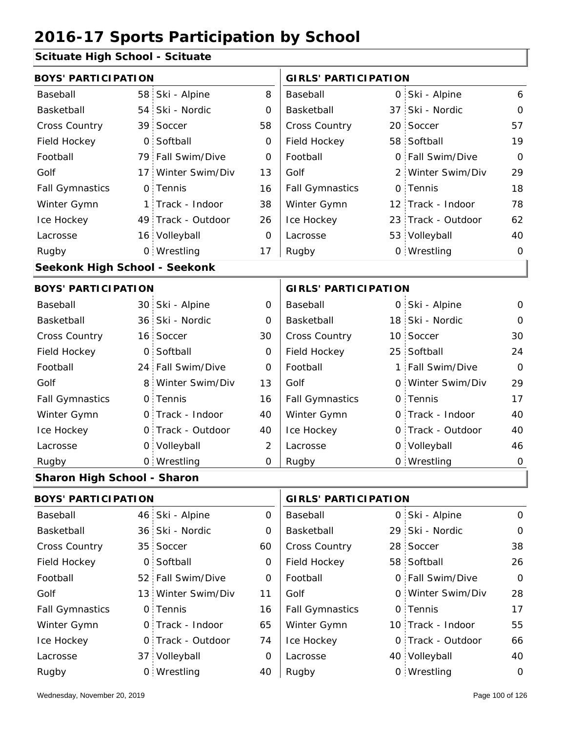### **Scituate High School - Scituate**

| <b>BOYS' PARTICIPATION</b> |                 |                                                                                                                                                                                                                                                                                                                                                              | <b>GIRLS' PARTICIPATION</b> |    |  |                                                                                                                                                                                                                                                                                                                                                                                                                         |
|----------------------------|-----------------|--------------------------------------------------------------------------------------------------------------------------------------------------------------------------------------------------------------------------------------------------------------------------------------------------------------------------------------------------------------|-----------------------------|----|--|-------------------------------------------------------------------------------------------------------------------------------------------------------------------------------------------------------------------------------------------------------------------------------------------------------------------------------------------------------------------------------------------------------------------------|
|                            | Ski - Alpine    | 8                                                                                                                                                                                                                                                                                                                                                            | Baseball                    |    |  | 6                                                                                                                                                                                                                                                                                                                                                                                                                       |
|                            | Ski - Nordic    | 0                                                                                                                                                                                                                                                                                                                                                            | Basketball                  |    |  | $\Omega$                                                                                                                                                                                                                                                                                                                                                                                                                |
|                            | Soccer          | 58                                                                                                                                                                                                                                                                                                                                                           | <b>Cross Country</b>        |    |  | 57                                                                                                                                                                                                                                                                                                                                                                                                                      |
|                            | Softball        | 0                                                                                                                                                                                                                                                                                                                                                            | Field Hockey                |    |  | 19                                                                                                                                                                                                                                                                                                                                                                                                                      |
|                            |                 | 0                                                                                                                                                                                                                                                                                                                                                            | Football                    |    |  | $\Omega$                                                                                                                                                                                                                                                                                                                                                                                                                |
|                            | Winter Swim/Div | 13                                                                                                                                                                                                                                                                                                                                                           | Golf                        |    |  | 29                                                                                                                                                                                                                                                                                                                                                                                                                      |
|                            |                 | 16                                                                                                                                                                                                                                                                                                                                                           | <b>Fall Gymnastics</b>      |    |  | 18                                                                                                                                                                                                                                                                                                                                                                                                                      |
|                            | Track - Indoor  | 38                                                                                                                                                                                                                                                                                                                                                           | Winter Gymn                 |    |  | 78                                                                                                                                                                                                                                                                                                                                                                                                                      |
|                            |                 | 26                                                                                                                                                                                                                                                                                                                                                           | Ice Hockey                  |    |  | 62                                                                                                                                                                                                                                                                                                                                                                                                                      |
|                            |                 | $\overline{0}$                                                                                                                                                                                                                                                                                                                                               | Lacrosse                    |    |  | 40                                                                                                                                                                                                                                                                                                                                                                                                                      |
|                            |                 | 17                                                                                                                                                                                                                                                                                                                                                           | Rugby                       |    |  | $\mathbf 0$                                                                                                                                                                                                                                                                                                                                                                                                             |
|                            |                 |                                                                                                                                                                                                                                                                                                                                                              |                             |    |  |                                                                                                                                                                                                                                                                                                                                                                                                                         |
| <b>BOYS' PARTICIPATION</b> |                 |                                                                                                                                                                                                                                                                                                                                                              |                             |    |  |                                                                                                                                                                                                                                                                                                                                                                                                                         |
|                            |                 | 0                                                                                                                                                                                                                                                                                                                                                            | Baseball                    |    |  | $\mathbf{O}$                                                                                                                                                                                                                                                                                                                                                                                                            |
|                            | Ski - Nordic    | 0                                                                                                                                                                                                                                                                                                                                                            | Basketball                  |    |  | $\Omega$                                                                                                                                                                                                                                                                                                                                                                                                                |
|                            |                 | 30                                                                                                                                                                                                                                                                                                                                                           | Cross Country               |    |  | 30                                                                                                                                                                                                                                                                                                                                                                                                                      |
| $\mathsf{O}$               | Softball        | $\overline{O}$                                                                                                                                                                                                                                                                                                                                               | Field Hockey                | 25 |  | 24                                                                                                                                                                                                                                                                                                                                                                                                                      |
|                            | Fall Swim/Dive  | $\Omega$                                                                                                                                                                                                                                                                                                                                                     | Football                    |    |  | $\Omega$                                                                                                                                                                                                                                                                                                                                                                                                                |
| 8                          | Winter Swim/Div | 13                                                                                                                                                                                                                                                                                                                                                           | Golf                        |    |  | 29                                                                                                                                                                                                                                                                                                                                                                                                                      |
|                            |                 | 16                                                                                                                                                                                                                                                                                                                                                           | <b>Fall Gymnastics</b>      |    |  | 17                                                                                                                                                                                                                                                                                                                                                                                                                      |
|                            |                 | 40                                                                                                                                                                                                                                                                                                                                                           | Winter Gymn                 |    |  | 40                                                                                                                                                                                                                                                                                                                                                                                                                      |
|                            | Track - Outdoor | 40                                                                                                                                                                                                                                                                                                                                                           | Ice Hockey                  |    |  | 40                                                                                                                                                                                                                                                                                                                                                                                                                      |
|                            | Volleyball      | $\overline{2}$                                                                                                                                                                                                                                                                                                                                               | Lacrosse                    |    |  | 46                                                                                                                                                                                                                                                                                                                                                                                                                      |
|                            |                 | $\mathbf 0$                                                                                                                                                                                                                                                                                                                                                  | Rugby                       |    |  | $\mathbf 0$                                                                                                                                                                                                                                                                                                                                                                                                             |
|                            |                 |                                                                                                                                                                                                                                                                                                                                                              |                             |    |  |                                                                                                                                                                                                                                                                                                                                                                                                                         |
|                            |                 | 58<br>54<br>39<br>$\overline{O}$<br>79 Fall Swim/Dive<br>17 <sup>1</sup><br>0 Tennis<br>1  <br>49 Track - Outdoor<br>16 Volleyball<br>0 Wrestling<br>Seekonk High School - Seekonk<br>30 Ski - Alpine<br>36 <sup>2</sup><br>16 Soccer<br>24<br>0 Tennis<br>0 Track - Indoor<br>$\Omega$<br>$\mathsf{O}$<br>0 Wrestling<br><b>Sharon High School - Sharon</b> |                             |    |  | 0 Ski - Alpine<br>37 Ski - Nordic<br>20 Soccer<br>58 Softball<br>0 Fall Swim/Dive<br>2 Winter Swim/Div<br>0 Tennis<br>12 Track - Indoor<br>23 Track - Outdoor<br>53 Volleyball<br>0 Wrestling<br><b>GIRLS' PARTICIPATION</b><br>0 Ski - Alpine<br>18 Ski - Nordic<br>10 Soccer<br>Softball<br>1 Fall Swim/Dive<br>0 Winter Swim/Div<br>0 Tennis<br>0 Track - Indoor<br>0 Track - Outdoor<br>0 Volleyball<br>0 Wrestling |

| <b>BOYS' PARTICIPATION</b> |  | <b>GIRLS' PARTICIPATION</b> |          |                        |  |                   |                |
|----------------------------|--|-----------------------------|----------|------------------------|--|-------------------|----------------|
| Baseball                   |  | 46 Ski - Alpine             | $\Omega$ | Baseball               |  | 0 Ski - Alpine    | $\Omega$       |
| Basketball                 |  | 36 Ski - Nordic             | 0        | Basketball             |  | 29 Ski - Nordic   | $\Omega$       |
| <b>Cross Country</b>       |  | 35 Soccer                   | 60       | <b>Cross Country</b>   |  | 28 Soccer         | 38             |
| Field Hockey               |  | 0 Softball                  | 0        | Field Hockey           |  | 58 Softball       | 26             |
| Football                   |  | 52 Fall Swim/Dive           | 0        | Football               |  | 0 Fall Swim/Dive  | $\overline{O}$ |
| Golf                       |  | 13 Winter Swim/Div          | 11       | Golf                   |  | 0 Winter Swim/Div | 28             |
| <b>Fall Gymnastics</b>     |  | 0 Tennis                    | 16       | <b>Fall Gymnastics</b> |  | 0 Tennis          | 17             |
| Winter Gymn                |  | O Track - Indoor            | 65       | Winter Gymn            |  | 10 Track - Indoor | 55             |
| Ice Hockey                 |  | 0 Track - Outdoor           | 74       | Ice Hockey             |  | 0 Track - Outdoor | 66             |
| Lacrosse                   |  | 37 Volleyball               | 0        | Lacrosse               |  | 40 Volleyball     | 40             |
| Rugby                      |  | 0 Wrestling                 | 40       | Rugby                  |  | 0 Wrestling       | $\Omega$       |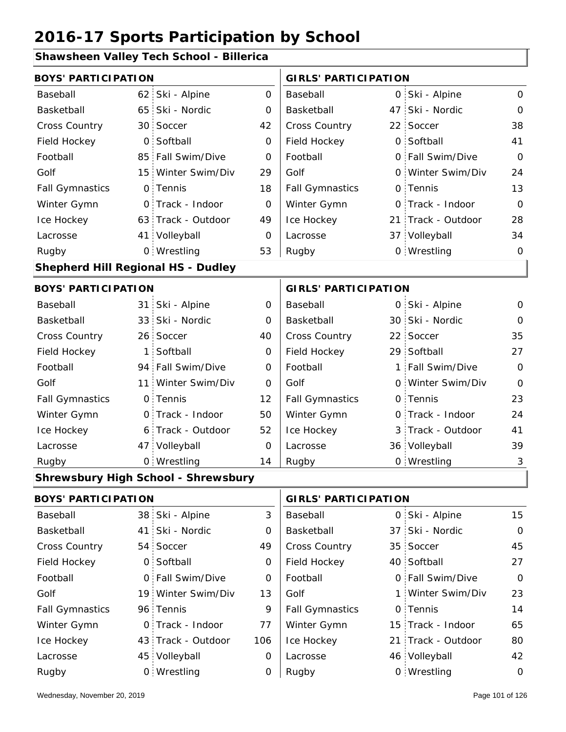### **Shawsheen Valley Tech School - Billerica**

| <b>BOYS' PARTICIPATION</b>         |                 |                                     |     | <b>GIRLS' PARTICIPATION</b> |  |                    |             |
|------------------------------------|-----------------|-------------------------------------|-----|-----------------------------|--|--------------------|-------------|
| Baseball                           | 62 <sub>1</sub> | Ski - Alpine                        | 0   | Baseball                    |  | 0 Ski - Alpine     | 0           |
| Basketball                         |                 | 65 Ski - Nordic                     | 0   | Basketball                  |  | 47 Ski - Nordic    | $\mathbf 0$ |
| <b>Cross Country</b>               |                 | 30 Soccer                           | 42  | Cross Country               |  | 22 Soccer          | 38          |
| Field Hockey                       | $\mathsf{O}$    | Softball                            | 0   | Field Hockey                |  | 0 Softball         | 41          |
| Football                           | 85              | Fall Swim/Dive                      | 0   | Football                    |  | 0 Fall Swim/Dive   | $\mathbf 0$ |
| Golf                               |                 | 15 Winter Swim/Div                  | 29  | Golf                        |  | 0 Winter Swim/Div  | 24          |
| <b>Fall Gymnastics</b>             |                 | 0 Tennis                            | 18  | <b>Fall Gymnastics</b>      |  | 0 Tennis           | 13          |
| Winter Gymn                        |                 | O Track - Indoor                    | 0   | Winter Gymn                 |  | 0 Track - Indoor   | $\Omega$    |
| Ice Hockey                         |                 | 63 Track - Outdoor                  | 49  | Ice Hockey                  |  | 21 Track - Outdoor | 28          |
| Lacrosse                           |                 | 41 Volleyball                       | 0   | Lacrosse                    |  | 37 Volleyball      | 34          |
| Rugby                              |                 | 0 Wrestling                         | 53  | Rugby                       |  | 0 Wrestling        | $\mathbf 0$ |
| Shepherd Hill Regional HS - Dudley |                 |                                     |     |                             |  |                    |             |
| <b>BOYS' PARTICIPATION</b>         |                 |                                     |     | <b>GIRLS' PARTICIPATION</b> |  |                    |             |
| Baseball                           |                 | 31 Ski - Alpine                     | 0   | Baseball                    |  | 0 Ski - Alpine     | 0           |
| Basketball                         |                 | 33 Ski - Nordic                     | 0   | Basketball                  |  | 30 Ski - Nordic    | $\mathbf 0$ |
| <b>Cross Country</b>               |                 | 26 Soccer                           | 40  | Cross Country               |  | 22 Soccer          | 35          |
| Field Hockey                       | 1               | Softball                            | 0   | Field Hockey                |  | 29 Softball        | 27          |
| Football                           |                 | 94 Fall Swim/Dive                   | 0   | Football                    |  | 1 Fall Swim/Dive   | $\mathbf 0$ |
| Golf                               | 11 <sup>1</sup> | Winter Swim/Div                     | 0   | Golf                        |  | 0 Winter Swim/Div  | $\mathbf 0$ |
| <b>Fall Gymnastics</b>             |                 | 0 Tennis                            | 12  | <b>Fall Gymnastics</b>      |  | 0 Tennis           | 23          |
| Winter Gymn                        | $\mathsf{O}$    | Track - Indoor                      | 50  | Winter Gymn                 |  | O Track - Indoor   | 24          |
| Ice Hockey                         | 6 <sup>1</sup>  | Track - Outdoor                     | 52  | Ice Hockey                  |  | 3 Track - Outdoor  | 41          |
| Lacrosse                           |                 | 47 Volleyball                       | 0   | Lacrosse                    |  | 36 Volleyball      | 39          |
| Rugby                              |                 | 0 Wrestling                         | 14  | Rugby                       |  | 0 Wrestling        | 3           |
|                                    |                 | Shrewsbury High School - Shrewsbury |     |                             |  |                    |             |
| <b>BOYS' PARTICIPATION</b>         |                 |                                     |     | <b>GIRLS' PARTICIPATION</b> |  |                    |             |
| Baseball                           |                 | 38 Ski - Alpine                     | 3   | Baseball                    |  | 0 Ski - Alpine     | 15          |
| Basketball                         | 41              | Ski - Nordic                        | 0   | Basketball                  |  | 37 Ski - Nordic    | $\mathbf 0$ |
| Cross Country                      |                 | 54 Soccer                           | 49  | Cross Country               |  | 35 Soccer          | 45          |
| Field Hockey                       | $\overline{O}$  | Softball                            | 0   | Field Hockey                |  | 40 Softball        | 27          |
| Football                           |                 | 0 Fall Swim/Dive                    | 0   | Football                    |  | 0 Fall Swim/Dive   | $\mathbf 0$ |
| Golf                               |                 | 19 Winter Swim/Div                  | 13  | Golf                        |  | 1 Winter Swim/Div  | 23          |
| <b>Fall Gymnastics</b>             |                 | 96 Tennis                           | 9   | <b>Fall Gymnastics</b>      |  | 0 Tennis           | 14          |
| Winter Gymn                        | $\mathsf{O}$    | Track - Indoor                      | 77  | Winter Gymn                 |  | 15 Track - Indoor  | 65          |
| Ice Hockey                         | 43              | Track - Outdoor                     | 106 | Ice Hockey                  |  | 21 Track - Outdoor | 80          |
| Lacrosse                           |                 | 45 Volleyball                       | 0   | Lacrosse                    |  | 46 Volleyball      | 42          |
| Rugby                              |                 | 0 Wrestling                         | 0   | Rugby                       |  | 0 Wrestling        | $\mathbf 0$ |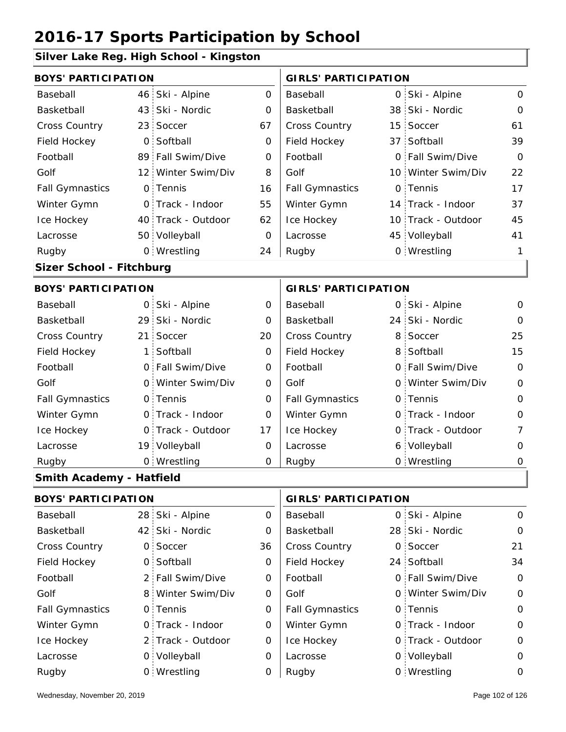### **Silver Lake Reg. High School - Kingston**

|                          | <b>BOYS' PARTICIPATION</b> |                    |          |                        |  | <b>GIRLS' PARTICIPATION</b> |          |  |  |
|--------------------------|----------------------------|--------------------|----------|------------------------|--|-----------------------------|----------|--|--|
| Baseball                 |                            | 46 Ski - Alpine    | $\Omega$ | Baseball               |  | 0 Ski - Alpine              | 0        |  |  |
| Basketball               |                            | 43 Ski - Nordic    | 0        | Basketball             |  | 38 Ski - Nordic             | 0        |  |  |
| <b>Cross Country</b>     |                            | 23 Soccer          | 67       | <b>Cross Country</b>   |  | 15 Soccer                   | 61       |  |  |
| Field Hockey             |                            | 0 Softball         | $\Omega$ | Field Hockey           |  | 37 Softball                 | 39       |  |  |
| Football                 |                            | 89 Fall Swim/Dive  | $\Omega$ | Football               |  | 0 Fall Swim/Dive            | $\Omega$ |  |  |
| Golf                     |                            | 12 Winter Swim/Div | 8        | Golf                   |  | 10 Winter Swim/Div          | 22       |  |  |
| <b>Fall Gymnastics</b>   |                            | 0 Tennis           | 16       | <b>Fall Gymnastics</b> |  | 0 Tennis                    | 17       |  |  |
| Winter Gymn              |                            | 0 Track - Indoor   | 55       | Winter Gymn            |  | 14 Track - Indoor           | 37       |  |  |
| Ice Hockey               |                            | 40 Track - Outdoor | 62       | Ice Hockey             |  | 10 Track - Outdoor          | 45       |  |  |
| Lacrosse                 |                            | 50 Volleyball      | 0        | Lacrosse               |  | 45 Volleyball               | 41       |  |  |
| Rugby                    |                            | 0 Wrestling        | 24       | Rugby                  |  | 0 Wrestling                 | 1        |  |  |
| Sizer School - Fitchburg |                            |                    |          |                        |  |                             |          |  |  |

#### **BOYS' PARTICIPATION GIRLS' PARTICIPATION**

| Baseball               | 0 Ski - Alpine    | 0        | Baseball               | 0 Ski - Alpine    | $\Omega$ |
|------------------------|-------------------|----------|------------------------|-------------------|----------|
| Basketball             | 29 Ski - Nordic   | $\Omega$ | Basketball             | 24 Ski - Nordic   | 0        |
| <b>Cross Country</b>   | 21 Soccer         | 20       | <b>Cross Country</b>   | 8 Soccer          | 25       |
| Field Hockey           | 1 Softball        | 0        | Field Hockey           | 8 Softball        | 15       |
| Football               | 0 Fall Swim/Dive  | 0        | Football               | 0 Fall Swim/Dive  | $\Omega$ |
| Golf                   | 0 Winter Swim/Div | O        | Golf                   | 0 Winter Swim/Div | $\Omega$ |
| <b>Fall Gymnastics</b> | 0 Tennis          | 0        | <b>Fall Gymnastics</b> | 0 Tennis          | $\Omega$ |
| Winter Gymn            | 0 Track - Indoor  | 0        | Winter Gymn            | 0 Track - Indoor  | 0        |
| Ice Hockey             | 0 Track - Outdoor | 17       | Ice Hockey             | 0 Track - Outdoor | 7        |
| Lacrosse               | 19 Volleyball     | O        | Lacrosse               | 6 Volleyball      | $\Omega$ |
| Rugby                  | 0 Wrestling       | O        | Rugby                  | 0 Wrestling       | 0        |

### **Smith Academy - Hatfield**

| <b>BOYS' PARTICIPATION</b> |                   |          | <b>GIRLS' PARTICIPATION</b> |  |                   |             |
|----------------------------|-------------------|----------|-----------------------------|--|-------------------|-------------|
| Baseball                   | 28 Ski - Alpine   | $\Omega$ | Baseball                    |  | 0 Ski - Alpine    | $\Omega$    |
| Basketball                 | 42 Ski - Nordic   | 0        | Basketball                  |  | 28 Ski - Nordic   | $\mathbf 0$ |
| <b>Cross Country</b>       | 0 Soccer          | 36       | <b>Cross Country</b>        |  | 0 Soccer          | 21          |
| Field Hockey               | 0 Softball        | 0        | Field Hockey                |  | 24 Softball       | 34          |
| Football                   | 2 Fall Swim/Dive  | 0        | Football                    |  | 0 Fall Swim/Dive  | $\mathbf 0$ |
| Golf                       | 8 Winter Swim/Div | 0        | Golf                        |  | 0 Winter Swim/Div | $\mathbf 0$ |
| <b>Fall Gymnastics</b>     | 0 Tennis          | 0        | <b>Fall Gymnastics</b>      |  | 0 Tennis          | $\mathbf 0$ |
| Winter Gymn                | 0 Track - Indoor  | 0        | Winter Gymn                 |  | 0 Track - Indoor  | $\mathbf 0$ |
| Ice Hockey                 | 2 Track - Outdoor | 0        | Ice Hockey                  |  | 0 Track - Outdoor | $\mathbf 0$ |
| Lacrosse                   | 0 Volleyball      | 0        | Lacrosse                    |  | 0 Volleyball      | $\mathbf 0$ |
| Rugby                      | 0 Wrestling       | 0        | Rugby                       |  | 0 Wrestling       | 0           |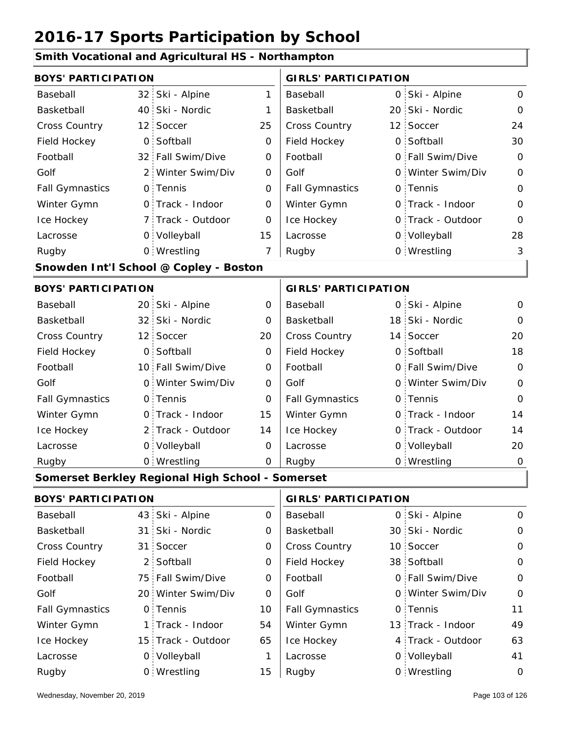#### **Smith Vocational and Agricultural HS - Northampton**

| <b>BOYS' PARTICIPATION</b> |                 |                                                  |             | <b>GIRLS' PARTICIPATION</b> |  |                   |                |
|----------------------------|-----------------|--------------------------------------------------|-------------|-----------------------------|--|-------------------|----------------|
| Baseball                   |                 | 32 Ski - Alpine                                  | 1           | Baseball                    |  | 0 Ski - Alpine    | $\mathbf 0$    |
| Basketball                 |                 | 40 Ski - Nordic                                  | 1           | Basketball                  |  | 20 Ski - Nordic   | $\Omega$       |
| <b>Cross Country</b>       |                 | 12 Soccer                                        | 25          | Cross Country               |  | 12 Soccer         | 24             |
| Field Hockey               | $\mathsf{O}$    | Softball                                         | $\mathbf 0$ | Field Hockey                |  | 0 Softball        | 30             |
| Football                   |                 | 32 Fall Swim/Dive                                | 0           | Football                    |  | 0 Fall Swim/Dive  | $\Omega$       |
| Golf                       | $2^{\circ}$     | Winter Swim/Div                                  | 0           | Golf                        |  | 0 Winter Swim/Div | $\mathbf 0$    |
| <b>Fall Gymnastics</b>     |                 | 0 Tennis                                         | 0           | <b>Fall Gymnastics</b>      |  | 0 Tennis          | $\mathbf{O}$   |
| Winter Gymn                |                 | 0 Track - Indoor                                 | 0           | Winter Gymn                 |  | O Track - Indoor  | $\mathbf{O}$   |
| Ice Hockey                 |                 | 7 Track - Outdoor                                | 0           | Ice Hockey                  |  | 0 Track - Outdoor | $\overline{O}$ |
| Lacrosse                   |                 | 0 Volleyball                                     | 15          | Lacrosse                    |  | 0 Volleyball      | 28             |
| Rugby                      |                 | 0 Wrestling                                      | 7           | Rugby                       |  | 0 Wrestling       | 3              |
|                            |                 | Snowden Int'l School @ Copley - Boston           |             |                             |  |                   |                |
| <b>BOYS' PARTICIPATION</b> |                 |                                                  |             | <b>GIRLS' PARTICIPATION</b> |  |                   |                |
| Baseball                   |                 | 20 Ski - Alpine                                  | $\mathbf 0$ | Baseball                    |  | 0 Ski - Alpine    | $\mathbf 0$    |
| Basketball                 |                 | 32 Ski - Nordic                                  | 0           | Basketball                  |  | 18 Ski - Nordic   | 0              |
| Cross Country              |                 | 12 Soccer                                        | 20          | Cross Country               |  | 14 Soccer         | 20             |
| Field Hockey               |                 | 0 Softball                                       | $\mathbf 0$ | Field Hockey                |  | 0 Softball        | 18             |
| Football                   |                 | 10 Fall Swim/Dive                                | 0           | Football                    |  | 0 Fall Swim/Dive  | $\mathbf 0$    |
| Golf                       |                 | 0 Winter Swim/Div                                | 0           | Golf                        |  | 0 Winter Swim/Div | $\mathbf 0$    |
| <b>Fall Gymnastics</b>     |                 | 0 Tennis                                         | 0           | <b>Fall Gymnastics</b>      |  | 0 Tennis          | $\mathbf{O}$   |
| Winter Gymn                |                 | 0 Track - Indoor                                 | 15          | Winter Gymn                 |  | O Track - Indoor  | 14             |
| Ice Hockey                 |                 | 2 Track - Outdoor                                | 14          | Ice Hockey                  |  | 0 Track - Outdoor | 14             |
| Lacrosse                   |                 | 0 Volleyball                                     | 0           | Lacrosse                    |  | 0 Volleyball      | 20             |
| Rugby                      |                 | 0 Wrestling                                      | $\mathbf 0$ | Rugby                       |  | 0 Wrestling       | $\mathbf 0$    |
|                            |                 | Somerset Berkley Regional High School - Somerset |             |                             |  |                   |                |
| <b>BOYS' PARTICIPATION</b> |                 |                                                  |             | <b>GIRLS' PARTICIPATION</b> |  |                   |                |
| Baseball                   | 43              | Ski - Alpine                                     | 0           | Baseball                    |  | 0 Ski - Alpine    | 0              |
| Basketball                 | 31              | Ski - Nordic                                     | 0           | Basketball                  |  | 30 Ski - Nordic   | $\mathbf 0$    |
| Cross Country              | 31 <sup>2</sup> | Soccer                                           | 0           | Cross Country               |  | 10 Soccer         | $\mathbf 0$    |
| Field Hockey               | 2:              | Softball                                         | 0           | Field Hockey                |  | 38 Softball       | 0              |
| Football                   |                 | 75 Fall Swim/Dive                                | 0           | Football                    |  | 0 Fall Swim/Dive  | $\mathbf 0$    |
| Golf                       |                 | 20 Winter Swim/Div                               | 0           | Golf                        |  | 0 Winter Swim/Div | 0              |
| <b>Fall Gymnastics</b>     |                 | 0 Tennis                                         | 10          | <b>Fall Gymnastics</b>      |  | 0 Tennis          | 11             |
| Winter Gymn                | 1 :             | Track - Indoor                                   | 54          | Winter Gymn                 |  | 13 Track - Indoor | 49             |
| Ice Hockey                 |                 | 15 Track - Outdoor                               | 65          | Ice Hockey                  |  | 4 Track - Outdoor | 63             |
| Lacrosse                   |                 | 0 Volleyball                                     | 1           | Lacrosse                    |  | 0 Volleyball      | 41             |
| Rugby                      |                 | 0 Wrestling                                      | 15          | Rugby                       |  | 0 Wrestling       | 0              |

 $\overline{\phantom{a}}$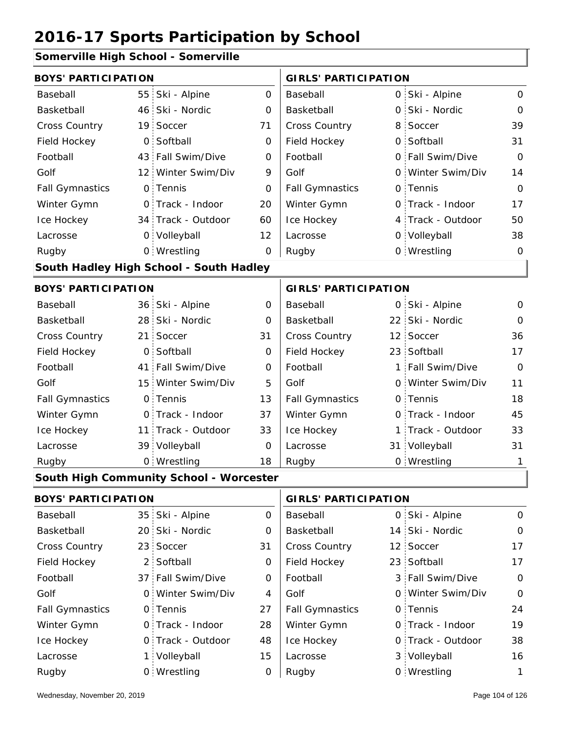### **Somerville High School - Somerville**

| <b>BOYS' PARTICIPATION</b> |                                         |              | <b>GIRLS' PARTICIPATION</b> |     |                   |              |  |
|----------------------------|-----------------------------------------|--------------|-----------------------------|-----|-------------------|--------------|--|
| Baseball                   | 55 Ski - Alpine                         | $\mathbf 0$  | Baseball                    |     | 0 Ski - Alpine    | $\mathsf{O}$ |  |
| Basketball                 | 46 Ski - Nordic                         | 0            | Basketball                  |     | 0 Ski - Nordic    | $\mathbf{O}$ |  |
| Cross Country              | 19 Soccer                               | 71           | Cross Country               |     | 8 Soccer          | 39           |  |
| Field Hockey               | 0 Softball                              | 0            | Field Hockey                |     | 0 Softball        | 31           |  |
| Football                   | 43 Fall Swim/Dive                       | $\mathbf 0$  | Football                    |     | 0 Fall Swim/Dive  | 0            |  |
| Golf                       | 12 Winter Swim/Div                      | 9            | Golf                        |     | 0 Winter Swim/Div | 14           |  |
| <b>Fall Gymnastics</b>     | 0 Tennis                                | $\mathbf 0$  | <b>Fall Gymnastics</b>      |     | 0 Tennis          | 0            |  |
| Winter Gymn                | O Track - Indoor                        | 20           | Winter Gymn                 |     | O Track - Indoor  | 17           |  |
| Ice Hockey                 | 34 Track - Outdoor                      | 60           | Ice Hockey                  |     | 4 Track - Outdoor | 50           |  |
| Lacrosse                   | 0 Volleyball                            | 12           | Lacrosse                    |     | 0 Volleyball      | 38           |  |
| Rugby                      | 0 Wrestling                             | 0            | Rugby                       |     | 0 Wrestling       | 0            |  |
|                            | South Hadley High School - South Hadley |              |                             |     |                   |              |  |
| <b>BOYS' PARTICIPATION</b> |                                         |              | <b>GIRLS' PARTICIPATION</b> |     |                   |              |  |
| Baseball                   | 36 Ski - Alpine                         | 0            | Baseball                    |     | 0 Ski - Alpine    | 0            |  |
| Basketball                 | 28 Ski - Nordic                         | 0            | Basketball                  |     | 22 Ski - Nordic   | $\Omega$     |  |
| Cross Country              | 21 Soccer                               | 31           | Cross Country               |     | 12 Soccer         | 36           |  |
| Field Hockey               | 0 Softball                              | 0            | Field Hockey                |     | 23 Softball       | 17           |  |
| Football                   | 41 Fall Swim/Dive                       | $\mathbf 0$  | Football                    | 1:  | Fall Swim/Dive    | 0            |  |
| Golf                       | 15 Winter Swim/Div                      | 5            | Golf                        |     | 0 Winter Swim/Div | 11           |  |
| <b>Fall Gymnastics</b>     | 0 Tennis                                | 13           | <b>Fall Gymnastics</b>      |     | 0 Tennis          | 18           |  |
| Winter Gymn                | O Track - Indoor                        | 37           | Winter Gymn                 |     | O Track - Indoor  | 45           |  |
| Ice Hockey                 | 11 Track - Outdoor                      | 33           | Ice Hockey                  |     | 1 Track - Outdoor | 33           |  |
| Lacrosse                   | 39 Volleyball                           | $\mathbf 0$  | Lacrosse                    |     | 31 Volleyball     | 31           |  |
| Rugby                      | 0 Wrestling                             | 18           | Rugby                       |     | 0 Wrestling       | 1            |  |
|                            | South High Community School - Worcester |              |                             |     |                   |              |  |
| <b>BOYS' PARTICIPATION</b> |                                         |              | <b>GIRLS' PARTICIPATION</b> |     |                   |              |  |
| Baseball                   | 35 Ski - Alpine                         | $\mathsf{O}$ | Baseball                    |     | 0 Ski - Alpine    | 0            |  |
| Basketball                 | 20 Ski - Nordic                         | $\mathbf 0$  | Basketball                  | 14: | Ski - Nordic      | $\mathbf 0$  |  |
| Cross Country              | 23 Soccer                               | 31           | Cross Country               |     | 12 Soccer         | 17           |  |
| Field Hockey               | 2 Softball                              | 0            | Field Hockey                |     | 23 Softball       | 17           |  |
| Football                   | 37 Fall Swim/Dive                       | 0            | Football                    |     | 3 Fall Swim/Dive  | 0            |  |
| Golf                       | 0 Winter Swim/Div                       | 4            | Golf                        |     | 0 Winter Swim/Div | 0            |  |
| <b>Fall Gymnastics</b>     | 0 Tennis                                | 27           | <b>Fall Gymnastics</b>      |     | 0 Tennis          | 24           |  |
| Winter Gymn                | 0 Track - Indoor                        | 28           | Winter Gymn                 |     | O Track - Indoor  | 19           |  |
| Ice Hockey                 | 0 Track - Outdoor                       | 48           | Ice Hockey                  |     | 0 Track - Outdoor | 38           |  |
| Lacrosse                   | 1 Volleyball                            | 15           | Lacrosse                    |     | 3 Volleyball      | 16           |  |
| Rugby                      | 0 Wrestling                             | 0            | Rugby                       |     | 0 Wrestling       | $\mathbf{1}$ |  |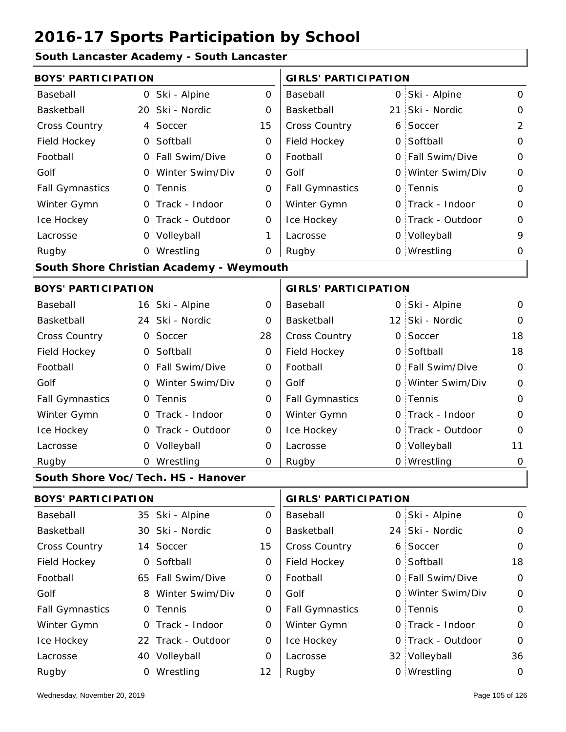#### **South Lancaster Academy - South Lancaster**

| <b>BOYS' PARTICIPATION</b> |              |                                          |             | <b>GIRLS' PARTICIPATION</b> |                 |                   |                |  |
|----------------------------|--------------|------------------------------------------|-------------|-----------------------------|-----------------|-------------------|----------------|--|
| Baseball                   |              | 0 Ski - Alpine                           | $\mathsf O$ | Baseball                    |                 | 0 Ski - Alpine    | $\mathsf{O}$   |  |
| Basketball                 |              | 20 Ski - Nordic                          | 0           | Basketball                  | 21 <sub>1</sub> | Ski - Nordic      | $\mathsf O$    |  |
| Cross Country              |              | 4 Soccer                                 | 15          | Cross Country               |                 | 6 Soccer          | $\overline{2}$ |  |
| Field Hockey               |              | 0 Softball                               | $\mathbf 0$ | Field Hockey                |                 | 0 Softball        | $\mathbf 0$    |  |
| Football                   |              | 0 Fall Swim/Dive                         | 0           | Football                    |                 | 0 Fall Swim/Dive  | $\mathbf 0$    |  |
| Golf                       |              | 0 Winter Swim/Div                        | 0           | Golf                        | O               | Winter Swim/Div   | $\mathbf 0$    |  |
| <b>Fall Gymnastics</b>     |              | 0 Tennis                                 | $\mathbf 0$ | <b>Fall Gymnastics</b>      |                 | 0 Tennis          | $\mathbf 0$    |  |
| Winter Gymn                |              | O Track - Indoor                         | $\mathbf 0$ | Winter Gymn                 |                 | O Track - Indoor  | $\mathbf 0$    |  |
| Ice Hockey                 |              | 0 Track - Outdoor                        | 0           | Ice Hockey                  |                 | 0 Track - Outdoor | 0              |  |
| Lacrosse                   |              | 0 Volleyball                             | 1           | Lacrosse                    |                 | 0 Volleyball      | 9              |  |
| Rugby                      |              | 0 Wrestling                              | $\mathbf 0$ | Rugby                       |                 | 0 Wrestling       | O              |  |
|                            |              | South Shore Christian Academy - Weymouth |             |                             |                 |                   |                |  |
| <b>BOYS' PARTICIPATION</b> |              |                                          |             | <b>GIRLS' PARTICIPATION</b> |                 |                   |                |  |
| Baseball                   |              | 16 Ski - Alpine                          | 0           | Baseball                    |                 | 0 Ski - Alpine    | 0              |  |
| Basketball                 |              | 24 Ski - Nordic                          | 0           | Basketball                  |                 | 12 Ski - Nordic   | 0              |  |
| Cross Country              |              | 0 Soccer                                 | 28          | Cross Country               |                 | 0 Soccer          | 18             |  |
| Field Hockey               |              | 0 Softball                               | 0           | Field Hockey                |                 | 0 Softball        | 18             |  |
| Football                   |              | 0 Fall Swim/Dive                         | 0           | Football                    |                 | 0 Fall Swim/Dive  | $\mathbf 0$    |  |
| Golf                       | $\mathsf{O}$ | Winter Swim/Div                          | O           | Golf                        |                 | 0 Winter Swim/Div | $\mathbf 0$    |  |
| <b>Fall Gymnastics</b>     |              | 0 Tennis                                 | $\mathbf 0$ | <b>Fall Gymnastics</b>      |                 | 0 Tennis          | $\mathbf 0$    |  |
| Winter Gymn                |              | O Track - Indoor                         | $\mathbf 0$ | Winter Gymn                 |                 | O Track - Indoor  | $\mathbf 0$    |  |
| Ice Hockey                 |              | 0 Track - Outdoor                        | 0           | Ice Hockey                  |                 | 0 Track - Outdoor | $\mathbf 0$    |  |
| Lacrosse                   |              | 0 Volleyball                             | 0           | Lacrosse                    |                 | 0 Volleyball      | 11             |  |
| Rugby                      |              | 0 Wrestling                              | 0           | Rugby                       |                 | 0 Wrestling       | $\mathbf 0$    |  |
|                            |              | South Shore Voc/Tech. HS - Hanover       |             |                             |                 |                   |                |  |
| <b>BOYS' PARTICIPATION</b> |              |                                          |             | <b>GIRLS' PARTICIPATION</b> |                 |                   |                |  |
| Baseball                   |              | 35 Ski - Alpine                          | 0           | Baseball                    |                 | 0 Ski - Alpine    | $\mathbf 0$    |  |
| Basketball                 |              | 30 Ski - Nordic                          | 0           | Basketball                  |                 | 24 Ski - Nordic   | $\mathbf 0$    |  |
| Cross Country              |              | 14 Soccer                                | 15          | Cross Country               |                 | 6 Soccer          | $\mathbf 0$    |  |
| Field Hockey               |              | 0 Softball                               | 0           | Field Hockey                |                 | 0 Softball        | 18             |  |
| Football                   |              | 65 Fall Swim/Dive                        | 0           | Football                    |                 | 0 Fall Swim/Dive  | $\mathbf 0$    |  |
| Golf                       |              | 8 Winter Swim/Div                        | 0           | Golf                        |                 | 0 Winter Swim/Div | $\mathbf 0$    |  |
| <b>Fall Gymnastics</b>     |              | 0 Tennis                                 | $\mathbf 0$ | <b>Fall Gymnastics</b>      |                 | 0 Tennis          | $\mathbf 0$    |  |

0

Winter Gymn Ice Hockey Lacrosse

0

0

12

Ice Hockey Lacrosse

Winter Gymn

22 Track - Outdoor

Wrestling Rugby 0 Rugby 0

0 Track - Indoor

40 Volleyball

0

0

0 Track - Indoor

0 Track - Outdoor

32 Volleyball 36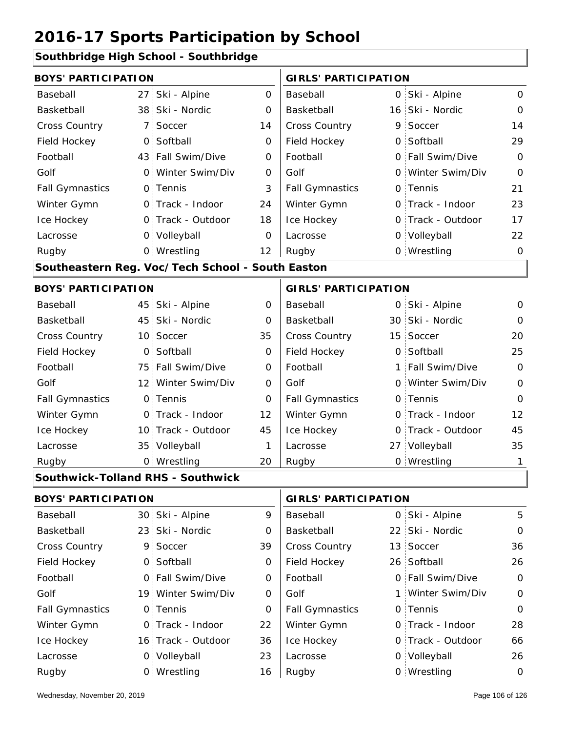#### **Southbridge High School - Southbridge**

|                            | <b>BOYS' PARTICIPATION</b> |                                                  |                |                             |  | <b>GIRLS' PARTICIPATION</b> |                |  |  |  |
|----------------------------|----------------------------|--------------------------------------------------|----------------|-----------------------------|--|-----------------------------|----------------|--|--|--|
| Baseball                   | 27 <sup>1</sup>            | Ski - Alpine                                     | $\mathbf{O}$   | Baseball                    |  | 0 Ski - Alpine              | $\mathsf{O}$   |  |  |  |
| Basketball                 |                            | 38 Ski - Nordic                                  | $\Omega$       | Basketball                  |  | 16 Ski - Nordic             | $\mathbf 0$    |  |  |  |
| Cross Country              | 7:                         | Soccer                                           | 14             | <b>Cross Country</b>        |  | 9 Soccer                    | 14             |  |  |  |
| Field Hockey               | $\mathsf{O}$               | Softball                                         | 0              | Field Hockey                |  | 0 Softball                  | 29             |  |  |  |
| Football                   |                            | 43 Fall Swim/Dive                                | 0              | Football                    |  | 0 Fall Swim/Dive            | $\mathbf 0$    |  |  |  |
| Golf                       |                            | 0 Winter Swim/Div                                | 0              | Golf                        |  | 0 Winter Swim/Div           | $\overline{O}$ |  |  |  |
| <b>Fall Gymnastics</b>     |                            | 0 Tennis                                         | 3              | <b>Fall Gymnastics</b>      |  | 0 Tennis                    | 21             |  |  |  |
| Winter Gymn                |                            | 0 Track - Indoor                                 | 24             | Winter Gymn                 |  | 0 Track - Indoor            | 23             |  |  |  |
| Ice Hockey                 |                            | 0 Track - Outdoor                                | 18             | Ice Hockey                  |  | 0 Track - Outdoor           | 17             |  |  |  |
| Lacrosse                   |                            | 0 Volleyball                                     | 0              | Lacrosse                    |  | 0 Volleyball                | 22             |  |  |  |
| Rugby                      |                            | 0 Wrestling                                      | 12             | Rugby                       |  | 0 Wrestling                 | $\mathbf 0$    |  |  |  |
|                            |                            | Southeastern Reg. Voc/Tech School - South Easton |                |                             |  |                             |                |  |  |  |
| <b>BOYS' PARTICIPATION</b> |                            |                                                  |                | <b>GIRLS' PARTICIPATION</b> |  |                             |                |  |  |  |
| Baseball                   |                            | 45 Ski - Alpine                                  | 0              | Baseball                    |  | 0 Ski - Alpine              | 0              |  |  |  |
| Basketball                 |                            | 45 Ski - Nordic                                  | $\overline{O}$ | Basketball                  |  | 30 Ski - Nordic             | $\mathbf 0$    |  |  |  |
| Cross Country              |                            | 10 Soccer                                        | 35             | Cross Country               |  | 15 Soccer                   | 20             |  |  |  |
| Field Hockey               | $\overline{O}$             | Softball                                         | 0              | Field Hockey                |  | 0 Softball                  | 25             |  |  |  |
| Football                   |                            | 75 Fall Swim/Dive                                | 0              | Football                    |  | 1 Fall Swim/Dive            | $\overline{O}$ |  |  |  |
| Golf                       |                            | 12 Winter Swim/Div                               | 0              | Golf                        |  | 0 Winter Swim/Div           | $\mathsf O$    |  |  |  |
| <b>Fall Gymnastics</b>     |                            | 0 Tennis                                         | 0              | <b>Fall Gymnastics</b>      |  | 0 Tennis                    | $\overline{O}$ |  |  |  |
| Winter Gymn                |                            | O Track - Indoor                                 | 12             | Winter Gymn                 |  | O Track - Indoor            | 12             |  |  |  |
| Ice Hockey                 |                            | 10 Track - Outdoor                               | 45             | Ice Hockey                  |  | 0 Track - Outdoor           | 45             |  |  |  |
| Lacrosse                   |                            | 35 Volleyball                                    | 1              | Lacrosse                    |  | 27 Volleyball               | 35             |  |  |  |
| Rugby                      |                            | 0 Wrestling                                      | 20             | Rugby                       |  | 0 Wrestling                 | 1              |  |  |  |

#### **Southwick-Tolland RHS - Southwick**

| <b>BOYS' PARTICIPATION</b> |  |                    |          | <b>GIRLS' PARTICIPATION</b> |  |                   |             |
|----------------------------|--|--------------------|----------|-----------------------------|--|-------------------|-------------|
| Baseball                   |  | 30 Ski - Alpine    | 9        | Baseball                    |  | 0 Ski - Alpine    | 5           |
| Basketball                 |  | 23 Ski - Nordic    | 0        | Basketball                  |  | 22 Ski - Nordic   | $\mathbf 0$ |
| <b>Cross Country</b>       |  | 9 Soccer           | 39       | <b>Cross Country</b>        |  | 13 Soccer         | 36          |
| Field Hockey               |  | 0 Softball         | 0        | Field Hockey                |  | 26 Softball       | 26          |
| Football                   |  | 0 Fall Swim/Dive   | 0        | Football                    |  | 0 Fall Swim/Dive  | $\mathbf 0$ |
| Golf                       |  | 19 Winter Swim/Div | $\Omega$ | Golf                        |  | 1 Winter Swim/Div | $\mathbf 0$ |
| <b>Fall Gymnastics</b>     |  | 0 Tennis           | 0        | <b>Fall Gymnastics</b>      |  | 0 Tennis          | $\mathbf 0$ |
| Winter Gymn                |  | O Track - Indoor   | 22       | Winter Gymn                 |  | 0 Track - Indoor  | 28          |
| Ice Hockey                 |  | 16 Track - Outdoor | 36       | Ice Hockey                  |  | 0 Track - Outdoor | 66          |
| Lacrosse                   |  | 0 Volleyball       | 23       | Lacrosse                    |  | 0 Volleyball      | 26          |
| Rugby                      |  | 0 Wrestling        | 16       | Rugby                       |  | 0 Wrestling       | $\mathbf 0$ |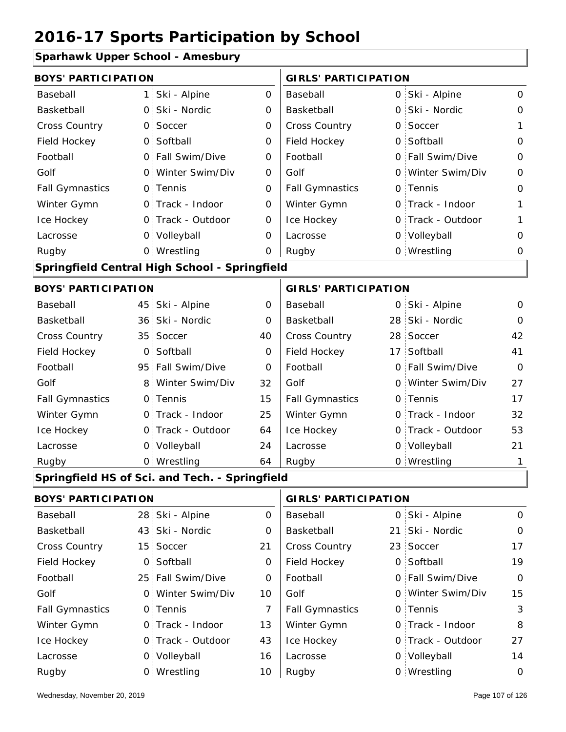|  |  |  | <b>Sparhawk Upper School - Amesbury</b> |
|--|--|--|-----------------------------------------|
|--|--|--|-----------------------------------------|

| Sparnawn Opper Senoor - Annesbary |                 |                                                |             |                             |    |                   |             |
|-----------------------------------|-----------------|------------------------------------------------|-------------|-----------------------------|----|-------------------|-------------|
| <b>BOYS' PARTICIPATION</b>        |                 |                                                |             | <b>GIRLS' PARTICIPATION</b> |    |                   |             |
| Baseball                          | 1:              | Ski - Alpine                                   | 0           | Baseball                    |    | 0 Ski - Alpine    | 0           |
| Basketball                        |                 | 0 Ski - Nordic                                 | 0           | Basketball                  | 0  | Ski - Nordic      | 0           |
| <b>Cross Country</b>              | $\mathsf{O}$    | Soccer                                         | 0           | Cross Country               | 0  | Soccer            | 1           |
| Field Hockey                      | $\overline{O}$  | Softball                                       | 0           | Field Hockey                | 0  | Softball          | 0           |
| Football                          |                 | 0 Fall Swim/Dive                               | $\mathbf 0$ | Football                    |    | 0 Fall Swim/Dive  | 0           |
| Golf                              |                 | 0 Winter Swim/Div                              | 0           | Golf                        |    | 0 Winter Swim/Div | $\mathbf 0$ |
| <b>Fall Gymnastics</b>            |                 | 0 Tennis                                       | $\mathbf 0$ | <b>Fall Gymnastics</b>      |    | 0 Tennis          | $\mathbf 0$ |
| Winter Gymn                       |                 | 0 Track - Indoor                               | O           | Winter Gymn                 | 0  | Track - Indoor    | 1           |
| Ice Hockey                        |                 | 0 Track - Outdoor                              | 0           | Ice Hockey                  |    | 0 Track - Outdoor | 1           |
| Lacrosse                          |                 | 0 Volleyball                                   | O           | Lacrosse                    |    | 0 Volleyball      | $\mathbf 0$ |
| Rugby                             |                 | 0 Wrestling                                    | 0           | Rugby                       |    | 0 Wrestling       | 0           |
|                                   |                 | Springfield Central High School - Springfield  |             |                             |    |                   |             |
| <b>BOYS' PARTICIPATION</b>        |                 |                                                |             | <b>GIRLS' PARTICIPATION</b> |    |                   |             |
| Baseball                          | 45              | Ski - Alpine                                   | 0           | Baseball                    |    | 0 Ski - Alpine    | 0           |
| Basketball                        |                 | 36 Ski - Nordic                                | 0           | Basketball                  |    | 28 Ski - Nordic   | $\Omega$    |
| Cross Country                     | 35 <sup>1</sup> | Soccer                                         | 40          | Cross Country               |    | 28 Soccer         | 42          |
| Field Hockey                      | $\mathsf{O}$    | Softball                                       | $\mathbf 0$ | Field Hockey                | 17 | Softball          | 41          |
| Football                          |                 | 95 Fall Swim/Dive                              | 0           | Football                    |    | 0 Fall Swim/Dive  | $\mathbf 0$ |
| Golf                              | 8:              | Winter Swim/Div                                | 32          | Golf                        |    | 0 Winter Swim/Div | 27          |
| <b>Fall Gymnastics</b>            |                 | 0 Tennis                                       | 15          | <b>Fall Gymnastics</b>      |    | 0 Tennis          | 17          |
| Winter Gymn                       |                 | 0 Track - Indoor                               | 25          | Winter Gymn                 |    | 0 Track - Indoor  | 32          |
| Ice Hockey                        |                 | 0 Track - Outdoor                              | 64          | Ice Hockey                  |    | 0 Track - Outdoor | 53          |
| Lacrosse                          |                 | 0 Volleyball                                   | 24          | Lacrosse                    |    | 0 Volleyball      | 21          |
| Rugby                             |                 | 0 Wrestling                                    | 64          | Rugby                       |    | 0 Wrestling       | 1           |
|                                   |                 | Springfield HS of Sci. and Tech. - Springfield |             |                             |    |                   |             |
| <b>BOYS' PARTICIPATION</b>        |                 |                                                |             | <b>GIRLS' PARTICIPATION</b> |    |                   |             |
| Baseball                          |                 | 28 Ski - Alpine                                | 0           | Baseball                    |    | 0 Ski - Alpine    | 0           |
| Basketball                        |                 | 43 Ski - Nordic                                | 0           | Basketball                  | 21 | Ski - Nordic      | $\mathbf 0$ |
| Cross Country                     |                 | 15 Soccer                                      | 21          | Cross Country               |    | 23 Soccer         | 17          |
| Field Hockey                      | $\mathsf{O}$    | Softball                                       | 0           | Field Hockey                |    | 0 Softball        | 19          |
| Football                          |                 | 25 Fall Swim/Dive                              | 0           | Football                    |    | 0 Fall Swim/Dive  | $\mathbf 0$ |
| Golf                              |                 | 0 Winter Swim/Div                              | 10          | Golf                        |    | 0 Winter Swim/Div | 15          |
| <b>Fall Gymnastics</b>            |                 | 0 Tennis                                       | 7           | <b>Fall Gymnastics</b>      |    | 0 Tennis          | 3           |
| Winter Gymn                       |                 | 0 Track - Indoor                               | 13          | Winter Gymn                 |    | 0 Track - Indoor  | 8           |

43

16

 $10$  Rugby

Ice Hockey Lacrosse

Ice Hockey Lacrosse

0 Track - Outdoor

Wrestling Rugby 0 Rugby 0

0 Volleyball

27

0 Track - Outdoor

0 Volleyball 14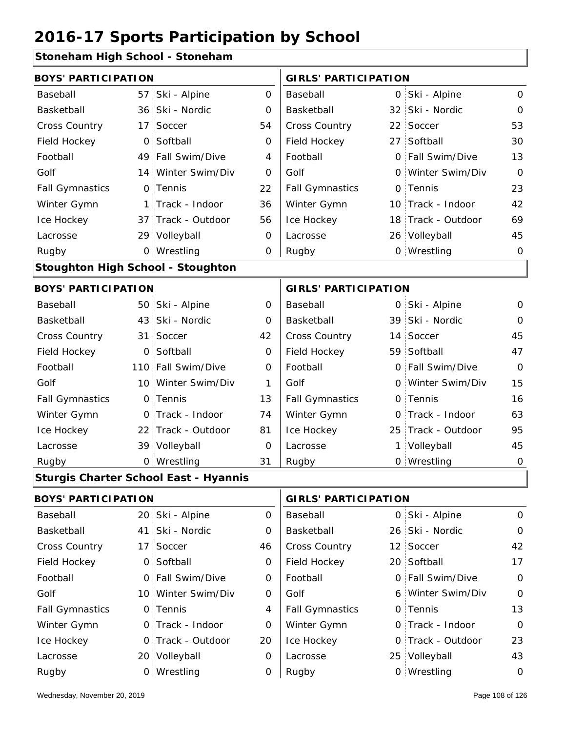### **Stoneham High School - Stoneham**

| <b>BOYS' PARTICIPATION</b> |                 |                                              |                | <b>GIRLS' PARTICIPATION</b> |    |                    |                |
|----------------------------|-----------------|----------------------------------------------|----------------|-----------------------------|----|--------------------|----------------|
| Baseball                   | 57              | Ski - Alpine                                 | $\mathsf{O}$   | Baseball                    |    | 0 Ski - Alpine     | $\overline{O}$ |
| Basketball                 | 36 <sup>1</sup> | Ski - Nordic                                 | 0              | Basketball                  |    | 32 Ski - Nordic    | $\mathbf 0$    |
| Cross Country              | 17 <sup>1</sup> | Soccer                                       | 54             | Cross Country               |    | 22 Soccer          | 53             |
| Field Hockey               | $\mathsf{O}$    | Softball                                     | 0              | Field Hockey                |    | 27 Softball        | 30             |
| Football                   |                 | 49 Fall Swim/Dive                            | 4              | Football                    |    | 0 Fall Swim/Dive   | 13             |
| Golf                       |                 | 14 Winter Swim/Div                           | 0              | Golf                        |    | 0 Winter Swim/Div  | $\Omega$       |
| <b>Fall Gymnastics</b>     |                 | 0 Tennis                                     | 22             | <b>Fall Gymnastics</b>      |    | 0 Tennis           | 23             |
| Winter Gymn                |                 | 1 Track - Indoor                             | 36             | Winter Gymn                 |    | 10 Track - Indoor  | 42             |
| Ice Hockey                 |                 | 37 Track - Outdoor                           | 56             | Ice Hockey                  |    | 18 Track - Outdoor | 69             |
| Lacrosse                   |                 | 29 Volleyball                                | 0              | Lacrosse                    |    | 26 Volleyball      | 45             |
| Rugby                      |                 | 0 Wrestling                                  | 0              | Rugby                       |    | 0 Wrestling        | $\mathbf 0$    |
|                            |                 | <b>Stoughton High School - Stoughton</b>     |                |                             |    |                    |                |
| <b>BOYS' PARTICIPATION</b> |                 |                                              |                | <b>GIRLS' PARTICIPATION</b> |    |                    |                |
| Baseball                   |                 | 50 Ski - Alpine                              | 0              | Baseball                    |    | 0 Ski - Alpine     | $\mathsf{O}$   |
| Basketball                 |                 | 43 Ski - Nordic                              | $\Omega$       | Basketball                  |    | 39 Ski - Nordic    | O              |
| Cross Country              | 31 <sup>1</sup> | Soccer                                       | 42             | <b>Cross Country</b>        |    | 14 Soccer          | 45             |
| Field Hockey               |                 | 0 Softball                                   | $\overline{O}$ | Field Hockey                |    | 59 Softball        | 47             |
| Football                   |                 | 110 Fall Swim/Dive                           | 0              | Football                    |    | 0 Fall Swim/Dive   | $\Omega$       |
| Golf                       |                 | 10 Winter Swim/Div                           | 1              | Golf                        |    | 0 Winter Swim/Div  | 15             |
| <b>Fall Gymnastics</b>     |                 | 0 Tennis                                     | 13             | <b>Fall Gymnastics</b>      |    | 0 Tennis           | 16             |
| Winter Gymn                |                 | 0 Track - Indoor                             | 74             | Winter Gymn                 | O  | Track - Indoor     | 63             |
| Ice Hockey                 |                 | 22 Track - Outdoor                           | 81             | Ice Hockey                  | 25 | Track - Outdoor    | 95             |
| Lacrosse                   |                 | 39 Volleyball                                | $\mathbf 0$    | Lacrosse                    |    | 1 Volleyball       | 45             |
| Rugby                      |                 | 0 Wrestling                                  | 31             | Rugby                       |    | 0 Wrestling        | $\mathbf 0$    |
|                            |                 | <b>Sturgis Charter School East - Hyannis</b> |                |                             |    |                    |                |
| <b>BOYS' PARTICIPATION</b> |                 |                                              |                | <b>GIRLS' PARTICIPATION</b> |    |                    |                |
|                            |                 | $\sim$ $\sim$ $\sim$ $\sim$ $\sim$ $\sim$    |                |                             |    | .                  |                |

| Baseball               | 20 Ski - Alpine    | 0  | Baseball               | 0 Ski - Alpine    | $\mathbf 0$ |
|------------------------|--------------------|----|------------------------|-------------------|-------------|
| Basketball             | 41 Ski - Nordic    | 0  | Basketball             | 26 Ski - Nordic   | $\mathbf 0$ |
| <b>Cross Country</b>   | 17 Soccer          | 46 | <b>Cross Country</b>   | 12 Soccer         | 42          |
| Field Hockey           | 0 Softball         | 0  | Field Hockey           | 20 Softball       | 17          |
| Football               | 0 Fall Swim/Dive   | 0  | Football               | 0 Fall Swim/Dive  | $\mathbf 0$ |
| Golf                   | 10 Winter Swim/Div | 0  | Golf                   | 6 Winter Swim/Div | $\mathbf 0$ |
| <b>Fall Gymnastics</b> | 0 Tennis           | 4  | <b>Fall Gymnastics</b> | 0 Tennis          | 13          |
| Winter Gymn            | 0 Track - Indoor   | 0  | Winter Gymn            | 0 Track - Indoor  | $\Omega$    |
| Ice Hockey             | 0 Track - Outdoor  | 20 | Ice Hockey             | 0 Track - Outdoor | 23          |
| Lacrosse               | 20 Volleyball      | 0  | Lacrosse               | 25 Volleyball     | 43          |
| Rugby                  | 0 Wrestling        | 0  | Rugby                  | 0 Wrestling       | $\mathbf 0$ |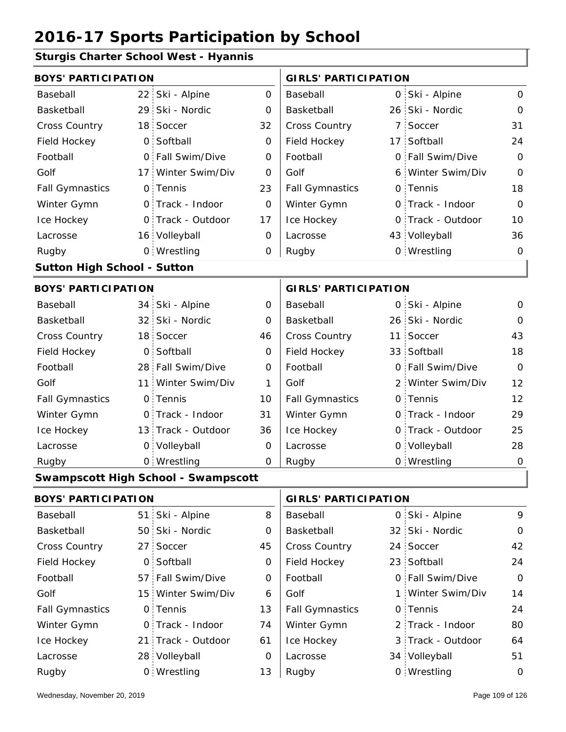#### **Sturgis Charter School West - Hyannis**

| <b>BOYS' PARTICIPATION</b>         |                 |                                            |             | <b>GIRLS' PARTICIPATION</b> |                   |                |
|------------------------------------|-----------------|--------------------------------------------|-------------|-----------------------------|-------------------|----------------|
| Baseball                           |                 | 22 Ski - Alpine                            | $\mathbf 0$ | Baseball                    | 0 Ski - Alpine    | $\mathbf 0$    |
| Basketball                         |                 | 29 Ski - Nordic                            | 0           | Basketball                  | 26 Ski - Nordic   | $\mathbf 0$    |
| Cross Country                      |                 | 18 Soccer                                  | 32          | Cross Country               | 7 Soccer          | 31             |
| Field Hockey                       | $\overline{O}$  | Softball                                   | $\mathbf 0$ | Field Hockey                | 17 Softball       | 24             |
| Football                           |                 | 0 Fall Swim/Dive                           | 0           | Football                    | 0 Fall Swim/Dive  | $\Omega$       |
| Golf                               | 17:             | Winter Swim/Div                            | 0           | Golf                        | 6 Winter Swim/Div | $\overline{O}$ |
| <b>Fall Gymnastics</b>             |                 | 0 Tennis                                   | 23          | <b>Fall Gymnastics</b>      | 0 Tennis          | 18             |
| Winter Gymn                        |                 | O Track - Indoor                           | $\mathbf 0$ | Winter Gymn                 | O Track - Indoor  | $\overline{O}$ |
| Ice Hockey                         |                 | 0 Track - Outdoor                          | 17          | Ice Hockey                  | 0 Track - Outdoor | 10             |
| Lacrosse                           |                 | 16 Volleyball                              | 0           | Lacrosse                    | 43 Volleyball     | 36             |
| Rugby                              |                 | 0 Wrestling                                | 0           | Rugby                       | 0 Wrestling       | 0              |
| <b>Sutton High School - Sutton</b> |                 |                                            |             |                             |                   |                |
| <b>BOYS' PARTICIPATION</b>         |                 |                                            |             | <b>GIRLS' PARTICIPATION</b> |                   |                |
| Baseball                           |                 | 34 Ski - Alpine                            | 0           | Baseball                    | 0 Ski - Alpine    | $\mathbf 0$    |
| Basketball                         |                 | 32 Ski - Nordic                            | 0           | Basketball                  | 26 Ski - Nordic   | $\mathbf 0$    |
| Cross Country                      |                 | 18 Soccer                                  | 46          | Cross Country               | 11 Soccer         | 43             |
| Field Hockey                       | $\overline{O}$  | Softball                                   | $\mathbf 0$ | Field Hockey                | 33 Softball       | 18             |
| Football                           |                 | 28 Fall Swim/Dive                          | 0           | Football                    | 0 Fall Swim/Dive  | $\Omega$       |
| Golf                               | 11 <sup>1</sup> | Winter Swim/Div                            | 1           | Golf                        | 2 Winter Swim/Div | 12             |
| <b>Fall Gymnastics</b>             |                 | 0 Tennis                                   | 10          | <b>Fall Gymnastics</b>      | 0 Tennis          | 12             |
| Winter Gymn                        |                 | O Track - Indoor                           | 31          | Winter Gymn                 | O Track - Indoor  | 29             |
| Ice Hockey                         |                 | 13 Track - Outdoor                         | 36          | Ice Hockey                  | 0 Track - Outdoor | 25             |
| Lacrosse                           |                 | 0 Volleyball                               | 0           | Lacrosse                    | 0 Volleyball      | 28             |
| Rugby                              |                 | 0 Wrestling                                | 0           | Rugby                       | 0 Wrestling       | $\mathbf 0$    |
|                                    |                 | <b>Swampscott High School - Swampscott</b> |             |                             |                   |                |
| <b>BOYS' PARTICIPATION</b>         |                 |                                            |             | <b>GIRLS' PARTICIPATION</b> |                   |                |
| Baseball                           | 51.             | Ski - Alpine                               | 8           | Baseball                    | 0 Ski - Alpine    | 9              |
| Basketball                         |                 | 50 Ski - Nordic                            | 0           | Basketball                  | 32 Ski - Nordic   | $\mathbf 0$    |
| Cross Country                      | 27 <sub>1</sub> | Soccer                                     | 45          | Cross Country               | 24 Soccer         | 42             |
| Field Hockey                       |                 | 0 Softball                                 | 0           | Field Hockey                | 23 Softball       | 24             |
| Football                           |                 | 57 Fall Swim/Dive                          | 0           | Football                    | 0 Fall Swim/Dive  | $\mathbf 0$    |
| Golf                               |                 | 15 Winter Swim/Div                         | 6           | Golf                        | 1 Winter Swim/Div | 14             |
| <b>Fall Gymnastics</b>             |                 | 0 Tennis                                   | 13          | <b>Fall Gymnastics</b>      | 0 Tennis          | 24             |
| Winter Gymn                        |                 | 0 Track - Indoor                           | 74          | Winter Gymn                 | 2 Track - Indoor  | 80             |
| Ice Hockey                         |                 | 21 Track - Outdoor                         | 61          | Ice Hockey                  | 3 Track - Outdoor | 64             |

0

Lacrosse

13

Wrestling Rugby 0 Rugby 0

Lacrosse

28 Volleyball

34 Volleyball 51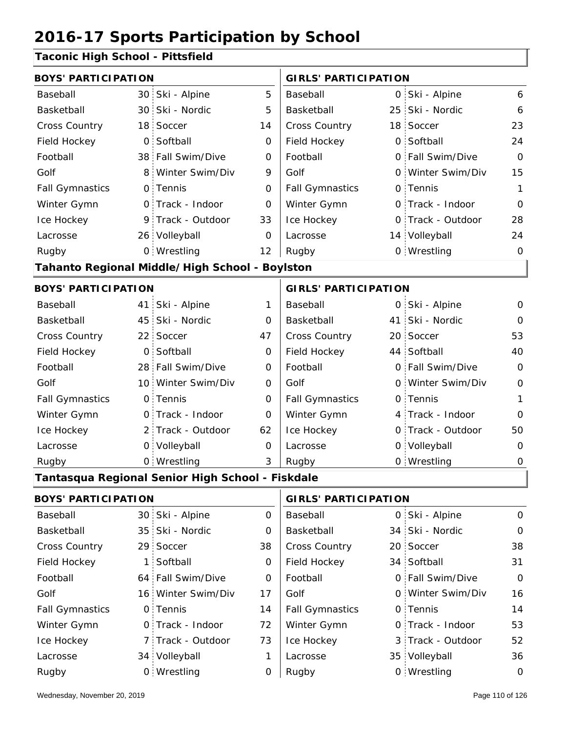#### **Taconic High School - Pittsfield**

| <b>BOYS' PARTICIPATION</b> |                 |                                                  |                             | <b>GIRLS' PARTICIPATION</b> |    |                   |              |
|----------------------------|-----------------|--------------------------------------------------|-----------------------------|-----------------------------|----|-------------------|--------------|
| Baseball                   | 30              | Ski - Alpine                                     | 5                           | Baseball                    |    | 0 Ski - Alpine    | 6            |
| Basketball                 | 30 <sup>1</sup> | Ski - Nordic                                     | 5                           | Basketball                  | 25 | Ski - Nordic      | 6            |
| Cross Country              | 18 <sup>1</sup> | Soccer                                           | 14                          | <b>Cross Country</b>        |    | 18 Soccer         | 23           |
| Field Hockey               | $\overline{O}$  | Softball                                         | 0                           | Field Hockey                |    | 0 Softball        | 24           |
| Football                   |                 | 38 Fall Swim/Dive                                | 0                           | Football                    |    | 0 Fall Swim/Dive  | $\Omega$     |
| Golf                       | 8.              | Winter Swim/Div                                  | 9                           | Golf                        |    | 0 Winter Swim/Div | 15           |
| <b>Fall Gymnastics</b>     | $\mathsf{O}$    | Tennis                                           | $\overline{O}$              | <b>Fall Gymnastics</b>      |    | 0 Tennis          | $\mathbf{1}$ |
| Winter Gymn                |                 | 0 Track - Indoor                                 | 0                           | Winter Gymn                 |    | O Track - Indoor  | 0            |
| Ice Hockey                 |                 | 9 Track - Outdoor                                | 33                          | Ice Hockey                  |    | 0 Track - Outdoor | 28           |
| Lacrosse                   |                 | 26 Volleyball                                    | 0                           | Lacrosse                    |    | 14 Volleyball     | 24           |
| Rugby                      |                 | 0 Wrestling                                      | 12                          | Rugby                       |    | 0 Wrestling       | $\mathbf 0$  |
|                            |                 | Tahanto Regional Middle/High School - Boylston   |                             |                             |    |                   |              |
| <b>BOYS' PARTICIPATION</b> |                 |                                                  | <b>GIRLS' PARTICIPATION</b> |                             |    |                   |              |
| Baseball                   | 41              | Ski - Alpine                                     | 1                           | Baseball                    |    | 0 Ski - Alpine    | 0            |
| Basketball                 | 45 <sup>1</sup> | Ski - Nordic                                     | 0                           | Basketball                  |    | 41 Ski - Nordic   | $\Omega$     |
| <b>Cross Country</b>       | 22 <sup>1</sup> | Soccer                                           | 47                          | Cross Country               |    | 20 Soccer         | 53           |
| Field Hockey               | $\circ$         | Softball                                         | 0                           | Field Hockey                |    | 44 Softball       | 40           |
| Football                   |                 | 28 Fall Swim/Dive                                | 0                           | Football                    |    | 0 Fall Swim/Dive  | $\mathbf 0$  |
| Golf                       | 10:             | Winter Swim/Div                                  | O                           | Golf                        |    | 0 Winter Swim/Div | $\mathbf 0$  |
| <b>Fall Gymnastics</b>     | 0.              | Tennis                                           | 0                           | <b>Fall Gymnastics</b>      |    | 0 Tennis          | 1            |
| Winter Gymn                | $\Omega$        | Track - Indoor                                   | $\Omega$                    | Winter Gymn                 |    | 4 Track - Indoor  | $\Omega$     |
| Ice Hockey                 | 2 <sup>1</sup>  | Track - Outdoor                                  | 62                          | Ice Hockey                  |    | 0 Track - Outdoor | 50           |
| Lacrosse                   |                 | 0 Volleyball                                     | $\overline{0}$              | Lacrosse                    |    | 0 Volleyball      | O            |
| Rugby                      |                 | 0 Wrestling                                      | 3                           | Rugby                       |    | 0 Wrestling       | 0            |
|                            |                 | Tantasqua Regional Senior High School - Fiskdale |                             |                             |    |                   |              |
| <b>BOYS' PARTICIPATION</b> |                 |                                                  |                             | <b>GIRLS' PARTICIPATION</b> |    |                   |              |
| Baseball                   |                 | 30 Ski - Alpine                                  | $\overline{0}$              | Baseball                    |    | 0 Ski - Alpine    | $\mathsf O$  |

| Baseball               | 30 SKI - Alpine    | O  | Baseball               | U SKI - Alpine    | <u></u>     |
|------------------------|--------------------|----|------------------------|-------------------|-------------|
| Basketball             | 35 Ski - Nordic    | 0  | Basketball             | 34 Ski - Nordic   | $\mathbf 0$ |
| <b>Cross Country</b>   | 29 Soccer          | 38 | <b>Cross Country</b>   | 20 Soccer         | 38          |
| Field Hockey           | 1 Softball         | 0  | Field Hockey           | 34 Softball       | 31          |
| Football               | 64 Fall Swim/Dive  | 0  | Football               | 0 Fall Swim/Dive  | $\Omega$    |
| Golf                   | 16 Winter Swim/Div | 17 | Golf                   | 0 Winter Swim/Div | 16          |
| <b>Fall Gymnastics</b> | 0 Tennis           | 14 | <b>Fall Gymnastics</b> | 0 Tennis          | 14          |
| Winter Gymn            | O Track - Indoor   | 72 | Winter Gymn            | 0 Track - Indoor  | 53          |
| Ice Hockey             | 7 Track - Outdoor  | 73 | Ice Hockey             | 3 Track - Outdoor | 52          |
| Lacrosse               | 34 Volleyball      |    | Lacrosse               | 35 Volleyball     | 36          |
| Rugby                  | 0 Wrestling        | Ο  | Rugby                  | 0 Wrestling       | 0           |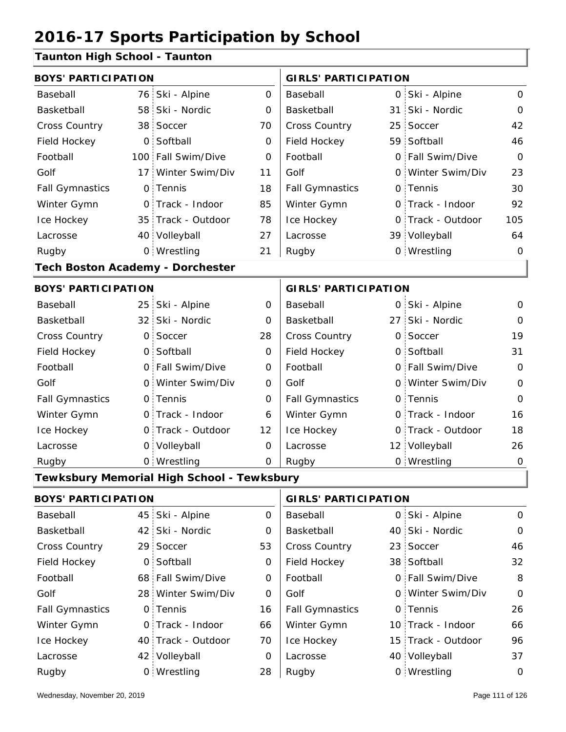#### **Taunton High School - Taunton**

| <b>BOYS' PARTICIPATION</b>              |                |                                            |                     | <b>GIRLS' PARTICIPATION</b> |    |                   |                |
|-----------------------------------------|----------------|--------------------------------------------|---------------------|-----------------------------|----|-------------------|----------------|
| Baseball                                |                | 76 Ski - Alpine                            | $\mathsf{O}\xspace$ | Baseball                    |    | 0 Ski - Alpine    | $\mathbf 0$    |
| Basketball                              |                | 58 Ski - Nordic                            | 0                   | Basketball                  | 31 | Ski - Nordic      | $\mathbf 0$    |
| <b>Cross Country</b>                    |                | 38 Soccer                                  | 70                  | Cross Country               |    | 25 Soccer         | 42             |
| Field Hockey                            | O <sub>1</sub> | Softball                                   | $\mathbf 0$         | Field Hockey                |    | 59 Softball       | 46             |
| Football                                |                | 100 Fall Swim/Dive                         | 0                   | Football                    |    | 0 Fall Swim/Dive  | $\mathbf 0$    |
| Golf                                    |                | 17 Winter Swim/Div                         | 11                  | Golf                        |    | 0 Winter Swim/Div | 23             |
| <b>Fall Gymnastics</b>                  |                | 0 Tennis                                   | 18                  | <b>Fall Gymnastics</b>      |    | 0 Tennis          | 30             |
| Winter Gymn                             |                | O Track - Indoor                           | 85                  | Winter Gymn                 |    | O Track - Indoor  | 92             |
| Ice Hockey                              |                | 35 Track - Outdoor                         | 78                  | Ice Hockey                  |    | 0 Track - Outdoor | 105            |
| Lacrosse                                |                | 40 Volleyball                              | 27                  | Lacrosse                    |    | 39 Volleyball     | 64             |
| Rugby                                   |                | 0 Wrestling                                | 21                  | Rugby                       |    | 0 Wrestling       | $\mathbf 0$    |
| <b>Tech Boston Academy - Dorchester</b> |                |                                            |                     |                             |    |                   |                |
| <b>BOYS' PARTICIPATION</b>              |                |                                            |                     | <b>GIRLS' PARTICIPATION</b> |    |                   |                |
| Baseball                                |                | 25 Ski - Alpine                            | $\mathbf 0$         | Baseball                    |    | 0 Ski - Alpine    | 0              |
| Basketball                              |                | 32 Ski - Nordic                            | 0                   | Basketball                  |    | 27 Ski - Nordic   | $\mathbf 0$    |
| Cross Country                           |                | 0 Soccer                                   | 28                  | Cross Country               |    | 0 Soccer          | 19             |
| Field Hockey                            |                | 0 Softball                                 | $\mathbf 0$         | Field Hockey                |    | 0 Softball        | 31             |
| Football                                |                | 0 Fall Swim/Dive                           | 0                   | Football                    |    | 0 Fall Swim/Dive  | $\overline{O}$ |
| Golf                                    |                | 0 Winter Swim/Div                          | $\mathbf 0$         | Golf                        |    | 0 Winter Swim/Div | $\mathbf 0$    |
| <b>Fall Gymnastics</b>                  |                | 0 Tennis                                   | 0                   | <b>Fall Gymnastics</b>      |    | 0 Tennis          | $\mathbf 0$    |
| Winter Gymn                             |                | 0 Track - Indoor                           | 6                   | Winter Gymn                 |    | O Track - Indoor  | 16             |
| Ice Hockey                              |                | 0 Track - Outdoor                          | 12                  | Ice Hockey                  |    | 0 Track - Outdoor | 18             |
| Lacrosse                                |                | 0 Volleyball                               | 0                   | Lacrosse                    |    | 12 Volleyball     | 26             |
| Rugby                                   |                | 0 Wrestling                                | 0                   | Rugby                       |    | 0 Wrestling       | $\mathbf 0$    |
|                                         |                | Tewksbury Memorial High School - Tewksbury |                     |                             |    |                   |                |
| <b>BOYS' PARTICIPATION</b>              |                |                                            |                     | <b>GIRLS' PARTICIPATION</b> |    |                   |                |
| Baseball                                |                | 45 Ski - Alpine                            | 0                   | Baseball                    |    | 0 Ski - Alpine    | $\mathbf 0$    |
| Basketball                              |                | 42 Ski - Nordic                            | 0                   | Basketball                  |    | 40 Ski - Nordic   | $\mathbf 0$    |
| Cross Country                           |                | 29 Soccer                                  | 53                  | Cross Country               |    | 23 Soccer         | 46             |
| Field Hockey                            |                | 0 Softball                                 | 0                   | Field Hockey                |    | 38 Softball       | 32             |

68 0 Fall Swim/Dive 28 0 Winter Swim/Div 0 0 0 Fall Gymnastics

Football Golf

Winter Gymn Ice Hockey Lacrosse

0

16

66

70

0

28

40 Track - Outdoor

Wrestling Rugby 0 Rugby 0

0 Track - Indoor

42 Volleyball

0 Tennis

Football Golf

Fall Gymnastics

Ice Hockey Lacrosse

Winter Gymn

8

0

26

66

96

10 Track - Indoor

0 Tennis

15 Track - Outdoor

Fall Swim/Dive Winter Swim/Div

40 Volleyball 37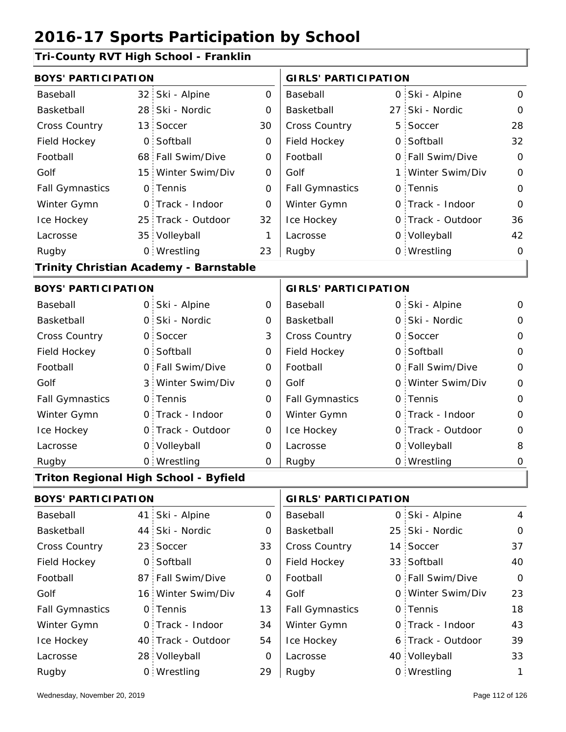#### **Tri-County RVT High School - Franklin**

| <b>BOYS' PARTICIPATION</b> |                 |                                              |                             | <b>GIRLS' PARTICIPATION</b> |    |                   |                |
|----------------------------|-----------------|----------------------------------------------|-----------------------------|-----------------------------|----|-------------------|----------------|
| Baseball                   | 32 <sup>2</sup> | Ski - Alpine                                 | $\mathbf 0$                 | Baseball                    |    | 0 Ski - Alpine    | 0              |
| <b>Basketball</b>          | 28              | Ski - Nordic                                 | 0                           | Basketball                  | 27 | Ski - Nordic      | 0              |
| <b>Cross Country</b>       | 13 <sup>1</sup> | Soccer                                       | 30                          | Cross Country               | 5  | Soccer            | 28             |
| Field Hockey               | $\mathsf{O}$    | Softball                                     | 0                           | Field Hockey                | 0  | Softball          | 32             |
| Football                   |                 | 68 Fall Swim/Dive                            | 0                           | Football                    | 0  | Fall Swim/Dive    | $\Omega$       |
| Golf                       | 15 <sup>1</sup> | Winter Swim/Div                              | O                           | Golf                        | 1  | Winter Swim/Div   | $\Omega$       |
| <b>Fall Gymnastics</b>     |                 | 0 Tennis                                     | 0                           | <b>Fall Gymnastics</b>      | 0  | Tennis            | $\overline{O}$ |
| Winter Gymn                |                 | O Track - Indoor                             | O                           | Winter Gymn                 |    | 0 Track - Indoor  | O              |
| Ice Hockey                 |                 | 25 Track - Outdoor                           | 32                          | Ice Hockey                  | 0  | Track - Outdoor   | 36             |
| Lacrosse                   |                 | 35 Volleyball                                | 1                           | Lacrosse                    |    | 0 Volleyball      | 42             |
| Rugby                      |                 | 0 Wrestling                                  | 23                          | Rugby                       |    | 0 Wrestling       | 0              |
|                            |                 | Trinity Christian Academy - Barnstable       |                             |                             |    |                   |                |
| <b>BOYS' PARTICIPATION</b> |                 |                                              | <b>GIRLS' PARTICIPATION</b> |                             |    |                   |                |
| Baseball                   |                 | 0 Ski - Alpine                               | 0                           | Baseball                    |    | 0 Ski - Alpine    | 0              |
| Basketball                 | 0 :             | Ski - Nordic                                 | 0                           | Basketball                  | 0  | Ski - Nordic      | 0              |
| <b>Cross Country</b>       | $\mathsf{O}$    | Soccer                                       | 3                           | Cross Country               | 0  | Soccer            | O              |
| Field Hockey               | $\overline{O}$  | Softball                                     | $\mathbf 0$                 | Field Hockey                | 0  | Softball          | 0              |
| Football                   | $\mathsf{O}$    | Fall Swim/Dive                               | 0                           | Football                    |    | 0 Fall Swim/Dive  | $\mathbf 0$    |
| Golf                       | 3 :             | Winter Swim/Div                              | O                           | Golf                        | 0  | Winter Swim/Div   | $\Omega$       |
| <b>Fall Gymnastics</b>     |                 | 0 Tennis                                     | $\mathbf 0$                 | <b>Fall Gymnastics</b>      |    | 0 Tennis          | $\mathbf 0$    |
| Winter Gymn                |                 | O Track - Indoor                             | 0                           | Winter Gymn                 |    | O Track - Indoor  | 0              |
| Ice Hockey                 |                 | 0 Track - Outdoor                            | 0                           | Ice Hockey                  |    | 0 Track - Outdoor | $\mathbf 0$    |
| Lacrosse                   |                 | 0 Volleyball                                 | 0                           | Lacrosse                    |    | 0 Volleyball      | 8              |
| Rugby                      |                 | 0 Wrestling                                  | 0                           | Rugby                       |    | 0 Wrestling       | 0              |
|                            |                 | <b>Triton Regional High School - Byfield</b> |                             |                             |    |                   |                |
| <b>BOYS' PARTICIPATION</b> |                 |                                              |                             | <b>GIRLS' PARTICIPATION</b> |    |                   |                |
| Baseball                   | 41              | Ski - Alpine                                 | $\mathbf{O}$                | Baseball                    | 0  | Ski - Alpine      | 4              |
| Basketball                 | 44              | Ski - Nordic                                 | 0                           | Basketball                  | 25 | Ski - Nordic      | 0              |
|                            |                 |                                              |                             |                             |    |                   |                |

| Basketball             | 44 Ski - Nordic    | 0  | Basketball             | 25 Ski - Nordic   | $\mathbf 0$    |
|------------------------|--------------------|----|------------------------|-------------------|----------------|
| <b>Cross Country</b>   | 23 Soccer          | 33 | <b>Cross Country</b>   | 14 Soccer         | 37             |
| Field Hockey           | 0 Softball         | 0  | Field Hockey           | 33 Softball       | 40             |
| Football               | 87 Fall Swim/Dive  | 0  | Football               | 0 Fall Swim/Dive  | $\overline{O}$ |
| Golf                   | 16 Winter Swim/Div | 4  | Golf                   | 0 Winter Swim/Div | 23             |
| <b>Fall Gymnastics</b> | 0 Tennis           | 13 | <b>Fall Gymnastics</b> | 0 Tennis          | 18             |
| Winter Gymn            | O Track - Indoor   | 34 | Winter Gymn            | O Track - Indoor  | 43             |
| Ice Hockey             | 40 Track - Outdoor | 54 | Ice Hockey             | 6 Track - Outdoor | 39             |
| Lacrosse               | 28 Volleyball      | 0  | Lacrosse               | 40 Volleyball     | 33             |
| Rugby                  | 0 Wrestling        | 29 | Rugby                  | 0 Wrestling       | 1              |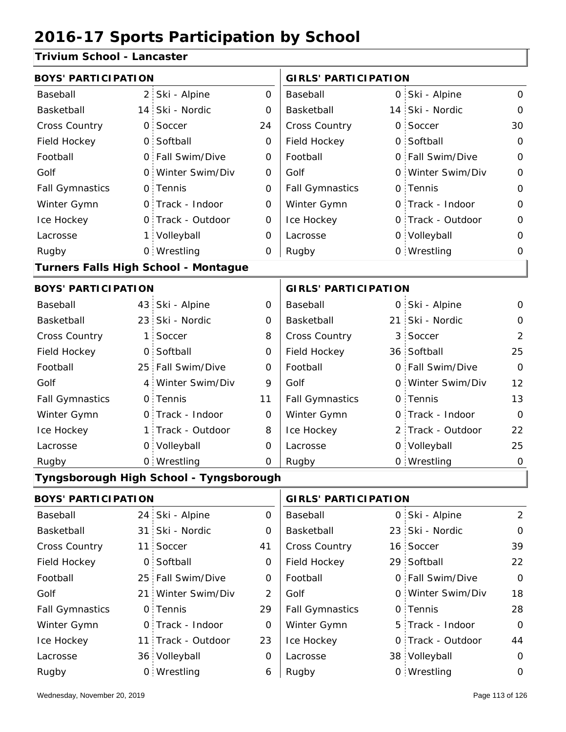#### **Trivium School - Lancaster**

| <b>BOYS' PARTICIPATION</b> |              |                                         |                | <b>GIRLS' PARTICIPATION</b> |                 |                   |                |
|----------------------------|--------------|-----------------------------------------|----------------|-----------------------------|-----------------|-------------------|----------------|
| Baseball                   |              | 2 Ski - Alpine                          | $\mathbf{O}$   | Baseball                    |                 | 0 Ski - Alpine    | 0              |
| Basketball                 |              | 14 Ski - Nordic                         | 0              | Basketball                  |                 | 14 Ski - Nordic   | $\Omega$       |
| <b>Cross Country</b>       | $\mathsf{O}$ | Soccer                                  | 24             | Cross Country               | $\mathsf{O}$    | Soccer            | 30             |
| Field Hockey               |              | 0 Softball                              | 0              | Field Hockey                |                 | 0 Softball        | $\Omega$       |
| Football                   |              | 0 Fall Swim/Dive                        | 0              | Football                    |                 | 0 Fall Swim/Dive  | 0              |
| Golf                       |              | 0 Winter Swim/Div                       | 0              | Golf                        |                 | 0 Winter Swim/Div | 0              |
| <b>Fall Gymnastics</b>     |              | 0 Tennis                                | 0              | <b>Fall Gymnastics</b>      |                 | 0 Tennis          | $\mathbf 0$    |
| Winter Gymn                |              | O Track - Indoor                        | 0              | Winter Gymn                 |                 | O Track - Indoor  | $\Omega$       |
| Ice Hockey                 |              | 0 Track - Outdoor                       | 0              | Ice Hockey                  |                 | 0 Track - Outdoor | 0              |
| Lacrosse                   |              | 1 Volleyball                            | 0              | Lacrosse                    |                 | 0 Volleyball      | 0              |
| Rugby                      |              | 0 Wrestling                             | 0              | Rugby                       |                 | 0 Wrestling       | 0              |
|                            |              | Turners Falls High School - Montague    |                |                             |                 |                   |                |
| <b>BOYS' PARTICIPATION</b> |              |                                         |                | <b>GIRLS' PARTICIPATION</b> |                 |                   |                |
| Baseball                   |              | 43 Ski - Alpine                         | 0              | Baseball                    |                 | 0 Ski - Alpine    | 0              |
| Basketball                 |              | 23 Ski - Nordic                         | 0              | Basketball                  | 21 <sub>1</sub> | Ski - Nordic      | 0              |
| <b>Cross Country</b>       | 1:           | Soccer                                  | 8              | Cross Country               |                 | 3 Soccer          | 2              |
| Field Hockey               | $\mathsf{O}$ | Softball                                | 0              | Field Hockey                |                 | 36 Softball       | 25             |
| Football                   |              | 25 Fall Swim/Dive                       | 0              | Football                    |                 | 0 Fall Swim/Dive  | $\Omega$       |
| Golf                       |              | 4 Winter Swim/Div                       | 9              | Golf                        |                 | 0 Winter Swim/Div | 12             |
| <b>Fall Gymnastics</b>     |              | 0 Tennis                                | 11             | <b>Fall Gymnastics</b>      |                 | 0 Tennis          | 13             |
| Winter Gymn                |              | O Track - Indoor                        | 0              | Winter Gymn                 |                 | O Track - Indoor  | 0              |
| Ice Hockey                 |              | 1 Track - Outdoor                       | 8              | Ice Hockey                  |                 | 2 Track - Outdoor | 22             |
| Lacrosse                   |              | 0 Volleyball                            | 0              | Lacrosse                    |                 | 0 Volleyball      | 25             |
| Rugby                      |              | 0 Wrestling                             | 0              | Rugby                       |                 | 0 Wrestling       | 0              |
|                            |              | Tyngsborough High School - Tyngsborough |                |                             |                 |                   |                |
| <b>BOYS' PARTICIPATION</b> |              |                                         |                | <b>GIRLS' PARTICIPATION</b> |                 |                   |                |
| Baseball                   |              | 24 Ski - Alpine                         | 0              | Baseball                    |                 | 0 Ski - Alpine    | $\overline{2}$ |
| Basketball                 |              | 31 Ski - Nordic                         | 0              | Basketball                  |                 | 23 Ski - Nordic   | $\mathbf 0$    |
| Cross Country              |              | 11 Soccer                               | 41             | Cross Country               |                 | 16 Soccer         | 39             |
| Field Hockey               |              | 0 Softball                              | 0              | Field Hockey                |                 | 29 Softball       | 22             |
| Football                   |              | 25 Fall Swim/Dive                       | 0              | Football                    |                 | 0 Fall Swim/Dive  | 0              |
| Golf                       |              | 21 Winter Swim/Div                      | $\overline{2}$ | Golf                        |                 | 0 Winter Swim/Div | 18             |
| <b>Fall Gymnastics</b>     |              | 0 Tennis                                | 29             | <b>Fall Gymnastics</b>      |                 | 0 Tennis          | 28             |
| Winter Gymn                |              | 0 Track - Indoor                        | $\mathbf 0$    | Winter Gymn                 |                 | 5 Track - Indoor  | $\mathbf 0$    |
| Ice Hockey                 |              | 11 Track - Outdoor                      | 23             | Ice Hockey                  |                 | 0 Track - Outdoor | 44             |
| Lacrosse                   |              | 36 Volleyball                           | 0              | Lacrosse                    |                 | 38 Volleyball     | 0              |
| Rugby                      |              | 0 Wrestling                             | 6              | Rugby                       |                 | 0 Wrestling       | 0              |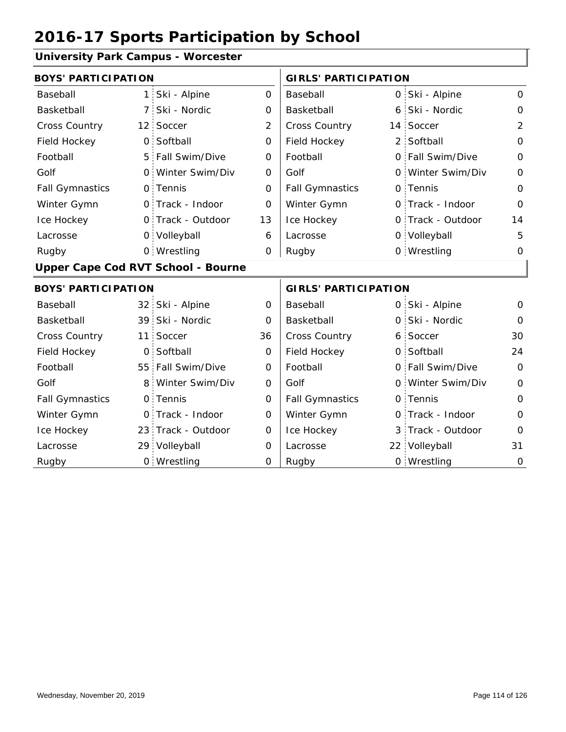#### **University Park Campus - Worcester**

| <b>BOYS' PARTICIPATION</b> |                                           |                   |                     | <b>GIRLS' PARTICIPATION</b> |   |                   |                |
|----------------------------|-------------------------------------------|-------------------|---------------------|-----------------------------|---|-------------------|----------------|
| Baseball                   | $\mathbf{1}$                              | Ski - Alpine      | 0                   | Baseball                    |   | 0 Ski - Alpine    | $\Omega$       |
| Basketball                 | $\overline{7}$                            | Ski - Nordic      | $\mathbf 0$         | Basketball                  |   | 6 Ski - Nordic    | $\mathbf{O}$   |
| <b>Cross Country</b>       |                                           | 12 Soccer         | $\overline{2}$      | <b>Cross Country</b>        |   | 14 Soccer         | $\overline{2}$ |
| Field Hockey               | $\mathbf 0$                               | Softball          | $\mathsf{O}\xspace$ | Field Hockey                |   | 2 Softball        | $\Omega$       |
| Football                   |                                           | 5 Fall Swim/Dive  | $\Omega$            | Football                    |   | 0 Fall Swim/Dive  | $\Omega$       |
| Golf                       | $\overline{O}$                            | Winter Swim/Div   | 0                   | Golf                        |   | 0 Winter Swim/Div | $\mathbf 0$    |
| <b>Fall Gymnastics</b>     |                                           | 0 Tennis          | $\Omega$            | <b>Fall Gymnastics</b>      |   | 0 Tennis          | $\Omega$       |
| Winter Gymn                |                                           | 0 Track - Indoor  | $\overline{O}$      | Winter Gymn                 |   | O Track - Indoor  | $\overline{O}$ |
| Ice Hockey                 |                                           | 0 Track - Outdoor | 13                  | Ice Hockey                  |   | 0 Track - Outdoor | 14             |
| Lacrosse                   |                                           | 0 Volleyball      | 6                   | Lacrosse                    |   | 0 Volleyball      | 5              |
| Rugby                      |                                           | 0 Wrestling       | 0                   | Rugby                       |   | 0 Wrestling       | $\Omega$       |
|                            | <b>Upper Cape Cod RVT School - Bourne</b> |                   |                     |                             |   |                   |                |
| <b>BOYS' PARTICIPATION</b> |                                           |                   |                     | <b>GIRLS' PARTICIPATION</b> |   |                   |                |
| Baseball                   | 32                                        | Ski - Alpine      | 0                   | Baseball                    |   | 0 Ski - Alpine    | 0              |
| Basketball                 | 39                                        | Ski - Nordic      | $\Omega$            | Basketball                  |   | 0 Ski - Nordic    | $\Omega$       |
| <b>Cross Country</b>       | 11                                        | Soccer            | 36                  | Cross Country               |   | 6 Soccer          | 30             |
| Field Hockey               | 0                                         | Softball          | 0                   | Field Hockey                |   | 0 Softball        | 24             |
| Football                   | 55 <sup>1</sup>                           | Fall Swim/Dive    | $\mathbf 0$         | Football                    |   | 0 Fall Swim/Dive  | $\mathbf 0$    |
| Golf                       | 8                                         | Winter Swim/Div   | 0                   | Golf                        |   | 0 Winter Swim/Div | $\mathbf{O}$   |
| <b>Fall Gymnastics</b>     | 0                                         | Tennis            | 0                   | <b>Fall Gymnastics</b>      |   | 0 Tennis          | $\Omega$       |
| Winter Gymn                | 0                                         | Track - Indoor    | $\Omega$            | Winter Gymn                 |   | O Track - Indoor  | $\Omega$       |
| Ice Hockey                 | 23 <sup>1</sup>                           | Track - Outdoor   | 0                   | Ice Hockey                  | 3 | Track - Outdoor   | $\overline{0}$ |
| Lacrosse                   | 29 <sup>1</sup>                           | Volleyball        | $\Omega$            | Lacrosse                    |   | 22 Volleyball     | 31             |
| Rugby                      |                                           | 0 Wrestling       | 0                   | Rugby                       |   | 0 Wrestling       | $\overline{O}$ |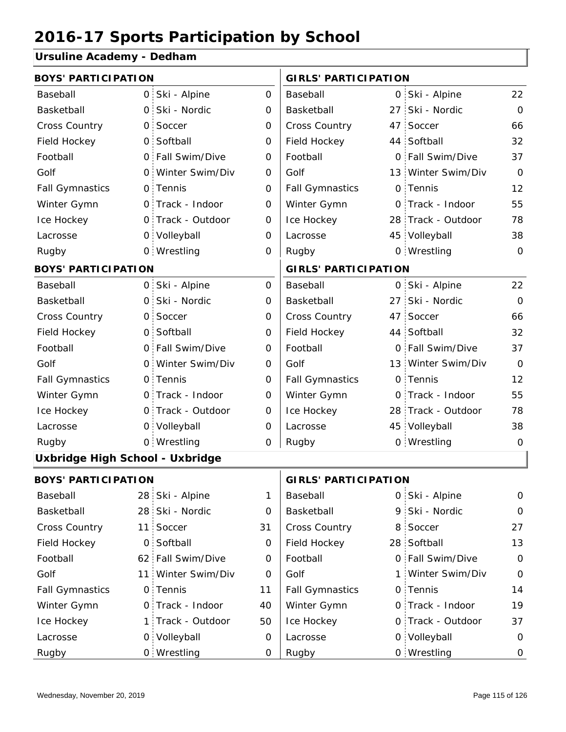#### **Ursuline Academy - Dedham**

| <b>BOYS' PARTICIPATION</b>      |              |                    |              | <b>GIRLS' PARTICIPATION</b> |  |                    |                |  |
|---------------------------------|--------------|--------------------|--------------|-----------------------------|--|--------------------|----------------|--|
| Baseball                        |              | 0 Ski - Alpine     | 0            | Baseball                    |  | 0 Ski - Alpine     | 22             |  |
| Basketball                      |              | 0 Ski - Nordic     | $\mathbf 0$  | Basketball                  |  | 27 Ski - Nordic    | $\Omega$       |  |
| <b>Cross Country</b>            | $\mathsf{O}$ | Soccer             | 0            | Cross Country               |  | 47 Soccer          | 66             |  |
| Field Hockey                    |              | 0 Softball         | 0            | Field Hockey                |  | 44 Softball        | 32             |  |
| Football                        |              | 0 Fall Swim/Dive   | $\mathbf 0$  | Football                    |  | 0 Fall Swim/Dive   | 37             |  |
| Golf                            |              | 0 Winter Swim/Div  | 0            | Golf                        |  | 13 Winter Swim/Div | $\overline{O}$ |  |
| <b>Fall Gymnastics</b>          |              | 0 Tennis           | 0            | <b>Fall Gymnastics</b>      |  | 0 Tennis           | 12             |  |
| Winter Gymn                     |              | 0 Track - Indoor   | $\mathbf 0$  | Winter Gymn                 |  | 0 Track - Indoor   | 55             |  |
| Ice Hockey                      |              | 0 Track - Outdoor  | 0            | Ice Hockey                  |  | 28 Track - Outdoor | 78             |  |
| Lacrosse                        |              | 0 Volleyball       | 0            | Lacrosse                    |  | 45 Volleyball      | 38             |  |
| Rugby                           |              | 0 Wrestling        | 0            | Rugby                       |  | 0 Wrestling        | $\Omega$       |  |
| <b>BOYS' PARTICIPATION</b>      |              |                    |              | <b>GIRLS' PARTICIPATION</b> |  |                    |                |  |
| Baseball                        |              | 0 Ski - Alpine     | 0            | Baseball                    |  | 0 Ski - Alpine     | 22             |  |
| Basketball                      |              | 0 Ski - Nordic     | 0            | Basketball                  |  | 27 Ski - Nordic    | $\mathbf 0$    |  |
| <b>Cross Country</b>            |              | 0 Soccer           | 0            | Cross Country               |  | 47 Soccer          | 66             |  |
| Field Hockey                    |              | 0 Softball         | 0            | Field Hockey                |  | 44 Softball        | 32             |  |
| Football                        |              | 0 Fall Swim/Dive   | 0            | Football                    |  | 0 Fall Swim/Dive   | 37             |  |
| Golf                            |              | 0 Winter Swim/Div  | 0            | Golf                        |  | 13 Winter Swim/Div | $\Omega$       |  |
| <b>Fall Gymnastics</b>          |              | 0 Tennis           | $\mathsf{O}$ | <b>Fall Gymnastics</b>      |  | 0 Tennis           | 12             |  |
| Winter Gymn                     |              | 0 Track - Indoor   | 0            | Winter Gymn                 |  | O Track - Indoor   | 55             |  |
| Ice Hockey                      |              | 0 Track - Outdoor  | $\mathbf 0$  | Ice Hockey                  |  | 28 Track - Outdoor | 78             |  |
| Lacrosse                        |              | 0 Volleyball       | 0            | Lacrosse                    |  | 45 Volleyball      | 38             |  |
| Rugby                           |              | 0 Wrestling        | $\mathbf 0$  | Rugby                       |  | 0 Wrestling        | $\mathbf 0$    |  |
| Uxbridge High School - Uxbridge |              |                    |              |                             |  |                    |                |  |
| <b>BOYS' PARTICIPATION</b>      |              |                    |              | <b>GIRLS' PARTICIPATION</b> |  |                    |                |  |
| Baseball                        |              | 28 Ski - Alpine    | 1            | Baseball                    |  | 0 Ski - Alpine     | $\mathbf 0$    |  |
| Basketball                      |              | 28 Ski - Nordic    | 0            | Basketball                  |  | 9 Ski - Nordic     | 0              |  |
| <b>Cross Country</b>            |              | 11 Soccer          | 31           | Cross Country               |  | 8 Soccer           | 27             |  |
| Field Hockey                    |              | 0 Softball         | 0            | Field Hockey                |  | 28 Softball        | 13             |  |
| Football                        |              | 62 Fall Swim/Dive  | 0            | Football                    |  | 0 Fall Swim/Dive   | $\mathbf 0$    |  |
| Golf                            |              | 11 Winter Swim/Div | 0            | Golf                        |  | 1 Winter Swim/Div  | $\mathbf 0$    |  |
| <b>Fall Gymnastics</b>          |              | 0 Tennis           | 11           | <b>Fall Gymnastics</b>      |  | 0 Tennis           | 14             |  |
| Winter Gymn                     |              | 0 Track - Indoor   | 40           | Winter Gymn                 |  | O Track - Indoor   | 19             |  |
| Ice Hockey                      |              | 1 Track - Outdoor  | 50           | Ice Hockey                  |  | 0 Track - Outdoor  | 37             |  |
| Lacrosse                        |              | 0 Volleyball       | 0            | Lacrosse                    |  | 0 Volleyball       | 0              |  |
| Rugby                           |              | 0 Wrestling        | 0            | Rugby                       |  | 0 Wrestling        | 0              |  |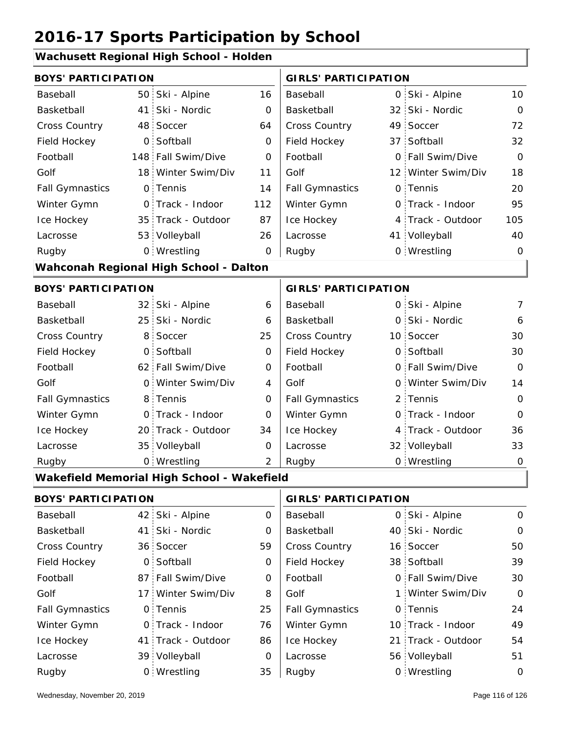### **Wachusett Regional High School - Holden**

| <b>BOYS' PARTICIPATION</b> |                |                                            |                | <b>GIRLS' PARTICIPATION</b> |  |                    |                |
|----------------------------|----------------|--------------------------------------------|----------------|-----------------------------|--|--------------------|----------------|
| Baseball                   |                | 50 Ski - Alpine                            | 16             | Baseball                    |  | 0 Ski - Alpine     | 10             |
| Basketball                 | 41             | Ski - Nordic                               | 0              | Basketball                  |  | 32 Ski - Nordic    | $\mathbf 0$    |
| <b>Cross Country</b>       |                | 48 Soccer                                  | 64             | Cross Country               |  | 49 Soccer          | 72             |
| Field Hockey               | $\overline{O}$ | Softball                                   | 0              | Field Hockey                |  | 37 Softball        | 32             |
| Football                   |                | 148 Fall Swim/Dive                         | 0              | Football                    |  | 0 Fall Swim/Dive   | $\overline{O}$ |
| Golf                       |                | 18 Winter Swim/Div                         | 11             | Golf                        |  | 12 Winter Swim/Div | 18             |
| <b>Fall Gymnastics</b>     |                | 0 Tennis                                   | 14             | <b>Fall Gymnastics</b>      |  | 0 Tennis           | 20             |
| Winter Gymn                |                | O Track - Indoor                           | 112            | Winter Gymn                 |  | 0 Track - Indoor   | 95             |
| Ice Hockey                 |                | 35 Track - Outdoor                         | 87             | Ice Hockey                  |  | 4 Track - Outdoor  | 105            |
| Lacrosse                   |                | 53 Volleyball                              | 26             | Lacrosse                    |  | 41 Volleyball      | 40             |
| Rugby                      |                | 0 Wrestling                                | 0              | Rugby                       |  | 0 Wrestling        | $\mathbf 0$    |
|                            |                | Wahconah Regional High School - Dalton     |                |                             |  |                    |                |
| <b>BOYS' PARTICIPATION</b> |                |                                            |                | <b>GIRLS' PARTICIPATION</b> |  |                    |                |
| Baseball                   |                | 32 Ski - Alpine                            | 6              | Baseball                    |  | 0 Ski - Alpine     | 7              |
| Basketball                 |                | 25 Ski - Nordic                            | 6              | Basketball                  |  | 0 Ski - Nordic     | 6              |
| <b>Cross Country</b>       | 8 <sup>1</sup> | Soccer                                     | 25             | Cross Country               |  | 10 Soccer          | 30             |
| Field Hockey               | $\overline{O}$ | Softball                                   | $\mathbf 0$    | Field Hockey                |  | 0 Softball         | 30             |
| Football                   |                | 62 Fall Swim/Dive                          | 0              | Football                    |  | 0 Fall Swim/Dive   | $\Omega$       |
| Golf                       |                | 0 Winter Swim/Div                          | 4              | Golf                        |  | 0 Winter Swim/Div  | 14             |
| <b>Fall Gymnastics</b>     |                | 8 Tennis                                   | 0              | <b>Fall Gymnastics</b>      |  | 2 Tennis           | $\Omega$       |
| Winter Gymn                |                | 0 Track - Indoor                           | 0              | Winter Gymn                 |  | 0 Track - Indoor   | $\Omega$       |
| Ice Hockey                 |                | 20 Track - Outdoor                         | 34             | Ice Hockey                  |  | 4 Track - Outdoor  | 36             |
| Lacrosse                   |                | 35 Volleyball                              | $\mathbf 0$    | Lacrosse                    |  | 32 Volleyball      | 33             |
| Rugby                      |                | 0 Wrestling                                | $\overline{2}$ | Rugby                       |  | 0 Wrestling        | $\mathbf 0$    |
|                            |                | Wakefield Memorial High School - Wakefield |                |                             |  |                    |                |
| <b>BOYS' PARTICIPATION</b> |                |                                            |                | <b>GIRLS' PARTICIPATION</b> |  |                    |                |
| Baseball                   |                | 42 Ski - Alpine                            | 0              | Baseball                    |  | 0 Ski - Alpine     | 0              |
| Basketball                 | 41:            | Ski - Nordic                               | 0              | Basketball                  |  | 40 Ski - Nordic    | 0              |
| Cross Country              |                | 36 Soccer                                  | 59             | Cross Country               |  | 16 Soccer          | 50             |
| Field Hockey               | $\overline{O}$ | Softball                                   | 0              | Field Hockey                |  | 38 Softball        | 39             |
| Football                   |                | 87 Fall Swim/Dive                          | 0              | Football                    |  | 0 Fall Swim/Dive   | 30             |
| Golf                       | 17:            | Winter Swim/Div                            | 8              | Golf                        |  | 1 Winter Swim/Div  | $\mathbf 0$    |
| <b>Fall Gymnastics</b>     |                | 0 Tennis                                   | 25             | <b>Fall Gymnastics</b>      |  | 0 Tennis           | 24             |
| Winter Gymn                |                | 0 Track - Indoor                           | 76             | Winter Gymn                 |  | 10 Track - Indoor  | 49             |
| Ice Hockey                 |                | 41 Track - Outdoor                         | 86             | Ice Hockey                  |  | 21 Track - Outdoor | 54             |
| Lacrosse                   |                | 39 Volleyball                              | 0              | Lacrosse                    |  | 56 Volleyball      | 51             |
| Rugby                      |                | 0 Wrestling                                | 35             | Rugby                       |  | 0 Wrestling        | $\mathbf 0$    |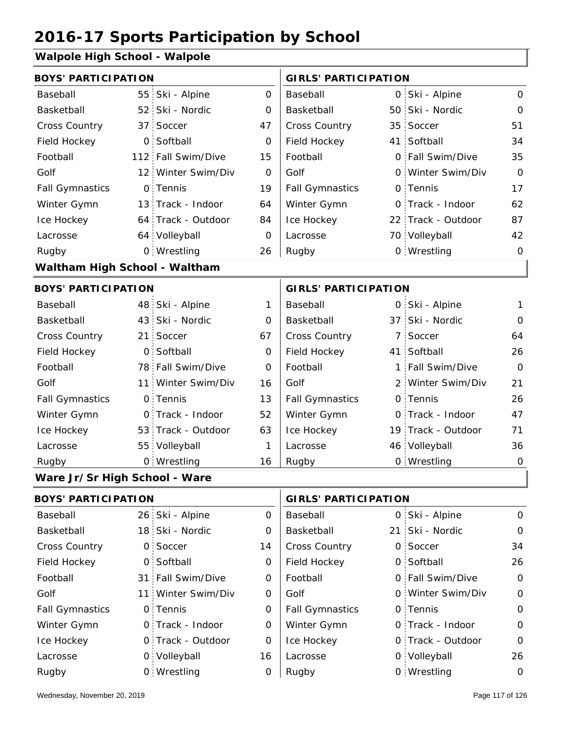#### **Walpole High School - Walpole**

| <b>BOYS' PARTICIPATION</b>    |                 |                    |                | <b>GIRLS' PARTICIPATION</b> |              |                    |                |
|-------------------------------|-----------------|--------------------|----------------|-----------------------------|--------------|--------------------|----------------|
| Baseball                      | 55 <sub>1</sub> | Ski - Alpine       | 0              | Baseball                    | $\mathsf{O}$ | Ski - Alpine       | $\mathbf 0$    |
| Basketball                    | 52 <sub>1</sub> | Ski - Nordic       | $\overline{O}$ | Basketball                  | 50           | Ski - Nordic       | $\mathbf 0$    |
| Cross Country                 | 37 <sup>1</sup> | Soccer             | 47             | Cross Country               |              | 35 Soccer          | 51             |
| Field Hockey                  |                 | 0 Softball         | $\Omega$       | Field Hockey                |              | 41 Softball        | 34             |
| Football                      |                 | 112 Fall Swim/Dive | 15             | Football                    |              | 0 Fall Swim/Dive   | 35             |
| Golf                          |                 | 12 Winter Swim/Div | $\Omega$       | Golf                        | 0            | Winter Swim/Div    | $\Omega$       |
| <b>Fall Gymnastics</b>        |                 | 0 Tennis           | 19             | <b>Fall Gymnastics</b>      |              | 0 Tennis           | 17             |
| Winter Gymn                   |                 | 13 Track - Indoor  | 64             | Winter Gymn                 | 0            | Track - Indoor     | 62             |
| Ice Hockey                    |                 | 64 Track - Outdoor | 84             | Ice Hockey                  |              | 22 Track - Outdoor | 87             |
| Lacrosse                      |                 | 64 Volleyball      | 0              | Lacrosse                    |              | 70 Volleyball      | 42             |
| Rugby                         |                 | 0 Wrestling        | 26             | Rugby                       |              | 0 Wrestling        | $\Omega$       |
| Waltham High School - Waltham |                 |                    |                |                             |              |                    |                |
| <b>BOYS' PARTICIPATION</b>    |                 |                    |                | <b>GIRLS' PARTICIPATION</b> |              |                    |                |
| Baseball                      | 48              | Ski - Alpine       | 1              | Baseball                    |              | 0 Ski - Alpine     | 1              |
| Basketball                    |                 | 43 Ski - Nordic    | 0              | Basketball                  |              | 37 Ski - Nordic    | $\mathbf 0$    |
| <b>Cross Country</b>          | 21              | Soccer             | 67             | Cross Country               | $7$ :        | Soccer             | 64             |
| Field Hockey                  | 0               | Softball           | 0              | Field Hockey                |              | 41 Softball        | 26             |
| Football                      | 78              | Fall Swim/Dive     | $\Omega$       | Football                    | 1            | Fall Swim/Dive     | $\overline{0}$ |
| Golf                          | 11 <sup>1</sup> | Winter Swim/Div    | 16             | Golf                        |              | 2 Winter Swim/Div  | 21             |
| <b>Fall Gymnastics</b>        | $\overline{O}$  | Tennis             | 13             | <b>Fall Gymnastics</b>      | 0            | Tennis             | 26             |
| Winter Gymn                   | $\mathsf{O}$    | Track - Indoor     | 52             | Winter Gymn                 |              | 0 Track - Indoor   | 47             |
| Ice Hockey                    |                 | 53 Track - Outdoor | 63             | Ice Hockey                  |              | 19 Track - Outdoor | 71             |
| Lacrosse                      | 55 <sub>1</sub> | Volleyball         | 1              | Lacrosse                    |              | 46 Volleyball      | 36             |
| Rugby                         |                 | 0 Wrestling        | 16             | Rugby                       |              | 0 Wrestling        | $\mathsf O$    |
| Ware Jr/Sr High School - Ware |                 |                    |                |                             |              |                    |                |

26 Ski - Alpine 18 21 Ski - Nordic 0 Soccer 14 | Cross Country 0 0 0 Field Hockey 31 Fall Swim/Dive  $0 \mid$  Football  $0 \mid$  6 11 Winter Swim/Div 0 Golf 60 0 Fall Gymnastics 0 of Fall Gymnastics 0 of Fall Gymnastics 0 of the 10 of the 10 0 Track - Outdoor 0 Track - Indoor 0 Volleyball 0 Track - Outdoor 0 0 Volleyball 26 0 0 Ski - Alpine 0 14 0 0 34 0 26 0 0 0 0 0 0 16  $\Omega$ 0 0 Baseball Basketball Cross Country Field Hockey Football Golf Fall Gymnastics Ice Hockey Lacrosse 0 Soccer 0 Softball 0 Tennis 0 Track - Indoor Wrestling Rugby 0 Rugby 0 **BOYS' PARTICIPATION GIRLS' PARTICIPATION** Baseball Basketball Football Golf Winter Gymn Ice Hockey Lacrosse 21 Ski - Nordic 0 Soccer Softball Fall Swim/Dive Winter Swim/Div 0 Tennis Winter Gymn 0 Wrestling 0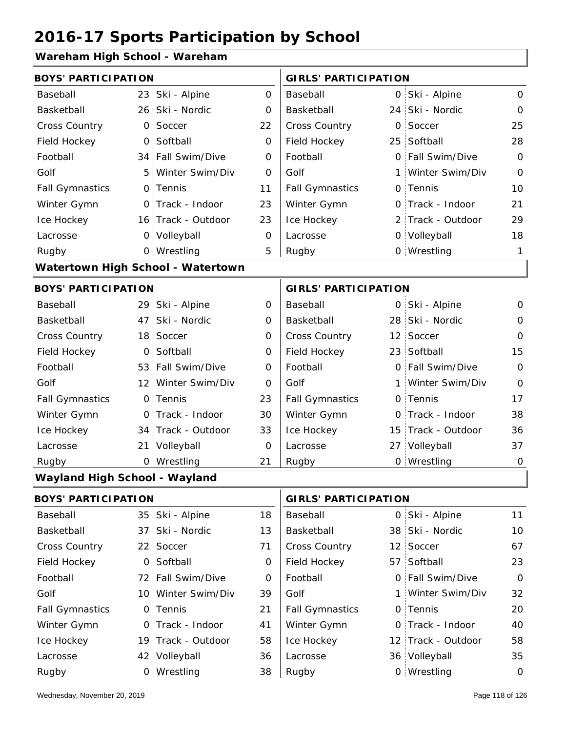#### **Wareham High School - Wareham**

| <b>BOYS' PARTICIPATION</b>    |                 |                                   |                | <b>GIRLS' PARTICIPATION</b> |   |                    |                |
|-------------------------------|-----------------|-----------------------------------|----------------|-----------------------------|---|--------------------|----------------|
| Baseball                      | 23 <sub>1</sub> | Ski - Alpine                      | $\overline{O}$ | Baseball                    |   | 0 Ski - Alpine     | $\mathbf 0$    |
| Basketball                    |                 | 26 Ski - Nordic                   | 0              | Basketball                  |   | 24 Ski - Nordic    | $\mathbf 0$    |
| <b>Cross Country</b>          | 0.              | Soccer                            | 22             | <b>Cross Country</b>        | O | Soccer             | 25             |
| Field Hockey                  | $\overline{O}$  | Softball                          | $\mathbf 0$    | Field Hockey                |   | 25 Softball        | 28             |
| Football                      |                 | 34 Fall Swim/Dive                 | 0              | Football                    |   | 0 Fall Swim/Dive   | $\Omega$       |
| Golf                          | 5 <sub>1</sub>  | Winter Swim/Div                   | 0              | Golf                        |   | 1 Winter Swim/Div  | $\mathbf{O}$   |
| <b>Fall Gymnastics</b>        |                 | 0 Tennis                          | 11             | <b>Fall Gymnastics</b>      |   | 0 Tennis           | 10             |
| Winter Gymn                   |                 | 0 Track - Indoor                  | 23             | Winter Gymn                 |   | 0 Track - Indoor   | 21             |
| Ice Hockey                    |                 | 16 Track - Outdoor                | 23             | Ice Hockey                  |   | 2 Track - Outdoor  | 29             |
| Lacrosse                      |                 | 0 Volleyball                      | 0              | Lacrosse                    |   | 0 Volleyball       | 18             |
| Rugby                         |                 | 0 Wrestling                       | 5              | Rugby                       |   | 0 Wrestling        | $\mathbf{1}$   |
|                               |                 | Watertown High School - Watertown |                |                             |   |                    |                |
| <b>BOYS' PARTICIPATION</b>    |                 |                                   |                | <b>GIRLS' PARTICIPATION</b> |   |                    |                |
| Baseball                      |                 | 29 Ski - Alpine                   | 0              | Baseball                    |   | 0 Ski - Alpine     | 0              |
| Basketball                    | 47 <sup>1</sup> | Ski - Nordic                      | 0              | Basketball                  |   | 28 Ski - Nordic    | $\Omega$       |
| <b>Cross Country</b>          |                 | 18 Soccer                         | 0              | Cross Country               |   | 12 Soccer          | $\overline{O}$ |
| Field Hockey                  | $\overline{O}$  | Softball                          | 0              | Field Hockey                |   | 23 Softball        | 15             |
| Football                      |                 | 53 Fall Swim/Dive                 | $\overline{O}$ | Football                    |   | 0 Fall Swim/Dive   | $\overline{O}$ |
| Golf                          |                 | 12 Winter Swim/Div                | $\Omega$       | Golf                        |   | 1 Winter Swim/Div  | $\Omega$       |
| <b>Fall Gymnastics</b>        |                 | 0 Tennis                          | 23             | <b>Fall Gymnastics</b>      |   | 0 Tennis           | 17             |
| Winter Gymn                   |                 | O Track - Indoor                  | 30             | Winter Gymn                 |   | O Track - Indoor   | 38             |
| Ice Hockey                    |                 | 34 Track - Outdoor                | 33             | Ice Hockey                  |   | 15 Track - Outdoor | 36             |
| Lacrosse                      | 21 <sub>1</sub> | Volleyball                        | $\overline{O}$ | Lacrosse                    |   | 27 Volleyball      | 37             |
| Rugby                         |                 | 0 Wrestling                       | 21             | Rugby                       |   | 0 Wrestling        | $\mathbf 0$    |
| Wayland High School - Wayland |                 |                                   |                |                             |   |                    |                |
| <b>BOYS' PARTICIPATION</b>    |                 |                                   |                | <b>GIRLS' PARTICIPATION</b> |   |                    |                |

| Baseball               | 35 Ski - Alpine    | 18 | Baseball               | 0 Ski - Alpine     | 11          |
|------------------------|--------------------|----|------------------------|--------------------|-------------|
| Basketball             | 37 Ski - Nordic    | 13 | Basketball             | 38 Ski - Nordic    | 10          |
| <b>Cross Country</b>   | 22 Soccer          | 71 | <b>Cross Country</b>   | 12 Soccer          | 67          |
| Field Hockey           | 0 Softball         | 0  | Field Hockey           | 57 Softball        | 23          |
| Football               | 72 Fall Swim/Dive  | 0  | Football               | 0 Fall Swim/Dive   | $\mathbf 0$ |
| Golf                   | 10 Winter Swim/Div | 39 | Golf                   | 1 Winter Swim/Div  | 32          |
| <b>Fall Gymnastics</b> | 0 Tennis           | 21 | <b>Fall Gymnastics</b> | 0 Tennis           | 20          |
| Winter Gymn            | 0 Track - Indoor   | 41 | Winter Gymn            | 0 Track - Indoor   | 40          |
| Ice Hockey             | 19 Track - Outdoor | 58 | Ice Hockey             | 12 Track - Outdoor | 58          |
| Lacrosse               | 42 Volleyball      | 36 | Lacrosse               | 36 Volleyball      | 35          |
| Rugby                  | 0 Wrestling        | 38 | Rugby                  | 0 Wrestling        | 0           |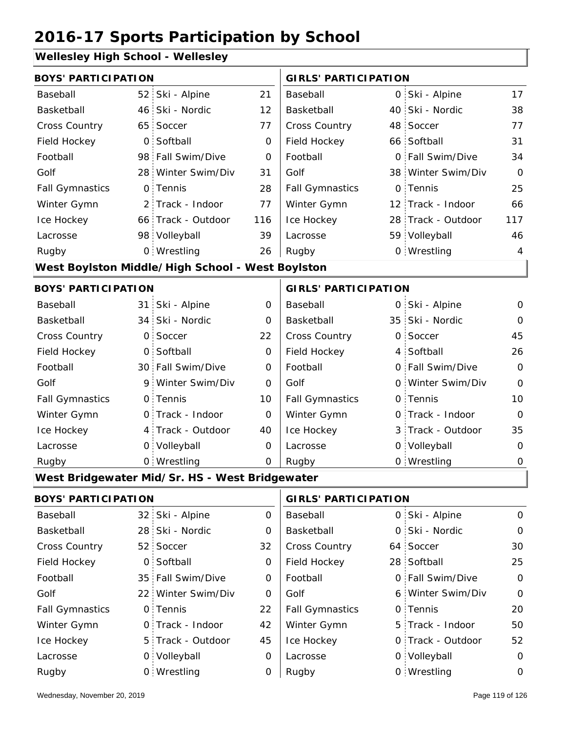#### **Wellesley High School - Wellesley**

| <b>BOYS' PARTICIPATION</b> |                |                                                  |                | <b>GIRLS' PARTICIPATION</b> |  |                    |                |
|----------------------------|----------------|--------------------------------------------------|----------------|-----------------------------|--|--------------------|----------------|
| Baseball                   |                | 52 Ski - Alpine                                  | 21             | Baseball                    |  | 0 Ski - Alpine     | 17             |
| Basketball                 |                | 46 Ski - Nordic                                  | 12             | Basketball                  |  | 40 Ski - Nordic    | 38             |
| <b>Cross Country</b>       |                | 65 Soccer                                        | 77             | <b>Cross Country</b>        |  | 48 Soccer          | 77             |
| Field Hockey               |                | 0 Softball                                       | 0              | Field Hockey                |  | 66 Softball        | 31             |
| Football                   |                | 98 Fall Swim/Dive                                | 0              | Football                    |  | 0 Fall Swim/Dive   | 34             |
| Golf                       |                | 28 Winter Swim/Div                               | 31             | Golf                        |  | 38 Winter Swim/Div | $\Omega$       |
| <b>Fall Gymnastics</b>     |                | 0 Tennis                                         | 28             | <b>Fall Gymnastics</b>      |  | 0 Tennis           | 25             |
| Winter Gymn                |                | 2 Track - Indoor                                 | 77             | Winter Gymn                 |  | 12 Track - Indoor  | 66             |
| Ice Hockey                 |                | 66 Track - Outdoor                               | 116            | Ice Hockey                  |  | 28 Track - Outdoor | 117            |
| Lacrosse                   |                | 98 Volleyball                                    | 39             | Lacrosse                    |  | 59 Volleyball      | 46             |
| Rugby                      |                | 0 Wrestling                                      | 26             | Rugby                       |  | 0 Wrestling        | 4              |
|                            |                | West Boylston Middle/High School - West Boylston |                |                             |  |                    |                |
| <b>BOYS' PARTICIPATION</b> |                |                                                  |                | <b>GIRLS' PARTICIPATION</b> |  |                    |                |
| Baseball                   |                | 31 Ski - Alpine                                  | 0              | Baseball                    |  | 0 Ski - Alpine     | 0              |
| Basketball                 |                | 34 Ski - Nordic                                  | $\mathbf{O}$   | Basketball                  |  | 35 Ski - Nordic    | $\mathbf{O}$   |
| Cross Country              | $\overline{O}$ | Soccer                                           | 22             | <b>Cross Country</b>        |  | 0 Soccer           | 45             |
| Field Hockey               | O <sub>1</sub> | Softball                                         | $\mathbf 0$    | Field Hockey                |  | 4 Softball         | 26             |
| Football                   |                | 30 Fall Swim/Dive                                | $\mathbf 0$    | Football                    |  | 0 Fall Swim/Dive   | $\mathbf 0$    |
| Golf                       |                | 9 Winter Swim/Div                                | $\overline{O}$ | Golf                        |  | 0 Winter Swim/Div  | $\overline{O}$ |
| <b>Fall Gymnastics</b>     |                | 0 Tennis                                         | 10             | <b>Fall Gymnastics</b>      |  | 0 Tennis           | 10             |
| Winter Gymn                |                | O Track - Indoor                                 | $\mathbf 0$    | Winter Gymn                 |  | O Track - Indoor   | $\overline{O}$ |
| Ice Hockey                 |                | 4 Track - Outdoor                                | 40             | Ice Hockey                  |  | 3 Track - Outdoor  | 35             |
| Lacrosse                   |                | 0 Volleyball                                     | $\Omega$       | Lacrosse                    |  | 0 Volleyball       | $\overline{O}$ |

#### **West Bridgewater Mid/Sr. HS - West Bridgewater**

Wrestling Rugby 0 Rugby 0

| <b>BOYS' PARTICIPATION</b> |                    | <b>GIRLS' PARTICIPATION</b> |                        |  |                   |               |
|----------------------------|--------------------|-----------------------------|------------------------|--|-------------------|---------------|
| Baseball                   | 32 Ski - Alpine    | 0                           | Baseball               |  | 0 Ski - Alpine    | $\mathcal{O}$ |
| Basketball                 | 28 Ski - Nordic    | 0                           | Basketball             |  | 0 Ski - Nordic    | $\mathbf 0$   |
| <b>Cross Country</b>       | 52 Soccer          | 32                          | <b>Cross Country</b>   |  | 64 Soccer         | 30            |
| Field Hockey               | 0 Softball         | 0                           | Field Hockey           |  | 28 Softball       | 25            |
| Football                   | 35 Fall Swim/Dive  | $\Omega$                    | Football               |  | 0 Fall Swim/Dive  | $\mathbf 0$   |
| Golf                       | 22 Winter Swim/Div | 0                           | Golf                   |  | 6 Winter Swim/Div | $\circ$       |
| <b>Fall Gymnastics</b>     | 0 Tennis           | 22                          | <b>Fall Gymnastics</b> |  | 0 Tennis          | 20            |
| Winter Gymn                | O Track - Indoor   | 42                          | Winter Gymn            |  | 5 Track - Indoor  | 50            |
| Ice Hockey                 | 5 Track - Outdoor  | 45                          | Ice Hockey             |  | 0 Track - Outdoor | 52            |
| Lacrosse                   | 0 Volleyball       | 0                           | Lacrosse               |  | 0 Volleyball      | $\Omega$      |
| Rugby                      | 0 Wrestling        | 0                           | Rugby                  |  | 0 Wrestling       | 0             |

0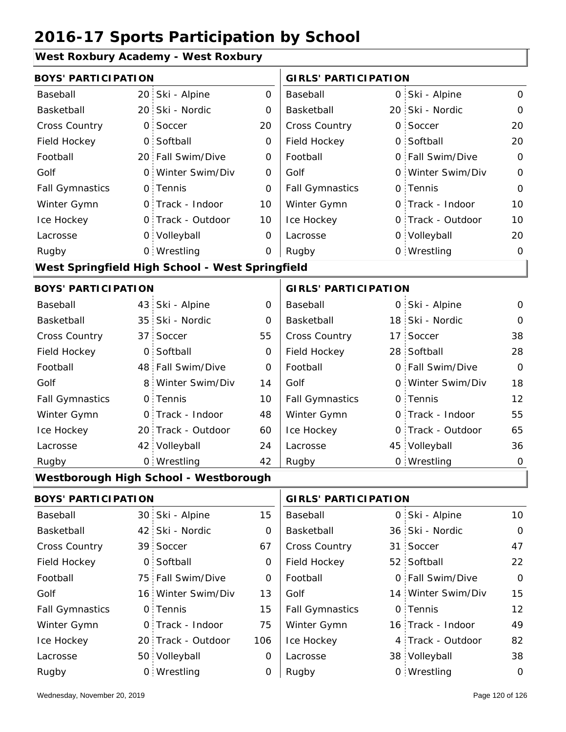#### **West Roxbury Academy - West Roxbury**

| <b>BOYS' PARTICIPATION</b> |                 |                                                 |                | <b>GIRLS' PARTICIPATION</b> |                    |                |
|----------------------------|-----------------|-------------------------------------------------|----------------|-----------------------------|--------------------|----------------|
| Baseball                   |                 | 20 Ski - Alpine                                 | $\overline{O}$ | Baseball                    | 0 Ski - Alpine     | $\mathsf{O}$   |
| Basketball                 |                 | 20 Ski - Nordic                                 | 0              | Basketball                  | 20 Ski - Nordic    | $\mathbf{O}$   |
| Cross Country              | $\overline{O}$  | Soccer                                          | 20             | Cross Country               | 0 Soccer           | 20             |
| Field Hockey               | $\overline{O}$  | Softball                                        | 0              | Field Hockey                | 0 Softball         | 20             |
| Football                   |                 | 20 Fall Swim/Dive                               | $\mathbf 0$    | Football                    | 0 Fall Swim/Dive   | $\mathbf 0$    |
| Golf                       |                 | 0 Winter Swim/Div                               | 0              | Golf                        | 0 Winter Swim/Div  | $\mathbf 0$    |
| <b>Fall Gymnastics</b>     |                 | 0 Tennis                                        | 0              | <b>Fall Gymnastics</b>      | 0 Tennis           | $\mathbf 0$    |
| Winter Gymn                |                 | O Track - Indoor                                | 10             | Winter Gymn                 | O Track - Indoor   | 10             |
| Ice Hockey                 |                 | 0 Track - Outdoor                               | 10             | Ice Hockey                  | 0 Track - Outdoor  | 10             |
| Lacrosse                   |                 | 0 Volleyball                                    | $\mathbf 0$    | Lacrosse                    | 0 Volleyball       | 20             |
| Rugby                      |                 | 0 Wrestling                                     | $\mathbf 0$    | Rugby                       | 0 Wrestling        | $\mathbf 0$    |
|                            |                 | West Springfield High School - West Springfield |                |                             |                    |                |
| <b>BOYS' PARTICIPATION</b> |                 |                                                 |                | <b>GIRLS' PARTICIPATION</b> |                    |                |
| Baseball                   |                 | 43 Ski - Alpine                                 | 0              | Baseball                    | 0 Ski - Alpine     | $\mathsf{O}$   |
| Basketball                 |                 | 35 Ski - Nordic                                 | 0              | Basketball                  | 18 Ski - Nordic    | $\mathbf{O}$   |
| Cross Country              | 37 <sup>1</sup> | Soccer                                          | 55             | Cross Country               | 17 Soccer          | 38             |
| Field Hockey               | O <sub>1</sub>  | Softball                                        | 0              | Field Hockey                | 28 Softball        | 28             |
| Football                   |                 | 48 Fall Swim/Dive                               | $\mathbf 0$    | Football                    | 0 Fall Swim/Dive   | $\overline{O}$ |
| Golf                       | 8 <sup>1</sup>  | Winter Swim/Div                                 | 14             | Golf                        | 0 Winter Swim/Div  | 18             |
| <b>Fall Gymnastics</b>     |                 | 0 Tennis                                        | 10             | <b>Fall Gymnastics</b>      | 0 Tennis           | 12             |
| Winter Gymn                |                 | O Track - Indoor                                | 48             | Winter Gymn                 | O Track - Indoor   | 55             |
| Ice Hockey                 |                 | 20 Track - Outdoor                              | 60             | Ice Hockey                  | 0 Track - Outdoor  | 65             |
| Lacrosse                   |                 | 42 Volleyball                                   | 24             | Lacrosse                    | 45 Volleyball      | 36             |
| Rugby                      |                 | 0 Wrestling                                     | 42             | Rugby                       | 0 Wrestling        | $\mathbf 0$    |
|                            |                 | Westborough High School - Westborough           |                |                             |                    |                |
| <b>BOYS' PARTICIPATION</b> |                 |                                                 |                | <b>GIRLS' PARTICIPATION</b> |                    |                |
| Baseball                   |                 | 30 Ski - Alpine                                 | 15             | Baseball                    | 0 Ski - Alpine     | 10             |
| Basketball                 |                 | 42 Ski - Nordic                                 | 0              | Basketball                  | 36 Ski - Nordic    | $\mathbf 0$    |
| Cross Country              |                 | 39 Soccer                                       | 67             | Cross Country               | 31 Soccer          | 47             |
| Field Hockey               |                 | 0 Softball                                      | 0              | Field Hockey                | 52 Softball        | 22             |
| Football                   | 75:             | Fall Swim/Dive                                  | 0              | Football                    | 0 Fall Swim/Dive   | $\mathbf 0$    |
| Golf                       |                 | 16 Winter Swim/Div                              | 13             | Golf                        | 14 Winter Swim/Div | 15             |
| <b>Fall Gymnastics</b>     | $\mathsf{O}$    | Tennis                                          | 15             | <b>Fall Gymnastics</b>      | 0 Tennis           | 12             |
| Winter Gymn                |                 | 0 Track - Indoor                                | 75             | Winter Gymn                 | 16 Track - Indoor  | 49             |
| Ice Hockey                 |                 | 20 Track - Outdoor                              | 106            | Ice Hockey                  | 4 Track - Outdoor  | 82             |

0

Lacrosse

0

Wrestling Rugby 0 Rugby 0

Lacrosse

50 Volleyball

38 Volleyball 38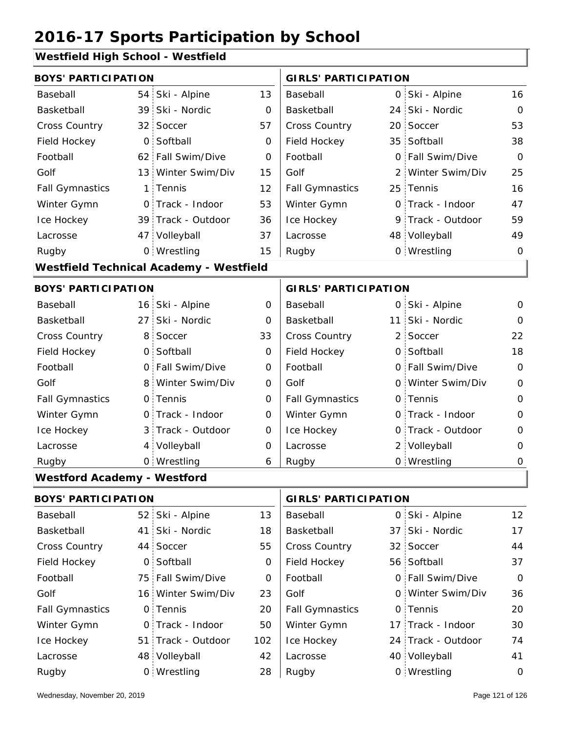#### **Westfield High School - Westfield**

|              |                                                                                                                                                                                                                                                                                                                                                                                                                                                                                                         | <b>GIRLS' PARTICIPATION</b>                    |   |  |                                                                                                                                                                                                                                                                                                                                                                                                                     |  |
|--------------|---------------------------------------------------------------------------------------------------------------------------------------------------------------------------------------------------------------------------------------------------------------------------------------------------------------------------------------------------------------------------------------------------------------------------------------------------------------------------------------------------------|------------------------------------------------|---|--|---------------------------------------------------------------------------------------------------------------------------------------------------------------------------------------------------------------------------------------------------------------------------------------------------------------------------------------------------------------------------------------------------------------------|--|
|              | 13                                                                                                                                                                                                                                                                                                                                                                                                                                                                                                      | Baseball                                       |   |  | 16                                                                                                                                                                                                                                                                                                                                                                                                                  |  |
|              | 0                                                                                                                                                                                                                                                                                                                                                                                                                                                                                                       | Basketball                                     |   |  | $\Omega$                                                                                                                                                                                                                                                                                                                                                                                                            |  |
|              | 57                                                                                                                                                                                                                                                                                                                                                                                                                                                                                                      | Cross Country                                  |   |  | 53                                                                                                                                                                                                                                                                                                                                                                                                                  |  |
| Softball     | 0                                                                                                                                                                                                                                                                                                                                                                                                                                                                                                       | Field Hockey                                   |   |  | 38                                                                                                                                                                                                                                                                                                                                                                                                                  |  |
|              | 0                                                                                                                                                                                                                                                                                                                                                                                                                                                                                                       | Football                                       |   |  | $\Omega$                                                                                                                                                                                                                                                                                                                                                                                                            |  |
|              | 15                                                                                                                                                                                                                                                                                                                                                                                                                                                                                                      | Golf                                           |   |  | 25                                                                                                                                                                                                                                                                                                                                                                                                                  |  |
|              | 12                                                                                                                                                                                                                                                                                                                                                                                                                                                                                                      | <b>Fall Gymnastics</b>                         |   |  | 16                                                                                                                                                                                                                                                                                                                                                                                                                  |  |
|              | 53                                                                                                                                                                                                                                                                                                                                                                                                                                                                                                      | Winter Gymn                                    |   |  | 47                                                                                                                                                                                                                                                                                                                                                                                                                  |  |
|              | 36                                                                                                                                                                                                                                                                                                                                                                                                                                                                                                      | Ice Hockey                                     |   |  | 59                                                                                                                                                                                                                                                                                                                                                                                                                  |  |
|              | 37                                                                                                                                                                                                                                                                                                                                                                                                                                                                                                      | Lacrosse                                       |   |  | 49                                                                                                                                                                                                                                                                                                                                                                                                                  |  |
|              | 15                                                                                                                                                                                                                                                                                                                                                                                                                                                                                                      | Rugby                                          |   |  | $\mathbf 0$                                                                                                                                                                                                                                                                                                                                                                                                         |  |
|              |                                                                                                                                                                                                                                                                                                                                                                                                                                                                                                         |                                                |   |  |                                                                                                                                                                                                                                                                                                                                                                                                                     |  |
|              |                                                                                                                                                                                                                                                                                                                                                                                                                                                                                                         |                                                |   |  |                                                                                                                                                                                                                                                                                                                                                                                                                     |  |
|              | 0                                                                                                                                                                                                                                                                                                                                                                                                                                                                                                       | Baseball                                       |   |  | 0                                                                                                                                                                                                                                                                                                                                                                                                                   |  |
| Ski - Nordic | 0                                                                                                                                                                                                                                                                                                                                                                                                                                                                                                       | Basketball                                     |   |  | $\Omega$                                                                                                                                                                                                                                                                                                                                                                                                            |  |
| Soccer       | 33                                                                                                                                                                                                                                                                                                                                                                                                                                                                                                      | Cross Country                                  | 2 |  | 22                                                                                                                                                                                                                                                                                                                                                                                                                  |  |
|              | $\mathbf 0$                                                                                                                                                                                                                                                                                                                                                                                                                                                                                             | Field Hockey                                   | 0 |  | 18                                                                                                                                                                                                                                                                                                                                                                                                                  |  |
|              | 0                                                                                                                                                                                                                                                                                                                                                                                                                                                                                                       | Football                                       |   |  | $\overline{O}$                                                                                                                                                                                                                                                                                                                                                                                                      |  |
|              | 0                                                                                                                                                                                                                                                                                                                                                                                                                                                                                                       | Golf                                           |   |  | $\overline{0}$                                                                                                                                                                                                                                                                                                                                                                                                      |  |
|              | $\overline{O}$                                                                                                                                                                                                                                                                                                                                                                                                                                                                                          | <b>Fall Gymnastics</b>                         |   |  | $\overline{0}$                                                                                                                                                                                                                                                                                                                                                                                                      |  |
|              | $\overline{O}$                                                                                                                                                                                                                                                                                                                                                                                                                                                                                          | Winter Gymn                                    |   |  | $\overline{0}$                                                                                                                                                                                                                                                                                                                                                                                                      |  |
|              | 0                                                                                                                                                                                                                                                                                                                                                                                                                                                                                                       | Ice Hockey                                     |   |  | $\mathbf 0$                                                                                                                                                                                                                                                                                                                                                                                                         |  |
|              | 0                                                                                                                                                                                                                                                                                                                                                                                                                                                                                                       | Lacrosse                                       |   |  | 0                                                                                                                                                                                                                                                                                                                                                                                                                   |  |
|              | 6                                                                                                                                                                                                                                                                                                                                                                                                                                                                                                       | Rugby                                          |   |  | 0                                                                                                                                                                                                                                                                                                                                                                                                                   |  |
|              |                                                                                                                                                                                                                                                                                                                                                                                                                                                                                                         |                                                |   |  |                                                                                                                                                                                                                                                                                                                                                                                                                     |  |
|              | <b>BOYS' PARTICIPATION</b><br>54 Ski - Alpine<br>39 Ski - Nordic<br>32 Soccer<br>$\overline{O}$<br>62 Fall Swim/Dive<br>13 Winter Swim/Div<br>1 Tennis<br>O Track - Indoor<br>39 Track - Outdoor<br>47 Volleyball<br>0 Wrestling<br><b>BOYS' PARTICIPATION</b><br>16 Ski - Alpine<br>27 <sup>2</sup><br>8 <sup>1</sup><br>0 Softball<br>0 Fall Swim/Dive<br>8 Winter Swim/Div<br>0 Tennis<br>O Track - Indoor<br>3 Track - Outdoor<br>4 Volleyball<br>0 Wrestling<br><b>Westford Academy - Westford</b> | <b>Westfield Technical Academy - Westfield</b> |   |  | 0 Ski - Alpine<br>24 Ski - Nordic<br>20 Soccer<br>35 Softball<br>0 Fall Swim/Dive<br>2 Winter Swim/Div<br>25 Tennis<br>O Track - Indoor<br>9 Track - Outdoor<br>48 Volleyball<br>0 Wrestling<br><b>GIRLS' PARTICIPATION</b><br>0 Ski - Alpine<br>11 Ski - Nordic<br>Soccer<br>Softball<br>0 Fall Swim/Dive<br>0 Winter Swim/Div<br>0 Tennis<br>O Track - Indoor<br>0 Track - Outdoor<br>2 Volleyball<br>0 Wrestling |  |

| <b>BOYS' PARTICIPATION</b> |                    |     | <b>GIRLS' PARTICIPATION</b> |  |                    |             |
|----------------------------|--------------------|-----|-----------------------------|--|--------------------|-------------|
| Baseball                   | 52 Ski - Alpine    | 13  | Baseball                    |  | 0 Ski - Alpine     | 12          |
| Basketball                 | 41 Ski - Nordic    | 18  | Basketball                  |  | 37 Ski - Nordic    | 17          |
| <b>Cross Country</b>       | 44 Soccer          | 55  | <b>Cross Country</b>        |  | 32 Soccer          | 44          |
| Field Hockey               | 0 Softball         | 0   | Field Hockey                |  | 56 Softball        | 37          |
| Football                   | 75 Fall Swim/Dive  | 0   | Football                    |  | 0 Fall Swim/Dive   | $\mathbf 0$ |
| Golf                       | 16 Winter Swim/Div | 23  | Golf                        |  | 0 Winter Swim/Div  | 36          |
| <b>Fall Gymnastics</b>     | 0 Tennis           | 20  | <b>Fall Gymnastics</b>      |  | 0 Tennis           | 20          |
| Winter Gymn                | O Track - Indoor   | 50  | Winter Gymn                 |  | 17 Track - Indoor  | 30          |
| Ice Hockey                 | 51 Track - Outdoor | 102 | Ice Hockey                  |  | 24 Track - Outdoor | 74          |
| Lacrosse                   | 48 Volleyball      | 42  | Lacrosse                    |  | 40 Volleyball      | 41          |
| Rugby                      | 0 Wrestling        | 28  | Rugby                       |  | 0 Wrestling        | $\mathbf 0$ |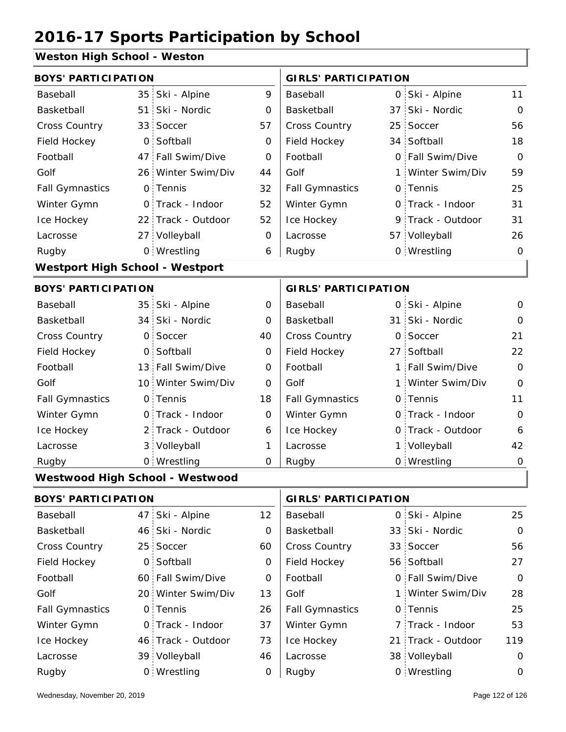#### **Weston High School - Weston**

| <b>BOYS' PARTICIPATION</b>             |                 |                    |             | <b>GIRLS' PARTICIPATION</b> |    |                   |                |  |
|----------------------------------------|-----------------|--------------------|-------------|-----------------------------|----|-------------------|----------------|--|
| Baseball                               | 35 <sub>1</sub> | Ski - Alpine       | 9           | Baseball                    | 0  | Ski - Alpine      | 11             |  |
| Basketball                             | 51:             | Ski - Nordic       | 0           | Basketball                  | 37 | Ski - Nordic      | $\overline{O}$ |  |
| Cross Country                          | 33 <sup>°</sup> | Soccer             | 57          | <b>Cross Country</b>        | 25 | Soccer            | 56             |  |
| Field Hockey                           | $\overline{O}$  | Softball           | 0           | Field Hockey                |    | 34 Softball       | 18             |  |
| Football                               |                 | 47 Fall Swim/Dive  | 0           | Football                    |    | 0 Fall Swim/Dive  | $\Omega$       |  |
| Golf                                   |                 | 26 Winter Swim/Div | 44          | Golf                        |    | 1 Winter Swim/Div | 59             |  |
| <b>Fall Gymnastics</b>                 |                 | 0 Tennis           | 32          | <b>Fall Gymnastics</b>      |    | 0 Tennis          | 25             |  |
| Winter Gymn                            |                 | 0 Track - Indoor   | 52          | Winter Gymn                 |    | O Track - Indoor  | 31             |  |
| Ice Hockey                             |                 | 22 Track - Outdoor | 52          | Ice Hockey                  |    | 9 Track - Outdoor | 31             |  |
| Lacrosse                               |                 | 27 Volleyball      | 0           | Lacrosse                    |    | 57 Volleyball     | 26             |  |
| Rugby                                  |                 | 0 Wrestling        | 6           | Rugby                       |    | 0 Wrestling       | $\overline{O}$ |  |
| <b>Westport High School - Westport</b> |                 |                    |             |                             |    |                   |                |  |
| <b>BOYS' PARTICIPATION</b>             |                 |                    |             | <b>GIRLS' PARTICIPATION</b> |    |                   |                |  |
| Baseball                               |                 | 35 Ski - Alpine    | 0           | Baseball                    |    | 0 Ski - Alpine    | 0              |  |
| Basketball                             |                 | 34 Ski - Nordic    | 0           | Basketball                  |    | 31 Ski - Nordic   | O              |  |
| <b>Cross Country</b>                   | $\overline{O}$  | Soccer             | 40          | <b>Cross Country</b>        | 0  | Soccer            | 21             |  |
| Field Hockey                           |                 | 0 Softball         | 0           | Field Hockey                |    | 27 Softball       | 22             |  |
| Football                               |                 | 13 Fall Swim/Dive  | 0           | Football                    |    | 1 Fall Swim/Dive  | $\Omega$       |  |
| Golf                                   |                 | 10 Winter Swim/Div | 0           | Golf                        | 1  | Winter Swim/Div   | $\overline{0}$ |  |
| <b>Fall Gymnastics</b>                 |                 | 0 Tennis           | 18          | <b>Fall Gymnastics</b>      |    | 0 Tennis          | 11             |  |
| Winter Gymn                            |                 | O Track - Indoor   | $\mathbf 0$ | Winter Gymn                 |    | 0 Track - Indoor  | $\overline{0}$ |  |
| Ice Hockey                             |                 | 2 Track - Outdoor  | 6           | Ice Hockey                  |    | 0 Track - Outdoor | 6              |  |
| Lacrosse                               |                 | 3 Volleyball       | 1           | Lacrosse                    |    | 1 Volleyball      | 42             |  |
| Rugby                                  |                 | 0 Wrestling        | $\mathbf 0$ | Rugby                       |    | 0 Wrestling       | $\mathbf 0$    |  |
| <b>Westwood High School - Westwood</b> |                 |                    |             |                             |    |                   |                |  |
| <b>BOYS' PARTICIPATION</b>             |                 |                    |             | <b>GIRLS' PARTICIPATION</b> |    |                   |                |  |

|                        | DUIJ PARTIUIPATIUN |                    |    |                        | <b>GIRLS PARTICIPATION</b> |                    |                |  |
|------------------------|--------------------|--------------------|----|------------------------|----------------------------|--------------------|----------------|--|
| Baseball               |                    | 47 Ski - Alpine    | 12 | Baseball               |                            | 0 Ski - Alpine     | 25             |  |
| Basketball             |                    | 46 Ski - Nordic    | 0  | Basketball             |                            | 33 Ski - Nordic    | $\overline{O}$ |  |
| <b>Cross Country</b>   |                    | 25 Soccer          | 60 | <b>Cross Country</b>   |                            | 33 Soccer          | 56             |  |
| Field Hockey           |                    | 0 Softball         | 0  | Field Hockey           |                            | 56 Softball        | 27             |  |
| Football               |                    | 60 Fall Swim/Dive  | 0  | Football               |                            | 0 Fall Swim/Dive   | $\overline{O}$ |  |
| Golf                   |                    | 20 Winter Swim/Div | 13 | Golf                   |                            | 1 Winter Swim/Div  | 28             |  |
| <b>Fall Gymnastics</b> |                    | 0 Tennis           | 26 | <b>Fall Gymnastics</b> |                            | 0 Tennis           | 25             |  |
| Winter Gymn            |                    | O Track - Indoor   | 37 | Winter Gymn            |                            | 7 Track - Indoor   | 53             |  |
| Ice Hockey             |                    | 46 Track - Outdoor | 73 | Ice Hockey             |                            | 21 Track - Outdoor | 119            |  |
| Lacrosse               |                    | 39 Volleyball      | 46 | Lacrosse               |                            | 38 Volleyball      | $\Omega$       |  |
| Rugby                  |                    | 0 Wrestling        | 0  | Rugby                  |                            | 0 Wrestling        | 0              |  |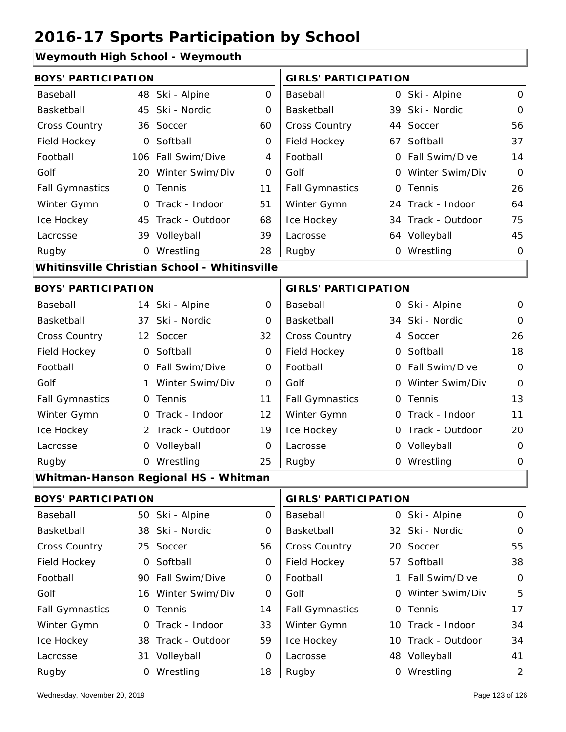#### **Weymouth High School - Weymouth**

| symbath i ngu bonbor       |                |                                              |                |                             |          |                    |                |
|----------------------------|----------------|----------------------------------------------|----------------|-----------------------------|----------|--------------------|----------------|
| <b>BOYS' PARTICIPATION</b> |                |                                              |                | <b>GIRLS' PARTICIPATION</b> |          |                    |                |
| Baseball                   |                | 48 Ski - Alpine                              | $\overline{O}$ | Baseball                    |          | 0 Ski - Alpine     | $\mathsf{O}$   |
| Basketball                 |                | 45 Ski - Nordic                              | $\Omega$       | Basketball                  |          | 39 Ski - Nordic    | $\mathsf O$    |
| Cross Country              |                | 36 Soccer                                    | 60             | Cross Country               |          | 44 Soccer          | 56             |
| Field Hockey               | O <sub>1</sub> | Softball                                     | $\overline{O}$ | Field Hockey                |          | 67 Softball        | 37             |
| Football                   |                | 106 Fall Swim/Dive                           | 4              | Football                    |          | 0 Fall Swim/Dive   | 14             |
| Golf                       |                | 20 Winter Swim/Div                           | 0              | Golf                        | $\Omega$ | Winter Swim/Div    | $\mathbf 0$    |
| <b>Fall Gymnastics</b>     |                | 0 Tennis                                     | 11             | <b>Fall Gymnastics</b>      | 0        | Tennis             | 26             |
| Winter Gymn                |                | 0 Track - Indoor                             | 51             | Winter Gymn                 |          | 24 Track - Indoor  | 64             |
| Ice Hockey                 |                | 45 Track - Outdoor                           | 68             | Ice Hockey                  |          | 34 Track - Outdoor | 75             |
| Lacrosse                   |                | 39 Volleyball                                | 39             | Lacrosse                    |          | 64 Volleyball      | 45             |
| Rugby                      |                | 0 Wrestling                                  | 28             | Rugby                       |          | 0 Wrestling        | $\mathbf 0$    |
|                            |                | Whitinsville Christian School - Whitinsville |                |                             |          |                    |                |
| <b>BOYS' PARTICIPATION</b> |                |                                              |                | <b>GIRLS' PARTICIPATION</b> |          |                    |                |
| Baseball                   |                | 14 Ski - Alpine                              | 0              | Baseball                    |          | 0 Ski - Alpine     | 0              |
| Basketball                 |                | 37 Ski - Nordic                              | 0              | Basketball                  |          | 34 Ski - Nordic    | $\Omega$       |
| Cross Country              |                | 12 Soccer                                    | 32             | Cross Country               |          | 4 Soccer           | 26             |
| Field Hockey               |                | 0 Softball                                   | $\mathbf 0$    | Field Hockey                |          | 0 Softball         | 18             |
| Football                   |                | 0 Fall Swim/Dive                             | $\mathbf 0$    | Football                    |          | 0 Fall Swim/Dive   | $\overline{O}$ |
| Golf                       | $1 \cdot$      | Winter Swim/Div                              | 0              | Golf                        |          | 0 Winter Swim/Div  | $\overline{0}$ |
| <b>Fall Gymnastics</b>     |                | 0 Tennis                                     | 11             | <b>Fall Gymnastics</b>      |          | 0 Tennis           | 13             |
| Winter Gymn                |                | O Track - Indoor                             | 12             | Winter Gymn                 |          | O Track - Indoor   | 11             |
| Ice Hockey                 |                | 2 Track - Outdoor                            | 19             | Ice Hockey                  |          | 0 Track - Outdoor  | 20             |
| Lacrosse                   |                | 0 Volleyball                                 | 0              | Lacrosse                    |          | 0 Volleyball       | $\Omega$       |
| Rugby                      |                | 0 Wrestling                                  | 25             | Rugby                       |          | 0 Wrestling        | 0              |
|                            |                | Whitman-Hanson Regional HS - Whitman         |                |                             |          |                    |                |
| <b>BOYS' PARTICIPATION</b> |                |                                              |                | <b>GIRLS' PARTICIPATION</b> |          |                    |                |
| Baseball                   |                | 50 Ski - Alpine                              | $\mathbf 0$    | Baseball                    |          | 0 Ski - Alpine     | $\mathsf O$    |
| Basketball                 |                | 38 Ski - Nordic                              | 0              | Basketball                  |          | 32 Ski - Nordic    | 0              |

| Basketball             | 38 Ski - Nordic    | 0  | Basketball             | 32 Ski - Nordic    | $\mathcal{O}$ |
|------------------------|--------------------|----|------------------------|--------------------|---------------|
| <b>Cross Country</b>   | 25 Soccer          | 56 | <b>Cross Country</b>   | 20 Soccer          | 55            |
| Field Hockey           | 0 Softball         | 0  | Field Hockey           | 57 Softball        | 38            |
| Football               | 90 Fall Swim/Dive  | 0  | Football               | 1 Fall Swim/Dive   | $\circ$       |
| Golf                   | 16 Winter Swim/Div | 0  | Golf                   | 0 Winter Swim/Div  | 5             |
| <b>Fall Gymnastics</b> | 0 Tennis           | 14 | <b>Fall Gymnastics</b> | 0 Tennis           | 17            |
| Winter Gymn            | O Track - Indoor   | 33 | Winter Gymn            | 10 Track - Indoor  | 34            |
| Ice Hockey             | 38 Track - Outdoor | 59 | Ice Hockey             | 10 Track - Outdoor | 34            |
| Lacrosse               | 31 Volleyball      | 0  | Lacrosse               | 48 Volleyball      | 41            |
| Rugby                  | 0 Wrestling        | 18 | Rugby                  | 0 Wrestling        | 2             |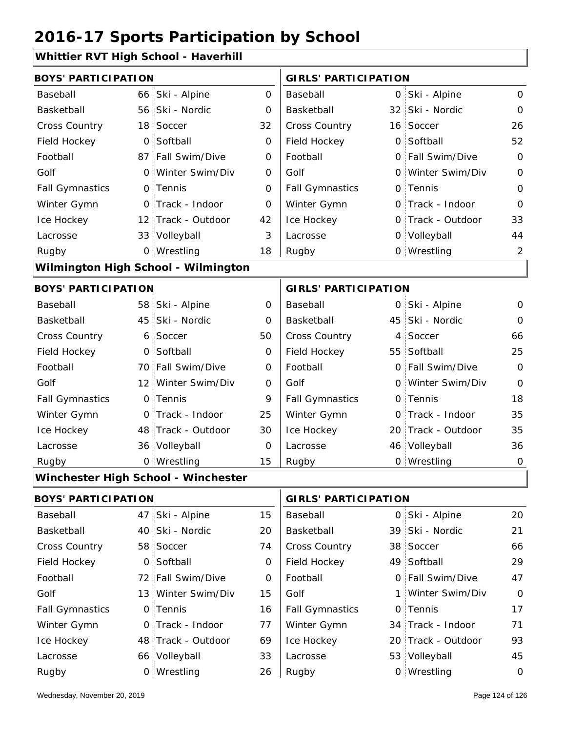#### **Whittier RVT High School - Haverhill**

| <b>BOYS' PARTICIPATION</b> |                  |                                     |                | <b>GIRLS' PARTICIPATION</b> |  |                    |                |  |
|----------------------------|------------------|-------------------------------------|----------------|-----------------------------|--|--------------------|----------------|--|
| Baseball                   | 66.              | Ski - Alpine                        | $\overline{0}$ | <b>Baseball</b>             |  | 0 Ski - Alpine     | 0              |  |
| Basketball                 | 56               | Ski - Nordic                        | 0              | Basketball                  |  | 32 Ski - Nordic    | 0              |  |
| <b>Cross Country</b>       |                  | 18 Soccer                           | 32             | Cross Country               |  | 16 Soccer          | 26             |  |
| Field Hockey               | $\overline{O}$ . | Softball                            | 0              | Field Hockey                |  | 0 Softball         | 52             |  |
| Football                   |                  | 87 Fall Swim/Dive                   | 0              | Football                    |  | 0 Fall Swim/Dive   | $\overline{O}$ |  |
| Golf                       |                  | 0 Winter Swim/Div                   | 0              | Golf                        |  | 0 Winter Swim/Div  | $\overline{0}$ |  |
| <b>Fall Gymnastics</b>     |                  | 0 Tennis                            | 0              | <b>Fall Gymnastics</b>      |  | 0 Tennis           | $\overline{O}$ |  |
| Winter Gymn                |                  | 0 Track - Indoor                    | 0              | Winter Gymn                 |  | O Track - Indoor   | $\Omega$       |  |
| Ice Hockey                 |                  | 12 Track - Outdoor                  | 42             | Ice Hockey                  |  | 0 Track - Outdoor  | 33             |  |
| Lacrosse                   |                  | 33 Volleyball                       | 3              | Lacrosse                    |  | 0 Volleyball       | 44             |  |
| Rugby                      |                  | 0 Wrestling                         | 18             | Rugby                       |  | 0 Wrestling        | $\overline{2}$ |  |
|                            |                  | Wilmington High School - Wilmington |                |                             |  |                    |                |  |
| <b>BOYS' PARTICIPATION</b> |                  |                                     |                | <b>GIRLS' PARTICIPATION</b> |  |                    |                |  |
| Baseball                   |                  | 58 Ski - Alpine                     | 0              | Baseball                    |  | 0 Ski - Alpine     | $\Omega$       |  |
| Basketball                 | 45.              | Ski - Nordic                        | 0              | Basketball                  |  | 45 Ski - Nordic    | $\Omega$       |  |
| <b>Cross Country</b>       | 6:               | Soccer                              | 50             | Cross Country               |  | 4 Soccer           | 66             |  |
| Field Hockey               |                  | 0 Softball                          | 0              | Field Hockey                |  | 55 Softball        | 25             |  |
| Football                   |                  | 70 Fall Swim/Dive                   | $\mathbf 0$    | Football                    |  | 0 Fall Swim/Dive   | $\mathbf 0$    |  |
| Golf                       |                  | 12 Winter Swim/Div                  | 0              | Golf                        |  | 0 Winter Swim/Div  | $\overline{0}$ |  |
| <b>Fall Gymnastics</b>     |                  | 0 Tennis                            | 9              | <b>Fall Gymnastics</b>      |  | 0 Tennis           | 18             |  |
| Winter Gymn                |                  | 0 Track - Indoor                    | 25             | Winter Gymn                 |  | O Track - Indoor   | 35             |  |
| Ice Hockey                 |                  | 48 Track - Outdoor                  | 30             | Ice Hockey                  |  | 20 Track - Outdoor | 35             |  |
| Lacrosse                   |                  | 36 Volleyball                       | $\Omega$       | Lacrosse                    |  | 46 Volleyball      | 36             |  |
| Rugby                      |                  | 0 Wrestling                         | 15             | Rugby                       |  | 0 Wrestling        | $\mathbf 0$    |  |
|                            |                  | Winchester High School - Winchester |                |                             |  |                    |                |  |
| <b>BOYS' PARTICIPATION</b> |                  |                                     |                | <b>GIRLS' PARTICIPATION</b> |  |                    |                |  |
| Baseball                   |                  | 47 Ski - Alpine                     | 15             | Baseball                    |  | 0 Ski - Alpine     | 20             |  |
| Basketball                 |                  | 40 Ski - Nordic                     | 20             | Basketball                  |  | 39 Ski - Nordic    | 21             |  |
|                            |                  |                                     |                |                             |  |                    |                |  |

| ваѕкетран              | 40 SKI - NOTAIC    | 20 | Basketball             | 39 SKI - NOTAIC    | 21.            |
|------------------------|--------------------|----|------------------------|--------------------|----------------|
| Cross Country          | 58 Soccer          | 74 | <b>Cross Country</b>   | 38 Soccer          | 66             |
| Field Hockey           | 0 Softball         | 0  | Field Hockey           | 49 Softball        | 29             |
| Football               | 72 Fall Swim/Dive  | O  | Football               | 0 Fall Swim/Dive   | 47             |
| Golf                   | 13 Winter Swim/Div | 15 | Golf                   | 1 Winter Swim/Div  | $\overline{O}$ |
| <b>Fall Gymnastics</b> | 0 Tennis           | 16 | <b>Fall Gymnastics</b> | 0 Tennis           | 17             |
| Winter Gymn            | 0 Track - Indoor   | 77 | Winter Gymn            | 34 Track - Indoor  | 71             |
| Ice Hockey             | 48 Track - Outdoor | 69 | Ice Hockey             | 20 Track - Outdoor | 93             |
| Lacrosse               | 66 Volleyball      | 33 | Lacrosse               | 53 Volleyball      | 45             |
| Rugby                  | 0 Wrestling        | 26 | Rugby                  | 0 Wrestling        | $\Omega$       |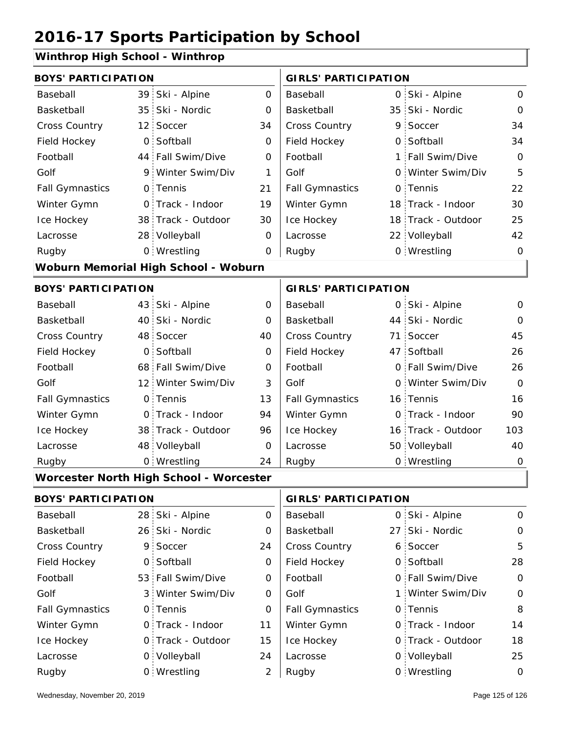#### **Winthrop High School - Winthrop**

| <b>BOYS' PARTICIPATION</b> |                |                                                |                | <b>GIRLS' PARTICIPATION</b> |   |                    |                |
|----------------------------|----------------|------------------------------------------------|----------------|-----------------------------|---|--------------------|----------------|
| Baseball                   | 39             | Ski - Alpine                                   | $\overline{O}$ | Baseball                    |   | 0 Ski - Alpine     | $\mathsf{O}$   |
| Basketball                 |                | 35 Ski - Nordic                                | 0              | Basketball                  |   | 35 Ski - Nordic    | $\mathbf 0$    |
| Cross Country              |                | 12 Soccer                                      | 34             | Cross Country               |   | 9 Soccer           | 34             |
| Field Hockey               |                | 0 Softball                                     | $\mathbf 0$    | Field Hockey                |   | 0 Softball         | 34             |
| Football                   |                | 44 Fall Swim/Dive                              | 0              | Football                    | 1 | Fall Swim/Dive     | $\mathbf 0$    |
| Golf                       |                | 9 Winter Swim/Div                              | 1              | Golf                        |   | 0 Winter Swim/Div  | 5              |
| <b>Fall Gymnastics</b>     |                | 0 Tennis                                       | 21             | <b>Fall Gymnastics</b>      | 0 | Tennis             | 22             |
| Winter Gymn                |                | O Track - Indoor                               | 19             | Winter Gymn                 |   | 18 Track - Indoor  | 30             |
| Ice Hockey                 |                | 38 Track - Outdoor                             | 30             | Ice Hockey                  |   | 18 Track - Outdoor | 25             |
| Lacrosse                   |                | 28 Volleyball                                  | 0              | Lacrosse                    |   | 22 Volleyball      | 42             |
| Rugby                      |                | 0 Wrestling                                    | 0              | Rugby                       |   | 0 Wrestling        | $\mathbf 0$    |
|                            |                | Woburn Memorial High School - Woburn           |                |                             |   |                    |                |
| <b>BOYS' PARTICIPATION</b> |                |                                                |                | <b>GIRLS' PARTICIPATION</b> |   |                    |                |
| Baseball                   |                | 43 Ski - Alpine                                | $\mathbf 0$    | Baseball                    |   | 0 Ski - Alpine     | $\mathbf 0$    |
| Basketball                 |                | 40 Ski - Nordic                                | 0              | Basketball                  |   | 44 Ski - Nordic    | $\mathbf 0$    |
| Cross Country              |                | 48 Soccer                                      | 40             | Cross Country               |   | 71 Soccer          | 45             |
| Field Hockey               | $\overline{O}$ | Softball                                       | $\mathbf 0$    | Field Hockey                |   | 47 Softball        | 26             |
| Football                   |                | 68 Fall Swim/Dive                              | 0              | Football                    |   | 0 Fall Swim/Dive   | 26             |
| Golf                       |                | 12 Winter Swim/Div                             | 3              | Golf                        |   | 0 Winter Swim/Div  | $\overline{0}$ |
| <b>Fall Gymnastics</b>     |                | 0 Tennis                                       | 13             | <b>Fall Gymnastics</b>      |   | 16 Tennis          | 16             |
| Winter Gymn                |                | O Track - Indoor                               | 94             | Winter Gymn                 |   | O Track - Indoor   | 90             |
| Ice Hockey                 |                | 38 Track - Outdoor                             | 96             | Ice Hockey                  |   | 16 Track - Outdoor | 103            |
| Lacrosse                   |                | 48 Volleyball                                  | 0              | Lacrosse                    |   | 50 Volleyball      | 40             |
| Rugby                      |                | 0 Wrestling                                    | 24             | Rugby                       |   | 0 Wrestling        | $\mathbf 0$    |
|                            |                | <b>Worcester North High School - Worcester</b> |                |                             |   |                    |                |
| <b>BOYS' PARTICIPATION</b> |                |                                                |                | <b>GIRLS' PARTICIPATION</b> |   |                    |                |
| Baseball                   |                | 28 Ski - Alpine                                | 0              | Baseball                    |   | 0 Ski - Alpine     | $\mathbf 0$    |
| Basketball                 |                | 26 Ski - Nordic                                | 0              | Basketball                  |   | 27 Ski - Nordic    | $\mathbf 0$    |
| Cross Country              |                | 9 Soccer                                       | 24             | <b>Cross Country</b>        |   | 6. Soccer          | 5.             |

| <b>Cross Country</b>   | 9 Soccer          | 24 | <b>Cross Country</b>   | 6 Soccer          | 5        |
|------------------------|-------------------|----|------------------------|-------------------|----------|
| <b>Field Hockey</b>    | 0 Softball        | 0  | Field Hockey           | 0 Softball        | 28       |
| Football               | 53 Fall Swim/Dive | 0  | Football               | 0 Fall Swim/Dive  | $\Omega$ |
| Golf                   | 3 Winter Swim/Div | O  | Golf                   | 1 Winter Swim/Div | $\Omega$ |
| <b>Fall Gymnastics</b> | 0 Tennis          | 0  | <b>Fall Gymnastics</b> | 0 Tennis          | 8        |
| Winter Gymn            | 0 Track - Indoor  | 11 | Winter Gymn            | O Track - Indoor  | 14       |
| Ice Hockey             | 0 Track - Outdoor | 15 | Ice Hockey             | 0 Track - Outdoor | 18       |
| Lacrosse               | 0 Volleyball      | 24 | Lacrosse               | 0 Volleyball      | 25       |
| Rugby                  | 0 Wrestling       |    | Rugby                  | 0 Wrestling       | 0        |